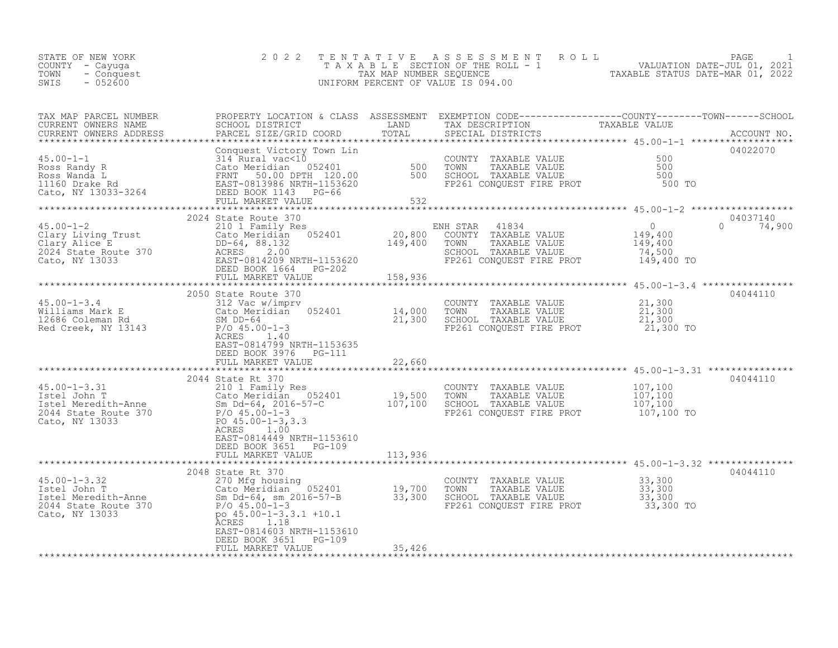| STATE OF NEW YORK<br>COUNTY – Cayuga<br>TOWN<br>- Conquest<br>$-052600$<br>SWIS |  | 2022 TENTATIVE ASSESSMENT ROLL<br>TAXABLE SECTION OF THE ROLL - 1<br>TAX MAP NUMBER SEOUENCE<br>UNIFORM PERCENT OF VALUE IS 094.00 |  | TAXABLE STATUS DATE-MAR 01, 2022 | PAGE<br>VALUATION DATE-JUL 01, 2021 |  |
|---------------------------------------------------------------------------------|--|------------------------------------------------------------------------------------------------------------------------------------|--|----------------------------------|-------------------------------------|--|
|---------------------------------------------------------------------------------|--|------------------------------------------------------------------------------------------------------------------------------------|--|----------------------------------|-------------------------------------|--|

| TAX MAP PARCEL NUMBER                                                                                                                                                                                                                                                                                                                                                                    |                                                    |        | PROPERTY LOCATION & CLASS ASSESSMENT EXEMPTION CODE----------------COUNTY-------TOWN------SCHOOL                                      |             |
|------------------------------------------------------------------------------------------------------------------------------------------------------------------------------------------------------------------------------------------------------------------------------------------------------------------------------------------------------------------------------------------|----------------------------------------------------|--------|---------------------------------------------------------------------------------------------------------------------------------------|-------------|
| CURRENT OWNERS NAME<br>CURRENT OWNERS NAME<br>CURRENT OWNERS ADDRESS PARCEL SIZE/GRID COORD TOTAL                                                                                                                                                                                                                                                                                        | SCHOOL DISTRICT LAND                               |        | TAX DESCRIPTION<br>TAX DESCRIPTION TAXABLE VALUE<br>SPECIAL DISTRICTS                                                                 |             |
|                                                                                                                                                                                                                                                                                                                                                                                          |                                                    |        |                                                                                                                                       | ACCOUNT NO. |
|                                                                                                                                                                                                                                                                                                                                                                                          |                                                    |        |                                                                                                                                       |             |
|                                                                                                                                                                                                                                                                                                                                                                                          |                                                    |        |                                                                                                                                       |             |
|                                                                                                                                                                                                                                                                                                                                                                                          |                                                    |        |                                                                                                                                       |             |
|                                                                                                                                                                                                                                                                                                                                                                                          |                                                    |        |                                                                                                                                       |             |
|                                                                                                                                                                                                                                                                                                                                                                                          |                                                    |        |                                                                                                                                       |             |
|                                                                                                                                                                                                                                                                                                                                                                                          |                                                    |        |                                                                                                                                       |             |
|                                                                                                                                                                                                                                                                                                                                                                                          |                                                    |        |                                                                                                                                       |             |
| $\begin{tabular}{@{}lllllllllllll@{}}\hline\textbf{116.00--1} & \textbf{23.00} & \textbf{14.00} & \textbf{25.00--1} & \textbf{26.00} & \textbf{27.00} & \textbf{14.00} & \textbf{28.00} & \textbf{29.00} & \textbf{20.00} & \textbf{20.00} & \textbf{20.00} & \textbf{20.00} & \textbf{20.00} & \textbf{20.00} & \textbf{20.00} & \textbf{20.00} & \textbf{20.$                          |                                                    |        |                                                                                                                                       |             |
|                                                                                                                                                                                                                                                                                                                                                                                          |                                                    |        |                                                                                                                                       | 04037140    |
|                                                                                                                                                                                                                                                                                                                                                                                          |                                                    |        |                                                                                                                                       | 0 $74,900$  |
|                                                                                                                                                                                                                                                                                                                                                                                          |                                                    |        |                                                                                                                                       |             |
|                                                                                                                                                                                                                                                                                                                                                                                          |                                                    |        |                                                                                                                                       |             |
|                                                                                                                                                                                                                                                                                                                                                                                          |                                                    |        |                                                                                                                                       |             |
|                                                                                                                                                                                                                                                                                                                                                                                          |                                                    |        |                                                                                                                                       |             |
|                                                                                                                                                                                                                                                                                                                                                                                          |                                                    |        |                                                                                                                                       |             |
|                                                                                                                                                                                                                                                                                                                                                                                          |                                                    |        |                                                                                                                                       |             |
|                                                                                                                                                                                                                                                                                                                                                                                          |                                                    |        |                                                                                                                                       |             |
|                                                                                                                                                                                                                                                                                                                                                                                          | 2050 State Route 370                               |        |                                                                                                                                       | 04044110    |
|                                                                                                                                                                                                                                                                                                                                                                                          |                                                    |        |                                                                                                                                       |             |
| $\begin{array}{ccccccccc} 45.00-1-3.4 & 2030 & 312 & \text{Vac} & 312 & \text{vac} & 312 & \text{vac} & 312 & \text{vac} & 312 & \text{vac} & 312 & \text{vac} & 312 & \text{vac} & 312 & \text{vac} & 312 & \text{vac} & 312 & \text{vac} & 312 & \text{vac} & 312 & \text{vac} & 312 & \text{vac} & 312 & \text{vac} & 312 & \text{vac} & 312 & \text{vac} & 312 & \text{vac} & 312 &$ |                                                    |        |                                                                                                                                       |             |
|                                                                                                                                                                                                                                                                                                                                                                                          |                                                    |        |                                                                                                                                       |             |
|                                                                                                                                                                                                                                                                                                                                                                                          | ACRES 1.40                                         |        |                                                                                                                                       |             |
|                                                                                                                                                                                                                                                                                                                                                                                          | EAST-0814799 NRTH-1153635                          |        |                                                                                                                                       |             |
|                                                                                                                                                                                                                                                                                                                                                                                          | DEED BOOK 3976 PG-111                              |        |                                                                                                                                       |             |
|                                                                                                                                                                                                                                                                                                                                                                                          |                                                    |        |                                                                                                                                       |             |
|                                                                                                                                                                                                                                                                                                                                                                                          |                                                    |        |                                                                                                                                       |             |
|                                                                                                                                                                                                                                                                                                                                                                                          | 2044 State Rt 370                                  |        |                                                                                                                                       | 04044110    |
|                                                                                                                                                                                                                                                                                                                                                                                          |                                                    |        |                                                                                                                                       |             |
|                                                                                                                                                                                                                                                                                                                                                                                          |                                                    |        |                                                                                                                                       |             |
|                                                                                                                                                                                                                                                                                                                                                                                          |                                                    |        |                                                                                                                                       |             |
|                                                                                                                                                                                                                                                                                                                                                                                          |                                                    |        | FP261 CONQUEST FIRE PROT 107,100 TO                                                                                                   |             |
|                                                                                                                                                                                                                                                                                                                                                                                          |                                                    |        |                                                                                                                                       |             |
|                                                                                                                                                                                                                                                                                                                                                                                          |                                                    |        |                                                                                                                                       |             |
|                                                                                                                                                                                                                                                                                                                                                                                          | EAST-0814449 NRTH-1153610<br>DEED BOOK 3651 PG-109 |        |                                                                                                                                       |             |
|                                                                                                                                                                                                                                                                                                                                                                                          |                                                    |        |                                                                                                                                       |             |
|                                                                                                                                                                                                                                                                                                                                                                                          |                                                    |        |                                                                                                                                       |             |
|                                                                                                                                                                                                                                                                                                                                                                                          | 2048 State Rt 370                                  |        |                                                                                                                                       | 04044110    |
|                                                                                                                                                                                                                                                                                                                                                                                          |                                                    |        |                                                                                                                                       |             |
|                                                                                                                                                                                                                                                                                                                                                                                          |                                                    |        |                                                                                                                                       |             |
|                                                                                                                                                                                                                                                                                                                                                                                          |                                                    |        |                                                                                                                                       |             |
| 45.00-1-3.32<br>Istel John T<br>Istel Meredith-Anne<br>2010 Stel Meredith-Anne<br>2014 State Route 370<br>Cato, NY 13033<br>2016-57-B<br>2044 State Route 370<br>Cato, NY 13033<br>2016-57-B<br>2016-57-B<br>2016-57-B<br>2016-57-B<br>2016-57-B<br>2016-5                                                                                                                               |                                                    |        | COUNTY TAXABLE VALUE $33,300$<br>TOWN TAXABLE VALUE $33,300$<br>SCHOOL TAXABLE VALUE $33,300$<br>FP261 CONQUEST FIRE PROT $33,300$ TO |             |
|                                                                                                                                                                                                                                                                                                                                                                                          |                                                    |        |                                                                                                                                       |             |
|                                                                                                                                                                                                                                                                                                                                                                                          | ACRES 1.18                                         |        |                                                                                                                                       |             |
|                                                                                                                                                                                                                                                                                                                                                                                          | EAST-0814603 NRTH-1153610                          |        |                                                                                                                                       |             |
|                                                                                                                                                                                                                                                                                                                                                                                          | DEED BOOK 3651 PG-109                              |        |                                                                                                                                       |             |
|                                                                                                                                                                                                                                                                                                                                                                                          | FULL MARKET VALUE                                  | 35,426 |                                                                                                                                       |             |
|                                                                                                                                                                                                                                                                                                                                                                                          |                                                    |        |                                                                                                                                       |             |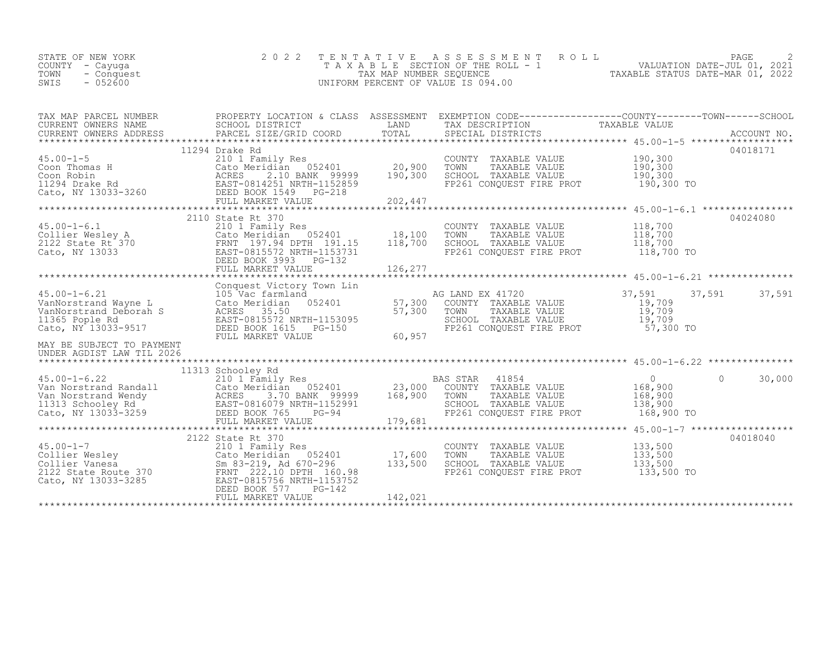| STATE OF NEW YORK<br>COUNTY - Cayuga<br>TOWN<br>- Conquest<br>SWIS<br>$-052600$                                                                                                                                                                   | 2 0 2 2                                                                                                                                      | TENTATIVE                  | A S S E S S M E N T<br>ROLL<br>UNIFORM PERCENT OF VALUE IS 094.00                                                                          | PAGE<br>T A X A B L E SECTION OF THE ROLL - 1 WALUATION DATE-JUL 01, 2021<br>TAX MAP NUMBER SEQUENCE TAXABLE STATUS DATE-MAR 01, 2022<br>INIFORM PERCENT OF VALUE IS 094.00 |
|---------------------------------------------------------------------------------------------------------------------------------------------------------------------------------------------------------------------------------------------------|----------------------------------------------------------------------------------------------------------------------------------------------|----------------------------|--------------------------------------------------------------------------------------------------------------------------------------------|-----------------------------------------------------------------------------------------------------------------------------------------------------------------------------|
| CURRENT OWNERS NAME SCHOOL DISTRICT<br>CURRENT OWNERS ADDRESS PARCEL SIZE/GRID COORD                                                                                                                                                              |                                                                                                                                              | TOTAL                      | SPECIAL DISTRICTS                                                                                                                          | ACCOUNT NO.                                                                                                                                                                 |
| 45.00-1-5<br>Coon Thomas H<br>Coon Robin<br>Coon Robin<br>Coon Robin<br>Coon Robin<br>Cato, NY 13033-3260<br>Cato, NY 13033-3260<br>Cato Particle BOOK 1549<br>PG-218<br>PG-218<br>PG-218<br>PG-218<br>202,447<br>PULL MARKET VALUE<br>202,447    | 11294 Drake Rd                                                                                                                               | 202,447                    | COUNTY TAXABLE VALUE<br>TOWN<br>TAXABLE VALUE<br>TOWN TAXABLE VALUE 190,300<br>SCHOOL TAXABLE VALUE 190,300 TO                             | 04018171<br>190,300<br>190,300                                                                                                                                              |
| $45.00 - 1 - 6.1$<br>45.00-1-6.1<br>Collier Wesley A<br>2122 State Rt 370<br>Cato, NY 13033<br>Cato, NY 13033<br>Cato, NY 13033<br>Cato, NY 13033<br>Cato, NY 13033<br>Cato, NY 13033<br>CEED BOOK 3993<br>PULL MARKET VALUE<br>PULL MARKET VALUE | 2110 State Rt 370<br>State Rubber<br>210 1 Family Res<br>Cato Meridian 052401 18,100<br>PDNT 197 94 DPTH 191.15 118,700<br>FULL MARKET VALUE | 126,277                    | COUNTY TAXABLE VALUE 118,700<br>TOWN TAXABLE VALUE 118,700<br>SCHOOL TAXABLE VALUE<br>FP261 CONQUEST FIRE PROT                             | 04024080<br>118,700<br>118,700 TO                                                                                                                                           |
| 45.00-1-6.21 105 Vac farmland<br>VanNorstrand Wayne L Cato Meridian 052401<br>VanNorstrand Deborah S ACRES 35.50 NDTU 11536<br>11365 Pople Rd<br>Cato, NY 13033-9517<br>MAY BE SUBJECT TO PAYMENT                                                 | Conquest Victory Town Lin<br>EAST-0815572 NRTH-1153095<br>DEED BOOK 1615 PG-150<br>FULL MARKET VALUE                                         | 57,300<br>57,300<br>60,957 | AG LAND EX 41720<br>COUNTY TAXABLE VALUE<br>TOWN TAXABLE VALUE 19,709<br>SCHOOL TAXABLE VALUE 19,709<br>FP261 CONQUEST FIRE PROT 57,300 TO | 37,591<br>37,591<br>37,591<br>19,709                                                                                                                                        |
| UNDER AGDIST LAW TIL 2026                                                                                                                                                                                                                         |                                                                                                                                              |                            |                                                                                                                                            |                                                                                                                                                                             |
|                                                                                                                                                                                                                                                   |                                                                                                                                              | 179,681                    | 41854<br>BAS STAR<br>COUNTY TAXABLE VALUE<br>TOWN<br>TAXABLE VALUE<br>SCHOOL TAXABLE VALUE<br>FP261 CONQUEST FIRE PROT                     | $\overline{0}$<br>$\Omega$<br>30,000<br>168,900<br>168,900<br>138,900<br>168,900 TO                                                                                         |
| 45.00-1-7<br>Collier Wesley<br>Collier Vanesa<br>2122 State Route 370<br>Cato Meridian 052401<br>2122 State Route 370<br>Cato, NY 13033-3285<br>Cato, NY 13033-3285<br>PERNT 222.10 DEED BOOK 577<br>DEED BOOK 577<br>PG-142                      | 210 1 Family Res<br>Cato Meridian 052401 17,600<br>FULL MARKET VALUE                                                                         | 133,500<br>142,021         | COUNTY TAXABLE VALUE<br>TOWN<br>TAXABLE VALUE<br>TAXABLE VALUE FP261 CONQUEST FIRE PROT                                                    | 04018040<br>133,500<br>133,500<br>133,500<br>133,500 TO                                                                                                                     |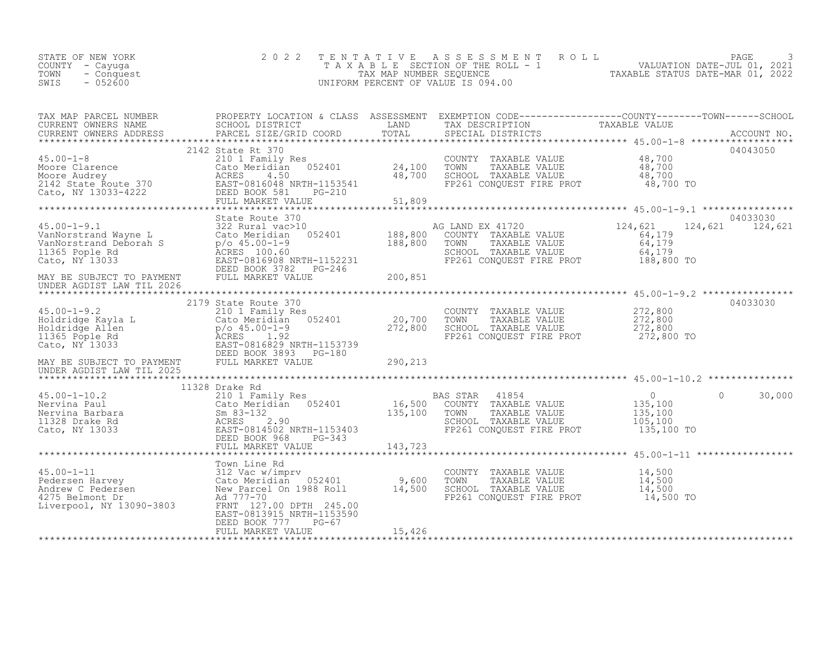| VALUATION DATE-JUL 01, 2021<br>TAXABLE SECTION OF THE ROLL - 1<br>COUNTY - Cayuga<br>TAXABLE STATUS DATE-MAR 01, 2022<br>TOWN<br>TAX MAP NUMBER SEOUENCE<br>- Conquest<br>SWIS<br>$-052600$<br>UNIFORM PERCENT OF VALUE IS 094.00 | STATE OF NEW YORK |  | 2022 TENTATIVE ASSESSMENT ROLL |  |  | PAGE |  |
|-----------------------------------------------------------------------------------------------------------------------------------------------------------------------------------------------------------------------------------|-------------------|--|--------------------------------|--|--|------|--|
|-----------------------------------------------------------------------------------------------------------------------------------------------------------------------------------------------------------------------------------|-------------------|--|--------------------------------|--|--|------|--|

|                                                                                                                                                                                                                                                                  |                           |        |                                                                                                                                       | 04043050 |
|------------------------------------------------------------------------------------------------------------------------------------------------------------------------------------------------------------------------------------------------------------------|---------------------------|--------|---------------------------------------------------------------------------------------------------------------------------------------|----------|
|                                                                                                                                                                                                                                                                  |                           |        |                                                                                                                                       |          |
|                                                                                                                                                                                                                                                                  |                           |        |                                                                                                                                       |          |
|                                                                                                                                                                                                                                                                  |                           |        |                                                                                                                                       |          |
|                                                                                                                                                                                                                                                                  |                           |        |                                                                                                                                       |          |
|                                                                                                                                                                                                                                                                  |                           |        |                                                                                                                                       |          |
|                                                                                                                                                                                                                                                                  |                           |        |                                                                                                                                       |          |
|                                                                                                                                                                                                                                                                  |                           |        |                                                                                                                                       |          |
|                                                                                                                                                                                                                                                                  |                           |        |                                                                                                                                       |          |
|                                                                                                                                                                                                                                                                  |                           |        |                                                                                                                                       |          |
|                                                                                                                                                                                                                                                                  |                           |        |                                                                                                                                       |          |
|                                                                                                                                                                                                                                                                  |                           |        |                                                                                                                                       |          |
|                                                                                                                                                                                                                                                                  |                           |        |                                                                                                                                       |          |
|                                                                                                                                                                                                                                                                  |                           |        |                                                                                                                                       |          |
|                                                                                                                                                                                                                                                                  |                           |        |                                                                                                                                       |          |
|                                                                                                                                                                                                                                                                  |                           |        |                                                                                                                                       |          |
|                                                                                                                                                                                                                                                                  |                           |        |                                                                                                                                       |          |
|                                                                                                                                                                                                                                                                  |                           |        |                                                                                                                                       |          |
|                                                                                                                                                                                                                                                                  |                           |        |                                                                                                                                       |          |
|                                                                                                                                                                                                                                                                  |                           |        |                                                                                                                                       |          |
|                                                                                                                                                                                                                                                                  |                           |        |                                                                                                                                       |          |
|                                                                                                                                                                                                                                                                  |                           |        |                                                                                                                                       |          |
|                                                                                                                                                                                                                                                                  |                           |        |                                                                                                                                       |          |
| 2179 State Route 370<br>45.00-1-9.2 272,800<br>Holdridge Ayla L 210 1 Family Res<br>20,700 TOWN TAXABLE VALUE 272,800<br>Holdridge Allen p/o 45.00-1-9<br>272,800 272,800 SCHOOL TAXABLE VALUE 272,800<br>272,800 EAST 1.92<br>Cato, NY 1303                     |                           |        |                                                                                                                                       |          |
| 1328 Drake Rd<br>1328 Drake Rd<br>210 1 Family Res<br>Nervina Barbara and Sandalan 052401 16,500 COUNTY TAXABLE VALUE<br>Nervina Barbara Sm 83-132<br>135,100 2010 135,100 135,100<br>1328 Drake Rd SCRES 2.90<br>Cato, NY 13033 EAST-081450                     |                           |        |                                                                                                                                       |          |
|                                                                                                                                                                                                                                                                  |                           |        |                                                                                                                                       |          |
|                                                                                                                                                                                                                                                                  |                           |        |                                                                                                                                       |          |
|                                                                                                                                                                                                                                                                  |                           |        |                                                                                                                                       |          |
|                                                                                                                                                                                                                                                                  |                           |        |                                                                                                                                       |          |
|                                                                                                                                                                                                                                                                  |                           |        |                                                                                                                                       |          |
|                                                                                                                                                                                                                                                                  |                           |        |                                                                                                                                       |          |
|                                                                                                                                                                                                                                                                  |                           |        |                                                                                                                                       |          |
| Town Line Rd<br>Town Line Rd<br>212 Vac w/imprv<br>212 Vac w/imprv<br>212 Vac w/imprv<br>215 Belmont Dr<br>275 Belmont Dr<br>275 Belmont Dr<br>2475 Belmont Dr<br>2475 Belmont Dr<br>24777-70<br>245.00<br>245.00<br>245.00<br>245.00<br>245.00<br>245.00<br>245 |                           |        |                                                                                                                                       |          |
|                                                                                                                                                                                                                                                                  |                           |        |                                                                                                                                       |          |
|                                                                                                                                                                                                                                                                  |                           |        | COUNTY TAXABLE VALUE $14,500$<br>TOWN TAXABLE VALUE $14,500$<br>SCHOOL TAXABLE VALUE $14,500$<br>FP261 CONQUEST FIRE PROT $14,500$ TO |          |
|                                                                                                                                                                                                                                                                  |                           |        |                                                                                                                                       |          |
|                                                                                                                                                                                                                                                                  |                           |        |                                                                                                                                       |          |
|                                                                                                                                                                                                                                                                  | EAST-0813915 NRTH-1153590 |        |                                                                                                                                       |          |
|                                                                                                                                                                                                                                                                  | DEED BOOK 777 PG-67       |        |                                                                                                                                       |          |
|                                                                                                                                                                                                                                                                  | FULL MARKET VALUE         | 15,426 |                                                                                                                                       |          |
|                                                                                                                                                                                                                                                                  |                           |        |                                                                                                                                       |          |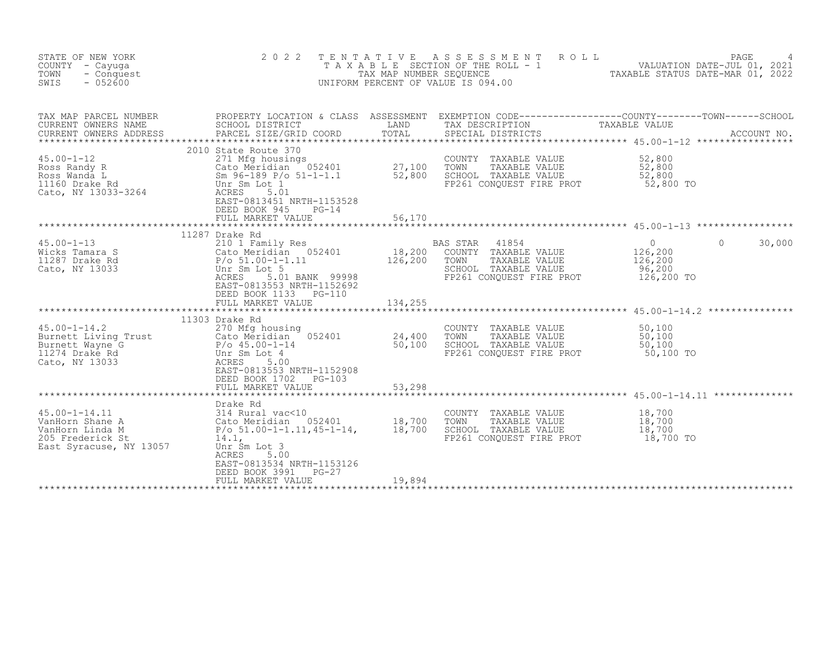| STATE OF NEW YORK<br>COUNTY - Cayuga<br>TOWN<br>- Conquest<br>SWIS<br>$-052600$                                                                                                                                                                                    | 2 0 2 2                                                                                                                                                                                                                                                                                              | TENTATIVE | UNIFORM PERCENT OF VALUE IS 094.00                                                                          | TENTATIVE ASSESSMENT ROLL<br>TAXABLE SECTION OF THE ROLL - 1 VALUATION DATE-JUL 01, 2021<br>TAXABLE STATUS DATE-MAR 01, 2022<br>INIEODM DERICENTE OF MALICE ASSESSMENT OF MALICE OF A 2022 |
|--------------------------------------------------------------------------------------------------------------------------------------------------------------------------------------------------------------------------------------------------------------------|------------------------------------------------------------------------------------------------------------------------------------------------------------------------------------------------------------------------------------------------------------------------------------------------------|-----------|-------------------------------------------------------------------------------------------------------------|--------------------------------------------------------------------------------------------------------------------------------------------------------------------------------------------|
| TAX MAP PARCEL NUMBER<br>CURRENT OWNERS NAME<br>CURRENT OWNERS ADDRESS                                                                                                                                                                                             | PARCEL SIZE/GRID COORD                                                                                                                                                                                                                                                                               | TOTAL     | SPECIAL DISTRICTS                                                                                           | ACCOUNT NO.                                                                                                                                                                                |
| 45.00-1-12<br>Ross Randy R<br>Ross Nanda L<br>Ross Wanda L<br>11160 Drake Rd<br>Cato NY 13033-3264<br>Cato NY 13033-3264<br>Cato NY 13033-3264<br>Cato, NY 13033-3264<br>Cato ACRES<br>CALL<br>CARES<br>CARES<br>CARES<br>CARES<br>CARES<br>CARES<br>CARES<br>CARE | 2010 State Route 370<br>EAST-0813451 NRTH-1153528<br>DEED BOOK 945<br>$PG-14$<br>FULL MARKET VALUE                                                                                                                                                                                                   | 56,170    | COUNTY TAXABLE VALUE<br>TAXABLE VALUE<br>SCHOOL TAXABLE VALUE<br>FP261 CONQUEST FIRE PROT                   | 52,800<br>52,800<br>$\bar{52,800}$<br>52,800 TO                                                                                                                                            |
|                                                                                                                                                                                                                                                                    |                                                                                                                                                                                                                                                                                                      |           |                                                                                                             |                                                                                                                                                                                            |
| $45.00 - 1 - 13$<br>Wicks Tamara S<br>11287 Drake Rd<br>Cato, NY 13033                                                                                                                                                                                             | 11287 Drake Rd<br>11287 Drake Rd<br>210 1 Family Res<br>Cato Meridian 052401 18,200 COUNTY TAXABLE VALUE<br>P/o 51.00-1-1.11 126,200 TOWN TAXABLE VALUE<br>Unr Sm Lot 5 SCHOOL TAXABLE VALUE<br>ACRES 5.01 BANK 99998 FP261 CONQUEST FIRE PROT<br>EAST-0813553 NRTH-1152692<br>DEED BOOK 1133 PG-110 |           | 41854<br>FP261 CONQUEST FIRE PROT                                                                           | $\begin{smallmatrix}&&0\126,200\end{smallmatrix}$<br>30,000<br>$\Omega$<br>126, 200<br>96,200<br>126,200 TO                                                                                |
|                                                                                                                                                                                                                                                                    |                                                                                                                                                                                                                                                                                                      |           |                                                                                                             |                                                                                                                                                                                            |
| $45.00 - 1 - 14.2$<br>45.00-1-14.2 270 Mfg housing<br>Burnett Living Trust 270 Mfg housing<br>Cato Meridian 052401 24,400<br>P/o 45.00-1-14 50,100<br>11274 Drake Rd Unr Sm Lot 4<br>Cato, NY 13033 ACRES                                                          | 11303 Drake Rd<br>270 Mfg housing<br>EAST-0813553 NRTH-1152908<br>DEED BOOK 1702 PG-103                                                                                                                                                                                                              |           | COUNTY TAXABLE VALUE<br>TOWN<br>TAXABLE VALUE<br>SCHOOL TAXABLE VALUE<br>FP261 CONQUEST FIRE PROT 50,100 TO | 50, 100<br>$\frac{50}{100}$ , 100                                                                                                                                                          |
|                                                                                                                                                                                                                                                                    | FULL MARKET VALUE                                                                                                                                                                                                                                                                                    | 53,298    |                                                                                                             |                                                                                                                                                                                            |
| $45.00 - 1 - 14.11$<br>VanHorn Shane A<br>VanHorn Linda M<br>205 Frederick St<br>East Syracuse, NY 13057                                                                                                                                                           | Drake Rd<br>314 Rural vac<10<br>314 Rural vac<10<br>Cato Meridian 052401 18,700<br>P/o 51.00-1-1.11,45-1-14, 18,700<br>St 14.1,<br>Unr Sm Lot 3<br>ACRES<br>5.00<br>EAST-0813534 NRTH-1153126<br>DEED BOOK 3991<br>$PG-27$<br>FULL MARKET VALUE                                                      | 19,894    | COUNTY TAXABLE VALUE<br>TOWN<br>TAXABLE VALUE<br>SCHOOL TAXABLE VALUE<br>FP261 CONOUEST FIRE PROT 18,700 TO | **********************************45.00-1-14.11 ***************<br>$\frac{18}{18}$ , 700<br>18,700                                                                                         |
|                                                                                                                                                                                                                                                                    |                                                                                                                                                                                                                                                                                                      |           |                                                                                                             |                                                                                                                                                                                            |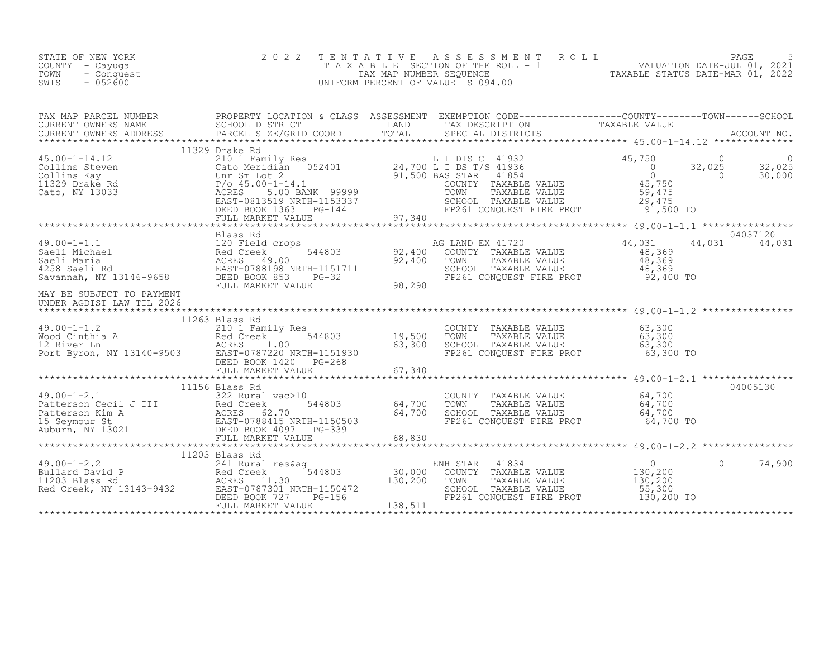| STATE OF NEW YORK<br>COUNTY - Cayuga<br>TOWN<br>- Conquest<br>SWIS<br>$-052600$                                                                                                                                                                                                                                                                                                                   | 2 0 2 2                                                          | TENTATIVE | T E N T A T I V E A S S E S S M E N T R O L L<br>T A X A B L E SECTION OF THE ROLL - 1<br>TAX MAP NUMBER SEQUENCE<br>TAXABLE STATUS DATE-MAR 01, 2022<br>TAXABLE STATUS DATE-MAR 01, 2022<br>UNIFORM PERCENT OF VALUE IS 094.00 |                                          |                           |
|---------------------------------------------------------------------------------------------------------------------------------------------------------------------------------------------------------------------------------------------------------------------------------------------------------------------------------------------------------------------------------------------------|------------------------------------------------------------------|-----------|---------------------------------------------------------------------------------------------------------------------------------------------------------------------------------------------------------------------------------|------------------------------------------|---------------------------|
|                                                                                                                                                                                                                                                                                                                                                                                                   |                                                                  |           |                                                                                                                                                                                                                                 |                                          |                           |
| $\begin{array}{cccccccc} 45.00-1-14.12 & 11329\,\, {\rm L} & 11329\,\, {\rm L} & 210\,\, {\rm I} & {\rm Eamily} & {\rm Res} & {\rm L} & {\rm L} & {\rm I} & {\rm DIS} & {\rm C} & 41932 & 45,750 & 0 & 0 \\ \text{Collins Steven} & \text{Catalian} & \text{O52401} & 24,700\,\, {\rm L} & {\rm I} & {\rm DS} & {\rm T} / {\rm S} & 41936 & 0 & 32,025 & 32,025 \\ \text{Collins Steven} & \text$ | 11329 Drake Rd                                                   |           |                                                                                                                                                                                                                                 |                                          |                           |
|                                                                                                                                                                                                                                                                                                                                                                                                   |                                                                  |           |                                                                                                                                                                                                                                 |                                          |                           |
| 49.00-1-1.1<br>Saeli Michael 120 Field crops<br>Saeli Maria Red Creek 544803<br>4258 Saeli Rd ACRES 49.00<br>Savannah, NY 13146-9658 DEED BOOK 853 PG-32<br>MAY PR SUP TROF PRO PRAMENT VALUE FULL MARKET VALUE                                                                                                                                                                                   |                                                                  | 98,298    | AG LAND EX 41720<br>COUNTY TAXABLE VALUE<br>TOWN     TAXABLE VALUE<br>SCHOOL TAXABLE VALUE<br>FP261 CONQUEST FIRE PROT 52,400 TO                                                                                                | 44,031<br>$48,369$<br>$48,369$<br>48,369 | 04037120<br>44,031 44,031 |
| MAY BE SUBJECT TO PAYMENT<br>UNDER AGDIST LAW TIL 2026                                                                                                                                                                                                                                                                                                                                            |                                                                  |           |                                                                                                                                                                                                                                 |                                          |                           |
|                                                                                                                                                                                                                                                                                                                                                                                                   | 11263 Blass Rd                                                   |           | COUNTY TAXABLE VALUE 63,300<br>TOWN TAXABLE VALUE 63,300<br>SCHOOL TAXABLE VALUE 63,300<br>FP261 CONQUEST FIRE PROT 63,300 TO                                                                                                   |                                          |                           |
|                                                                                                                                                                                                                                                                                                                                                                                                   |                                                                  |           |                                                                                                                                                                                                                                 |                                          |                           |
| 49.00-1-2.1<br>Patterson Cecil J III 322 Rural vac>10<br>Patterson Kim A<br>15 Seymour St<br>Ruburn, NY 13021<br>Patterson Kim A<br>RURES 62.70<br>EED BOOK 4097 PG-339<br>PEED BOOK 4097 PG-339<br>PEEL MARKET VALUE<br>PULL MARKET VALUE<br>PULL                                                                                                                                                | 11156 Blass Rd<br>64,700                                         | 64,700    | COUNTY TAXABLE VALUE $64, 700$<br>TOWN TAXABLE VALUE $64, 700$<br>SCHOOL TAXABLE VALUE $64, 700$<br>FP261 CONQUEST FIRE PROT $64, 700$ TO                                                                                       |                                          | 04005130                  |
|                                                                                                                                                                                                                                                                                                                                                                                                   |                                                                  | 68,830    |                                                                                                                                                                                                                                 |                                          |                           |
|                                                                                                                                                                                                                                                                                                                                                                                                   |                                                                  |           |                                                                                                                                                                                                                                 |                                          |                           |
| 49.00-1-2.2<br>Bullard David P<br>11203 Blass Rd<br>11203 Blass Rd<br>11203 Blass Rd<br>241 Rural res&ag<br>Recreek 544803<br>2000<br>2000<br>Recreek, NY 13143-9432<br>EAST-0787301 NRTH-1150472<br>FRED BOOK 727<br>PG-156                                                                                                                                                                      | 11203 Blass Rd<br>DEED BOOK 727<br>$PG-156$<br>FULL MARKET VALUE | 138,511   | ENH STAR<br>41834<br>COUNTY TAXABLE VALUE<br>TOWN<br>TAXABLE VALUE<br>SCHOOL TAXABLE VALUE<br>FP261 CONQUEST FIRE PROT 130,200 TO                                                                                               | 0<br>130,200<br>130,200<br>55,300        | $\Omega$<br>74,900        |
|                                                                                                                                                                                                                                                                                                                                                                                                   |                                                                  |           |                                                                                                                                                                                                                                 |                                          |                           |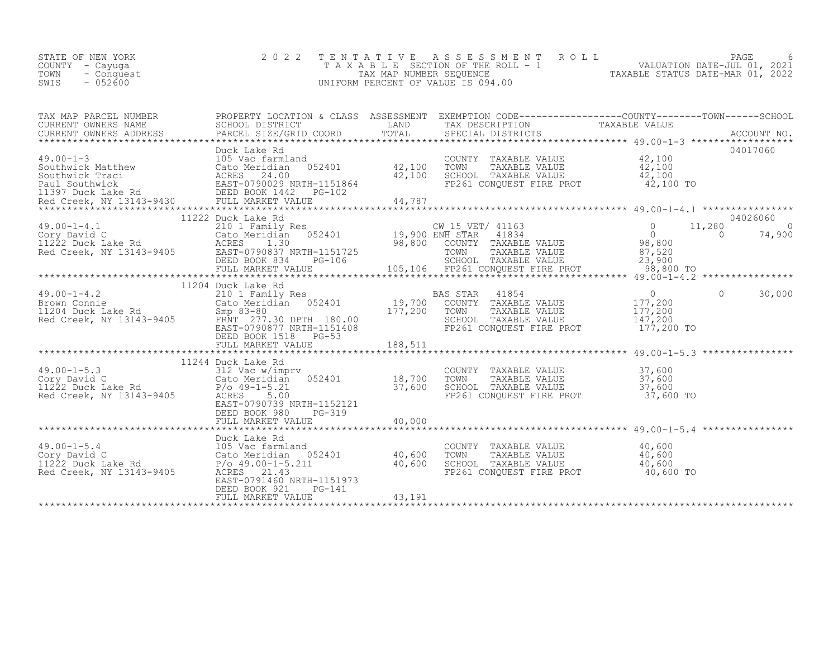| STATE OF NEW YORK<br>COUNTY - Cayuga<br>TOWN<br>- Conquest<br>$-052600$<br>SWIS                                                                                                                                                                       | 2 0 2 2                                                                                         | FENTATIVE ASSESSMENT ROLL ROLL PAGE 6<br>TAXABLE SECTION OF THE ROLL - 1 VALUATION DATE-JUL 01, 2021<br>TAX MAP NUMBER SEQUENCE TAXABLE STATUS DATE-MAR 01, 2022<br>JNIFORM PERCENT OF VALUE IS 094.00<br>T E N T A T I V E<br>UNIFORM PERCENT OF VALUE IS 094.00 |
|-------------------------------------------------------------------------------------------------------------------------------------------------------------------------------------------------------------------------------------------------------|-------------------------------------------------------------------------------------------------|-------------------------------------------------------------------------------------------------------------------------------------------------------------------------------------------------------------------------------------------------------------------|
|                                                                                                                                                                                                                                                       |                                                                                                 | TAX MAP PARCEL BURNERS ADDRESS FRUCTULE IN A CHASE AND TOTAL THE TREE TO TAXABLE VALUE<br>CURRENT OWNERS ADDRESS SCHOOL DISTRICT DOORD IN TOTAL TO TRE DESCRIPTION TAXABLE VALUE<br>FRECLA SPECIAL SPECIAL DISTRICTS ACCOUNT NO.                                  |
|                                                                                                                                                                                                                                                       |                                                                                                 |                                                                                                                                                                                                                                                                   |
|                                                                                                                                                                                                                                                       |                                                                                                 | 04026060<br>$11,280$ 0<br>$\overline{0}$<br>74,900                                                                                                                                                                                                                |
|                                                                                                                                                                                                                                                       | 11204 Duck Lake Rd<br>DEED BOOK 1518 PG-53<br>FULL MARKET VALUE                                 | $\begin{array}{c} 0 \\ 177,200 \\ 177,200 \\ 147.200 \end{array}$<br>$\Omega$<br>30,000<br>SCHOOL TAXABLE VALUE 147,200<br>FP261 CONQUEST FIRE PROT 177,200 TO<br>188,511                                                                                         |
| 49.00-1-5.3<br>Cory David C<br>Cory David C<br>Cory David C<br>Cato Meridian 052401<br>P/o 49-1-5.21<br>Red Creek, NY 13143-9405<br>Red Creek, NY 13143-9405<br>Red Creek, NY 13143-9405<br>Red EQEES<br>Red Creek, NY 13143-9405<br>Red EQEES<br>Red | 11244 Duck Lake Rd<br>EAST-0790739 NRTH-1152121<br>PG-319<br>DEED BOOK 980<br>FULL MARKET VALUE | ************<br>******************** 49.00-1-5.3 ****************<br>COUNTY TAXABLE VALUE 37,600<br>TOWN TAXABLE VALUE 37,600<br>SCHOOL TAXABLE VALUE 37,600<br>SCHOOL TAXABLE VALUE 37,600<br>FP261 CONQUEST FIRE PROT 37,600 TO<br>40,000                       |
|                                                                                                                                                                                                                                                       | DEED BOOK 921<br>PG-141<br>FULL MARKET VALUE                                                    | COUNTY TAXABLE VALUE $\begin{array}{cccc} 40,600 \ 1000 \ 1000 \end{array}$<br>TOWN TAXABLE VALUE $\begin{array}{cccc} 40,600 \ 40,600 \ 5 \end{array}$<br>SCHOOL TAXABLE VALUE $\begin{array}{cccc} 40,600 \ 40,600 \ 10,600 \end{array}$<br>43,191              |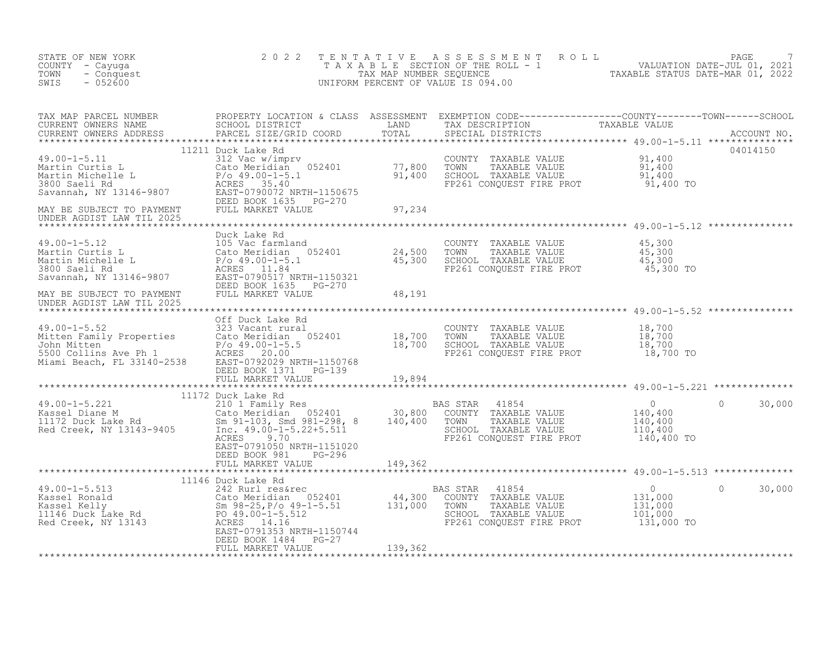| STATE OF NEW YORK<br>COUNTY - Cayuga<br>TOWN<br>- Conquest<br>$-052600$<br>SWIS                                                                                                                                                        | 2 0 2 2                                           |                     | TENTATIVE ASSESSMENT ROLL PACE 7<br>TAXABLE SECTION OF THE ROLL - 1 VALUATION DATE-JUL 01, 2021<br>TAX MAP NUMBER SEQUENCE TAXABLE STATUS DATE-MAR 01, 2022<br>UNIFORM PERCENT OF VALUE IS 094.00 |            |                   |
|----------------------------------------------------------------------------------------------------------------------------------------------------------------------------------------------------------------------------------------|---------------------------------------------------|---------------------|---------------------------------------------------------------------------------------------------------------------------------------------------------------------------------------------------|------------|-------------------|
|                                                                                                                                                                                                                                        |                                                   |                     |                                                                                                                                                                                                   |            |                   |
|                                                                                                                                                                                                                                        |                                                   |                     |                                                                                                                                                                                                   |            |                   |
|                                                                                                                                                                                                                                        |                                                   |                     |                                                                                                                                                                                                   |            |                   |
| AN EXECUTE TO PAYMENT TO DURE AGRES TO PAYMENT TO DURE AGREE VALUE<br>MATTER SUBJECT TO PAYMENT DUE MARKET VALUE (2025)<br>MAY BE SUBJECT TO PAYMENT DUE MARKET VALUE TO DURE AGRES 11.84<br>MATTER AGRES 11.84<br>SAVAN BE SUBJECT TO |                                                   |                     |                                                                                                                                                                                                   |            |                   |
|                                                                                                                                                                                                                                        |                                                   |                     |                                                                                                                                                                                                   |            |                   |
| 49.00-1-5.52 01 01 02401 02401 02401 02401 02500 0211 03.700 0211 03.700 0211 03.700 0211 03.700 0212 0213 023 Nocarity 13.700 0215 0240 0215 0240 0215 0240 0215 0240 0215 0240 0215 0240 0215 0240 0215 0240 0215 0240 0215          |                                                   |                     |                                                                                                                                                                                                   |            |                   |
| **************************************                                                                                                                                                                                                 |                                                   | ******************* | ************************************ 49.00-1-5.221 ***************                                                                                                                                |            |                   |
|                                                                                                                                                                                                                                        | EAST-0791050 NRTH-1151020<br>DEED BOOK 981 PG-296 |                     |                                                                                                                                                                                                   | 140,400 TO | $\circ$<br>30,000 |
|                                                                                                                                                                                                                                        | FULL MARKET VALUE 19 250 149,362                  |                     |                                                                                                                                                                                                   |            |                   |
|                                                                                                                                                                                                                                        |                                                   |                     |                                                                                                                                                                                                   |            |                   |
|                                                                                                                                                                                                                                        |                                                   |                     |                                                                                                                                                                                                   |            | 30,000<br>$\circ$ |
|                                                                                                                                                                                                                                        | DEED BOOK 1484 PG-27<br>FULL MARKET VALUE         | 139,362             |                                                                                                                                                                                                   |            |                   |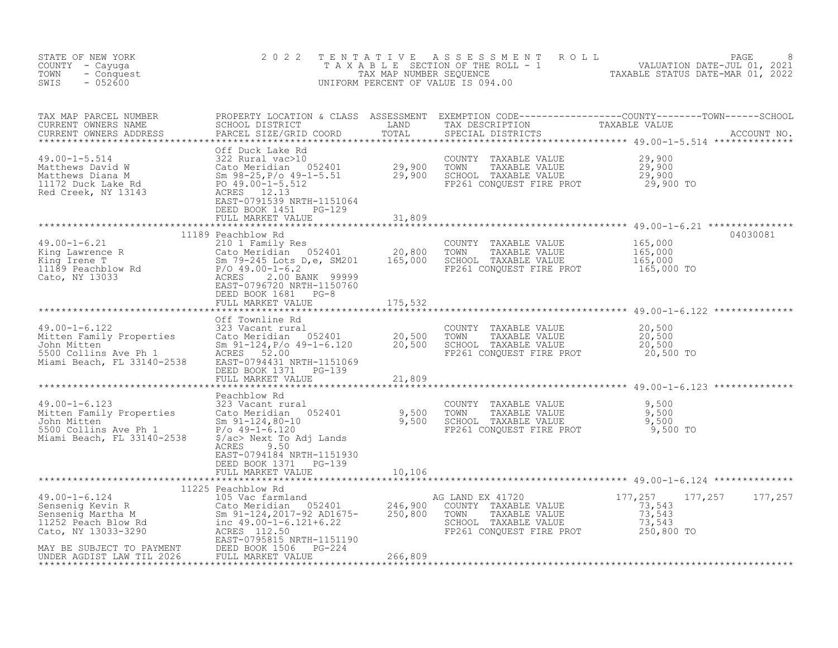| STATE OF NEW YORK<br>COUNTY - Cayuga<br>TOWN - Conquest<br>SWIS - 052600                                                                                                                                                                                                                                                                              | 2 0 2 2                                                             |  | TENTATIVE ASSESSMENT ROLL PAGE PAGE 8<br>TAXABLE SECTION OF THE ROLL - 1 VALUATION DATE-JUL 01, 2021<br>TAX MAP NUMBER SEQUENCE TAXABLE STATUS DATE-MAR 01, 2022<br>UNIFORM PERCENT OF VALUE IS 094.00 |
|-------------------------------------------------------------------------------------------------------------------------------------------------------------------------------------------------------------------------------------------------------------------------------------------------------------------------------------------------------|---------------------------------------------------------------------|--|--------------------------------------------------------------------------------------------------------------------------------------------------------------------------------------------------------|
|                                                                                                                                                                                                                                                                                                                                                       |                                                                     |  |                                                                                                                                                                                                        |
|                                                                                                                                                                                                                                                                                                                                                       | DEED BOOK 1451 PG-129<br>FULL MARKET VALUE 31,809                   |  |                                                                                                                                                                                                        |
|                                                                                                                                                                                                                                                                                                                                                       |                                                                     |  |                                                                                                                                                                                                        |
| $\begin{tabular}{lllllllllllllllllllll} \hline 49.00-1-6.21 & 11189 {\rm~Feacnhlow~Rd} & 210~1 {\rm~Family~Res} & {\rm COUNTY~TAXABLE~VALUE} & 165,000 \\ \hline King\ L = 0.21 & 165,000 & 20,800 & 700 \mbox{NNY} & TAXABLE~VALUE & 165,000 \\ King\ L = 0.5,000 & 52401 & 20,800 & 500 \mbox{N-XABLE~VALUE} & 165,000 \\ King\ L = 0.5,000 & 5000$ |                                                                     |  | 04030081                                                                                                                                                                                               |
|                                                                                                                                                                                                                                                                                                                                                       |                                                                     |  |                                                                                                                                                                                                        |
|                                                                                                                                                                                                                                                                                                                                                       |                                                                     |  |                                                                                                                                                                                                        |
| 49.00-1-6.122<br>Mitten Family Properties Cate Market 20.00-1-6.12<br>Mitten Family Properties Cate Meridian 052401<br>Mohn Mitten Sm 91-124, P/o 49-1-6.120<br>Mohn Mitten Sm 91-124, P/o 49-1-6.120<br>Miami Beach, FL 33140-2538                                                                                                                   | FULL MARKET VALUE 21,809                                            |  |                                                                                                                                                                                                        |
|                                                                                                                                                                                                                                                                                                                                                       |                                                                     |  |                                                                                                                                                                                                        |
|                                                                                                                                                                                                                                                                                                                                                       | ACRES<br>9.50<br>EAST-0794184 NRTH-1151930<br>DEED BOOK 1371 PG-139 |  |                                                                                                                                                                                                        |
|                                                                                                                                                                                                                                                                                                                                                       |                                                                     |  |                                                                                                                                                                                                        |
|                                                                                                                                                                                                                                                                                                                                                       |                                                                     |  |                                                                                                                                                                                                        |
|                                                                                                                                                                                                                                                                                                                                                       |                                                                     |  |                                                                                                                                                                                                        |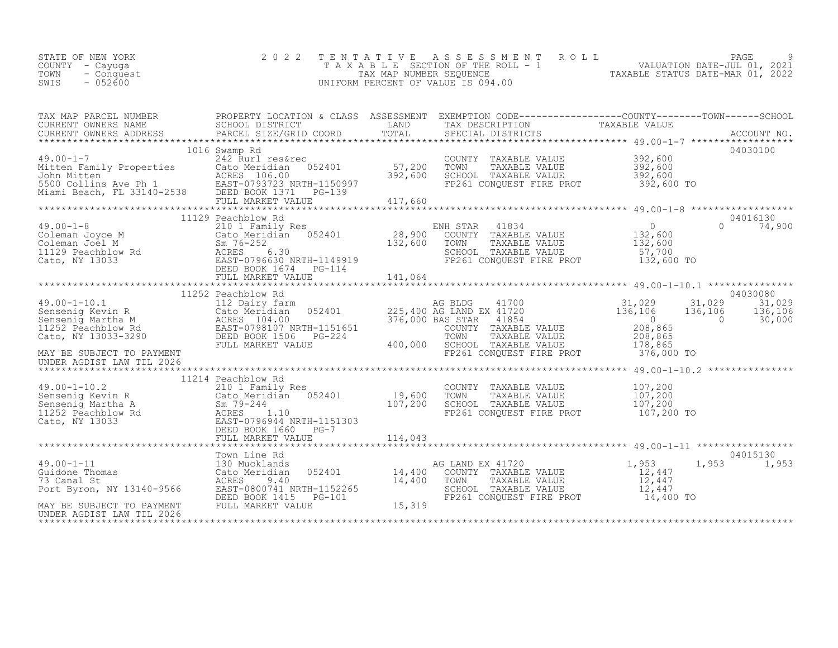| STATE OF NEW YORK<br>COUNTY - Cayuga<br>- Conquest<br>TOWN<br>$-052600$<br>SWIS | 2 0 2 2 |  | TENTATIVE ASSESSMENT ROLL PAGE 9<br>TAXABLE SECTION OF THE ROLL - 1 VALUATION DATE-JUL 01, 2021<br>TAX MAP NUMBER SEQUENCE TAXABLE STATUS DATE-MAR 01, 2022<br>UNIFORM PERCENT OF VALUE IS 094.00                                          |
|---------------------------------------------------------------------------------|---------|--|--------------------------------------------------------------------------------------------------------------------------------------------------------------------------------------------------------------------------------------------|
|                                                                                 |         |  |                                                                                                                                                                                                                                            |
|                                                                                 |         |  |                                                                                                                                                                                                                                            |
|                                                                                 |         |  | 1016 Swamp Rd<br>1016 Swamp Rd<br>242 Rurl res&rec<br>Mitten Family Properties Cato Meridian 052401 57,200 TONNY TAXABLE VALUE<br>392,600 SCHOOL TAXABLE VALUE 392,600<br>592,600 SCHOOL TAXABLE VALUE 392,600<br>5500 Collins Ave Ph 1 EA |
|                                                                                 |         |  |                                                                                                                                                                                                                                            |
|                                                                                 |         |  |                                                                                                                                                                                                                                            |
|                                                                                 |         |  |                                                                                                                                                                                                                                            |
|                                                                                 |         |  | 11252 Peachblow Rd ELD Bairy farm<br>31,029 31,029 31,029 31,029 31,029 31,029 31,029<br>Sensenig Kevin R Cato Meridian 052401 225,400 AG LAND EX 41720 31,029 31,029 31,029 31,029<br>Sensenig Martha M ACRES 104.00 MRTH-1151651 2       |
|                                                                                 |         |  |                                                                                                                                                                                                                                            |
| UNDER AGDIST LAW TIL 2026                                                       |         |  |                                                                                                                                                                                                                                            |
|                                                                                 |         |  |                                                                                                                                                                                                                                            |
|                                                                                 |         |  |                                                                                                                                                                                                                                            |
|                                                                                 |         |  |                                                                                                                                                                                                                                            |
|                                                                                 |         |  |                                                                                                                                                                                                                                            |
|                                                                                 |         |  |                                                                                                                                                                                                                                            |
|                                                                                 |         |  |                                                                                                                                                                                                                                            |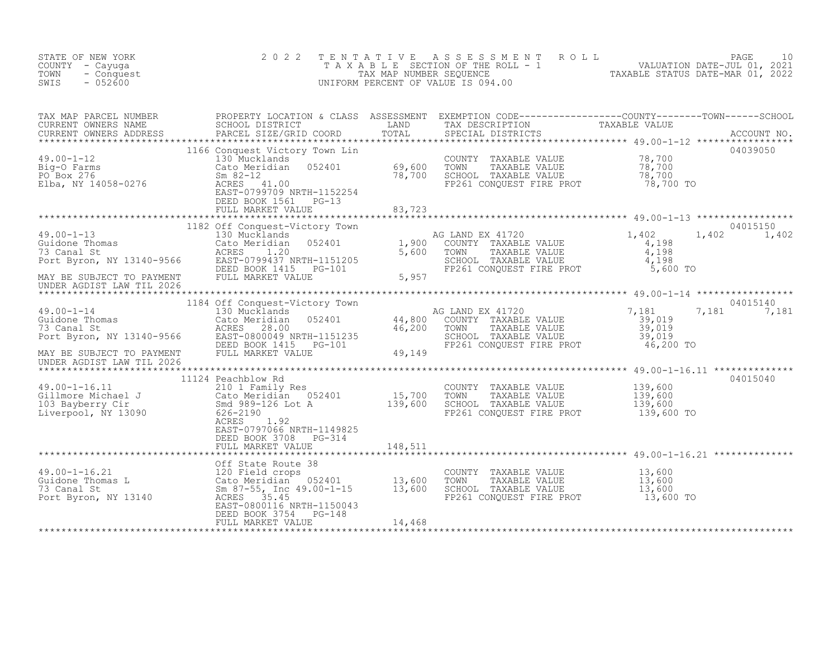| STATE OF NEW YORK<br>COUNTY - Cayuga<br>- Conquest<br>TOWN<br>SWIS<br>$-052600$                                                                                                                                                                          | 2 0 2 2                                            |         | TENTATIVE ASSESSMENT ROLL PAGE 10<br>TAXABLE SECTION OF THE ROLL - 1 VALUATION DATE-JUL 01, 2021<br>TAX MAP NUMBER SEQUENCE TAXABLE STATUS DATE-MAR 01, 2022<br>UNIFORM PERCENT OF VALUE IS 094.00 |          |
|----------------------------------------------------------------------------------------------------------------------------------------------------------------------------------------------------------------------------------------------------------|----------------------------------------------------|---------|----------------------------------------------------------------------------------------------------------------------------------------------------------------------------------------------------|----------|
| TAX MAP PARCEL NUMBER PROPERTY LOCATION & CLASS ASSESSMENT EXEMPTION CODE-----------------COUNTY--------TOWN------SCHOOL CURRENT OWNERS NAME SCHOOL DISTRICT LAND TAX DESCRIPTION TAXABLE VALUE<br>CURRENT OWNERS ADDRESS PARCEL                         |                                                    |         |                                                                                                                                                                                                    |          |
|                                                                                                                                                                                                                                                          |                                                    |         |                                                                                                                                                                                                    | 04039050 |
|                                                                                                                                                                                                                                                          |                                                    |         |                                                                                                                                                                                                    |          |
|                                                                                                                                                                                                                                                          |                                                    |         |                                                                                                                                                                                                    |          |
|                                                                                                                                                                                                                                                          |                                                    |         |                                                                                                                                                                                                    |          |
|                                                                                                                                                                                                                                                          |                                                    |         |                                                                                                                                                                                                    |          |
|                                                                                                                                                                                                                                                          |                                                    |         |                                                                                                                                                                                                    |          |
|                                                                                                                                                                                                                                                          |                                                    |         |                                                                                                                                                                                                    |          |
|                                                                                                                                                                                                                                                          | 11124 Peachblow Rd                                 |         |                                                                                                                                                                                                    | 04015040 |
| 19.00-1-16.11 1124 Peachblow Rd<br>210 1 Family Res<br>CoUNTY TAXABLE VALUE 139,600<br>Cato Cato Marchian 052401 15,700 TOWN TAXABLE VALUE 139,600<br>103 Bayberry Cir 39,600<br>103 Bayberry Cir Smd 989-126 Lot A 139,600 SCHOOL TAXAB                 | EAST-0797066 NRTH-1149825<br>DEED BOOK 3708 PG-314 | 148,511 |                                                                                                                                                                                                    |          |
|                                                                                                                                                                                                                                                          |                                                    |         |                                                                                                                                                                                                    |          |
| 49.00-1-16.21<br>Girls Cate Route 38<br>Cate Route 38<br>T3 Canal St<br>Port Byron, NY 13140<br>T49.00-1-15<br>Cate Meridian<br>Cate Meridian<br>Sm 87-55, Inc 49.00-1-15<br>EAST-0800116<br>NRTH-1150043<br>THE POOS 35.45<br>EAST-0800116<br>NRTH-1150 |                                                    |         | COUNTY TAXABLE VALUE $13,600$<br>TOWN TAXABLE VALUE $13,600$<br>SCHOOL TAXABLE VALUE $13,600$<br>FP261 CONQUEST FIRE PROT $13,600$ TO                                                              |          |
|                                                                                                                                                                                                                                                          | FULL MARKET VALUE                                  | 14,468  |                                                                                                                                                                                                    |          |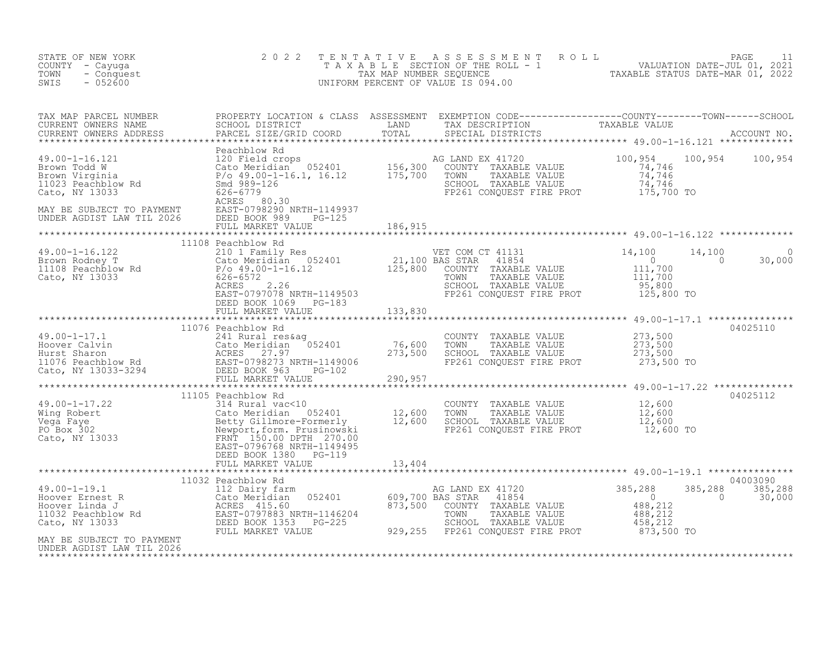| STATE OF NEW YORK<br>COUNTY - Cayuqa<br>TOWN<br>- Conquest<br>SWIS<br>$-052600$                                                                                                                                                                         | 2 0 2 2               | TENTATIVE ASSESSMENT ROLL PACE 11<br>TAXABLE SECTION OF THE ROLL - 1 VALUATION DATE-JUL 01, 2021<br>TAX MAP NUMBER SEQUENCE TAXABLE STATUS DATE-MAR 01, 2022<br>UNIFORM PERCENT OF VALUE IS 094.00 |                                          |
|---------------------------------------------------------------------------------------------------------------------------------------------------------------------------------------------------------------------------------------------------------|-----------------------|----------------------------------------------------------------------------------------------------------------------------------------------------------------------------------------------------|------------------------------------------|
| TAX MAP PARCEL NUMBER PROPERTY LOCATION & CLASS ASSESSMENT EXEMPTION CODE-----------------COUNTY--------TOWN------SCHOOL SCHOOL DISTRICT LAND TAX DESCRIPTION TAXABLE VALUE<br>CURRENT OWNERS ADDRESS PARCEL SIZE/GRID COORD TOTA                       |                       |                                                                                                                                                                                                    |                                          |
| 49.00-1-16.121<br>Feachblow Rd 2002<br>Headers 2002<br>Headers 2002<br>Brown Today<br>Brown Tomas 2002<br>Brown Tomas 2002<br>Brown Tomas 2002<br>Brown Tomas 2002<br>Brown Tomas 2002<br>Brown TaxABLE VALUE<br>Topas 2002<br>Tomas 2002<br>Cato, NY 1 |                       |                                                                                                                                                                                                    |                                          |
|                                                                                                                                                                                                                                                         |                       |                                                                                                                                                                                                    |                                          |
|                                                                                                                                                                                                                                                         |                       |                                                                                                                                                                                                    |                                          |
|                                                                                                                                                                                                                                                         | 11108 Peachblow Rd    |                                                                                                                                                                                                    | $14,100$<br>0 30,0<br>$\Omega$<br>30,000 |
|                                                                                                                                                                                                                                                         | DEED BOOK 1069 PG-183 |                                                                                                                                                                                                    |                                          |
|                                                                                                                                                                                                                                                         |                       |                                                                                                                                                                                                    |                                          |
|                                                                                                                                                                                                                                                         |                       |                                                                                                                                                                                                    |                                          |
|                                                                                                                                                                                                                                                         | 11076 Peachblow Rd    |                                                                                                                                                                                                    | 04025110                                 |
|                                                                                                                                                                                                                                                         |                       |                                                                                                                                                                                                    |                                          |
|                                                                                                                                                                                                                                                         |                       |                                                                                                                                                                                                    | 04025112                                 |
|                                                                                                                                                                                                                                                         |                       |                                                                                                                                                                                                    |                                          |
|                                                                                                                                                                                                                                                         |                       |                                                                                                                                                                                                    | 04003090                                 |
| 11032 PERSERING REAL PROPERTING PROPERTION NARKET VALUE AND PROPERTION PROPERTION PROPERTION PROPERTY AND THE PROPERTY ON THE PROPERTY ON THE PROPERTY ON THE PROPERTY ON THE PROPERTY ON THE PROPERTY AND THE PROPERTY ON THE                          |                       |                                                                                                                                                                                                    | 385,288<br>385,288<br>$\sim$ 0<br>30,000 |
| MAY BE SUBJECT TO PAYMENT<br>UNDER AGDIST LAW TIL 2026                                                                                                                                                                                                  |                       |                                                                                                                                                                                                    |                                          |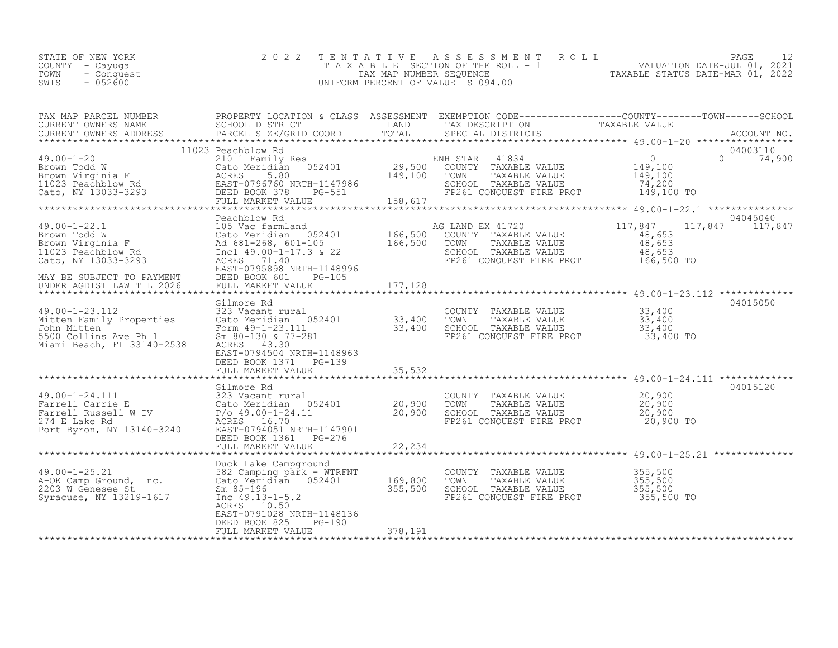| STATE OF NEW YORK<br>COUNTY - Cayuqa<br>TOWN<br>- Conquest<br>$-052600$<br>SWIS | 2022 TENTATIVE ASSESSMENT ROLL<br>T A X A B L E SECTION OF THE ROLL - 1<br>TAX MAP NUMBER SEOUENCE<br>UNIFORM PERCENT OF VALUE IS 094.00 | PAGE<br>VALUATION DATE-JUL 01, 2021<br>TAXABLE STATUS DATE-MAR 01, 2022 |
|---------------------------------------------------------------------------------|------------------------------------------------------------------------------------------------------------------------------------------|-------------------------------------------------------------------------|
|                                                                                 |                                                                                                                                          |                                                                         |

| TAX MAP PARCEL NUMBER                                                                                                                                                                                                                                               |                                                                                                                                                                                                                                     |                                     |                                                                                                                                  | PROPERTY LOCATION & CLASS ASSESSMENT EXEMPTION CODE----------------COUNTY-------TOWN-----SCHOOL |
|---------------------------------------------------------------------------------------------------------------------------------------------------------------------------------------------------------------------------------------------------------------------|-------------------------------------------------------------------------------------------------------------------------------------------------------------------------------------------------------------------------------------|-------------------------------------|----------------------------------------------------------------------------------------------------------------------------------|-------------------------------------------------------------------------------------------------|
| $49.00 - 1 - 20$<br>49.00-1-20<br>Brown Todd W<br>Brown Virginia F<br>11023 Peachblow Rd<br>Cato, NY 13033-3293<br>293<br>2022 PERS 2020 PERS 5.80<br>2023 PEAST-0796760 NRTH-1147986<br>2020 PERS 2020 PERS 2020 PERS 2020 PERS 2021<br>2020 PERS 2020 PERS 2020 P | 11023 Peachblow Rd<br>052401<br>PG-551<br>FULL MARKET VALUE                                                                                                                                                                         | 149,100<br>158,617                  | ENH STAR 41834<br>29,500 COUNTY TAXABLE VALUE<br>TOWN<br>TAXABLE VALUE<br>SCHOOL TAXABLE VALUE<br>FP261 CONQUEST FIRE PROT       | 04003110<br>0<br>  VALUE 149,100<br>  VALUE 149,100<br>$0 \t 74,900$<br>74,200<br>149,100 TO    |
| 49.00-1-22.1 105 Vac farmland<br>Brown Todd W Cato Meridian 052401<br>Brown Virginia F Ad 681-268, 601-105<br>11023 Peachblow Rd Incl 49.00-1-17.3 & 22<br>Cato, NY 13033-3293<br>MAY BE SUBJECT TO PAYMENT<br>UNDER AGDIST LAW TIL 2026                            | Peachblow Rd<br>105 Vac farmland<br>ACRES 71.40<br>EAST-0795898 NRTH-1148996<br>DEED BOOK 601<br>PG-105<br>FULL MARKET VALUE                                                                                                        | A(<br>166,500<br>166,500<br>177,128 | AG LAND EX 41720<br>COUNTY TAXABLE VALUE<br>TOWN<br>TAXABLE VALUE<br>SCHOOL TAXABLE VALUE<br>FP261 CONQUEST FIRE PROT 166,500 TO | 04045040<br>117,847<br>117,847<br>117,847<br>48,653<br>48,653<br>48,653                         |
| $49.00 - 1 - 23.112$<br>Mitten Family Properties<br>John Mitten<br>5500 Collins Ave Ph 1<br>Miami Beach, FL 33140-2538                                                                                                                                              | Gilmore Rd<br>323 Vacant rural<br>323 Vacant rural<br>Cato Meridian 052401 33,400<br>Form 49-1-23.111 33,400<br>Sm 80-130 & 77-281 33,400<br>ACRES 43.30<br>EAST-0794504 NRTH-1148963<br>DEED BOOK 1371 PG-139<br>FULL MARKET VALUE | 35,532                              | COUNTY TAXABLE VALUE 33,400<br>TOWN TAXABLE VALUE 33,400                                                                         | 04015050                                                                                        |
| 49.00-1-24.111<br>Farrell Carrie E 323 Vacant rural<br>Farrell Russell W IV P/o 49.00-1-24.11<br>274 E Lake Rd ACRES 16.70<br>Port Byron, NY 13140-3240 EAST-0794051 NRTH-1147901                                                                                   | Gilmore Rd<br>DEED BOOK 1361 PG-276<br>FULL MARKET VALUE                                                                                                                                                                            | 20,900<br>20,900<br>22,234          | COUNTY TAXABLE VALUE<br>TOWN<br>TAXABLE VALUE<br>SCHOOL TAXABLE VALUE<br>FP261 CONQUEST FIRE PROT                                | 04015120<br>20,900<br>20,900<br>20,900<br>20,900 TO                                             |
| 49.00-1-25.21 $\frac{582}{2}$ Camping park - WIRE<br>A-OK Camp Ground, Inc. Cato Meridian 052401<br>Syracuse, NY 13219-1617                                                                                                                                         | 582 Camping park - WTRFNT<br>Inc $49.13 - 1 - 5.2$<br>ACRES 10.50<br>EAST-0791028 NRTH-1148136<br>DEED BOOK 825<br>$PG-190$<br>FULL MARKET VALUE                                                                                    | 169,800<br>355,500<br>378,191       | COUNTY TAXABLE VALUE<br>TOWN<br>TAXABLE VALUE<br>SCHOOL TAXABLE VALUE<br>FP261 CONQUEST FIRE PROT                                | 355,500<br>355,500<br>355,500<br>355,500 TO                                                     |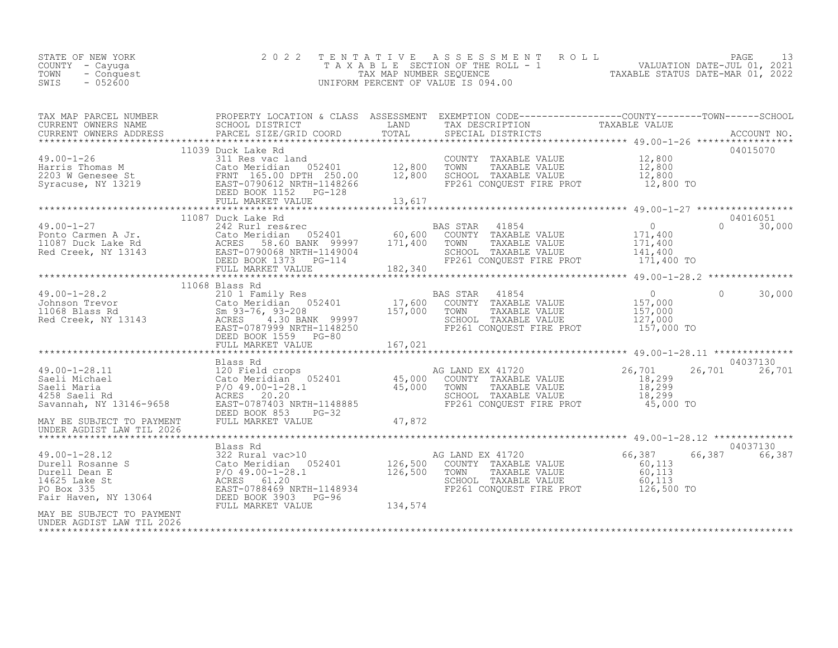| STATE OF NEW YORK<br>COUNTY - Cayuga<br>TOWN<br>- Conquest<br>$-052600$<br>SWIS                                                                                                                                                                                                                                                                                                                                                                            | 2 0 2 2            |  | TENTATIVE ASSESSMENT ROLL PACE 13<br>TAXABLE SECTION OF THE ROLL - 1 VALUATION DATE-JUL 01, 2021<br>TAX MAP NUMBER SEQUENCE TAXABLE STATUS DATE-MAR 01, 2022<br>UNIFORM PERCENT OF VALUE IS 094.00                                                                                                                                                                                         |
|------------------------------------------------------------------------------------------------------------------------------------------------------------------------------------------------------------------------------------------------------------------------------------------------------------------------------------------------------------------------------------------------------------------------------------------------------------|--------------------|--|--------------------------------------------------------------------------------------------------------------------------------------------------------------------------------------------------------------------------------------------------------------------------------------------------------------------------------------------------------------------------------------------|
|                                                                                                                                                                                                                                                                                                                                                                                                                                                            |                    |  |                                                                                                                                                                                                                                                                                                                                                                                            |
| $\footnotesize\begin{array}{c} \text{49.00-1-26} \\ \text{Harris Thomas M} \\ \text{2203 W Genesee St} \\ \text{Syracuse, NY 13219} \\ \text{13219} \\ \text{14339 Duck Lake Rd} \\ \text{1539 Duck Lake R} \\ \text{1639 Duck Lake Rd} \\ \text{1739 Duck Lake R} \\ \text{1830 A} \\ \text{19.800 C} \\ \text{1039 Duck Lake R} \\ \text{11039 Duck Lake R} \\ \text{1240 A} \\ \text{1350 A} \\ \text{131 Res vac land} \\ \text{1240 B} \\ \text{1250$ | 11039 Duck Lake Rd |  | 04015070                                                                                                                                                                                                                                                                                                                                                                                   |
|                                                                                                                                                                                                                                                                                                                                                                                                                                                            |                    |  |                                                                                                                                                                                                                                                                                                                                                                                            |
|                                                                                                                                                                                                                                                                                                                                                                                                                                                            |                    |  | $\begin{tabular}{lllllllllllll} \multicolumn{3}{c}{\begin{tabular}{l} $49.00-1-27$ & $11087$ & Duck Lake Rd & BAS STAR & 41854 \\ 242 Rurl res\&\quad& 60,600$ & CUNRY & TAXABLE VALUE & 0 & 0 & 0 & 30,000 \\ 10087 Duck Lake Rd & ActN 1087 & Cato Meridian & 052401 & 60,600$ & TOWNY & TAXABLE VALUE & 171,400 & 0 & 30,000 \\ 11087 Duck Lake Rd & ActRES & 58.60 BANK & 99997 & 171$ |
|                                                                                                                                                                                                                                                                                                                                                                                                                                                            |                    |  |                                                                                                                                                                                                                                                                                                                                                                                            |
|                                                                                                                                                                                                                                                                                                                                                                                                                                                            | 11068 Blass Rd     |  |                                                                                                                                                                                                                                                                                                                                                                                            |
|                                                                                                                                                                                                                                                                                                                                                                                                                                                            |                    |  |                                                                                                                                                                                                                                                                                                                                                                                            |
|                                                                                                                                                                                                                                                                                                                                                                                                                                                            |                    |  |                                                                                                                                                                                                                                                                                                                                                                                            |
|                                                                                                                                                                                                                                                                                                                                                                                                                                                            |                    |  | 04037130<br>26,701 26,701                                                                                                                                                                                                                                                                                                                                                                  |
|                                                                                                                                                                                                                                                                                                                                                                                                                                                            |                    |  |                                                                                                                                                                                                                                                                                                                                                                                            |
|                                                                                                                                                                                                                                                                                                                                                                                                                                                            |                    |  |                                                                                                                                                                                                                                                                                                                                                                                            |
| AN EXAMPLE VALUE 10 126,500 NOTES TIRE PROT<br>Durell Rosanne S<br>Durell Rosanne S<br>Durell Den Example Value (66,387 66<br>Durell Den Example Value (60,113<br>Durell Den Example Value (60,113<br>Pro Box 335 EAST-0788469 NRTH-114893                                                                                                                                                                                                                 |                    |  | 04037130<br>66,387 66,387                                                                                                                                                                                                                                                                                                                                                                  |
| MAY BE SUBJECT TO PAYMENT<br>UNDER AGDIST LAW TIL 2026                                                                                                                                                                                                                                                                                                                                                                                                     |                    |  |                                                                                                                                                                                                                                                                                                                                                                                            |

\*\*\*\*\*\*\*\*\*\*\*\*\*\*\*\*\*\*\*\*\*\*\*\*\*\*\*\*\*\*\*\*\*\*\*\*\*\*\*\*\*\*\*\*\*\*\*\*\*\*\*\*\*\*\*\*\*\*\*\*\*\*\*\*\*\*\*\*\*\*\*\*\*\*\*\*\*\*\*\*\*\*\*\*\*\*\*\*\*\*\*\*\*\*\*\*\*\*\*\*\*\*\*\*\*\*\*\*\*\*\*\*\*\*\*\*\*\*\*\*\*\*\*\*\*\*\*\*\*\*\*\*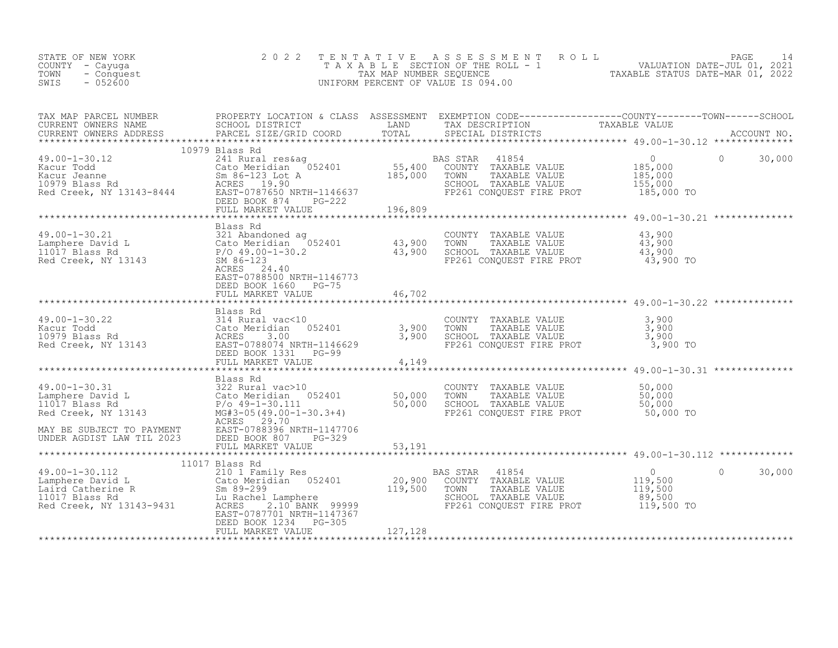| STATE OF NEW YORK<br>F NEW YORK 2022<br>- Cayuga<br>- Conquest<br>- 052600<br>COUNTY - Cayuga<br>TOWN<br>SWIS |                                         |                |                                                                     |                    |
|---------------------------------------------------------------------------------------------------------------|-----------------------------------------|----------------|---------------------------------------------------------------------|--------------------|
|                                                                                                               |                                         |                |                                                                     |                    |
|                                                                                                               | 10979 Blass Rd                          |                |                                                                     |                    |
|                                                                                                               |                                         |                |                                                                     | 30,000<br>$\Omega$ |
|                                                                                                               |                                         | ************** | ************************************** 49.00-1-30.21 ************** |                    |
|                                                                                                               | Blass Rd<br>EAST-0788500 NRTH-1146773   |                |                                                                     |                    |
|                                                                                                               |                                         |                |                                                                     |                    |
|                                                                                                               |                                         |                |                                                                     |                    |
|                                                                                                               |                                         |                |                                                                     |                    |
|                                                                                                               |                                         |                |                                                                     |                    |
|                                                                                                               |                                         |                |                                                                     |                    |
|                                                                                                               |                                         |                |                                                                     |                    |
|                                                                                                               |                                         |                |                                                                     |                    |
|                                                                                                               |                                         |                |                                                                     |                    |
|                                                                                                               | 11017 Blass Rd<br>DEED BOOK 1234 PG-305 |                |                                                                     | 30,000<br>$\Omega$ |
|                                                                                                               | FULL MARKET VALUE                       | 127, 128       |                                                                     |                    |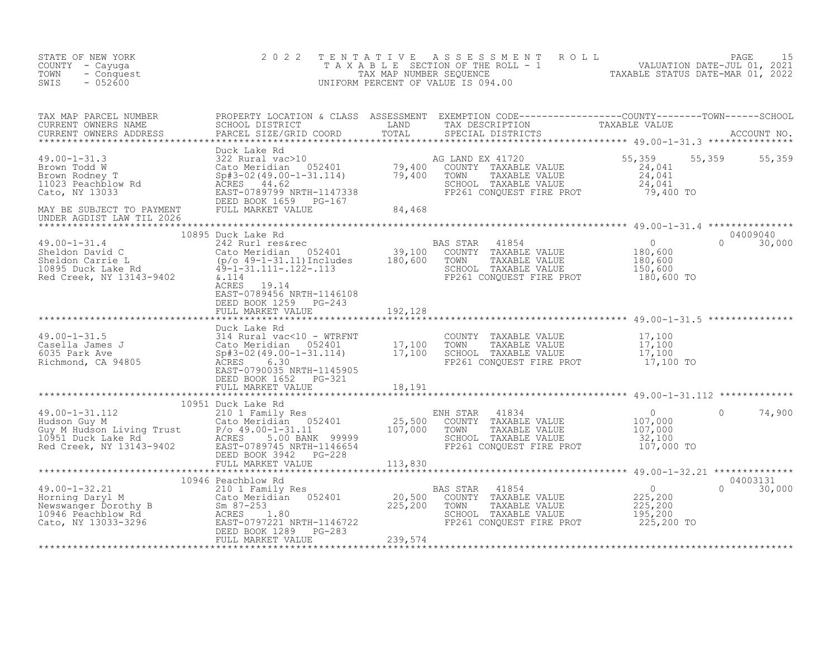| STATE OF NEW YORK<br>COUNTY - Cayuga<br>- Conquest<br>TOWN<br>$-052600$<br>SWIS                                                                                                                                                                              | 2 0 2 2                                                           | TENTATIVE ASSESSMENT ROLL PAGE 15<br>TAXABLE SECTION OF THE ROLL - 1 VALUATION DATE-JUL 01, 2021<br>TAX MAP NUMBER SEQUENCE TAXABLE STATUS DATE-MAR 01, 2022<br>UNIFORM PERCENT OF VALUE IS 094.00 |                           |  |
|--------------------------------------------------------------------------------------------------------------------------------------------------------------------------------------------------------------------------------------------------------------|-------------------------------------------------------------------|----------------------------------------------------------------------------------------------------------------------------------------------------------------------------------------------------|---------------------------|--|
| TAX MAP PARCEL NUMBER PROPERTY LOCATION & CLASS ASSESSMENT EXEMPTION CODE----------------COUNTY--------TOWN------SCHOOL CURRENT OWNERS NAME SCHOOL DISTRICT LAND TAX DESCRIPTION TAXABLE VALUE<br>CURRENT OWNERS ADDRESS PARCEL S                            |                                                                   |                                                                                                                                                                                                    |                           |  |
|                                                                                                                                                                                                                                                              |                                                                   |                                                                                                                                                                                                    | 55, 359 55, 359           |  |
|                                                                                                                                                                                                                                                              |                                                                   |                                                                                                                                                                                                    |                           |  |
| 10895 Duck Lake Rd<br>Red Creek, NY 13143-9402<br>ACRES 19.14<br>ACRES 19.14<br>ACRES 19.14<br>ACRES 19.14<br>ACRES 19.14<br>ACRES 19.14<br>ACRES 19.14<br>ACRES 19.14<br>ACRES 19.14<br>ACRES 19.14<br>ACRES 19.14<br>ACRES 19.14<br>ACRES 19.14<br>ACRES 1 | ACRES 19.14<br>EAST-0789456 NRTH-1146108<br>DEED BOOK 1259 PG-243 |                                                                                                                                                                                                    | 04009040<br>$0 \t 30,000$ |  |
|                                                                                                                                                                                                                                                              | FULL MARKET VALUE 192,128                                         |                                                                                                                                                                                                    |                           |  |
| 9.00-1-31.5<br>2010-1-31.5<br>Casella James J<br>Cato Meridian 052401<br>Cato Meridian 052401<br>2010-1-31.114)<br>2010-1-31.114<br>2010-1-31.114<br>2017,100<br>2020131 MRTH-1145905<br>2020135 NRTH-1145905<br>2020135 NRTH-1145905<br>2020135 NRTH-       | Duck Lake Rd<br>DEED BOOK 1652 PG-321<br>FULL MARKET VALUE 18,191 |                                                                                                                                                                                                    |                           |  |
|                                                                                                                                                                                                                                                              |                                                                   |                                                                                                                                                                                                    |                           |  |
|                                                                                                                                                                                                                                                              |                                                                   |                                                                                                                                                                                                    |                           |  |
|                                                                                                                                                                                                                                                              |                                                                   |                                                                                                                                                                                                    |                           |  |
|                                                                                                                                                                                                                                                              | 10946 Peachblow Rd                                                |                                                                                                                                                                                                    | 04003131<br>$0 \t 30,000$ |  |
|                                                                                                                                                                                                                                                              |                                                                   |                                                                                                                                                                                                    |                           |  |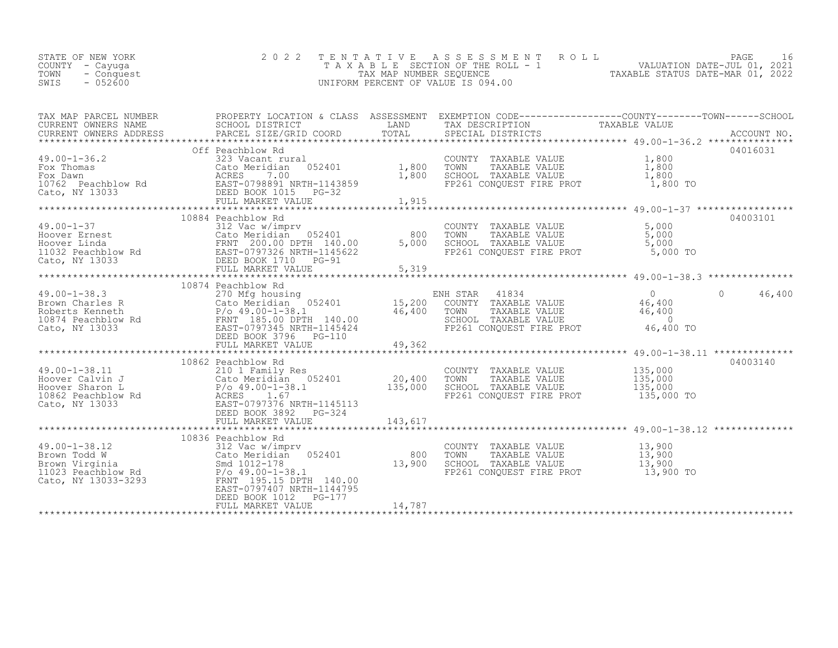| TOWN - Conquest<br>TAX MAP NUMBER SEOUENCE<br>$-052600$<br>SWIS<br>UNIFORM PERCENT OF VALUE IS 094.00 | STATE OF NEW YORK<br>COUNTY - Cayuga |  | 2022 TENTATIVE ASSESSMENT ROLL<br>TAXABLE SECTION OF THE ROLL - 1 | 16<br>PAGE<br>VALUATION DATE-JUL 01, 2021<br>TAXABLE STATUS DATE-MAR 01, 2022 |
|-------------------------------------------------------------------------------------------------------|--------------------------------------|--|-------------------------------------------------------------------|-------------------------------------------------------------------------------|
|-------------------------------------------------------------------------------------------------------|--------------------------------------|--|-------------------------------------------------------------------|-------------------------------------------------------------------------------|

| TAX MAP PARCEL NUMBER |                                                                                                                                                                                                                                                                                                                                                                                                                                                                                   |        |                                                                                                                                       | PROPERTY LOCATION & CLASS ASSESSMENT EXEMPTION CODE-----------------COUNTY-------TOWN------SCHOOL |
|-----------------------|-----------------------------------------------------------------------------------------------------------------------------------------------------------------------------------------------------------------------------------------------------------------------------------------------------------------------------------------------------------------------------------------------------------------------------------------------------------------------------------|--------|---------------------------------------------------------------------------------------------------------------------------------------|---------------------------------------------------------------------------------------------------|
|                       | Off Peachblow Rd<br>FULL MARKET VALUE                                                                                                                                                                                                                                                                                                                                                                                                                                             | 1,915  |                                                                                                                                       | 04016031                                                                                          |
|                       |                                                                                                                                                                                                                                                                                                                                                                                                                                                                                   |        |                                                                                                                                       |                                                                                                   |
|                       |                                                                                                                                                                                                                                                                                                                                                                                                                                                                                   |        |                                                                                                                                       | $\bigcap$<br>46,400                                                                               |
|                       | 10862 Peachblow Rd<br>$\begin{array}{lllllllllllllllllllll} \end{array} & \begin{array}{l} 10862\text{} \text{Feachblow Rd} & \text{210 1} \text{ Family Res} & \text{COUNTY} & \text{TAXABLE VALUE} & \text{135,000} \\ 210\text{ 1} \text{ Family Res} & \text{20,400} & \text{TOWN} & \text{TAXABLE VALUE} & \text{135,000} \\ \text{However Shannon L} & \text{Coker Méridian} & 052401 & 20,400 & \text{TOWN} & \text{TAXABLE VALUE} & \text{135,000} \\ \text{E}{\text{E}}$ |        | FP261 CONQUEST FIRE PROT 135,000 TO                                                                                                   | 04003140                                                                                          |
|                       | 10836 Peachblow Rd<br>10836 PeachDow Kapper<br>10836 PeachDow Kapper<br>210836 PachDow Kapper<br>21023 Peachblow Rd<br>21023 Peachblow Rd<br>21023 Peachblow Rd<br>21023 Peachblow Rd<br>21023 Peachblow Rd<br>21023 Peachblow Rd<br>21023 Peachblow Rd<br>21023 Peachbl<br>EAST-0797407 NRTH-1144795<br>DEED BOOK 1012    PG-177<br>FULL MARKET VALUE                                                                                                                            | 14,787 | COUNTY TAXABLE VALUE $13,900$<br>TOWN TAXABLE VALUE $13,900$<br>SCHOOL TAXABLE VALUE $13,900$<br>FP261 CONQUEST FIRE PROT $13,900$ TO |                                                                                                   |
|                       |                                                                                                                                                                                                                                                                                                                                                                                                                                                                                   |        |                                                                                                                                       |                                                                                                   |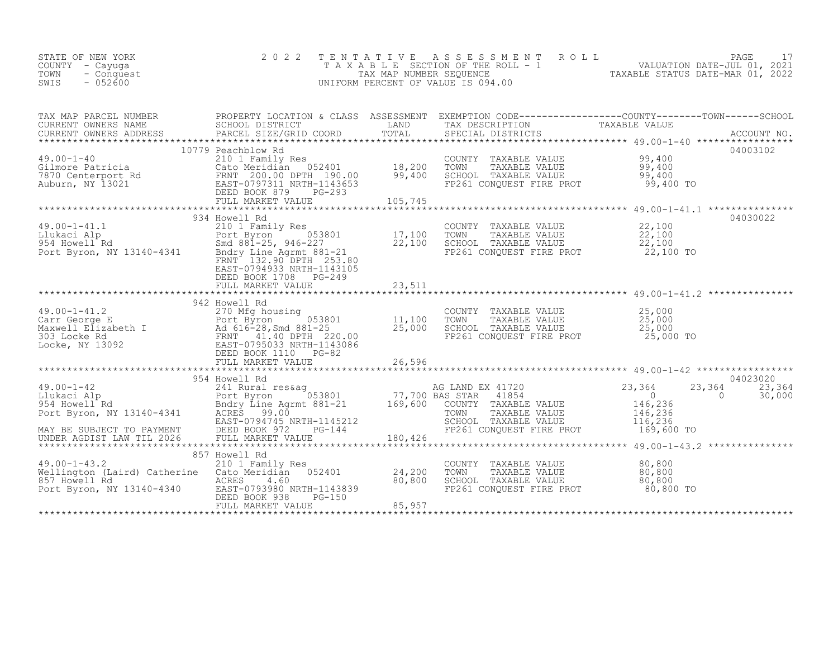| STATE OF NEW YORK<br>COUNTY - Cayuga<br>- Conquest<br>TOWN<br>$-052600$<br>SWIS                                                                                                                                                                                                                                                                                                                                                                                                                                                                                                                               | 2 0 2 2                                                                                                                                 | TENTATIVE                  | ASSESSMENT ROLL<br>T A X A B L E SECTION OF THE ROLL - 1 WALUATION DATE-JUL 01, 2021<br>TAX MAP NUMBER SEQUENCE TAXABLE STATUS DATE-MAR 01, 2022<br>UNIFORM PERCENT OF VALUE IS 094.00 |                                                                                                     | 17<br>PAGE                   |
|---------------------------------------------------------------------------------------------------------------------------------------------------------------------------------------------------------------------------------------------------------------------------------------------------------------------------------------------------------------------------------------------------------------------------------------------------------------------------------------------------------------------------------------------------------------------------------------------------------------|-----------------------------------------------------------------------------------------------------------------------------------------|----------------------------|----------------------------------------------------------------------------------------------------------------------------------------------------------------------------------------|-----------------------------------------------------------------------------------------------------|------------------------------|
| TAX MAP PARCEL NUMBER PROPERTY LOCATION & CLASS ASSESSMENT EXEMPTION CODE-----------------COUNTY--------TOWN------SCHOOL CURRENT OWNERS NAME SCHOOL DISTRICT LAND TAX DESCRIPTION TAXABLE VALUE<br>CURRENT OWNERS ADDRESS PARCEL                                                                                                                                                                                                                                                                                                                                                                              |                                                                                                                                         |                            |                                                                                                                                                                                        |                                                                                                     |                              |
| 49.00-1-40<br>Gilmore Patricia (210 I Family Res<br>7870 Centerport Rd FRNT 200.00 DPTH 190.00 99,400<br>Auburn, NY 13021 EAST-0797311 NRTH-1143653<br>DEED BOOK 879 PG-293<br>FIILL MARKET VALUE PG-293                                                                                                                                                                                                                                                                                                                                                                                                      | 10779 Peachblow Rd                                                                                                                      |                            | COUNTY TAXABLE VALUE<br>TOWN TAXABLE VALUE<br>SCHOOL TAXABLE VALUE<br>FP261 CONQUEST FIRE PROT 99,400 TO                                                                               | 99,400<br>$\frac{99,400}{99,400}$                                                                   | 04003102                     |
| $49.00 - 1 - 41.1$                                                                                                                                                                                                                                                                                                                                                                                                                                                                                                                                                                                            | 934 Howell Rd<br>210 1 Family Res<br>FRNT 132.90 DPTH 253.80<br>EAST-0794933 NRTH-1143105<br>DEED BOOK 1708 PG-249<br>FULL MARKET VALUE | 23,511                     | COUNTY TAXABLE VALUE<br>TOWN       TAXABLE  VALUE<br>SCHOOL    TAXABLE  VALUE<br>FP261 CONQUEST FIRE PROT 22,100 TO                                                                    | 22,100<br>$\frac{22}{22}$ , 100<br>22, 100                                                          | 04030022                     |
| 49.00-1-41.2<br>Carr George E<br>Maxwell Elizabeth I and 616-28, Smd 881-25<br>11,100<br>303 Locke Rd<br>In 220.00<br>EBD BOOK 1110<br>FULL MARKET VALUE<br>FULL MARKET VALUE<br>26,596<br>${\small \newline \text{FULL} \text{MARK} \text{L} \text{VALUE} \text{26,596} \text{2} \text{49.00--1--2} \text{+} \text{2} \text{+} \text{2} \text{+} \text{2} \text{+} \text{2} \text{+} \text{2} \text{+} \text{2} \text{+} \text{2} \text{+} \text{2} \text{+} \text{2} \text{+} \text{2} \text{+} \text{2} \text{+} \text{2} \text{+} \text{2} \text{+} \text{2} \text{+} \text{2} \text{+} \text{2} \text{+$ | 942 Howell Rd                                                                                                                           |                            | COUNTY TAXABLE VALUE $25,000$<br>TOWN TAXABLE VALUE $25,000$<br>SCHOOL TAXABLE VALUE<br>FP261 CONOUEST FIRE PROT                                                                       | 25,000<br>25,000 TO                                                                                 |                              |
| 49.00-1-42<br>16 Llukaci Alp 241 Rural res&ag 241 Rural res&ag 241 Rural res&ag 241 Rural res&ag 241 Rural res&ag 241 Rural res&ag 241 Rural res&ag 241 Rural res&ag 253801<br>2654 Howell Rd Bort Byron, NY 13140-4341 ACRES 99.0<br>MAY BE SUBJECT TO PAYMENT BEED BOOK 972<br>UNDER AGDIST LAW TIL 2026 FULL MARKET VE                                                                                                                                                                                                                                                                                     | 954 Howell Rd<br>EAST-0794745 NRTH-1145212<br>$PG-144$<br>FULL MARKET VALUE                                                             | 180,426                    | AG LAND EX 41720<br>BAS STAR 41854<br>41854<br>COUNTY TAXABLE VALUE<br>TOWN<br>TAXABLE VALUE<br>SCHOOL TAXABLE VALUE<br>FP261 CONQUEST FIRE PROT                                       | 23,364<br>23,364<br>$\overline{0}$<br>$\overline{0}$<br>146,236<br>146,236<br>116,236<br>169,600 TO | 04023020<br>23,364<br>30,000 |
| $49.00 - 1 - 43.2$<br>Wellington (Laird) Catherine Cato Meridian 052401<br>857 Howell Rd RCRES 4.60<br>Port Byron, NY 13140-4340 EAST-0793980 NRTH-1143839                                                                                                                                                                                                                                                                                                                                                                                                                                                    | 857 Howell Rd<br>210 1 Family Res<br>DEED BOOK 938<br>PG-150<br>FULL MARKET VALUE                                                       | 24,200<br>80,800<br>85,957 | COUNTY TAXABLE VALUE<br>SCHOOL TAXABLE VALUE<br>FP261 CONOURST TILE<br>FP261 CONQUEST FIRE PROT                                                                                        | 80,800<br>80,800<br>80,800<br>80,800 TO                                                             |                              |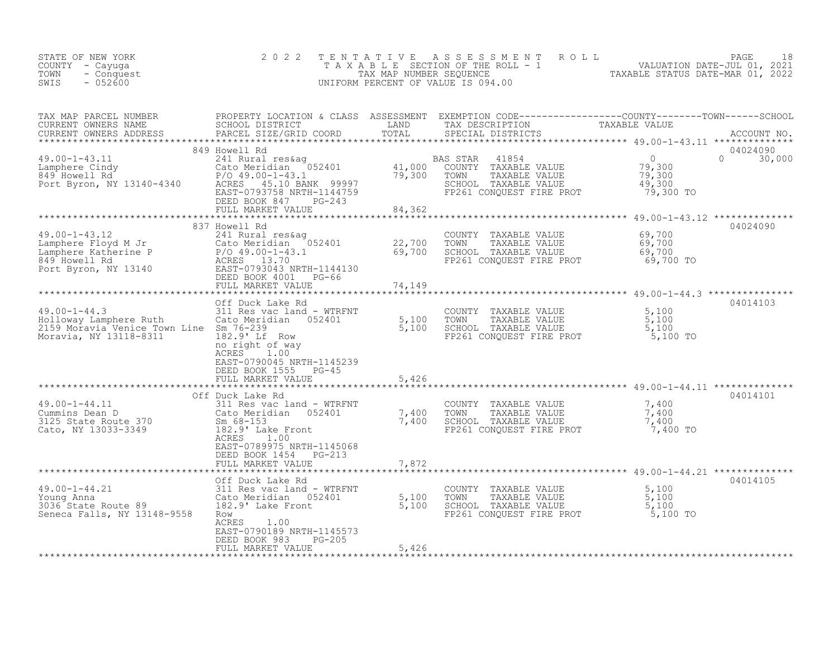| F NEW YORK 2022<br>- Cayuga<br>- Conquest<br>- 052600<br>STATE OF NEW YORK<br>COUNTY - Cayuga<br>TOWN<br>SWIS                                                                                                                                            |                                                                                                                                                                                                                                                        | TENTATIVE | ASSESSMENT ROLL<br>T A X A B L E SECTION OF THE ROLL - 1 VALUATION DATE-JUL 01, 2021<br>TAX MAP NUMBER SEQUENCE<br>1 PERCENT OF VALUE IS 094.00<br>UNIFORM PERCENT OF VALUE IS 094.00 |                                                            | PAGE<br>18                |
|----------------------------------------------------------------------------------------------------------------------------------------------------------------------------------------------------------------------------------------------------------|--------------------------------------------------------------------------------------------------------------------------------------------------------------------------------------------------------------------------------------------------------|-----------|---------------------------------------------------------------------------------------------------------------------------------------------------------------------------------------|------------------------------------------------------------|---------------------------|
|                                                                                                                                                                                                                                                          |                                                                                                                                                                                                                                                        |           |                                                                                                                                                                                       |                                                            |                           |
|                                                                                                                                                                                                                                                          | FULL MARKET VALUE                                                                                                                                                                                                                                      | 84,362    |                                                                                                                                                                                       | $\bigcirc$<br>0<br>79,300<br>79,300<br>49,300<br>79,300 TO | 04024090<br>$0 \t 30,000$ |
| 49.00-1-43.12<br>Lamphere Floyd M Jr<br>Lamphere Katherine P<br>849 Howell Rd<br>Port Byron, NY 13140<br>211 Rural res&ag<br>241 Rural res&ag<br>241 Rural res&ag<br>241 Rural res&ag<br>2401<br>26.00-1-43.1<br>26.00-1-43.1<br>26.00-1-43.1<br>26.00-1 | 837 Howell Rd<br>$\cdot$ 1<br>DEED BOOK 4001 PG-66<br>FULL MARKET VALUE                                                                                                                                                                                | 74,149    | COUNTY TAXABLE VALUE<br>22,700 TOWN TAXABLE VALUE<br>69,700 SCHOOL TAXABLE VALUE<br>FP261 CONQUEST FIRE PROT                                                                          | 69,700<br>69,700<br>69,700<br>69,700 TO                    | 04024090                  |
| 19.00-1-44.3<br>Holloway Lamphere Ruth (ato Meridian 052401 5,100 TOWN TAXABLE VALUE<br>2159 Moravia Venice Town Line Sm 76-239<br>Moravia, NY 13118-8311 182.9 16 182.9 16 182.9 16 182.9 16 182.9 16 182.9 16 182.9 16 182.9 17 18                     | Off Duck Lake Rd<br>no right of way<br>ACRES 1.00<br>EAST-0790045 NRTH-1145239<br>DEED BOOK 1555 PG-45<br>FULL MARKET VALUE                                                                                                                            | 5,426     |                                                                                                                                                                                       | 5,100<br>$\frac{5,100}{5,100}$<br>5,100 TO                 | 04014103                  |
| 19.00-1-44.11<br>Cummins Dean D<br>311 Res vac land - WTRFNT<br>3125 State Route 370<br>Cato, NY 13033-3349<br>2182.9' Lake Front                                                                                                                        | COUNTY TAXABLE VALUE<br>Cato Meridian 052401 7,400 TOWN TAXABLE VALUE<br>Sm 68-153 7,400 SCHOOL TAXABLE VALUE<br>182.9' Lake Front 7,400 SCHOOL TAXABLE VALUE<br>ACRES 1.00<br>EAST-0789975 NRTH-1145068<br>DEED BOOK 1454 PG-213<br>FULL MARKET VALUE | 7,872     | COUNTY TAXABLE VALUE<br>CHOOL TAXABLE VALUE 7,400<br>FP261 CONQUEST FIRE PROT 7,400 TO                                                                                                | 7,400<br>7,400                                             | 04014101                  |
| 19.00-1-44.21<br>Young Anna 2000 2011 Res vac land - WTRFNT<br>2000 2010 2010 2010 2010 5,100 7000 7000 7AXABLE VALUE<br>2016 State Route 89 182.9' Lake Front 5,100 SCHOOL TAXABLE VALUE<br>Seneca Falls, NY 13148-9558 Row ACRES 1.0                   | Off Duck Lake Rd<br>ACRES<br>1.00<br>EAST-0790189 NRTH-1145573<br>PG-205                                                                                                                                                                               |           | FP261 CONQUEST FIRE PROT                                                                                                                                                              | 5,100<br>5,100<br>5,100<br>5,100 TO                        | 04014105                  |
| **************************                                                                                                                                                                                                                               | DEED BOOK 983<br>FULL MARKET VALUE                                                                                                                                                                                                                     | 5,426     |                                                                                                                                                                                       |                                                            |                           |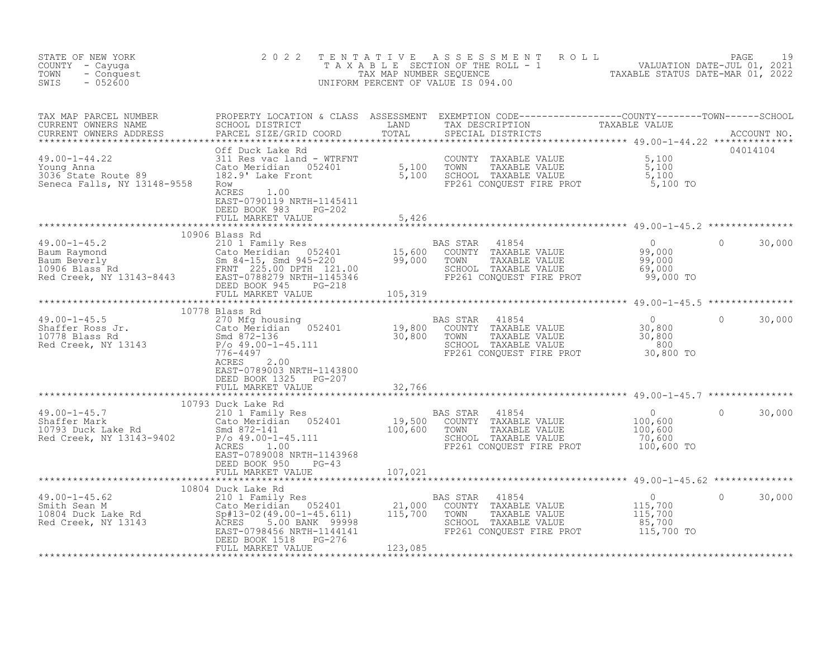| STATE OF NEW YORK<br>COUNTY - Cayuga<br>TOWN<br>- Conquest<br>$-052600$<br>SWIS                                                                                                                                                                                                                                                                                                                                                                         | 2 0 2 2                                                                               |         | TENTATIVE ASSESSMENT ROLL PAGE 19<br>TAXABLE SECTION OF THE ROLL - 1 VALUATION DATE-JUL 01, 2021<br>TAX MAP NUMBER SEQUENCE TAXABLE STATUS DATE-MAR 01, 2022<br>UNIFORM PERCENT OF VALUE IS 094.00 |                        |
|---------------------------------------------------------------------------------------------------------------------------------------------------------------------------------------------------------------------------------------------------------------------------------------------------------------------------------------------------------------------------------------------------------------------------------------------------------|---------------------------------------------------------------------------------------|---------|----------------------------------------------------------------------------------------------------------------------------------------------------------------------------------------------------|------------------------|
| $\begin{tabular}{lllllllllllllllllll} \textsc{map} & \textsc{PROBERTY LOCATION & \textsc{GLAS} & \textsc{ASESSSMENT} & \textsc{EXEMPTION} & \textsc{CDEF} & \textsc{CURRENT} & \textsc{CUNTY------C-COUNTY------CONNT------CONNT------CONNT------CNOOL} \\ \textsc{CURENT} & \textsc{OMNERS} & \textsc{NAME} & \textsc{PROBICNT NOS} & \textsc{TANAD} & \textsc{TAX} & \textsc{SPESCRIPTION} & \textsc{SPESCRIPTION} & \textsc{SPESCRIPTON} & \textsc{$ | EAST-0790119 NRTH-1145411<br>DEED BOOK 983 PG-202                                     |         |                                                                                                                                                                                                    |                        |
|                                                                                                                                                                                                                                                                                                                                                                                                                                                         |                                                                                       |         |                                                                                                                                                                                                    |                        |
|                                                                                                                                                                                                                                                                                                                                                                                                                                                         |                                                                                       |         |                                                                                                                                                                                                    |                        |
|                                                                                                                                                                                                                                                                                                                                                                                                                                                         |                                                                                       |         |                                                                                                                                                                                                    |                        |
|                                                                                                                                                                                                                                                                                                                                                                                                                                                         | 10778 Blass Rd<br>ACRES<br>2.00<br>EAST-0789003 NRTH-1143800<br>DEED BOOK 1325 PG-207 |         |                                                                                                                                                                                                    | $\mathbf{0}$<br>30,000 |
|                                                                                                                                                                                                                                                                                                                                                                                                                                                         | FULL MARKET VALUE                                                                     | 32,766  |                                                                                                                                                                                                    |                        |
| $\begin{array}{lllllllllllllllllll} \end{array} & & & & 10793 \text{ Duck Lake Rd} & & & \text{BAS STAR} & 41854 & 0 \\ \text{Shaffer Mark} & & & 210 1 \text{ Family Res} & & & \text{BAS STAR} & 41854 & 0 \\ \text{Shaffer Mark} & & & \text{Cato Meridian} & 052401 & 19,500 & \text{COUNTY} & \text{TAXABLE VALUE} & 100,600 & 0 \\ \text{Smd Creek, NY 13143–9402} & & & \text{P/O 49.00} & & & 100,600 & 0 \\ \text{Red Creek$                   | 10793 Duck Lake Rd<br>EAST-0789008 NRTH-1143968<br>DEED BOOK 950<br>$PG-43$           |         |                                                                                                                                                                                                    | 30,000                 |
|                                                                                                                                                                                                                                                                                                                                                                                                                                                         | FULL MARKET VALUE 107,021                                                             |         |                                                                                                                                                                                                    |                        |
|                                                                                                                                                                                                                                                                                                                                                                                                                                                         | FULL MARKET VALUE                                                                     | 123,085 |                                                                                                                                                                                                    | 30,000                 |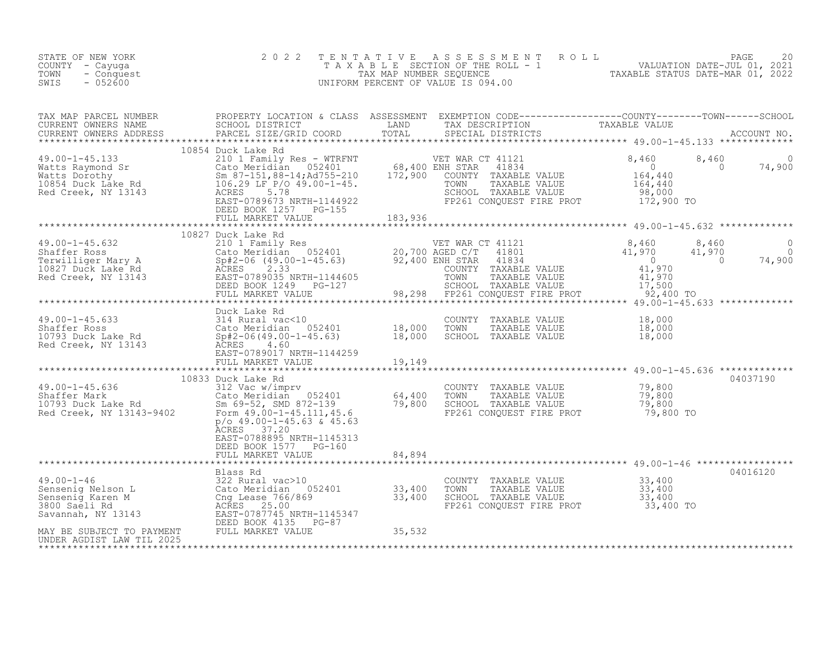| STATE OF NEW YORK<br>COUNTY - Cayuga<br>TOWN<br>- Conquest<br>$-052600$<br>SWIS                                                                                                                                                                                | 2 0 2 2                                                                                                                                                                                                                                                                   | TENTATIVE<br>UNIFORM PERCENT OF VALUE IS 094.00 |                  | T E N T A T I V E A S S E S S M E N T R O L L<br>T A X A B L E SECTION OF THE ROLL - 1 VALUATION DATE-JUL 01, 2021<br>TAX MAP NUMBER SEQUENCE TAXABLE STATUS DATE-MAR 01, 2022<br>JNIFORM PERCENT OF VALUE IS 094 00 |                                              |                           |                      |
|----------------------------------------------------------------------------------------------------------------------------------------------------------------------------------------------------------------------------------------------------------------|---------------------------------------------------------------------------------------------------------------------------------------------------------------------------------------------------------------------------------------------------------------------------|-------------------------------------------------|------------------|----------------------------------------------------------------------------------------------------------------------------------------------------------------------------------------------------------------------|----------------------------------------------|---------------------------|----------------------|
| TAX MAP PARCEL NUMBER<br>CURRENT OWNERS NAME<br>CURRENT OWNERS ADDRESS<br>**************************************                                                                                                                                               |                                                                                                                                                                                                                                                                           |                                                 |                  |                                                                                                                                                                                                                      |                                              |                           |                      |
| 49.00-1-45.133<br>Watts Raymond Sr<br>Watts Dorothy<br>Watts Dorothy<br>10854 Duck Lake Rd<br>Red Creek, NY 13143<br>Red Creek, NY 13143<br>Prepro 199673 NRTH-1144922<br>MRTH-1144922<br>Red Creek, NY 13143<br>PRES<br>PRES<br>PRES<br>PRES<br>PRES<br>PRE   | 10854 Duck Lake Rd<br>DEED BOOK 1257 PG-155<br>FULL MARKET VALUE 7133,936                                                                                                                                                                                                 |                                                 | VET WAR CT 41121 | $T$ 41121<br>41834<br>COUNTY TAXABLE VALUE<br>TOWN TAXABLE VALUE<br>SCHOOL TAXABLE VALUE<br>SCHOOL TAXABLE VALUE 08,000<br>FP261 CONQUEST FIRE PROT 172,900 TO                                                       | 8,460<br>$164,440$<br>$164,440$<br>$164,440$ | 8,460<br>$\sim$ 0         | $\Omega$<br>74,900   |
|                                                                                                                                                                                                                                                                |                                                                                                                                                                                                                                                                           |                                                 |                  |                                                                                                                                                                                                                      |                                              |                           |                      |
|                                                                                                                                                                                                                                                                | 10827 Duck Lake Rd                                                                                                                                                                                                                                                        |                                                 |                  |                                                                                                                                                                                                                      |                                              | 8,460<br>41,970<br>74,900 | $\Omega$<br>$\Omega$ |
|                                                                                                                                                                                                                                                                | Duck Lake Rd                                                                                                                                                                                                                                                              |                                                 |                  |                                                                                                                                                                                                                      |                                              |                           |                      |
|                                                                                                                                                                                                                                                                | EAST-0789017 NRTH-1144259<br>FULL MARKET VALUE                                                                                                                                                                                                                            | 19,149                                          | TOWN             | COUNTY TAXABLE VALUE<br>TAXABLE VALUE<br>SCHOOL TAXABLE VALUE                                                                                                                                                        | 18,000<br>18,000<br>18,000                   |                           |                      |
|                                                                                                                                                                                                                                                                |                                                                                                                                                                                                                                                                           |                                                 |                  | ************************ 49.00-1-45.636 **************                                                                                                                                                               |                                              |                           |                      |
| $49.00 - 1 - 45.636$<br>49.00-1-45.636<br>Shaffer Mark<br>10793 Duck Lake Rd<br>Red Creek, NY 13143-9402                                                                                                                                                       | 10833 Duck Lake Rd<br>Cato Meridian 052401 64,400<br>Sm 69-52, SMD 872-139 79,800<br>Form 49.00-1-45.111,45.6 79,800<br>p/o 49 00-1 15.111,45.6<br>$p$ /o 49.00-1-45.63 & 45.63<br>ACRES 37.20<br>EAST-0788895 NRTH-1145313<br>DEED BOOK 1577 PG-160<br>FULL MARKET VALUE | 84,894                                          |                  | COUNTY TAXABLE VALUE 79,800<br>TOWN TAXABLE VALUE 79,800<br>SCHOOL TAXABLE VALUE 19,800<br>FP261 CONQUEST FIRE PROT                                                                                                  | 79,800 TO                                    |                           | 04037190             |
|                                                                                                                                                                                                                                                                |                                                                                                                                                                                                                                                                           |                                                 |                  | ************************************ 49.00-1-46 *****************                                                                                                                                                    |                                              |                           |                      |
| 49.00-1-46<br>Sensenig Nelson L<br>Sensenig Karen M<br>322 Rural vac>10<br>Sensenig Karen M<br>3800 Saeli Rd<br>3800 Saeli Rd<br>3800 Saeli Rd<br>522 Rural vac>10<br>Cng Lease 766/869<br>3800 Saeli Rd<br>25.00<br>52401<br>25.00<br>25.00<br>25.00<br>25.00 |                                                                                                                                                                                                                                                                           | 33,400<br>33,400                                |                  | 33,400<br>SCHOOL TAXABLE VALUE<br>FP261 CONQUEST FIRE PROT<br>33,400<br>SCHOOL TAXABLE VALUE<br>33,400<br>33.400<br>33.400                                                                                           | 33,400 TO                                    |                           | 04016120             |
| MAY BE SUBJECT TO PAYMENT FULL MARKET VALUE<br>UNDER AGDIST LAW TIL 2025<br>UNDER AGDIST LAW TIL 2025                                                                                                                                                          |                                                                                                                                                                                                                                                                           | 35,532                                          |                  |                                                                                                                                                                                                                      |                                              |                           |                      |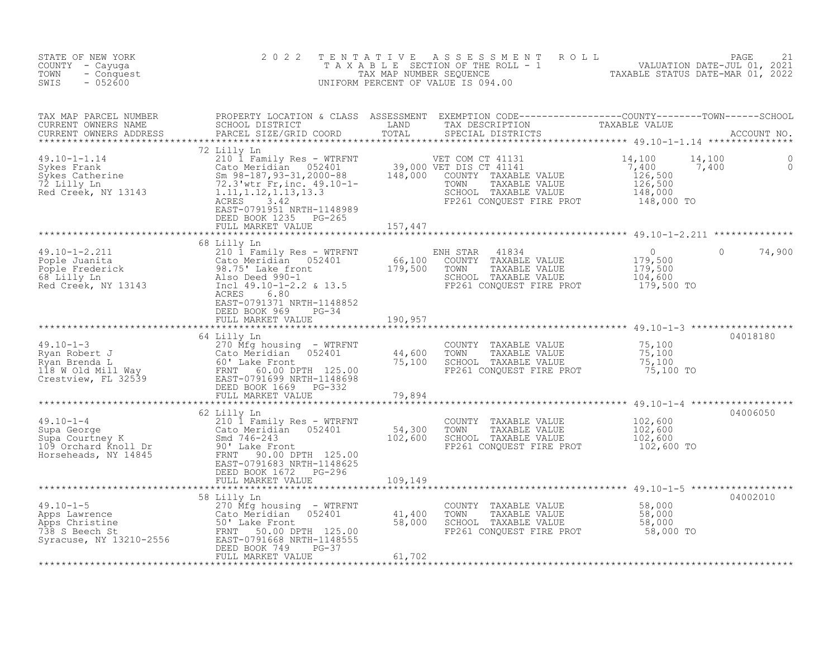| STATE OF NEW YORK<br>COUNTY - Cayuga<br>TOWN<br>- Conquest<br>$-052600$<br>SWIS                                                                                                                                                                 | 2 0 2 2     | TENTATIVE ASSESSMENT ROLL PACE 21<br>TAXABLE SECTION OF THE ROLL - 1 VALUATION DATE-JUL 01, 2021<br>TAX MAP NUMBER SEQUENCE TAXABLE STATUS DATE-MAR 01, 2022<br>UNIFORM PERCENT OF VALUE IS 094.00 |          |
|-------------------------------------------------------------------------------------------------------------------------------------------------------------------------------------------------------------------------------------------------|-------------|----------------------------------------------------------------------------------------------------------------------------------------------------------------------------------------------------|----------|
|                                                                                                                                                                                                                                                 |             |                                                                                                                                                                                                    |          |
| 49.10-1-1.14<br>210 I Family Res - WTRFNT<br>Sykes Catherine (210 I Family Res - WTRFNT<br>Sykes Catherine (210 I Family Res - WTRFNT<br>Sykes Catherine (210 Meridian 052401 39,000 VET DIS CT 41131<br>210 I Family Res - WTRFNT 39,00        |             |                                                                                                                                                                                                    |          |
|                                                                                                                                                                                                                                                 |             |                                                                                                                                                                                                    |          |
|                                                                                                                                                                                                                                                 | 68 Lilly Ln |                                                                                                                                                                                                    |          |
|                                                                                                                                                                                                                                                 |             |                                                                                                                                                                                                    |          |
| 19.10-1-3<br>19.10-1-3<br>270 Mfg housing - WTRFNT<br>270 Mfg housing - WTRFNT<br>270 Mfg housing - WTRFNT<br>270 Mfg housing - WTRFNT<br>270 Mfg housing - WTRFNT<br>270 Mfg housing - WTRFNT<br>270 Mfg housing - WTRFNT<br>270 Mfg housing - |             |                                                                                                                                                                                                    | 04018180 |
|                                                                                                                                                                                                                                                 |             |                                                                                                                                                                                                    |          |
|                                                                                                                                                                                                                                                 | 62 Lilly Ln |                                                                                                                                                                                                    | 04006050 |
|                                                                                                                                                                                                                                                 | 58 Lilly Ln |                                                                                                                                                                                                    | 04002010 |
|                                                                                                                                                                                                                                                 |             |                                                                                                                                                                                                    |          |
|                                                                                                                                                                                                                                                 |             |                                                                                                                                                                                                    |          |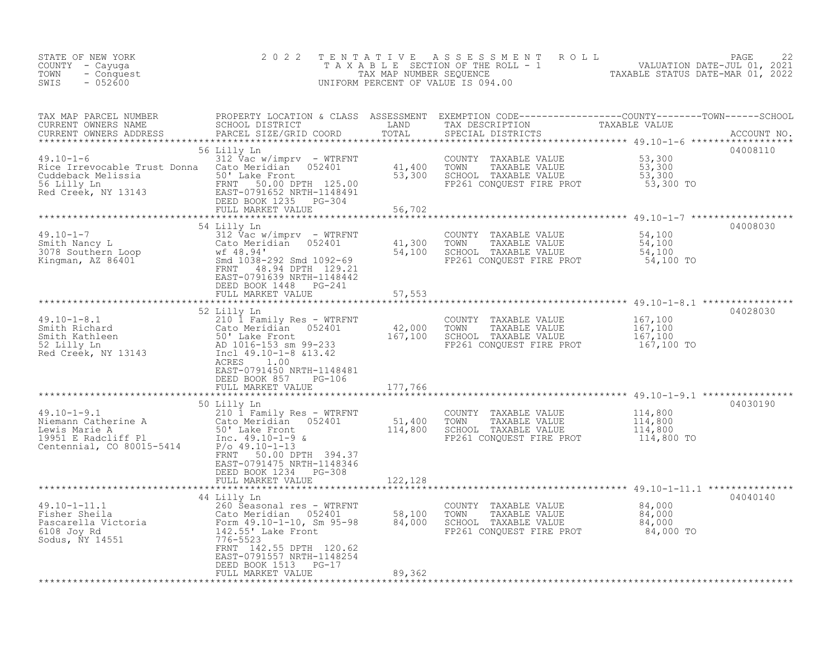| STATE OF NEW YORK<br>COUNTY - Cayuga<br>- Conquest<br>TOWN<br>SWIS<br>$-052600$                                                                                                                                                                                                              | 2 0 2 2                                                                                                                                       | TENTATIVE                  | A S S E S S M E N T A O L L<br>T A X A B L E SECTION OF THE ROLL - 1 VALUATION DATE-JUL 01, 2021<br>TAXABLE STATUS DATE-MAR 01, 2022<br>UNIFORM PERCENT OF VALUE IS 094.00 |                                             | 22<br>PAGE |
|----------------------------------------------------------------------------------------------------------------------------------------------------------------------------------------------------------------------------------------------------------------------------------------------|-----------------------------------------------------------------------------------------------------------------------------------------------|----------------------------|----------------------------------------------------------------------------------------------------------------------------------------------------------------------------|---------------------------------------------|------------|
|                                                                                                                                                                                                                                                                                              |                                                                                                                                               |                            |                                                                                                                                                                            |                                             |            |
| $49.10 - 1 - 6$<br>Rice Irrevocable Trust Donna<br>Rice Irrevocable Trust Dominic 101 Lake Front<br>Cuddeback Melissia 1981 PRNT 10000 DPTH 125.00<br>1991 EAST-0791652 NRTH-1148491<br>Red Creek, NY 13143 DEED BOOK 1235 PG-304                                                            | 56 Lilly Ln<br>312 $\vec{v}$ ac w/imprv - WTRFNT<br>Cato Meridian 052401 41,400                                                               | 53,300<br>56,702           | COUNTY TAXABLE VALUE 53,300<br>TOWN TAXABLE VALUE 53,300<br>SCHOOL TAXABLE VALUE 53,300<br>FP261 CONQUEST FIRE PROT 53,300 TO                                              |                                             | 04008110   |
| 49.10-1-7<br>Smith Nancy L<br>3078 Southern Loop<br>Xingman, AZ 86401<br>Xingman, AZ 86401<br>Xingman, AZ 86401<br>Xingman, AZ 86401<br>Xingman, AZ 86401<br>Xingman, AZ 86401<br>Xingman, AZ 86401<br>Xingman, AZ 86401<br>Xingman, AZ 86401<br>Xingm                                       | 54 Lilly Ln<br>EAST-0791639 NRTH-1148442<br>DEED BOOK 1448 PG-241<br>FULL MARKET VALUE                                                        | 41,300<br>54,100<br>57,553 | COUNTY TAXABLE VALUE<br>TAXABLE VALUE<br>TOWN<br>SCHOOL TAXABLE VALUE<br>FP261 CONQUEST FIRE PROT 54,100 TO                                                                | 54,100<br>54,100<br>54,100                  | 04008030   |
| 49.10-1-8.1<br>Smith Richard<br>Smith Kathleen<br>52 Lilly Ln<br>52 Lilly Ln<br>52 Lilly Ln<br>52 Lilly Ln<br>52 Lilly Ln<br>52 Lilly Ln<br>52 Lilly Ln<br>52 Lilly Ln<br>52 Lilly Ln<br>52 Lilly Ln<br>52 Lilly Ln<br>52 Lilly Ln<br>52 Lilly Ln<br>52 Lilly                                | 52 Lilly Ln<br>ACRES<br>1.00<br>EAST-0791450 NRTH-1148481<br>DEED BOOK 857 PG-106<br>FULL MARKET VALUE                                        | 177,766                    | COUNTY TAXABLE VALUE<br>TOWN<br>TAXABLE VALUE<br>SCHOOL TAXABLE VALUE<br>FP261 CONQUEST FIRE PROT                                                                          | 167,100<br>167,100<br>167,100<br>167,100 TO | 04028030   |
| $49.10 - 1 - 9.1$<br>49.10-1-9.1<br>Niemann Catherine A<br>Lewis Marie A<br>So'take Front<br>19951 E Radcliff Pl<br>Contennial, CO 80015-5414<br>Po 49.10-1-13<br>Po 49.10-1-13<br>Po 49.10-1-13<br>Po 49.10-1-13<br>Po $\frac{1}{2}$<br>Po $\frac{1}{2}$<br>Po $\frac{1}{2}$<br>Po $\frac{$ | 50 Lilly Ln<br>210 1 Family Res - WTRFNT<br>FRNT 50.00 DPTH 394.37<br>EAST-0791475 NRTH-1148346<br>DEED BOOK 1234 PG-308<br>FULL MARKET VALUE | 122,128                    | COUNTY TAXABLE VALUE<br>FP261 CONQUEST FIRE PROT 114,800 TO                                                                                                                | 114,800<br>114,800<br>114,800               | 04030190   |
| 49.10-1-11.1<br>Fisher Sheila<br>Pascarella Victoria<br>6108 Joy Rd<br>508 Seasonal res - WTRFNT<br>6108 Joy Rd<br>508 Sodus, NY 14551<br>776-55233<br>776-55233<br>776-55233                                                                                                                | 44 Lilly Ln<br>FRNT 142.55 DPTH 120.62<br>EAST-0791557 NRTH-1148254<br>DEED BOOK 1513 PG-17<br>FULL MARKET VALUE                              | 58,100<br>84,000<br>89,362 | COUNTY TAXABLE VALUE<br>TAXABLE VALUE<br>TOWN<br>SCHOOL TAXABLE VALUE<br>FP261 CONQUEST FIRE PROT 84,000 TO                                                                | 84,000<br>84,000<br>84,000                  | 04040140   |
|                                                                                                                                                                                                                                                                                              |                                                                                                                                               |                            |                                                                                                                                                                            |                                             |            |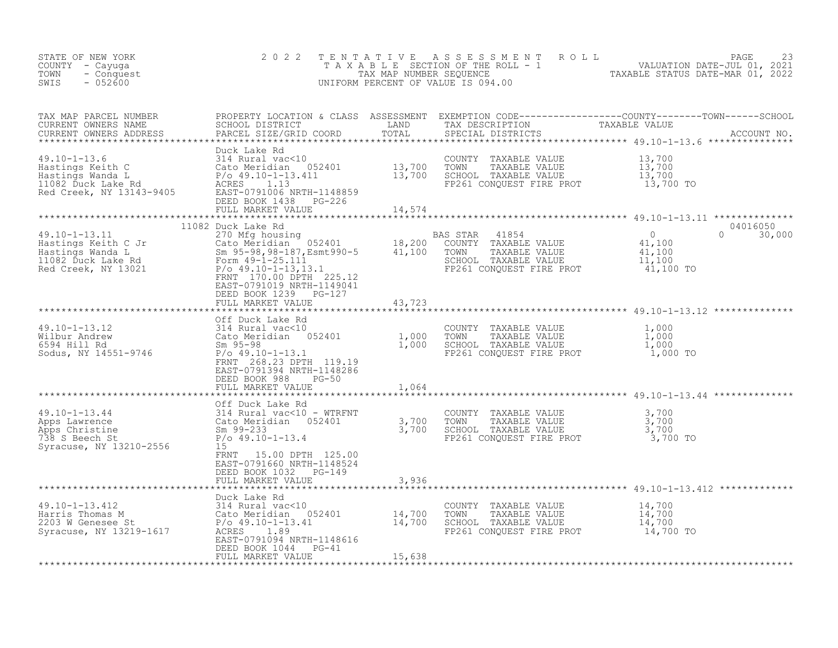| STATE OF NEW YORK<br>COUNTY – Cayuga<br>TOWN<br>- Conquest<br>SWIS<br>$-052600$ | 2 0 2 2                                             |               | TENTATIVE ASSESSMENT ROLL PAGE 23<br>TAXABLE SECTION OF THE ROLL - 1 VALUATION DATE-JUL 01, 2021<br>TAX MAP NUMBER SEQUENCE TAXABLE STATUS DATE-MAR 01, 2022<br>UNIFORM PERCENT OF VALUE IS 094.00 |
|---------------------------------------------------------------------------------|-----------------------------------------------------|---------------|----------------------------------------------------------------------------------------------------------------------------------------------------------------------------------------------------|
|                                                                                 |                                                     |               |                                                                                                                                                                                                    |
|                                                                                 |                                                     |               |                                                                                                                                                                                                    |
|                                                                                 |                                                     |               |                                                                                                                                                                                                    |
|                                                                                 | EAST-0791019 NRTH-1149041<br>DEED BOOK 1239 PG-127  |               | $0 \t 30,000$                                                                                                                                                                                      |
|                                                                                 | FULL MARKET VALUE                                   | 43,723        |                                                                                                                                                                                                    |
|                                                                                 |                                                     |               |                                                                                                                                                                                                    |
|                                                                                 | EAST-0791394 NRTH-1148286                           |               |                                                                                                                                                                                                    |
|                                                                                 |                                                     |               |                                                                                                                                                                                                    |
|                                                                                 | FRNT 15.00 DPTH 125.00<br>EAST-0791660 NRTH-1148524 |               |                                                                                                                                                                                                    |
|                                                                                 | DEED BOOK 1032 PG-149<br>FULL MARKET VALUE          | 3,936         |                                                                                                                                                                                                    |
|                                                                                 |                                                     | ************* | ************************************** 49.10-1-13.412 **************                                                                                                                               |
|                                                                                 | Duck Lake Rd<br>DEED BOOK 1044 PG-41                |               |                                                                                                                                                                                                    |
|                                                                                 | FULL MARKET VALUE                                   | 15,638        |                                                                                                                                                                                                    |
|                                                                                 |                                                     |               |                                                                                                                                                                                                    |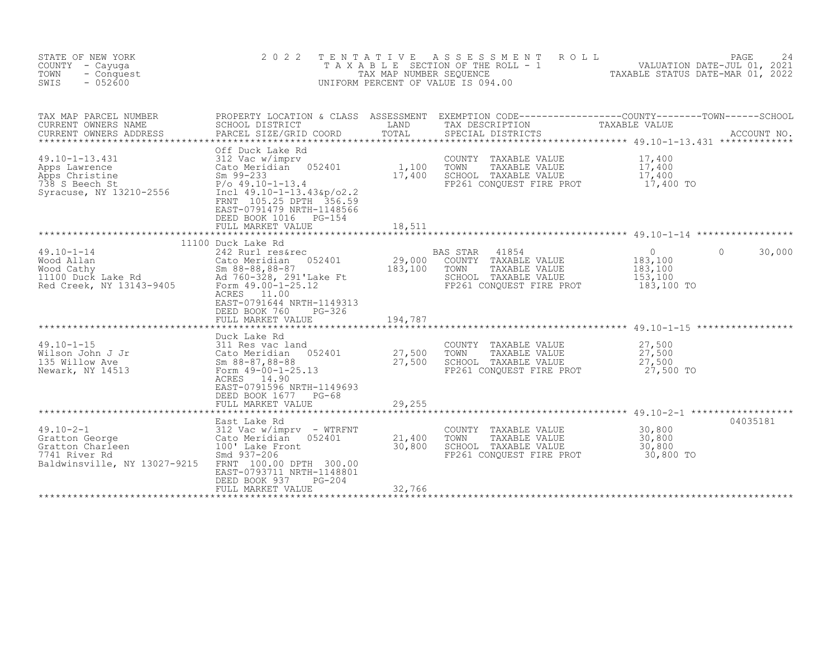| STATE OF NEW YORK<br>COUNTY - Cayuga<br>- Conquest<br>TOWN<br>$-052600$<br>SWIS                                                                                                             | 2 0 2 2                                                                                                                                                                                                                                                                                          |                           | ROLL<br>TENTATIVE ASSESSMENT<br>T A X A B L E SECTION OF THE ROLL - 1 VALUATION DATE-JUL 01, 2021<br>UNIFORM PERCENT OF VALUE IS 094.00 |                                                                    | PAGE<br>24  |
|---------------------------------------------------------------------------------------------------------------------------------------------------------------------------------------------|--------------------------------------------------------------------------------------------------------------------------------------------------------------------------------------------------------------------------------------------------------------------------------------------------|---------------------------|-----------------------------------------------------------------------------------------------------------------------------------------|--------------------------------------------------------------------|-------------|
| TAX MAP PARCEL NUMBER<br>CURRENT OWNERS NAME<br>CURRENT OWNERS ADDRESS                                                                                                                      | SCHOOL DISTRICT<br>PARCEL SIZE/GRID COORD                                                                                                                                                                                                                                                        | LAND<br>TOTAL             | TAX DESCRIPTION<br>SPECIAL DISTRICTS                                                                                                    | TAXABLE VALUE                                                      | ACCOUNT NO. |
| $49.10 - 1 - 13.431$<br>Apps Lawrence<br>Apps Christine<br>738 S Beech St<br>Syracuse, NY 13210-2556                                                                                        | Off Duck Lake Rd<br>312 Vac w/improv<br>Cato Meridian 052401<br>Sm 99-233<br>P/o 49.10-1-13.4<br>3210-2556<br>Incl 49.10-1-13.43&n/o?<br>Cato Meridian 052401<br>Incl 49.10-1-13.43&p/o2.2<br>FRNT 105.25 DPTH 356.59<br>EAST-0791479 NRTH-1148566<br>DEED BOOK 1016 PG-154<br>FULL MARKET VALUE | 1,100<br>17,400<br>18,511 | COUNTY TAXABLE VALUE<br>TOWN<br>TAXABLE VALUE<br>SCHOOL TAXABLE VALUE<br>FP261 CONQUEST FIRE PROT 17,400 TO                             | 17,400<br>17,400<br>17,400                                         |             |
|                                                                                                                                                                                             |                                                                                                                                                                                                                                                                                                  |                           |                                                                                                                                         |                                                                    |             |
| $49.10 - 1 - 14$<br>Wood Allan<br>Wood Allan Cato Meridian 052401<br>Wood Cathy Sm 88-88,88-87<br>11100 Duck Lake Rd Ad 760-328, 291'Lake Ft<br>Red Creek, NY 13143-9405 Form 49.00-1-25.12 | 11100 Duck Lake Rd<br>242 Rurl res&rec<br>Cato Meridian 052401<br>ACRES 11.00<br>EAST-0791644 NRTH-1149313<br>DEED BOOK 760<br>PG-326                                                                                                                                                            | 29,000<br>183,100         | BAS STAR<br>41854<br>COUNTY TAXABLE VALUE<br>TOWN<br>TAXABLE VALUE<br>SCHOOL TAXABLE VALUE<br>FP261 CONOUEST FIRE PROT                  | $\overline{0}$<br>0<br>183,100<br>183,100<br>153,100<br>183,100 TO | 30,000      |
|                                                                                                                                                                                             |                                                                                                                                                                                                                                                                                                  |                           |                                                                                                                                         |                                                                    |             |
| $49.10 - 1 - 15$<br>Wilson John J Jr<br>135 Willow Ave<br>Newark, NY 14513                                                                                                                  | Duck Lake Rd<br>$311$ Res vac land<br>DUCK Lake Rd<br>311 Res vac land<br>Cato Meridian 052401<br>Sm 88-87,88-88<br>Form 49-00-1-25.13<br>Form 49-00-1-25.13<br>ACRES 14.90<br>EAST-0791596 NRTH-1149693                                                                                         | 27,500<br>27,500          | COUNTY TAXABLE VALUE<br>TOWN<br>TAXABLE VALUE<br>SCHOOL TAXABLE VALUE<br>FP261 CONQUEST FIRE PROT 27,500 TO                             | 27,500<br>27,500<br>27,500                                         |             |
|                                                                                                                                                                                             | DEED BOOK 1677 PG-68<br>FULL MARKET VALUE                                                                                                                                                                                                                                                        | 29,255                    |                                                                                                                                         |                                                                    |             |
|                                                                                                                                                                                             |                                                                                                                                                                                                                                                                                                  |                           |                                                                                                                                         |                                                                    |             |
| $49.10 - 2 - 1$<br>Gratton George<br>Gratton Charleen<br>7741 River Rd<br>Baldwinsville, NY 13027-9215 FRNT 100.00 DPTH 300.00                                                              | East Lake Rd<br>312 Vac w/imprv - WTRFNT<br>Cato Meridian 052401<br>100' Lake Front<br>5md 937-204<br>EAST-0793711 NRTH-1148801<br>DEED BOOK 937<br>$PG-204$                                                                                                                                     | 21,400<br>30,800          | COUNTY TAXABLE VALUE<br>TOWN<br>TAXABLE VALUE<br>SCHOOL TAXABLE VALUE<br>FP261 CONQUEST FIRE PROT 30,800 TO                             | 30,800<br>30,800<br>30,800                                         | 04035181    |
|                                                                                                                                                                                             | FULL MARKET VALUE                                                                                                                                                                                                                                                                                | 32,766                    |                                                                                                                                         |                                                                    |             |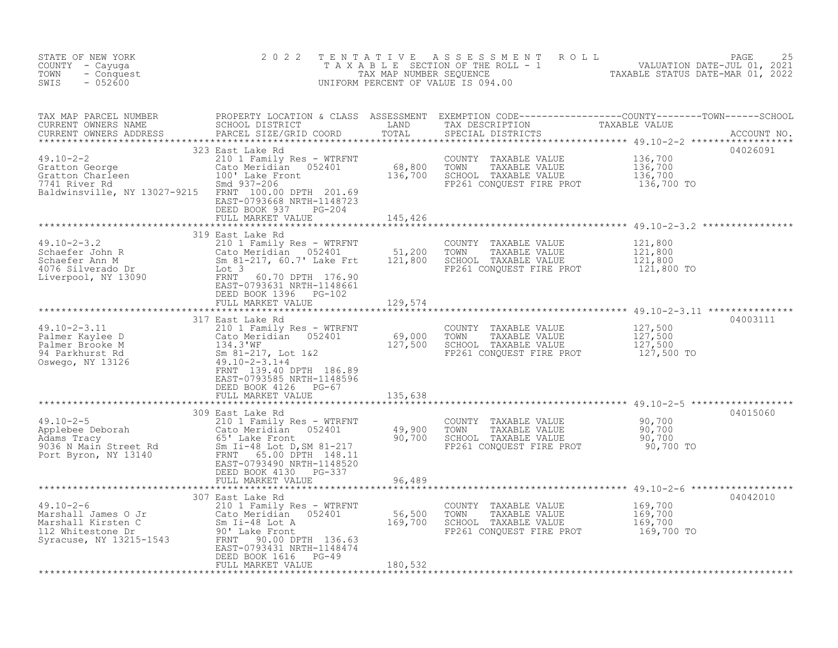| STATE OF NEW YORK<br>COUNTY - Cayuqa<br>TOWN<br>- Conquest<br>$-052600$<br>SWIS                                                                                                                                                                                                                                                                                                                                                                                                                          | 2 0 2 2                                                                                       |                               | UNIFORM PERCENT OF VALUE IS 094.00                                                                                                         | TENTATIVE ASSESSMENT ROLL PAGE 25<br>TAXABLE SECTION OF THE ROLL - 1 VALUATION DATE-JUL 01, 2021<br>TAXABLE STATUS DATE-MAR 01, 2022 |
|----------------------------------------------------------------------------------------------------------------------------------------------------------------------------------------------------------------------------------------------------------------------------------------------------------------------------------------------------------------------------------------------------------------------------------------------------------------------------------------------------------|-----------------------------------------------------------------------------------------------|-------------------------------|--------------------------------------------------------------------------------------------------------------------------------------------|--------------------------------------------------------------------------------------------------------------------------------------|
|                                                                                                                                                                                                                                                                                                                                                                                                                                                                                                          |                                                                                               |                               |                                                                                                                                            |                                                                                                                                      |
| $\begin{array}{lllllllllllllllllllll} \end{array} \begin{array}{lllllllllllllllllll} \end{array} \begin{array}{lllllllllllllllllll} \end{array} \begin{array}{lllllllllllllllllll} \end{array} \begin{array}{lllllllllllllllllll} \end{array} \begin{array}{lllllllllllllllllll} \begin{array}{lllllllllllllllllllll} \end{array} \begin{array}{lllllllllllllllllllll} \begin{array}{llllllllllllllllllllllllllllllllllllllllll \end{array} \begin{array}{lllllllllllllllllllllllllllllllll \end{array}$ | 323 East Lake Rd<br>EAST-0793668 NRTH-1148723<br>DEED BOOK 937<br>PG-204<br>FULL MARKET VALUE | 145,426                       | COUNTY TAXABLE VALUE 136,700<br>TOWN TAXABLE VALUE 136,700<br>FP261 CONQUEST FIRE PROT 136,700 TO                                          | 04026091<br>136,700                                                                                                                  |
| 19.10-2-3.2<br>Schaefer John R<br>Schaefer Ann M<br>4076 Silverado Dr<br>Liverpool, NY 13090<br>ERST-0793631 NRTH-1148661<br>SEAST-0793631 NRTH-1148661<br>Liverpool, NY 13090<br>ERST-0793631 NRTH-1148661                                                                                                                                                                                                                                                                                              | DEED BOOK 1396 PG-102                                                                         |                               | COUNTY TAXABLE VALUE<br>TOWN<br>TAXABLE VALUE<br>SCHOOL TAXABLE VALUE<br>FP261 CONQUEST FIRE PROT 121,800 TO                               | 121,800<br>121,800<br>121,800                                                                                                        |
|                                                                                                                                                                                                                                                                                                                                                                                                                                                                                                          | FULL MARKET VALUE                                                                             | 129,574                       |                                                                                                                                            |                                                                                                                                      |
| 19.10-2-3.11<br>Palmer Kaylee D<br>Palmer Brooke M<br>210 1 Family Res - WTRFNT<br>210 1 Family Res - WTRFNT<br>210 1 Family Res - WTRFNT<br>210 1 Family Res - WTRFNT<br>210 1 Family Res - WTRFNT<br>227,500 TOWN TAXABLE VALUE<br>27,500 TOWN                                                                                                                                                                                                                                                         | EAST-0793585 NRTH-1148596<br>DEED BOOK 4126 PG-67<br>FULL MARKET VALUE                        | 135,638                       | COUNTY TAXABLE VALUE $127,500$<br>TOWN TAXABLE VALUE $127,500$<br>SCHOOL TAXABLE VALUE $127,500$<br>FP261 CONQUEST FIRE PROT $127,500$ TO  | 04003111                                                                                                                             |
|                                                                                                                                                                                                                                                                                                                                                                                                                                                                                                          |                                                                                               |                               |                                                                                                                                            | 04015060                                                                                                                             |
| 49.10-2-5<br>Applebee Deborah 210 1 Family Res - WTRFNT<br>Adams Tracy 65' Lake Front 9036 N Main Street Rd<br>Port Byron, NY 13140 FRNT 65.00 DPTH 148.11<br>FRNT 65.00 DPTH 148.11<br>FRNT 65.00 DPTH 148.11                                                                                                                                                                                                                                                                                           | 309 East Lake Rd<br>EAST-0793490 NRTH-1148520<br>DEED BOOK 4130 PG-337<br>FULL MARKET VALUE   | 96,489                        | COUNTY TAXABLE VALUE $90,700$<br>TOWN TAXABLE VALUE 90,700<br>SCHOOL TAXABLE VALUE 90,700<br>FP261 CONQUEST FIRE PROT 90,700 TO            |                                                                                                                                      |
|                                                                                                                                                                                                                                                                                                                                                                                                                                                                                                          | 307 East Lake Rd                                                                              |                               |                                                                                                                                            | 04042010                                                                                                                             |
| $49.10 - 2 - 6$<br>49.10-2-6<br>Marshall James O Jr<br>Marshall Kirsten C<br>112 Whitestone Dr<br>Syracuse, NY 13215-1543<br>TRANT COMPTER 136.63<br>TRANT 09.401 NPTH 136.63                                                                                                                                                                                                                                                                                                                            | EAST-0793431 NRTH-1148474<br>DEED BOOK 1616 PG-49<br>FULL MARKET VALUE                        | 56, 500<br>169,700<br>180,532 | COUNTY TAXABLE VALUE $169, 700$<br>TOWN TAXABLE VALUE $169, 700$<br>SCHOOL TAXABLE VALUE $169, 700$<br>FP261 CONQUEST FIRE PROT $169, 700$ |                                                                                                                                      |
|                                                                                                                                                                                                                                                                                                                                                                                                                                                                                                          |                                                                                               |                               |                                                                                                                                            |                                                                                                                                      |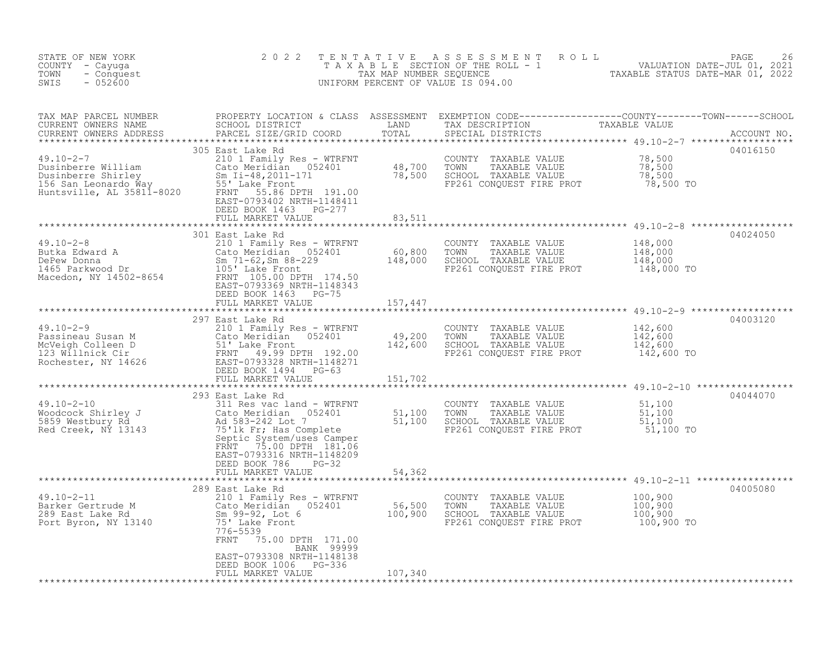| STATE OF NEW YORK<br>COUNTY - Cayuga<br>- Conquest<br>TOWN<br>SWIS<br>$-052600$                                                                                                                                                                                                                                                                                                                          | 2 0 2 2                                                                               |         | TENTATIVE ASSESSMENT ROLL PALUATION DATE-JUL 01, 2021<br>TAXABLE SECTION OF THE ROLL - 1 VALUATION DATE-JUL 01, 2021<br>TAXABLE STATUS DATE-MAR 01, 2022<br>UNIFORM PERCENT OF VALUE IS 094.00 |          |
|----------------------------------------------------------------------------------------------------------------------------------------------------------------------------------------------------------------------------------------------------------------------------------------------------------------------------------------------------------------------------------------------------------|---------------------------------------------------------------------------------------|---------|------------------------------------------------------------------------------------------------------------------------------------------------------------------------------------------------|----------|
| TAX MAP PARCEL NUMBER PROPERTY LOCATION & CLASS ASSESSMENT EXEMPTION CODE----------------COUNTY--------TOWN-----SCHOOL CURRENT OWNERS NAME SCHOOL DISTRICT LAND TAX DESCRIPTION TAXABLE VALUE<br>CURRENT OWNERS ADDRESS PARCEL SI                                                                                                                                                                        |                                                                                       |         |                                                                                                                                                                                                |          |
|                                                                                                                                                                                                                                                                                                                                                                                                          | DEED BOOK 1463 PG-277<br>FULL MARKET VALUE 83,511                                     |         |                                                                                                                                                                                                | 04016150 |
| $\begin{tabular}{lllllllllllll} \hline 49.10-2-8 & 301 \text{ East Lake Rd} & 210 1 \text{ Family Res - WTRENT} & 000\text{NITY} & TAXABLE VALUE & 148,000 \text{Ccto} & 148,000 \text{Ccto} & 148,000 \text{Ccto} & 148,000 \text{Ccto} & 148,000 \text{Ccto} & 148,000 \text{Ccto} & 148,000 \text{Ccto} & 148,000 \text{Ccto} & 148,000 \text{Ccto} & 14$                                             |                                                                                       |         |                                                                                                                                                                                                | 04024050 |
| $\begin{tabular}{lllllllllllll} \hline 49.10-2-9 & \multicolumn{3}{c }{291} \; \texttt{Laske} & \multicolumn{3}{c }{\texttt{AAABLE} \; \texttt{VALUE}} & \multicolumn{3}{c }{\texttt{A31} \; \texttt{142,600}} & \multicolumn{3}{c }{\texttt{A42,600}} & \multicolumn{3}{c }{\texttt{A51} \; \texttt{142,600}} & \multicolumn{3}{c }{\texttt{A60} \; \texttt{142,600}} & \multicolumn{3}{c }{\texttt{A7$ |                                                                                       |         |                                                                                                                                                                                                | 04003120 |
|                                                                                                                                                                                                                                                                                                                                                                                                          |                                                                                       |         |                                                                                                                                                                                                |          |
| 49.10-2-10<br>Woodcock Shirley J<br>Moodcock Shirley J<br>Saby Westbury Rd<br>Moodcock Shirley J<br>Moodcock Shirley J<br>Moodcock Shirley J<br>Moodcock Shirley J<br>Moodcock Shirley J<br>Moodcock Shirley J<br>Moodcock Shirley J<br>Moodcock Sh                                                                                                                                                      | 293 East Lake Rd<br>FRNT 75.00 DPTH 181.06<br>EAST-0793316 NRTH-1148209               |         |                                                                                                                                                                                                | 04044070 |
|                                                                                                                                                                                                                                                                                                                                                                                                          | DEED BOOK 786 PG-32<br>FULL MARKET VALUE 54,362                                       |         |                                                                                                                                                                                                |          |
| 389 East Lake Rd 289 East Lake Rd 289 East Lake Rd 289 East Lake Rd 289 East Lake Rd 289 East Lake Rd 289 East Lake Rd 289 East Lake Rd 289 East Lake Rd 289 East Lake Rd 289 East Lake Rd 289 East Lake Rd 289 East Lake Rd 2                                                                                                                                                                           | FRNT 75.00 DPTH 171.00                                                                |         |                                                                                                                                                                                                | 04005080 |
|                                                                                                                                                                                                                                                                                                                                                                                                          | BANK 99999<br>EAST-0793308 NRTH-1148138<br>DEED BOOK 1006 PG-336<br>FULL MARKET VALUE | 107,340 |                                                                                                                                                                                                |          |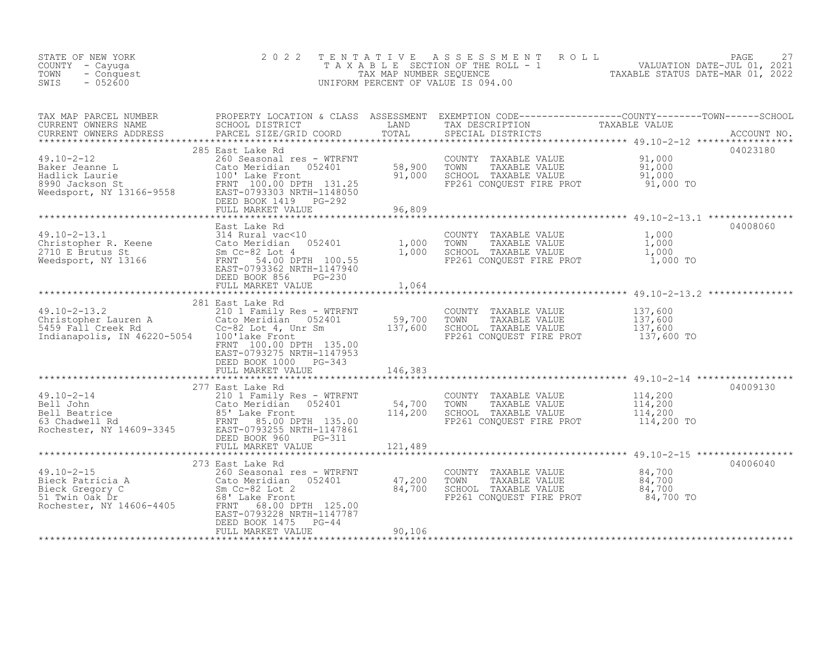| STATE OF NEW YORK<br>COUNTY - Cayuga<br>TOWN<br>- Conquest<br>$-052600$<br>SWIS                                                                                                                                                              | 2 0 2 2                                                                                                                        |        | TENTATIVE ASSESSMENT ROLL PAGE 27<br>TAXABLE SECTION OF THE ROLL - 1 VALUATION DATE-JUL 01, 2021<br>TAX MAP NUMBER SEQUENCE TAXABLE STATUS DATE-MAR 01, 2022<br>UNIFORM PERCENT OF VALUE IS 094.00                                                  |
|----------------------------------------------------------------------------------------------------------------------------------------------------------------------------------------------------------------------------------------------|--------------------------------------------------------------------------------------------------------------------------------|--------|-----------------------------------------------------------------------------------------------------------------------------------------------------------------------------------------------------------------------------------------------------|
|                                                                                                                                                                                                                                              |                                                                                                                                |        |                                                                                                                                                                                                                                                     |
|                                                                                                                                                                                                                                              | FULL MARKET VALUE                                                                                                              | 96,809 | CUNKENT OWNERS ADDRESS<br>TO A COON COUNTY TAXABLE VALUE<br>285 East Lake Rd<br>285 East Lake Rd<br>285 East Lake Rd<br>285 East Lake Rd<br>285 East Lake Rd<br>285 East Lake Rd<br>285 East Lake Rd<br>285 East Lake Rd<br>285 East Lake Rd<br>285 |
| 49.10-2-13.1<br>2710 E Brutus St Cato Meridian 052401<br>2710 E Brutus St Sm Cc-82 Lot 4<br>2710 E Brutus St Sm Cc-82 Lot 4<br>2710 E Brutus St Sm Cc-82 Lot 4<br>2710 E Brutus St Sm Cc-82 Lot 4<br>2710 E Brutus St Sm Cc-82 Lot 4<br>2710 | DEED BOOK 856 PG-230<br>FULL MARKET VALUE                                                                                      | 1,064  | 04008060                                                                                                                                                                                                                                            |
| 49.10-2-13.2<br>Christopher Lauren A 201 Lamily Res - WTRFNT COUNTY TAXABLE VALUE 137,600<br>Cato Meridian 052401 59,700 TOWN TAXABLE VALUE 137,600<br>S459 Fall Creek Rd Cc-82 Lot 4, Unr Sm 137,600 SCHOOL TAXABLE VALUE 137,600<br>       | 281 East Lake Rd<br>FRNT 100.00 DPTH 135.00<br>EAST-0793275 NRTH-1147953<br>DEED BOOK 1000 PG-343<br>FULL MARKET VALUE 146,383 |        |                                                                                                                                                                                                                                                     |
|                                                                                                                                                                                                                                              | 277 East Lake Rd                                                                                                               |        | 04009130                                                                                                                                                                                                                                            |
|                                                                                                                                                                                                                                              | 273 East Lake Rd<br>EAST-0793228 NRTH-1147787<br>DEED BOOK 1475 PG-44<br>FULL MARKET VALUE                                     | 90,106 | 04006040                                                                                                                                                                                                                                            |
|                                                                                                                                                                                                                                              |                                                                                                                                |        |                                                                                                                                                                                                                                                     |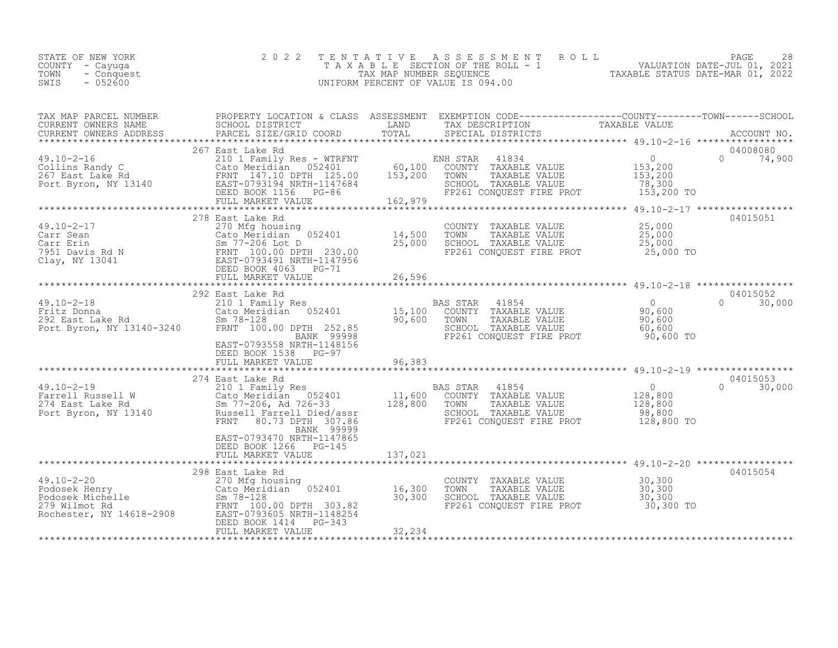| STATE OF NEW YORK<br>COUNTY – Cayuga<br>TOWN<br>- Conquest<br>SWIS<br>$-052600$ | 2022 TENTATIVE ASSESSMENT ROLL<br>TAXABLE SECTION OF THE ROLL - 1<br>TAX MAP NUMBER SEQUENCE<br>UNIFORM PERCENT OF VALUE IS 094.00 | VALUATION DATE-JUL 01, 2021<br>TAXABLE STATUS DATE-MAR 01, 2022 | PAGE | 28 |
|---------------------------------------------------------------------------------|------------------------------------------------------------------------------------------------------------------------------------|-----------------------------------------------------------------|------|----|
|                                                                                 |                                                                                                                                    |                                                                 |      |    |

| TAX MAP PARCEL NUMBER | PROPERTY LOCATION & CLASS ASSESSMENT EXEMPTION CODE----------------COUNTY-------TOWN------SCHOOL                                                                                                                                                                    |         |                                                                  |                                                        |                    |
|-----------------------|---------------------------------------------------------------------------------------------------------------------------------------------------------------------------------------------------------------------------------------------------------------------|---------|------------------------------------------------------------------|--------------------------------------------------------|--------------------|
|                       |                                                                                                                                                                                                                                                                     |         |                                                                  |                                                        |                    |
|                       |                                                                                                                                                                                                                                                                     |         |                                                                  |                                                        |                    |
|                       | 267 East Lake Rd                                                                                                                                                                                                                                                    |         |                                                                  |                                                        | 04008080           |
|                       |                                                                                                                                                                                                                                                                     |         |                                                                  |                                                        | $0 \t 74,900$      |
|                       |                                                                                                                                                                                                                                                                     |         |                                                                  |                                                        |                    |
|                       |                                                                                                                                                                                                                                                                     |         |                                                                  |                                                        |                    |
|                       |                                                                                                                                                                                                                                                                     |         |                                                                  | 153,200 TO                                             |                    |
|                       |                                                                                                                                                                                                                                                                     |         |                                                                  |                                                        |                    |
|                       |                                                                                                                                                                                                                                                                     |         |                                                                  |                                                        |                    |
|                       | 278 East Lake Rd                                                                                                                                                                                                                                                    |         |                                                                  |                                                        | 04015051           |
|                       |                                                                                                                                                                                                                                                                     |         | COUNTY TAXABLE VALUE 25,000                                      |                                                        |                    |
|                       |                                                                                                                                                                                                                                                                     |         | TOWN TAXABLE VALUE 75,000<br>SCHOOL TAXABLE VALUE 75,000<br>TOWN |                                                        |                    |
|                       |                                                                                                                                                                                                                                                                     |         |                                                                  |                                                        |                    |
|                       |                                                                                                                                                                                                                                                                     |         | FP261 CONQUEST FIRE PROT 25,000 TO                               |                                                        |                    |
|                       |                                                                                                                                                                                                                                                                     |         |                                                                  |                                                        |                    |
|                       | 49.10-2-17<br>Carr Sean 270 Mfg housing<br>Carr Erin Sm 77-206 Lot D<br>7951 Davis Rd N ERNT 100.00 DPTH 230.00<br>Clay, NY 13041 EAST-0793491 NRTH-1147956<br>FRNT 100.00 DPTH 230.00<br>EED BOOK 4063 PG-71<br>FULL MARKET VALUE 26,596                           | 26,596  |                                                                  |                                                        |                    |
|                       |                                                                                                                                                                                                                                                                     |         |                                                                  |                                                        |                    |
|                       |                                                                                                                                                                                                                                                                     |         |                                                                  |                                                        | 04015052           |
|                       |                                                                                                                                                                                                                                                                     |         |                                                                  |                                                        | $0 \t 30,000$      |
|                       |                                                                                                                                                                                                                                                                     |         |                                                                  |                                                        |                    |
|                       |                                                                                                                                                                                                                                                                     |         |                                                                  |                                                        |                    |
|                       |                                                                                                                                                                                                                                                                     |         |                                                                  |                                                        |                    |
|                       |                                                                                                                                                                                                                                                                     |         | FP261 CONQUEST FIRE PROT 90,600 TO                               |                                                        |                    |
|                       |                                                                                                                                                                                                                                                                     |         |                                                                  |                                                        |                    |
|                       | DEED BOOK 1538 PG-97                                                                                                                                                                                                                                                |         |                                                                  |                                                        |                    |
|                       |                                                                                                                                                                                                                                                                     |         |                                                                  |                                                        |                    |
|                       | 274 East Lake Rd                                                                                                                                                                                                                                                    |         |                                                                  |                                                        | 04015053           |
|                       |                                                                                                                                                                                                                                                                     |         |                                                                  | $\begin{array}{c} 0 \\ 128,800 \\ 128,800 \end{array}$ | $\Omega$<br>30,000 |
|                       |                                                                                                                                                                                                                                                                     |         |                                                                  |                                                        |                    |
|                       |                                                                                                                                                                                                                                                                     |         |                                                                  |                                                        |                    |
|                       |                                                                                                                                                                                                                                                                     |         |                                                                  |                                                        |                    |
|                       | FRNT 80.73 DPTH 307.86<br>BANK 99999                                                                                                                                                                                                                                |         |                                                                  |                                                        |                    |
|                       | EAST-0793470 NRTH-1147865                                                                                                                                                                                                                                           |         |                                                                  |                                                        |                    |
|                       | DEED BOOK 1266 PG-145                                                                                                                                                                                                                                               |         |                                                                  |                                                        |                    |
|                       | FULL MARKET VALUE                                                                                                                                                                                                                                                   | 137,021 |                                                                  |                                                        |                    |
|                       |                                                                                                                                                                                                                                                                     |         |                                                                  |                                                        |                    |
|                       | 298 East Lake Rd                                                                                                                                                                                                                                                    |         |                                                                  |                                                        | 04015054           |
|                       |                                                                                                                                                                                                                                                                     |         | COUNTY TAXABLE VALUE 30,300                                      |                                                        |                    |
|                       |                                                                                                                                                                                                                                                                     |         | TOWN TAXABLE VALUE 30,300<br>SCHOOL TAXABLE VALUE 30,300         |                                                        |                    |
|                       |                                                                                                                                                                                                                                                                     |         |                                                                  |                                                        |                    |
|                       |                                                                                                                                                                                                                                                                     |         | FP261 CONQUEST FIRE PROT 30,300 TO                               |                                                        |                    |
|                       | 49.10-2-20<br>Podosek Henry<br>Podosek Michelle (ato Meridian 052401 16,300<br>279 Wilmot Rd FRNT 100.00 DPTH 303.82<br>Rochester, NY 14618-2908 EAST-0793605 NRTH-1148254<br>FRNT 100.00 DPTH 303.82<br>Rochester, NY 14618-2908 EAST-079<br>DEED BOOK 1414 PG-343 |         |                                                                  |                                                        |                    |
|                       | FULL MARKET VALUE                                                                                                                                                                                                                                                   | 32,234  |                                                                  |                                                        |                    |
|                       |                                                                                                                                                                                                                                                                     |         |                                                                  |                                                        |                    |
|                       |                                                                                                                                                                                                                                                                     |         |                                                                  |                                                        |                    |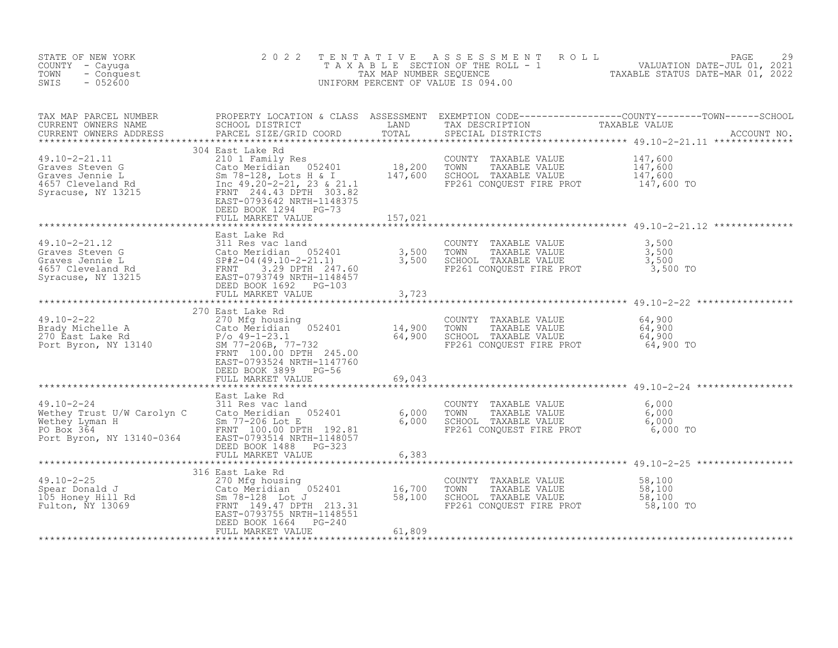| STATE OF NEW YORK<br>COUNTY - Cayuga<br>TOWN<br>- Conquest<br>$-052600$<br>SWIS                                                                                                                                                                                                                                                                                                                                                                  | 2 0 2 2                                                                | TENTATIVE | UNIFORM PERCENT OF VALUE IS 094.00                                                                      | TENTATIVE ASSESSMENT ROLL<br>TAXABLE SECTION OF THE ROLL - 1 VALUATION DATE-JUL 01, 2021<br>TAX MAP NUMBER SEQUENCE TAXABLE STATUS DATE-MAR 01, 2022<br>INIFORM PERCENT OF VALUE IS 094.00 |
|--------------------------------------------------------------------------------------------------------------------------------------------------------------------------------------------------------------------------------------------------------------------------------------------------------------------------------------------------------------------------------------------------------------------------------------------------|------------------------------------------------------------------------|-----------|---------------------------------------------------------------------------------------------------------|--------------------------------------------------------------------------------------------------------------------------------------------------------------------------------------------|
|                                                                                                                                                                                                                                                                                                                                                                                                                                                  |                                                                        |           |                                                                                                         |                                                                                                                                                                                            |
|                                                                                                                                                                                                                                                                                                                                                                                                                                                  | DEED BOOK 1294 PG-73<br>FULL MARKET VALUE                              | 157,021   |                                                                                                         |                                                                                                                                                                                            |
|                                                                                                                                                                                                                                                                                                                                                                                                                                                  |                                                                        |           |                                                                                                         |                                                                                                                                                                                            |
| 49.10-2-22<br>$\begin{array}{ccccccccc}\n49.10-2-22 & & 270 \text{ Mfg housing} & & & 270 \text{ Mfg housing} & & & 270 \text{ Mfg housing} & & & 270 \text{ Mfg housing} & & & 270 \text{ TAXABLE VALUE} & & 64,900 \text{ TAXABLE VALUE} & & 64,900 \text{ TAXABLE VALUE} & & 64,900 \text{ TAXABLE VALUE} & & 64,900 \text{ TAXABLE VALUE} & & 64,900 \text{ TAXABLE VALUE} & & 64,900 \text{ TAXABLE VALUE} & & 64,900 \text{ TAXABLE VALUE$ | EAST-0793524 NRTH-1147760<br>DEED BOOK 3899 PG-56<br>FULL MARKET VALUE | 69,043    |                                                                                                         |                                                                                                                                                                                            |
| 29.10-2-24<br>Wethey Trust U/W Carolyn C 311 Res vac land<br>Wethey Irust U/W Carolyn C Cato Meridian 052401 6,000 TOWN<br>Methey Iyman H Sm 77-206 Lot E FO Box 364 6,000 SCHOOL<br>PO Box 364 EAST-0793514 NRTH-1148057<br>PO Box 364                                                                                                                                                                                                          |                                                                        |           | 6,000 TOWN TAXABLE VALUE 6,000<br>6,000 SCHOOL TAXABLE VALUE 6,000<br>FP261 CONQUEST FIRE PROT 6,000 TO |                                                                                                                                                                                            |
| 49.10-2-25<br>Spear Donald J<br>16,700<br>105 Honey Hill Rd<br>Fulton, NY 13069<br>TRNT 149.47 DPTH 213.31<br>EAST-0793755 NRTH-1148551<br>DEED BOOK 1664 PG-240                                                                                                                                                                                                                                                                                 | 316 East Lake Rd<br>FULL MARKET VALUE                                  | 61,809    | FP261 CONQUEST FIRE PROT 58,100 TO                                                                      |                                                                                                                                                                                            |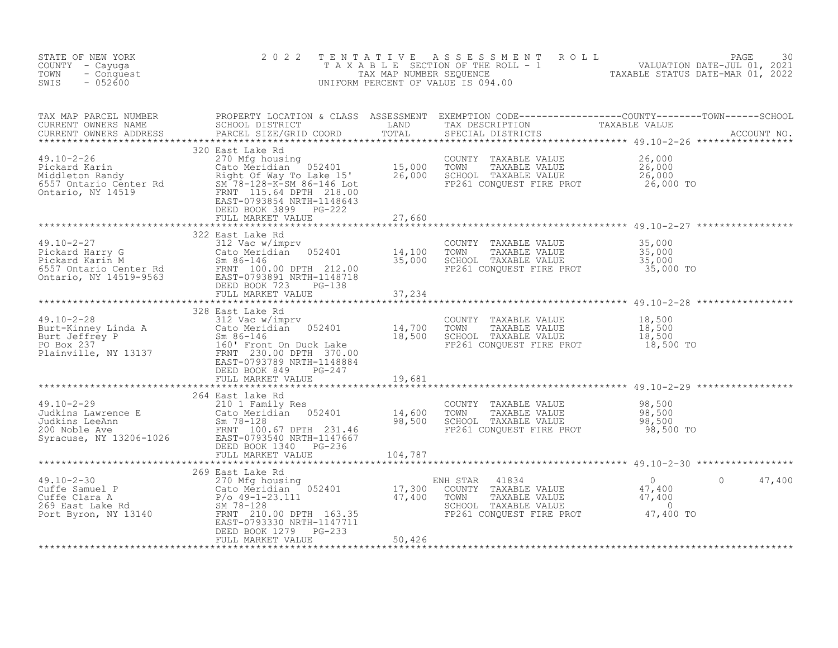| STATE OF NEW YORK<br>COUNTY - Cayuga<br>- Conquest<br>TOWN<br>SWIS<br>$-052600$                                                                                                                                                                         | 2 0 2 2                    |         |                                                                                                                                                                  | TENTATIVE ASSESSMENT ROLL PAGE 30<br>TAXABLE SECTION OF THE ROLL - 1 VALUATION DATE-JUL 01, 2021<br>TAX MAP NUMBER SEQUENCE TAXABLE STATUS DATE-MAR 01, 2022<br>UNIFORM PERCENT OF VALUE IS 094.00 |
|---------------------------------------------------------------------------------------------------------------------------------------------------------------------------------------------------------------------------------------------------------|----------------------------|---------|------------------------------------------------------------------------------------------------------------------------------------------------------------------|----------------------------------------------------------------------------------------------------------------------------------------------------------------------------------------------------|
|                                                                                                                                                                                                                                                         |                            |         |                                                                                                                                                                  |                                                                                                                                                                                                    |
|                                                                                                                                                                                                                                                         |                            |         | COUNTY TAXABLE VALUE $26,000$<br>TOWN TAXABLE VALUE $26,000$<br>SCHOOL TAXABLE VALUE 26,000<br>FP261 CONQUEST FIRE PROT 26,000 TO                                |                                                                                                                                                                                                    |
|                                                                                                                                                                                                                                                         |                            |         |                                                                                                                                                                  |                                                                                                                                                                                                    |
| 49.10-2-27<br>Pickard Harry G<br>Pickard Harry G<br>Pickard Harry G<br>Pickard Karin M<br>6557 Ontario Center Rd<br>6557 Ontario, NY 14519-9563<br>Atter-10.00 DPTH 212.00<br>EXST-0793891 NRTH-1148718<br>DEED BOOK 723<br>PG-138<br>PEED BOOK 723<br> |                            |         | COUNTY TAXABLE VALUE $35,000$<br>TOWN TAXABLE VALUE $35,000$<br>SCHOOL TAXABLE VALUE $35,000$<br>FP261 CONQUEST FIRE PROT $35,000$ TO                            |                                                                                                                                                                                                    |
|                                                                                                                                                                                                                                                         |                            |         |                                                                                                                                                                  | ************************************* 49.10-2-28 ******************                                                                                                                                |
| 328 East Lake Rd<br>Burt-Kinney Linda A<br>Burt Jeffrey P<br>PO Box 237<br>Plainville, NY 13137<br>Exact Depends on the Cato Meridian<br>FRNT 230.00 DPTH 370.00<br>EAST-0793789 NRTH-1148884<br>DEED BOOK 849<br>PC-247<br>FULL MARKET VALUE<br>THE    |                            |         | COUNTY TAXABLE VALUE 18,500<br>TOWN TAXABLE VALUE 18,500<br>SCHOOL TAXABLE VALUE 18,500<br>SPR261 CONCUEST FIRE FOR 19,500<br>FP261 CONQUEST FIRE PROT 18,500 TO |                                                                                                                                                                                                    |
|                                                                                                                                                                                                                                                         |                            |         |                                                                                                                                                                  |                                                                                                                                                                                                    |
| 49.10-2-29<br>Judkins Lawrence E<br>Judkins LeeAnn<br>200 Noble Ave<br>Syracuse, NY 13206-1026<br>200 Noble Ave<br>200 Noble Ave<br>200 Noble Ave<br>200 EAST-0793540 NRTH-1147667<br>200 Noble Ave<br>200 Noble Ave<br>200 Noble Ave<br>200 EAST-0793  | FULL MARKET VALUE          | 104,787 | COUNTY TAXABLE VALUE $98,500$<br>TOWN TAXABLE VALUE 98,500<br>SCHOOL TAXABLE VALUE 98,500<br>FP261 CONQUEST FIRE PROT 98,500 TO                                  |                                                                                                                                                                                                    |
|                                                                                                                                                                                                                                                         |                            |         |                                                                                                                                                                  |                                                                                                                                                                                                    |
| 369 East Lake Rd<br>269 East Lake Rd<br>269 East Lake Rd<br>269 East Lake Rd<br>269 East Lake Rd<br>269 East Lake Rd<br>269 East Lake Rd<br>269 East Lake Rd<br>269 East Lake Rd<br>269 East Lake Rd<br>269 East Lake Rd<br>269 East Lake Rd<br>269 Ea  | $PG-233$<br>DEED BOOK 1279 |         | FP261 CONQUEST FIRE PROT 47,400 TO                                                                                                                               | $\circ$<br>47,400                                                                                                                                                                                  |
|                                                                                                                                                                                                                                                         | FULL MARKET VALUE          | 50,426  |                                                                                                                                                                  |                                                                                                                                                                                                    |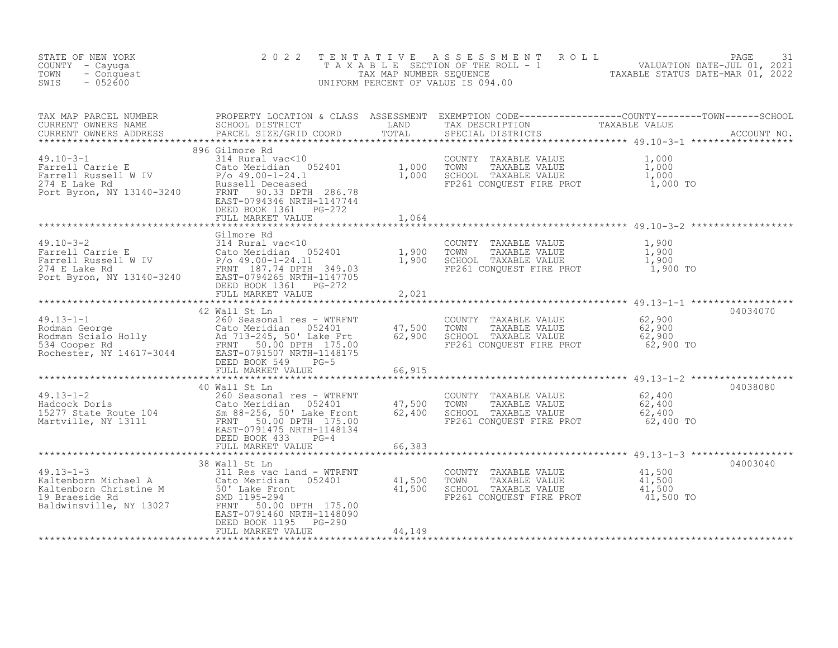| STATE OF NEW YORK<br>COUNTY - Cayuga<br>- Conquest<br>TOWN<br>$-052600$<br>SWIS                                                                                                                                                                                                                                                                                                                                                                     | 2 0 2 2                                                     | TENTATIVE                  | TENTATIVE ASSESSMENT ROLL UNIVERSITY PAGE 31<br>TAXABLE SECTION OF THE ROLL - 1 VALUATION DATE-JUL 01, 2021<br>TAX MAP NUMBER SEQUENCE TAXABLE STATUS DATE-MAR 01, 2022<br>JNIFORM PERCENT OF VALUE IS 094.00<br>UNIFORM PERCENT OF VALUE IS 094.00 |          |
|-----------------------------------------------------------------------------------------------------------------------------------------------------------------------------------------------------------------------------------------------------------------------------------------------------------------------------------------------------------------------------------------------------------------------------------------------------|-------------------------------------------------------------|----------------------------|-----------------------------------------------------------------------------------------------------------------------------------------------------------------------------------------------------------------------------------------------------|----------|
|                                                                                                                                                                                                                                                                                                                                                                                                                                                     |                                                             |                            |                                                                                                                                                                                                                                                     |          |
| $\begin{tabular}{lllllllllllllllllllllll} \textsc{rank} & \textsc{PROPERYY LOCATION & \textsc{CLAS} & \textsc{SSESSMENT} & \textsc{EXEMPITION} & \textsc{CODE-------------C-COUNYY-------CONRY-------CONRY-------CONRY-------CONRY-------CONRY------CCONY------CONY------CONY------CCONY------CCONY------CCONY------CCONY------CCONY------CCONY------CCONY------CCONY------CCONY------CCONY------CCONY------CCONY------CCONY------CCONY------CCONY$ | DEED BOOK 1361    PG-272<br>FULL MARKET VALUE               | 1,064                      |                                                                                                                                                                                                                                                     |          |
|                                                                                                                                                                                                                                                                                                                                                                                                                                                     |                                                             |                            |                                                                                                                                                                                                                                                     |          |
|                                                                                                                                                                                                                                                                                                                                                                                                                                                     |                                                             |                            |                                                                                                                                                                                                                                                     |          |
|                                                                                                                                                                                                                                                                                                                                                                                                                                                     |                                                             |                            |                                                                                                                                                                                                                                                     |          |
|                                                                                                                                                                                                                                                                                                                                                                                                                                                     |                                                             |                            |                                                                                                                                                                                                                                                     |          |
| 49.13-1-1<br>Rodman George<br>Rodman Scialo Holly<br>Rodman Scialo Holly<br>534 Cooper Rd<br>Rochester, NY 14617-3044<br>FRNT 50.00 DPTH 175.00<br>EAST-0791507 NRTH-1148175<br>DEED BOOK 549<br>PG-5<br>FULL MARKET VALUE                                                                                                                                                                                                                          | 42 Wall St Ln<br>FULL MARKET VALUE                          | 47,500<br>62,900<br>66,915 | COUNTY TAXABLE VALUE 62,900<br>TOWN TAXABLE VALUE 62,900<br>SCHOOL TAXABLE VALUE 62,900<br>FP261 CONQUEST FIRE PROT 62,900 TO                                                                                                                       | 04034070 |
|                                                                                                                                                                                                                                                                                                                                                                                                                                                     |                                                             |                            |                                                                                                                                                                                                                                                     |          |
| 40 Wall St Ln<br>49.13-1-2 260 Seasonal res - WTRFNT<br>Hadcock Doris Cato Meridian 052401 47,500 TOWN TAXABLE VALUE 62,400<br>15277 State Route 104 Sm 88-256,50' Lake Front 62,400 SCHOOL TAXABLE VALUE 62,400<br>Martville, NY 1311                                                                                                                                                                                                              |                                                             | 66,383                     |                                                                                                                                                                                                                                                     | 04038080 |
|                                                                                                                                                                                                                                                                                                                                                                                                                                                     |                                                             | **************             |                                                                                                                                                                                                                                                     |          |
| 38 Wall St Ln<br>38 Wall St Ln<br>31 Raltenborn Michael A<br>21 Raltenborn Christine M<br>30 Cato Meridian 052401<br>50' Lake Front<br>30' Lake Front<br>30' Lake Front<br>30' Lake Front<br>30' Lake Front<br>30' Lake Front<br>30' Lake Front<br>30'                                                                                                                                                                                              | 38 Wall St Ln<br>DEED BOOK 1195 PG-290<br>FULL MARKET VALUE | 44,149                     | COUNTY TAXABLE VALUE $\begin{array}{cccc} 41,500 \ \text{TOWN} & \text{TAXABLE VALUE} & 41,500 \ \text{SCHOOL} & \text{TAXABLE VALUE} & 41,500 \ \text{FPC61 CONQUEST FIRE PROT} & 41,500 \ \text{FPC61} & 41,500 \end{array}$                      | 04003040 |
|                                                                                                                                                                                                                                                                                                                                                                                                                                                     |                                                             |                            |                                                                                                                                                                                                                                                     |          |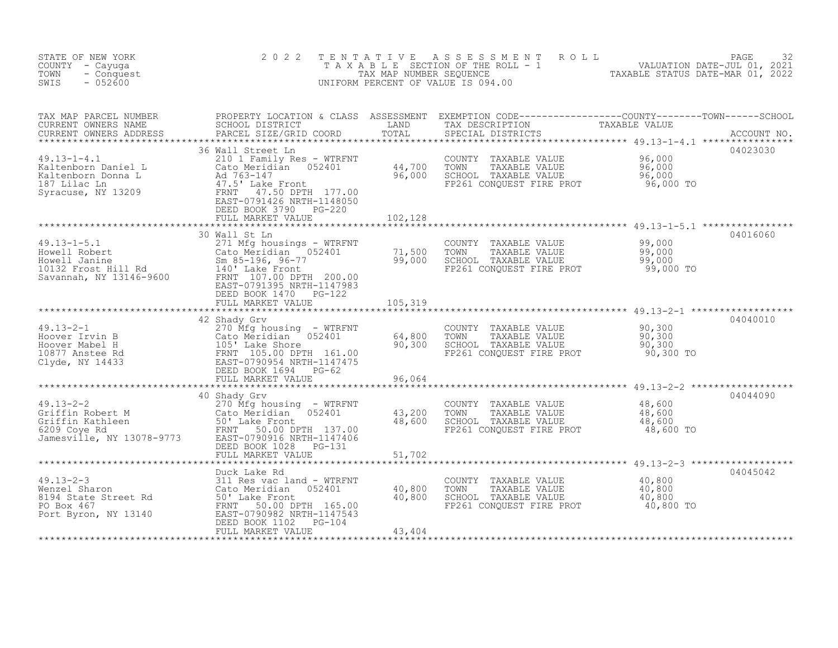| STATE OF NEW YORK<br>COUNTY - Cayuga<br>TOWN<br>- Conquest<br>SWIS<br>$-052600$                                                                                                                                                                                          | 2 0 2 2                                                                                                                                                                          | TENTATIVE        | ASSESSMENT ROLL<br>UNIFORM PERCENT OF VALUE IS 094.00                                                                           | PAGE<br>32<br>TAXABLE SECTION OF THE ROLL - 1 WALUATION DATE-JUL 01, 2021<br>TAXABLE STATUS DATE-MAR 01, 2022                                                                                                                        |  |
|--------------------------------------------------------------------------------------------------------------------------------------------------------------------------------------------------------------------------------------------------------------------------|----------------------------------------------------------------------------------------------------------------------------------------------------------------------------------|------------------|---------------------------------------------------------------------------------------------------------------------------------|--------------------------------------------------------------------------------------------------------------------------------------------------------------------------------------------------------------------------------------|--|
| TAX MAP PARCEL NUMBER<br>CURRENT OWNERS NAME<br>CURRENT OWNERS ADDRESS                                                                                                                                                                                                   |                                                                                                                                                                                  |                  |                                                                                                                                 | PROPERTY LOCATION & CLASS ASSESSMENT EXEMPTION CODE----------------COUNTY--------TOWN------SCHOOL<br>SCHOOL DISTRICT               LAND       TAX DESCRIPTION         TAXABLE VALUE<br>PARCEL SIZE/GRID COORD       TOTAL     SPECIA |  |
| 49.13-1-4.1<br>Kaltenborn Daniel L (Cato Meridian US2401<br>Kaltenborn Donna L (Ad 763-147<br>187 Lilac Ln (Ad 763-147 H)<br>Syracuse, NY 13209<br>EAST-0791426 NRTH-1148050<br>FEN POOK 3790 PG-220                                                                     | 36 Wall Street Ln<br>210 1 Family Res - WTRFNT<br>Cato Meridian 052401 44,700 TOWN<br>Ad 763-147<br>47.5' Lake Front 96,000 SCHOOL<br>DEED BOOK 3790 PG-220<br>FULL MARKET VALUE | 102,128          | COUNTY TAXABLE VALUE $96,000$<br>TOWN TAXABLE VALUE 96,000<br>SCHOOL TAXABLE VALUE 96,000<br>FP261 CONQUEST FIRE PROT 96,000 TO | 04023030                                                                                                                                                                                                                             |  |
|                                                                                                                                                                                                                                                                          |                                                                                                                                                                                  |                  |                                                                                                                                 |                                                                                                                                                                                                                                      |  |
| 49.13-1-5.1<br>Howell Robert<br>Howell Janine<br>10132 Frost Hill Rd<br>Savannah, NY 13146-9600<br>Howell Janine<br>Savannah, NY 13146-9600<br>FRANT 107.00 DPTH 200.00<br>FRANT 107.00 DPTH 200.00<br>FRANT 107.00 DPTH 200.00<br>FRANT 107.00 D                        | 30 Wall St Ln<br>EAST-0791395 NRTH-1147983                                                                                                                                       |                  | COUNTY TAXABLE VALUE $99,000$<br>TOWN TAXABLE VALUE 99,000<br>SCHOOL TAXABLE VALUE 99,000<br>FP261 CONQUEST FIRE PROT 99,000 TO | 04016060                                                                                                                                                                                                                             |  |
|                                                                                                                                                                                                                                                                          | DEED BOOK 1470    PG-122<br>FULL MARKET VALUE                                                                                                                                    | 105,319          |                                                                                                                                 |                                                                                                                                                                                                                                      |  |
|                                                                                                                                                                                                                                                                          |                                                                                                                                                                                  |                  |                                                                                                                                 |                                                                                                                                                                                                                                      |  |
| $49.13 - 2 - 1$<br>49.13-2-1<br>Hoover Irvin B<br>Hoover Mabel H<br>1057 Anstee Rd<br>Clyde, NY 14433<br>FRNT 105.00 DPTH 161.00<br>EAST-0790954 NRTH-1147475<br>EAST-0790954 NRTH-1147475<br>EED BOOK 1694<br>EER RATH-1147475<br>DEED BOOK 1694<br>DEED BOOK 1694<br>P | 42 Shady Grv<br>270 Mfg housing - WTRFNT                                                                                                                                         | 64,800<br>90,300 | COUNTY TAXABLE VALUE<br>TOWN TAXABLE VALUE<br>SCHOOL TAXABLE VALUE 50,300<br>FP261 CONQUEST FIRE PROT                           | 04040010<br>90,300<br>90,300 TO                                                                                                                                                                                                      |  |
|                                                                                                                                                                                                                                                                          | FULL MARKET VALUE                                                                                                                                                                | 96,064           |                                                                                                                                 |                                                                                                                                                                                                                                      |  |
| 49.13-2-2<br>Griffin Robert M<br>Griffin Kathleen<br>6209 Coye Rd<br>Jamesville, NY 13078-9773<br>FRNT 50.00 DPTH 137.00<br>EAST-0790916 NRTH-1147406<br>FRNT 50.00 DPTH 137.00<br>EAST-0790916 NRTH-1147406<br>PEED BOOK 1028<br>PC-131                                 |                                                                                                                                                                                  |                  | COUNTY TAXABLE VALUE 48,600<br>TOWN<br>TAXABLE VALUE<br>SCHOOL TAXABLE VALUE 18,600<br>FP261 CONQUEST FIRE PROT 48,600 TO       | 04044090<br>48,600                                                                                                                                                                                                                   |  |
|                                                                                                                                                                                                                                                                          | FULL MARKET VALUE                                                                                                                                                                | 51,702           |                                                                                                                                 |                                                                                                                                                                                                                                      |  |
|                                                                                                                                                                                                                                                                          | Duck Lake Rd                                                                                                                                                                     |                  |                                                                                                                                 | 04045042                                                                                                                                                                                                                             |  |
| 49.13-2-3<br>Wenzel Sharon<br>8194 State Street Rd<br>8194 State Street Rd<br>8194 State Street Rd<br>8194 State Street Rd<br>8194 State Street Rd<br>80' Lake Front<br>80' Lake Front<br>80' Lake Front<br>80' Lake Front<br>80' Lake Front<br>80' La                   |                                                                                                                                                                                  | 40,800<br>40,800 | COUNTY TAXABLE VALUE 40,800<br>TOWN TAXABLE VALUE 40,800<br>SCHOOL TAXABLE VALUE 40,800<br>FP261 CONQUEST FIRE PROT 40,800 TO   |                                                                                                                                                                                                                                      |  |
|                                                                                                                                                                                                                                                                          | FULL MARKET VALUE                                                                                                                                                                | 43,404           |                                                                                                                                 |                                                                                                                                                                                                                                      |  |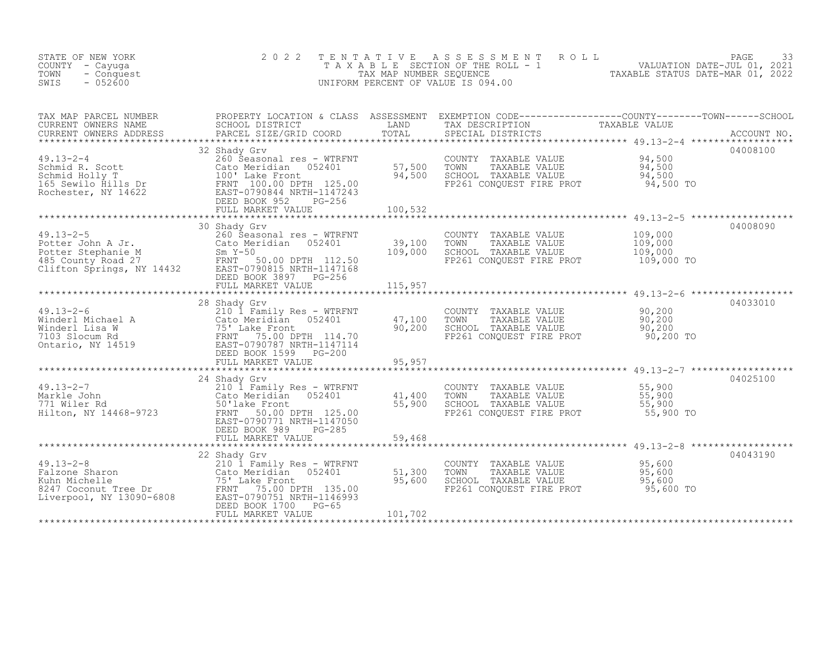| STATE OF NEW YORK<br>COUNTY - Cayuga<br>TOWN<br>- Conquest<br>SWIS<br>$-052600$                                                                                                                                                                                                                                                                                                                                      | 2 0 2 2           |         | TENTATIVE ASSESSMENT ROLL PACE 33<br>TAXABLE SECTION OF THE ROLL - 1 VALUATION DATE-JUL 01, 2021<br>TAX MAP NUMBER SEQUENCE TAXABLE STATUS DATE-MAR 01, 2022<br>UNIFORM PERCENT OF VALUE IS 094.00       |          |
|----------------------------------------------------------------------------------------------------------------------------------------------------------------------------------------------------------------------------------------------------------------------------------------------------------------------------------------------------------------------------------------------------------------------|-------------------|---------|----------------------------------------------------------------------------------------------------------------------------------------------------------------------------------------------------------|----------|
| TAX MAP PARCEL NUMBER PROPERTY LOCATION & CLASS ASSESSMENT EXEMPTION CODE-----------------COUNTY--------TOWN------SCHOOL CURRENT OWNERS NAME SCHOOL DISTRICT LAND TAX DESCRIPTION TAXABLE VALUE<br>CURRENT OWNERS ADDRESS PARCEL                                                                                                                                                                                     |                   |         |                                                                                                                                                                                                          |          |
| $\begin{tabular}{lllllllllllll} \multicolumn{3}{c }{49.13-2-4} & 32\;\;{\rm Shady\;\;GVV}& 260\;\;{\rm So}{\rm Nochmid\;\;R.\;\;Scott}& 260\;\;{\rm Second}\;\;{\rm test\;\;N114622}& 94,500\;\;{\rm second}\;\;{\rm rest\;\;N214622}& 94,500\;\;{\rm second}\;\;{\rm and}\;\;100\;\;{\rm Lake\;\;{\rm Frontt}& 94,500& 70\;\;{\rm NNAE}\;\;{\rm VALUE}& 94,500\;\;{\rm SNAUE}& 9$                                   | 32 Shady Grv      |         |                                                                                                                                                                                                          | 04008100 |
|                                                                                                                                                                                                                                                                                                                                                                                                                      |                   |         |                                                                                                                                                                                                          |          |
|                                                                                                                                                                                                                                                                                                                                                                                                                      | 30 Shady Grv      |         |                                                                                                                                                                                                          | 04008090 |
|                                                                                                                                                                                                                                                                                                                                                                                                                      |                   |         |                                                                                                                                                                                                          |          |
|                                                                                                                                                                                                                                                                                                                                                                                                                      | 28 Shady Grv      |         |                                                                                                                                                                                                          | 04033010 |
|                                                                                                                                                                                                                                                                                                                                                                                                                      |                   |         |                                                                                                                                                                                                          |          |
| 49.13-2-7<br>Markle John (11,400)<br>771 Wiler Rd (1468-9723)<br>ERNT 50.00 DPTH 125.00<br>FRNT 50.00 DPTH 125.00<br>EAST-0790771 NRTH-1147050<br>EAST-0790771 NRTH-1147050<br>EED BOOK 989<br>PEILL MARKET VALUE<br>FIILL MARKET VALUE (1500)<br>                                                                                                                                                                   | 24 Shady Grv      |         |                                                                                                                                                                                                          | 04025100 |
|                                                                                                                                                                                                                                                                                                                                                                                                                      | 22 Shady Grv      |         |                                                                                                                                                                                                          | 04043190 |
| $\begin{tabular}{l l l l} \multicolumn{1}{c}{49.13-2-8} & & & & 22\text{ Shady Grv} \\ \texttt{False} & & & 210\text{ 1 Family Res -- WTRENT} & & 51,300 \\ \texttt{Kuhn Michelle} & & & 75^\circ\text{ Lake Front} & & 95,600 \\ \texttt{8247 Cocount Tree Dr} & & & \texttt{FRNT} & 75.00 DPTH & 135.00 \\ \texttt{Liverpool, NY 13090-6808} & & & \texttt{ERNT} & 75.00 DPTH 135.00 \\ & & & & 95,600 \\ \texttt$ | FULL MARKET VALUE | 101,702 | COUNTY TAXABLE VALUE $\begin{array}{ccc} 95,600 \ 70\text{WN} & \text{TAXABLE VALUE} & 95,600 \ \text{SCHOOL} & \text{TAXABLE VALUE} & 95,600 \ \text{FP261 CONQUEST FIRST PROT} & 95,600 \ \end{array}$ |          |
|                                                                                                                                                                                                                                                                                                                                                                                                                      |                   |         |                                                                                                                                                                                                          |          |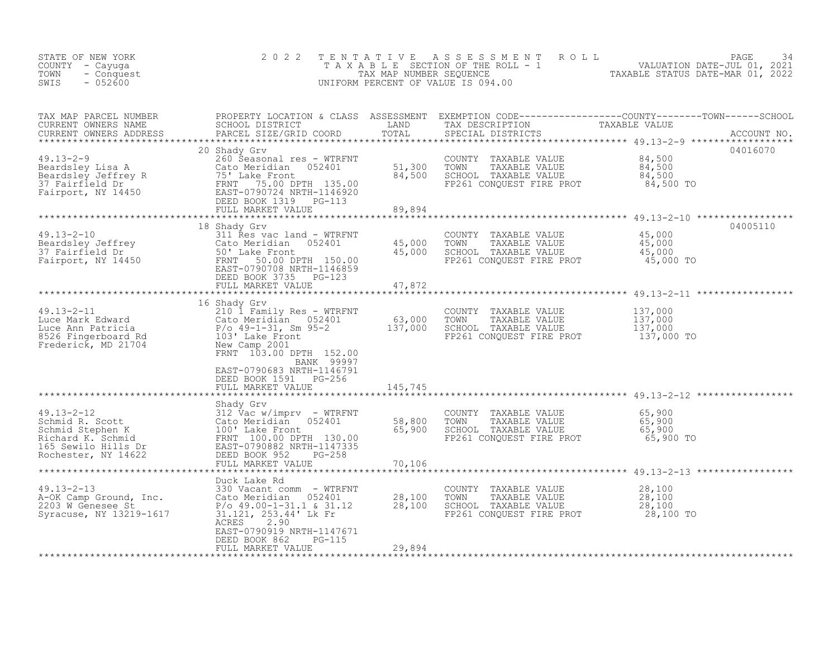| STATE OF NEW YORK<br>COUNTY – Cayuga<br>- Conquest<br>TOWN<br>SWIS<br>$-052600$                                                                                                                                                                       | 2 0 2 2                                                                                                                                                                                             |                                      | TENTATIVE ASSESSMENT ROLL PACE 34<br>TAXABLE SECTION OF THE ROLL - 1 VALUATION DATE-JUL 01, 2021<br>TAXABLE STATUS DATE-MAR 01, 2022<br>UNIFORM PERCENT OF VALUE IS 094.00 |                                         |             |
|-------------------------------------------------------------------------------------------------------------------------------------------------------------------------------------------------------------------------------------------------------|-----------------------------------------------------------------------------------------------------------------------------------------------------------------------------------------------------|--------------------------------------|----------------------------------------------------------------------------------------------------------------------------------------------------------------------------|-----------------------------------------|-------------|
|                                                                                                                                                                                                                                                       | PARCEL SIZE/GRID COORD                                                                                                                                                                              |                                      | SPECIAL DISTRICTS                                                                                                                                                          |                                         | ACCOUNT NO. |
| 49.13-2-9<br>Beardsley Lisa A<br>Beardsley Jeffrey R<br>Tairfield Dr<br>Fairport, NY 14450<br>Fairport, NY 14450<br>Fairport, NY 14450<br>The ERST-0790724 NRTH-1146920<br>DEED BOOK 1319<br>PG-113<br>FILL MARKET VALUE<br>FRANCER VALUE<br>FRANCE V | 20 Shady Grv                                                                                                                                                                                        |                                      | COUNTY TAXABLE VALUE<br>TAXABLE VALUE<br>TOWN<br>SCHOOL TAXABLE VALUE<br>FP261 CONQUEST FIRE PROT                                                                          | 84,500<br>84,500<br>84,500<br>84,500 TO | 04016070    |
|                                                                                                                                                                                                                                                       | 18 Shady Grv<br>311 Res vac land - WTRFNT                                                                                                                                                           |                                      |                                                                                                                                                                            |                                         | 04005110    |
| Beardsley Jeffrey<br>Beardsley Jeffrey<br>37 Fairfield Dr (50' Lake Front<br>Fairport, NY 14450 (EAST-0790708 NRTH-1146859<br>EAST-0790708 NRTH-1146859<br>DEED ROOK 3735                                                                             | FULL MARKET VALUE                                                                                                                                                                                   | 45,000<br>45,000<br>45,000<br>47,872 | COUNTY TAXABLE VALUE 45,000<br>TOWN TAXABLE VALUE 45,000<br>SCHOOL TAXABLE VALUE 45,000<br>FP261 CONQUEST FIRE PROT                                                        | 45,000 TO                               |             |
|                                                                                                                                                                                                                                                       |                                                                                                                                                                                                     |                                      |                                                                                                                                                                            |                                         |             |
| 10 SHARE VALUE 10 SHARE VALUE 2010 1 Family Res - WTRFNT<br>Luce Mark Edward 210 1 Family Res - WTRFNT<br>Luce Ann Patricia 2000 Produce 2010 2010 1 Family Res - MONE 2010<br>Example VALUE 2010 2010 131, Sm 95-2<br>Frederick, MD 2                |                                                                                                                                                                                                     |                                      | FP261 CONQUEST FIRE PROT 137,000 TO                                                                                                                                        | 137,000<br>137,000<br>137,000           |             |
|                                                                                                                                                                                                                                                       | BANK 99997<br>EAST-0790683 NRTH-1146791<br>DEED BOOK 1591 PG-256<br>FULL MARKET VALUE                                                                                                               | 145,745                              |                                                                                                                                                                            |                                         |             |
| 99.13-2-12<br>Shady Gr Mervimprv - WTRFNT<br>Schmid R. Scott<br>Schmid Stephen K<br>Richard K. Schmid<br>100' Lake Front<br>Richard K. Schmid<br>165 Sewilo Hills Dr<br>Rochester, NY 14622<br>PEILL MARKET VALUE<br>FILL MARKET VALUE<br>PEILL MARK  | Shady Grv                                                                                                                                                                                           | 58,800<br>65,900                     | COUNTY TAXABLE VALUE<br>CONNT TAXABLE VALUE 65,900<br>SCHOOL TAXABLE VALUE 65,900<br>65,900<br>FP261 CONQUEST FIRE PROT                                                    | 65,900<br>65,900 TO                     |             |
|                                                                                                                                                                                                                                                       | FULL MARKET VALUE                                                                                                                                                                                   | 70,106                               |                                                                                                                                                                            |                                         |             |
| Profile and March 2013<br>A-OK Camp Ground, Inc.<br>2203 W Genesee St.<br>Syracuse My 10000 P/o 49 00 10000<br>Syracuse, NY 13219-1617                                                                                                                | Duck Lake Rd<br>330 Vacant comm - WTRFNT<br>am – WTRFNT<br>052401 28,100<br>1.1 & 31.12 28,100<br>$P/O$ 49.00-1-31.1 & 31.12<br>31.121, 253.44' Lk Fr<br>ACRES<br>2.90<br>EAST-0790919 NRTH-1147671 |                                      | COUNTY TAXABLE VALUE $28,100$<br>TOWN TAXABLE VALUE $28,100$<br>SCHOOL TAXABLE VALUE 28,100<br>FP261 CONQUEST FIRE PROT 28,100 TO                                          |                                         |             |
|                                                                                                                                                                                                                                                       | PG-115<br>DEED BOOK 862<br>FULL MARKET VALUE                                                                                                                                                        | 29,894                               |                                                                                                                                                                            |                                         |             |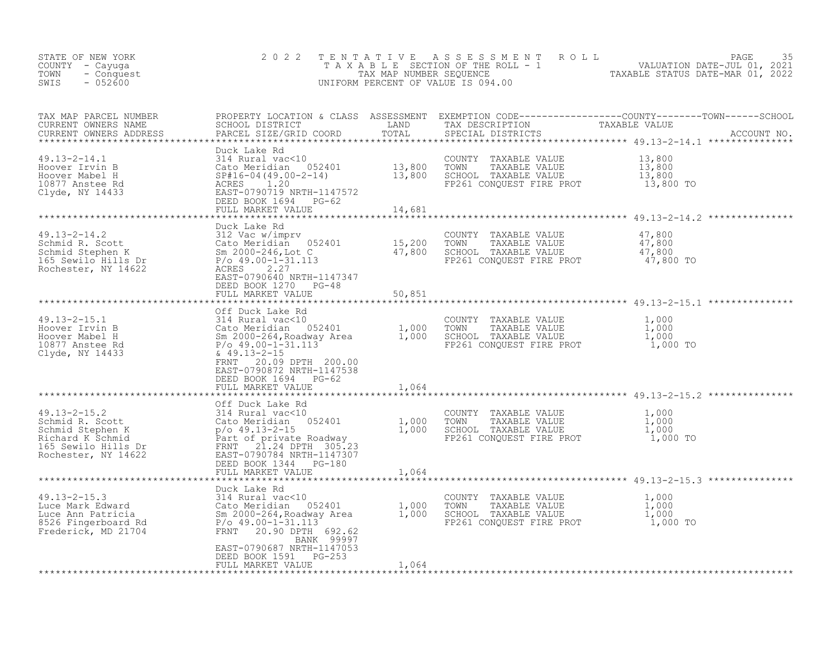| STATE OF NEW YORK<br>COUNTY - Cayuga<br>TOWN<br>- Conquest<br>$-052600$<br>SWIS                                                                                                                                                                                                                                                                                                                                                                                                          | 2 0 2 2                                                                        |        | UNIFORM PERCENT OF VALUE IS 094.00                                                                                  | TENTATIVE ASSESSMENT ROLL PACE 35<br>TAXABLE SECTION OF THE ROLL - 1 VALUATION DATE-JUL 01, 2021<br>TAXABLE STATUS DATE-MAR 01, 2022 |
|------------------------------------------------------------------------------------------------------------------------------------------------------------------------------------------------------------------------------------------------------------------------------------------------------------------------------------------------------------------------------------------------------------------------------------------------------------------------------------------|--------------------------------------------------------------------------------|--------|---------------------------------------------------------------------------------------------------------------------|--------------------------------------------------------------------------------------------------------------------------------------|
| TAX MAP PARCEL NUMBER<br>CURRENT OWNERS NAME<br>CURRENT OWNERS ADDRESS<br>**************************                                                                                                                                                                                                                                                                                                                                                                                     |                                                                                |        | SPECIAL DISTRICTS                                                                                                   |                                                                                                                                      |
| And M9.13-2-14.1<br>Hoover Irvin B<br>Hoover Mabel H<br>10877 Anstee Rd<br>Clyde, NY 14433<br>Clyde, NY 14433<br>ASST-0790719 NRTH-1147572<br>DEED BOOK 1694<br>PG-62<br>FIIT MARKET VALUE<br>PHIG-04 (49.00-2-14)<br>13,800<br>21,800<br>21,800<br>21,800                                                                                                                                                                                                                               |                                                                                |        | COUNTY TAXABLE VALUE<br>TOWN<br>TAXABLE VALUE<br>SCHOOL TAXABLE VALUE<br>FP261 CONQUEST FIRE PROT                   | 13,800<br>13,800<br>13,800<br>13,800 TO                                                                                              |
|                                                                                                                                                                                                                                                                                                                                                                                                                                                                                          |                                                                                |        |                                                                                                                     |                                                                                                                                      |
| $\begin{array}{lllllllllllllllllllll} \end{array} & \begin{array}{lllllllllllll} \text{~~\quad} & \text{~~\quad} & \text{~~\quad} & \text{~~\quad} & \text{~~\quad} & \text{~~\quad} & \text{~~\quad} & \text{~~\quad} & \text{~~\quad} & \text{~~\quad} & \text{~~\quad} & \text{~~\quad} & \text{~~\quad} & \text{~~\quad} & \text{~~\quad} & \text{~~\quad} & \text{~~\quad} & \text{~~\quad} & \text{~~\quad} & \text{~~\quad} & \text{~~\quad} & \text{~~\quad} & \text{~~\quad} &$ |                                                                                |        |                                                                                                                     |                                                                                                                                      |
|                                                                                                                                                                                                                                                                                                                                                                                                                                                                                          | EAST-0790640 NRTH-1147347<br>DEED BOOK 1270 PG-48<br>FULL MARKET VALUE         | 50,851 |                                                                                                                     |                                                                                                                                      |
|                                                                                                                                                                                                                                                                                                                                                                                                                                                                                          | 20.09 DPTH 200.00<br>FRNT<br>EAST-0790872 NRTH-1147538<br>DEED BOOK 1694 PG-62 |        | COUNTY TAXABLE VALUE<br>SCHOOL TAXABLE VALUE<br>FP261 CONQUEST FIRE PROT 1,000 TO                                   | $1,000$<br>$1,000$<br>$1,000$                                                                                                        |
|                                                                                                                                                                                                                                                                                                                                                                                                                                                                                          | FULL MARKET VALUE                                                              | 1,064  |                                                                                                                     |                                                                                                                                      |
| 49.13-2-15.2<br>Schmid R. Scott<br>Schmid Stephen K<br>Richard K Schmid<br>1,000<br>Richard K Schmid<br>1,000<br>Richard K Schmid<br>1,000<br>Part of private Roadway<br>Part of private Roadway<br>FRNT<br>21.24 DPTH 305.23<br>Rochester, NY 14622<br>EA                                                                                                                                                                                                                               | Off Duck Lake Rd<br>DEED BOOK 1344 PG-180<br>FULL MARKET VALUE                 | 1,064  | COUNTY TAXABLE VALUE<br>TOWN<br>TAXABLE VALUE<br>SCHOOL TAXABLE VALUE<br>FP261 CONQUEST FIRE PROT 1,000 TO          | 1,000<br>1,000<br>1,000                                                                                                              |
|                                                                                                                                                                                                                                                                                                                                                                                                                                                                                          |                                                                                |        |                                                                                                                     |                                                                                                                                      |
| Luce Mark Edward<br>Luce Ann Patricia<br>Euce Ann Patricia<br>8526 Fingerboard Rd<br>8526 Fingerboard Rd<br>8526 Fingerboard Rd<br>87200-1-31.113<br>8720-1-31.113<br>8720-1-31.113<br>8720-1-31.113<br>892.62                                                                                                                                                                                                                                                                           | Duck Lake Rd<br>BANK 99997                                                     |        | COUNTY TAXABLE VALUE<br>TOWN TAXABLE VALUE 1,000<br>SCHOOL TAXABLE VALUE 1,000<br>FP261 CONQUEST FIRE PROT 1,000 TO | $\frac{1}{1}$ , 000                                                                                                                  |
|                                                                                                                                                                                                                                                                                                                                                                                                                                                                                          | EAST-0790687 NRTH-1147053<br>DEED BOOK 1591 PG-253<br>FULL MARKET VALUE        | 1,064  |                                                                                                                     |                                                                                                                                      |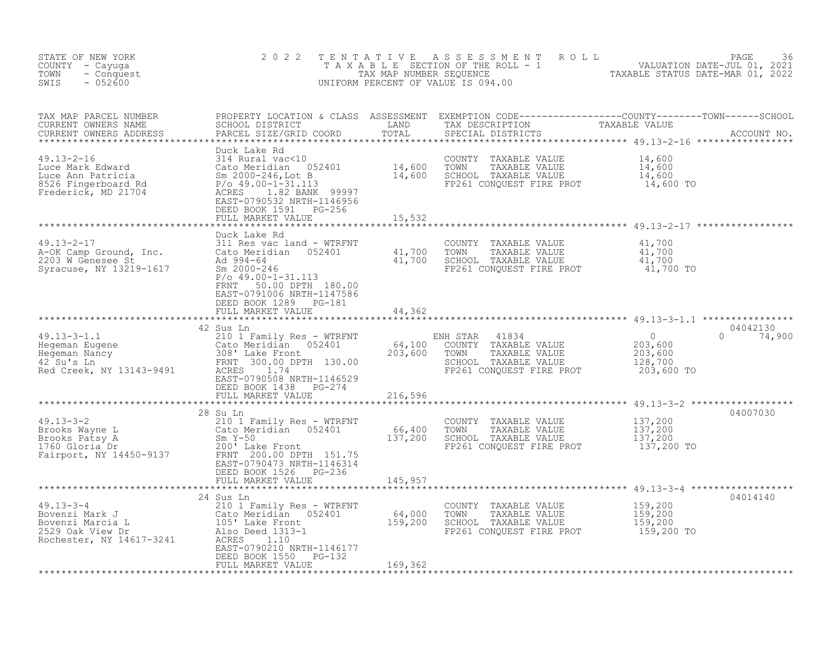| STATE OF NEW YORK<br>COUNTY - Cayuga<br>- Conquest<br>TOWN<br>$-052600$<br>SWIS                                                                                                                                                                                                                                                                                                                                                                                                  | 2 0 2 2                                                                                                                 |         |                                                                                                                                                       | TENTATIVE ASSESSMENT ROLL PAGE 36<br>TAXABLE SECTION OF THE ROLL - 1 VALUATION DATE-JUL 01, 2021<br>TAX MAP NUMBER SEQUENCE TAXABLE STATUS DATE-MAR 01, 2022<br>UNIFORM PERCENT OF VALUE IS 094.00 |
|----------------------------------------------------------------------------------------------------------------------------------------------------------------------------------------------------------------------------------------------------------------------------------------------------------------------------------------------------------------------------------------------------------------------------------------------------------------------------------|-------------------------------------------------------------------------------------------------------------------------|---------|-------------------------------------------------------------------------------------------------------------------------------------------------------|----------------------------------------------------------------------------------------------------------------------------------------------------------------------------------------------------|
|                                                                                                                                                                                                                                                                                                                                                                                                                                                                                  |                                                                                                                         |         |                                                                                                                                                       |                                                                                                                                                                                                    |
| 49.13-2-16<br>Luce Mark Edward 214 Rural vac<10<br>Luce Ann Patricia Sm 2000-246, Lot B<br>8526 Fingerboard Rd<br>Frederick, MD 21704<br>RABLE VALUE<br>8526 Fingerboard Rd<br>$P/O$ 49.00-1-31.113<br>RABLE VALUE<br>8526 Fingerboard Rd<br>$P/O$                                                                                                                                                                                                                               | Duck Lake Rd<br>EAST-0790532 NRTH-1146956<br>DEED BOOK 1591 PG-256<br>FULL MARKET VALUE                                 | 15,532  | COUNTY TAXABLE VALUE $14,600$<br>TOWN TAXABLE VALUE $14,600$<br>SCHOOL TAXABLE VALUE $14,600$<br>FP261 CONQUEST FIRE PROT $14,600$ TO                 |                                                                                                                                                                                                    |
|                                                                                                                                                                                                                                                                                                                                                                                                                                                                                  | Duck Lake Rd<br>$P/O$ 49.00-1-31.113<br>FRNT<br>50.00 DPTH 180.00<br>EAST-0791006 NRTH-1147586<br>DEED BOOK 1289 PG-181 |         |                                                                                                                                                       |                                                                                                                                                                                                    |
|                                                                                                                                                                                                                                                                                                                                                                                                                                                                                  | FULL MARKET VALUE<br>*****************************                                                                      | 44,362  |                                                                                                                                                       |                                                                                                                                                                                                    |
| $\begin{tabular}{lllllllllllll} \multicolumn{3}{c}{\begin{tabular}{l} $49.13$--3$--1.1$} & $$\text{``} & $\text{``} & $\text{``} & $\text{``} & $\text{``} & $\text{``} & $\text{``} & $\text{``} & $\text{``} & $\text{``} & $\text{``} & $\text{``} & $\text{``} & $\text{``} & $\text{``} & $\text{``} & $\text{``} & $\text{``} & $\text{``} & $\text{``} & $\text{``} & $\text{``} & $\text{``} & $\text{``} & $\text{``} & $\text{``} & $\text{``} & $\text{``} & $\text{$ |                                                                                                                         |         | ENH STAR 41834 0<br>COUNTY TAXABLE VALUE 203,600<br>TOWN TAXABLE VALUE 203,600<br>SCHOOL TAXABLE VALUE 128,700<br>FP261 CONQUEST FIRE PROT 203,600 TO | 04042130<br>$0 \t 74,900$                                                                                                                                                                          |
|                                                                                                                                                                                                                                                                                                                                                                                                                                                                                  | EAST-0790508 NRTH-1146529<br>DEED BOOK 1438 PG-274                                                                      |         |                                                                                                                                                       |                                                                                                                                                                                                    |
|                                                                                                                                                                                                                                                                                                                                                                                                                                                                                  | FULL MARKET VALUE 216,596                                                                                               |         |                                                                                                                                                       |                                                                                                                                                                                                    |
|                                                                                                                                                                                                                                                                                                                                                                                                                                                                                  | EAST-0790473 NRTH-1146314<br>DEED BOOK 1526 PG-236<br>FULL MARKET VALUE                                                 | 145,957 |                                                                                                                                                       | 04007030                                                                                                                                                                                           |
| 49.13-3-2<br>Arold My Res - WTRFNT<br>Brooks Wayne L Cato Meridian 052401<br>Brooks Patsy A Sm Y-50<br>1760 Gloria Dr 200 Lake Front<br>Fairport, NY 14450-9137<br>Fairport, NY 14450-9137<br>Arold My 200.00 DPTH 151.75<br>Fairport, NY 1445                                                                                                                                                                                                                                   |                                                                                                                         |         |                                                                                                                                                       | ************************************* 49.13-3-4 *******************                                                                                                                                |
| 24 Sus In<br>24 Sus In COUNTY TAXABLE VALUE<br>21 Octo Meridian 052401 64,000 TOWN TAXABLE VALUE 159,200<br>2529 Oak View Dr also Deed 1313-1 159,200 SCHOOL TAXABLE VALUE 159,200<br>2529 Oak View Dr Also Deed 1313-1 116177<br>Roches                                                                                                                                                                                                                                         | 24 Sus Ln<br>EAST-0790210 NRTH-1146177<br>DEED BOOK 1550 PG-132<br>FULL MARKET VALUE                                    | 169,362 |                                                                                                                                                       | 04014140                                                                                                                                                                                           |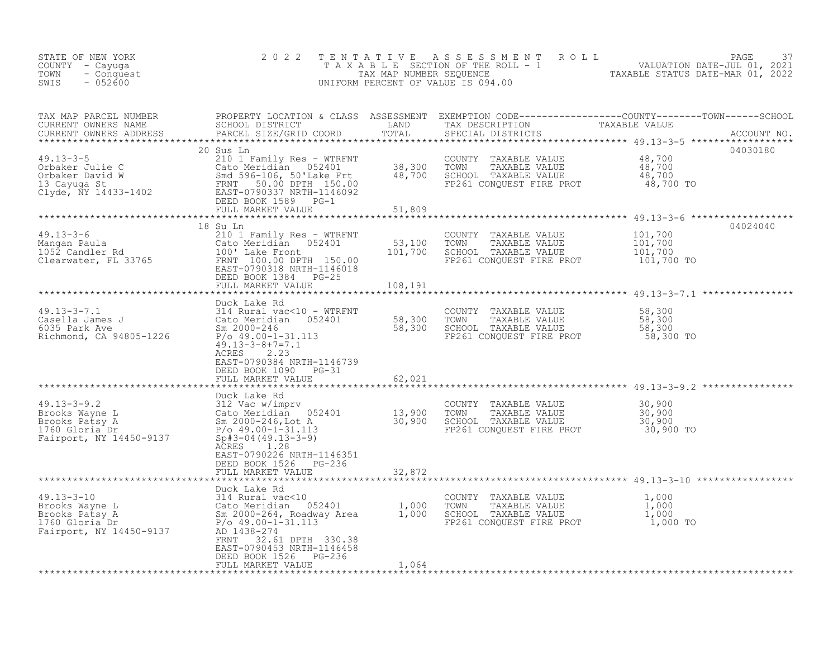| STATE OF NEW YORK<br>COUNTY - Cayuga<br>TOWN<br>- Conquest<br>$-052600$<br>SWIS                                                                                                                                                                                      | 2 0 2 2                                                                                                                                                       | TENTATIVE                    | UNIFORM PERCENT OF VALUE IS 094.00                                                                                        |                                                                                                                                                                                                                                      |
|----------------------------------------------------------------------------------------------------------------------------------------------------------------------------------------------------------------------------------------------------------------------|---------------------------------------------------------------------------------------------------------------------------------------------------------------|------------------------------|---------------------------------------------------------------------------------------------------------------------------|--------------------------------------------------------------------------------------------------------------------------------------------------------------------------------------------------------------------------------------|
| TAX MAP PARCEL NUMBER<br>CURRENT OWNERS NAME<br>CURRENT OWNERS ADDRESS                                                                                                                                                                                               | PARCEL SIZE/GRID COORD                                                                                                                                        |                              | SPECIAL DISTRICTS                                                                                                         | PROPERTY LOCATION & CLASS ASSESSMENT EXEMPTION CODE----------------COUNTY--------TOWN------SCHOOL<br>SCHOOL DISTRICT               LAND       TAX DESCRIPTION         TAXABLE VALUE<br>PARCEL SIZE/GRID COORD       TOTAL       SPEC |
| $49.13 - 3 - 5$<br>49.13-3-5<br>Orbaker Julie C<br>13 Cayuga St<br>13 Cayuga St<br>210 1 Family Res - WTRFNT<br>210 1 Family Res - WTRFNT<br>210 1 Family Res - WTRFNT<br>210 1 Family Res - WTRFNT<br>210 1 Family Res - WTRFNT<br>210 1 Family Res - WTRFNT<br>210 | 20 Sus Ln<br>210 1 Family Res - WTRFNT<br>210 - Familian 192401 - 112 - 38,300<br>Smd 596-106, 50'Lake Frt 48,700<br>DEED BOOK 1589 PG-1<br>FULL MARKET VALUE |                              | COUNTY TAXABLE VALUE<br>TOWN TAXABLE VALUE<br>SCHOOL TAXABLE VALUE<br>FP261 CONQUEST FIRE PROT                            | 04030180<br>48,700<br>48,700<br>48,700<br>48,700 TO                                                                                                                                                                                  |
|                                                                                                                                                                                                                                                                      |                                                                                                                                                               | 51,809                       |                                                                                                                           |                                                                                                                                                                                                                                      |
| $49.13 - 3 - 6$<br>Mangan Paula<br>1052 Candler Rd 100' Lake Front 1052 Candler Rd 100' Lake Front 150.00 FRNT 100.00 DPTH 150.00 EAST-0790318 NRTH-1146018                                                                                                          | 18 Su Ln<br>210 1 Family Res - WTRFNT<br>052401<br>DEED BOOK 1384 PG-25<br>FULL MARKET VALUE                                                                  | 53,100<br>101,700<br>108,191 | COUNTY TAXABLE VALUE<br>TOWN<br>TAXABLE VALUE<br>SCHOOL TAXABLE VALUE<br>FP261 CONQUEST FIRE PROT                         | 04024040<br>101,700<br>$\frac{1}{2}$ 01, 700<br>101,700<br>101,700 TO                                                                                                                                                                |
|                                                                                                                                                                                                                                                                      | Duck Lake Rd                                                                                                                                                  |                              |                                                                                                                           |                                                                                                                                                                                                                                      |
| $49.13 - 3 - 7.1$<br>49.13-3-7.1<br>Casella James J (and Samphy Cato Meridian 052401 58,300<br>6035 Park Ave Sm 2000-246 58,300<br>Richmond, CA 94805-1226 $\frac{P}{0.49.00-1-31.113}$                                                                              | 314 Rural vac<10 - WTRFNT<br>$49.13 - 3 - 8 + 7 = 7.1$<br>ACRES<br>2.23<br>EAST-0790384 NRTH-1146739<br>DEED BOOK 1090 PG-31                                  |                              | COUNTY TAXABLE VALUE<br>TOWN<br>TAXABLE VALUE<br>SCHOOL TAXABLE VALUE<br>SCHOOL TAXABLE VALUE<br>FP261 CONQUEST FIRE PROT | 58,300<br>58,300<br>58,300<br>58,300 TO                                                                                                                                                                                              |
|                                                                                                                                                                                                                                                                      | FULL MARKET VALUE                                                                                                                                             | 62,021                       |                                                                                                                           |                                                                                                                                                                                                                                      |
| 49.13-3-9.2<br>Brooks Wayne L<br>Brooks Patsy A<br>13,900<br>13,900<br>13,900<br>13,900<br>2000-246, Lot A<br>2000-246, Lot A<br>2000-246, Lot A<br>30,900<br>760 Gloria Dr<br>Fairport, NY 14450-9137<br>$\frac{5p+3-04(49.13-3-9)}{3-3-9}$                         | Duck Lake Rd<br>ACRES 1.28<br>EAST-0790226 NRTH-1146351<br>DEED BOOK 1526 PG-236                                                                              |                              | COUNTY TAXABLE VALUE<br>TOWN<br>TAXABLE VALUE<br>SCHOOL TAXABLE VALUE<br>FP261 CONQUEST FIRE PROT                         | 30,900<br>$\frac{30}{900}$<br>30,900 TO                                                                                                                                                                                              |
|                                                                                                                                                                                                                                                                      | FULL MARKET VALUE                                                                                                                                             | 32,872                       |                                                                                                                           |                                                                                                                                                                                                                                      |
| 49.13-3-10<br>Brooks Wayne L<br>Brooks Patsy A<br>1,000<br>1,000<br>1,000<br>1,000<br>1,000<br>1,000<br>1,000<br>2,000-264, Roadway Area<br>2,000-264, Roadway Area<br>2,000-264, Roadway Area<br>2,000<br>2,000-1-31.113<br>P/o 49.00-1-31.113<br>AD 1438-274       | Duck Lake Rd<br>FRNT<br>32.61 DPTH 330.38<br>EAST-0790453 NRTH-1146458<br>DEED BOOK 1526<br>PG-236                                                            |                              | TOWN TAXABLE VALUE<br>SCHOOL TAXABLE VALUE<br>FP261 CONOUEST EILE<br>FP261 CONQUEST FIRE PROT T, 000 TO                   | $\frac{1}{1}$ ,000<br>1,000<br>1,000                                                                                                                                                                                                 |
|                                                                                                                                                                                                                                                                      | FULL MARKET VALUE                                                                                                                                             | 1,064                        |                                                                                                                           |                                                                                                                                                                                                                                      |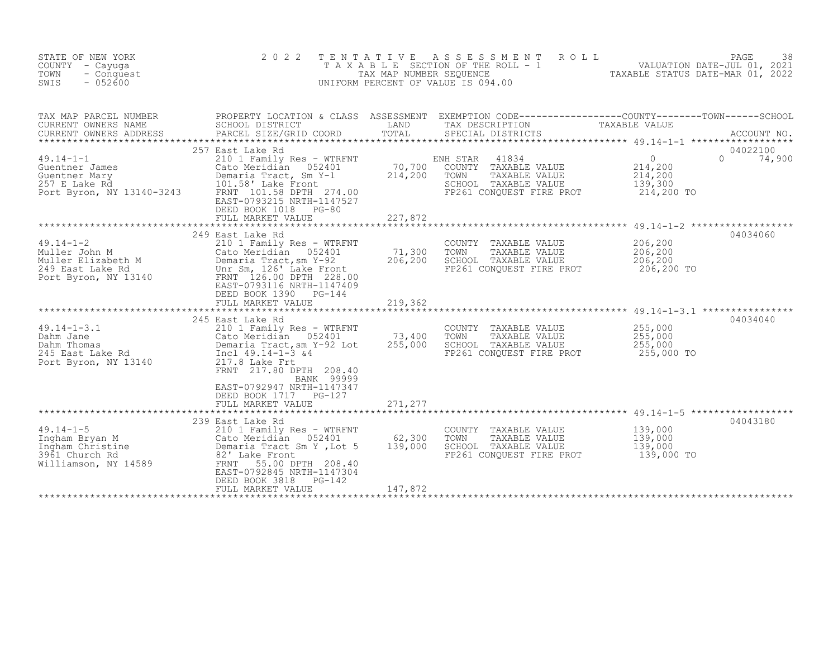| STATE OF NEW YORK<br>COUNTY - Cayuqa<br>TOWN<br>- Conquest<br>SWIS<br>$-052600$                                                                                                              | 2 0 2 2                                                                                                                                                                                                                                                                                                             | T E N T A T I V E<br>TAX MAP NUMBER SEQUENCE  | A S S E S S M E N T<br>T A X A B L E SECTION OF THE ROLL - 1<br>UNIFORM PERCENT OF VALUE IS 094.00                                                             | PAGE 38<br>VALUATION DATE-JUL 01, 2021<br>TAXABLE STATIS DATE MASS 201                                                                                                                                                       |
|----------------------------------------------------------------------------------------------------------------------------------------------------------------------------------------------|---------------------------------------------------------------------------------------------------------------------------------------------------------------------------------------------------------------------------------------------------------------------------------------------------------------------|-----------------------------------------------|----------------------------------------------------------------------------------------------------------------------------------------------------------------|------------------------------------------------------------------------------------------------------------------------------------------------------------------------------------------------------------------------------|
| TAX MAP PARCEL NUMBER<br>CURRENT OWNERS NAME<br>CURRENT OWNERS ADDRESS<br>$49.14 - 1 - 1$<br>Guentner James<br>Guentner Mary<br>$12110 - 3243$<br>257 E Lake Rd<br>Port Byron, NY 13140-3243 | SCHOOL DISTRICT<br>PARCEL SIZE/GRID COORD<br>257 East Lake Rd<br>210 1 Family Res - WTRFNT<br>Cato Meridian<br>052401<br>Demaria Tract, Sm Y-1<br>101.58' Lake Front<br>FRNT 101.58 DPTH 274.00<br>EAST-0793215 NRTH-1147527<br>DEED BOOK 1018<br>PG-80<br>FULL MARKET VALUE                                        | LAND<br>TOTAL<br>70,700<br>214,200<br>227,872 | TAX DESCRIPTION<br>SPECIAL DISTRICTS<br>41834<br>ENH STAR<br>COUNTY TAXABLE VALUE<br>TOWN<br>TAXABLE VALUE<br>SCHOOL TAXABLE VALUE<br>FP261 CONQUEST FIRE PROT | PROPERTY LOCATION & CLASS ASSESSMENT EXEMPTION CODE----------------COUNTY-------TOWN------SCHOOL<br>TAXABLE VALUE<br>ACCOUNT NO.<br>04022100<br>$\circ$<br>$\Omega$<br>74,900<br>214,200<br>214,200<br>139,300<br>214,200 TO |
| $49.14 - 1 - 2$<br>Muller John M<br>Muller Elizabeth M<br>249 East Lake Rd<br>Port Byron, NY 13140                                                                                           | 249 East Lake Rd<br>210 1 Family Res - WTRFNT<br>Cato Meridian 052401<br>Demaria Tract, sm Y-92<br>Unr Sm, 126' Lake Front<br>FRNT 126.00 DPTH 228.00<br>EAST-0793116 NRTH-1147409<br>DEED BOOK 1390<br>$PG-144$<br>FULL MARKET VALUE                                                                               | 71,300<br>206,200<br>219,362                  | COUNTY TAXABLE VALUE<br>TAXABLE VALUE<br>TOWN<br>SCHOOL TAXABLE VALUE<br>FP261 CONQUEST FIRE PROT                                                              | 04034060<br>206,200<br>206,200<br>206,200<br>206,200 TO                                                                                                                                                                      |
| $49.14 - 1 - 3.1$<br>Dahm Jane<br>Dahm Thomas<br>245 East Lake Rd<br>Port Byron, NY 13140                                                                                                    | 245 East Lake Rd<br>210 1 Family Res - WTRFNT<br>Cato Meridian 052401<br>Cato Meridian<br>Demaria Tract, sm )<br>Incl 49.14-1-3 &4<br>117.0 7.1<br>Demaria Tract, sm Y-92 Lot<br>217.8 Lake Frt<br>FRNT 217.80 DPTH 208.40<br>BANK 99999<br>EAST-0792947 NRTH-1147347<br>DEED BOOK 1717 PG-127<br>FULL MARKET VALUE | 73,400<br>255,000<br>271,277                  | COUNTY TAXABLE VALUE<br>TOWN<br>TAXABLE VALUE<br>SCHOOL TAXABLE VALUE<br>FP261 CONQUEST FIRE PROT                                                              | 04034040<br>255,000<br>255,000<br>255,000<br>255,000 TO                                                                                                                                                                      |
| $49.14 - 1 - 5$<br>3961 Church Rd<br>Williamson, NY 14589                                                                                                                                    | 239 East Lake Rd<br>210 1 Family Res - WTRFNT<br>82' Lake Front<br>55.00 DPTH 208.40<br>FRNT<br>EAST-0792845 NRTH-1147304<br>DEED BOOK 3818<br>PG-142<br>FULL MARKET VALUE                                                                                                                                          | 62,300<br>139,000<br>147,872                  | COUNTY TAXABLE VALUE<br>TOWN<br>TAXABLE VALUE<br>SCHOOL TAXABLE VALUE<br>FP261 CONOUEST FIRE PROT                                                              | 04043180<br>139,000<br>139,000<br>139,000<br>139,000 TO                                                                                                                                                                      |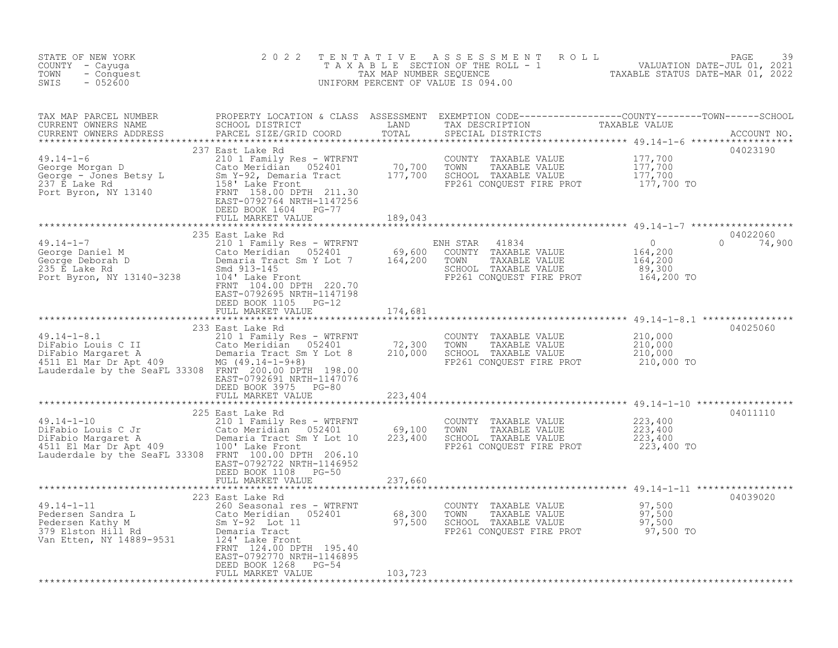| STATE OF NEW YORK<br>COUNTY - Cayuga<br>TOWN - Conquest<br>SWIS - 052600                                                                                                                                                                                         | 2 0 2 2                                                                      |         | TENTATIVE ASSESSMENT ROLL PACE 39<br>TAXABLE SECTION OF THE ROLL - 1 VALUATION DATE-JUL 01, 2021<br>TAX MAP NUMBER SEQUENCE TAXABLE STATUS DATE-MAR 01, 2022<br>UNIFORM PERCENT OF VALUE IS 094.00 |                                     |
|------------------------------------------------------------------------------------------------------------------------------------------------------------------------------------------------------------------------------------------------------------------|------------------------------------------------------------------------------|---------|----------------------------------------------------------------------------------------------------------------------------------------------------------------------------------------------------|-------------------------------------|
| TAX MAP PARCEL NUMBER PROPERTY LOCATION & CLASS ASSESSMENT EXEMPTION CODE-----------------COUNTY--------TOWN------SCHOOL SCHOOL DISTRICT LAND TAX DESCRIPTION TAXABLE VALUE<br>CURRENT OWNERS ADDRESS PARCEL SIZE/GRID COORD TOTA                                |                                                                              |         |                                                                                                                                                                                                    |                                     |
|                                                                                                                                                                                                                                                                  |                                                                              |         |                                                                                                                                                                                                    | 04023190                            |
| 19.14-1-7<br>235 East Lake Rd<br>235 East Lake Rd<br>Ceorge Daniel M<br>Ceorge Daniel M<br>Ceorge Daniel M<br>Ceorge Daniel M<br>Ceorge Daniel M<br>Ceorge Daniel M<br>Ceorge Daniel M<br>Ceorge Daniel M<br>Ceorge Daniel M<br>Ceorge Daniel M<br>Ceorg         | FRNT 104.00 DPTH 220.70<br>EAST-0792695 NRTH-1147198<br>DEED BOOK 1105 PG-12 |         |                                                                                                                                                                                                    | 04022060<br>$0\qquad \qquad 74,900$ |
|                                                                                                                                                                                                                                                                  | FULL MARKET VALUE 174,681                                                    |         |                                                                                                                                                                                                    |                                     |
|                                                                                                                                                                                                                                                                  | EAST-0792691 NRTH-1147076<br>DEED BOOK 3975 PG-80<br>FULL MARKET VALUE       | 223,404 |                                                                                                                                                                                                    | 04025060                            |
| 19.14-1-10<br>225 East Lake Rd<br>225 East Lake Rd<br>225 East Lake Rd<br>225 East Lake Rd<br>226 East Lake Rd<br>226 East Lake Rd<br>226 East Lake Rd<br>223,400<br>223,400<br>223,400<br>223,400<br>223,400<br>223,400<br>223,400<br>223,400<br>223,400<br>223 | EAST-0792722 NRTH-1146952<br>DEED BOOK 1108 PG-50<br>FULL MARKET VALUE       | 237,660 |                                                                                                                                                                                                    | 04011110                            |
|                                                                                                                                                                                                                                                                  |                                                                              |         |                                                                                                                                                                                                    | 04039020                            |
|                                                                                                                                                                                                                                                                  | EAST-0792770 NRTH-1146895<br>DEED BOOK 1268 PG-54<br>FULL MARKET VALUE       | 103,723 |                                                                                                                                                                                                    |                                     |
|                                                                                                                                                                                                                                                                  |                                                                              |         |                                                                                                                                                                                                    |                                     |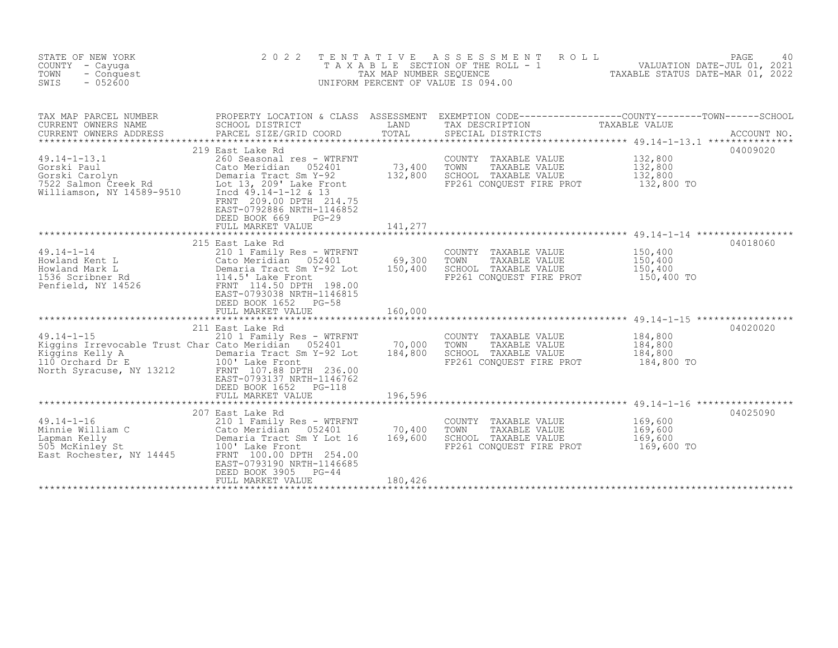| STATE OF NEW YORK<br>COUNTY - Cayuga<br>TOWN<br>- Conquest<br>$-052600$<br>SWIS                                                            | 2 0 2 2                                                                                                                                                                                                                                                    | T E N T A T I V E<br>TAX MAP NUMBER SEQUENCE | A S S E S S M E N T<br>ROLL<br>T A X A B L E SECTION OF THE ROLL - 1<br>UNIFORM PERCENT OF VALUE IS 094.00 | PAGE<br>40<br>VALUATION DATE-JUL 01, 2021<br>TAXABLE STATUS DATE-MAR 01, 2022                                                   |
|--------------------------------------------------------------------------------------------------------------------------------------------|------------------------------------------------------------------------------------------------------------------------------------------------------------------------------------------------------------------------------------------------------------|----------------------------------------------|------------------------------------------------------------------------------------------------------------|---------------------------------------------------------------------------------------------------------------------------------|
| TAX MAP PARCEL NUMBER<br>CURRENT OWNERS NAME<br>CURRENT OWNERS ADDRESS                                                                     | SCHOOL DISTRICT<br>PARCEL SIZE/GRID COORD                                                                                                                                                                                                                  | LAND<br>TOTAL                                | TAX DESCRIPTION<br>SPECIAL DISTRICTS                                                                       | PROPERTY LOCATION & CLASS ASSESSMENT EXEMPTION CODE----------------COUNTY-------TOWN-----SCHOOL<br>TAXABLE VALUE<br>ACCOUNT NO. |
| $49.14 - 1 - 13.1$<br>Gorski Paul<br>Gorski Carolyn<br>$7522$ Salmon Creek Rd<br>Williamson, NY 14589-9510                                 | 219 East Lake Rd<br>260 Seasonal res - WTRFNT<br>Cato Meridian 052401<br>Demaria Tract Sm Y-92<br>Lot 13, 209' Lake Front<br>Incd 49.14-1-12 & 13<br>FRNT 209.00 DPTH 214.75<br>EAST-0792886 NRTH-1146852<br>DEED BOOK 669<br>$PG-29$<br>FULL MARKET VALUE | 73,400<br>132,800<br>141,277                 | COUNTY TAXABLE VALUE<br>TOWN<br>TAXABLE VALUE<br>SCHOOL TAXABLE VALUE<br>FP261 CONQUEST FIRE PROT          | 04009020<br>132,800<br>132,800<br>132,800<br>132,800 TO                                                                         |
|                                                                                                                                            | 215 East Lake Rd                                                                                                                                                                                                                                           |                                              |                                                                                                            | 04018060                                                                                                                        |
| $49.14 - 1 - 14$<br>Howland Kent L<br>Howland Mark L<br>1536 Scribner Rd<br>Penfield, NY 14526                                             | 210 1 Family Res - WTRFNT<br>Cato Meridian<br>052401<br>Demaria Tract Sm Y-92 Lot<br>114.5' Lake Front<br>FRNT 114.50 DPTH 198.00<br>EAST-0793038 NRTH-1146815<br>DEED BOOK 1652<br>$PG-58$                                                                | 69,300<br>150,400                            | COUNTY TAXABLE VALUE<br>TOWN<br>TAXABLE VALUE<br>SCHOOL TAXABLE VALUE<br>FP261 CONQUEST FIRE PROT          | 150,400<br>150,400<br>150,400<br>150,400 TO                                                                                     |
|                                                                                                                                            | FULL MARKET VALUE                                                                                                                                                                                                                                          | 160,000                                      |                                                                                                            |                                                                                                                                 |
| $49.14 - 1 - 15$<br>Kiggins Irrevocable Trust Char Cato Meridian 052401<br>Kiggins Kelly A<br>110 Orchard Dr E<br>North Syracuse, NY 13212 | 211 East Lake Rd<br>210 1 Family Res - WTRFNT<br>Demaria Tract Sm Y-92 Lot<br>100' Lake Front<br>FRNT 107.88 DPTH 236.00<br>EAST-0793137 NRTH-1146762<br>DEED BOOK 1652 PG-118<br>FULL MARKET VALUE                                                        | 70,000<br>184,800<br>196,596                 | COUNTY<br>TAXABLE VALUE<br>TOWN<br>TAXABLE VALUE<br>SCHOOL TAXABLE VALUE<br>FP261 CONQUEST FIRE PROT       | ***********************************49.14-1-15 ******************<br>04020020<br>184,800<br>184,800<br>184,800<br>184,800 TO     |
|                                                                                                                                            |                                                                                                                                                                                                                                                            |                                              |                                                                                                            | ******************************** 49.14-1-16 *****************                                                                   |
| $49.14 - 1 - 16$<br>Minnie William C<br>Lapman Kelly<br>505 McKinley St<br>East Rochester, NY 14445                                        | 207 East Lake Rd<br>210 1 Family Res - WTRFNT<br>Cato Meridian 052401<br>Demaria Tract Sm Y Lot 16<br>100' Lake Front<br>FRNT 100.00 DPTH 254.00<br>EAST-0793190 NRTH-1146685<br>DEED BOOK 3905<br>$PG-44$<br>FULL MARKET VALUE                            | 70,400<br>169,600<br>180,426                 | COUNTY TAXABLE VALUE<br>TOWN<br>TAXABLE VALUE<br>SCHOOL TAXABLE VALUE<br>FP261 CONOUEST FIRE PROT          | 04025090<br>169,600<br>169,600<br>169,600<br>169,600 TO                                                                         |
|                                                                                                                                            |                                                                                                                                                                                                                                                            |                                              |                                                                                                            |                                                                                                                                 |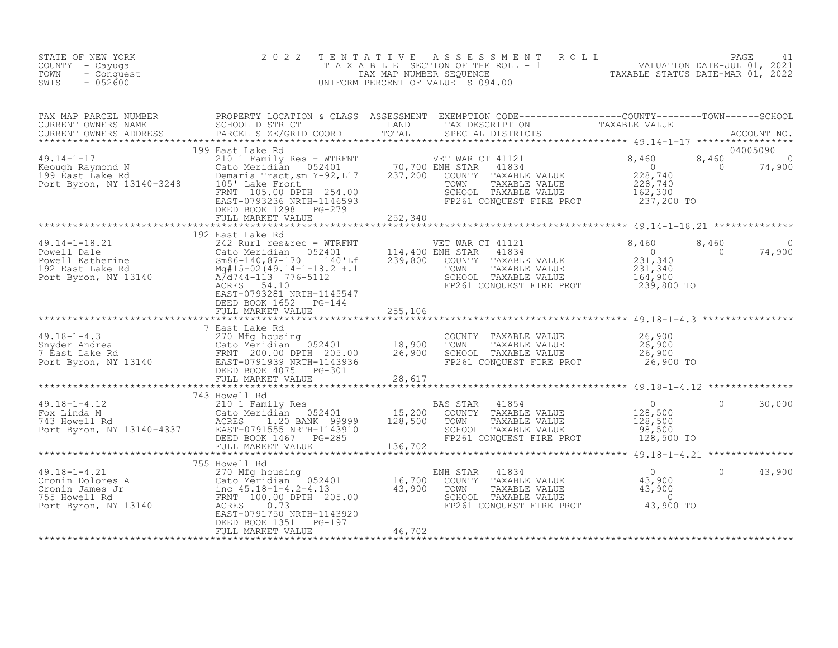| STATE OF NEW YORK<br>COUNTY - Cayuga<br>TOWN<br>- Conquest<br>SWIS<br>$-052600$                                                                                                                                                                            | 2 0 2 2 | TENTATIVE ASSESSMENT ROLL PACE 41<br>TAXABLE SECTION OF THE ROLL - 1 VALUATION DATE-JUL 01, 2021<br>TAX MAP NUMBER SEQUENCE TAXABLE STATUS DATE-MAR 01, 2022<br>UNIFORM PERCENT OF VALUE IS 094.00 |                          |
|------------------------------------------------------------------------------------------------------------------------------------------------------------------------------------------------------------------------------------------------------------|---------|----------------------------------------------------------------------------------------------------------------------------------------------------------------------------------------------------|--------------------------|
| TAX MAP PARCEL NUMBER PROPERTY LOCATION & CLASS ASSESSMENT EXEMPTION CODE-----------------COUNTY--------TOWN------SCHOOL SCHOOL DISTRICT LAND TAX DESCRIPTION TAXABLE VALUE<br>CURRENT OWNERS ADDRESS PARCEL SIZE/GRID COORD TOTA                          |         |                                                                                                                                                                                                    |                          |
|                                                                                                                                                                                                                                                            |         |                                                                                                                                                                                                    |                          |
| 199 East Lake Rd<br>199 East Lake Rd<br>210 1 Family Res - WTRFNT<br>210 1 Family Res - WTRFNT<br>220 1 Family Res - WTRFNT<br>237,200 ENDITY TAXABLE VALUE<br>228,740<br>228,740<br>228,740<br>228,740<br>228,740<br>228,740<br>228,740<br>228,740<br>228 |         |                                                                                                                                                                                                    |                          |
|                                                                                                                                                                                                                                                            |         |                                                                                                                                                                                                    |                          |
|                                                                                                                                                                                                                                                            |         |                                                                                                                                                                                                    |                          |
|                                                                                                                                                                                                                                                            |         |                                                                                                                                                                                                    |                          |
|                                                                                                                                                                                                                                                            |         |                                                                                                                                                                                                    |                          |
| 19.18-1-4.3<br>270 Mfg housing<br>270 Mfg housing<br>270 Mfg housing<br>270 Mfg housing<br>270 Mfg housing<br>270 Mfg housing<br>270 Mfg housing<br>270 Mfg housing<br>270 Mfg housing<br>270 Mfg housing<br>270 Mfg housing<br>270 Mfg housing<br>270 M   |         |                                                                                                                                                                                                    |                          |
|                                                                                                                                                                                                                                                            |         |                                                                                                                                                                                                    |                          |
| AN ARREST AND 19 ASSEMBLE VALUE 128,500<br>TAS HOWELL RAND CALO METALLIC 210 I Family Res<br>TAS HOWELL RAND ACRES 1.20 BANK 99999 128,500 TOWN TAXABLE VALUE 128,500<br>POR Byron, NY 13140-4337 EAST-0791555 NRTH-1143910<br>FOLL MA                     |         |                                                                                                                                                                                                    |                          |
|                                                                                                                                                                                                                                                            |         |                                                                                                                                                                                                    |                          |
|                                                                                                                                                                                                                                                            |         |                                                                                                                                                                                                    | $\overline{0}$<br>43,900 |
|                                                                                                                                                                                                                                                            |         |                                                                                                                                                                                                    |                          |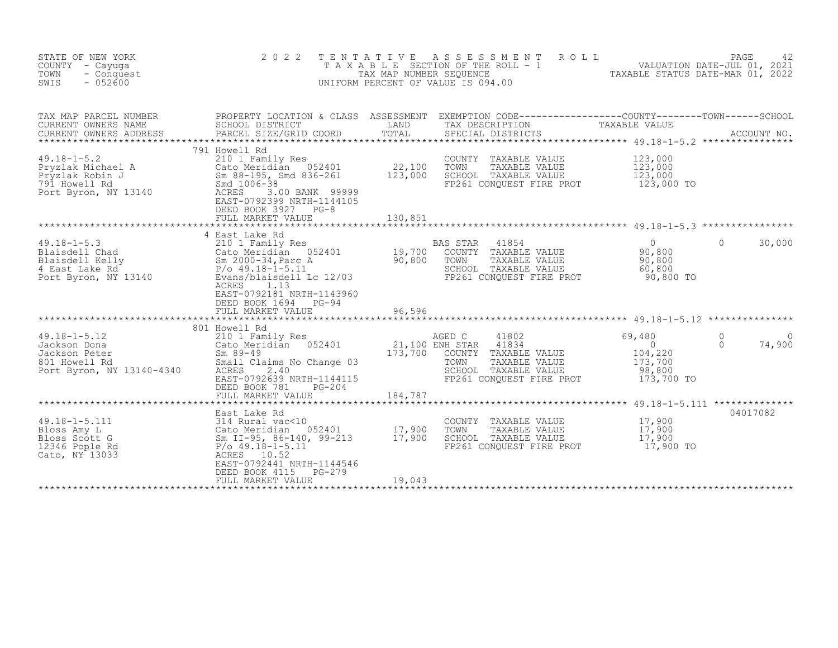| STATE OF NEW YORK<br>COUNTY - Cayuga<br>TOWN<br>- Conquest<br>SWIS<br>$-052600$                                                                              | 2 0 2 2<br>TAXABLE                                                                                                                                                                                      | TENTATIVE<br>TAX MAP NUMBER SEQUENCE | ASSESSMENT<br>SECTION OF THE ROLL - 1<br>UNIFORM PERCENT OF VALUE IS 094.00                                                                                                              | 24 PAGE<br>VALUATION DATE-JUL 01, 2021<br>TAXABLE STATIIS DATE-MAD 01  | 42                                         |
|--------------------------------------------------------------------------------------------------------------------------------------------------------------|---------------------------------------------------------------------------------------------------------------------------------------------------------------------------------------------------------|--------------------------------------|------------------------------------------------------------------------------------------------------------------------------------------------------------------------------------------|------------------------------------------------------------------------|--------------------------------------------|
| TAX MAP PARCEL NUMBER<br>CURRENT OWNERS NAME<br>CURRENT OWNERS ADDRESS                                                                                       | SCHOOL DISTRICT<br>PARCEL SIZE/GRID COORD                                                                                                                                                               | LAND<br>TOTAL<br>*********           | PROPERTY LOCATION & CLASS ASSESSMENT EXEMPTION CODE----------------COUNTY-------TOWN-----SCHOOL<br>TAX DESCRIPTION<br>SPECIAL DISTRICTS<br>********************************* 49.18-1-5.2 | TAXABLE VALUE                                                          | ACCOUNT NO.                                |
| $49.18 - 1 - 5.2$<br>Pryzlak Michael A<br>Pryzlak Robin J<br>791 Howell Rd<br>791 Howell Rd<br>Port Byron, NY 13140                                          | 791 Howell Rd<br>210 1 Family Res<br>Cato Meridian 052401<br>Sm 88-195, Smd 836-261<br>Smd 1006-38<br>ACRES<br>3.00 BANK 99999<br>EAST-0792399 NRTH-1144105<br>DEED BOOK 3927 PG-8<br>FULL MARKET VALUE | 22,100<br>123,000<br>130,851         | COUNTY<br>TAXABLE VALUE<br>TOWN<br>TAXABLE VALUE<br>SCHOOL TAXABLE VALUE<br>FP261 CONQUEST FIRE PROT                                                                                     | 123,000<br>123,000<br>123,000<br>123,000 TO                            |                                            |
|                                                                                                                                                              |                                                                                                                                                                                                         |                                      |                                                                                                                                                                                          |                                                                        |                                            |
| $49.18 - 1 - 5.3$<br>Blaisdell Chad<br>Blaisdell Kelly<br>4 East Lake Rd<br>4 East Lake Rd<br>P/o 49.18-1-5.11<br>Port Byron, NY 13140<br>Evans/blaisdell Lc | 4 East Lake Rd<br>210 1 Family Res<br>Cato Meridian 052401<br>P/o 49.18-1-5.11<br>Evans/blaisdell Lc 12/03<br>ACRES<br>1.13<br>EAST-0792181 NRTH-1143960<br>DEED BOOK 1694<br>$PG-94$                   | 19,700<br>90,800                     | BAS STAR<br>41854<br>COUNTY TAXABLE VALUE<br>TOWN<br>TAXABLE VALUE<br>SCHOOL TAXABLE VALUE<br>FP261 CONQUEST FIRE PROT                                                                   | $\overline{0}$<br>90,800<br>90,800<br>60,800<br>90,800 TO              | 30,000<br>$\Omega$                         |
|                                                                                                                                                              | FULL MARKET VALUE                                                                                                                                                                                       | 96,596                               |                                                                                                                                                                                          |                                                                        |                                            |
|                                                                                                                                                              | 801 Howell Rd                                                                                                                                                                                           |                                      | ********************************* 49.18-1-5.12 ***************                                                                                                                           |                                                                        |                                            |
| $49.18 - 1 - 5.12$<br>Jackson Dona<br>Jackson Peter<br>801 Howell Rd<br>Port Byron, NY 13140-4340                                                            | 210 1 Family Res<br>Cato Meridian 052401<br>$Sm 89 - 49$<br>Small Claims No Change 03<br>ACRES<br>2.40<br>EAST-0792639 NRTH-1144115<br>DEED BOOK 781<br>$PG-204$                                        | 173,700                              | AGED C<br>41802<br>21,100 ENH STAR<br>41834<br>COUNTY TAXABLE VALUE<br>TAXABLE VALUE<br>TOWN<br>SCHOOL TAXABLE VALUE<br>FP261 CONQUEST FIRE PROT                                         | 69,480<br>$\overline{0}$<br>104,220<br>173,700<br>98,800<br>173,700 TO | $\Omega$<br>$\Omega$<br>74,900<br>$\Omega$ |
|                                                                                                                                                              | FULL MARKET VALUE                                                                                                                                                                                       | 184,787                              |                                                                                                                                                                                          |                                                                        |                                            |
|                                                                                                                                                              | East Lake Rd                                                                                                                                                                                            |                                      |                                                                                                                                                                                          |                                                                        | 04017082                                   |
| $49.18 - 1 - 5.111$<br>Bloss Amy L<br>Bloss Scott G<br>12346 Pople Rd<br>Cato, NY 13033                                                                      | 314 Rural vac<10<br>Cato Meridian 052401<br>Sm II-95, 86-140, 99-213<br>$P/O$ 49.18-1-5.11<br>ACRES 10.52<br>EAST-0792441 NRTH-1144546<br>$PG-279$<br>DEED BOOK 4115                                    | 17,900<br>17,900                     | COUNTY TAXABLE VALUE<br>TOWN<br>TAXABLE VALUE<br>SCHOOL TAXABLE VALUE<br>FP261 CONQUEST FIRE PROT                                                                                        | 17,900<br>17,900<br>17,900<br>17,900 TO                                |                                            |
|                                                                                                                                                              | FULL MARKET VALUE                                                                                                                                                                                       | 19,043                               |                                                                                                                                                                                          |                                                                        |                                            |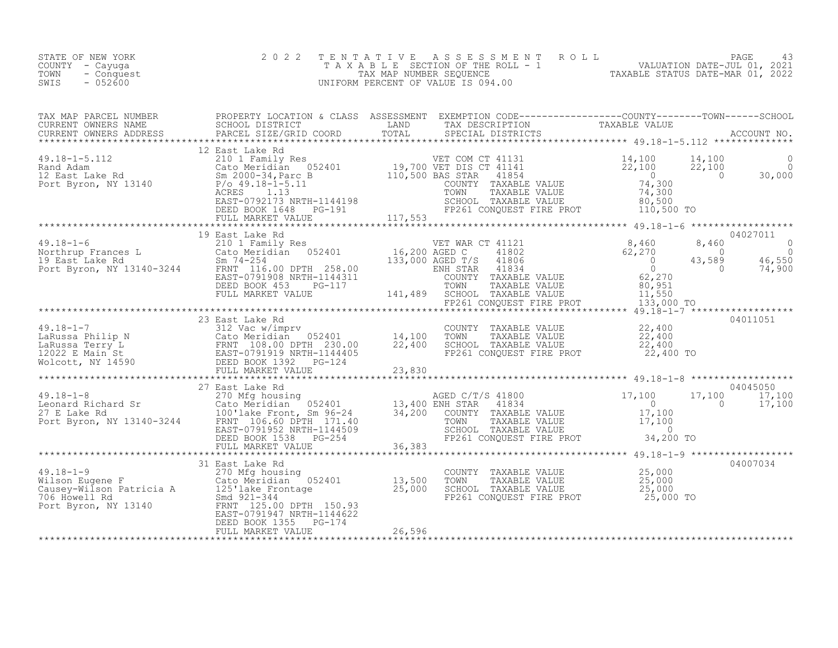| STATE OF NEW YORK<br>COUNTY - Cayuga<br>TOWN<br>- Conquest<br>SWIS<br>$-052600$ | 2 0 2 2 | TENTATIVE ASSESSMENT ROLL PAGE 43<br>TAXABLE SECTION OF THE ROLL - 1 VALUATION DATE-JUL 01, 2021<br>TAX MAP NUMBER SEQUENCE TAXABLE STATUS DATE-MAR 01, 2022<br>UNIFORM PERCENT OF VALUE IS 094.00 |  |  |
|---------------------------------------------------------------------------------|---------|----------------------------------------------------------------------------------------------------------------------------------------------------------------------------------------------------|--|--|
|                                                                                 |         |                                                                                                                                                                                                    |  |  |
|                                                                                 |         |                                                                                                                                                                                                    |  |  |
|                                                                                 |         |                                                                                                                                                                                                    |  |  |
|                                                                                 |         |                                                                                                                                                                                                    |  |  |
|                                                                                 |         |                                                                                                                                                                                                    |  |  |
|                                                                                 |         |                                                                                                                                                                                                    |  |  |
|                                                                                 |         |                                                                                                                                                                                                    |  |  |
|                                                                                 |         |                                                                                                                                                                                                    |  |  |
|                                                                                 |         |                                                                                                                                                                                                    |  |  |
|                                                                                 |         |                                                                                                                                                                                                    |  |  |
|                                                                                 |         |                                                                                                                                                                                                    |  |  |
|                                                                                 |         |                                                                                                                                                                                                    |  |  |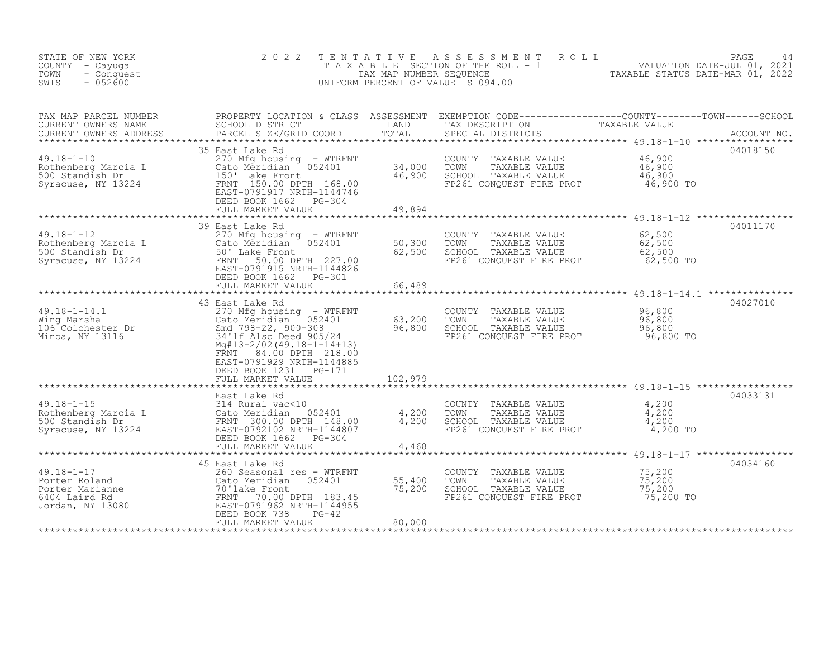| STATE OF NEW YORK<br>COUNTY - Cayuga<br>- Conquest<br>TOWN<br>$-052600$<br>SWIS                                                                                                                                  | 2 0 2 2                                                                                                                                                                                                                                                     | TENTATIVE                   | TENTATIVE ASSESSMENT ROLL MALUATION DATE-JUL 01, 2021<br>TAXABLE SECTION OF THE ROLL - 1 VALUATION DATE-JUL 01, 2021<br>TAXABLE STATUS DATE-MAR 01, 2022<br>INIEORM PERCENT OF VALUE IS 004.00<br>UNIFORM PERCENT OF VALUE IS 094.00 |                                                                                            |          |
|------------------------------------------------------------------------------------------------------------------------------------------------------------------------------------------------------------------|-------------------------------------------------------------------------------------------------------------------------------------------------------------------------------------------------------------------------------------------------------------|-----------------------------|--------------------------------------------------------------------------------------------------------------------------------------------------------------------------------------------------------------------------------------|--------------------------------------------------------------------------------------------|----------|
| TAX MAP PARCEL NUMBER<br>CURRENT OWNERS NAME<br>CURRENT OWNERS ADDRESS                                                                                                                                           |                                                                                                                                                                                                                                                             |                             | PROPERTY LOCATION & CLASS ASSESSMENT EXEMPTION CODE----------------COUNTY--------TOWN------SCHOOL<br>SCHOOL DISTRICT               LAND       TAX DESCRIPTION         TAXABLE VALUE<br>PARCEL SIZE/GRID COORD       TOTAL     SPECIA |                                                                                            |          |
| $49.18 - 1 - 10$<br>Rothenberg Marcia L<br>500 Standish Dr<br>Syracuse, NY 13224                                                                                                                                 | 35 East Lake Rd<br>270 Mfg housing - WTRFNT<br>Cato Meridian 052401<br>150' Lake Front<br>FRNT 150.00 DPTH 168.00<br>EAST-0791917 NRTH-1144746<br>DEED BOOK 1662 PG-304<br>FULL MARKET VALUE                                                                | 34,000<br>46,900<br>49,894  | COUNTY TAXABLE VALUE 46,900<br>TOWN TAXABLE VALUE 46,900<br>SCHOOL TAXABLE VALUE 46,900<br>FP261 CONQUEST FIRE PROT 46,900 TO                                                                                                        |                                                                                            | 04018150 |
| $49.18 - 1 - 12$<br>Pothenberg Marcia L<br>Sol Standish Dr. 50 Standish Dr. 50 Standish Dr. 50 Standish Dr. 50 Search 227.00<br>Syracuse, NY 13224 FRNT 50.00 DPTH 227.00                                        | 39 East Lake Rd<br>270 Mfg housing - WTRFNT<br>Cato Meridian 052401<br>EAST-0791915 NRTH-1144826<br>DEED BOOK 1662 PG-301<br>FULL MARKET VALUE                                                                                                              | 50,300<br>62,500<br>66,489  | COUNTY TAXABLE VALUE<br>TOWN<br>TAXABLE VALUE<br>SCHOOL TAXABLE VALUE<br>FP261 CONQUEST FIRE PROT 62,500 TO                                                                                                                          | 62,500<br>62,500<br>62,500                                                                 | 04011170 |
| $49.18 - 1 - 14.1$<br>Wing Marsha<br>106 Colchester Dr<br>Minoa, NY 13116                                                                                                                                        | 43 East Lake Rd<br>270 Mfg housing - WTRFNT<br>Cato Meridian 052401<br>Smd 798-22, 900-308<br>34'lf Also Deed 905/24<br>$Mq#13-2/02(49.18-1-14+13)$<br>FRNT 84.00 DPTH 218.00<br>EAST-0791929 NRTH-1144885<br>DEED BOOK 1231    PG-171<br>FULL MARKET VALUE | 63,200<br>96,800<br>102,979 | COUNTY TAXABLE VALUE<br>TOWN<br>TAXABLE VALUE<br>SCHOOL TAXABLE VALUE<br>FP261 CONQUEST FIRE PROT                                                                                                                                    | 96,800<br>$96,800$<br>96,800<br>96,800 TO                                                  | 04027010 |
| 49.18-1-15<br>2018 -1-15<br>Rothenberg Marcia L<br>500 Standish Dr<br>Syracuse, NY 13224<br>2018 -1010 -2102 DEED BOOK 1662<br>2018 -2102 NRTH-1144807<br>2018 -2102 DEED BOOK 1662<br>2019 -2102 DEED BOOK 1662 | East Lake Rd<br>FULL MARKET VALUE                                                                                                                                                                                                                           | 4,200<br>4,200<br>4,468     | COUNTY TAXABLE VALUE<br>TOWN<br>TAXABLE VALUE<br>SCHOOL TAXABLE VALUE<br>FP261 CONQUEST FIRE PROT                                                                                                                                    | 4,200<br>4,200<br>4,200<br>4,200 TO                                                        | 04033131 |
| $49.18 - 1 - 17$<br>Porter Roland<br>Porter Marianne<br>6404 Laird Rd<br>Jordan, NY 13080                                                                                                                        | 45 East Lake Rd<br>260 Seasonal res - WTRFNT<br>Cato Meridian 052401<br>70'lake Front<br>70'lake Front<br>FRNT 70.00 DPTH 183.45<br>EAST-0791962 NRTH-1144955<br>REFP PO91962 NRTH-1144955<br>DEED BOOK 738<br>$PG-42$<br>FULL MARKET VALUE                 | 55,400<br>75,200<br>80,000  | COUNTY TAXABLE VALUE<br>TAXABLE VALUE<br>TOWN<br>SCHOOL TAXABLE VALUE<br>FP261 CONQUEST FIRE PROT                                                                                                                                    | ***************** 49.18-1-17 ******************<br>75,200<br>75,200<br>75,200<br>75,200 TO | 04034160 |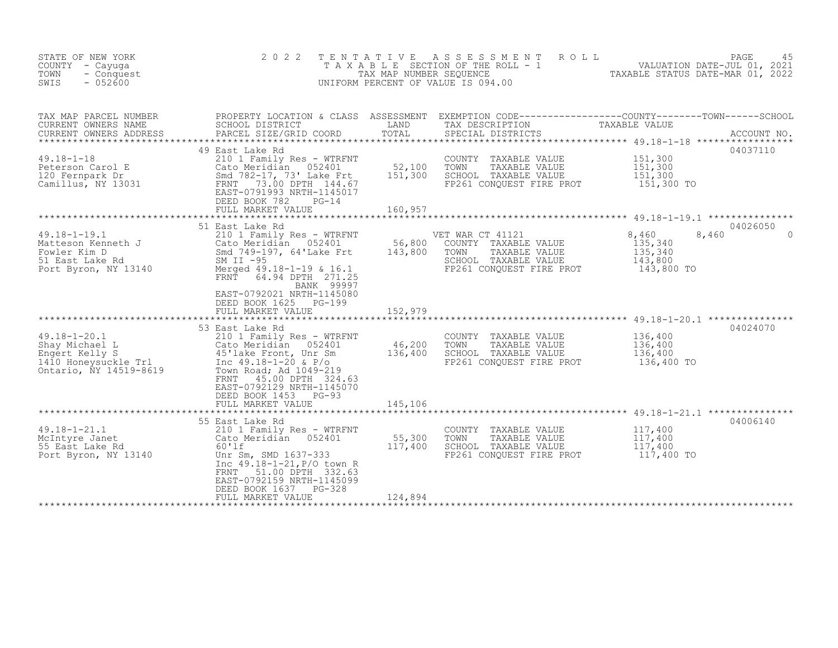| STATE OF NEW YORK<br>COUNTY - Cayuqa<br>TOWN<br>- Conquest<br>$-052600$<br>SWIS                          | 2 0 2 2                                                                                                                                                                                                                                                        | TENTATIVE<br>TAX MAP NUMBER SEQUENCE | A S S E S S M E N T<br>ROLL<br>TAXABLE SECTION OF THE ROLL - 1<br>UNIFORM PERCENT OF VALUE IS 094.00                                    | 45<br>VALUATION DATE-JUL 01, 2021<br>TAXABLE STATIIS DATE-MAD 01, 2000 | PAGE<br>45                    |
|----------------------------------------------------------------------------------------------------------|----------------------------------------------------------------------------------------------------------------------------------------------------------------------------------------------------------------------------------------------------------------|--------------------------------------|-----------------------------------------------------------------------------------------------------------------------------------------|------------------------------------------------------------------------|-------------------------------|
| TAX MAP PARCEL NUMBER<br>CURRENT OWNERS NAME<br>CURRENT OWNERS ADDRESS                                   | SCHOOL DISTRICT<br>PARCEL SIZE/GRID COORD                                                                                                                                                                                                                      | LAND<br>TOTAL                        | PROPERTY LOCATION & CLASS ASSESSMENT EXEMPTION CODE----------------COUNTY-------TOWN-----SCHOOL<br>TAX DESCRIPTION<br>SPECIAL DISTRICTS | TAXABLE VALUE                                                          | ACCOUNT NO.                   |
| $49.18 - 1 - 18$<br>Peterson Carol E<br>120 Fernpark Dr<br>Camillus, NY 13031                            | 49 East Lake Rd<br>210 1 Family Res - WTRFNT<br>Cato Meridian 052401<br>Smd 782-17, 73' Lake Frt<br>73.00 DPTH 144.67<br>FRNT<br>EAST-0791993 NRTH-1145017<br>DEED BOOK 782<br>$PG-14$<br>FULL MARKET VALUE                                                    | 52,100<br>151,300<br>160,957         | COUNTY TAXABLE VALUE<br>TOWN<br>TAXABLE VALUE<br>SCHOOL TAXABLE VALUE<br>FP261 CONOUEST FIRE PROT                                       | 151,300<br>151,300<br>151,300<br>151,300 TO                            | 04037110                      |
|                                                                                                          |                                                                                                                                                                                                                                                                |                                      | ******************************** 49.18-1-19.1 ***************                                                                           |                                                                        |                               |
| $49.18 - 1 - 19.1$<br>Matteson Kenneth J<br>Fowler Kim D<br>51 East Lake Rd<br>Port Byron, NY 13140      | 51 East Lake Rd<br>210 1 Family Res - WTRFNT<br>Cato Meridian 052401<br>Smd 749-197, 64'Lake Frt<br>SM II $-95$<br>Merged 49.18-1-19 & 16.1<br>FRNT 64.94 DPTH 271.25<br>BANK 99997<br>EAST-0792021 NRTH-1145080<br>DEED BOOK 1625 PG-199                      | 56,800<br>143,800                    | VET WAR CT 41121<br>COUNTY TAXABLE VALUE<br>TOWN<br>TAXABLE VALUE<br>SCHOOL TAXABLE VALUE<br>FP261 CONOUEST FIRE PROT                   | 8,460<br>135,340<br>135,340<br>143,800<br>143,800 TO                   | 04026050<br>8,460<br>$\Omega$ |
|                                                                                                          | FULL MARKET VALUE                                                                                                                                                                                                                                              | 152,979                              |                                                                                                                                         |                                                                        |                               |
| $49.18 - 1 - 20.1$<br>Shay Michael L<br>Engert Kelly S<br>1410 Honeysuckle Trl<br>Ontario, NY 14519-8619 | 53 East Lake Rd<br>210 1 Family Res - WTRFNT<br>Cato Meridian 052401<br>45'lake Front, Unr Sm<br>Inc $49.18 - 1 - 20$ & $P/O$<br>Town Road; Ad 1049-219<br>FRNT<br>45.00 DPTH 324.63<br>EAST-0792129 NRTH-1145070<br>DEED BOOK 1453 PG-93<br>FULL MARKET VALUE | 46,200<br>136,400<br>145,106         | COUNTY TAXABLE VALUE<br>TOWN<br>TAXABLE VALUE<br>SCHOOL TAXABLE VALUE<br>FP261 CONQUEST FIRE PROT                                       | 136,400<br>136,400<br>136,400<br>136,400 TO                            | 04024070                      |
|                                                                                                          |                                                                                                                                                                                                                                                                |                                      |                                                                                                                                         |                                                                        |                               |
| $49.18 - 1 - 21.1$<br>McIntyre Janet<br>55 East Lake Rd<br>Port Byron, NY 13140                          | 55 East Lake Rd<br>210 1 Family Res - WTRFNT<br>Cato Meridian 052401<br>60'lf<br>Unr Sm, SMD 1637-333<br>Inc 49.18-1-21, P/O town R<br>51.00 DPTH 332.63<br>FRNT<br>EAST-0792159 NRTH-1145099<br>DEED BOOK 1637 PG-328                                         | 55,300<br>117,400                    | COUNTY TAXABLE VALUE<br>TOWN<br>TAXABLE VALUE<br>SCHOOL TAXABLE VALUE<br>FP261 CONQUEST FIRE PROT                                       | 117,400<br>117,400<br>117,400<br>117,400 TO                            | 04006140                      |
|                                                                                                          | FULL MARKET VALUE                                                                                                                                                                                                                                              | 124,894                              |                                                                                                                                         |                                                                        |                               |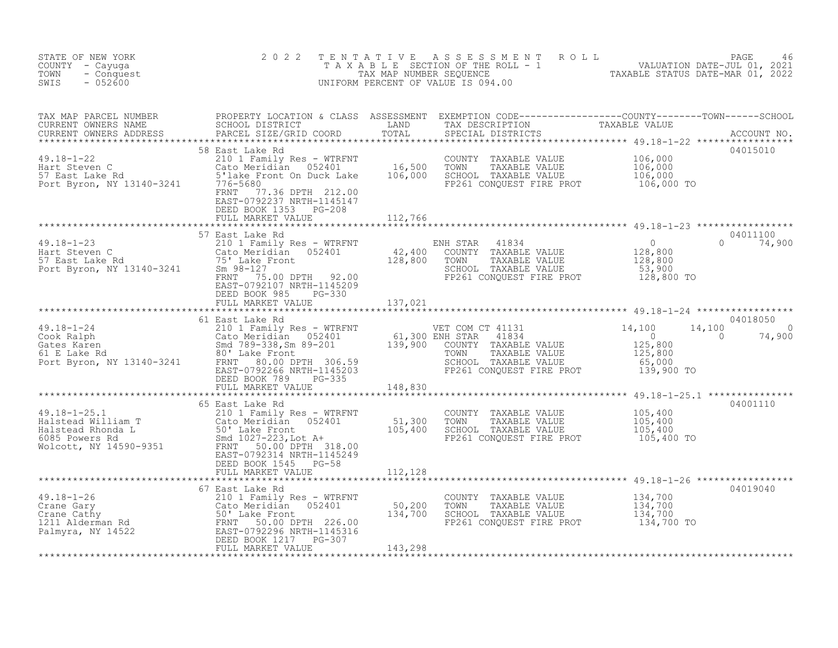| STATE OF NEW YORK<br>COUNTY - Cayuga<br>TOWN<br>- Conquest<br>SWIS<br>$-052600$                                                                                                                                                                                                                                                                                                                                                                                                   | 2 0 2 2                                                                          |         | TENTATIVE ASSESSMENT ROLL PACE 46<br>TAXABLE SECTION OF THE ROLL - 1 VALUATION DATE-JUL 01, 2021<br>TAX MAP NUMBER SEQUENCE TAXABLE STATUS DATE-MAR 01, 2022<br>UNIFORM PERCENT OF VALUE IS 094.00 |                          |                    |
|-----------------------------------------------------------------------------------------------------------------------------------------------------------------------------------------------------------------------------------------------------------------------------------------------------------------------------------------------------------------------------------------------------------------------------------------------------------------------------------|----------------------------------------------------------------------------------|---------|----------------------------------------------------------------------------------------------------------------------------------------------------------------------------------------------------|--------------------------|--------------------|
|                                                                                                                                                                                                                                                                                                                                                                                                                                                                                   |                                                                                  |         |                                                                                                                                                                                                    |                          |                    |
| $\begin{tabular}{lllllllllllll} \textsc{TAX} & \textsc{MAP} & \textsc{PROBERTY LOCATION} & \textsc{CLAS} & \textsc{ASESSMENT} & \textsc{EXEMPTION} & \textsc{CDEFl---------COUNTY-----COUNTY-----CONN-----SCHOOL} \\ \textsc{CURRENT} & \textsc{OMNERS} & \textsc{PARCEL} & \textsc{DRESX} & \textsc{DSTRICT} & \textsc{LAND} & \textsc{TAX} & \textsc{DESCRIPTION} & \textsc{TAXABLE VALUE} & \textsc{2101} & \textsc{222} & \textsc{******************************************$ | FRNT 77.36 DPTH 212.00<br>EAST-0792237 NRTH-1145147<br>DEED BOOK 1353 PG-208     |         |                                                                                                                                                                                                    |                          |                    |
|                                                                                                                                                                                                                                                                                                                                                                                                                                                                                   | FULL MARKET VALUE                                                                | 112,766 |                                                                                                                                                                                                    |                          |                    |
| $\begin{array}{lllllllllllllllll} \end{array} \begin{array}{lllllllllll} \text{39.18--1--23} & \text{57} & \text{East Lake Rd} & \text{210 1 Family Res -- WTRENT} & \text{ENH STAR} & 41834 & 0 \\ & 210 1 Family Res -- WTRENT & 42,400 & \text{COUNTY} & \text{PAXABLE VALUE} & 128,800 \\ & \text{Cat System of the relation} & 052401 & 42,400 & \text{COUNTY} & \text{TAXABLE VALUE} & 128,800 \\ & 75 & \text{Lake Front} & 128,800 & \text{$                              | 57 East Lake Rd<br>DEED BOOK 985 PG-330                                          |         |                                                                                                                                                                                                    | $\Omega$                 | 04011100<br>74,900 |
|                                                                                                                                                                                                                                                                                                                                                                                                                                                                                   |                                                                                  |         |                                                                                                                                                                                                    |                          |                    |
| 49.18-1-24 61 East Lake Rd<br>Cook Ralph Cato Meridian 052401 61,300 ENH STAR 41834 0<br>Gates Karen Smd 789-338,Sm 89-201 139,900 COUNTY TAXABLE VALUE 125,800<br>FOT Byron, NY 13140-3241 ENT 80.00 DPTH 306.59<br>ELAKE RD RON TOWN                                                                                                                                                                                                                                            | 61 East Lake Rd<br>DEED BOOK 789 PG-335                                          |         |                                                                                                                                                                                                    | 14,100<br>$\overline{0}$ | 04018050<br>74,900 |
|                                                                                                                                                                                                                                                                                                                                                                                                                                                                                   | FULL MARKET VALUE 148,830                                                        |         |                                                                                                                                                                                                    |                          |                    |
| 49.18-1-25.1<br>Halstead William T<br>Halstead Rhonda L<br>6085 Powers Rd<br>Wolcott, NY 14590-9351<br>Halstead Rhonda L<br>50' Lake Front<br>50' Lake Front<br>50' Lake Front<br>50' Lake Front<br>50' Lake Front<br>50' Lake Front<br>50' Lake Front                                                                                                                                                                                                                            | 65 East Lake Rd                                                                  |         | COUNTY TAXABLE VALUE 105,400<br>TOWN TAXABLE VALUE 105,400<br>SCHOOL TAXABLE VALUE 105,400<br>FP261 CONQUEST FIRE PROT 105,400 TO                                                                  |                          | 04001110           |
|                                                                                                                                                                                                                                                                                                                                                                                                                                                                                   | DEED BOOK 1949<br>FULL MARKET VALUE<br>FULL MARKET VALUE<br>DEED BOOK 1545 PG-58 | 112,128 |                                                                                                                                                                                                    |                          |                    |
|                                                                                                                                                                                                                                                                                                                                                                                                                                                                                   |                                                                                  |         |                                                                                                                                                                                                    |                          |                    |
| 49.18-1-26<br>Crane Gary<br>Crane Cary<br>Crane Cathy<br>Cato Meridian 052401<br>50,200<br>Crane Cathy<br>134,700<br>134,700<br>Palmyra, NY 14522<br>Palmyra, NY 14522<br>Palmyra, NY 14522<br>PEED BOOK 1217<br>PG-307<br>PULL MARKET VALUE<br>PULL MARKET                                                                                                                                                                                                                       | 67 East Lake Rd                                                                  |         | COUNTY TAXABLE VALUE 134,700<br>TOWN TAXABLE VALUE 134,700<br>SCHOOL TAXABLE VALUE 134,700<br>FP261 CONQUEST FIRE PROT 134,700 TO                                                                  |                          | 04019040           |
|                                                                                                                                                                                                                                                                                                                                                                                                                                                                                   |                                                                                  |         |                                                                                                                                                                                                    |                          |                    |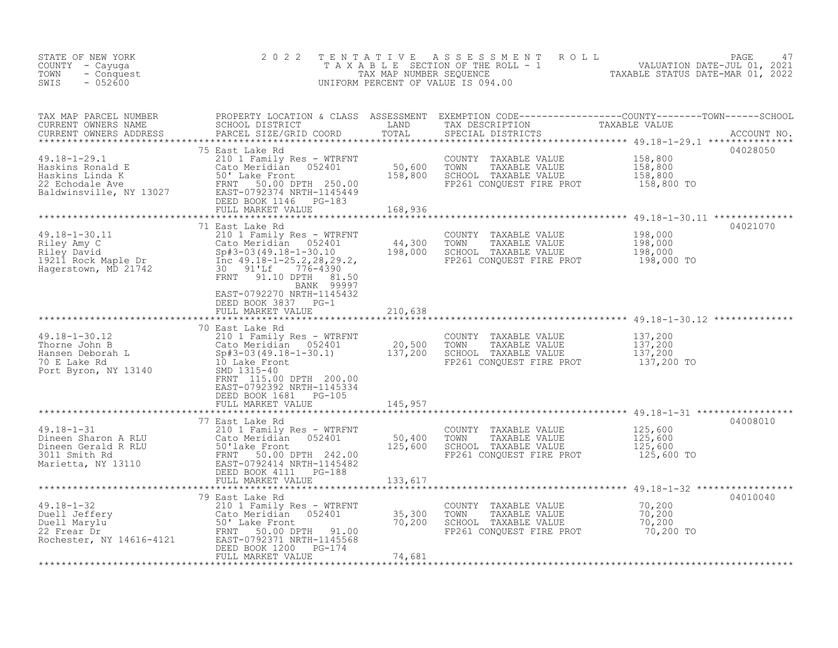| STATE OF NEW YORK<br>COUNTY - Cayuga<br>TOWN<br>- Conquest<br>$-052600$<br>SWIS                                                                                                                                                                                                           | 2 0 2 2                                                                                                               | T E N T A T I V E          | UNIFORM PERCENT OF VALUE IS 094.00                                                                                                               | FAXABLE SECTION OF THE ROLL TAXABLE STATUS DATE-JUL 01, 2021<br>TAXABLE SECTION OF THE ROLL - 1 VALUATION DATE-JUL 01, 2021<br>NIFORM PERCENT OF VALUE IS 094.00 |
|-------------------------------------------------------------------------------------------------------------------------------------------------------------------------------------------------------------------------------------------------------------------------------------------|-----------------------------------------------------------------------------------------------------------------------|----------------------------|--------------------------------------------------------------------------------------------------------------------------------------------------|------------------------------------------------------------------------------------------------------------------------------------------------------------------|
| CURRENT OWNERS ADDRESS                                                                                                                                                                                                                                                                    | PARCEL SIZE/GRID COORD                                                                                                |                            | SPECIAL DISTRICTS                                                                                                                                |                                                                                                                                                                  |
|                                                                                                                                                                                                                                                                                           | 75 East Lake Rd                                                                                                       |                            | COUNTY TAXABLE VALUE<br>TOWN<br>TAXABLE VALUE<br>SCHOOL TAXABLE VALUE<br>FP261 CONQUEST FIRE PROT                                                | 04028050<br>158,800<br>158,800<br>158,800<br>158,800 TO                                                                                                          |
| 49.18-1-30.11<br>Riley Amy C<br>Riley Amy C<br>Riley David<br>19211 Rock Maple Dr<br>Hagerstown, MD 21742<br>Riley David<br>19211 Rock Maple Dr<br>19211 Rock Maple Dr<br>19211 Rock Maple Dr<br>19211 Rock Maple Dr<br>19211 Rock Maple Dr<br>1921742                                    | 71 East Lake Rd<br>BANK 99997<br>EAST-0792270 NRTH-1145432<br>DEED BOOK 3837 PG-1                                     |                            | COUNTY TAXABLE VALUE 198,000<br>44,300 TOWN TAXABLE VALUE 198,000<br>198,000 SCHOOL TAXABLE VALUE 198,000<br>FP261 CONQUEST FIRE PROT 198,000 TO | 04021070                                                                                                                                                         |
|                                                                                                                                                                                                                                                                                           | FULL MARKET VALUE                                                                                                     | 210,638                    |                                                                                                                                                  |                                                                                                                                                                  |
| 49.18-1-30.12<br>Thorne John B<br>Hansen Deborah L<br>70 E Lake Rd<br>Port Byron, NY 13140<br>The Spectrum Section of the Spectrum Section of the Spectrum Section of the Spectrum Section<br>$\begin{array}{ccc}\n 210 & 1 & \text{Family Res - WTRENT} \\  \text{Cato Meridian} & 0524$ | 70 East Lake Rd<br>FRNT 115.00 DPTH 200.00<br>EAST-0792392 NRTH-1145334<br>DEED BOOK 1681 PG-105<br>FULL MARKET VALUE | 145,957                    | COUNTY TAXABLE VALUE<br>TOWN TAXABLE VALUE<br>SCHOOL TAXABLE VALUE<br>FP261 CONQUEST FIRE PROT 137,200 TO                                        | 137,200<br>137,200<br>137,200                                                                                                                                    |
|                                                                                                                                                                                                                                                                                           | 77 East Lake Rd                                                                                                       |                            |                                                                                                                                                  | 04008010                                                                                                                                                         |
| $49.18 - 1 - 31$<br>49.18-1-31<br>Dineen Sharon A RLU (210 1 Family Res - WTRFNT<br>Dineen Gerald R RLU (210 1 Family Res - WTRFNT<br>3011 Smith Rd FRNT 50.00 DPTH 242.00<br>Marietta, NY 13110 EAST-0792414 NRTH-1145482<br>DEED BOOK 4111 PG-188<br>******                             |                                                                                                                       | 50,400<br>125,600          | COUNTY TAXABLE VALUE $125,600$<br>TOWN TAXABLE VALUE $125,600$<br>SCHOOL TAXABLE VALUE $125,600$<br>FP261 CONQUEST FIRE PROT $125,600$ TO        |                                                                                                                                                                  |
|                                                                                                                                                                                                                                                                                           |                                                                                                                       | 133,617                    |                                                                                                                                                  |                                                                                                                                                                  |
| 49.18-1-32<br>Duell Jeffery<br>Duell Marylu<br>22 Frear Dr<br>Rochester, NY 14616-4121<br>Duell Marylu<br>22 Frear Dr<br>Rochester, NY 14616-4121<br>DEED BOOK 1200 PG-174                                                                                                                | 79 East Lake Rd<br>FULL MARKET VALUE                                                                                  | 35,300<br>70,200<br>74,681 | COUNTY TAXABLE VALUE<br>TOWN TAXABLE VALUE 70,200<br>SCHOOL TAXABLE VALUE 70,200                                                                 | 04010040                                                                                                                                                         |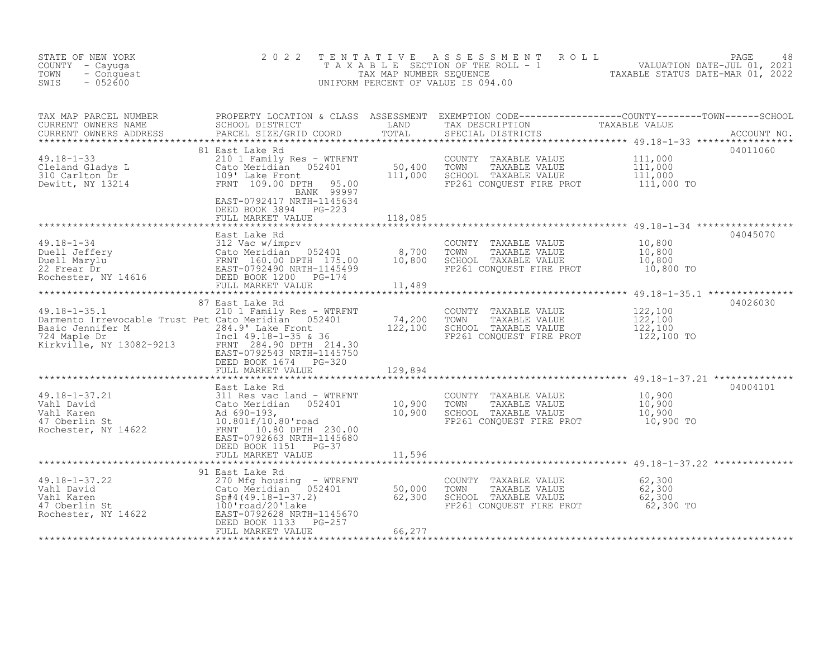| STATE OF NEW YORK<br>COUNTY - Cayuga<br>- Conquest<br>TOWN<br>$-052600$<br>SWIS                                                                                                                                                                                                                                                                                      | 2 0 2 2<br>TENTATIVE                                                                |                                                                                                                                                                                                                                                                                                                                                                                                                        | A S S E S S M E N T R O L L<br>FENTATIVE ASSESSMENT ROLL MALUATION DATE-JUL 01, 2021<br>TAXABLE SECTION OF THE ROLL - 1 VALUATION DATE-JUL 01, 2021<br>TAXABLE STATUS DATE-MAR 01, 2022<br>UNIFORM PERCENT OF VALUE IS 094.00 |          |
|----------------------------------------------------------------------------------------------------------------------------------------------------------------------------------------------------------------------------------------------------------------------------------------------------------------------------------------------------------------------|-------------------------------------------------------------------------------------|------------------------------------------------------------------------------------------------------------------------------------------------------------------------------------------------------------------------------------------------------------------------------------------------------------------------------------------------------------------------------------------------------------------------|-------------------------------------------------------------------------------------------------------------------------------------------------------------------------------------------------------------------------------|----------|
| TAX MAP PARCEL NUMBER PROPERTY LOCATION & CLASS ASSESSMENT EXEMPTION CODE----------------COUNTY--------TOWN------SCHOOL CURRENT OWNERS NAME SCHOOL DISTRICT LAND TAX DESCRIPTION TAXABLE VALUE<br>CURRENT OWNERS ADDRESS PARCEL S                                                                                                                                    |                                                                                     |                                                                                                                                                                                                                                                                                                                                                                                                                        |                                                                                                                                                                                                                               |          |
|                                                                                                                                                                                                                                                                                                                                                                      | 81 East Lake Rd<br>BANK 99997<br>EAST-0792417 NRTH-1145634<br>DEED BOOK 3894 PG-223 | $\label{eq:2.1} \frac{1}{\sqrt{2}}\int_{0}^{\infty}\frac{1}{\sqrt{2\pi}}\left(\frac{1}{\sqrt{2\pi}}\right)^{2\alpha} \frac{1}{\sqrt{2\pi}}\int_{0}^{\infty}\frac{1}{\sqrt{2\pi}}\left(\frac{1}{\sqrt{2\pi}}\right)^{\alpha} \frac{1}{\sqrt{2\pi}}\int_{0}^{\infty}\frac{1}{\sqrt{2\pi}}\frac{1}{\sqrt{2\pi}}\frac{1}{\sqrt{2\pi}}\frac{1}{\sqrt{2\pi}}\frac{1}{\sqrt{2\pi}}\frac{1}{\sqrt{2\pi}}\frac{1}{\sqrt{2\pi}}$ |                                                                                                                                                                                                                               | 04011060 |
|                                                                                                                                                                                                                                                                                                                                                                      |                                                                                     |                                                                                                                                                                                                                                                                                                                                                                                                                        |                                                                                                                                                                                                                               |          |
|                                                                                                                                                                                                                                                                                                                                                                      |                                                                                     |                                                                                                                                                                                                                                                                                                                                                                                                                        |                                                                                                                                                                                                                               | 04045070 |
|                                                                                                                                                                                                                                                                                                                                                                      |                                                                                     |                                                                                                                                                                                                                                                                                                                                                                                                                        |                                                                                                                                                                                                                               | 04026030 |
| Basic Jennifer M<br>The Saint Jennifer M<br>The Saint Jennifer M<br>The Saint Market Pront<br>The Saint Market M<br>The Saint Market Market Market Market Market Market Market Market Market Market Market Market Market Market Market M                                                                                                                             | DEED BOOK 1674 PG-320<br>FULL MARKET VALUE                                          | 129,894                                                                                                                                                                                                                                                                                                                                                                                                                | SCHOOL TAXABLE VALUE 122,100<br>FP261 CONQUEST FIRE PROT 122,100 TO                                                                                                                                                           |          |
|                                                                                                                                                                                                                                                                                                                                                                      |                                                                                     |                                                                                                                                                                                                                                                                                                                                                                                                                        |                                                                                                                                                                                                                               |          |
|                                                                                                                                                                                                                                                                                                                                                                      |                                                                                     |                                                                                                                                                                                                                                                                                                                                                                                                                        |                                                                                                                                                                                                                               |          |
|                                                                                                                                                                                                                                                                                                                                                                      | FULL MARKET VALUE                                                                   |                                                                                                                                                                                                                                                                                                                                                                                                                        |                                                                                                                                                                                                                               |          |
| 49.18-1-37.22<br>Vahl David<br>Vahl David<br>Vahl Karen<br>So,000<br>Vahl Karen<br>So,000<br>Vahl Karen<br>So,000<br>So,000<br>So,000<br>So,000<br>So,000<br>So,000<br>So,000<br>So,000<br>So,000<br>So,000<br>So,000<br>So,000<br>So,000<br>So,100<br>So,000<br>So,100<br>So                                                                                        | 91 East Lake Rd<br>FULL MARKET VALUE                                                | 66,277                                                                                                                                                                                                                                                                                                                                                                                                                 | COUNTY TAXABLE VALUE 62,300<br>TOWN TAXABLE VALUE 62,300<br>SCHOOL TAXABLE VALUE 62,300<br>FP261 CONQUEST FIRE PROT 62,300 TO                                                                                                 |          |
| East Lake Rd<br>$\begin{array}{cccccccccccccccc} 10,800 \\ 49.18-1-34 \\ \text{Deuell Jeffery} & 312 \text{ Vac} \text{ w/impr} & 8,700 \\ \text{Duel} & 312 \text{ Vac} \text{ w/impr} & 052401 & 8,700 \\ \text{Duel} & 640 \text{ Meridian} & 052401 & 8,700 \\ \text{Duel} & 10,800 & 10,800 \\ \text{EMI} & 160.00 \text{ DFH} & 175.00 & 10,800 \\ \text{EMI}$ | FULL MARKET VALUE<br>East Lake Rd<br>DEED BOOK 1151 PG-37                           | 118,085<br>11,596                                                                                                                                                                                                                                                                                                                                                                                                      | COUNTY TAXABLE VALUE 122,100<br>TOWN TAXABLE VALUE 122,100                                                                                                                                                                    | 04004101 |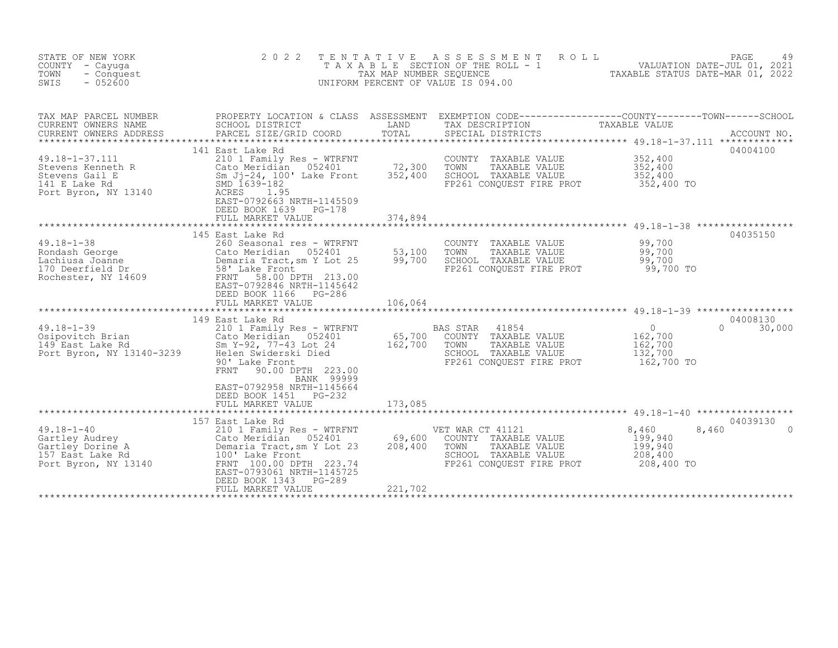| STATE OF NEW YORK<br>COUNTY - Cayuga<br>TOWN<br>- Conquest<br>SWIS<br>$-052600$                    | 2 0 2 2                                                                                                                                                                                                                                                        | TENTATIVE<br>TAX MAP NUMBER SEQUENCE | ASSESSMENT<br>T A X A B L E SECTION OF THE ROLL - 1<br>UNIFORM PERCENT OF VALUE IS 094.00                              | 29 PAGE 49<br>VALUATION DATE-JUL 01, 2021<br>TAXABLE STATIIS DATE-MAD 01, 2000                                                                         |
|----------------------------------------------------------------------------------------------------|----------------------------------------------------------------------------------------------------------------------------------------------------------------------------------------------------------------------------------------------------------------|--------------------------------------|------------------------------------------------------------------------------------------------------------------------|--------------------------------------------------------------------------------------------------------------------------------------------------------|
| TAX MAP PARCEL NUMBER<br>CURRENT OWNERS NAME<br>CURRENT OWNERS ADDRESS<br>49.18-1-37.111           | SCHOOL DISTRICT<br>PARCEL SIZE/GRID COORD<br>141 East Lake Rd<br>210 1 Family Res - WTRFNT                                                                                                                                                                     | LAND<br>TOTAL                        | TAX DESCRIPTION<br>SPECIAL DISTRICTS<br>COUNTY TAXABLE VALUE                                                           | PROPERTY LOCATION & CLASS ASSESSMENT EXEMPTION CODE----------------COUNTY-------TOWN-----SCHOOL<br>TAXABLE VALUE<br>ACCOUNT NO.<br>04004100<br>352,400 |
| Stevens Kenneth R<br>Stevens Gail E<br>141 E Lake Rd<br>Port Byron, NY 13140                       | 052401<br>Sm Jj-24, 100' Lake Front<br>EAST-0792663 NRTH-1145509<br>DEED BOOK 1639<br>$PG-178$<br>FULL MARKET VALUE                                                                                                                                            | 72,300<br>352,400<br>374,894         | TOWN<br>TAXABLE VALUE<br>SCHOOL TAXABLE VALUE<br>FP261 CONQUEST FIRE PROT                                              | 352,400<br>352,400<br>352,400 TO                                                                                                                       |
| $49.18 - 1 - 38$<br>Rondash George<br>Lachiusa Joanne<br>170 Deerfield Dr<br>Rochester, NY 14609   | 145 East Lake Rd<br>260 Seasonal res - WTRFNT<br>Cato Meridian 052401<br>Demaria Tract, sm Y Lot 25<br>58' Lake Front<br>609 FRNT 58.00 DPTH 213.00<br>EAST-0792846 NRTH-1145642<br>DEED BOOK 1166<br>PG-286<br>FULL MARKET VALUE                              | 53,100<br>99,700<br>106,064          | COUNTY TAXABLE VALUE<br>TOWN<br>TAXABLE VALUE<br>SCHOOL TAXABLE VALUE<br>FP261 CONQUEST FIRE PROT                      | 04035150<br>99,700<br>99,700<br>99,700<br>99,700 TO                                                                                                    |
| $49.18 - 1 - 39$<br>UULPOVILCH Brian<br>149 East Lake Rd<br>Port Buri<br>Port Byron, NY 13140-3239 | 149 East Lake Rd<br>210 1 Family Res - WTRFNT<br>Cato Meridian 052401<br>Sm Y-92, 77-43 Lot 24<br>Helen Swiderski Died<br>90' Lake Front<br>90.00 DPTH 223.00<br>FRNT<br>BANK 99999<br>EAST-0792958 NRTH-1145664<br>DEED BOOK 1451 PG-232<br>FULL MARKET VALUE | 65,700<br>162,700<br>173,085         | BAS STAR<br>41854<br>COUNTY TAXABLE VALUE<br>TOWN<br>TAXABLE VALUE<br>SCHOOL TAXABLE VALUE<br>FP261 CONQUEST FIRE PROT | 04008130<br>$\circ$<br>$\Omega$<br>30,000<br>162,700<br>162,700<br>132,700<br>162,700 TO                                                               |
| $49.18 - 1 - 40$<br>Gartley Audrey<br>Gartley Dorine A<br>157 East Lake Rd<br>Port Byron, NY 13140 | 157 East Lake Rd<br>210 1 Family Res - WTRFNT<br>Cato Meridian 052401<br>Demaria Tract, sm Y Lot 23<br>100' Lake Front<br>FRNT 100.00 DPTH 223.74<br>EAST-0793061 NRTH-1145725<br>DEED BOOK 1343<br>PG-289<br>FULL MARKET VALUE                                | 69,600<br>208,400<br>221,702         | VET WAR CT 41121<br>COUNTY TAXABLE VALUE<br>TOWN<br>TAXABLE VALUE<br>SCHOOL TAXABLE VALUE<br>FP261 CONOUEST FIRE PROT  | 04039130<br>8,460<br>8,460<br>$\cap$<br>199,940<br>199,940<br>208,400<br>208,400 TO                                                                    |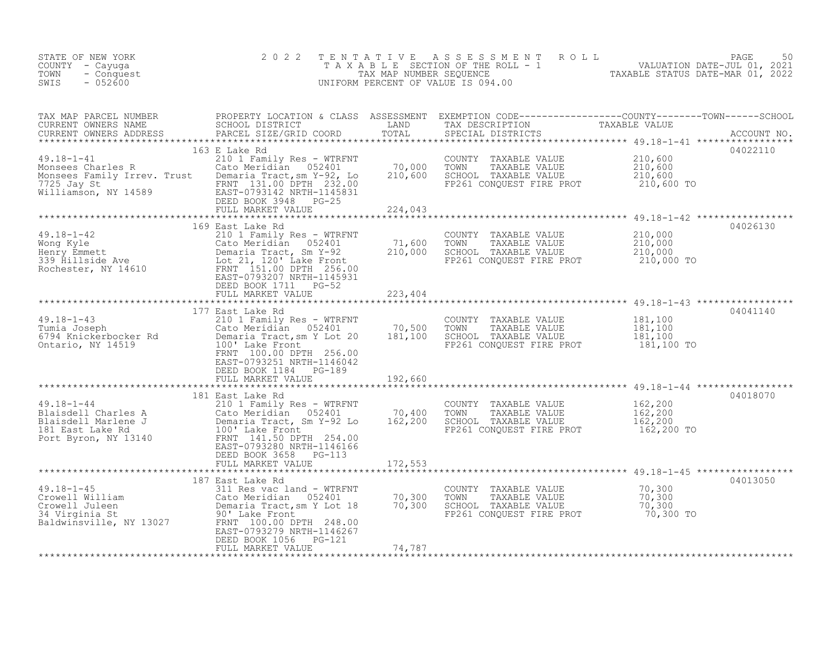| STATE OF NEW YORK<br>COUNTY - Cayuga<br>- Conquest<br>TOWN<br>$-052600$<br>SWIS                                                                                                                                                                                                     | 2 0 2 2                                                                                                                                                                                                                      |                              | TENTATIVE ASSESSMENT ROLL<br>TAXABLE SECTION OF THE ROLL - 1 WALUATION DATE-JUL 01, 2021<br>TAXABLE STATUS DATE-MAR 01, 2022<br>UNIFORM PERCENT OF VALUE IS 094.00 |                                             | 50<br>PAGE  |
|-------------------------------------------------------------------------------------------------------------------------------------------------------------------------------------------------------------------------------------------------------------------------------------|------------------------------------------------------------------------------------------------------------------------------------------------------------------------------------------------------------------------------|------------------------------|--------------------------------------------------------------------------------------------------------------------------------------------------------------------|---------------------------------------------|-------------|
| TAX MAP PARCEL NUMBER           PROPERTY LOCATION & CLASS ASSESSMENT EXEMPTION CODE----------------COUNTY--------TOWN------SCHOOL CURRENT OWNERS NAME                SCHOOL DISTRICT                 LAND      TAX DESCRIPTION<br>CURRENT OWNERS ADDRESS<br>*********************** | PARCEL SIZE/GRID COORD                                                                                                                                                                                                       | TOTAL                        | SPECIAL DISTRICTS                                                                                                                                                  |                                             | ACCOUNT NO. |
| $49.18 - 1 - 41$<br>49.18-1-41<br>Monsees Charles R<br>Monsees Family Irrev. Trust<br>The Demaria Tract, sm Y-92, Lo<br>7725 Jay St<br>Williamson, NY 14589<br>EAST-0793142 NRTH-1145831<br>DEED BOOK 3948<br>PG-25                                                                 | 163 E Lake Rd<br>210 1 Family Res - WTRFNT<br>Cato Meridian 052401<br>DEED BOOK 3948 PG-25<br>FULL MARKET VALUE                                                                                                              | 70,000<br>210,600<br>224,043 | COUNTY TAXABLE VALUE<br>TAXABLE VALUE<br>TOWN<br>SCHOOL TAXABLE VALUE<br>FP261 CONQUEST FIRE PROT                                                                  | 210,600<br>210,600<br>210,600<br>210,600 TO | 04022110    |
|                                                                                                                                                                                                                                                                                     |                                                                                                                                                                                                                              |                              |                                                                                                                                                                    |                                             | 04026130    |
| $49.18 - 1 - 42$<br>49.18-1-42 210 1 Family Res - WTRFNT<br>Wong Kyle Cato Meridian 052401<br>Henry Emmett Demaria Tract, Sm Y-92<br>339 Hillside Ave Lot 21, 120' Lake Front<br>Rochester, NY 14610 FRANT 151.00 DPTH 256.00<br>FRANT 151.00 DPTH 256.00                           | 169 East Lake Rd<br>210 1 Family Res - WTRFNT<br>EAST-0793207 NRTH-1145931<br>DEED BOOK 1711 PG-52<br>FULL MARKET VALUE                                                                                                      | 71,600<br>210,000<br>223,404 | COUNTY TAXABLE VALUE<br>TOWN<br>TAXABLE VALUE<br>SCHOOL TAXABLE VALUE<br>FP261 CONQUEST FIRE PROT                                                                  | 210,000<br>210,000<br>210,000<br>210,000 TO |             |
|                                                                                                                                                                                                                                                                                     |                                                                                                                                                                                                                              |                              |                                                                                                                                                                    |                                             |             |
| $49.18 - 1 - 43$<br>Tumia Joseph<br>6794 Knickerbocker Rd<br>Ontario, NY 14519                                                                                                                                                                                                      | 177 East Lake Rd<br>210 1 Family Res - WTRFNT<br>Cato Meridian 052401<br>Demaria Tract, sm Y Lot 20<br>100' Lake Front<br>FRNT 100.00 DPTH 256.00<br>EAST-0793251 NRTH-1146042<br>DEED BOOK 1184 PG-189<br>FULL MARKET VALUE | 70,500<br>181,100<br>192,660 | COUNTY TAXABLE VALUE<br>TAXABLE VALUE<br>TOWN<br>SCHOOL TAXABLE VALUE<br>FP261 CONQUEST FIRE PROT                                                                  | 181,100<br>181,100<br>181,100<br>181,100 TO | 04041140    |
|                                                                                                                                                                                                                                                                                     |                                                                                                                                                                                                                              |                              |                                                                                                                                                                    |                                             | 04018070    |
| $49.18 - 1 - 44$<br>Plaisdell Charles A<br>Blaisdell Marlene J<br>Blaisdell Marlene J<br>181 East Lake Rd<br>100' Lake Front<br>Port Byron, NY 13140<br>FRNT 141.50 DPTH 254.00                                                                                                     | 181 East Lake Rd<br>210 1 Family Res - WTRFNT<br>Cato Meridian 052401<br>Demaria Tract, Sm Y-92 Lo<br>EAST-0793280 NRTH-1146166<br>DEED BOOK 3658 PG-113<br>FULL MARKET VALUE                                                | 70,400<br>162,200<br>172,553 | COUNTY TAXABLE VALUE<br>TOWN<br>TAXABLE VALUE<br>SCHOOL TAXABLE VALUE<br>FP261 CONQUEST FIRE PROT                                                                  | 162,200<br>162,200<br>162,200<br>162,200 TO |             |
|                                                                                                                                                                                                                                                                                     |                                                                                                                                                                                                                              |                              | *********************************** 49.18-1-45 ******************                                                                                                  |                                             |             |
| $49.18 - 1 - 45$<br>49.18-1-45<br>Crowell William<br>Crowell Juleen<br>34 Virginia St<br>Baldwinsville, NY 13027                                                                                                                                                                    | 187 East Lake Rd<br>311 Res vac land - WTRFNT<br>Cato Meridian 052401<br>Demaria Tract, sm Y Lot 18<br>90' Lake Front<br>FRNT 100.00 DPTH 248.00<br>EAST-0793279 NRTH-1146267<br>DEED BOOK 1056<br>PG-121                    | 70,300<br>70,300             | COUNTY TAXABLE VALUE<br>TOWN<br>TAXABLE VALUE<br>TOWN     TAXABLE VALUE<br>SCHOOL   TAXABLE VALUE<br>FP261 CONQUEST FIRE PROT                                      | $70,300$<br>$70,300$<br>70,300<br>70,300 TO | 04013050    |
|                                                                                                                                                                                                                                                                                     | FULL MARKET VALUE                                                                                                                                                                                                            | 74,787                       |                                                                                                                                                                    |                                             |             |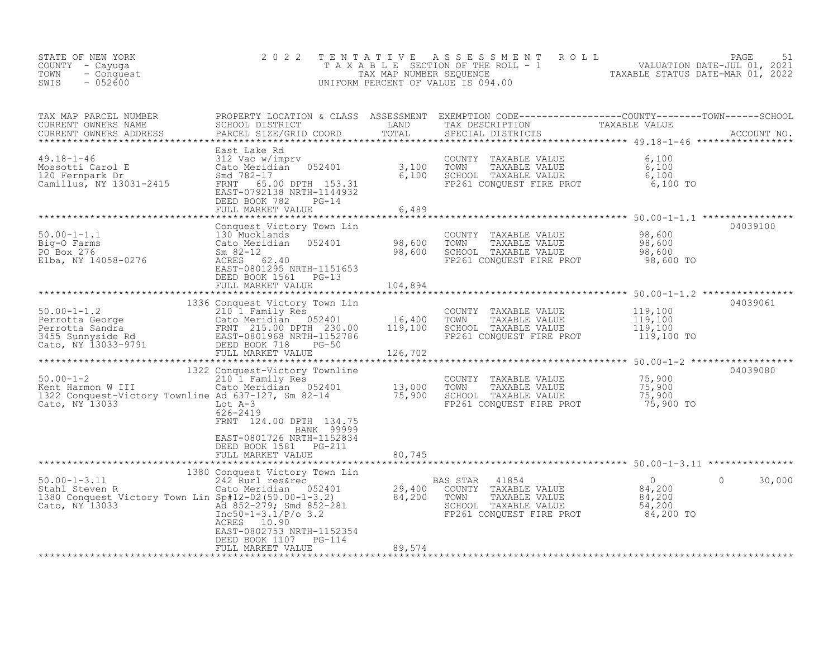| CURRENT OWNERS NAME<br>CURRENT OWNERS ADDRESS                                                                                                                                                                                                                                                                                                         | East Lake Rd                                                                                                            |         |                                                                                                                                                                                                         |                                             | ACCOUNT NO.        |
|-------------------------------------------------------------------------------------------------------------------------------------------------------------------------------------------------------------------------------------------------------------------------------------------------------------------------------------------------------|-------------------------------------------------------------------------------------------------------------------------|---------|---------------------------------------------------------------------------------------------------------------------------------------------------------------------------------------------------------|---------------------------------------------|--------------------|
| 49.18-1-46<br>Mossotti Carol E 312 Vac w/imprv<br>120 Fernpark Dr Smd 782-17 6,100<br>Camillus, NY 13031-2415 FRNT 65.00 DPTH 153.31 6,100                                                                                                                                                                                                            | EAST-0792138 NRTH-1144932<br>DEED BOOK 782<br>$PG-14$<br>FULL MARKET VALUE                                              | 6,489   | COUNTY TAXABLE VALUE<br>TAXABLE VALUE<br>TOWN TAXABLE VALUE 6,100<br>SCHOOL TAXABLE VALUE 6,100<br>FP261 CONQUEST FIRE PROT 6,100 TO                                                                    | 6,100                                       |                    |
| $\begin{tabular}{llllllll} 50.00-1-1.1 & & & & & 6,489 \\ 50.00-1-1.1 & & & & 130 Mucklands \\ Big-O Farms & & & & & 30 Mucklands \\ PO Box 276 & & & & 5m & 82-12 \\ Elba, NY 14058-0276 & & & & 8m & 62.40 \\ \end{tabular} \hspace{2cm} \begin{tabular}{llllll} 6,489 & & & & 6,489 \\ 7,7,8,7,8,7,8,7,8,7,8 \\ 8,600 & & & 98,600 \\ 1,7,7,8,7,9$ | DEED BOOK 1561 PG-13<br>FULL MARKET VALUE                                                                               | 104,894 | 98,600<br>CHOOL TAXABLE VALUE 98,600<br>SCHOOL TAXABLE VALUE 98,600<br>FP261 CONQUEST FIRE PROT 98,600                                                                                                  | 98,600 TO                                   | 04039100           |
|                                                                                                                                                                                                                                                                                                                                                       |                                                                                                                         |         |                                                                                                                                                                                                         |                                             | 04039061           |
|                                                                                                                                                                                                                                                                                                                                                       | 1336 Conquest Victory Town Lin                                                                                          |         | FP261 CONQUEST FIRE PROT                                                                                                                                                                                | 119,100<br>119,100<br>119,100<br>119,100 TO |                    |
|                                                                                                                                                                                                                                                                                                                                                       |                                                                                                                         |         |                                                                                                                                                                                                         |                                             | 04039080           |
| 1322 Conquest-Victory Townline<br>20.00-1-2 210 1 Family Res<br>Xent Harmon W III 210 1 Family Res<br>210 1 Family Res<br>210 1 Family Res<br>210 13,000<br>2102 Conquest-Victory Townline Ad 637-127, Sm 82-14 75,900<br>Cato, NY 13033<br>22                                                                                                        | 626-2419<br>FRNT 124.00 DPTH 134.75<br>BANK 99999                                                                       |         | COUNTY TAXABLE VALUE $\begin{array}{ccc} 75,900 \ \text{TOWN} & \text{TAXABLE VALUE} & 75,900 \ \text{SCHOOL} & \text{TAXABLE VALUE} & 75,900 \ \text{FP261 CONQUEST FIRE PROT} & 75,900 \ \end{array}$ |                                             |                    |
|                                                                                                                                                                                                                                                                                                                                                       | EAST-0801726 NRTH-1152834<br>DEED BOOK 1581 PG-211<br>FULL MARKET VALUE                                                 | 80,745  |                                                                                                                                                                                                         |                                             |                    |
|                                                                                                                                                                                                                                                                                                                                                       |                                                                                                                         |         |                                                                                                                                                                                                         |                                             |                    |
| 50.00-1-3.11<br>Stahl Steven R Cato Meridian 052401<br>1380 Conquest Victory Town Lin Sp#12-02(50.00-1-3.2) 84,200<br>Cato, NY 13033<br>Cato, NY 13033<br>Cato, NY 13033<br>The S0-1-3.1/2/0 3.2                                                                                                                                                      | 1380 Conquest Victory Town Lin<br>242 Rurl res&rec<br>ACRES 10.90<br>EAST-0802753 NRTH-1152354<br>DEED BOOK 1107 PG-114 |         | BAS STAR<br>41854<br>S STAR 41554<br>COUNTY TAXABLE VALUE $84,200$<br>TOWN TAXABLE VALUE $84,200$<br>SCHOOL TAXABLE VALUE 54,200<br>FP261 CONQUEST FIRE PROT 84,200 TO                                  | $\overline{0}$                              | $\Omega$<br>30,000 |
|                                                                                                                                                                                                                                                                                                                                                       | FULL MARKET VALUE                                                                                                       | 89,574  |                                                                                                                                                                                                         |                                             |                    |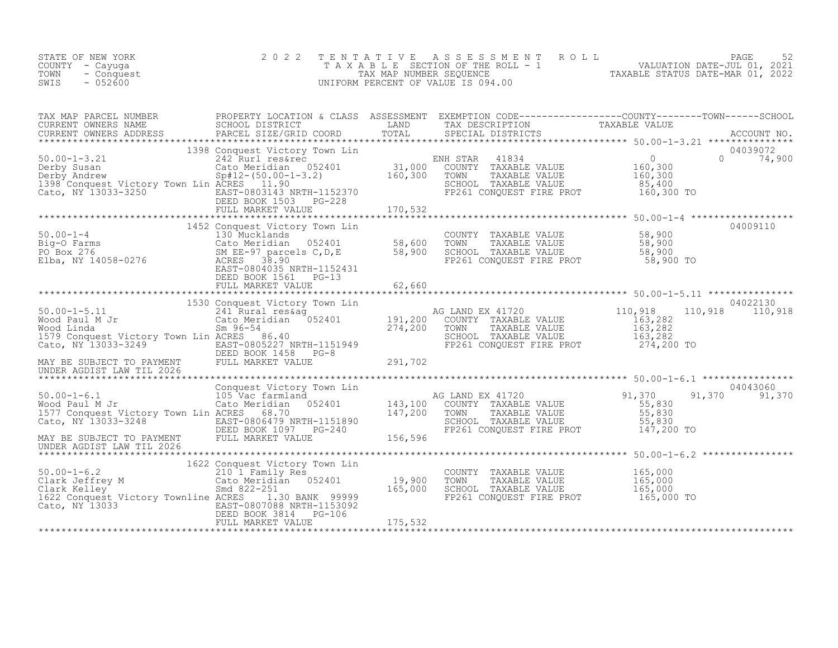| 2022 TENTATIVE ASSESSMENT ROLL<br>STATE OF NEW YORK                               | PAGE                        |  |
|-----------------------------------------------------------------------------------|-----------------------------|--|
| TAXABLE SECTION OF THE ROLL - 1<br>COUNTY - Cayuqa                                | VALUATION DATE-JUL 01, 2021 |  |
| TOWN<br>TAXABLE STATUS DATE-MAR 01, 2022<br>TAX MAP NUMBER SEQUENCE<br>- Conquest |                             |  |
| $-052600$<br>SWIS<br>UNIFORM PERCENT OF VALUE IS 094.00                           |                             |  |

| TAX MAP PARCEL NUMBER                                                                                                                                                                                                                                                       | PROPERTY LOCATION & CLASS ASSESSMENT EXEMPTION CODE----------------COUNTY-------TOWN------SCHOOL |                                                                                                                                                                                                  |                             |
|-----------------------------------------------------------------------------------------------------------------------------------------------------------------------------------------------------------------------------------------------------------------------------|--------------------------------------------------------------------------------------------------|--------------------------------------------------------------------------------------------------------------------------------------------------------------------------------------------------|-----------------------------|
|                                                                                                                                                                                                                                                                             |                                                                                                  |                                                                                                                                                                                                  |                             |
|                                                                                                                                                                                                                                                                             |                                                                                                  |                                                                                                                                                                                                  |                             |
| 1398 Conquest Victory Town Lines (1998)<br>The Cato, NY 13033-3250<br>Cato, NY 13033-3250<br>Cato, NY 13033-3250<br>Cato, NY 13033-3250<br>Cato Meridian Cator (1998)<br>Cato, NY 13033-3250<br>Cato, NY 13033-3250<br>Cato Meridian Cator (19                              |                                                                                                  | FP261 CONQUEST FIRE PROT 160,300 TO                                                                                                                                                              | 04039072<br>$0 \t 74,900$   |
|                                                                                                                                                                                                                                                                             |                                                                                                  |                                                                                                                                                                                                  |                             |
| 50.00-1-4<br>Big-O Farms<br>PO Box 276<br>Elba, NY 14058-0276<br>Elba, NY 14058-0276<br>Big-O Box 276<br>Big-O Box 276<br>Big-O Box 276<br>Big-O Box 276<br>Big-O Box 276<br>Big-O Box 276<br>Big-O Box 276<br>Big-O Box 276<br>Big-O Box 276<br>Big-O Box                  | 1452 Conquest Victory Town Lin<br>DEED BOOK 1561 PG-13                                           | FP261 CONQUEST FIRE PROT 58,900 TO                                                                                                                                                               | 04009110                    |
|                                                                                                                                                                                                                                                                             |                                                                                                  |                                                                                                                                                                                                  |                             |
| 1530 Conquest Victory Town Lin<br>241 Rural res&ag<br>Wood Baul M Jr Cato Meridian 052401<br>Wood Baul M Jr Cato Meridian 052401<br>274,200 TONNER VALUE<br>274,200 TOWN TAXABLE VALUE<br>274,200 TOWN TAXABLE VALUE<br>274,200 TOWN TAXABLE                                |                                                                                                  |                                                                                                                                                                                                  | 04022130<br>110,918 110,918 |
|                                                                                                                                                                                                                                                                             |                                                                                                  |                                                                                                                                                                                                  |                             |
| $50.00 - 1 - 6.1$<br>Wood Paul M Jr<br>1977 Conquest Victory Town Lin ACRES 68.70<br>Cato, NY 13033-3248 EAST-0806479 NRTH-1151890<br>MAY BE SUBJECT TO PAYMENT FULL MARKET VALUE PE261 CONQUEST FIRE PROT 147,200 TO<br>UNDER AGDIST LAW TIL 2026 FULL MARKET VALUE 156,59 | Conquest Victory<br>105 Vac farmland<br>Cato Moridical<br>Conquest Victory Town Lin              | FOWN TAXABLE VALUE<br>SCHOOL TAXABLE VALUE 55,830                                                                                                                                                | 04043060<br>91,370 91,370   |
|                                                                                                                                                                                                                                                                             |                                                                                                  |                                                                                                                                                                                                  |                             |
| 50.00-1-6.2<br>Clark Jeffrey M 210 1 Family Res<br>Clark Kelley M 210 1 Family Res<br>Clark Kelley Smd 822-251<br>1622 Conquest Victory Townline ACRES 1.30 BANK 99999<br>Cato, NY 13033 [2010] EAST-0807088 NRTH-1153092                                                   | 1622 Conquest Victory Town Lin<br>DEED BOOK 3814 PG-106                                          | COUNTY TAXABLE VALUE 165,000<br>19,900 TOWN TAXABLE VALUE 165,000<br>165,000 SCHOOL TAXABLE VALUE 165,000<br>165,000 SCHOOL TAXABLE VALUE 165,000 165,000<br>FP261 CONQUEST FIRE PROT 165,000 TO |                             |
|                                                                                                                                                                                                                                                                             |                                                                                                  |                                                                                                                                                                                                  |                             |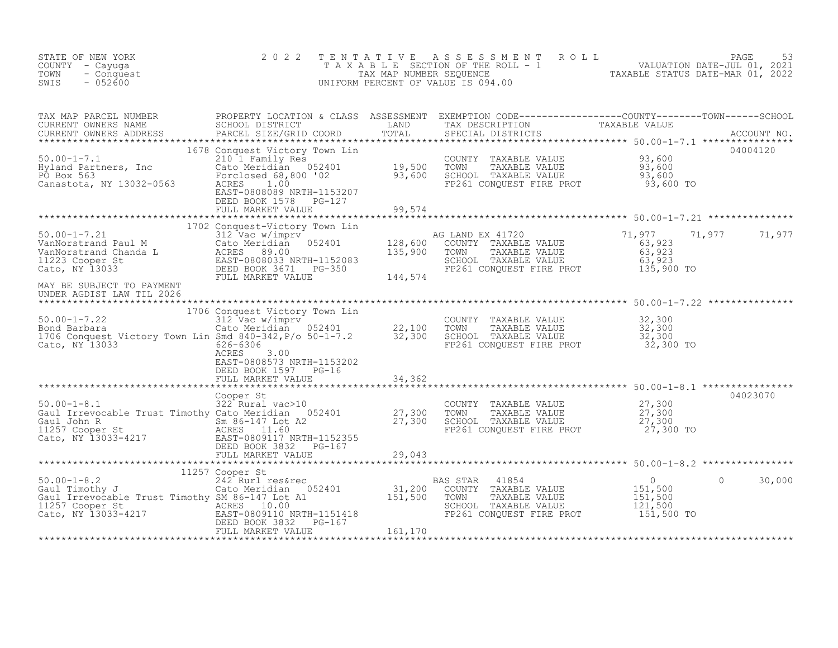| STATE OF NEW YORK<br>COUNTY - Cayuga<br>TOWN<br>- Conquest<br>SWIS<br>$-052600$                                                                                                                                                                                                                                                                                                                                                     | 2 0 2 2                                           | TENTATIVE ASSESSMENT ROLL PAGE 53<br>TAXABLE SECTION OF THE ROLL - 1 VALUATION DATE-JUL 01, 2021<br>TAXABLE STATUS DATE-MAR 01, 2022<br>UNIFORM PERCENT OF VALUE IS 094.00 |               |
|-------------------------------------------------------------------------------------------------------------------------------------------------------------------------------------------------------------------------------------------------------------------------------------------------------------------------------------------------------------------------------------------------------------------------------------|---------------------------------------------------|----------------------------------------------------------------------------------------------------------------------------------------------------------------------------|---------------|
| $\begin{tabular}{lllllllllllllllllllll} \textsc{rank} & & & & & & & & \text{RROPERTY LOCATION & & & & & & \text{SCHOOL DISTRICT} & & & & & \text{TAND} & & & \text{TAND} & & & \text{TAND} & & & \text{TAND} & & & \text{TAND} & & & \text{TAND} & & & \text{TAND} & & & \text{TAND} & & & \text{TAND} & & & \text{TAND} & & & \text{TAND} & & & \text{TAND} & & & \text{TAND} & & & \text{TANBLE VALUE} & & & \text{ACCOUNT NO} &$ | DEED BOOK 1578 PG-127<br>FULL MARKET VALUE 99,574 |                                                                                                                                                                            |               |
|                                                                                                                                                                                                                                                                                                                                                                                                                                     |                                                   |                                                                                                                                                                            |               |
| 1702 Conquest-Victory Town Lin<br>1702 Conquest-Victory Town Lin<br>212 Vac w/imprv<br>2128,600 CONTY TAXABLE VALUE<br>2123 Cooper St<br>2123 Cooper St<br>223 Cato, NY 13033<br>223 DEED BOOK 3671 PG-350<br>22401 MANNET VALUE<br>223 DEED BOO                                                                                                                                                                                    |                                                   |                                                                                                                                                                            | 71,977 71,977 |
| MAY BE SUBJECT TO PAYMENT<br>UNDER AGDIST LAW TIL 2026                                                                                                                                                                                                                                                                                                                                                                              |                                                   |                                                                                                                                                                            |               |
| 1706 Country Town Lin COUNTY TAXABLE VALUE<br>Bond Barbara (1990)<br>22,100 TOWN TAXABLE VALUE<br>32,300 Cato Meridian 052401 22,100 TOWN TAXABLE VALUE 32,300<br>Cato, NY 13033 626-6306 RCRES<br>Cato, NY 13033 RCRES<br>23,300 CACES<br>2                                                                                                                                                                                        | EAST-0808573 NRTH-1153202<br>DEED BOOK 1597 PG-16 |                                                                                                                                                                            |               |
|                                                                                                                                                                                                                                                                                                                                                                                                                                     | FULL MARKET VALUE 34,362                          |                                                                                                                                                                            |               |
|                                                                                                                                                                                                                                                                                                                                                                                                                                     | Cooper St                                         |                                                                                                                                                                            | 04023070      |
|                                                                                                                                                                                                                                                                                                                                                                                                                                     |                                                   |                                                                                                                                                                            |               |
|                                                                                                                                                                                                                                                                                                                                                                                                                                     |                                                   |                                                                                                                                                                            |               |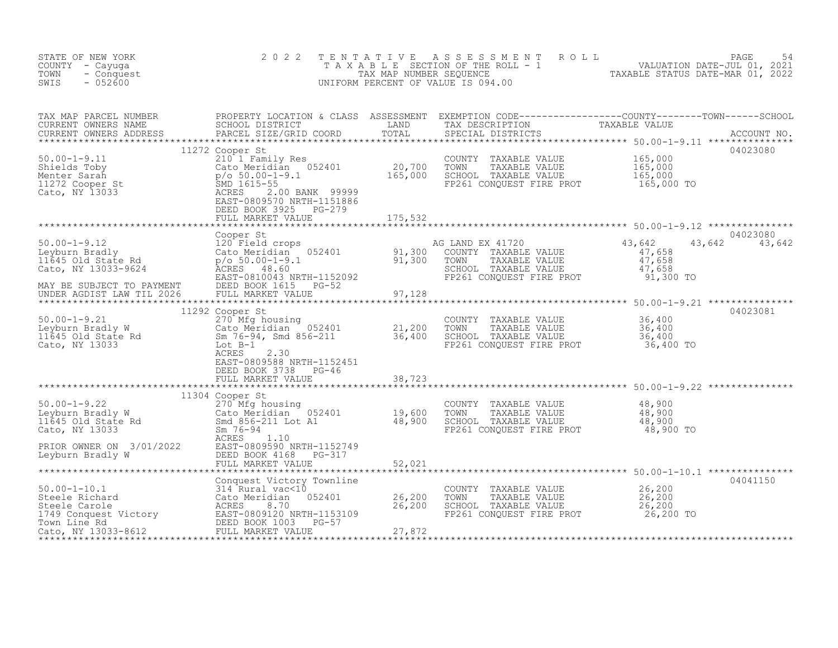| STATE OF NEW YORK<br>COUNTY - Cayuga<br>TOWN<br>- Conquest<br>$-052600$<br>SWIS                                                                                                                                                                                                                                                                                                                                   | 2 0 2 2         | TENTATIVE ASSESSMENT ROLL PAGE 54<br>TAXABLE SECTION OF THE ROLL - 1 VALUATION DATE-JUL 01, 2021<br>TAX MAP NUMBER SEQUENCE TAXABLE STATUS DATE-MAR 01, 2022<br>UNIFORM PERCENT OF VALUE IS 094.00 |          |
|-------------------------------------------------------------------------------------------------------------------------------------------------------------------------------------------------------------------------------------------------------------------------------------------------------------------------------------------------------------------------------------------------------------------|-----------------|----------------------------------------------------------------------------------------------------------------------------------------------------------------------------------------------------|----------|
| TAX MAP PARCEL NUMBER BROPERTY LOCATION & CLASS ASSESSMENT EXEMPTION CODE----------------COUNTY--------TOWN-----SCHOOL CURRENT OWNERS NAME SCHOOL DISTRICT LAND TAX DESCRIPTION TAXABLE VALUE<br>CURRENT OWNERS ADDRESS PARCEL SI                                                                                                                                                                                 |                 |                                                                                                                                                                                                    |          |
|                                                                                                                                                                                                                                                                                                                                                                                                                   |                 |                                                                                                                                                                                                    |          |
| 1990)<br>MAY BE SUBJECT TO PAYMENT DEED BOOK 1600 (COOPER AGOST SEE AND EX 41720<br>MAY BE SUBJECT TO PAYMENT DEED BOOK 161.00 (COOPER AGOST SEE AND EX 41720<br>MAY BE SUBJECT TO PAYMENT DEED BOOK 161.00 (COUNTY TAXABLE VALUE<br>M                                                                                                                                                                            |                 |                                                                                                                                                                                                    |          |
| 11292 COUNTY TAXABLE VALUE<br>11292 COOPER SERIE ON TRANSPORT SAND UP 1200 COUNTY TAXABLE VALUE<br>11292 COOPER SAND CALO METHIAM CALO METHIAM CALO METHIAM CALO METHIAM CALO METHIAM CALO METHIAM CALO SCHOOL TAXABLE VALUE 36,40                                                                                                                                                                                |                 |                                                                                                                                                                                                    | 04023081 |
| $\begin{tabular}{lllllllllllll} 50.00-1-9.22 & 11304 Cooper St & COUNTY TAXABLE VALUE & 48,900\\ \hline Leyburn Bradley W & Cato Meridian & 052401 & 19,600 TOWN & TAXABLE VALUE & 48,900\\ 11645 Old State Rd & Smd 856-211 Lot A1 & 48,900 SCHOOL TAXABLE VALUE & 48,900\\ \hline \end{tabular} \hline 48,900 TORM & TAXABLE VALUE & 48,900\\ \hline 48,900 SCHOOL TAXABLE VALUE & 48,900 T0AND & 48,900 T0AND$ | 11304 Cooper St |                                                                                                                                                                                                    |          |
|                                                                                                                                                                                                                                                                                                                                                                                                                   |                 |                                                                                                                                                                                                    |          |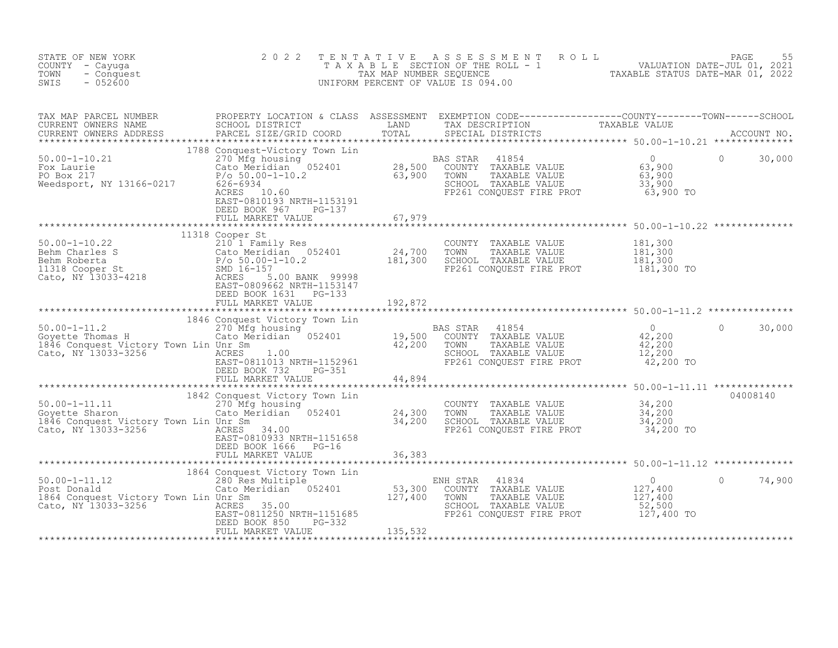| STATE OF NEW YORK<br>COUNTY - Cayuga<br>- Conquest<br>TOWN<br>$-052600$<br>SWIS                                                                                                                                                   | 2 0 2 2                                       |         | TENTATIVE ASSESSMENT ROLL PAGE 55<br>TAXABLE SECTION OF THE ROLL - 1 VALUATION DATE-JUL 01, 2021<br>TAX MAP NUMBER SEQUENCE TAXABLE STATUS DATE-MAR 01, 2022<br>UNIFORM PERCENT OF VALUE IS 094.00 |                      |
|-----------------------------------------------------------------------------------------------------------------------------------------------------------------------------------------------------------------------------------|-----------------------------------------------|---------|----------------------------------------------------------------------------------------------------------------------------------------------------------------------------------------------------|----------------------|
| TAX MAP PARCEL NUMBER BROPERTY LOCATION & CLASS ASSESSMENT EXEMPTION CODE---------------COUNTY--------TOWN------SCHOOL CURRENT OWNERS NAME SCHOOL DISTRICT LAND TAX DESCRIPTION TAXABLE VALUE CURRENT OWNERS ADDRESS PARCEL SI    |                                               |         |                                                                                                                                                                                                    |                      |
|                                                                                                                                                                                                                                   |                                               |         |                                                                                                                                                                                                    | $\bigcirc$<br>30,000 |
|                                                                                                                                                                                                                                   |                                               |         |                                                                                                                                                                                                    |                      |
|                                                                                                                                                                                                                                   |                                               |         |                                                                                                                                                                                                    |                      |
|                                                                                                                                                                                                                                   | DEED BOOK 1631    PG-133<br>FULL MARKET VALUE | 192,872 |                                                                                                                                                                                                    |                      |
| 1846 Conquest Victory Town Lin and the Magnetic Victory Town Lin and the Magnetic Victory Town Lin and the Magnetic Victory Town Lin and the Magnetic Thomas H<br>Cato, NY 13033-3256 Town Lin Unr Sm<br>Cato, NY 13033-3256 Town |                                               |         |                                                                                                                                                                                                    | $\Omega$<br>30,000   |
|                                                                                                                                                                                                                                   |                                               |         |                                                                                                                                                                                                    |                      |
|                                                                                                                                                                                                                                   | DEED BOOK 1666 PG-16                          |         |                                                                                                                                                                                                    | 04008140             |
|                                                                                                                                                                                                                                   |                                               |         |                                                                                                                                                                                                    |                      |
|                                                                                                                                                                                                                                   |                                               |         |                                                                                                                                                                                                    | $\Omega$<br>74,900   |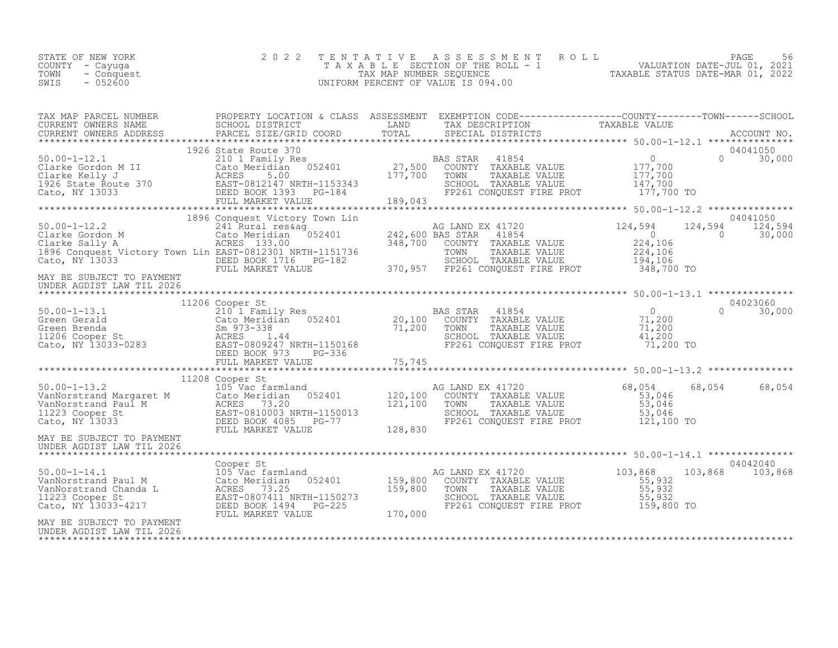| 11208 Cooper Strategy (ARM) EX 1120 (ALAND EX 11720<br>VANNorstrand Margaret M Cato Meridian 052401<br>VANNorstrand Margaret M Cato Meridian 052401<br>VANNorstrand Paul M ACRES 73.046<br>120,100 COUNTY TAXABLE VALUE 53,046<br>121,10                                                                                                                                                                                                                                                           |  |  | 68,054 | 68,054 |
|----------------------------------------------------------------------------------------------------------------------------------------------------------------------------------------------------------------------------------------------------------------------------------------------------------------------------------------------------------------------------------------------------------------------------------------------------------------------------------------------------|--|--|--------|--------|
| UNDER AGDIST LAW TIL 2026                                                                                                                                                                                                                                                                                                                                                                                                                                                                          |  |  |        |        |
|                                                                                                                                                                                                                                                                                                                                                                                                                                                                                                    |  |  |        |        |
| $\begin{tabular}{l c c c c c c c c} \hline & \multicolumn{3}{c}{\textbf{Cooper St}} & \multicolumn{3}{c}{\textbf{Cooper St}} & \multicolumn{3}{c}{\textbf{Cooper St}} & \multicolumn{3}{c}{\textbf{Cooper St}} & \multicolumn{3}{c}{\textbf{Cooper St}} & \multicolumn{3}{c}{\textbf{Cooper St}} & \multicolumn{3}{c}{\textbf{Cooper St}} & \multicolumn{3}{c}{\textbf{Cooper St}} & \multicolumn{3}{c}{\textbf{Cooper St}} & \multicolumn{3}{c}{\textbf{Cooper St}} & \multicolumn{3}{c}{\textbf$ |  |  |        |        |
| MAY BE SUBJECT TO PAYMENT<br>UNDER AGDIST LAW TIL 2026                                                                                                                                                                                                                                                                                                                                                                                                                                             |  |  |        |        |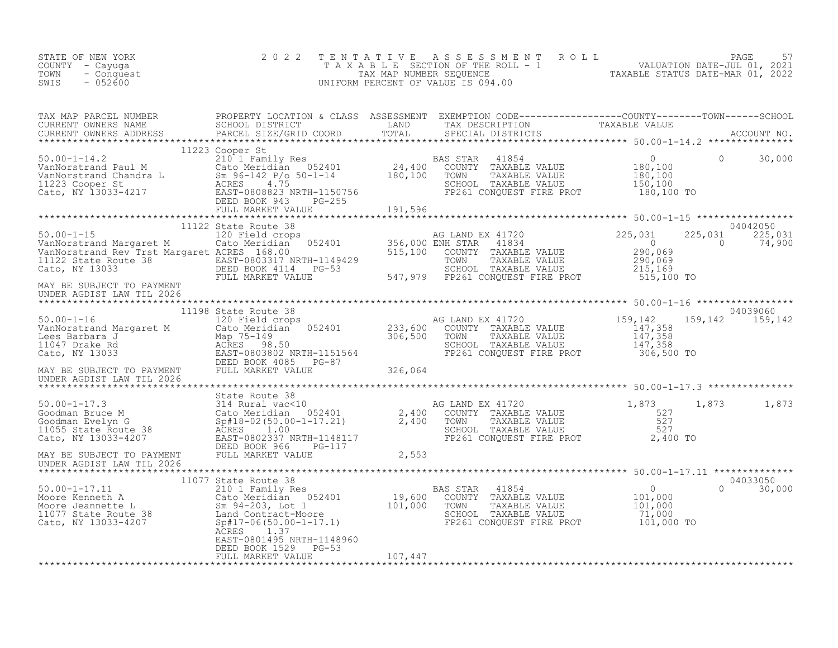| STATE OF NEW YORK<br>COUNTY - Cayuga<br>TOWN<br>- Conquest<br>$-052600$<br>SWIS                                                                                                                                                                            | 2 0 2 2                                                                                    | TENTATIVE | FENTATIVE ASSESSMENT ROLL PACE 57<br>TAXABLE SECTION OF THE ROLL - 1 VALUATION DATE-JUL 01, 2021<br>TAX MAP NUMBER SEQUENCE TAXABLE STATUS DATE-MAR 01, 2022<br>JNIFORM PERCENT OF VALUE IS 094.00<br>UNIFORM PERCENT OF VALUE IS 094.00 |          |                                       |
|------------------------------------------------------------------------------------------------------------------------------------------------------------------------------------------------------------------------------------------------------------|--------------------------------------------------------------------------------------------|-----------|------------------------------------------------------------------------------------------------------------------------------------------------------------------------------------------------------------------------------------------|----------|---------------------------------------|
| TAX MAP PARCEL NUMBER PROPERTY LOCATION & CLASS ASSESSMENT EXEMPTION CODE----------------COUNTY--------TOWN------SCHOOL CURRENT OWNERS NAME SCHOOL SCHOOL DISTRICT LAND TAX DESCRIPTION TAXABLE VALUE TAXABLE VALUE CURRENT OW                             |                                                                                            |           |                                                                                                                                                                                                                                          |          |                                       |
|                                                                                                                                                                                                                                                            |                                                                                            |           |                                                                                                                                                                                                                                          |          |                                       |
|                                                                                                                                                                                                                                                            |                                                                                            |           |                                                                                                                                                                                                                                          |          |                                       |
|                                                                                                                                                                                                                                                            |                                                                                            |           |                                                                                                                                                                                                                                          | $\sim$ 0 | 04042050<br>225,031 225,031<br>74,900 |
| MAY BE SUBJECT TO PAYMENT<br>UNDER AGDIST LAW TIL 2026                                                                                                                                                                                                     |                                                                                            |           |                                                                                                                                                                                                                                          |          |                                       |
|                                                                                                                                                                                                                                                            |                                                                                            |           |                                                                                                                                                                                                                                          |          | 04039060<br>159, 142 159, 142         |
|                                                                                                                                                                                                                                                            |                                                                                            |           |                                                                                                                                                                                                                                          |          |                                       |
|                                                                                                                                                                                                                                                            |                                                                                            |           |                                                                                                                                                                                                                                          |          |                                       |
|                                                                                                                                                                                                                                                            |                                                                                            |           | G LAND EX 41720<br>COUNTY TAXABLE VALUE 527<br>TOWN TAXABLE VALUE 527<br>SCHOOL TAXABLE VALUE 527<br>FP261 CONQUEST FIRE PROT 2,400 TO                                                                                                   | 1,873    | 1,873 1,873                           |
|                                                                                                                                                                                                                                                            |                                                                                            |           |                                                                                                                                                                                                                                          |          |                                       |
| UNDER AGDIST LAW TIL 2026                                                                                                                                                                                                                                  |                                                                                            |           |                                                                                                                                                                                                                                          |          |                                       |
| 11077 11<br>Moore Kenneth A<br>Moore Jeannette L<br>Moore Jeannette L<br>Moore Jeannette L<br>Moore Jeannette L<br>Moore Jeannette L<br>Sm 94-203, Lot 1<br>Land Contract-Moore<br>Cato, NY 13033-4207<br>CRES<br>201, 200<br>201, 200<br>201, 200<br>201, | 11077 State Route 38<br>ACRES<br>1.37<br>EAST-0801495 NRTH-1148960<br>DEED BOOK 1529 PG-53 |           |                                                                                                                                                                                                                                          |          | 04033050<br>$\Omega$<br>30,000        |
|                                                                                                                                                                                                                                                            | FULL MARKET VALUE                                                                          | 107,447   |                                                                                                                                                                                                                                          |          |                                       |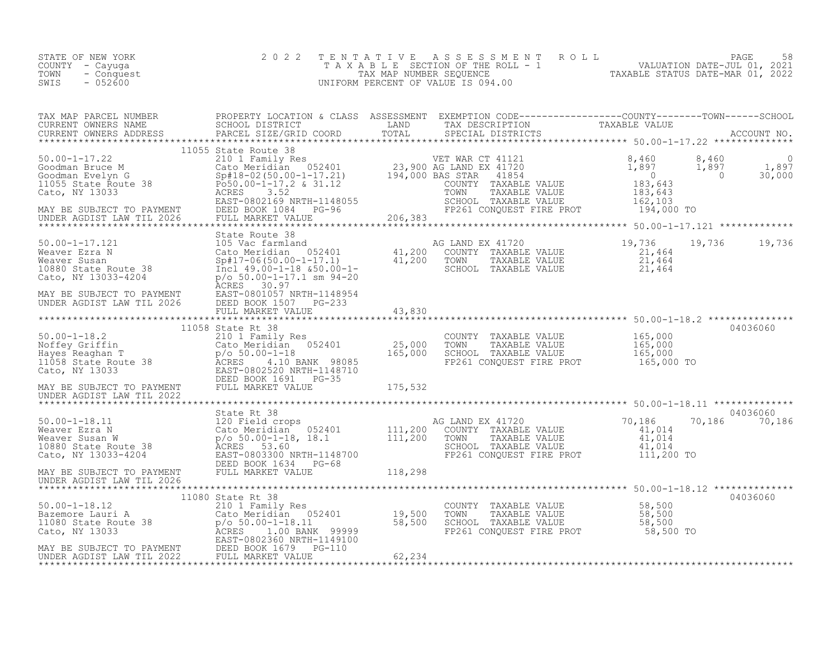| STATE OF NEW YORK<br>COUNTY - Cayuga<br>TOWN<br>- Conquest<br>SWIS<br>$-052600$                                                                                                                                                                          | 2 0 2 2           | T E N T A T I V E | TENTATIVE ASSESSMENT ROLL<br>TAXABLE SECTION OF THE ROLL - 1 VALUATION DATE-JUL 01, 2021<br>TAX MAP NUMBER SEQUENCE TAXABLE STATUS DATE-MAR 01, 2022<br>JNIFORM PERCENT OF VALUE IS 094.00<br>UNIFORM PERCENT OF VALUE IS 094.00 |                           |
|----------------------------------------------------------------------------------------------------------------------------------------------------------------------------------------------------------------------------------------------------------|-------------------|-------------------|----------------------------------------------------------------------------------------------------------------------------------------------------------------------------------------------------------------------------------|---------------------------|
|                                                                                                                                                                                                                                                          |                   |                   |                                                                                                                                                                                                                                  |                           |
| 11055 State Route 38                                                                                                                                                                                                                                     |                   |                   |                                                                                                                                                                                                                                  |                           |
|                                                                                                                                                                                                                                                          |                   |                   |                                                                                                                                                                                                                                  |                           |
| 30.00-1-17.121<br>30.00-1-17.121<br>30.00-1-17.121<br>30.00-1-17.121<br>30.00-1-17.121<br>30.00-1-17.121<br>30.00-1-17.121<br>30.00-1-17.121<br>30.00-1-17.121<br>30.00-1-17.121<br>30.00-1-17.121<br>30.00-1-17.121<br>30.00-1-17.121<br>30.00-1-17.121 |                   |                   |                                                                                                                                                                                                                                  | 19,736 19,736             |
|                                                                                                                                                                                                                                                          |                   |                   |                                                                                                                                                                                                                                  |                           |
|                                                                                                                                                                                                                                                          | 11058 State Rt 38 |                   |                                                                                                                                                                                                                                  | 04036060                  |
|                                                                                                                                                                                                                                                          |                   |                   |                                                                                                                                                                                                                                  |                           |
|                                                                                                                                                                                                                                                          |                   |                   |                                                                                                                                                                                                                                  |                           |
|                                                                                                                                                                                                                                                          |                   |                   |                                                                                                                                                                                                                                  | 04036060<br>70,186 70,186 |
|                                                                                                                                                                                                                                                          |                   |                   |                                                                                                                                                                                                                                  |                           |
|                                                                                                                                                                                                                                                          |                   |                   |                                                                                                                                                                                                                                  | 04036060                  |
|                                                                                                                                                                                                                                                          |                   |                   |                                                                                                                                                                                                                                  |                           |
|                                                                                                                                                                                                                                                          |                   |                   |                                                                                                                                                                                                                                  |                           |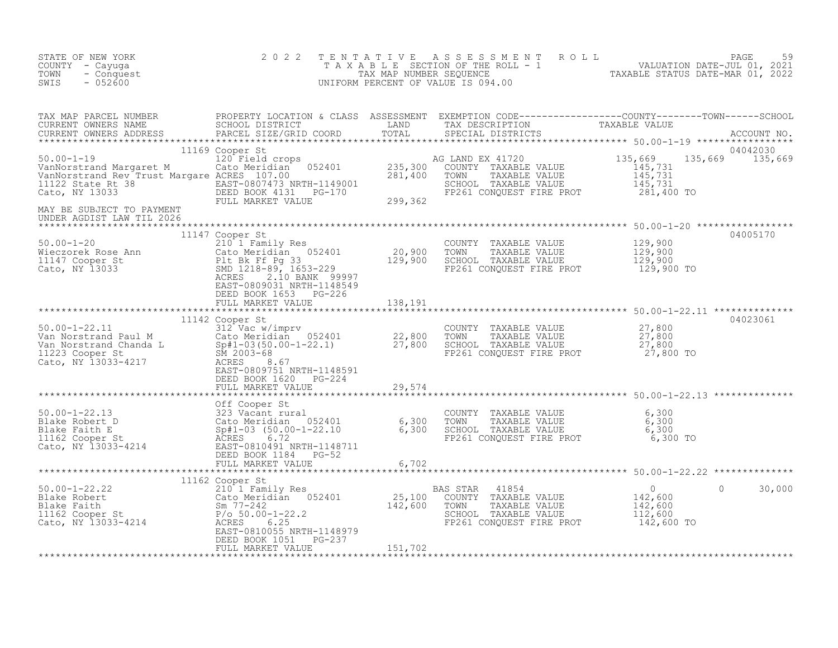| STATE OF NEW YORK<br>COUNTY - Cayuga<br>TOWN<br>- Conquest<br>$-052600$<br>SWIS                                                                                                                                                                                                                            | 2 0 2 2                                    |                             | TENTATIVE ASSESSMENT ROLL PAGE 59<br>TAXABLE SECTION OF THE ROLL - 1 VALUATION DATE-JUL 01, 2021<br>TAX MAP NUMBER SEQUENCE TAXABLE STATUS DATE-MAR 01, 2022<br>UNIFORM PERCENT OF VALUE IS 094.00 |         |                             |
|------------------------------------------------------------------------------------------------------------------------------------------------------------------------------------------------------------------------------------------------------------------------------------------------------------|--------------------------------------------|-----------------------------|----------------------------------------------------------------------------------------------------------------------------------------------------------------------------------------------------|---------|-----------------------------|
| TAX MAP PARCEL NUMBER PROPERTY LOCATION & CLASS ASSESSMENT EXEMPTION CODE----------------COUNTY--------TOWN------SCHOOL CURRENT OWNERS NAME SCHOOL DISTRICT LAND TAX DESCRIPTION TAXABLE VALUE CURRENT OWNERS ADDRESS PARCEL S                                                                             |                                            |                             |                                                                                                                                                                                                    |         |                             |
| 1169 Cooper St<br>1169 Cooper St<br>120 Field crops<br>135,669<br>VanNorstrand Margaret M<br>VanNorstrand Rev Trust Margare ACRES 107.00<br>281,400 TOWN TAXABLE VALUE<br>281,400 TOWN TAXABLE VALUE<br>Cato, NY 13033<br>281,400 TOWN SCHOOL TA<br>MAY BE SUBJECT TO PAYMENT<br>UNDER AGDIST LAW TIL 2026 | 11169 Cooper St                            |                             |                                                                                                                                                                                                    |         | 04042030<br>135,669 135,669 |
| 11147 Cooper St<br>50.00-1-20 210 1 Family Res<br>Wieczorek Rose Ann Cato Meridian 052401 20,900 TOWNTY TAXABLE VALUE 129,900<br>11147 Cooper St<br>Cato Meridian 052401 20,900 TOWN TAXABLE VALUE 129,900<br>20,900 TOWN TAXABLE VALUE                                                                    |                                            |                             |                                                                                                                                                                                                    |         | 04005170                    |
|                                                                                                                                                                                                                                                                                                            | DEED BOOK 1620 PG-224                      |                             |                                                                                                                                                                                                    |         | 04023061                    |
|                                                                                                                                                                                                                                                                                                            | FULL MARKET VALUE                          | 29,574                      |                                                                                                                                                                                                    |         |                             |
|                                                                                                                                                                                                                                                                                                            | DEED BOOK 1051 PG-237<br>FULL MARKET VALUE | $^{9}$ G-237 $^{151}$ , 702 |                                                                                                                                                                                                    | $\circ$ | 30,000                      |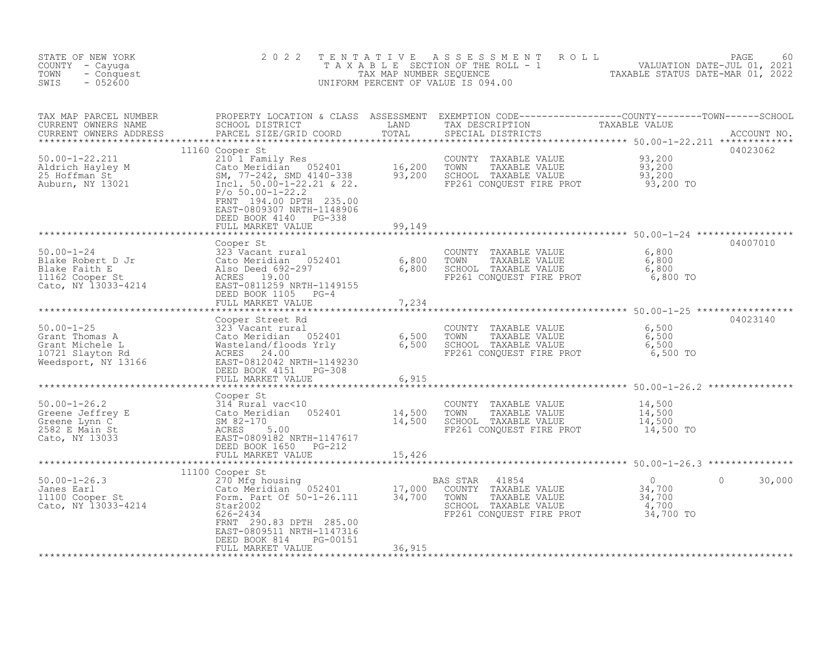| STATE OF NEW YORK<br>COUNTY - Cayuga<br>TOWN<br>- Conquest<br>$-052600$<br>SWIS                                                                                                                                                                             | 2 0 2 2<br>TENTATIVE                                                                                   |                    | TENTATIVE ASSESSMENT ROLL UNIVALUATION DATE-JUL 01, 2021<br>TAXABLE SECTION OF THE ROLL - 1<br>TAX MAP NUMBER SEQUENCE TAXABLE STATUS DATE-MAR 01, 2022<br>JNIFORM PERCENT OF VALUE IS 094.00<br>UNIFORM PERCENT OF VALUE IS 094.00 |                        |          |
|-------------------------------------------------------------------------------------------------------------------------------------------------------------------------------------------------------------------------------------------------------------|--------------------------------------------------------------------------------------------------------|--------------------|-------------------------------------------------------------------------------------------------------------------------------------------------------------------------------------------------------------------------------------|------------------------|----------|
| TAX MAP PARCEL NUMBER<br>CURRENT OWNERS NAME<br>CURRENT OWNERS ADDRESS                                                                                                                                                                                      |                                                                                                        |                    | PROPERTY LOCATION & CLASS ASSESSMENT EXEMPTION CODE----------------COUNTY--------TOWN------SCHOOL<br>SCHOOL DISTRICT LAND TAX DESCRIPTION TAXABLE VALUE<br>PARCEL SIZE/GRID COORD TOTAL SPECIAL DISTRICTS                           |                        |          |
| $\footnotesize$ 16,200 TOWNTY TAXABLE VALUE<br>11100 Cooper St<br>210 1 Family Res<br>25 Hoffman St<br>25 Hoffman St<br>25 Hoffman St<br>25 Hoffman St<br>25 Hoffman St<br>27 MD 4140-338<br>27.200 100-1-22.21 & 22.<br>27.200 100-1-22.21 & 22.<br>27.200 | FRNT 194.00 DPTH 235.00<br>EAST-0809307 NRTH-1148906<br>DEED BOOK 4140 PG-338                          | 99,149             |                                                                                                                                                                                                                                     |                        | 04023062 |
|                                                                                                                                                                                                                                                             | FULL MARKET VALUE                                                                                      |                    |                                                                                                                                                                                                                                     |                        |          |
| 50.00-1-24<br>Blake Robert D Jr 323 Vacant rural<br>Blake Faith E also Deed 692-297 6,800<br>11162 Cooper St ACRES 19.00<br>Cato, NY 13033-4214 FULL MARKES 19.00<br>Cato, NY 13033-4214 FULL MARKET 0811259 NRTH-1149155<br>TEED BOOK 11                   | Cooper St                                                                                              |                    | COUNTY TAXABLE VALUE 6,800<br>TOWN TAXABLE VALUE 6,800<br>SCHOOL TAXABLE VALUE 6,800<br>FP261 CONQUEST FIRE PROT 6,800 TO                                                                                                           |                        | 04007010 |
|                                                                                                                                                                                                                                                             |                                                                                                        |                    |                                                                                                                                                                                                                                     |                        |          |
|                                                                                                                                                                                                                                                             |                                                                                                        |                    |                                                                                                                                                                                                                                     |                        |          |
|                                                                                                                                                                                                                                                             |                                                                                                        |                    |                                                                                                                                                                                                                                     |                        | 04023140 |
|                                                                                                                                                                                                                                                             |                                                                                                        | $****************$ | ******************************** 50.00-1-26.2 ***************                                                                                                                                                                       |                        |          |
| Cooper St<br>50.00-1-26.2<br>Greene Jeffrey E<br>Greene Lynn C<br>2582 E Main St<br>Cato, NY 13033<br>Cato, NY 13033<br>Cato, NY 13033<br>Cato, NY 13033<br>Cato, NY 13033<br>Cato, NY 13033<br>Cato, NY 13033<br>Cato, NY 13033<br>Cato, NY 13033<br>Cato  |                                                                                                        |                    | COUNTY TAXABLE VALUE $14,500$<br>TOWN TAXABLE VALUE $14,500$<br>SCHOOL TAXABLE VALUE $14,500$<br>FP261 CONQUEST FIRE PROT $14,500$                                                                                                  |                        |          |
|                                                                                                                                                                                                                                                             |                                                                                                        |                    |                                                                                                                                                                                                                                     |                        |          |
|                                                                                                                                                                                                                                                             |                                                                                                        |                    |                                                                                                                                                                                                                                     |                        |          |
|                                                                                                                                                                                                                                                             | FRNT 290.83 DPTH 285.00<br>EAST-0809511 NRTH-1147316<br>PG-00151<br>DEED BOOK 814<br>FULL MARKET VALUE | 36,915             | 41854<br>AS STAR 41854<br>COUNTY TAXABLE VALUE 34,700<br>TOWN TAXABLE VALUE 34,700<br>SCHOOL TAXABLE VALUE 4,700<br>FP261 CONQUEST FIRE PROT 34,700 TO                                                                              | $\bigcirc$<br>$\Omega$ | 30,000   |
|                                                                                                                                                                                                                                                             |                                                                                                        |                    |                                                                                                                                                                                                                                     |                        |          |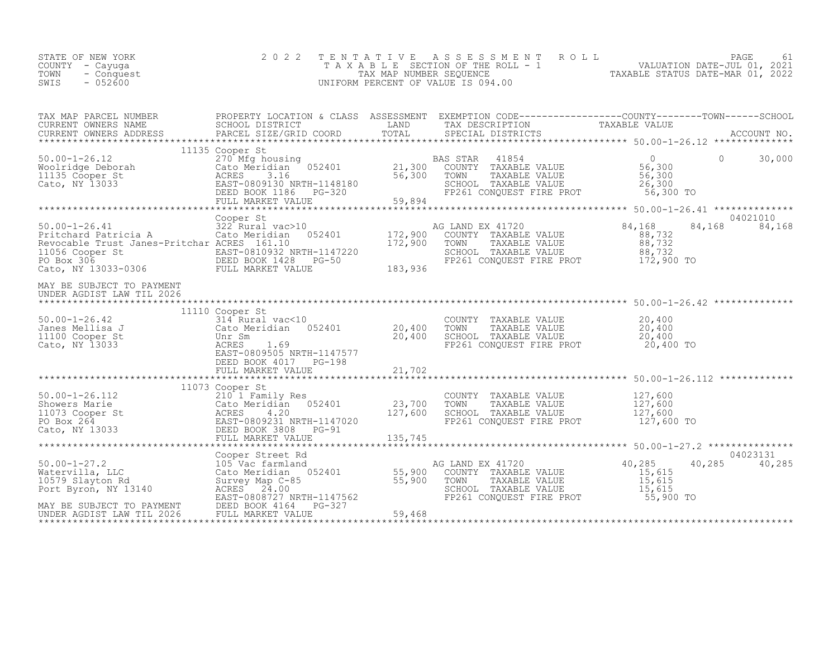| STATE OF NEW YORK<br>COUNTY - Cayuga<br>- Conquest<br>TOWN<br>SWIS<br>$-052600$                                                                                                                                                                                                                                                                                                                         | 2 0 2 2         | TENTATIVE ASSESSMENT ROLL PAGE 61<br>TAXABLE SECTION OF THE ROLL - 1 VALUATION DATE-JUL 01, 2021<br>TAX MAP NUMBER SEQUENCE TAXABLE STATUS DATE-MAR 01, 2022<br>UNIFORM PERCENT OF VALUE IS 094.00 |                              |
|---------------------------------------------------------------------------------------------------------------------------------------------------------------------------------------------------------------------------------------------------------------------------------------------------------------------------------------------------------------------------------------------------------|-----------------|----------------------------------------------------------------------------------------------------------------------------------------------------------------------------------------------------|------------------------------|
| TAX MAP PARCEL NUMBER PROPERTY LOCATION & CLASS ASSESSMENT EXEMPTION CODE-----------------COUNTY--------TOWN------SCHOOL CURRENT OWNERS NAME SCHOOL DISTRICT LAND TAX DESCRIPTION TAXABLE VALUE<br>CURRENT OWNERS ADDRESS PARCEL                                                                                                                                                                        |                 |                                                                                                                                                                                                    |                              |
| 11135 Cooper St<br>Moolridge Deborah 270 Mfg housing<br>Woolridge Deborah 270 Mfg housing<br>Cato, NY 13033 ACRES 3.16 56,300 TOWN TAXABLE VALUE 56,300<br>Cato, NY 13033 EAST-0809130 NRTH-1148180 SCHOOL TAXABLE VALUE 26,300<br>DEED                                                                                                                                                                 | 11135 Cooper St |                                                                                                                                                                                                    |                              |
|                                                                                                                                                                                                                                                                                                                                                                                                         |                 |                                                                                                                                                                                                    |                              |
| Cooper St<br>Fitchard Patricia A 222 Revocable Trust Janes-Pritchar ACRES 161.10<br>Revocable Trust Janes-Pritchar ACRES 161.10<br>CALL BAST-0810932 NRTH-1147220 172,900 TOWN TAXABLE VALUE 88,732<br>PO Box 306 BEED BOOK 1428 PG-50                                                                                                                                                                  | Cooper St       | FP261 CONQUEST FIRE PROT 172,900 TO                                                                                                                                                                | 04021010<br>84,168<br>84,168 |
| MAY BE SUBJECT TO PAYMENT<br>UNDER AGDIST LAW TIL 2026                                                                                                                                                                                                                                                                                                                                                  |                 |                                                                                                                                                                                                    |                              |
| 11110 Cooper St<br>314 Rural vac<10<br>314 Rural vac<10<br>Cato, NY 13033<br>Cato, NY 13033<br>Cato, NY 13033<br>Cato, NY 13033<br>Cato, NY 13033<br>Cato, NY 13033<br>Cato, NY 13033<br>Cato, NY 13033<br>Cato, NY 13033<br>Cato, NY 13033<br>Cato, NY                                                                                                                                                 | 11110 Cooper St |                                                                                                                                                                                                    |                              |
|                                                                                                                                                                                                                                                                                                                                                                                                         |                 | ******************************** 50.00-1-26.112 *************                                                                                                                                      |                              |
|                                                                                                                                                                                                                                                                                                                                                                                                         |                 |                                                                                                                                                                                                    |                              |
|                                                                                                                                                                                                                                                                                                                                                                                                         |                 |                                                                                                                                                                                                    |                              |
| $\begin{tabular}{lllllllllll} \texttt{50.00-1-27.2} & \texttt{Cooper Street Rd} & \texttt{AG LAND EX 41720} & 40,285 \\ \texttt{Watervilla, LLC} & 105 & \texttt{XcT105} & 35,900 & \texttt{COUNTY} & \texttt{TXABLE VALUE} & 40,285 \\ \texttt{Matervilla, LLC} & 15,615 & \texttt{SUVUE} & 15,615 \\ \texttt{Port Byron, NY 13140} & \texttt{ACRES} & 24,000 \\ \texttt{XcT20} & \texttt{S105} & 55,$ |                 | SCHOOL TAXABLE VALUE 15,015<br>FP261 CONQUEST FIRE PROT 55,900 TO                                                                                                                                  | 04023131<br>40,285 40,285    |
|                                                                                                                                                                                                                                                                                                                                                                                                         |                 |                                                                                                                                                                                                    |                              |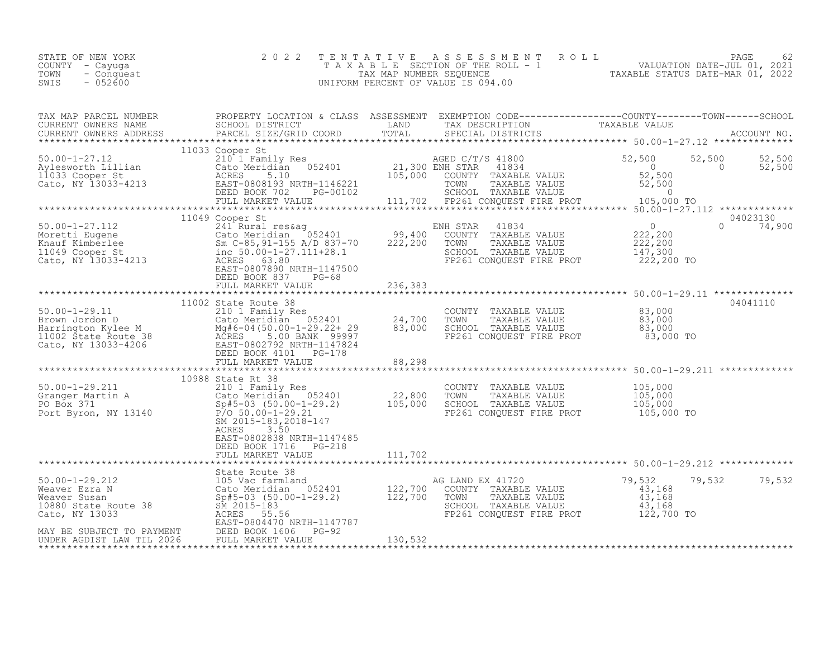| STATE OF NEW YORK<br>COUNTY - Cayuga<br>TOWN<br>- Conquest<br>SWIS<br>$-052600$                            | 2 0 2 2                                                                                                                                                                                                                                          | TENTATIVE<br>TAX MAP NUMBER SEQUENCE<br>UNIFORM PERCENT OF VALUE IS 094.00 | ASSESSMENT<br>ROLL<br>T A X A B L E SECTION OF THE ROLL - 1                                                                            | 62<br>VALUATION DATE-JUL 01, 2021<br>TAXABLE STATUS DATE-MAR 01 2022         | PAGE               | 62                 |
|------------------------------------------------------------------------------------------------------------|--------------------------------------------------------------------------------------------------------------------------------------------------------------------------------------------------------------------------------------------------|----------------------------------------------------------------------------|----------------------------------------------------------------------------------------------------------------------------------------|------------------------------------------------------------------------------|--------------------|--------------------|
| TAX MAP PARCEL NUMBER<br>CURRENT OWNERS NAME<br>CURRENT OWNERS ADDRESS                                     | PROPERTY LOCATION & CLASS ASSESSMENT EXEMPTION CODE----------------COUNTY-------TOWN-----SCHOOL<br>SCHOOL DISTRICT<br>PARCEL SIZE/GRID COORD                                                                                                     | LAND<br>TOTAL                                                              | TAX DESCRIPTION<br>SPECIAL DISTRICTS                                                                                                   | TAXABLE VALUE                                                                |                    | ACCOUNT NO.        |
| $50.00 - 1 - 27.12$<br>Aylesworth Lillian<br>11033 Cooper St<br>Cato, NY 13033-4213                        | 11033 Cooper St<br>210 <sup>-</sup> 1 Family Res<br>052401<br>Cato Meridian<br>ACRES<br>5.10<br>EAST-0808193 NRTH-1146221<br>DEED BOOK 702<br>PG-00102<br>FULL MARKET VALUE                                                                      | 21,300 ENH STAR<br>105,000                                                 | AGED C/T/S 41800<br>41834<br>COUNTY TAXABLE VALUE<br>TOWN<br>TAXABLE VALUE<br>SCHOOL TAXABLE VALUE<br>111,702 FP261 CONQUEST FIRE PROT | 52,500<br>$\overline{0}$<br>52,500<br>52,500<br>$\overline{0}$<br>105,000 TO | 52,500<br>$\Omega$ | 52,500<br>52,500   |
| $50.00 - 1 - 27.112$<br>Moretti Eugene<br>Knauf Kimberlee<br>11049 Cooper St<br>Cato, NY 13033-4213        | 11049 Cooper St<br>241 Rural res&aq<br>Cato Meridian 052401<br>Sm C-85, 91-155 A/D 837-70<br>inc 50.00-1-27.111+28.1<br>ACRES 63.80<br>EAST-0807890 NRTH-1147500<br>DEED BOOK 837<br>$PG-68$<br>FULL MARKET VALUE                                | 99,400<br>222,200<br>236,383                                               | ENH STAR<br>41834<br>COUNTY TAXABLE VALUE<br>TOWN<br>TAXABLE VALUE<br>SCHOOL TAXABLE VALUE<br>FP261 CONQUEST FIRE PROT                 | $\circ$<br>222,200<br>222,200<br>147,300<br>222,200 TO                       | $\Omega$           | 04023130<br>74,900 |
| $50.00 - 1 - 29.11$<br>Brown Jordon D<br>Harrington Kylee M<br>11002 State Route 38<br>Cato, NY 13033-4206 | 11002 State Route 38<br>210 1 Family Res<br>Mg#6-04(50.00-1-29.22+ 29<br>ACRES 5.00 BANK 99997<br>EAST-0802792 NRTH-1147824<br>DEED BOOK 4101<br>PG-178<br>FULL MARKET VALUE                                                                     | 83,000<br>88,298                                                           | COUNTY TAXABLE VALUE<br>TOWN<br>TAXABLE VALUE<br>SCHOOL TAXABLE VALUE<br>FP261 CONOUEST FIRE PROT                                      | 83,000<br>83,000<br>83,000<br>83,000 TO                                      |                    | 04041110           |
| $50.00 - 1 - 29.211$<br>Granger Martin A<br>PO Box 371<br>Port Byron, NY 13140                             | 10988 State Rt 38<br>210 1 Family Res<br>Cato Meridian 052401<br>$Sp#5-03$ $(50.00-1-29.2)$<br>$P/O 50.00 - 1 - 29.21$<br>SM 2015-183, 2018-147<br>ACRES<br>3.50<br>EAST-0802838 NRTH-1147485<br>$PG-218$<br>DEED BOOK 1716<br>FULL MARKET VALUE | 22,800<br>105,000<br>111,702                                               | COUNTY TAXABLE VALUE<br>TOWN<br>TAXABLE VALUE<br>SCHOOL TAXABLE VALUE<br>FP261 CONOUEST FIRE PROT                                      | 105,000<br>105,000<br>105,000<br>105,000 TO                                  |                    |                    |
| $50.00 - 1 - 29.212$                                                                                       | State Route 38<br>105 Vac farmland                                                                                                                                                                                                               |                                                                            | AG LAND EX 41720                                                                                                                       | 79,532                                                                       | 79,532             | 79,532             |

|                           | State Route 38             |         |                  |                          |            | 79,532 |        |
|---------------------------|----------------------------|---------|------------------|--------------------------|------------|--------|--------|
| $50.00 - 1 - 29.212$      | 105 Vac farmland           |         | AG LAND EX 41720 |                          | 79,532     |        | 79,532 |
| Weaver Ezra N             | Cato Meridian<br>052401    | 122,700 | COUNTY           | TAXABLE VALUE            | 43,168     |        |        |
| Weaver Susan              | $Sp#5-03$ $(50.00-1-29.2)$ | 122,700 | TOWN             | TAXABLE VALUE            | 43,168     |        |        |
| 10880 State Route 38      | SM 2015-183                |         | SCHOOL           | TAXABLE VALUE            | 43,168     |        |        |
| Cato, NY 13033            | ACRES 55.56                |         |                  | FP261 CONOUEST FIRE PROT | 122,700 TO |        |        |
|                           | EAST-0804470 NRTH-1147787  |         |                  |                          |            |        |        |
| MAY BE SUBJECT TO PAYMENT | DEED BOOK 1606<br>PG-92    |         |                  |                          |            |        |        |
| UNDER AGDIST LAW TIL 2026 | FULL MARKET VALUE          | 130,532 |                  |                          |            |        |        |
|                           |                            |         |                  |                          |            |        |        |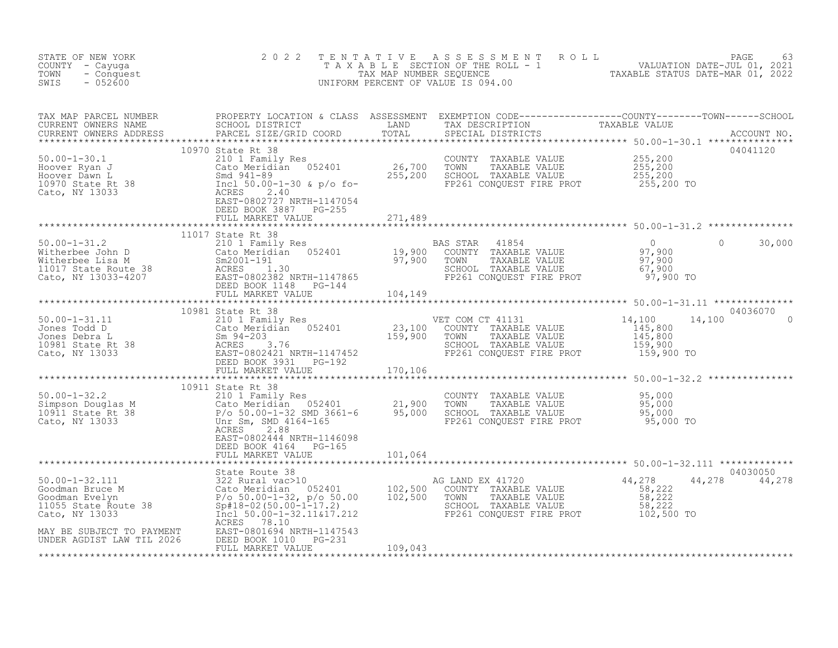| STATE OF NEW YORK<br>COUNTY - Cayuga<br>TOWN<br>- Conquest<br>$-052600$<br>SWIS | 2 0 2 2                   |         | TENTATIVE ASSESSMENT ROLL PAGE 63<br>TAXABLE SECTION OF THE ROLL - 1 VALUATION DATE-JUL 01, 2021<br>TAX MAP NUMBER SEQUENCE TAXABLE STATUS DATE-MAR 01, 2022<br>UNIFORM PERCENT OF VALUE IS 094.00 |
|---------------------------------------------------------------------------------|---------------------------|---------|----------------------------------------------------------------------------------------------------------------------------------------------------------------------------------------------------|
|                                                                                 |                           |         |                                                                                                                                                                                                    |
|                                                                                 |                           |         |                                                                                                                                                                                                    |
|                                                                                 |                           |         | 30,000<br>$\overline{0}$                                                                                                                                                                           |
|                                                                                 |                           |         |                                                                                                                                                                                                    |
|                                                                                 | 10981 State Rt 38         |         | 04036070<br>14,100                                                                                                                                                                                 |
|                                                                                 |                           |         |                                                                                                                                                                                                    |
|                                                                                 | EAST-0802444 NRTH-1146098 |         |                                                                                                                                                                                                    |
|                                                                                 | DEED BOOK 4164 PG-165     |         |                                                                                                                                                                                                    |
|                                                                                 | FULL MARKET VALUE 101,064 |         |                                                                                                                                                                                                    |
|                                                                                 |                           |         | 04030050<br>44,278 44,278                                                                                                                                                                          |
|                                                                                 | FULL MARKET VALUE         | 109,043 |                                                                                                                                                                                                    |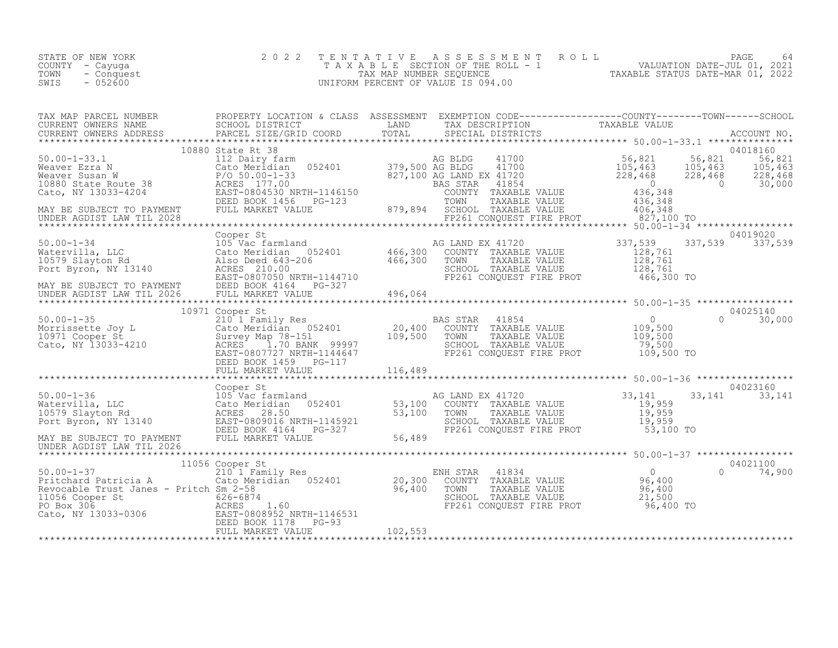| STATE OF NEW YORK<br>TAXABLE SECTION OF THE ROLL - 1<br>COUNTY – Cayuga<br>TOWN<br>TAX MAP NUMBER SEOUENCE<br>- Conquest<br>$-052600$<br>SWIS<br>UNIFORM PERCENT OF VALUE IS 094.00 | 2022 TENTATIVE ASSESSMENT ROLL<br>PAGE<br>VALUATION DATE-JUL 01, 2021<br>TAXABLE STATUS DATE-MAR 01, 2022 | 64 |
|-------------------------------------------------------------------------------------------------------------------------------------------------------------------------------------|-----------------------------------------------------------------------------------------------------------|----|
|-------------------------------------------------------------------------------------------------------------------------------------------------------------------------------------|-----------------------------------------------------------------------------------------------------------|----|

| 10880 State Rt 38<br>Meaver Susan M<br>Meaver Susan M<br>Meaver Susan M<br>Meaver Susan M<br>Meaver Susan M<br>Meaver Susan M<br>228,468<br>228,468<br>228,468<br>228,468<br>228,468<br>228,468<br>228,468<br>228,468<br>228,468<br>228,468<br>228,468<br>228,468<br>                           |                 |  |           |               |
|-------------------------------------------------------------------------------------------------------------------------------------------------------------------------------------------------------------------------------------------------------------------------------------------------|-----------------|--|-----------|---------------|
|                                                                                                                                                                                                                                                                                                 |                 |  |           |               |
|                                                                                                                                                                                                                                                                                                 |                 |  |           |               |
|                                                                                                                                                                                                                                                                                                 |                 |  |           |               |
|                                                                                                                                                                                                                                                                                                 |                 |  |           |               |
|                                                                                                                                                                                                                                                                                                 |                 |  |           |               |
|                                                                                                                                                                                                                                                                                                 |                 |  |           |               |
|                                                                                                                                                                                                                                                                                                 |                 |  |           |               |
|                                                                                                                                                                                                                                                                                                 |                 |  |           |               |
|                                                                                                                                                                                                                                                                                                 |                 |  |           | 04025140      |
|                                                                                                                                                                                                                                                                                                 |                 |  |           | $0 \t 30,000$ |
|                                                                                                                                                                                                                                                                                                 |                 |  |           |               |
| $\begin{array}{cccccc} 50.00-1-35 & 10971 \text{ Cooper St} & 21011 Family Res & 21011 Family Res & 20,400 & 200,400 & 200,400 & 200,400 & 200,400 & 200,400 & 200,400 & 200,400 & 200,400 & 200,400 & 200,400 & 200,400 & 200,400 & 200,400 & 200,400 & 200,400 & 200,400 & 200,400 & 200,400$ |                 |  |           |               |
|                                                                                                                                                                                                                                                                                                 |                 |  |           |               |
|                                                                                                                                                                                                                                                                                                 |                 |  |           |               |
|                                                                                                                                                                                                                                                                                                 |                 |  |           |               |
|                                                                                                                                                                                                                                                                                                 |                 |  |           |               |
|                                                                                                                                                                                                                                                                                                 |                 |  |           |               |
|                                                                                                                                                                                                                                                                                                 |                 |  |           |               |
|                                                                                                                                                                                                                                                                                                 |                 |  |           |               |
|                                                                                                                                                                                                                                                                                                 |                 |  |           |               |
|                                                                                                                                                                                                                                                                                                 |                 |  |           |               |
|                                                                                                                                                                                                                                                                                                 |                 |  |           |               |
|                                                                                                                                                                                                                                                                                                 |                 |  |           |               |
|                                                                                                                                                                                                                                                                                                 | 11056 Cooper St |  |           | 04021100      |
|                                                                                                                                                                                                                                                                                                 |                 |  | $\bigcap$ | 74,900        |
|                                                                                                                                                                                                                                                                                                 |                 |  |           |               |
|                                                                                                                                                                                                                                                                                                 |                 |  |           |               |
|                                                                                                                                                                                                                                                                                                 |                 |  |           |               |
| 11056 Cooper St<br>210 1 Family Res<br>Pritchard Patricia A<br>Revocable Trust Janes - Pritch Sm 2-58<br>11056 Cooper St<br>20,300 COUNTY TAXABLE VALUE<br>96,400 TOWN TAXABLE VALUE<br>21,500<br>21,500<br>21,500<br>21,500<br>21,500<br>21,500<br>21,5                                        |                 |  |           |               |
|                                                                                                                                                                                                                                                                                                 |                 |  |           |               |
| 11056 Cooper St<br>PO Box 306<br>Cato, NY 13033-0306<br>EAST-0808952 NRTH-1146531<br>DEED BOX 306<br>EAST-080852 NRTH-1146531<br>DEED BOX 306<br>EAST-08081178<br>PC-93<br>EULL MARKET VALUE<br>FULL MARKET VALUE<br>FULL MARKET VALUE<br>FULL MARKET                                           |                 |  |           |               |
|                                                                                                                                                                                                                                                                                                 |                 |  |           |               |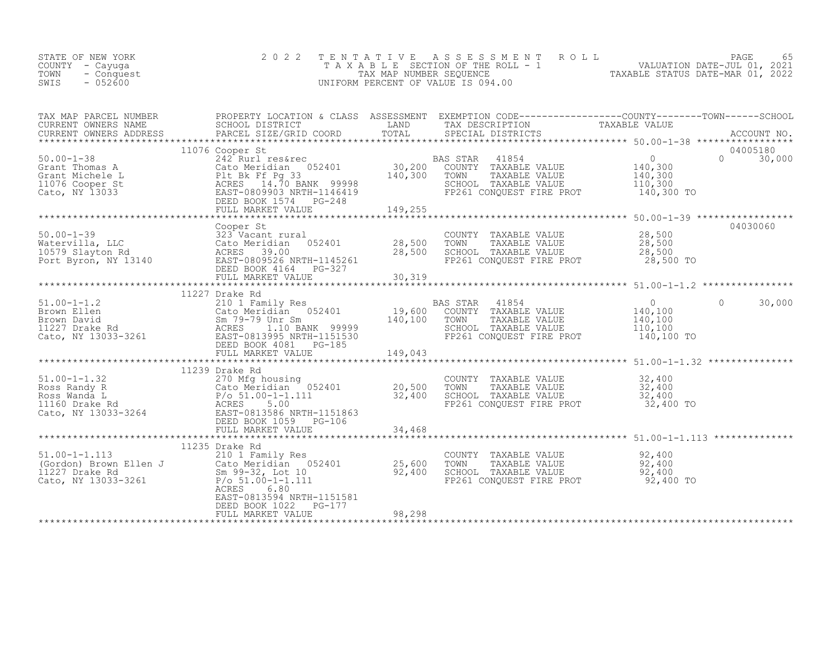| COUNTY - Cayuga<br>TOWN<br>- Conquest<br>SWIS<br>$-052600$                                                                                                                                                                                                                                                                                        |                                                                                                            |        | T A X A B L E SECTION OF THE ROLL - 1<br>TAX MAP NUMBER SEQUENCE<br>INIFORM PERCENT OF VALUE IS 094 00<br>UNIFORM PERCENT OF VALUE IS 094.00 |                                |
|---------------------------------------------------------------------------------------------------------------------------------------------------------------------------------------------------------------------------------------------------------------------------------------------------------------------------------------------------|------------------------------------------------------------------------------------------------------------|--------|----------------------------------------------------------------------------------------------------------------------------------------------|--------------------------------|
| TAX MAP PARCEL NUMBER<br>CURRENT OWNERS NAME<br>CURRENT OWNERS NAME SCHOOL DISTRICT LAND TAX DESCRIPTION TAXABLE VALUE<br>CURRENT OWNERS ADDRESS PARCEL SIZE/GRID COORD TOTAL SPECIAL DISTRICTS ACCOUNT MO.<br>***********************                                                                                                            |                                                                                                            |        |                                                                                                                                              |                                |
|                                                                                                                                                                                                                                                                                                                                                   |                                                                                                            |        |                                                                                                                                              | 04005180<br>$\Omega$<br>30,000 |
|                                                                                                                                                                                                                                                                                                                                                   |                                                                                                            |        |                                                                                                                                              | 04030060                       |
| 04030060 Compy TAXABLE VALUE 28,500 COMPY TAXABLE VALUE 28,500 CONNEY PARABLE VALUE WATERFUILLA, LLC 323 Vacant rural<br>Watervilla, LLC 323 Vacant rural 28,500 TOWN TAXABLE VALUE 28,500<br>10579 Slayton Rd ACRES 39.00 28,500                                                                                                                 | Cooper St                                                                                                  |        |                                                                                                                                              |                                |
|                                                                                                                                                                                                                                                                                                                                                   |                                                                                                            |        |                                                                                                                                              |                                |
| 11227 Draw Ray 11227 Avenue Care Base Star Mary 200 1 Family Res and the Cato Meridian 052401 and 210 1 Family Res and Cato Meridian 052401 and 210 and 210 and 210 and 210 and 210 and 210 and 210 and 210 and 210 and 210 an                                                                                                                    |                                                                                                            |        |                                                                                                                                              |                                |
|                                                                                                                                                                                                                                                                                                                                                   | 11239 Drake Rd                                                                                             |        |                                                                                                                                              |                                |
| $\begin{tabular}{lllllllllll} 51.00-1-1.32 & 11239\ \mbox{Drake Rd} & 270\ \mbox{Mfg housing} & 052401 & 20,500 \\ \mbox{Ross Randy R} & 20,500\ \mbox{Ross Wanda L} & P/O & 51.00-1-1.111 & 32,400 \\ \mbox{1160 Drake Rd} & P/O & 51.00-1-1.111 & 32,400 \\ \mbox{t1160 Drake Rd} & 5.00 & \mbox{EAST-0813586 NRTH-1151863} \\ \mbox{DEED BOOK$ |                                                                                                            |        | COUNTY TAXABLE VALUE $32,400$<br>TOWN TAXABLE VALUE $32,400$<br>SCHOOL TAXABLE VALUE $32,400$<br>FP261 CONQUEST FIRE PROT $32,400$ TO        |                                |
|                                                                                                                                                                                                                                                                                                                                                   |                                                                                                            |        |                                                                                                                                              |                                |
| 11233 Make Ru (Gordon) Brown Ellen J<br>210 1 Family Res<br>(Gordon) Brown Ellen J<br>210 1 Family Res<br>25,600 TOWN TAXABLE VALUE<br>25,600 TOWN TAXABLE VALUE<br>25,600 TOWN TAXABLE VALUE<br>25,600 TOWN TAXABLE VALUE<br>25,600 TOWN TAXA                                                                                                    | 11235 Drake Rd<br>ACRES<br>6.80<br>EAST-0813594 NRTH-1151581<br>DEED BOOK 1022 PG-177<br>FULL MARKET VALUE | 98,298 | COUNTY TAXABLE VALUE $92,400$<br>TOWN TAXABLE VALUE $92,400$<br>SCHOOL TAXABLE VALUE $92,400$<br>FP261 CONQUEST FIRE PROT $92,400$ TO        |                                |
|                                                                                                                                                                                                                                                                                                                                                   |                                                                                                            |        |                                                                                                                                              |                                |

STATE OF NEW YORK 2 0 2 2 T E N T A T I V E A S S E S S M E N T R O L L PAGE 65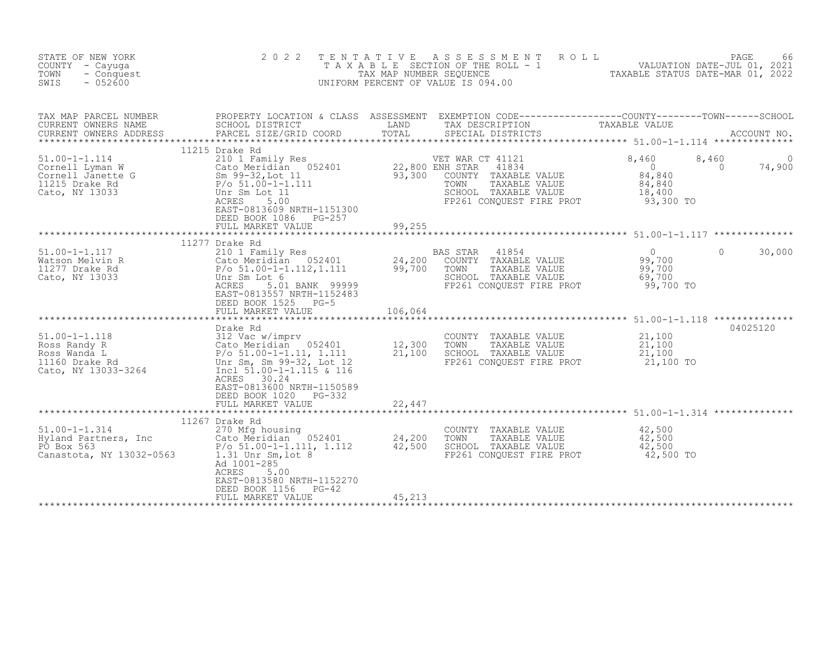| STATE OF NEW YORK<br>COUNTY - Cayuga<br>- Conquest<br>TOWN<br>$-052600$<br>SWIS                                                                                                                                                                                               | 2 0 2 2                                                                                                                                                                                                            | TENTATIVE | A S S E S S M E N T A O L L<br>T A X A B L E SECTION OF THE ROLL - 1 VALUATION DATE-JUL 01, 2021<br>TAX MAP NUMBER SEQUENCE TAXABLE STATUS DATE-MAR 01, 2022<br>UNIFORM PERCENT OF VALUE IS 094.00 |                                                                                           | PAGE<br>66         |
|-------------------------------------------------------------------------------------------------------------------------------------------------------------------------------------------------------------------------------------------------------------------------------|--------------------------------------------------------------------------------------------------------------------------------------------------------------------------------------------------------------------|-----------|----------------------------------------------------------------------------------------------------------------------------------------------------------------------------------------------------|-------------------------------------------------------------------------------------------|--------------------|
| TAX MAP PARCEL NUMBER<br>CURRENT OWNERS NAME<br>CURRENT OWNERS ADDRESS                                                                                                                                                                                                        | SCHOOL DISTRICT<br>PARCEL SIZE/GRID COORD                                                                                                                                                                          | TOTAL     | PROPERTY LOCATION & CLASS ASSESSMENT EXEMPTION CODE----------------COUNTY-------TOWN------SCHOOL<br>LAND TAX DESCRIPTION TAXABLE VALUE<br>SPECIAL DISTRICTS                                        |                                                                                           | ACCOUNT NO.        |
| 11.00-1-1.114<br>Cornell Lyman W Cato Meridian 052401<br>Cornell Janette G Sm 99-32, Lot 11<br>Cato, NY 13033<br>Cato, NY 13033<br>Cato, NY 13033<br>Cato, NY 13033<br>CACRES 5.00<br>COUNTY<br>CALCORES 5.00<br>COUNTY<br>CALCORES 5.00<br>COUNTY<br>CA                      | 11215 Drake Rd<br>EAST-0813609 NRTH-1151300<br>DEED BOOK 1086 PG-257<br>FULL MARKET VALUE                                                                                                                          | 99,255    | VET WAR CT 41121<br>41834<br>COUNTY TAXABLE VALUE<br>TAXABLE VALUE<br>SCHOOL TAXABLE VALUE<br>FP261 CONQUEST FIRE PROT                                                                             | 8,460<br>8,460<br>$\bigcirc$<br>$\overline{0}$<br>84,840<br>84,840<br>18,400<br>93,300 TO | 74,900             |
| $51.00 - 1 - 1.117$<br>Watson Melvin R<br>11277 Drake Rd<br>Cato, NY 13033                                                                                                                                                                                                    | 11277 Drake Rd<br>210 1 Family Res<br>21, 2010<br>Cato Meridian 052401 24, 200<br>P/o 51.00-1-1.112, 1.111 99, 700<br>Unr Sm Lot 6<br>5.01 BANK 99999<br>ACRES<br>EAST-0813557 NRTH-1152483<br>DEED BOOK 1525 PG-5 |           | BAS STAR 41854<br>COUNTY TAXABLE VALUE<br>TOWN<br>TAXABLE VALUE<br>SCHOOL TAXABLE VALUE<br>FP261 CONQUEST FIRE PROT                                                                                | $\overline{0}$<br>99,700<br>99,700<br>69,700<br>99,700 TO                                 | $\Omega$<br>30,000 |
|                                                                                                                                                                                                                                                                               | FULL MARKET VALUE                                                                                                                                                                                                  | 106,064   |                                                                                                                                                                                                    |                                                                                           |                    |
| 91.00-1-1.118<br>Ross Randy R<br>Ross Wanda L<br>P/o 51.00-1-1.11, 1.111 21,300<br>1160 Drake Rd<br>21,100<br>21,100<br>21,100<br>21,100<br>21,100<br>21,100<br>21,100<br>21,100<br>21,100<br>21,100<br>21,100<br>21,100<br>21,100<br>21,100<br>21,100<br>Cato, NY 13033-3264 | Drake Rd<br>Incl $51.00-1-1.115$ & 116<br>ACRES 30.24<br>EAST-0813600 NRTH-1150589<br>DEED BOOK 1020 PG-332                                                                                                        |           | COUNTY TAXABLE VALUE<br>TOWN<br>TAXABLE VALUE<br>SCHOOL TAXABLE VALUE<br>FP261 CONQUEST FIRE PROT                                                                                                  | $\frac{21,100}{21,100}$<br>21,100<br>21,100 TO                                            | 04025120           |
|                                                                                                                                                                                                                                                                               | FULL MARKET VALUE                                                                                                                                                                                                  | 22,447    |                                                                                                                                                                                                    |                                                                                           |                    |
| $51.00 - 1 - 1.314$<br>Hyland Partners, Inc Cato Meridian 052401 24,200<br>Po Box 563 P/o 51.00-1-1.111, 1.112 42,500<br>Canastota, NY 13032-0563 1.31 Unr Sm, lot 8                                                                                                          | 11267 Drake Rd<br>270 Mfg housing<br>Ad 1001-285<br>ACRES<br>5.00<br>EAST-0813580 NRTH-1152270<br>DEED BOOK 1156<br>$PG-42$<br>FULL MARKET VALUE                                                                   | 45,213    | COUNTY TAXABLE VALUE<br>TOWN<br>TAXABLE VALUE<br>SCHOOL TAXABLE VALUE<br>FP261 CONOUEST FIRE PROT                                                                                                  | 42,500<br>42,500<br>42,500<br>42,500 TO                                                   |                    |
|                                                                                                                                                                                                                                                                               |                                                                                                                                                                                                                    |           |                                                                                                                                                                                                    |                                                                                           |                    |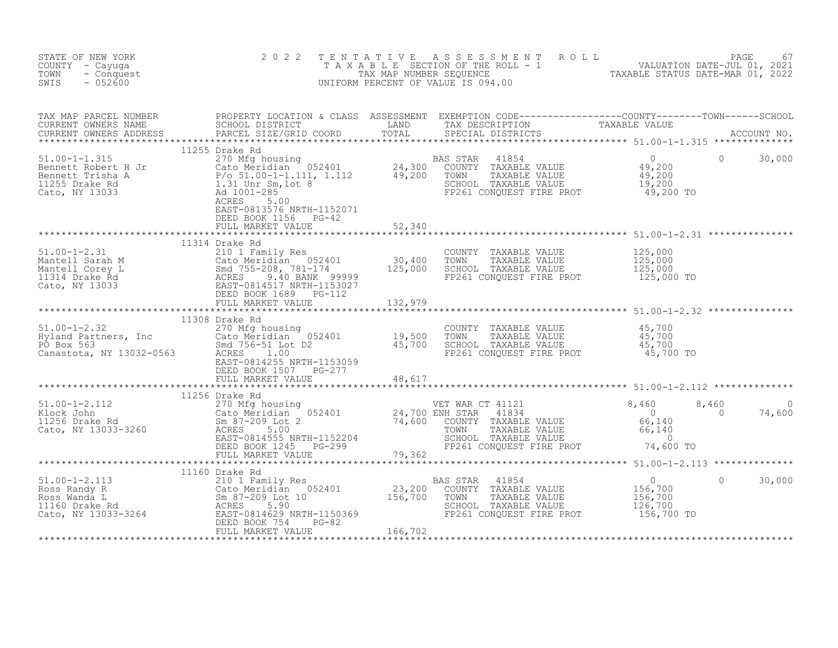| STATE OF NEW YORK<br>COUNTY - Cayuga<br>TOWN<br>- Conquest<br>SWIS<br>$-052600$                                                                                                                                                                                                                                                                              | 2 0 2 2                                    | TENTATIVE ASSESSMENT ROLL PAGE 67<br>TAXABLE SECTION OF THE ROLL - 1 VALUATION DATE-JUL 01, 2021<br>TAX MAP NUMBER SEQUENCE TAXABLE STATUS DATE-MAR 01, 2022<br>UNIFORM PERCENT OF VALUE IS 094.00 |  |  |
|--------------------------------------------------------------------------------------------------------------------------------------------------------------------------------------------------------------------------------------------------------------------------------------------------------------------------------------------------------------|--------------------------------------------|----------------------------------------------------------------------------------------------------------------------------------------------------------------------------------------------------|--|--|
|                                                                                                                                                                                                                                                                                                                                                              |                                            |                                                                                                                                                                                                    |  |  |
|                                                                                                                                                                                                                                                                                                                                                              |                                            |                                                                                                                                                                                                    |  |  |
|                                                                                                                                                                                                                                                                                                                                                              |                                            |                                                                                                                                                                                                    |  |  |
|                                                                                                                                                                                                                                                                                                                                                              |                                            |                                                                                                                                                                                                    |  |  |
|                                                                                                                                                                                                                                                                                                                                                              |                                            |                                                                                                                                                                                                    |  |  |
|                                                                                                                                                                                                                                                                                                                                                              | DEED BOOK 1507 PG-277                      |                                                                                                                                                                                                    |  |  |
|                                                                                                                                                                                                                                                                                                                                                              | DEED BOOK 1507 FG-277<br>FULL MARKET VALUE |                                                                                                                                                                                                    |  |  |
|                                                                                                                                                                                                                                                                                                                                                              |                                            |                                                                                                                                                                                                    |  |  |
|                                                                                                                                                                                                                                                                                                                                                              |                                            |                                                                                                                                                                                                    |  |  |
|                                                                                                                                                                                                                                                                                                                                                              |                                            |                                                                                                                                                                                                    |  |  |
| $\begin{tabular}{l cccc} \textbf{51.00-1-2.112} & \textbf{32.01} & \textbf{53.00} & \textbf{54.00} & \textbf{55.00} & \textbf{56.00} & \textbf{57.00} & \textbf{58.00} & \textbf{59.00} & \textbf{50.00} & \textbf{50.00} & \textbf{50.00} & \textbf{50.00} & \textbf{50.00} & \textbf{50.00} & \textbf{50.00} & \textbf{50.00} & \textbf{50.00} & \textbf{$ |                                            |                                                                                                                                                                                                    |  |  |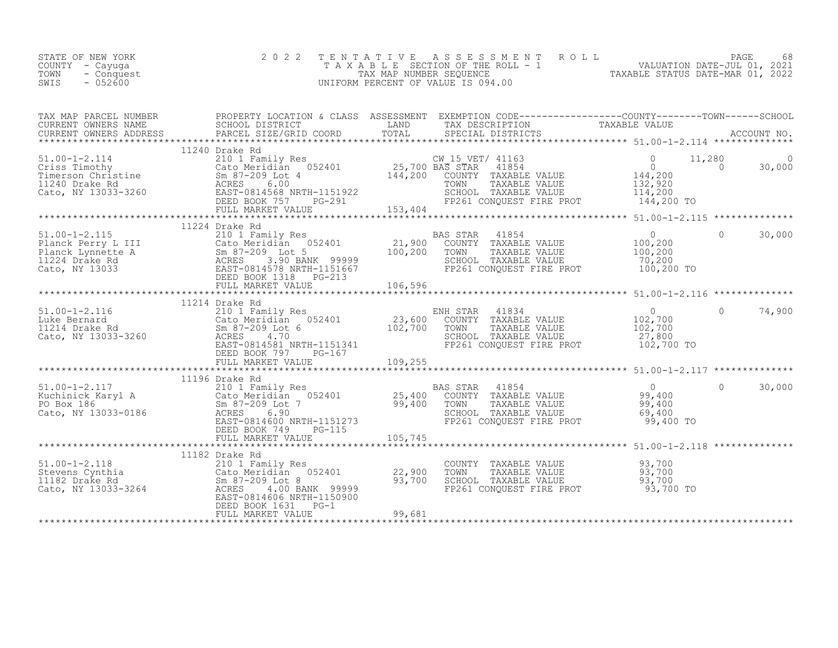| 11224 Drake Rd<br>COUNTY TAXABLE VALUE $\begin{array}{ccc} 93,700\ \text{TOWN} & \text{TAXABLE VALUE} & 93,700\ \text{SCHOL} & \text{TAXABLE VALUE} & 93,700\ \text{FP261 CONQUEST FIRE PROT} & 93,700\ \text{FP261 CONQUEST FIRE PROT} & 93,700\ \end{array}$ | STATE OF NEW YORK<br>COUNTY - Cayuga<br>- Conquest<br>TOWN<br>$-052600$<br>SWIS | 2 0 2 2 |  | TENTATIVE ASSESSMENT ROLL PAGE 68<br>TAXABLE SECTION OF THE ROLL - 1 VALUATION DATE-JUL 01, 2021<br>TAX MAP NUMBER SEQUENCE TAXABLE STATUS DATE-MAR 01, 2022<br>UNIFORM PERCENT OF VALUE IS 094.00 |  |  |
|----------------------------------------------------------------------------------------------------------------------------------------------------------------------------------------------------------------------------------------------------------------|---------------------------------------------------------------------------------|---------|--|----------------------------------------------------------------------------------------------------------------------------------------------------------------------------------------------------|--|--|
|                                                                                                                                                                                                                                                                |                                                                                 |         |  |                                                                                                                                                                                                    |  |  |
|                                                                                                                                                                                                                                                                |                                                                                 |         |  |                                                                                                                                                                                                    |  |  |
|                                                                                                                                                                                                                                                                |                                                                                 |         |  |                                                                                                                                                                                                    |  |  |
|                                                                                                                                                                                                                                                                |                                                                                 |         |  |                                                                                                                                                                                                    |  |  |
|                                                                                                                                                                                                                                                                |                                                                                 |         |  |                                                                                                                                                                                                    |  |  |
|                                                                                                                                                                                                                                                                |                                                                                 |         |  |                                                                                                                                                                                                    |  |  |
|                                                                                                                                                                                                                                                                |                                                                                 |         |  |                                                                                                                                                                                                    |  |  |
|                                                                                                                                                                                                                                                                |                                                                                 |         |  |                                                                                                                                                                                                    |  |  |
|                                                                                                                                                                                                                                                                |                                                                                 |         |  |                                                                                                                                                                                                    |  |  |
|                                                                                                                                                                                                                                                                |                                                                                 |         |  |                                                                                                                                                                                                    |  |  |
|                                                                                                                                                                                                                                                                |                                                                                 |         |  |                                                                                                                                                                                                    |  |  |
|                                                                                                                                                                                                                                                                |                                                                                 |         |  |                                                                                                                                                                                                    |  |  |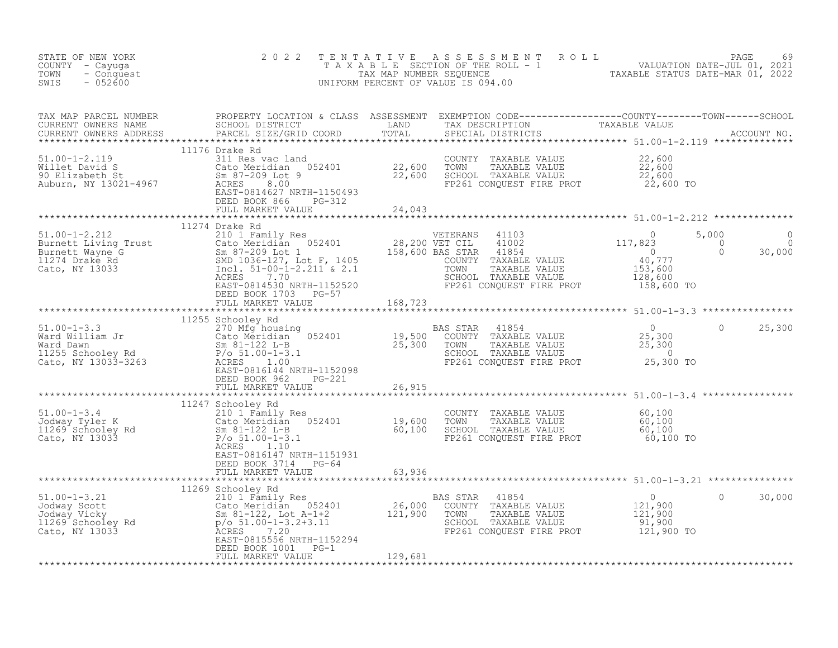| STATE OF NEW YORK<br>COUNTY - Cayuga<br>TOWN<br>- Conquest<br>$-052600$<br>SWIS                                                                                                                                                                 | 2 0 2 2                                            |  | TENTATIVE ASSESSMENT ROLL PALUATION DATE-JUL 01, 2021<br>TAXABLE SECTION OF THE ROLL - 1 VALUATION DATE-JUL 01, 2021<br>TAXABLE STATUS DATE-MAR 01, 2022<br>UNIFORM PERCENT OF VALUE IS 094.00 |         |        |
|-------------------------------------------------------------------------------------------------------------------------------------------------------------------------------------------------------------------------------------------------|----------------------------------------------------|--|------------------------------------------------------------------------------------------------------------------------------------------------------------------------------------------------|---------|--------|
|                                                                                                                                                                                                                                                 |                                                    |  |                                                                                                                                                                                                |         |        |
|                                                                                                                                                                                                                                                 |                                                    |  |                                                                                                                                                                                                |         |        |
|                                                                                                                                                                                                                                                 |                                                    |  |                                                                                                                                                                                                |         |        |
|                                                                                                                                                                                                                                                 |                                                    |  |                                                                                                                                                                                                |         |        |
|                                                                                                                                                                                                                                                 | DEED BOOK 1703 PG-57<br>FULL MARKET VALUE 168,723  |  |                                                                                                                                                                                                |         |        |
|                                                                                                                                                                                                                                                 |                                                    |  |                                                                                                                                                                                                |         |        |
| 11255 Schooley Rd<br>Mard William Jr<br>2010 MgC (MgC hoosing 052401 189,500 CONNY TAXABLE VALUE 25,300 0 25,300<br>Mard William Jr<br>Mard Dawn Taxable VALUE 25,300 0 25,300<br>Mard Milliam Jr<br>Mard Milliam Jr<br>2010 Sm 81-1122 L-B<br> |                                                    |  |                                                                                                                                                                                                |         |        |
|                                                                                                                                                                                                                                                 |                                                    |  |                                                                                                                                                                                                |         |        |
|                                                                                                                                                                                                                                                 | EAST-0816147 NRTH-1151931<br>DEED BOOK 3714 PG-64  |  |                                                                                                                                                                                                |         |        |
|                                                                                                                                                                                                                                                 |                                                    |  |                                                                                                                                                                                                |         |        |
|                                                                                                                                                                                                                                                 | DEED BOOK 1001 FG-1<br>FEED BOOK 1001 FG-1 129,681 |  |                                                                                                                                                                                                | $\circ$ | 30,000 |
|                                                                                                                                                                                                                                                 |                                                    |  |                                                                                                                                                                                                |         |        |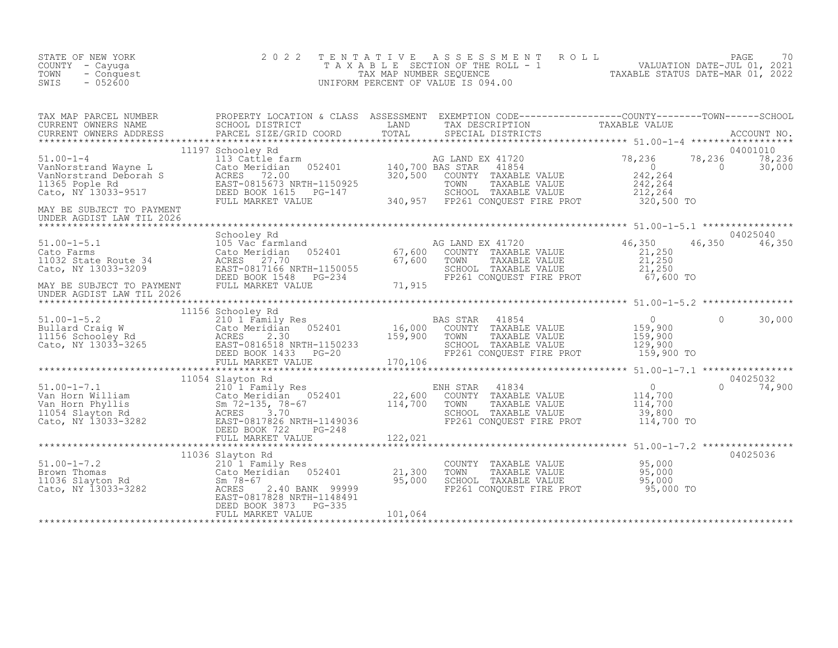| STATE OF NEW YORK<br>COUNTY - Cayuga<br>TOWN<br>- Conquest<br>$-052600$<br>SWIS                                                                                                                                                                                                                                       | 2 0 2 2                                                        |         | TENTATIVE ASSESSMENT ROLL PAGE 70<br>TAXABLE SECTION OF THE ROLL - 1 VALUATION DATE-JUL 01, 2021<br>TAX MAP NUMBER SEQUENCE TAXABLE STATUS DATE-MAR 01, 2022<br>UNIFORM PERCENT OF VALUE IS 094.00 |                                                                                                            |                                        |
|-----------------------------------------------------------------------------------------------------------------------------------------------------------------------------------------------------------------------------------------------------------------------------------------------------------------------|----------------------------------------------------------------|---------|----------------------------------------------------------------------------------------------------------------------------------------------------------------------------------------------------|------------------------------------------------------------------------------------------------------------|----------------------------------------|
| UNDER AGDIST LAW TIL 2026                                                                                                                                                                                                                                                                                             |                                                                |         |                                                                                                                                                                                                    |                                                                                                            | 04001010<br>78,236<br>30.000<br>30,000 |
| 51.00-1-5.1<br>Cato Farms 105 Vac Farmland and the Schooley Rd and the Schooley Rd and the Schooley Rd and the Schooley Rd and the Schooley Rd and the Schooley Rd and the Schooley Rd and the Schooley Rd and the Schooley Rd<br>MAY BE SUBJECT TO PAYMENT<br>UNDER AGDIST LAW TIL 2026<br>UNDER AGDIST LAW TIL 2026 | Schooley Rd                                                    |         |                                                                                                                                                                                                    |                                                                                                            | 04025040<br>46,350<br>46,350           |
|                                                                                                                                                                                                                                                                                                                       | 11156 Schooley Rd                                              |         | AS STAR 41854 (0)<br>COUNTY TAXABLE VALUE 159,900<br>TOWN TAXABLE VALUE 159,900<br>SCHOOL TAXABLE VALUE 129,900<br>FP261 CONQUEST FIRE PROT 159,900 TO<br><b>BAS STAR</b>                          |                                                                                                            | 30,000<br>$\Omega$                     |
| $\begin{tabular}{lllllllllllll} 51.00-1-7.1 & 11054 Slayton Rd & 2101 Family Res \\ & & 2101 Family Res & 22,600Variable and the original data is 14,700Yan Horn Phyllis & 22,60011054 Slayton Rd & 21017100114,700114,70022,600114,700114,700114,700114,700122,021122,02122,02122,02122,02$                          | 11054 Slayton Rd                                               |         | ENH STAR 41834<br>COUNTY TAXABLE VALUE<br>TOWN TAXABLE VALUE<br>SCHOOL TAXABLE VALUE 39,800<br>FP261 CONQUEST FIRE PROT 114,700 TO                                                                 | ******************* 51.00-1-7.1 *****************<br>VALUE 0<br>VALUE 114,700<br>VALUE 114,700<br>20.20.20 | 04025032<br>$0 \t 74,900$              |
| 11036 Slayton Rd<br>210 1 Family Res<br>21,300<br>21,300<br>21,300<br>21,300<br>21,300<br>21,300<br>21,300<br>21,300<br>21,300<br>21,300<br>21,300<br>21,300<br>21,300<br>25,000<br>25,000<br>25,000<br>25,000<br>25,000<br>25,000<br>25,000<br>25,000<br>25,000<br>25,000<br>25                                      | 11036 Slayton Rd<br>DEED BOOK 3873 PG-335<br>FULL MARKET VALUE | 101,064 | COUNTY TAXABLE VALUE $95,000$<br>TOWN TAXABLE VALUE 95,000<br>SCHOOL TAXABLE VALUE 95,000<br>FP261 CONQUEST FIRE PROT 95,000 TO                                                                    |                                                                                                            | 04025036                               |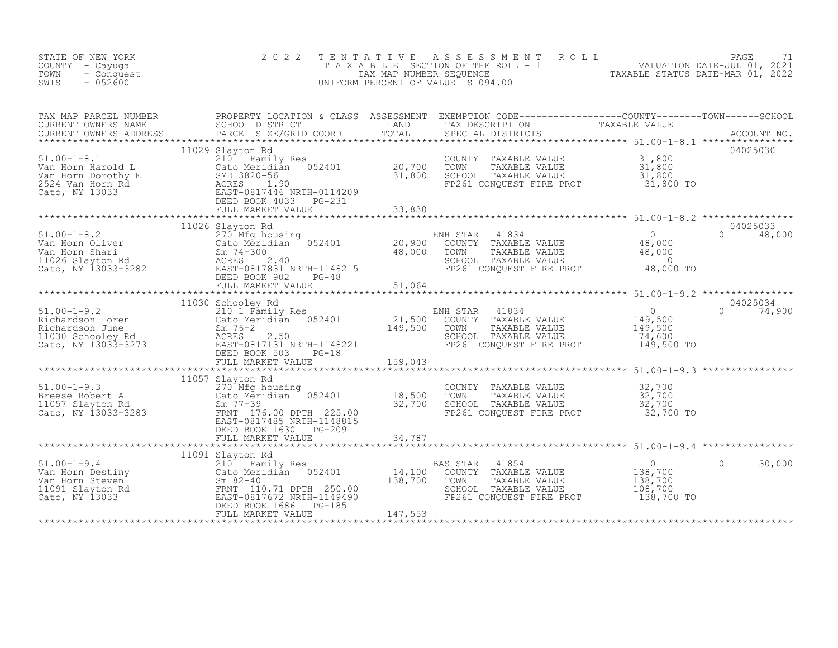| STATE OF NEW YORK<br>COUNTY - Cayuga<br>- Conquest<br>TOWN<br>SWIS<br>$-052600$                                                                                                                                                                                                 | 2 0 2 2                                                      |  | TENTATIVE ASSESSMENT ROLL PACE 71<br>TAXABLE SECTION OF THE ROLL - 1 VALUATION DATE-JUL 01, 2021<br>TAX MAP NUMBER SEQUENCE TAXABLE STATUS DATE-MAR 01, 2022<br>UNIFORM PERCENT OF VALUE IS 094.00 |                                    |                                 |
|---------------------------------------------------------------------------------------------------------------------------------------------------------------------------------------------------------------------------------------------------------------------------------|--------------------------------------------------------------|--|----------------------------------------------------------------------------------------------------------------------------------------------------------------------------------------------------|------------------------------------|---------------------------------|
| TAX MAP PARCEL NUMBER PROPERTY LOCATION & CLASS ASSESSMENT EXEMPTION CODE-----------------COUNTY--------TOWN------SCHOOL CURRENT OWNERS NAME SCHOOL DISTRICT LAND TAX DESCRIPTION TAXABLE VALUE<br>CURRENT OWNERS ADDRESS PARCEL                                                |                                                              |  |                                                                                                                                                                                                    |                                    |                                 |
|                                                                                                                                                                                                                                                                                 | 11029 Slayton Rd                                             |  |                                                                                                                                                                                                    |                                    | 04025030                        |
|                                                                                                                                                                                                                                                                                 |                                                              |  |                                                                                                                                                                                                    |                                    |                                 |
| 51.00-1-8.2<br>Van Horn Oliver 270 Mfg housing<br>Van Horn Shari Cato Meridian 052401 20,900<br>Van Horn Shari Sm 74-300 48,000<br>11026 Slayton Rd ACRES 2.40<br>Cato, NY 13033-3282 DEED BOOK 902 PG-48<br>*****************************                                      | 11026 Slayton Rd                                             |  | NH STAR 41834 0<br>COUNTY TAXABLE VALUE 48,000<br>TOWN TAXABLE VALUE 48,000<br>SCHOOL TAXABLE VALUE 48,000<br>FP261 CONQUEST FIRE PROT 48,000 TO<br>ENH STAR                                       |                                    | 04025033<br>$0 \t 48,000$       |
|                                                                                                                                                                                                                                                                                 |                                                              |  |                                                                                                                                                                                                    |                                    |                                 |
| 51.00-1-9.2<br>Richardson Loren<br>Richardson June<br>Richardson June<br>1030 Schooley Rd<br>Cato, NY 13033-3273<br>273<br>22.50<br>2.50<br>2.50<br>2.50<br>2.50<br>2.50<br>2.50<br>2.50<br>2.50<br>2.50<br>2.50<br>2.50<br>2.50<br>2.50<br>2.50<br>2.50<br>2.50<br>2.50<br>2.5 |                                                              |  | ENH STAR 41834 0<br>COUNTY TAXABLE VALUE 149,500<br>TOWN TAXABLE VALUE 149,500<br>SCHOOL TAXABLE VALUE 74,600<br>FP261 CONQUEST FIRE PROT 149,500 TO                                               |                                    | 04025034<br>$\bigcap$<br>74,900 |
|                                                                                                                                                                                                                                                                                 |                                                              |  |                                                                                                                                                                                                    |                                    |                                 |
| $51.00 - 1 - 9.3$<br>51.00-1-9.3<br>Breese Robert A (Cato Meridian 052401 18,500<br>11057 Slayton Rd (Sm 77-39 32,700<br>Cato, NY 13033-3283 FRNT 176.00 DPTH 225.00<br>EAST-0817485 NRTH-1148815                                                                               | 11057 Slayton Rd<br>270 Mfg housing<br>DEED BOOK 1630 PG-209 |  | COUNTY TAXABLE VALUE 32,700<br>TOWN TAXABLE VALUE 32,700<br>SCHOOL TAXABLE VALUE 32,700<br>FP261 CONQUEST FIRE PROT 32,700 TO                                                                      |                                    |                                 |
|                                                                                                                                                                                                                                                                                 |                                                              |  |                                                                                                                                                                                                    |                                    |                                 |
| 11091 Slayton Rd<br>Van Horn Destiny<br>Van Horn Steven<br>1091 Slayton Rd<br>210 1 Family Res<br>210 1 Family Res<br>210 1 Family Res<br>210 1 Family Res<br>210 1 Family Res<br>210 1 Family Res<br>210 1 Family Res<br>210 138,700<br>2010 138,700<br>                       |                                                              |  | BAS STAR 41854<br>COUNTY TAXABLE VALUE<br>TOWN     TAXABLE VALUE<br>SCHOOL TAXABLE VALUE<br>FP261 CONQUEST FIRE PROT 138,700 TO                                                                    | 0<br>138,700<br>138,700<br>108,700 | $\Omega$<br>30,000              |
|                                                                                                                                                                                                                                                                                 |                                                              |  |                                                                                                                                                                                                    |                                    |                                 |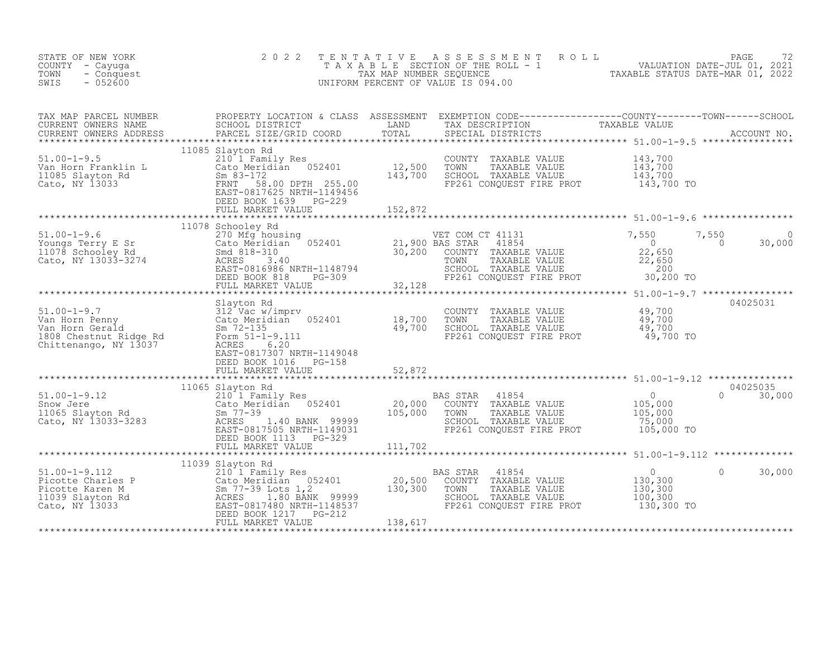| STATE OF NEW YORK<br>COUNTY - Cayuga<br>TOWN<br>- Conquest<br>SWIS<br>$-052600$                                                                                                                                                                              | 2 0 2 2<br>TENTATIVE                                                                                                                   |         | FENTATIVE ASSESSMENT ROLL UNIVERSITY PAGE 72<br>TAXABLE SECTION OF THE ROLL - 1 VALUATION DATE-JUL 01, 2021<br>TAXABLE STATUS DATE-MAR 01, 2022<br>JNIFORM PERCENT OF VALUE IS 094.00<br>UNIFORM PERCENT OF VALUE IS 094.00 |                                                                              |                              |
|--------------------------------------------------------------------------------------------------------------------------------------------------------------------------------------------------------------------------------------------------------------|----------------------------------------------------------------------------------------------------------------------------------------|---------|-----------------------------------------------------------------------------------------------------------------------------------------------------------------------------------------------------------------------------|------------------------------------------------------------------------------|------------------------------|
| TAX MAP PARCEL NUMBER PROPERTY LOCATION & CLASS ASSESSMENT EXEMPTION CODE-----------------COUNTY--------TOWN------SCHOOL CURRENT OWNERS NAME SCHOOL DISTRICT LAND TAX DESCRIPTION TAXABLE VALUE<br>CURRENT OWNERS ADDRESS PARCEL                             |                                                                                                                                        |         |                                                                                                                                                                                                                             |                                                                              |                              |
| 11085 Slayton Rd<br>Van Horn Franklin L<br>11085 Slayton Rd<br>Cato, NY 13033<br>210 1 Family Res<br>210 1 Family Res<br>210 1 Family Res<br>210 1 Family Res<br>210 1 Family Res<br>210 12,500<br>212,500<br>213,700<br>213,700<br>213,700<br>213,700<br>21 | 11085 Slayton Rd                                                                                                                       |         | COUNTY TAXABLE VALUE $143,700$<br>TOWN TAXABLE VALUE $143,700$<br>SCHOOL TAXABLE VALUE $143,700$<br>FP261 CONQUEST FIRE PROT $143,700$ TO                                                                                   |                                                                              |                              |
|                                                                                                                                                                                                                                                              | FULL MARKET VALUE                                                                                                                      | 152,872 |                                                                                                                                                                                                                             |                                                                              |                              |
| 11078 Schooley Rd 270 Mfg housing<br>Youngs Terry E Sr 270 Mfg housing<br>21,900 BAS STAR 41854 21,900 BAS STAR 41854 21,900 BAS STAR 41854 22,650 22,650<br>11078 Schooley Rd 30,200 COUNTY TAXABLE VALUE 22,650<br>Cato, NY 13033-32                       | 11078 Schooley Rd                                                                                                                      |         |                                                                                                                                                                                                                             |                                                                              | $7,550$<br>0 30,00<br>30,000 |
|                                                                                                                                                                                                                                                              | FULL MARKET VALUE 32,128                                                                                                               |         |                                                                                                                                                                                                                             |                                                                              |                              |
| 51.00-1-9.7<br>Van Horn Penny<br>Van Horn Penny<br>Van Horn Gerald<br>Cato Meridian 052401<br>18,700<br>1808 Chestnut Ridge Rd<br>Chittenango, NY 13037<br>2007 EAST-0817307 NPTH 3110313                                                                    | DEED BOOK 1016    PG-158                                                                                                               |         | COUNTY TAXABLE VALUE $\begin{array}{ccc} 49,700 \ 49,700 \ 5\text{CHOOL} & \text{TAXABLE VALUE} \ 649,700 \ 19,700 \ 19,700 \ 19,700 \ 19,700 \ 19,700 \ 19,700 \ 10 & \text{TOW} \end{array}$                              |                                                                              | 04025031                     |
|                                                                                                                                                                                                                                                              | FULL MARKET VALUE                                                                                                                      | 52,872  |                                                                                                                                                                                                                             |                                                                              |                              |
| 11005 310001 Ku (11005 2101 Ku (2010)<br>20,000 COUNTY TAXABLE VALUE<br>20,000 COUNTY TAXABLE VALUE<br>20,000 COUNTY TAXABLE VALUE<br>20,000 COUNTY TAXABLE VALUE<br>20,000 COUNTY TAXABLE VALUE<br>20,000 TOWN TAXABLE VALUE<br>20,000 TOWN                 | 11065 Slayton Rd<br>DEED BOOK 1113 PG-329<br>FULL MARKET VALUE                                                                         | 111,702 | SCHOOL TAXABLE VALUE 195,000<br>FP261 CONQUEST FIRE PROT 105,000 TO                                                                                                                                                         | $\begin{array}{c} 0 \\ 105,000 \\ 105,000 \end{array}$                       | 04025035<br>$0 \t 30,000$    |
|                                                                                                                                                                                                                                                              |                                                                                                                                        |         |                                                                                                                                                                                                                             | *********************** 51.00-1-9.112 ***************                        |                              |
| 51.00-1-9.112<br>Picotte Charles P<br>Picotte Karen M<br>1039 Slayton Rd<br>Cato Meridian 052401<br>20,500<br>11039 Slayton Rd<br>Cato, NY 13033<br>Cato, NY 13033<br>PEED BOOK 1217 PG-212<br>PULL MARKET VALUE<br>PULL MARKET VALUE<br>PULL MARKET V       | 11039 Slayton Rd<br>$210$ <sup><math>\overline{1}</math></sup> $Fam11y$ Res<br>-39 LOTS 1,2<br>1.80 BANK 99999<br>0817480 NRTH-1148537 |         | 41854<br>BAS STAR<br>COUNTY TAXABLE VALUE<br>TOWN<br>TAXABLE VALUE<br>SCHOOL TAXABLE VALUE<br>FP261 CONQUEST FIRE PROT 130,300 TO                                                                                           | $\overline{0}$<br>$\Omega$<br>0<br>130,300<br>130,300<br>100,300<br>100, 300 | 30,000                       |
|                                                                                                                                                                                                                                                              |                                                                                                                                        |         |                                                                                                                                                                                                                             |                                                                              |                              |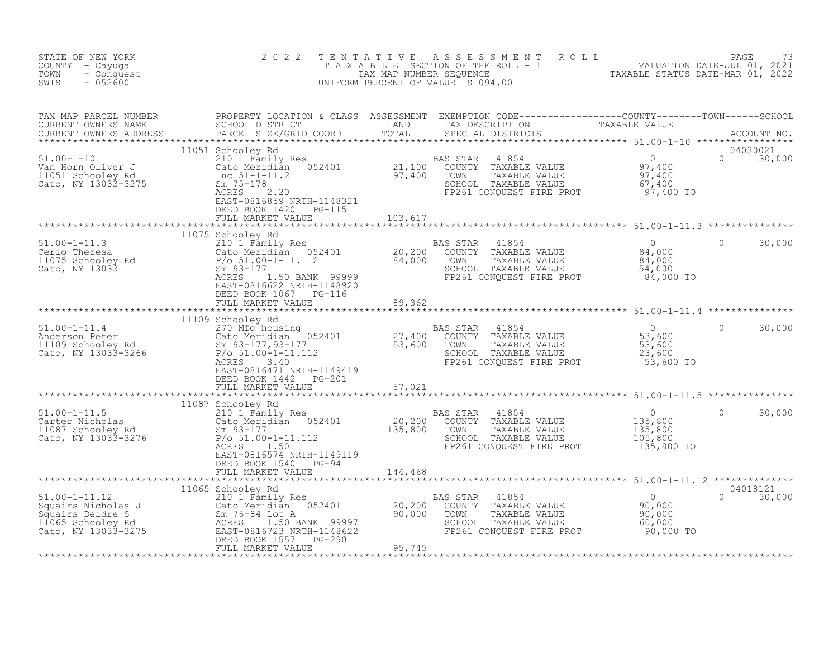| STATE OF NEW YORK<br>COUNTY - Cayuqa<br>TOWN<br>- Conquest<br>SWIS<br>$-052600$                                                                                                                                                                | 2 0 2 2                                            |                   | TENTATIVE ASSESSMENT ROLL PACE 73<br>TAXABLE SECTION OF THE ROLL - 1 VALUATION DATE-JUL 01, 2021<br>TAX MAP NUMBER SEQUENCE TAXABLE STATUS DATE-MAR 01, 2022<br>UNIFORM PERCENT OF VALUE IS 094.00 |                           |
|------------------------------------------------------------------------------------------------------------------------------------------------------------------------------------------------------------------------------------------------|----------------------------------------------------|-------------------|----------------------------------------------------------------------------------------------------------------------------------------------------------------------------------------------------|---------------------------|
|                                                                                                                                                                                                                                                |                                                    |                   |                                                                                                                                                                                                    |                           |
|                                                                                                                                                                                                                                                | DEED BOOK 1420 PG-115<br>FULL MARKET VALUE 103,617 |                   |                                                                                                                                                                                                    | 04030021<br>$0 \t 30,000$ |
|                                                                                                                                                                                                                                                |                                                    |                   |                                                                                                                                                                                                    |                           |
| 11075 Schooley Rd (11075 Schooley Rd (11075 Schooley Rd (11075 Schooley Rd (11075 Schooley Rd (20,200 COUNTY TAXABLE VALUE (20,200 COUNTY TAXABLE VALUE (20,200 COUNTY TAXABLE VALUE (20,200 COUNTY TAXABLE VALUE (20,200 COUN                 | DEED BOOK 1067    PG-116                           |                   |                                                                                                                                                                                                    | 30,000<br>$\Omega$        |
|                                                                                                                                                                                                                                                | FULL MARKET VALUE                                  | 89,362            |                                                                                                                                                                                                    |                           |
|                                                                                                                                                                                                                                                | *************************                          | ***************** |                                                                                                                                                                                                    |                           |
| 1109 Schooley Rd<br>270 Mfg housing<br>27,400 COUNTY TAXABLE VALUE<br>27,400 COUNTY TAXABLE VALUE<br>27,400 COUNTY TAXABLE VALUE<br>53,600 SCHOOL TAXABLE VALUE<br>53,600 SCHOOL TAXABLE VALUE<br>23,600 SCHOOL TAXABLE VALUE<br>23,600 SCHOOL | 11109 Schooley Rd<br>DEED BOOK 1442 PG-201         |                   |                                                                                                                                                                                                    | $\circ$<br>30,000         |
|                                                                                                                                                                                                                                                | FULL MARKET VALUE 57,021                           |                   |                                                                                                                                                                                                    |                           |
|                                                                                                                                                                                                                                                | 11087 Schooley Rd                                  |                   |                                                                                                                                                                                                    |                           |
| 11087 Schooley Rd<br>210 1 Family Res<br>Carter Nicholas<br>20,200 COUNTY TAXABLE VALUE<br>20,200 COUNTY TAXABLE VALUE<br>20,200 COUNTY TAXABLE VALUE<br>20,200 COUNTY TAXABLE VALUE<br>20,200 COUNTY TAXABLE VALUE<br>20,200 COUNTY TAXABLE V | EAST-0816574 NRTH-1149119                          |                   |                                                                                                                                                                                                    | $\Omega$<br>30,000        |
|                                                                                                                                                                                                                                                | DEED BOOK 1540 PG-94<br>FULL MARKET VALUE 144,468  |                   |                                                                                                                                                                                                    |                           |
|                                                                                                                                                                                                                                                |                                                    |                   |                                                                                                                                                                                                    |                           |
|                                                                                                                                                                                                                                                | 11065 Schooley Rd                                  |                   |                                                                                                                                                                                                    | 04018121<br>$0 \t 30,000$ |
|                                                                                                                                                                                                                                                |                                                    |                   |                                                                                                                                                                                                    |                           |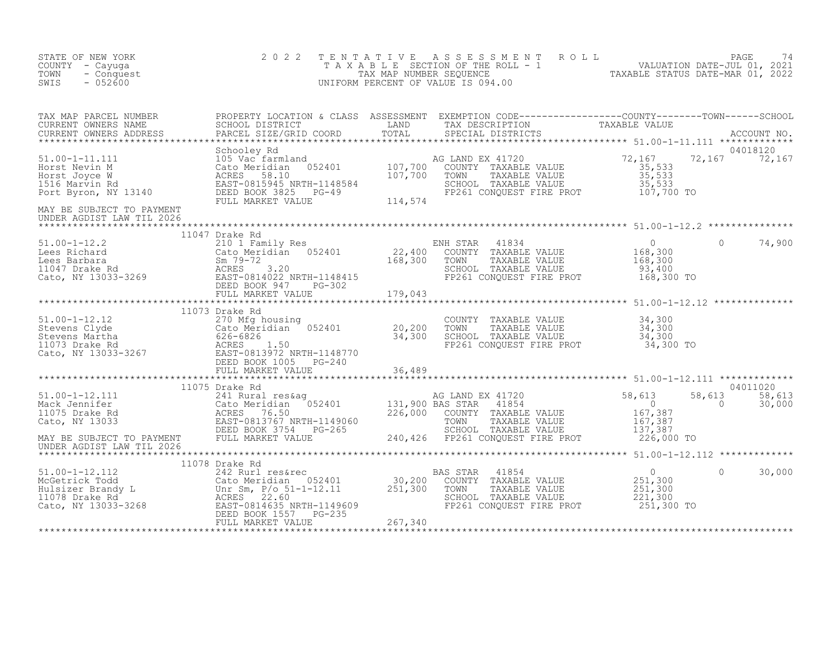| STATE OF NEW YORK<br>COUNTY - Cayuga<br>TOWN<br>- Conquest<br>SWIS<br>$-052600$                                                                                                                                                                             | 2 0 2 2        | TENTATIVE ASSESSMENT ROLL PAGE 74<br>TAXABLE SECTION OF THE ROLL - 1 VALUATION DATE-JUL 01, 2021<br>TAX MAP NUMBER SEQUENCE TAXABLE STATUS DATE-MAR 01, 2022<br>UNIFORM PERCENT OF VALUE IS 094.00 |                                                                                     |                                       |                    |
|-------------------------------------------------------------------------------------------------------------------------------------------------------------------------------------------------------------------------------------------------------------|----------------|----------------------------------------------------------------------------------------------------------------------------------------------------------------------------------------------------|-------------------------------------------------------------------------------------|---------------------------------------|--------------------|
|                                                                                                                                                                                                                                                             |                |                                                                                                                                                                                                    |                                                                                     |                                       | 04018120           |
|                                                                                                                                                                                                                                                             |                |                                                                                                                                                                                                    |                                                                                     | 72,167 72,167                         |                    |
| UNDER AGDIST LAW TIL 2026                                                                                                                                                                                                                                   |                |                                                                                                                                                                                                    |                                                                                     |                                       |                    |
|                                                                                                                                                                                                                                                             |                |                                                                                                                                                                                                    |                                                                                     | $\Omega$                              | 74,900             |
|                                                                                                                                                                                                                                                             |                |                                                                                                                                                                                                    |                                                                                     |                                       |                    |
| 51.00-1-12.12<br>Stevens Clyde<br>Stevens Martha (270 Mfg housing<br>20,200<br>Stevens Martha (26-6826<br>11073 Drake Rd<br>20,200<br>Stevens Martha (26-6826<br>20,200<br>20,200<br>Stevens Martha<br>20,200<br>Stevens Martha<br>20,200<br>20,200<br>20,2 | 11073 Drake Rd | COUNTY TAXABLE VALUE $34,300$<br>TOWN TAXABLE VALUE $34,300$<br>SCHOOL TAXABLE VALUE $34,300$<br>FP261 CONQUEST FIRE PROT $34,300$ TO                                                              |                                                                                     |                                       |                    |
|                                                                                                                                                                                                                                                             |                |                                                                                                                                                                                                    |                                                                                     |                                       |                    |
|                                                                                                                                                                                                                                                             | 11075 Drake Rd |                                                                                                                                                                                                    |                                                                                     | 58,613 58,613<br>0 30,000<br>$\sim$ 0 | 04011020<br>30,000 |
|                                                                                                                                                                                                                                                             |                |                                                                                                                                                                                                    |                                                                                     |                                       |                    |
|                                                                                                                                                                                                                                                             |                |                                                                                                                                                                                                    |                                                                                     |                                       |                    |
|                                                                                                                                                                                                                                                             |                | BAS STAR<br>41854<br>COUNTY TAXABLE VALUE<br>TOWN<br>TAXABLE VALUE<br>SCHOOL TAXABLE VALUE<br>FP261 CONQUEST FIRE PROT 251,300 TO                                                                  | $\overline{0}$<br>$\begin{array}{c} 0 \\ 251,300 \\ 251,300 \end{array}$<br>221,300 | $\Omega$                              | 30,000             |
|                                                                                                                                                                                                                                                             |                |                                                                                                                                                                                                    |                                                                                     |                                       |                    |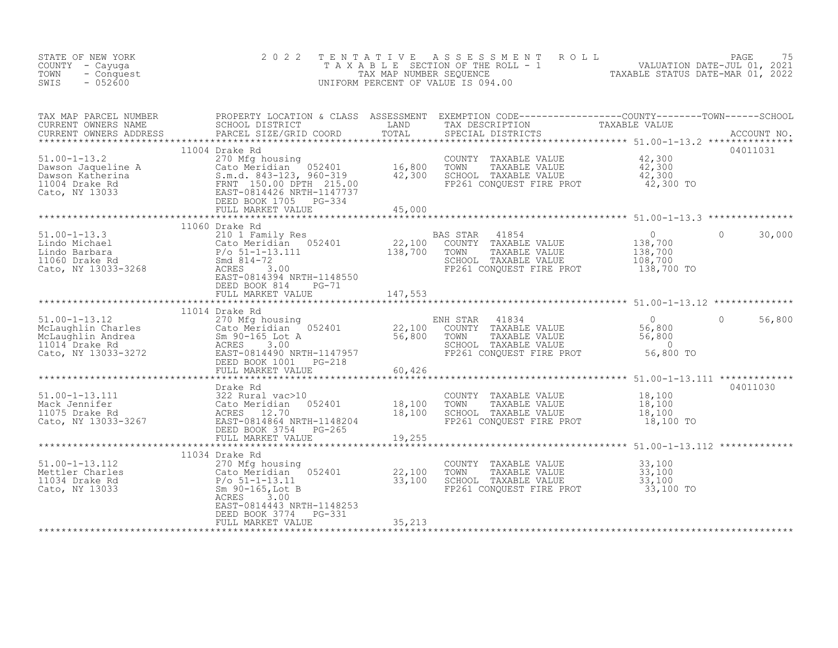| PARCEL SIZE/GRID COORD<br>04011031<br>11004 Drake Rd<br>COUNTY TAXABLE VALUE 42,300<br>TOWN TAXABLE VALUE 42,300<br>SCHOOL TAXABLE VALUE 42,300<br>FP261 CONOUEST FIRE PROT<br>51.00-1-13.2<br>Dawson Jaqueline A<br>Dawson Katherina<br>1004 Drake Rd<br>Cato Meridian 052401<br>1004 Drake Rd<br>Cato, NY 13033<br>Cato, NY 13033<br>Cato, NY 13033<br>Cato Meridian 052401<br>EAST-0814426 NRTH-1147737<br>DEED BOOK 1705 PG-334<br>FP261 CONQUEST FIRE PROT<br>42,300 TO<br>FULL MARKET VALUE<br>45,000<br>$\begin{tabular}{lllllllllllll} \texttt{51.00-1-13.3} & \texttt{100-1-13.3} & \texttt{210 1 Family Res} & \texttt{BAS STAR} & 41854 \\ \texttt{Lindo Michael} & \texttt{Cato Meridian} & 052401 & 22,100 & \texttt{COUNTY} & \texttt{TAXABLE VALUE} \\ \texttt{Lindo Barbara} & P/o 51-1-13.111 & 138,700 & \texttt{TOWN} & \texttt{TAXABLE VALUE} \\ \texttt{1060 Drake Rd} & \texttt{Smd 814-72} & \texttt{SCHOOL TAXABLE VALUE} & \$<br>$\Omega$<br>30,000<br>18 STAR 41854<br>COUNTY TAXABLE VALUE 138,700<br>TOWN TAXABLE VALUE 138,700<br>SCHOOL TAXABLE VALUE 108,700<br>FP261 CONOUEST FIRE PROT 138,700 TO<br>DEED BOOK 814 PG-71<br>FULL MARKET VALUE<br>147,553<br>11014 Drake Rd<br>11014 Dia and the state of the state of the state of the state of the state of the state of the state of the state of the state of the state of the state of the state of the state of the state of the state of the state of<br>56,800<br>$56,800$ To<br>FULL MARKET VALUE<br>60,426<br>04011030<br>Drake Rd<br>COUNTY TAXABLE VALUE 18,100<br>TOWN TAXABLE VALUE 18,100<br>SCHOOL TAXABLE VALUE 18,100<br>FP261 CONQUEST FIRE PROT 18,100 TO<br>FULL MARKET VALUE<br>19,255<br>************************************<br>************************ 51.00-1-13.112 *************<br>*********************<br>11034 Drake Rd<br>51.00-1-13.112<br>33,100<br>33,100<br>COUNTY TAXABLE VALUE<br>270 Mfg housing<br>Cato Meridian 052401 22,100<br>P/o 51-1-13.11 33,100<br>Sm 90-165,Lot B<br>33,100<br>Mettler Charles<br>TOWN<br>TAXABLE VALUE<br>SCHOOL TAXABLE VALUE 53,100<br>FP261 CONQUEST FIRE PROT 53,100<br>33,100 TO<br>ACRES<br>3.00<br>EAST-0814443 NRTH-1148253<br>DEED BOOK 3774<br>PG-331 | STATE OF NEW YORK<br>COUNTY - Cayuga<br>TOWN<br>- Conquest<br>SWIS<br>$-052600$ | 2 0 2 2<br>TENTATIVE |        | PAGE 75<br>TAXABLE SECTION OF THE ROLL - 1 VALUATION DATE-JUL 01, 2021<br>TAX MAP NUMBER SEQUENCE TAXABLE STATUS DATE-MAR 01, 2022<br>NIFORM PERCENT OF VALUE IS 094.00<br>UNIFORM PERCENT OF VALUE IS 094.00 |  |
|---------------------------------------------------------------------------------------------------------------------------------------------------------------------------------------------------------------------------------------------------------------------------------------------------------------------------------------------------------------------------------------------------------------------------------------------------------------------------------------------------------------------------------------------------------------------------------------------------------------------------------------------------------------------------------------------------------------------------------------------------------------------------------------------------------------------------------------------------------------------------------------------------------------------------------------------------------------------------------------------------------------------------------------------------------------------------------------------------------------------------------------------------------------------------------------------------------------------------------------------------------------------------------------------------------------------------------------------------------------------------------------------------------------------------------------------------------------------------------------------------------------------------------------------------------------------------------------------------------------------------------------------------------------------------------------------------------------------------------------------------------------------------------------------------------------------------------------------------------------------------------------------------------------------------------------------------------------------------------------------------------------------------------------------------------------------------------------------------------------------------------------------------------------------------------------------------------------------|---------------------------------------------------------------------------------|----------------------|--------|---------------------------------------------------------------------------------------------------------------------------------------------------------------------------------------------------------------|--|
|                                                                                                                                                                                                                                                                                                                                                                                                                                                                                                                                                                                                                                                                                                                                                                                                                                                                                                                                                                                                                                                                                                                                                                                                                                                                                                                                                                                                                                                                                                                                                                                                                                                                                                                                                                                                                                                                                                                                                                                                                                                                                                                                                                                                                     |                                                                                 |                      |        |                                                                                                                                                                                                               |  |
|                                                                                                                                                                                                                                                                                                                                                                                                                                                                                                                                                                                                                                                                                                                                                                                                                                                                                                                                                                                                                                                                                                                                                                                                                                                                                                                                                                                                                                                                                                                                                                                                                                                                                                                                                                                                                                                                                                                                                                                                                                                                                                                                                                                                                     |                                                                                 |                      |        |                                                                                                                                                                                                               |  |
|                                                                                                                                                                                                                                                                                                                                                                                                                                                                                                                                                                                                                                                                                                                                                                                                                                                                                                                                                                                                                                                                                                                                                                                                                                                                                                                                                                                                                                                                                                                                                                                                                                                                                                                                                                                                                                                                                                                                                                                                                                                                                                                                                                                                                     |                                                                                 |                      |        |                                                                                                                                                                                                               |  |
|                                                                                                                                                                                                                                                                                                                                                                                                                                                                                                                                                                                                                                                                                                                                                                                                                                                                                                                                                                                                                                                                                                                                                                                                                                                                                                                                                                                                                                                                                                                                                                                                                                                                                                                                                                                                                                                                                                                                                                                                                                                                                                                                                                                                                     |                                                                                 |                      |        |                                                                                                                                                                                                               |  |
|                                                                                                                                                                                                                                                                                                                                                                                                                                                                                                                                                                                                                                                                                                                                                                                                                                                                                                                                                                                                                                                                                                                                                                                                                                                                                                                                                                                                                                                                                                                                                                                                                                                                                                                                                                                                                                                                                                                                                                                                                                                                                                                                                                                                                     |                                                                                 |                      |        |                                                                                                                                                                                                               |  |
|                                                                                                                                                                                                                                                                                                                                                                                                                                                                                                                                                                                                                                                                                                                                                                                                                                                                                                                                                                                                                                                                                                                                                                                                                                                                                                                                                                                                                                                                                                                                                                                                                                                                                                                                                                                                                                                                                                                                                                                                                                                                                                                                                                                                                     |                                                                                 |                      |        |                                                                                                                                                                                                               |  |
|                                                                                                                                                                                                                                                                                                                                                                                                                                                                                                                                                                                                                                                                                                                                                                                                                                                                                                                                                                                                                                                                                                                                                                                                                                                                                                                                                                                                                                                                                                                                                                                                                                                                                                                                                                                                                                                                                                                                                                                                                                                                                                                                                                                                                     |                                                                                 |                      |        |                                                                                                                                                                                                               |  |
|                                                                                                                                                                                                                                                                                                                                                                                                                                                                                                                                                                                                                                                                                                                                                                                                                                                                                                                                                                                                                                                                                                                                                                                                                                                                                                                                                                                                                                                                                                                                                                                                                                                                                                                                                                                                                                                                                                                                                                                                                                                                                                                                                                                                                     |                                                                                 |                      |        |                                                                                                                                                                                                               |  |
|                                                                                                                                                                                                                                                                                                                                                                                                                                                                                                                                                                                                                                                                                                                                                                                                                                                                                                                                                                                                                                                                                                                                                                                                                                                                                                                                                                                                                                                                                                                                                                                                                                                                                                                                                                                                                                                                                                                                                                                                                                                                                                                                                                                                                     |                                                                                 |                      |        |                                                                                                                                                                                                               |  |
|                                                                                                                                                                                                                                                                                                                                                                                                                                                                                                                                                                                                                                                                                                                                                                                                                                                                                                                                                                                                                                                                                                                                                                                                                                                                                                                                                                                                                                                                                                                                                                                                                                                                                                                                                                                                                                                                                                                                                                                                                                                                                                                                                                                                                     |                                                                                 |                      |        |                                                                                                                                                                                                               |  |
|                                                                                                                                                                                                                                                                                                                                                                                                                                                                                                                                                                                                                                                                                                                                                                                                                                                                                                                                                                                                                                                                                                                                                                                                                                                                                                                                                                                                                                                                                                                                                                                                                                                                                                                                                                                                                                                                                                                                                                                                                                                                                                                                                                                                                     |                                                                                 |                      |        |                                                                                                                                                                                                               |  |
|                                                                                                                                                                                                                                                                                                                                                                                                                                                                                                                                                                                                                                                                                                                                                                                                                                                                                                                                                                                                                                                                                                                                                                                                                                                                                                                                                                                                                                                                                                                                                                                                                                                                                                                                                                                                                                                                                                                                                                                                                                                                                                                                                                                                                     |                                                                                 |                      |        |                                                                                                                                                                                                               |  |
|                                                                                                                                                                                                                                                                                                                                                                                                                                                                                                                                                                                                                                                                                                                                                                                                                                                                                                                                                                                                                                                                                                                                                                                                                                                                                                                                                                                                                                                                                                                                                                                                                                                                                                                                                                                                                                                                                                                                                                                                                                                                                                                                                                                                                     | 11034 Drake Rd<br>Cato, NY 13033                                                |                      |        |                                                                                                                                                                                                               |  |
|                                                                                                                                                                                                                                                                                                                                                                                                                                                                                                                                                                                                                                                                                                                                                                                                                                                                                                                                                                                                                                                                                                                                                                                                                                                                                                                                                                                                                                                                                                                                                                                                                                                                                                                                                                                                                                                                                                                                                                                                                                                                                                                                                                                                                     |                                                                                 | FULL MARKET VALUE    | 35,213 |                                                                                                                                                                                                               |  |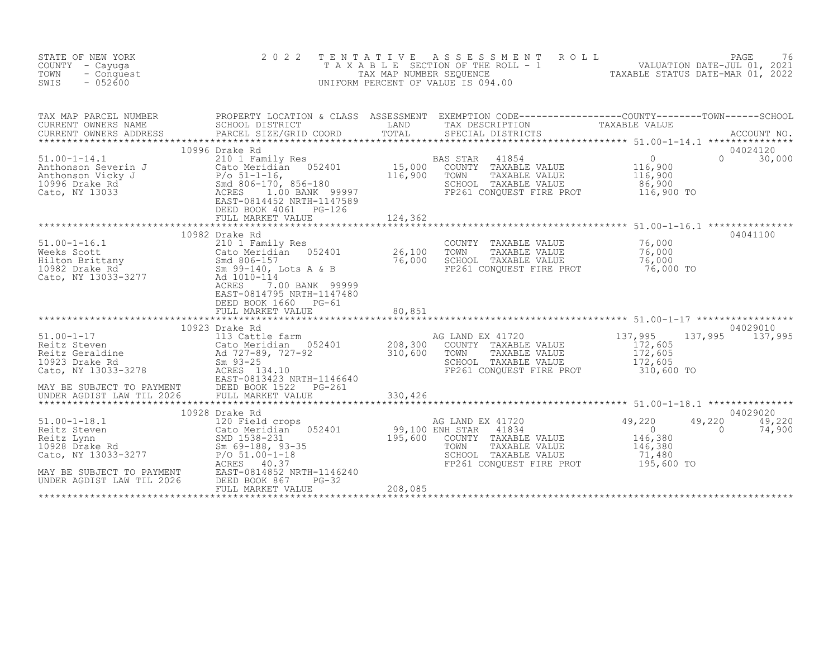| STATE OF NEW YORK<br>COUNTY - Cayuga<br>TOWN<br>- Conquest<br>$-052600$<br>SWIS                                                                                                                                                                                                                                                                                                                                                                                                                                                                                                   | 2 0 2 2                                                                                                              |                            | TENTATIVE ASSESSMENT ROLL<br>PAGE 76<br>TAXABLE SECTION OF THE ROLL - 1 VALUATION DATE-JUL 01, 2021<br>TAX MAP NUMBER SEQUENCE TAXABLE STATUS DATE-MAR 01, 2022<br>JNIFORM PERCENT OF VALUE IS 094.00<br>UNIFORM PERCENT OF VALUE IS 094.00 |                                                |                                                     |
|-----------------------------------------------------------------------------------------------------------------------------------------------------------------------------------------------------------------------------------------------------------------------------------------------------------------------------------------------------------------------------------------------------------------------------------------------------------------------------------------------------------------------------------------------------------------------------------|----------------------------------------------------------------------------------------------------------------------|----------------------------|---------------------------------------------------------------------------------------------------------------------------------------------------------------------------------------------------------------------------------------------|------------------------------------------------|-----------------------------------------------------|
| TAX MAP PARCEL NUMBER BROPERTY LOCATION & CLASS ASSESSMENT EXEMPTION CODE----------------COUNTY--------TOWN-----SCHOOL CURRENT OWNERS NAME SCHOOL DISTRICT LAND TAX DESCRIPTION TAXABLE VALUE<br>CURRENT OWNERS ADDRESS PARCEL SI<br>$\begin{tabular}{lllllllllllll} \text{51.00-1-14.1} & \text{10.900} & \text{10.91} & \text{10.901} & \text{10.902} & \text{10.91} & \text{10.901} & \text{10.902} & \text{10.91} & \text{10.903} & \text{10.901} & \text{10.902} & \text{10.91} & \text{10.903} & \text{10.903} & \text{10.91} & \text{10.901} & \text{10.91} & \text{10.90$ | 10996 Drake Rd                                                                                                       |                            |                                                                                                                                                                                                                                             |                                                | 04024120<br>$\Omega$<br>30,000                      |
|                                                                                                                                                                                                                                                                                                                                                                                                                                                                                                                                                                                   | DEED BOOK 4061    PG-126<br>FULL MARKET VALUE                                                                        | 124,362<br>*************** | ***********************************51.00-1-16.1 ****************                                                                                                                                                                            | 86,900<br>116,900 TO                           |                                                     |
| 51.00-1-16.1<br>Weeks Scott<br>Weeks Scott<br>Example 26,100<br>Hilton Brittany<br>10982 Drake Rd<br>Cato Meridian<br>26,100<br>500-157<br>26,000<br>500-157<br>26,000<br>500-140, Lots A & B<br>Cato, NY 13033-3277<br>26,000<br>26,000<br>26,000<br>26,000<br>26                                                                                                                                                                                                                                                                                                                | 10982 Drake Rd<br>ACRES<br>7.00 BANK 99999<br>EAST-0814795 NRTH-1147480<br>DEED BOOK 1660 PG-61<br>FULL MARKET VALUE | 80,851                     | COUNTY TAXABLE VALUE 76,000<br>TOWN TAXABLE VALUE 76,000<br>SCHOOL TAXABLE VALUE<br>FP261 CONQUEST FIRE PROT 76,000 TO                                                                                                                      | 76,000                                         | 04041100                                            |
|                                                                                                                                                                                                                                                                                                                                                                                                                                                                                                                                                                                   | 10923 Drake Rd                                                                                                       |                            | AG LAND EX 41720<br>COUNTY TAXABLE VALUE 172,605<br>TOWN TAXABLE VALUE 172,605<br>SCHOOL TAXABLE VALUE 172,605<br>FP261 CONQUEST FIRE PROT 310,600 TO                                                                                       |                                                | 04029010<br>137,995 137,995                         |
| MAY BE SUBJECT TO PAYMENT<br>UNDER AGDIST LAW TIL 2026                                                                                                                                                                                                                                                                                                                                                                                                                                                                                                                            | 10928 Drake Rd<br>EAST-0814852 NRTH-1146240<br>DEED BOOK 867<br>$PG-32$<br>FULL MARKET VALUE                         | 208,085                    | COUNTY TAXABLE VALUE<br>TAXABLE VALUE<br>SCHOOL TAXABLE VALUE                          71,480<br>FP261 CONQUEST FIRE PROT               195,600 TO                                                                                          | 49,220<br>$\overline{0}$<br>146,380<br>146,380 | 04029020<br>49,220<br>49,220<br>$\bigcap$<br>74,900 |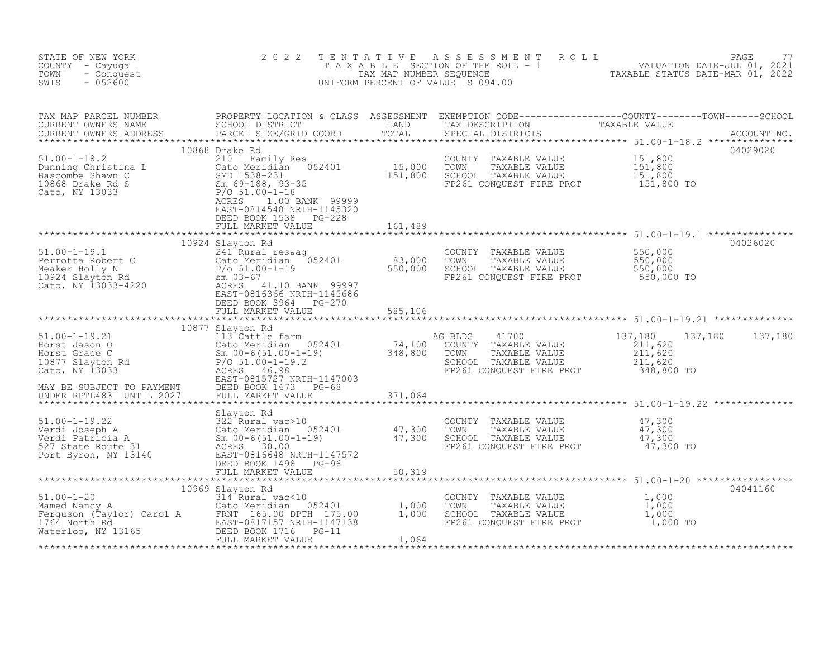| STATE OF NEW YORK<br>COUNTY - Cayuga<br>TOWN<br>- Conquest<br>SWIS<br>$-052600$                                                                                                                                                                                                                                                                                                                             | 2 0 2 2                                                                                                                                              |         | TENTATIVE ASSESSMENT ROLL<br>TAXABLE SECTION OF THE ROLL - 1<br>TAX MAP NUMBER SEQUENCE THE ROLL - 1<br>TAX MAP NUMBER SEQUENCE TAXABLE STATUS DATE-MAR 01, 2022<br>INIFORM PERCENT OF VALUE IS 094.00<br>UNIFORM PERCENT OF VALUE IS 094.00 |                                                        |                 |
|-------------------------------------------------------------------------------------------------------------------------------------------------------------------------------------------------------------------------------------------------------------------------------------------------------------------------------------------------------------------------------------------------------------|------------------------------------------------------------------------------------------------------------------------------------------------------|---------|----------------------------------------------------------------------------------------------------------------------------------------------------------------------------------------------------------------------------------------------|--------------------------------------------------------|-----------------|
|                                                                                                                                                                                                                                                                                                                                                                                                             |                                                                                                                                                      |         |                                                                                                                                                                                                                                              |                                                        |                 |
| 51.00-1-18.2<br>Dunning Christina L 210 1 Family Res<br>Bascombe Shawn C 52401 538-231 15,000 TOWN<br>1638-231 10868 Drake Rd S 5m 69-188, 93-35 FP261<br>Cato, NY 13033 P/O 51.00-1-18<br>ACRES 1 00 BANK 90000                                                                                                                                                                                            | 10868 Drake Rd<br>EAST-0814548 NRTH-1145320<br>DEED BOOK 1538<br>PG-228<br>FULL MARKET VALUE                                                         | 161,489 | COUNTY TAXABLE VALUE 151,800<br>TOWN TAXABLE VALUE 151,800<br>SCHOOL TAXABLE VALUE 151,800<br>FP261 CONQUEST FIRE PROT 151,800 TO                                                                                                            |                                                        | 04029020        |
| 51.00-1-19.1<br>Perrotta Robert C<br>Meaker Holly N<br>10924 Slayton Rd<br>Cato, NY 13033-4220<br>Perrotta Robert C<br>Meaker Holly N<br>241 Rural res&ag<br>Cato Meridian<br>Point Dank 99997<br>REAS 11.10 BANK 99997<br>EAST-0816366 NRTH-1145686                                                                                                                                                        | 10924 Slayton Rd<br>DEED BOOK 3964 PG-270<br>FULL MARKET VALUE                                                                                       | 585,106 | COUNTY TAXABLE VALUE<br>TOWN<br>TAXABLE VALUE<br>SCHOOL TAXABLE VALUE<br>FP261 CONQUEST FIRE PROT                                                                                                                                            | 550,000<br>550,000<br>550,000<br>550,000 TO            | 04026020        |
| MAY BE SUBJECT TO PAYMENT<br>UNDER RPTL483 UNTIL 2027                                                                                                                                                                                                                                                                                                                                                       | DEED BOOK 1673 PG-68<br>FULL MARKET VALUE                                                                                                            | 371,064 | 41700<br>AG BLDG<br>COUNTY TAXABLE VALUE<br>TAXABLE VALUE<br>TOWN<br>SCHOOL TAXABLE VALUE<br>FP261 CONQUEST FIRE PROT                                                                                                                        | 137,180<br>211,620<br>211,620<br>211,620<br>348,800 TO | 137,180 137,180 |
| 51.00-1-19.22<br>Slayton Rd CoUNTY TAXABLE VALUE<br>Verdi Joseph A Cato Meridian 052401<br>Verdi Patricia A Sm 00-6(51.00-1-19)<br>527 State Route 31<br>Port Byron, NY 13140<br>EED BOOK 1498 PG-96<br>FULL MARKET VALUE<br>FULL MARKET VALU                                                                                                                                                               |                                                                                                                                                      | 50,319  | FP261 CONQUEST FIRE PROT 47,300 TO                                                                                                                                                                                                           |                                                        |                 |
| $\begin{tabular}{ll} 51.00-1-20 & \texttt{1000} & \texttt{2000} & \texttt{2000} \\ \texttt{Mamed Nancy A} & \texttt{Cato Meridian} & \texttt{052401} \\ \texttt{Ferguson} & (\texttt{Taylor}) & \texttt{Carol A} & \texttt{FRNT 165.00 DPTH 175.00} \\ \texttt{1764 North Rd} & \texttt{EAST-0817157 NRTH-1147138} \\ \texttt{Waterloo, NY 13165} & \texttt{DEED BOKR 1716} & \texttt{PG-11} \\ \texttt{Wd$ | 10969 Slayton Rd<br>Slayton Rd<br>314 Rural vac<10<br>Cato Meridian 052401 1,000<br>FRNT 165.00 DPTH 175.00 1,000<br>PAST-0817157 NRTH-1147138 1,000 | 1,064   | COUNTY TAXABLE VALUE<br>TAXABLE VALUE<br>TOWN<br>TOWN TAXABLE VALUE (1,000<br>SCHOOL TAXABLE VALUE (1,000<br>FP261 CONQUEST FIRE PROT (1,000 TO                                                                                              | $1,000$<br>$1,000$                                     | 04041160        |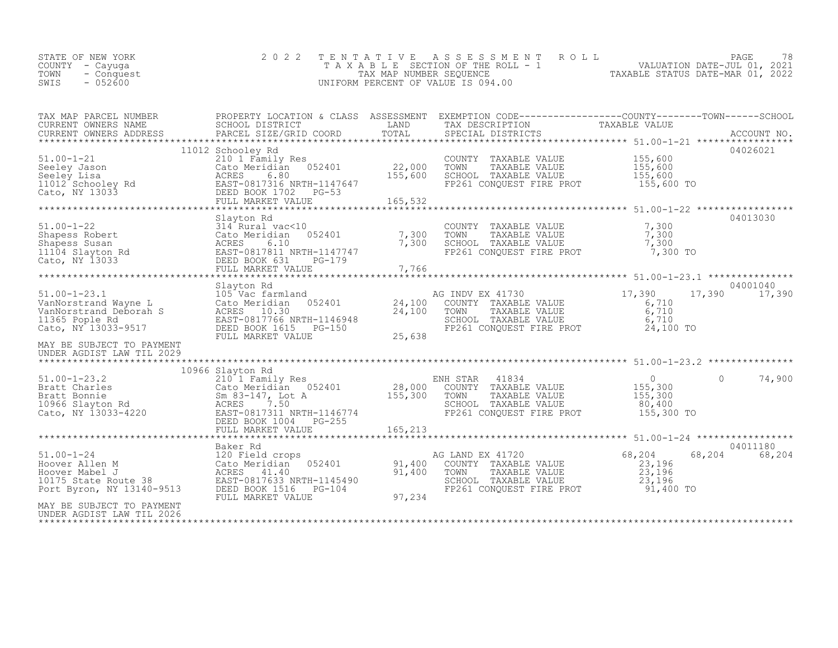|  | STATE OF NEW YORK<br>COUNTY – Cayuga<br>TOWN - Conquest<br>- 052600<br>SWIS |  | 2022 TENTATIVE ASSESSMENT ROLL<br>T A X A B L E SECTION OF THE ROLL - 1<br>TAX MAP NUMBER SEOUENCE<br>UNIFORM PERCENT OF VALUE IS 094.00 | PAGE<br>VALUATION DATE-JUL 01, 2021<br>TAXABLE STATUS DATE-MAR 01, 2022 | 78 |
|--|-----------------------------------------------------------------------------|--|------------------------------------------------------------------------------------------------------------------------------------------|-------------------------------------------------------------------------|----|
|--|-----------------------------------------------------------------------------|--|------------------------------------------------------------------------------------------------------------------------------------------|-------------------------------------------------------------------------|----|

| TAX MAP PARCEL NUMBER                                                                                                                                                                                                                                      | PROPERTY LOCATION & CLASS ASSESSMENT EXEMPTION CODE----------------COUNTY-------TOWN-----SCHOOL |        |                                                                                                                                                                                                          |        |                    |
|------------------------------------------------------------------------------------------------------------------------------------------------------------------------------------------------------------------------------------------------------------|-------------------------------------------------------------------------------------------------|--------|----------------------------------------------------------------------------------------------------------------------------------------------------------------------------------------------------------|--------|--------------------|
| CURRENT OWNERS NAME<br>CURRENT OWNERS NAME SCHOOL DISTRICT - ------ ------ ------ TAND TAX DESCRIPTION TAXABLE VALUE<br>CURRENT OWNERS ADDRESS PARCEL SIZE/GRID COORD TOTAL SPECIAL DISTRICTS ACCOUNT NO.                                                  |                                                                                                 |        |                                                                                                                                                                                                          |        |                    |
|                                                                                                                                                                                                                                                            |                                                                                                 |        |                                                                                                                                                                                                          |        |                    |
|                                                                                                                                                                                                                                                            | 11012 Schooley Rd                                                                               |        |                                                                                                                                                                                                          |        | 04026021           |
|                                                                                                                                                                                                                                                            | 210 1 Family Res<br>Cato Meridian 052401 22,000                                                 |        |                                                                                                                                                                                                          |        |                    |
|                                                                                                                                                                                                                                                            |                                                                                                 |        |                                                                                                                                                                                                          |        |                    |
|                                                                                                                                                                                                                                                            |                                                                                                 |        |                                                                                                                                                                                                          |        |                    |
|                                                                                                                                                                                                                                                            |                                                                                                 |        |                                                                                                                                                                                                          |        |                    |
| 51.00-1-21<br>Seeley Jason Cato Meridian 052401 22,000 TOWN TAXABLE VALUE 155,600<br>Seeley Lisa acRES 6.80 155,600 SCHOOL TAXABLE VALUE 155,600<br>Cato, NY 13033 DEED BOOK 1702 PG-53<br>FULL MARKET VALUE 165,532<br>****************                   |                                                                                                 |        |                                                                                                                                                                                                          |        |                    |
|                                                                                                                                                                                                                                                            | Slayton Rd                                                                                      |        |                                                                                                                                                                                                          |        | 04013030           |
|                                                                                                                                                                                                                                                            |                                                                                                 | 7,300  | COUNTY TAXABLE VALUE 7,300                                                                                                                                                                               |        |                    |
|                                                                                                                                                                                                                                                            |                                                                                                 | 7,300  | TOWN TAXABLE VALUE 7,300<br>SCHOOL TAXABLE VALUE 7,300<br>FP261 CONQUEST FIRE PROT 7,300 TO                                                                                                              |        |                    |
|                                                                                                                                                                                                                                                            |                                                                                                 |        |                                                                                                                                                                                                          |        |                    |
| 51.00-1-22<br>Shapess Robert<br>Shapess Susan<br>Shapess Susan<br>1104 Slayton Rd<br>Cato, NY 13033<br>Cato, NY 13033<br>Cato, NY 13033<br>Cato, NY 13033<br>Cato, NY 13033<br>Cato, NY 13033<br>Cato, NY 13033<br>Cato, NY 13033<br>Cato, NY 13033<br>Cat |                                                                                                 |        |                                                                                                                                                                                                          |        |                    |
|                                                                                                                                                                                                                                                            |                                                                                                 |        |                                                                                                                                                                                                          |        |                    |
|                                                                                                                                                                                                                                                            | Slayton Rd                                                                                      |        |                                                                                                                                                                                                          |        | 04001040           |
|                                                                                                                                                                                                                                                            |                                                                                                 |        |                                                                                                                                                                                                          |        | 17,390 17,390      |
|                                                                                                                                                                                                                                                            |                                                                                                 |        |                                                                                                                                                                                                          |        |                    |
|                                                                                                                                                                                                                                                            |                                                                                                 |        |                                                                                                                                                                                                          |        |                    |
| 51.00-1-23.1 51ayton Rd<br>VanNorstrand Wayne L Cato Meridian 052401 24,100<br>VanNorstrand Deborah S ACRES 10.30 24,100<br>11365 Pople Rd BAST-0817766 NRTH-1146948 24,100<br>Cato, NY 13033-9517 DEED BOOK 1615PG-150                                    |                                                                                                 |        | and<br>052401 17, 24, 100 COUNTY TAXABLE VALUE<br>052401 24, 100 COUNTY TAXABLE VALUE<br>24, 100 TOWN TAXABLE VALUE<br>24, 100 SCHOOL TAXABLE VALUE<br>PG-150 PE 230 FP261 CONQUEST FIRE PROT 24, 100 TO |        |                    |
| MAY BE SUBJECT TO PAYMENT                                                                                                                                                                                                                                  | FULL MARKET VALUE                                                                               | 25,638 |                                                                                                                                                                                                          |        |                    |
| UNDER AGDIST LAW TIL 2029                                                                                                                                                                                                                                  |                                                                                                 |        |                                                                                                                                                                                                          |        |                    |
|                                                                                                                                                                                                                                                            |                                                                                                 |        |                                                                                                                                                                                                          |        |                    |
|                                                                                                                                                                                                                                                            | 10966 Slayton Rd                                                                                |        |                                                                                                                                                                                                          |        | $\Omega$<br>74,900 |
|                                                                                                                                                                                                                                                            |                                                                                                 |        |                                                                                                                                                                                                          |        |                    |
|                                                                                                                                                                                                                                                            |                                                                                                 |        |                                                                                                                                                                                                          |        |                    |
|                                                                                                                                                                                                                                                            |                                                                                                 |        | FP261 CONQUEST FIRE PROT 155,300 TO                                                                                                                                                                      |        |                    |
|                                                                                                                                                                                                                                                            |                                                                                                 |        |                                                                                                                                                                                                          |        |                    |
|                                                                                                                                                                                                                                                            |                                                                                                 |        |                                                                                                                                                                                                          |        |                    |
|                                                                                                                                                                                                                                                            | Baker Rd                                                                                        |        |                                                                                                                                                                                                          |        | 04011180           |
| Baker Rd<br>Hoover Allen M<br>Hoover Mabel J<br>Hoover Mabel J<br>10175 State Route 38<br>Port Byron, NY 13140-9513<br>Port Byron, NY 13140-9513<br>Port Byron, NY 13140-9513<br>Port Byron, NY 13140-9513<br>Port Byron, NY 13140-9513<br>Port Ma         |                                                                                                 |        | AG LAND EX 41720                                                                                                                                                                                         | 68,204 | 68,204<br>68,204   |
|                                                                                                                                                                                                                                                            |                                                                                                 |        | COUNTY TAXABLE VALUE                                                                                                                                                                                     | 23,196 |                    |
|                                                                                                                                                                                                                                                            |                                                                                                 |        | TOWN TAXABLE VALUE 23,196<br>SCHOOL TAXABLE VALUE 23,196                                                                                                                                                 |        |                    |
|                                                                                                                                                                                                                                                            |                                                                                                 |        | FP261 CONQUEST FIRE PROT 91,400 TO                                                                                                                                                                       |        |                    |
|                                                                                                                                                                                                                                                            | FULL MARKET VALUE                                                                               | 97,234 |                                                                                                                                                                                                          |        |                    |
| MAY BE SUBJECT TO PAYMENT                                                                                                                                                                                                                                  |                                                                                                 |        |                                                                                                                                                                                                          |        |                    |
|                                                                                                                                                                                                                                                            |                                                                                                 |        |                                                                                                                                                                                                          |        |                    |
| UNDER AGDIST LAW TIL 2026                                                                                                                                                                                                                                  |                                                                                                 |        |                                                                                                                                                                                                          |        |                    |
|                                                                                                                                                                                                                                                            |                                                                                                 |        |                                                                                                                                                                                                          |        |                    |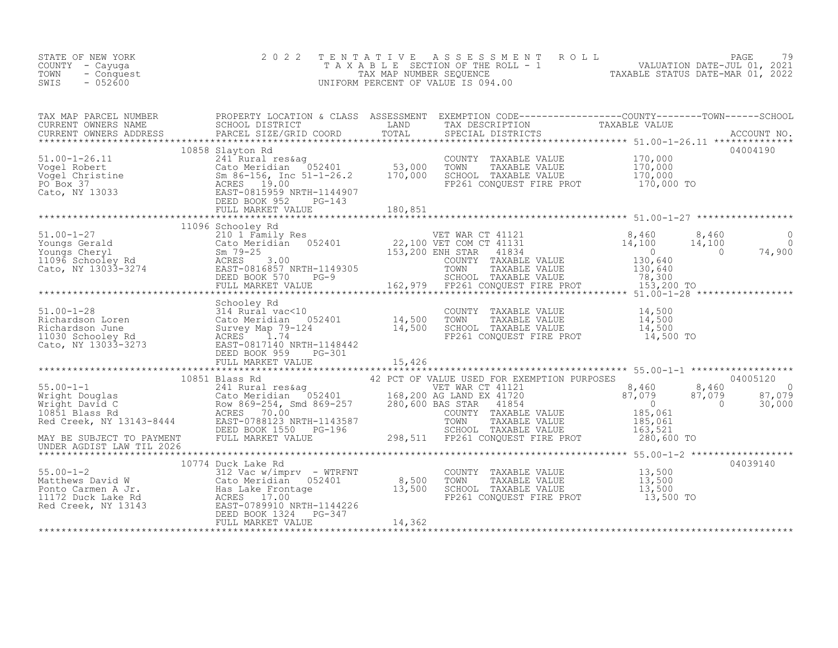| STATE OF NEW YORK<br>COUNTY - Cayuga<br>TOWN<br>- Conquest<br>$-052600$<br>SWIS                                                                                                                                                                                                                                                                                | 2 0 2 2 | TENTATIVE ASSESSMENT ROLL PAGE 79<br>TAXABLE SECTION OF THE ROLL - 1 VALUATION DATE-JUL 01, 2021<br>TAX MAP NUMBER SEQUENCE TAXABLE STATUS DATE-MAR 01, 2022<br>UNIFORM PERCENT OF VALUE IS 094.00 |  |
|----------------------------------------------------------------------------------------------------------------------------------------------------------------------------------------------------------------------------------------------------------------------------------------------------------------------------------------------------------------|---------|----------------------------------------------------------------------------------------------------------------------------------------------------------------------------------------------------|--|
|                                                                                                                                                                                                                                                                                                                                                                |         |                                                                                                                                                                                                    |  |
| 10858 Slayton Rd 241 Rural reskag (2000 TON TAXABLE VALUE 170,000<br>241 Rural reskag (2000 TOWN TAXABLE VALUE 170,000<br>Vogel Robert (2000 TORN TAXABLE VALUE 170,000<br>241 Rural reskag (2000 TORN TAXABLE VALUE 170,000<br>241 Ru                                                                                                                         |         |                                                                                                                                                                                                    |  |
|                                                                                                                                                                                                                                                                                                                                                                |         |                                                                                                                                                                                                    |  |
|                                                                                                                                                                                                                                                                                                                                                                |         |                                                                                                                                                                                                    |  |
|                                                                                                                                                                                                                                                                                                                                                                |         |                                                                                                                                                                                                    |  |
| $\begin{tabular}{l cccc} \textbf{10851} & \textbf{10851} & \textbf{10851} & \textbf{10851} & \textbf{10851} & \textbf{10851} & \textbf{10851} & \textbf{10851} & \textbf{10851} & \textbf{10851} & \textbf{10851} & \textbf{10851} & \textbf{10851} & \textbf{10851} & \textbf{10851} & \textbf{10851} & \textbf{10851} & \textbf{10851} & \textbf{10851} & \$ |         |                                                                                                                                                                                                    |  |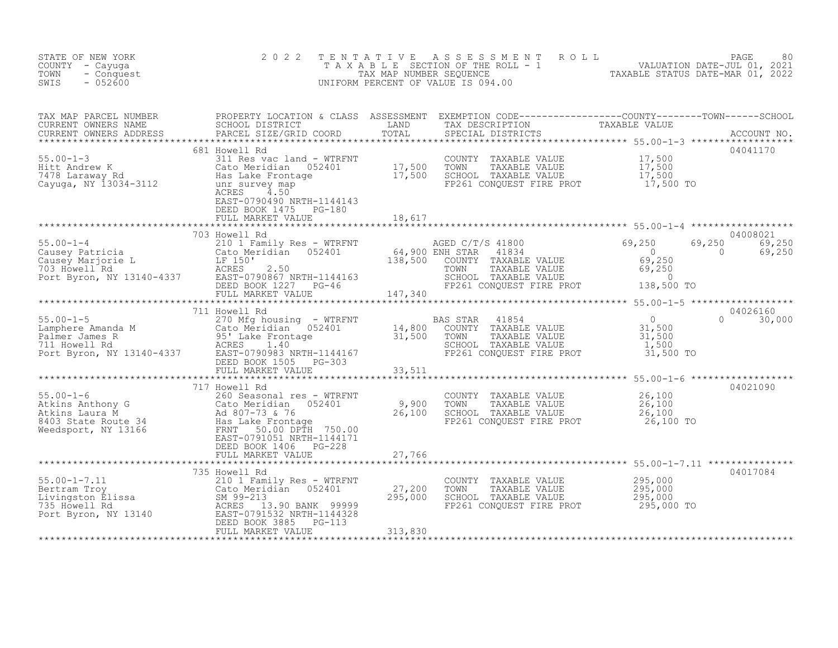| STATE OF NEW YORK<br>COUNTY - Cayuga<br>TOWN<br>- Conquest<br>$-052600$<br>SWIS                                                                                                                                                                                                                                                                                                                                                                                              | 2 0 2 2                                            |                                       | TENTATIVE ASSESSMENT ROLL PAGE 80<br>TAXABLE SECTION OF THE ROLL - 1 VALUATION DATE-JUL 01, 2021<br>TAX MAP NUMBER SEQUENCE TAXABLE STATUS DATE-MAR 01, 2022<br>UNIFORM PERCENT OF VALUE IS 094.00 |                           |
|------------------------------------------------------------------------------------------------------------------------------------------------------------------------------------------------------------------------------------------------------------------------------------------------------------------------------------------------------------------------------------------------------------------------------------------------------------------------------|----------------------------------------------------|---------------------------------------|----------------------------------------------------------------------------------------------------------------------------------------------------------------------------------------------------|---------------------------|
|                                                                                                                                                                                                                                                                                                                                                                                                                                                                              |                                                    |                                       |                                                                                                                                                                                                    |                           |
| $\begin{tabular}{lllllllllllll} \textsc{rank} & & & & & & & & & & & \\ \textsc{CUREENT} & \textsc{OMMBER} & & & & & & & & & \\ \textsc{CUREENT} & \textsc{OMBERS} & & & & & & & & & \\ \textsc{CUREENT} & \textsc{OMBERS} & & & & & & & & & \\ \textsc{CUREENT} & & & & & & & & & & & \\ \textsc{CUREENT} & & & & & & & & & & & \\ \textsc{CUREENT} & & & & & & & & & & & \\ \textsc{CUREENT} & & & & & & & & & & & \\ \textsc{CATEN1} & & & & & & & & & & & \\ \textsc{CAV$ | EAST-0790490 NRTH-1144143<br>DEED BOOK 1475 PG-180 |                                       |                                                                                                                                                                                                    |                           |
|                                                                                                                                                                                                                                                                                                                                                                                                                                                                              | FULL MARKET VALUE 18,617                           |                                       |                                                                                                                                                                                                    |                           |
|                                                                                                                                                                                                                                                                                                                                                                                                                                                                              |                                                    |                                       |                                                                                                                                                                                                    |                           |
|                                                                                                                                                                                                                                                                                                                                                                                                                                                                              |                                                    |                                       |                                                                                                                                                                                                    |                           |
|                                                                                                                                                                                                                                                                                                                                                                                                                                                                              | 711 Howell Rd                                      |                                       |                                                                                                                                                                                                    | 04026160<br>$0 \t 30,000$ |
|                                                                                                                                                                                                                                                                                                                                                                                                                                                                              |                                                    |                                       |                                                                                                                                                                                                    |                           |
| 717 Howell Rd<br>55.00-1-6<br>260 Seasonal res - WTRFNT<br>260 Seasonal res - WTRFNT<br>26,100<br>26,100<br>26,100<br>26,100<br>26,100<br>26,100<br>26,100<br>26,100<br>26,100<br>26,100<br>26,100<br>26,100<br>26,100<br>26,100<br>26,100<br>26,100<br>26,100<br>26,100                                                                                                                                                                                                     |                                                    |                                       |                                                                                                                                                                                                    | 04021090                  |
|                                                                                                                                                                                                                                                                                                                                                                                                                                                                              | FULL MARKET VALUE                                  | 27,766                                |                                                                                                                                                                                                    |                           |
|                                                                                                                                                                                                                                                                                                                                                                                                                                                                              |                                                    | 27,200<br>295,000<br>$-113$ $313,830$ | COUNTY TAXABLE VALUE $295,000$<br>TOWN TAXABLE VALUE $295,000$<br>SCHOOL TAXABLE VALUE $295,000$<br>FP261 CONQUEST FIRE PROT $295,000$ TO                                                          | 04017084                  |
|                                                                                                                                                                                                                                                                                                                                                                                                                                                                              |                                                    |                                       |                                                                                                                                                                                                    |                           |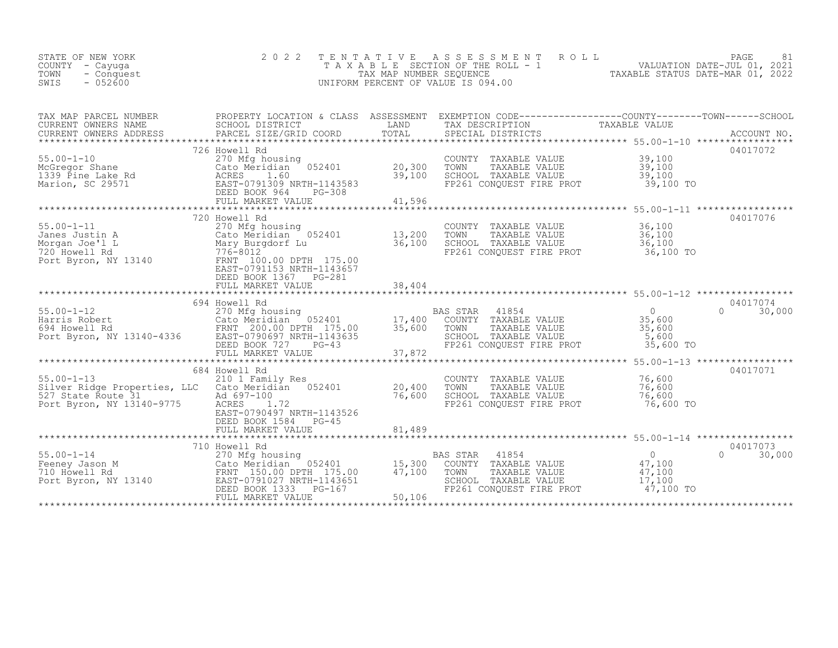| STATE OF NEW YORK<br>COUNTY - Cayuga<br>TOWN<br>- Conquest<br>$-052600$<br>SWIS                                                                                                                                                                        | 2 0 2 2                                                                                                     | TENTATIVE                                    | R O L L<br>A S S E S S M E N T<br>T A X A B L E SECTION OF THE ROLL - 1 VALUATION DATE-JUL 01, 2021<br>UNIFORM PERCENT OF VALUE IS 094.00                                                                                         |                                                                                                  | 81<br>PAGE                     |
|--------------------------------------------------------------------------------------------------------------------------------------------------------------------------------------------------------------------------------------------------------|-------------------------------------------------------------------------------------------------------------|----------------------------------------------|-----------------------------------------------------------------------------------------------------------------------------------------------------------------------------------------------------------------------------------|--------------------------------------------------------------------------------------------------|--------------------------------|
| TAX MAP PARCEL NUMBER<br>CURRENT OWNERS NAME<br>CURRENT OWNERS ADDRESS<br>***********************                                                                                                                                                      |                                                                                                             |                                              | PROPERTY LOCATION & CLASS ASSESSMENT EXEMPTION CODE----------------COUNTY-------TOWN------SCHOOL SCHOOL SCHOOL<br>. PARCEL SIZE/GRID COORD TOTAL SPECIAL DISTRICTS ACCOUNT NO ACCOUNT NO ACCOUNT NO ACCOUNT NO ACCOUNT NO ACCOUNT |                                                                                                  |                                |
| 15.00-1-10<br>McGregor Shane<br>1339 Pine Lake Rd<br>Marion, SC 29571<br>Marion, SC 29571<br>Marion, SC 29571<br>Marion, SC 29571<br>Marion, SC 29571<br>Marion, SC 29571<br>Marion, SC 29571<br>Marion, SC 29571<br>Marion, SC 29571<br>Marion, SC 29 | 726 Howell Rd                                                                                               | 20,300<br>39,100<br>41,596                   | COUNTY TAXABLE VALUE<br>TOWN<br>TAXABLE VALUE<br>SCHOOL TAXABLE VALUE<br>FP261 CONOUEST FIRE PROT                                                                                                                                 | $39,100$<br>$39,100$<br>39,100<br>39,100 TO                                                      | 04017072                       |
| $55.00 - 1 - 11$<br>55.00-1-11 270 Mfg housing<br>Janes Justin A Cato Meridian 052401<br>Morgan Joe'l L Mary Burgdorf Lu<br>720 Howell Rd 776-8012<br>Port Byron, NY 13140 FRANT 100.00 DPTH 175.00<br>FRANT 179.153 NPTH-1143657                      | 720 Howell Rd<br>270 Mfg housing<br>EAST-0791153 NRTH-1143657<br>DEED BOOK 1367 PG-281<br>FULL MARKET VALUE | **************<br>13,200<br>36,100<br>38,404 | COUNTY TAXABLE VALUE<br>TOWN<br>TAXABLE VALUE<br>SCHOOL TAXABLE VALUE<br>FP261 CONQUEST FIRE PROT                                                                                                                                 | ************************ 55.00-1-11 *****************<br>36,100<br>36,100<br>36,100<br>36,100 TO | 04017076                       |
|                                                                                                                                                                                                                                                        |                                                                                                             | ***********                                  | ******************************** 55.00–1–12 *****************                                                                                                                                                                     |                                                                                                  | 04017074                       |
| $55.00 - 1 - 12$<br>55.00-1-12<br>Harris Robert<br>FRANT 200.00 DPTH 175.00<br>694 Howell Rd FRANT 200.00 DPTH 175.00 35,600<br>Port Byron, NY 13140-4336<br>EAST-0790697 NRTH-1143635<br>DEED BOOK 727 PG-43                                          | 694 Howell Rd<br>270 Mfg housing<br>DEED BOOK 727 PG-43<br>FULL MARKET VALUE                                | 37,872                                       | <b>BAS STAR</b><br>41854<br>COUNTY TAXABLE VALUE<br>TOWN<br>TAXABLE VALUE<br>SCHOOL TAXABLE VALUE<br>FP261 CONQUEST FIRE PROT                                                                                                     | $\overline{0}$<br>35,600<br>35,600<br>5,600<br>35,600 TO                                         | $\Omega$<br>30,000             |
|                                                                                                                                                                                                                                                        | ***********************                                                                                     | ************************                     |                                                                                                                                                                                                                                   | **************** 55.00-1-13 *****************                                                    |                                |
| $55.00 - 1 - 13$<br>Silver Ridge Properties, LLC Cato Meridian 052401<br>527 State Route 31 ad 697-100<br>Port Byron, NY 13140-9775 ACRES                                                                                                              | 684 Howell Rd<br>210 1 Family Res<br>EAST-0790497 NRTH-1143526<br>DEED BOOK 1584<br>$PG-45$                 | 20,400<br>76,600                             | COUNTY<br>TAXABLE VALUE<br>TOWN<br>TAXABLE VALUE<br>SCHOOL TAXABLE VALUE<br>FP261 CONQUEST FIRE PROT                                                                                                                              | 76,600<br>76,600<br>76,600<br>76,600 TO                                                          | 04017071                       |
|                                                                                                                                                                                                                                                        | FULL MARKET VALUE                                                                                           | 81,489                                       |                                                                                                                                                                                                                                   |                                                                                                  |                                |
| 55.00-1-14<br>Feeney Jason M<br>710 Howell Rd<br>Port Byron, NY 13140<br>Port Byron, NY 13140<br>FRNT 150.00 DPTH 175.00<br>EAST-0791027 NRTH-1143651<br>FRNT POOK 1333<br>PC-167                                                                      | 710 Howell Rd<br>DEED BOOK 1333<br>PG-167<br>FULL MARKET VALUE                                              | 15,300<br>47,100<br>50,106                   | BAS STAR<br>41854<br>COUNTY TAXABLE VALUE<br>TAXABLE VALUE<br>TOWN<br>SCHOOL TAXABLE VALUE<br>FP261 CONOUEST FIRE PROT                                                                                                            | $\overline{0}$<br>47,100<br>47,100<br>17,100<br>47,100 TO                                        | 04017073<br>$\Omega$<br>30,000 |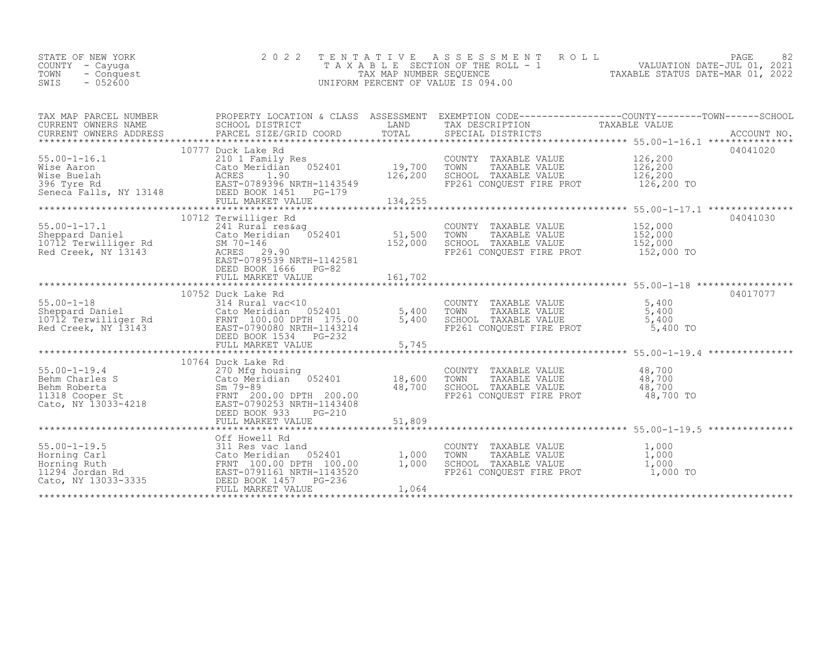| STATE OF NEW YORK  | 2022 TENTATIVE ASSESSMENT ROLL     | PAGE                             |  |
|--------------------|------------------------------------|----------------------------------|--|
| COUNTY - Cayuqa    | TAXABLE SECTION OF THE ROLL - 1    | VALUATION DATE-JUL 01, 2021      |  |
| TOWN<br>- Conquest | TAX MAP NUMBER SEOUENCE            | TAXABLE STATUS DATE-MAR 01, 2022 |  |
| $-052600$<br>SWIS  | UNIFORM PERCENT OF VALUE IS 094.00 |                                  |  |
|                    |                                    |                                  |  |

| TAX MAP PARCEL NUMBER<br>CURRENT OWNERS NAME<br>CURRENT OWNERS ADDRESS | SCHOOL DISTRICT                                                                                                                                                                                                                                                                                                                | LAND                                   | TAX DESCRIPTION TAXABLE VALUE SPECIAL DISTRICTS                                                              | PROPERTY LOCATION & CLASS ASSESSMENT EXEMPTION CODE----------------COUNTY-------TOWN-----SCHOOL |
|------------------------------------------------------------------------|--------------------------------------------------------------------------------------------------------------------------------------------------------------------------------------------------------------------------------------------------------------------------------------------------------------------------------|----------------------------------------|--------------------------------------------------------------------------------------------------------------|-------------------------------------------------------------------------------------------------|
|                                                                        | 10777 Duck Lake Rd<br>55.00-1-16.1<br>Wise Aaron 210 1 Family Res<br>Wise Buelah ACRES 1.90<br>396 Tyre Rd<br>Seneca Falls, NY 13148 DEBD BOOK 1451<br>FULL MARKET VALUE<br>052401<br>FULL MARKET VALUE                                                                                                                        | $52401$ $19,700$<br>126,200<br>134,255 | COUNTY TAXABLE VALUE<br>TOWN<br>TAXABLE VALUE<br>SCHOOL TAXABLE VALUE<br>FP261 CONQUEST FIRE PROT            | 04041020<br>126,200<br>126,200<br>126,200<br>126,200 TO                                         |
|                                                                        | 10712 Terwilliger Rd<br>55.00-1-17.1<br>Sheppard Daniel Cato Meridian 052401<br>10712 Terwilliger Rd SM 70-146<br>Red Creek, NY 13143 ACRES 29.90<br>EAST-0789539 NRTH-1142581<br>DEED BOOK 1666<br>$PG-82$<br>FULL MARKET VALUE                                                                                               | 51,500<br>152,000<br>161,702           | COUNTY TAXABLE VALUE<br>TOWN<br>TAXABLE VALUE<br>SCHOOL TAXABLE VALUE<br>FP261 CONOUEST FIRE PROT 152,000 TO | 04041030<br>152,000<br>152,000<br>152,000                                                       |
|                                                                        | $314$ Rural vac < $10$<br>According to the Marine Community of the Marine Cato Meridian US2401<br>Sheppard Daniel Cato Meridian 052401<br>10712 Terwilliger Rd FRNT 100.00 DPTH 175.00<br>Red Creek, NY 13143<br>FAST-0790080 NRTH-1149914<br>052401 5,400                                                                     | 5,400                                  | COUNTY TAXABLE VALUE<br>TOWN TAXABLE VALUE<br>SCHOOL TAXABLE VALUE<br>FP261 CONQUEST FIRE PROT               | 04017077<br>5,400<br>5,400<br>5,400<br>5,400 TO                                                 |
|                                                                        | 10764 Duck Lake Rd<br>55.00-1-19.4<br>Behm Charles S<br>Behm Roberta<br>11318 Cooper St<br>Cato, NY 13033-4218<br>Cato, NY 13033-4218<br>Behm Roberta<br>Cato, NY 13033-4218<br>Cato, NY 13033-4218<br>Cato, NY 13033-4218<br>Cato, NY 13033-4218<br>Cato, NY 13033-4218<br><br>DEED BOOK 933<br>$PG-210$<br>FULL MARKET VALUE | 18,600<br>48,700<br>51,809             | COUNTY TAXABLE VALUE<br>TOWN<br>TAXABLE VALUE<br>SCHOOL TAXABLE VALUE<br>FP261 CONQUEST FIRE PROT            | 48,700<br>48,700<br>48,700<br>48,700 TO                                                         |
|                                                                        | Off Howell Rd<br>FULL MARKET VALUE                                                                                                                                                                                                                                                                                             | 1,000<br>1,000<br>1,064                | COUNTY TAXABLE VALUE<br>TOWN<br>TAXABLE VALUE<br>SCHOOL TAXABLE VALUE<br>FP261 CONQUEST FIRE PROT            | 1,000<br>1,000<br>1,000<br>1,000 TO                                                             |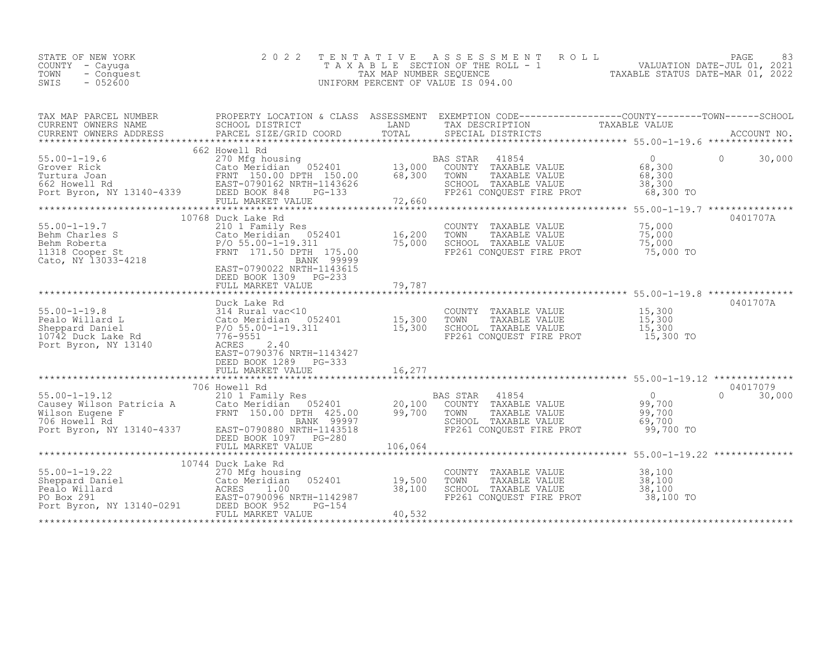| STATE OF NEW YORK<br>COUNTY - Cayuqa<br>TOWN<br>- Conquest<br>$-052600$<br>SWIS | 2022 TENTATIVE ASSESSMENT ROLL<br>TAXABLE SECTION OF THE ROLL - 1<br>TAX MAP NUMBER SEOUENCE<br>UNIFORM PERCENT OF VALUE IS 094.00 | 83<br><b>PAGE</b><br>VALUATION DATE-JUL 01, 2021<br>TAXABLE STATUS DATE-MAR 01, 2022 |  |
|---------------------------------------------------------------------------------|------------------------------------------------------------------------------------------------------------------------------------|--------------------------------------------------------------------------------------|--|
|                                                                                 |                                                                                                                                    |                                                                                      |  |

| TAX MAP PARCEL NUMBER<br>CURRENT OWNERS NAME<br>CURRENT OWNERS ADDRESS                                                                                                                                                                             | SCHOOL DISTRICT<br>PARCEL SIZE/GRID COORD                                                                                                                                                                | LAND<br>TOTAL              | PROPERTY LOCATION & CLASS ASSESSMENT EXEMPTION CODE----------------COUNTY-------TOWN-----SCHOOL<br>TAX DESCRIPTION<br>SPECIAL DISTRICTS | TAXABLE VALUE                                             | ACCOUNT NO.                  |
|----------------------------------------------------------------------------------------------------------------------------------------------------------------------------------------------------------------------------------------------------|----------------------------------------------------------------------------------------------------------------------------------------------------------------------------------------------------------|----------------------------|-----------------------------------------------------------------------------------------------------------------------------------------|-----------------------------------------------------------|------------------------------|
| 35.00-1-19.6<br>Grover Rick Cato Meridian 052401 13,000<br>Turtura Joan FRNT 150.00 68,300<br>662 Howell Rd EAST-0790162 NRTH-1143626<br>Port Byron, NY 13140-4339 DEED BOOK 848 PG-133                                                            | 662 Howell Rd<br>FULL MARKET VALUE                                                                                                                                                                       | 72,660                     | 41854<br>BAS STAR<br>COUNTY TAXABLE VALUE<br>TOWN<br>TAXABLE VALUE<br>SCHOOL TAXABLE VALUE<br>FP261 CONQUEST FIRE PROT 68,300 TO        | $\overline{0}$<br>68,300<br>68,300<br>38,300              | $\Omega$<br>30,000           |
| CONTROLLER CONTROLLER CONTROLLER CALCE THE CALCE OF THE CALCE CALCE CALCE CALCE CALCE CALCE CALCE CALCE CALCE CALCE CALCE CALCE CALCE CALCE CALCE CALCE CALCE CALCE CALCE CALCE CALCE CALCE CALCE CALCE CALCE CALCE CALCE CALC                     | Cato Meridian 052401<br>FRNT 171.50 DPTH 175.00<br>BANK 99999<br>EAST-0790022 NRTH-1143615<br>DEED BOOK 1309<br>PG-233<br>FULL MARKET VALUE                                                              | 16,200<br>75,000<br>79,787 | COUNTY TAXABLE VALUE<br>TOWN<br>TAXABLE VALUE<br>SCHOOL TAXABLE VALUE<br>FP261 CONQUEST FIRE PROT                                       | 75,000<br>75,000<br>75,000<br>75,000 TO                   | 0401707A                     |
| $55.00 - 1 - 19.8$<br>Pealo Willard L<br>Sheppard Daniel<br>10742 Duck Lake Rd<br>Port Byron, NY 13140                                                                                                                                             | Duck Lake Rd<br>314 Rural vac<10<br>314 Rural vac<10<br>Cato Meridian 052401<br>P/O 55.00-1-19.311<br>776-9551<br>3140 ACRES 2 40<br>2.40<br>ACRES<br>EAST-0790376 NRTH-1143427<br>DEED BOOK 1289 PG-333 | 15,300<br>15,300           | COUNTY TAXABLE VALUE 15,300<br>TOWN<br>TAXABLE VALUE<br>SCHOOL TAXABLE VALUE<br>FP261 CONQUEST FIRE PROT 15,300 TO                      | 15,300<br>$15,300$<br>15,300                              | 0401707A                     |
| 706 Howell Rd<br>210 1 Family Res<br>Causey Wilson Patricia A 210 1 Family Res<br>Wilson Eugene F TRNT 150.00 DPTH 425.00<br>706 Howell Rd FRNT 150.00 DPTH 425.00<br>Port Byron, NY 13140-4337 EAST-0790880 NRTH-1143518                          | 706 Howell Rd<br>$052401$ 20,100<br>DEED BOOK 1097 PG-280                                                                                                                                                | 99,700                     | 41854<br>BAS STAR<br>COUNTY TAXABLE VALUE<br>TOWN<br>TAXABLE VALUE<br>SCHOOL TAXABLE VALUE<br>FP261 CONQUEST FIRE PROT                  | $\overline{0}$<br>99,700<br>99,700<br>69,700<br>99,700 TO | 04017079<br>$\cap$<br>30,000 |
| 55.00-1-19.22<br>Sheppard Daniel<br>Pealo Willard<br>Pealo Willard<br>Po Box 291<br>Port Byron, NY 13140-0291<br>Port Byron, NY 13140-0291<br>Port Byron, NY 13140-0291<br>Port Byron, NY 13140-0291<br>Port Byron, NY 13140-0291<br>Port Byron, N | 10744 Duck Lake Rd<br>FULL MARKET VALUE                                                                                                                                                                  | 19,500<br>38,100<br>40,532 | COUNTY TAXABLE VALUE<br>TOWN<br>TAXABLE VALUE<br>SCHOOL TAXABLE VALUE<br>FP261 CONOUEST FIRE PROT                                       | 38,100<br>38,100<br>38,100<br>38,100 TO                   |                              |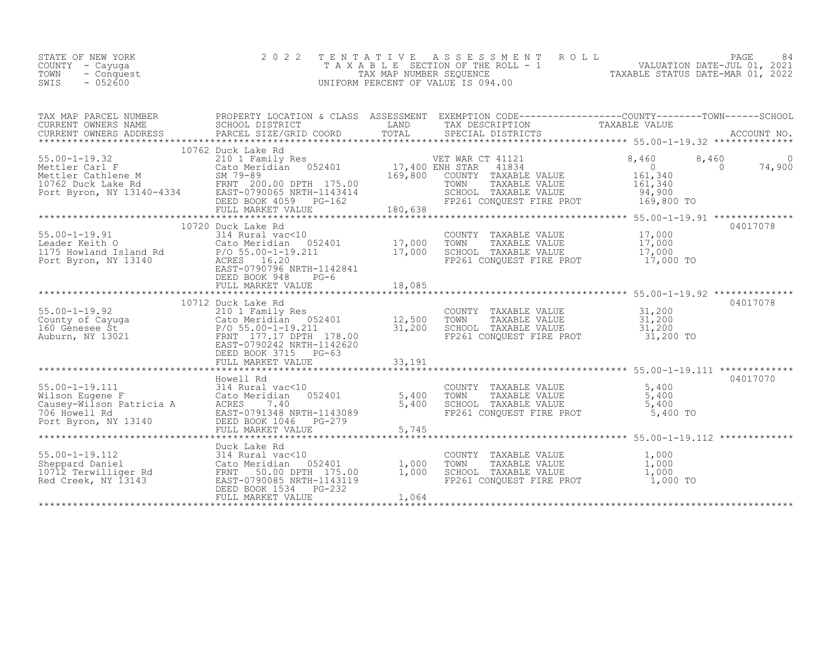| STATE OF NEW YORK<br>COUNTY - Cayuga<br>- Conquest<br>TOWN<br>SWIS<br>$-052600$                                                                                                                                                                                           | 2 0 2 2                                                                                                                                                                             | TENTATIVE<br>TAX MAP NUMBER SEQUENCE  | ASSESSMENT<br>ROLL<br>T A X A B L E SECTION OF THE ROLL - 1<br>UNIFORM PERCENT OF VALUE IS 094.00                              | PAGE<br>1 1 1 VALUATION DATE-JUL 01, 2021<br>TAXABLE STATUS DATE-MAR 01, 2022                    | 84          |
|---------------------------------------------------------------------------------------------------------------------------------------------------------------------------------------------------------------------------------------------------------------------------|-------------------------------------------------------------------------------------------------------------------------------------------------------------------------------------|---------------------------------------|--------------------------------------------------------------------------------------------------------------------------------|--------------------------------------------------------------------------------------------------|-------------|
| TAX MAP PARCEL NUMBER<br>CURRENT OWNERS NAME<br>CURRENT OWNERS ADDRESS                                                                                                                                                                                                    | SCHOOL DISTRICT<br>PARCEL SIZE/GRID COORD                                                                                                                                           | LAND<br>TOTAL                         | TAX DESCRIPTION<br>TAX DESCRIPTION TAXABLE VALUE<br>SPECIAL DISTRICTS<br>SPECIAL DISTRICTS                                     | PROPERTY LOCATION & CLASS ASSESSMENT EXEMPTION CODE----------------COUNTY-------TOWN------SCHOOL | ACCOUNT NO. |
|                                                                                                                                                                                                                                                                           | 10762 Duck Lake Rd                                                                                                                                                                  |                                       |                                                                                                                                |                                                                                                  |             |
| $55.00 - 1 - 19.32$<br>55.00-1-19.32<br>Mettler Carl F<br>Mettler Cathlene M<br>10762 Duck Lake Rd<br>Port Byron, NY 13140-4334<br>Port Byron, NY 13140-4334<br>DEED BOOK 4059 PG-162<br>PORT MATHE CORPORATION:<br>DEED BOOK 4059 PG-162<br>PORT MATHE CORPORATION:<br>D | 210 1 Family Res<br>FULL MARKET VALUE                                                                                                                                               | 17,400 ENH STAR<br>169,800<br>180,638 | VET WAR CT 41121<br>41834<br>COUNTY TAXABLE VALUE<br>TOWN<br>TAXABLE VALUE<br>SCHOOL TAXABLE VALUE<br>FP261 CONQUEST FIRE PROT | 8,460<br>8,460<br>$\overline{0}$<br>$\Omega$<br>161,340<br>161,340<br>94,900<br>169,800 TO       | 74,900      |
|                                                                                                                                                                                                                                                                           |                                                                                                                                                                                     |                                       | ********************************                                                                                               | ******************** 55.00-1-19.91 **************                                                |             |
| $55.00 - 1 - 19.91$<br>Leader Keith O<br>Leauer Keith O<br>1175 Howland Island Rd<br>Port Byron, NY 13140                                                                                                                                                                 | 10720 Duck Lake Rd<br>314 Rural vac<10<br>052401<br>Cato Meridian<br>P/O 55.00-1-19.211<br>ACRES 16.20<br>EAST-0790796 NRTH-1142841<br>DEED BOOK 948<br>$PG-6$<br>FULL MARKET VALUE | 17,000<br>17,000<br>18,085            | COUNTY TAXABLE VALUE<br>TOWN<br>TAXABLE VALUE<br>SCHOOL TAXABLE VALUE<br>FP261 CONOUEST FIRE PROT                              | 04017078<br>17,000<br>17,000<br>17,000<br>17,000 TO                                              |             |
|                                                                                                                                                                                                                                                                           |                                                                                                                                                                                     |                                       |                                                                                                                                |                                                                                                  |             |
| 55.00-1-19.92<br>County of Cayuga (210 1 Family Res<br>160 Genesee St<br>210 1 Family Res<br>210 1 Family Res<br>210 1 Family Res<br>210-1-19.211<br>210-1-19.211<br>220.212 NPTH-1                                                                                       | 10712 Duck Lake Rd<br>Cato Meridian 052401<br>FRNT 177.17 DPTH 178.00<br>EAST-0790242 NRTH-1142620<br>DEED BOOK 3715 PG-63                                                          | 12,500<br>31,200                      | COUNTY TAXABLE VALUE<br>TOWN<br>TAXABLE VALUE<br>SCHOOL TAXABLE VALUE<br>FP261 CONQUEST FIRE PROT                              | 04017078<br>31,200<br>31,200<br>31,200<br>31,200 TO                                              |             |
|                                                                                                                                                                                                                                                                           |                                                                                                                                                                                     |                                       |                                                                                                                                |                                                                                                  |             |
| 55.00-1-19.111<br>Wilson Eugene F<br>Causey-Wilson Patricia A<br>706 Howell Rd<br>Port Byron, NY 13140                                                                                                                                                                    | Howell Rd<br>314 Rural vac<10<br>052401<br>Cato Meridian<br>ACRES 7.40<br>EAST-0791348 NRTH-1143089<br>DEED BOOK 1046 PG-279                                                        | 5,400<br>5,400                        | COUNTY<br>TAXABLE VALUE<br>TOWN<br>TAXABLE VALUE<br>SCHOOL TAXABLE VALUE<br>FP261 CONOUEST FIRE PROT                           | 04017070<br>5,400<br>5,400<br>5,400<br>5,400 TO                                                  |             |
|                                                                                                                                                                                                                                                                           | FULL MARKET VALUE                                                                                                                                                                   | 5,745                                 |                                                                                                                                |                                                                                                  |             |
| $55.00 - 1 - 19.112$<br>Sheppard Daniel<br>10712 Terwilliger Rd<br>Red Creek, NY 13143                                                                                                                                                                                    | Duck Lake Rd<br>314 Rural vac<10<br>Cato Meridian 052401<br>FRNT 50.00 DPTH 175.00<br>EAST-0790085 NRTH-1143119<br>DEED BOOK 1534<br>$PG-232$<br>FULL MARKET VALUE                  | 1,000<br>1,000<br>1,064               | COUNTY TAXABLE VALUE<br>TOWN<br>TAXABLE VALUE<br>SCHOOL TAXABLE VALUE<br>FP261 CONQUEST FIRE PROT                              | *********************** 55.00-1-19.112 *************<br>1,000<br>1,000<br>1,000<br>1,000 TO      |             |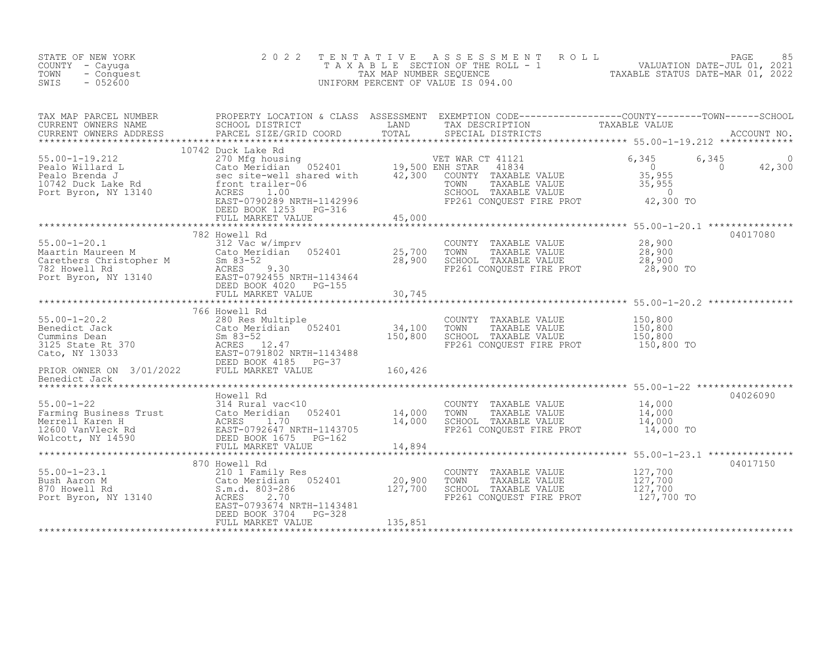| STATE OF NEW YORK<br>COUNTY - Cayuga<br>- Conquest<br>TOWN<br>$-052600$<br>SWIS                                                                                                                                                                                                                                                                                                                             | 2 0 2 2 | TENTATIVE ASSESSMENT ROLL PAGE 85<br>TAXABLE SECTION OF THE ROLL - 1 VALUATION DATE-JUL 01, 2021<br>TAX MAP NUMBER SEQUENCE TAXABLE STATUS DATE-MAR 01, 2022<br>UNIFORM PERCENT OF VALUE IS 094.00 |          |
|-------------------------------------------------------------------------------------------------------------------------------------------------------------------------------------------------------------------------------------------------------------------------------------------------------------------------------------------------------------------------------------------------------------|---------|----------------------------------------------------------------------------------------------------------------------------------------------------------------------------------------------------|----------|
| TAX MAP PARCEL NUMBER PROPERTY LOCATION & CLASS ASSESSMENT EXEMPTION CODE-----------------COUNTY--------TOWN------SCHOOL CURRENT OWNERS NAME SCHOOL DISTRICT LAND TAX DESCRIPTION TAXABLE VALUE<br>CURRENT OWNERS ADDRESS PARCEL                                                                                                                                                                            |         |                                                                                                                                                                                                    |          |
|                                                                                                                                                                                                                                                                                                                                                                                                             |         |                                                                                                                                                                                                    |          |
| 10742 Duck Lake Rd and the Restriction of the Restriction of the Restriction of the Restriction of the Restriction of the Restriction of the Restriction of the Restriction of the Restriction of the Restriction of the Restr                                                                                                                                                                              |         |                                                                                                                                                                                                    |          |
|                                                                                                                                                                                                                                                                                                                                                                                                             |         |                                                                                                                                                                                                    |          |
| $\begin{tabular}{lllllllll} \multicolumn{3}{c c c c c} \multicolumn{3}{c c c c} \multicolumn{3}{c c c c} \multicolumn{3}{c c c} \multicolumn{3}{c c c} \multicolumn{3}{c c c} \multicolumn{3}{c c c} \multicolumn{3}{c c c} \multicolumn{3}{c c c} \multicolumn{3}{c c c} \multicolumn{3}{c c c} \multicolumn{3}{c c c} \multicolumn{3}{c c c} \multicolumn{3}{c c c} \multicolumn{3}{c c c} \multicolumn{$ |         |                                                                                                                                                                                                    |          |
|                                                                                                                                                                                                                                                                                                                                                                                                             |         |                                                                                                                                                                                                    |          |
| 35.00-1-20.2<br>280 Res Multiple<br>280 Res Multiple<br>280 Res Multiple<br>280 Res Multiple<br>280 Res Multiple<br>280 Res Multiple<br>280 Res Multiple<br>280 Res Multiple<br>280 Res Multiple<br>280 Res Multiple<br>280 Res Multiple<br>280 Res Mu                                                                                                                                                      |         |                                                                                                                                                                                                    |          |
|                                                                                                                                                                                                                                                                                                                                                                                                             |         |                                                                                                                                                                                                    |          |
|                                                                                                                                                                                                                                                                                                                                                                                                             |         |                                                                                                                                                                                                    |          |
| 14,000 Farming Business Trust (1.000 Mercell Rd COUNTY TAXABLE VALUE 14,000 Farming Business Trust (2.000 Mercell Karen H) and access and the set of the set of the set of the set of the set of the set of the set of the set                                                                                                                                                                              |         |                                                                                                                                                                                                    | 04026090 |
|                                                                                                                                                                                                                                                                                                                                                                                                             |         |                                                                                                                                                                                                    |          |
| 370 Howell Rd<br>870 Howell Rd<br>20,900 TOWNT TAXABLE VALUE<br>20,900 TOWN TAXABLE VALUE<br>20,900 TOWN TAXABLE VALUE<br>20,900 TOWN TAXABLE VALUE<br>20,900 TOWN TAXABLE VALUE<br>20,900 TOWN TAXABLE VALUE<br>20,900 TOWN TAXABLE VALUE<br>20                                                                                                                                                            |         |                                                                                                                                                                                                    | 04017150 |
|                                                                                                                                                                                                                                                                                                                                                                                                             |         |                                                                                                                                                                                                    |          |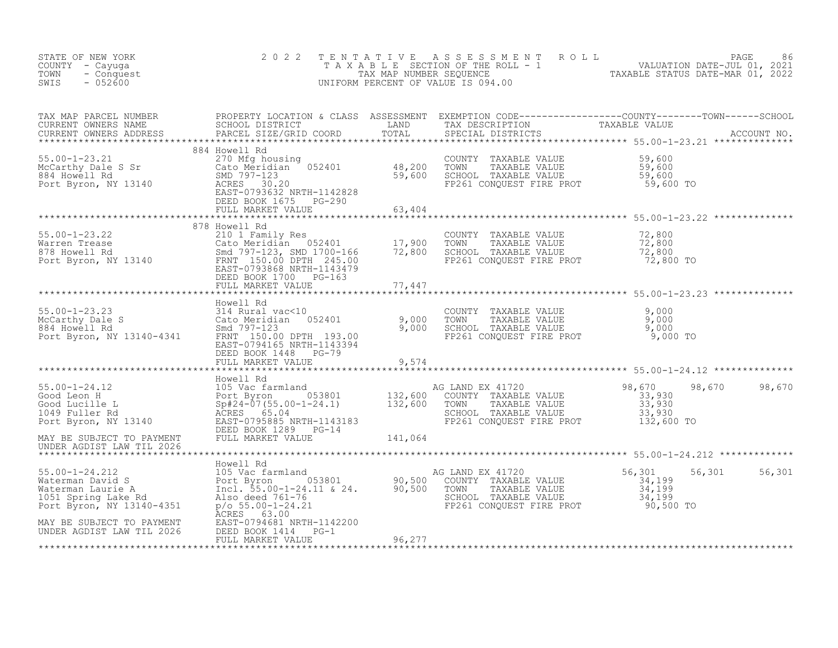| STATE OF NEW YORK<br>COUNTY - Cayuga<br>- Conquest<br>TOWN<br>$-052600$<br>SWIS                                                                                                                                                                  | 2 0 2 2                                    |        | TENTATIVE ASSESSMENT ROLL PAGE 86<br>TAXABLE SECTION OF THE ROLL - 1 VALUATION DATE-JUL 01, 2021<br>TAX MAP NUMBER SEQUENCE TAXABLE STATUS DATE-MAR 01, 2022<br>UNIFORM PERCENT OF VALUE IS 094.00      |                                                               |  |
|--------------------------------------------------------------------------------------------------------------------------------------------------------------------------------------------------------------------------------------------------|--------------------------------------------|--------|---------------------------------------------------------------------------------------------------------------------------------------------------------------------------------------------------------|---------------------------------------------------------------|--|
| TAX MAP PARCEL NUMBER PROPERTY LOCATION & CLASS ASSESSMENT EXEMPTION CODE----------------COUNTY--------TOWN------SCHOOL CURRENT OWNERS NAME SCHOOL DISTRICT LAND TAX DESCRIPTION TAXABLE VALUE<br>CURRENT OWNERS ADDRESS PARCEL S                |                                            |        |                                                                                                                                                                                                         |                                                               |  |
|                                                                                                                                                                                                                                                  | DEED BOOK 1675 PG-290<br>FULL MARKET VALUE | 63,404 |                                                                                                                                                                                                         |                                                               |  |
|                                                                                                                                                                                                                                                  |                                            |        |                                                                                                                                                                                                         |                                                               |  |
|                                                                                                                                                                                                                                                  |                                            |        | COUNTY TAXABLE VALUE $\begin{array}{ccc} 72,800 \ \text{TOWN} & \text{TAXABLE VALUE} & 72,800 \ \text{SCHOOL} & \text{TAXABLE VALUE} & 72,800 \ \text{FP261 CONQUEST FIRE PROT & 72,800 TO \end{array}$ |                                                               |  |
|                                                                                                                                                                                                                                                  |                                            |        |                                                                                                                                                                                                         | ******************************** 55.00-1-23.23 ************** |  |
| 55.00-1-23.23<br>McCarthy Dale S<br>McCarthy Dale S<br>884 Howell Rd<br>Port Byron, NY 13140-4341<br>EAST-0794165 NRTH-1143394<br>Port Byron, NY 13140-4341<br>PORT CREAST-0794165 NRTH-1143394                                                  | DEED BOOK 1448 PG-79                       |        |                                                                                                                                                                                                         |                                                               |  |
|                                                                                                                                                                                                                                                  | FULL MARKET VALUE                          | 9,574  |                                                                                                                                                                                                         |                                                               |  |
|                                                                                                                                                                                                                                                  |                                            |        |                                                                                                                                                                                                         |                                                               |  |
|                                                                                                                                                                                                                                                  |                                            |        |                                                                                                                                                                                                         |                                                               |  |
|                                                                                                                                                                                                                                                  |                                            |        |                                                                                                                                                                                                         |                                                               |  |
|                                                                                                                                                                                                                                                  |                                            |        |                                                                                                                                                                                                         |                                                               |  |
| 34,199 Materman Laurie A<br>Fort Byron, NY 13140-4351 Maters 63.00<br>Materman Laurie A<br>Port Byron (1990), 2001-24.11 & 24.<br>Materman Laurie A<br>Materman Laurie A<br>Materman Laurie A<br>Materman Laurie A<br>Materman Laurie A<br>Mater | ACRES 63.00                                |        |                                                                                                                                                                                                         | 56,301 56,301                                                 |  |
| MAY BE SUBJECT TO PAYMENT<br>UNDER AGDIST LAW TIL 2026                                                                                                                                                                                           | FULL MARKET VALUE                          | 96,277 |                                                                                                                                                                                                         |                                                               |  |
|                                                                                                                                                                                                                                                  |                                            |        |                                                                                                                                                                                                         |                                                               |  |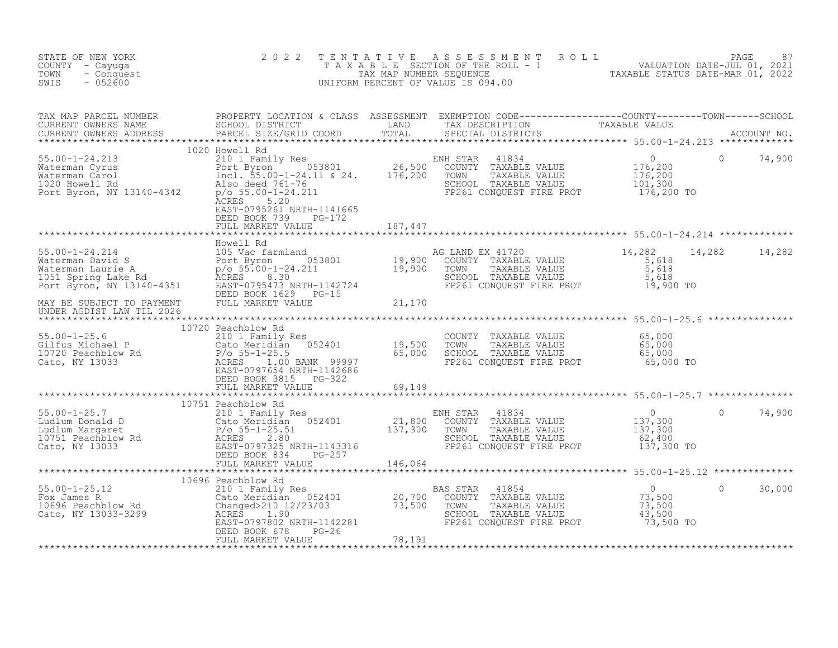| STATE OF NEW YORK<br>COUNTY - Cayuga<br>TOWN<br>- Conquest<br>$-052600$<br>SWIS                                                                                                                                                   | 2 0 2 2                                           | TENTATIVE ASSESSMENT ROLL PACE 87<br>TAXABLE SECTION OF THE ROLL - 1 VALUATION DATE-JUL 01, 2021<br>TAX MAP NUMBER SEQUENCE TAXABLE STATUS DATE-MAR 01, 2022<br>UNIFORM PERCENT OF VALUE IS 094.00 |                      |          |        |
|-----------------------------------------------------------------------------------------------------------------------------------------------------------------------------------------------------------------------------------|---------------------------------------------------|----------------------------------------------------------------------------------------------------------------------------------------------------------------------------------------------------|----------------------|----------|--------|
| TAX MAP PARCEL NUMBER PROPERTY LOCATION & CLASS ASSESSMENT EXEMPTION CODE----------------COUNTY--------TOWN------SCHOOL CURRENT OWNERS NAME SCHOOL DISTRICT LAND TAX DESCRIPTION TAXABLE VALUE<br>CURRENT OWNERS ADDRESS PARCEL S |                                                   |                                                                                                                                                                                                    |                      |          |        |
|                                                                                                                                                                                                                                   | EAST-0795261 NRTH-1141665<br>DEED BOOK 739 PG-172 |                                                                                                                                                                                                    |                      |          |        |
|                                                                                                                                                                                                                                   |                                                   |                                                                                                                                                                                                    |                      |          |        |
|                                                                                                                                                                                                                                   |                                                   |                                                                                                                                                                                                    | 14,282 14,282 14,282 |          |        |
|                                                                                                                                                                                                                                   |                                                   |                                                                                                                                                                                                    |                      |          |        |
|                                                                                                                                                                                                                                   |                                                   |                                                                                                                                                                                                    |                      |          |        |
|                                                                                                                                                                                                                                   | FULL MARKET VALUE 69,149                          |                                                                                                                                                                                                    |                      |          |        |
|                                                                                                                                                                                                                                   |                                                   |                                                                                                                                                                                                    |                      |          |        |
|                                                                                                                                                                                                                                   |                                                   |                                                                                                                                                                                                    |                      |          |        |
|                                                                                                                                                                                                                                   |                                                   |                                                                                                                                                                                                    |                      |          |        |
|                                                                                                                                                                                                                                   | 10696 Peachblow Rd                                | COWN TAXABLE VALUE 73,500<br>SCHOOL TAXABLE VALUE 73,500<br>FP261 CONQUEST FIRE PROT 73,500 TO                                                                                                     |                      | $\Omega$ | 30,000 |
|                                                                                                                                                                                                                                   |                                                   |                                                                                                                                                                                                    |                      |          |        |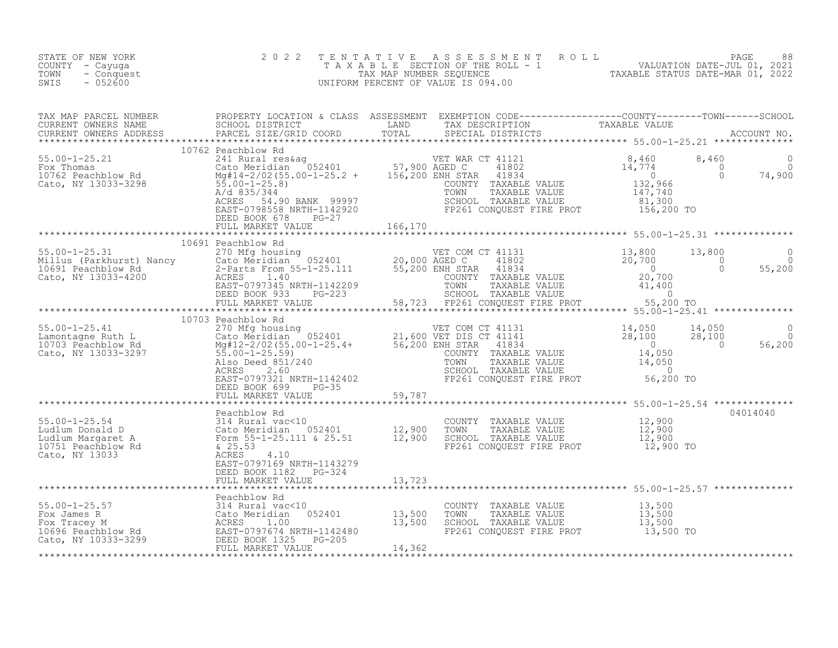| STATE OF NEW YORK<br>COUNTY - Cayuqa<br>TOWN<br>- Conquest<br>SWIS<br>$-052600$                                                                                                                                                                                   | 2 0 2 2 |  | TENTATIVE ASSESSMENT ROLL PAGE 88<br>TAXABLE SECTION OF THE ROLL - 1 VALUATION DATE-JUL 01, 2021<br>TAX MAP NUMBER SEQUENCE TAXABLE STATUS DATE-MAR 01, 2022<br>UNIFORM PERCENT OF VALUE IS 094.00 |  |          |
|-------------------------------------------------------------------------------------------------------------------------------------------------------------------------------------------------------------------------------------------------------------------|---------|--|----------------------------------------------------------------------------------------------------------------------------------------------------------------------------------------------------|--|----------|
| TAX MAP PARCEL NUMBER PROPERTY LOCATION & CLASS ASSESSMENT EXEMPTION CODE-----------------COUNTY--------TOWN------SCHOOL SCHOOL DISTRICT LAND TAX DESCRIPTION TAXABLE VALUE<br>CURRENT OWNERS ADDRESS PARCEL SIZE/GRID COORD TOTA                                 |         |  |                                                                                                                                                                                                    |  |          |
|                                                                                                                                                                                                                                                                   |         |  |                                                                                                                                                                                                    |  |          |
|                                                                                                                                                                                                                                                                   |         |  |                                                                                                                                                                                                    |  |          |
| 10691 Pachblow Rd (1070) Pachblow Pachblow Pachblow Pachblow Pachblow Pachblow Pachblow Pachblow Pachblow Pachblow Pachblow Pachblow Pachblow Pachblow Pachblow Pachblow Pachblow Pachblow Pachblow Pachblow Pachblow Pachblow                                    |         |  |                                                                                                                                                                                                    |  |          |
|                                                                                                                                                                                                                                                                   |         |  |                                                                                                                                                                                                    |  |          |
|                                                                                                                                                                                                                                                                   |         |  |                                                                                                                                                                                                    |  |          |
| 10703 Peachblow Rd<br>10703 Peachblow Rd<br>10703 Peachblow Rd<br>21,600 VET DIS CT 41131<br>21,600 VET DIS CT 41141<br>21,600 VET DIS CT 41141<br>28,100<br>28,100<br>28,100<br>28,100<br>28,100<br>28,100<br>28,100<br>28,100<br>28,100<br>28,100<br>28,100<br> |         |  |                                                                                                                                                                                                    |  |          |
|                                                                                                                                                                                                                                                                   |         |  |                                                                                                                                                                                                    |  |          |
|                                                                                                                                                                                                                                                                   |         |  |                                                                                                                                                                                                    |  | 04014040 |
|                                                                                                                                                                                                                                                                   |         |  |                                                                                                                                                                                                    |  |          |
|                                                                                                                                                                                                                                                                   |         |  |                                                                                                                                                                                                    |  |          |
|                                                                                                                                                                                                                                                                   |         |  |                                                                                                                                                                                                    |  |          |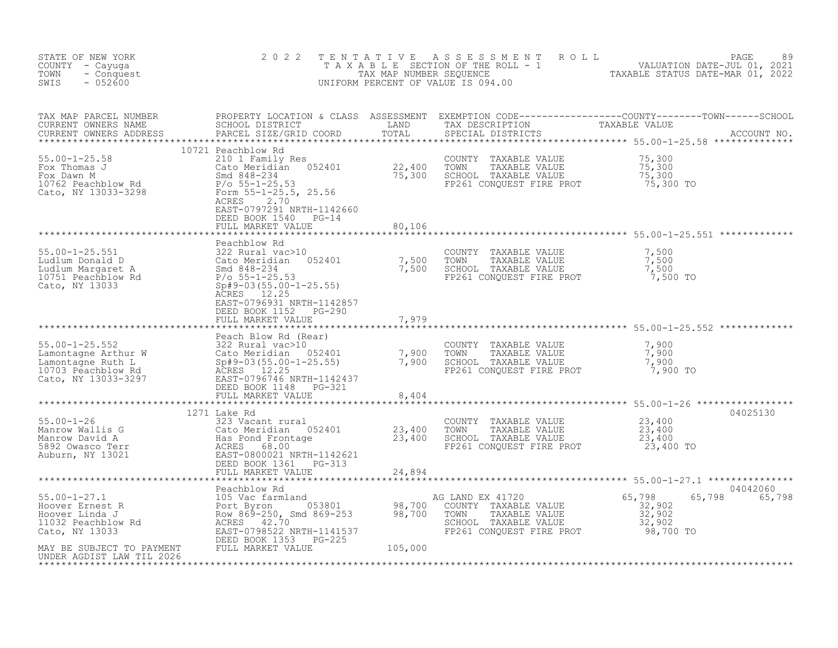| STATE OF NEW YORK<br>COUNTY - Cayuga<br>- Conquest<br>TOWN<br>$-052600$<br>SWIS                                                                                                                                                                                                                                                                                                                                                               | 2 0 2 2                                                                                                       | TENTATIVE | UNIFORM PERCENT OF VALUE IS 094.00                                                                                                               | FENTATIVE ASSESSMENT ROLL PACE 89<br>TAXABLE SECTION OF THE ROLL - 1 VALUATION DATE-JUL 01, 2021<br>TAXABLE STATUS DATE-MAR 01, 2022<br>JNIFORM PERCENT OF VALUE IS 094.00 |
|-----------------------------------------------------------------------------------------------------------------------------------------------------------------------------------------------------------------------------------------------------------------------------------------------------------------------------------------------------------------------------------------------------------------------------------------------|---------------------------------------------------------------------------------------------------------------|-----------|--------------------------------------------------------------------------------------------------------------------------------------------------|----------------------------------------------------------------------------------------------------------------------------------------------------------------------------|
| TAX MAP PARCEL NUMBER<br>CURRENT OWNERS NAME<br>CURRENT OWNERS ADDRESS                                                                                                                                                                                                                                                                                                                                                                        | PARCEL SIZE/GRID COORD                                                                                        |           | SPECIAL DISTRICTS                                                                                                                                |                                                                                                                                                                            |
|                                                                                                                                                                                                                                                                                                                                                                                                                                               | 10721 Peachblow Rd<br>ACRES<br>2.70<br>EAST-0797291 NRTH-1142660<br>DEED BOOK 1540 PG-14<br>FULL MARKET VALUE | 80,106    |                                                                                                                                                  |                                                                                                                                                                            |
| 55.00-1-25.551<br>Ludlum Donald D (210 Margaret A Smd 848-234 7,500<br>Ludlum Margaret A Smd 848-234 7,500<br>10751 Peachblow Rd P/o 55-1-25.53<br>Cato, NY 13033<br>Cato, NY 13033<br>Cato, NY 13033<br>CARES 12.25<br>ACRES 12.25<br>2025<br>                                                                                                                                                                                               | Peachblow Rd<br>EAST-0796931 NRTH-1142857<br>DEED BOOK 1152 PG-290<br>FULL MARKET VALUE                       | 7,979     | COUNTY TAXABLE VALUE<br>TOWN TAXABLE VALUE<br>SCHOOL TAXABLE VALUE<br>FP261 CONQUEST FIRE PROT                                                   | 7,500<br>7,500<br>7,500<br>7,500 TO                                                                                                                                        |
| 9900 1-25.552<br>Lamontagne Arthur W 322 Rural vac>10<br>Lamontagne Ruth L (210 Meridian 052401 7,900 TOWN TAXABLE VALUE 7,900<br>Lamontagne Ruth L Sp#9-03(55.00-1-25.55) 7,900 SCHOOL TAXABLE VALUE 7,900<br>10703 Peachblow Rd ACR                                                                                                                                                                                                         | Peach Blow Rd (Rear)<br>FULL MARKET VALUE                                                                     | 8,404     |                                                                                                                                                  |                                                                                                                                                                            |
|                                                                                                                                                                                                                                                                                                                                                                                                                                               | FULL MARKET VALUE                                                                                             | 24,894    | COUNTY TAXABLE VALUE $23,400$<br>TOWN TAXABLE VALUE $23,400$<br>$23,400$<br>FP261 CONQUEST FIRE PROT 23,400 TO                                   | 04025130<br>23,400                                                                                                                                                         |
| $\begin{tabular}{lllllllllllllllllllllll} \texttt{55.00-1-27.1} & \texttt{Beachblow Rd} & \texttt{AG LAND EX 41720} \\ \texttt{However Ernest R} & \texttt{Port Byron} & \texttt{053801} & \texttt{98,700} & \texttt{COUNTY TAXABLE VALUE} \\ \texttt{However Linda J} & \texttt{Row 869-250, Smd 869-253} & \texttt{98,700} & \texttt{COUNTY TAXABLE VALUE} \\ \texttt{1032 Peachblow Rd} & \texttt{ACRES} & \texttt{42.70} & \texttt{98,70$ |                                                                                                               |           | G LAND EX 41720<br>COUNTY TAXABLE VALUE 32,902<br>TOWN TAXABLE VALUE 32,902<br>SCHOOL TAXABLE VALUE 32,902<br>FP261 CONQUEST FIRE PROT 98,700 TO | 04042060<br>65,798<br>65,798                                                                                                                                               |
|                                                                                                                                                                                                                                                                                                                                                                                                                                               |                                                                                                               |           |                                                                                                                                                  |                                                                                                                                                                            |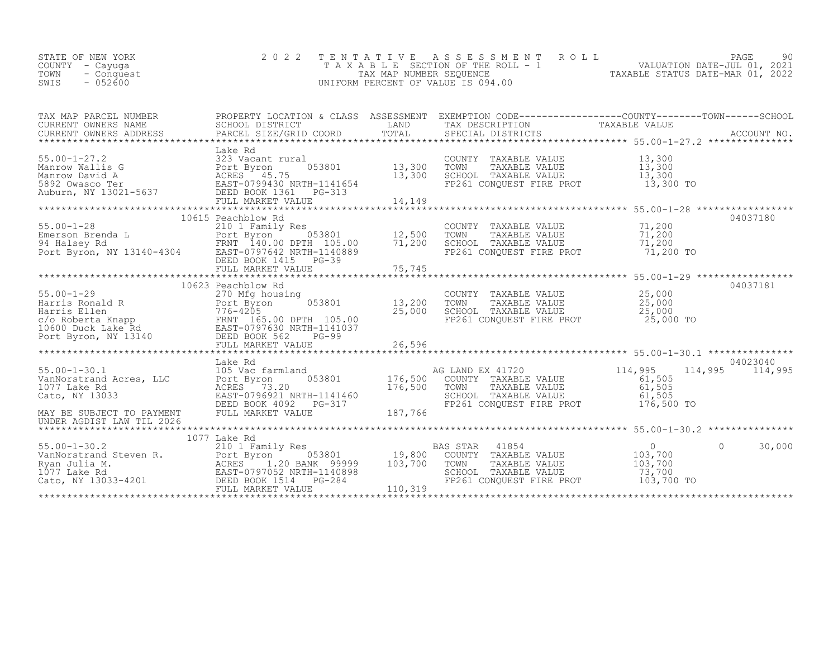| STATE OF NEW YORK<br>COUNTY - Cayuga<br>TOWN<br>- Conquest<br>$-052600$<br>SWIS                                                                                                                                                                            | 2 0 2 2                                                                                                                   | TENTATIVE                                                                  | $\begin{tabular}{lllllllllllllllllllll} \multicolumn{3}{c}{\begin{tabular}{l} \multicolumn{3}{c}{\multicolumn{3}{c}{\multicolumn{3}{c}{\multicolumn{3}{c}{\multicolumn{3}{c}{\multicolumn{3}{c}{\multicolumn{3}{c}{\multicolumn{3}{c}{\multicolumn{3}{c}{\multicolumn{3}{c}{\multicolumn{3}{c}{\multicolumn{3}{c}{\multicolumn{3}{c}{\multicolumn{3}{c}{\multicolumn{3}{c}{\multicolumn{3}{c}{\multicolumn{3}{c}{\multicolumn{3}{c}{\multicolumn{3}{c}{\multicolumn{3}{c}{\multicolumn{3$<br>UNIFORM PERCENT OF VALUE IS 094.00 |                                                                                            |                     |
|------------------------------------------------------------------------------------------------------------------------------------------------------------------------------------------------------------------------------------------------------------|---------------------------------------------------------------------------------------------------------------------------|----------------------------------------------------------------------------|---------------------------------------------------------------------------------------------------------------------------------------------------------------------------------------------------------------------------------------------------------------------------------------------------------------------------------------------------------------------------------------------------------------------------------------------------------------------------------------------------------------------------------|--------------------------------------------------------------------------------------------|---------------------|
| TAX MAP PARCEL NUMBER<br>CURRENT OWNERS NAME<br>CURRENT OWNERS ADDRESS                                                                                                                                                                                     | PARCEL SIZE/GRID COORD                                                                                                    | TOTAL                                                                      | PROPERTY LOCATION & CLASS ASSESSMENT EXEMPTION CODE-----------------COUNTY--------TOWN------SCHOOL<br>SCHOOL DISTRICT DESCRIPTION TAXABLE VALUE VALUE ACCOUNT NO<br>SPECIAL DISTRICTS                                                                                                                                                                                                                                                                                                                                           |                                                                                            | ACCOUNT NO.         |
| 323 Vacant rural<br>Manrow Wallis G<br>Manrow David A<br>5892 Owasco Ter<br>Auburn, NY 13021-5637<br>Auburn, NY 13021-5637<br>THE BOOK 1361 THE POOK 1361 THE POOK 1361<br>DEED BOOK 1361 THE POOK 1361                                                    | Lake Rd<br>FULL MARKET VALUE                                                                                              | $\begin{array}{cc} 053801 & 13,300 \\ 13,300 & \end{array}$<br>14,149      | COUNTY TAXABLE VALUE<br>TOWN<br>TAXABLE VALUE<br>SCHOOL TAXABLE VALUE<br>FP261 CONQUEST FIRE PROT                                                                                                                                                                                                                                                                                                                                                                                                                               | 13,300<br>13,300<br>13,300<br>13,300 TO                                                    |                     |
| 55.00-1-28<br>Emerson Brenda L<br>94 Halsey Rd<br>Port Byron Byron, NY 13140-4304<br>DEED BOOK 1410-0797642<br>DEED BOOK 1415<br>DEED BOOK 1415<br>POOK 1415<br>DEED BOOK 1415<br>DEED BOOK 1415<br>DEED BOOK 1415<br>DEED BOOK 1415<br>DEED BOOK 1415     | *************************<br>10615 Peachblow Rd<br>FULL MARKET VALUE                                                      | ь<br>053801                12,500<br>тн   105.00          71,200<br>75,745 | COUNTY TAXABLE VALUE<br>TOWN<br>TAXABLE VALUE<br>SCHOOL TAXABLE VALUE<br>FP261 CONQUEST FIRE PROT                                                                                                                                                                                                                                                                                                                                                                                                                               | ********************* 55.00-1-28 **************<br>71,200<br>71,200<br>71,200<br>71,200 TO | 04037180            |
| 55.00-1-29<br>Harris Ronald R<br>Harris Ellen (1990)<br>Component Component Component Component Component Component Component Component<br>TRNT 165.00 DPTH 105.00<br>TRNT 165.00 DPTH 105.00<br>POED BOOK S62<br>POED BOOK 582<br>POED BOOK               | 10623 Peachblow Rd                                                                                                        | 13,200<br>25,000                                                           | COUNTY TAXABLE VALUE<br>TOWN<br>TAXABLE VALUE<br>שטאראפאנד TAXABLE VALUE<br>FP261 CONQUEST FIRE PROT                                                                                                                                                                                                                                                                                                                                                                                                                            | 25,000<br>25,000<br>25,000<br>25,000 TO                                                    | 04037181            |
| $55.00 - 1 - 30.1$<br>1077 Lake Rd<br>Cato, NY 13033<br>MAY BE SUBJECT TO PAYMENT                                                                                                                                                                          | Lake Rd<br>105 Vac farmland<br>ACRES 73.20<br>EAST-0796921 NRTH-1141460<br>DEED BOOK 4092 PG-317<br>DEED BOOK 4092 PG-317 | $053801$ 176,500<br>176,500<br>187,766                                     | AG LAND EX 41720<br>COUNTY TAXABLE VALUE<br>TOWN<br>TAXABLE VALUE<br>SCHOOL TAXABLE VALUE<br>FP261 CONQUEST FIRE PROT                                                                                                                                                                                                                                                                                                                                                                                                           | 114,995<br>114,995<br>61,505<br>61,505<br>61,505<br>176,500 TO                             | 04023040<br>114,995 |
| UNDER AGDIST LAW TIL 2026                                                                                                                                                                                                                                  |                                                                                                                           |                                                                            |                                                                                                                                                                                                                                                                                                                                                                                                                                                                                                                                 |                                                                                            |                     |
| 1077 Lake Rd<br>2010 1 Family Res<br>VanNorstrand Steven R.<br>2010 1 Family Res<br>2010 120 BANK 99999<br>20 BANK 99999<br>2020 1.20 BANK 99999<br>2020 DEED BOOK<br>2020 2021<br>2020 DEED BOOK<br>2020 2021<br>2020 2021<br>2020 2021<br>2020 2021<br>2 | 1077 Lake Rd<br>053801<br>FULL MARKET VALUE                                                                               | 19,800<br>103,700<br>110,319                                               | 41854<br>BAS STAR<br>COUNTY TAXABLE VALUE<br>TOWN<br>TAXABLE VALUE<br>SCHOOL TAXABLE VALUE<br>FP261 CONQUEST FIRE PROT                                                                                                                                                                                                                                                                                                                                                                                                          | $\overline{0}$<br>$\Omega$<br>103,700<br>103,700<br>73,700<br>$103,700$ TO                 | 30,000              |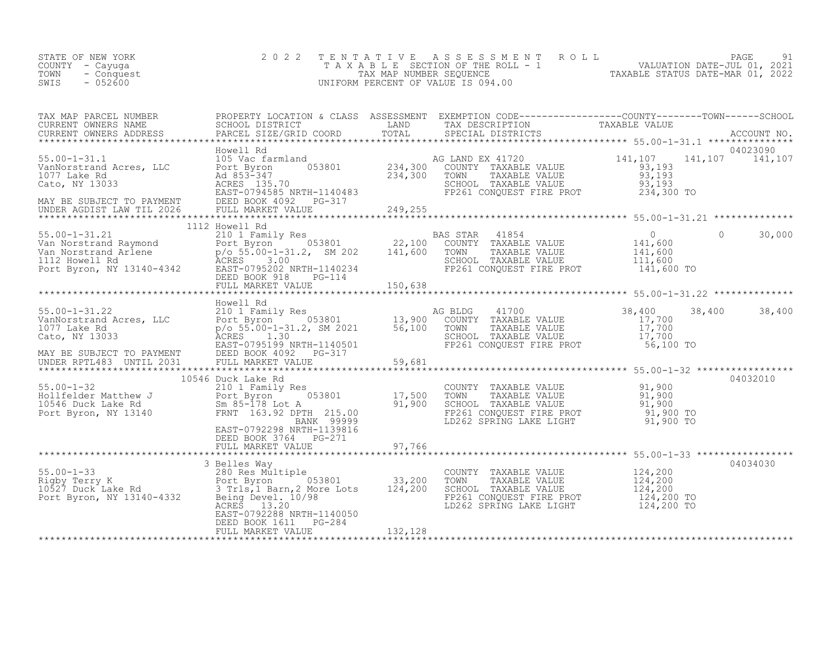| COUNTY - Cayuga<br>TOWN<br>- Conquest<br>$-052600$<br>SWIS                                                                                                                                                                                         | TAXABLE                                              | A B L E SECTION OF THE ROLL - 1 VALUATION DATE-JUL 01, 2021<br>TAX MAP NUMBER SEQUENCE TAXABLE STATUS DATE-MAR 01, 2022<br>1 PERCENT OF VALUE IS 094.00<br>UNIFORM PERCENT OF VALUE IS 094.00 |          |
|----------------------------------------------------------------------------------------------------------------------------------------------------------------------------------------------------------------------------------------------------|------------------------------------------------------|-----------------------------------------------------------------------------------------------------------------------------------------------------------------------------------------------|----------|
| TAX MAP PARCEL NUMBER PROPERTY LOCATION & CLASS ASSESSMENT EXEMPTION CODE----------------COUNTY--------TOWN------SCHOOL SCHOOL DISTRICT LAND TAX DESCRIPTION TAXABLE VALUE<br>CURRENT OWNERS NAME SCHOOL DISTRICT LAND TAX DESCRI                  |                                                      |                                                                                                                                                                                               |          |
|                                                                                                                                                                                                                                                    |                                                      |                                                                                                                                                                                               |          |
| 35.00-1-31.21 112 Howell Rd<br>Van Norstrand Raymond 2010 1 Family Res<br>Van Norstrand Arlene p/o 55.00-1-31.2, SM 202 141,600 TOWN TAXABLE VALUE 141,600 0<br>112 Howell Rd p/o 55.00-1-31.2, SM 202 141,600 TOWN TAXABLE VALUE 14               |                                                      |                                                                                                                                                                                               |          |
|                                                                                                                                                                                                                                                    |                                                      |                                                                                                                                                                                               |          |
|                                                                                                                                                                                                                                                    |                                                      |                                                                                                                                                                                               |          |
|                                                                                                                                                                                                                                                    |                                                      |                                                                                                                                                                                               | 04032010 |
| 10546 Duck Lake Rd<br>Follfelder Matthew J<br>Follfelder Matthew J<br>210 1 Family Res<br>210 1 Family Res<br>210 1 Family Res<br>210 1 Family Res<br>210 2003801<br>21, 200 TOWN TAXABLE VALUE<br>21, 200 TOWN TAXABLE VALUE<br>21, 200 TOWN TAXA |                                                      |                                                                                                                                                                                               |          |
|                                                                                                                                                                                                                                                    | DEED BOOK 3764 PG-271                                |                                                                                                                                                                                               |          |
|                                                                                                                                                                                                                                                    |                                                      |                                                                                                                                                                                               | 04034030 |
|                                                                                                                                                                                                                                                    | EAST-0792288 NRTH-1140050                            |                                                                                                                                                                                               |          |
|                                                                                                                                                                                                                                                    | DEED BOOK 1611 - PG-284<br>FULL MARKET VALUE 132,128 |                                                                                                                                                                                               |          |
|                                                                                                                                                                                                                                                    |                                                      |                                                                                                                                                                                               |          |

STATE OF NEW YORK 2022 TENTATIVE ASSESSMENT ROLL PAGE 91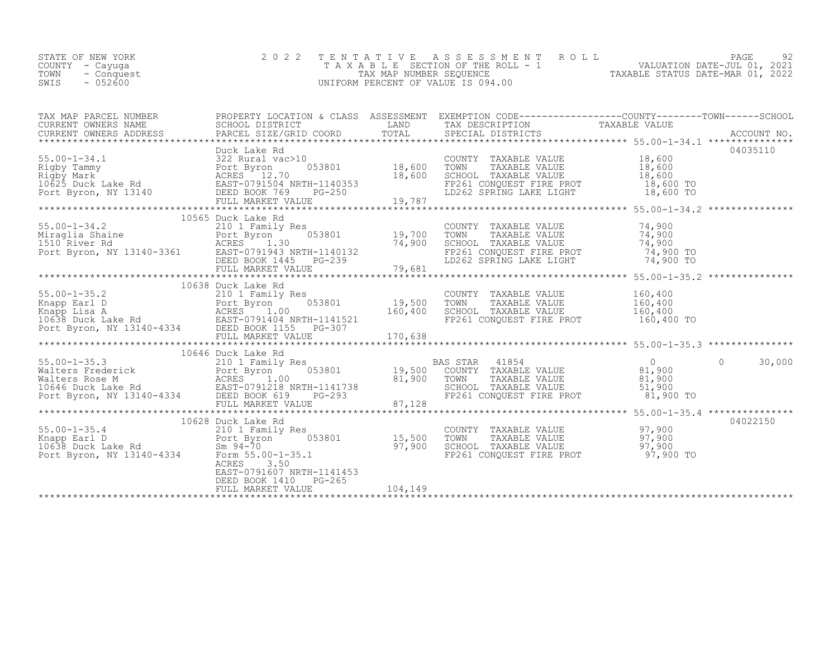| STATE OF NEW YORK  | 2022 TENTATIVE ASSESSMENT ROLL     |                                  | PAGE                        | 92. |
|--------------------|------------------------------------|----------------------------------|-----------------------------|-----|
| COUNTY – Cayuqa    | TAXABLE SECTION OF THE ROLL - 1    |                                  | VALUATION DATE-JUL 01, 2021 |     |
| TOWN<br>- Conquest | TAX MAP NUMBER SEOUENCE            | TAXABLE STATUS DATE-MAR 01, 2022 |                             |     |
| $-052600$<br>SWIS  | UNIFORM PERCENT OF VALUE IS 094.00 |                                  |                             |     |

| TAX MAP PARCEL NUMBER THE PROPERTY LOCATION & CLASS ASSESSMENT EXEMPTION CODE---------------COUNTY-------TOWN------SCHOOL                                                                                                                                  |                           |  |          |
|------------------------------------------------------------------------------------------------------------------------------------------------------------------------------------------------------------------------------------------------------------|---------------------------|--|----------|
| CURRENT OWNERS NAME SCHOOL DISTRICT SCHOOL DISTRICT SCHOOL DISTRICT  TAX DESCRIPTION  TAX DESCRIPTION  TAX DESCRIPTION  TAX DESCRIPTION  TAX DESCRIPTION  TAX DESCRIPTION  TAX DESCRIPTION   TAX DESCRIPTION   TAX DESCRIPTION                             |                           |  |          |
|                                                                                                                                                                                                                                                            |                           |  |          |
|                                                                                                                                                                                                                                                            |                           |  |          |
|                                                                                                                                                                                                                                                            |                           |  |          |
|                                                                                                                                                                                                                                                            |                           |  |          |
|                                                                                                                                                                                                                                                            |                           |  |          |
|                                                                                                                                                                                                                                                            |                           |  |          |
|                                                                                                                                                                                                                                                            |                           |  |          |
|                                                                                                                                                                                                                                                            |                           |  |          |
| 10565 Duck Lake Rd<br>10565 Duck Lake Rd<br>210 1 Family Res<br>210 1 Family Res<br>210 1 Family Res<br>210 1 Family Res<br>210 1 Family Res<br>210 1 Family Res<br>210 1 Family Res<br>210 1 Family Res<br>210 1 Family Res<br>210 1 Family Res<br>21     |                           |  |          |
|                                                                                                                                                                                                                                                            |                           |  |          |
|                                                                                                                                                                                                                                                            |                           |  |          |
|                                                                                                                                                                                                                                                            |                           |  |          |
|                                                                                                                                                                                                                                                            |                           |  |          |
|                                                                                                                                                                                                                                                            |                           |  |          |
|                                                                                                                                                                                                                                                            |                           |  |          |
|                                                                                                                                                                                                                                                            |                           |  |          |
|                                                                                                                                                                                                                                                            |                           |  |          |
|                                                                                                                                                                                                                                                            |                           |  |          |
|                                                                                                                                                                                                                                                            |                           |  |          |
|                                                                                                                                                                                                                                                            |                           |  |          |
|                                                                                                                                                                                                                                                            |                           |  |          |
|                                                                                                                                                                                                                                                            |                           |  |          |
|                                                                                                                                                                                                                                                            |                           |  |          |
|                                                                                                                                                                                                                                                            | 10646 Duck Lake Rd        |  |          |
|                                                                                                                                                                                                                                                            |                           |  |          |
|                                                                                                                                                                                                                                                            |                           |  |          |
|                                                                                                                                                                                                                                                            |                           |  |          |
|                                                                                                                                                                                                                                                            |                           |  |          |
|                                                                                                                                                                                                                                                            |                           |  |          |
|                                                                                                                                                                                                                                                            |                           |  |          |
| 10646 Duck Lake Rd<br>Walters Frederick 210 1 Family Res BAS STAR 41854 0<br>Walters Frederick Port Byron 053801 19,500 COUNTY TAXABLE VALUE 81,900 0 30,000<br>Walters Rose M RCRES 1.00 81,900 TOWN TAXABLE VALUE 81,900<br>TOWN TAX                     |                           |  |          |
| 10628 Duck Lake Rd<br>210 1 Family Res<br>Mapp Earl D<br>210 1 Family Res<br>210 1 Family Res<br>210 1 Family Res<br>210 1 Family Res<br>210 1 Family Res<br>210 1 Family Res<br>215,500 TOWN TAXABLE VALUE<br>27,900<br>27,900<br>27,900<br>27,900<br>27, |                           |  | 04022150 |
|                                                                                                                                                                                                                                                            |                           |  |          |
|                                                                                                                                                                                                                                                            |                           |  |          |
|                                                                                                                                                                                                                                                            |                           |  |          |
|                                                                                                                                                                                                                                                            | ACRES 3.50                |  |          |
|                                                                                                                                                                                                                                                            | EAST-0791607 NRTH-1141453 |  |          |
|                                                                                                                                                                                                                                                            | DEED BOOK 1410 PG-265     |  |          |
|                                                                                                                                                                                                                                                            |                           |  |          |
|                                                                                                                                                                                                                                                            |                           |  |          |
|                                                                                                                                                                                                                                                            |                           |  |          |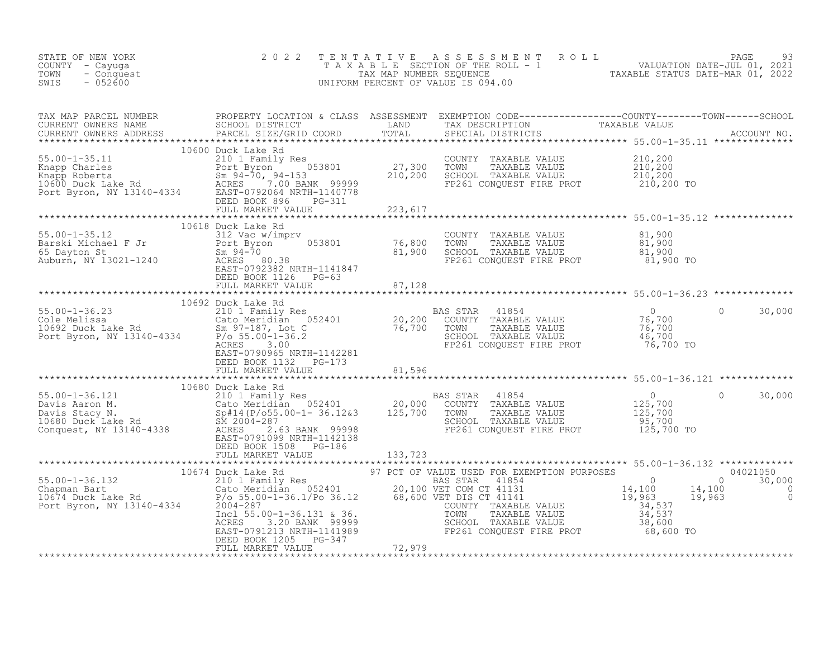| STATE OF NEW YORK<br>COUNTY - Cayuga<br>TOWN<br>- Conquest<br>$-052600$<br>SWIS                                                                                                                                                                  | 2 0 2 2                                            | TENTATIVE ASSESSMENT ROLL PAGE 93<br>TAXABLE SECTION OF THE ROLL - 1 VALUATION DATE-JUL 01, 2021<br>TAX MAP NUMBER SEQUENCE TAXABLE STATUS DATE-MAR 01, 2022<br>UNIFORM PERCENT OF VALUE IS 094.00 |  |
|--------------------------------------------------------------------------------------------------------------------------------------------------------------------------------------------------------------------------------------------------|----------------------------------------------------|----------------------------------------------------------------------------------------------------------------------------------------------------------------------------------------------------|--|
|                                                                                                                                                                                                                                                  |                                                    |                                                                                                                                                                                                    |  |
|                                                                                                                                                                                                                                                  |                                                    |                                                                                                                                                                                                    |  |
|                                                                                                                                                                                                                                                  |                                                    |                                                                                                                                                                                                    |  |
|                                                                                                                                                                                                                                                  |                                                    |                                                                                                                                                                                                    |  |
|                                                                                                                                                                                                                                                  |                                                    |                                                                                                                                                                                                    |  |
|                                                                                                                                                                                                                                                  |                                                    |                                                                                                                                                                                                    |  |
|                                                                                                                                                                                                                                                  |                                                    |                                                                                                                                                                                                    |  |
| CONQUEST, NEXTRIP DRIVER TO THE PRIME TO DEED BOOK 1508 PC-186<br>FULL MARKET VALUE<br>FULL MARKET VALUE<br>TULL MARKET VALUE<br>TULL MARKET VALUE<br>TULL MARKET VALUE<br>TULL MARKET VALUE<br>10674 Duck Lake Rd<br>2010 Family Res<br>2010 Fa | DEED BOOK 1205 PG-347<br>FIILL MARKET VALUE 72,979 |                                                                                                                                                                                                    |  |
|                                                                                                                                                                                                                                                  |                                                    |                                                                                                                                                                                                    |  |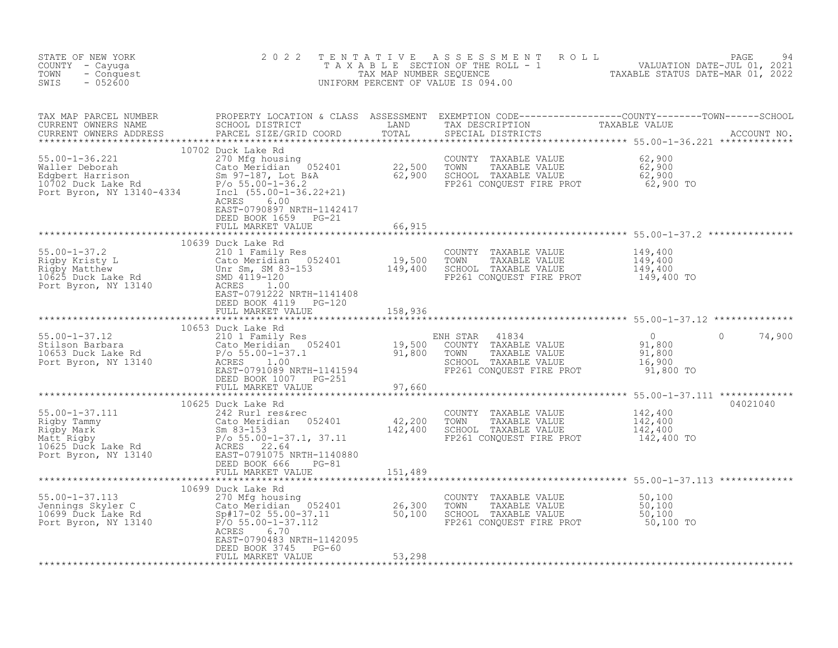| STATE OF NEW YORK<br>COUNTY - Cayuga<br>- Conquest<br>TOWN<br>$-052600$<br>SWIS                                                                                                                                                      | 2 0 2 2                                          |  | TENTATIVE ASSESSMENT ROLL PACE 94<br>TAXABLE SECTION OF THE ROLL - 1 VALUATION DATE-JUL 01, 2021<br>TAX MAP NUMBER SEQUENCE TAXABLE STATUS DATE-MAR 01, 2022<br>UNIFORM PERCENT OF VALUE IS 094.00                                |
|--------------------------------------------------------------------------------------------------------------------------------------------------------------------------------------------------------------------------------------|--------------------------------------------------|--|-----------------------------------------------------------------------------------------------------------------------------------------------------------------------------------------------------------------------------------|
|                                                                                                                                                                                                                                      |                                                  |  | TAX MAP PARCEL NUMBER PROPERTY LOCATION & CLASS ASSESSMENT EXEMPTION CODE------------------COUNTY--------TOWN------SCHOOL SCHOOL DISTRICT LAND TAX DESCRIPTION TAXABLE VALUE<br>CURRENT OWNERS ADDRESS PARCEL SIZE/GRID COORD TOT |
| 10702 Duck International COUNTY TAXABLE VALUE<br>Maller Deborah 22,500 COUNTY TAXABLE VALUE<br>Maller Deborah 22,900 Cato Meridian 052401 22,500 TOWN TAXABLE VALUE<br>Edgbert Harrison Sm 97-187, Lot B&A 62,900 SCHOOL TAXABLE VAL | DEED BOOK 1659 PG-21                             |  |                                                                                                                                                                                                                                   |
|                                                                                                                                                                                                                                      | FULL MARKET VALUE 66,915                         |  |                                                                                                                                                                                                                                   |
|                                                                                                                                                                                                                                      |                                                  |  |                                                                                                                                                                                                                                   |
|                                                                                                                                                                                                                                      |                                                  |  |                                                                                                                                                                                                                                   |
|                                                                                                                                                                                                                                      |                                                  |  | 10653 DUNING THE PROPERTY AND THE PROPERTY AND THE PROPERTY AND THE PROPERTY AND THE PROPERTY AND THE PROPERTY AND THE PROPERTY AND THE PROPERTY AND THE PROPERTY AND THE PROPERTY OF A SUBMISTIC VALUE THE PROPERTY AND THE P    |
|                                                                                                                                                                                                                                      |                                                  |  |                                                                                                                                                                                                                                   |
|                                                                                                                                                                                                                                      |                                                  |  |                                                                                                                                                                                                                                   |
|                                                                                                                                                                                                                                      |                                                  |  |                                                                                                                                                                                                                                   |
|                                                                                                                                                                                                                                      | EAST-0790483 NRTH-1142095                        |  |                                                                                                                                                                                                                                   |
|                                                                                                                                                                                                                                      | DEED BOOK 3745 PG-60<br>FULL MARKET VALUE 53,298 |  |                                                                                                                                                                                                                                   |
|                                                                                                                                                                                                                                      |                                                  |  |                                                                                                                                                                                                                                   |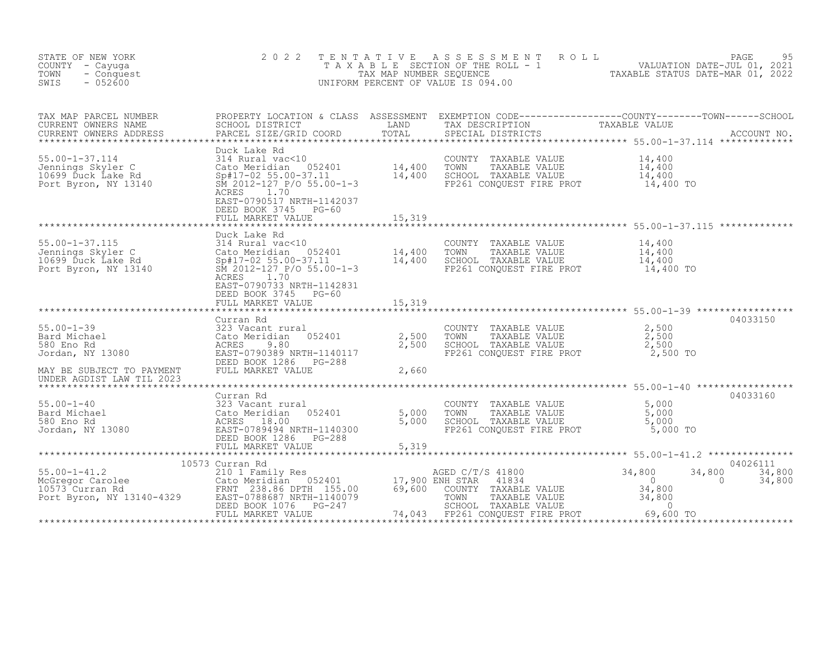| STATE OF NEW YORK<br>COUNTY - Cayuga<br>TOWN<br>- Conquest<br>$-052600$<br>SWIS                                                                                                                                                                 | 2 0 2 2                                                                                                                                                                                   | TENTATIVE           | T E N T A T I V E A S S E S S M E N T R O L L<br>T A X A B L E SECTION OF THE ROLL - 1<br>TAX MAP NUMBER SEQUENCE TAXABLE STATUS DATE-MAR 01, 2022<br>JNIFORM PERCENT OF VALUE IS 094.00<br>UNIFORM PERCENT OF VALUE IS 094.00          |                              |                  |
|-------------------------------------------------------------------------------------------------------------------------------------------------------------------------------------------------------------------------------------------------|-------------------------------------------------------------------------------------------------------------------------------------------------------------------------------------------|---------------------|-----------------------------------------------------------------------------------------------------------------------------------------------------------------------------------------------------------------------------------------|------------------------------|------------------|
| TAX MAP PARCEL NUMBER<br>CURRENT OWNERS NAME<br>CURRENT OWNERS ADDRESS                                                                                                                                                                          |                                                                                                                                                                                           |                     | PROPERTY LOCATION & CLASS ASSESSMENT EXEMPTION CODE------------------COUNTY--------TOWN------SCHOOL<br>SCHOOL DISTRICT LAND TAX DESCRIPTION TAXABLE VALUE<br>PARCEL SIZE/GRID COORD TOTAL SPECIAL DISTRICTS ACCOUNT NO.<br>************ |                              |                  |
| Duck Lake Rd<br>314 Rural vac≺10<br>314 Rural vac≺10<br>314 Rural vac≺10<br>314 Rural vac≺10<br>35.00-1 14,400 TOWN TAXABLE VALUE<br>34 200 SCHOOL TAXABLE VALUE<br>36 2012-127 P/O 55.00-1-3<br>36 2012-127 P/O 55.00-1-3<br>36 2012-127 P/O 5 | ACRES<br>1.70<br>EAST-0790517 NRTH-1142037<br>DEED BOOK 3745 PG-60<br>FULL MARKET VALUE                                                                                                   | 15,319              | FP261 CONQUEST FIRE PROT 14,400 TO                                                                                                                                                                                                      |                              |                  |
|                                                                                                                                                                                                                                                 |                                                                                                                                                                                           |                     |                                                                                                                                                                                                                                         |                              |                  |
| 55.00-1-37.115<br>Johnings Skyler C 314 Rural vac<10<br>10699 Duck Lake Rd Sp#17-02 55.00-37.11<br>Port Byron, NY 13140 SM 2012-127 P/O 55.00-1-3<br>ACRES 1.70                                                                                 | Duck Lake Rd<br>1.70<br>EAST-0790733 NRTH-1142831                                                                                                                                         |                     | COUNTY TAXABLE VALUE $14,400$<br>TOWN TAXABLE VALUE $14,400$<br>SCHOOL TAXABLE VALUE $14,400$<br>FP261 CONQUEST FIRE PROT $14,400$ TO                                                                                                   |                              |                  |
|                                                                                                                                                                                                                                                 | DEED BOOK 3745 PG-60<br>FULL MARKET VALUE                                                                                                                                                 | 15,319              |                                                                                                                                                                                                                                         |                              |                  |
|                                                                                                                                                                                                                                                 |                                                                                                                                                                                           |                     |                                                                                                                                                                                                                                         |                              |                  |
|                                                                                                                                                                                                                                                 | Curran Rd                                                                                                                                                                                 |                     | COUNTY TAXABLE VALUE<br>TOWN TAXABLE VALUE 2,500<br>SCHOOL TAXABLE VALUE 2,500<br>FP261 CONQUEST FIRE PROT 2,500 TO                                                                                                                     |                              | 04033150         |
| UNDER AGDIST LAW TIL 2023                                                                                                                                                                                                                       |                                                                                                                                                                                           |                     |                                                                                                                                                                                                                                         |                              |                  |
|                                                                                                                                                                                                                                                 |                                                                                                                                                                                           |                     |                                                                                                                                                                                                                                         |                              |                  |
| $55.00 - 1 - 40$<br>Bard Michael<br>580 Eno Rd<br>Jordan, NY 13080                                                                                                                                                                              | Curran Rd<br>323 Vacant rural<br>Cato Meridian 052401<br>ACRES 18.00<br>EAST-0789494 NRTH-1140300<br>DEED BOOK 1286 PG-288<br>FULL MARKET VALUE<br>FULL MARKET VALUE<br>FULL MARKET VALUE | 5,000 TOWN<br>5,000 | COUNTY TAXABLE VALUE 5,000<br>TOWN TAXABLE VALUE 5,000<br>TOWN TAXABLE VALUE<br>SCHOOL TAXABLE VALUE<br>FP261 CONQUEST FIRE PROT                                                                                                        | 5,000<br>5,000 TO            | 04033160         |
|                                                                                                                                                                                                                                                 |                                                                                                                                                                                           | 5,319               |                                                                                                                                                                                                                                         |                              |                  |
|                                                                                                                                                                                                                                                 |                                                                                                                                                                                           |                     |                                                                                                                                                                                                                                         |                              | 04026111         |
|                                                                                                                                                                                                                                                 |                                                                                                                                                                                           |                     | AGED C/T/S 41800<br>ENH STAR 41834<br>NH STAR 41834<br>COUNTY TAXABLE VALUE 34,800<br>TOWN TAXABLE VALUE 34,800<br>SCHOOL TAXABLE VALUE 34,800<br>FEP261 CONQUEST FIRE PROT<br>FEP261 CONQUEST FIRE PROT<br>FEP261 69,600               | 34,800<br>34,800<br>$\sim$ 0 | 34,800<br>34,800 |
|                                                                                                                                                                                                                                                 | FULL MARKET VALUE                                                                                                                                                                         | 74,043              |                                                                                                                                                                                                                                         | 69,600 TO                    |                  |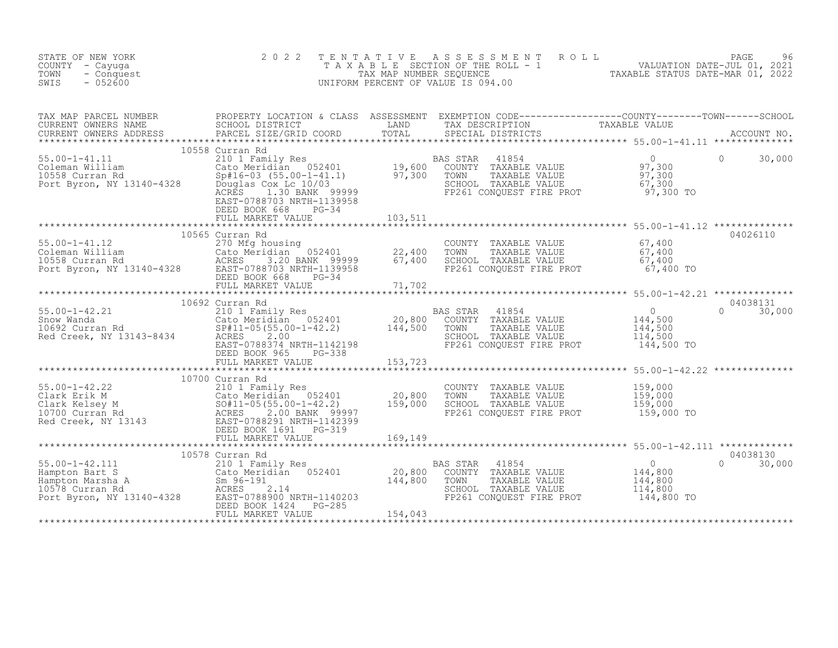| STATE OF NEW YORK<br>COUNTY - Cayuga<br>TOWN<br>- Conquest<br>SWIS<br>$-052600$                                                                                                                                                                          | 2 0 2 2                                                     |         | TENTATIVE ASSESSMENT ROLL PAGE 96<br>TAXABLE SECTION OF THE ROLL - 1 VALUATION DATE-JUL 01, 2021<br>TAX MAP NUMBER SEQUENCE TAXABLE STATUS DATE-MAR 01, 2022<br>UNIFORM PERCENT OF VALUE IS 094.00       |          |                    |
|----------------------------------------------------------------------------------------------------------------------------------------------------------------------------------------------------------------------------------------------------------|-------------------------------------------------------------|---------|----------------------------------------------------------------------------------------------------------------------------------------------------------------------------------------------------------|----------|--------------------|
| TAX MAP PARCEL NUMBER PROPERTY LOCATION & CLASS ASSESSMENT EXEMPTION CODE-----------------COUNTY--------TOWN------SCHOOL CURRENT OWNERS NAME SCHOOL DISTRICT LAND TAX DESCRIPTION TAXABLE VALUE<br>CURRENT OWNERS ADDRESS PARCEL                         |                                                             |         |                                                                                                                                                                                                          |          |                    |
| 10558 Curran Rd<br>210 1 Family Res<br>210 1 Family Res<br>210 1 Family Res<br>210 1 Family Res<br>210 1 Family Res<br>210 1 Family Res<br>210 1 Family Res<br>210 1 Family Res<br>210 1 Family Res<br>210 1 22401<br>29,600 COUNTY<br>29,500 COUNTY<br> | 10558 Curran Rd<br>DEED BOOK 668 PG-34<br>FULL MARKET VALUE | 103,511 | AS STAR 41854<br>COUNTY TAXABLE VALUE 97,300<br>TOWN TAXABLE VALUE 97,300<br>SCHOOL TAXABLE VALUE 67,300<br>FP261 CONQUEST FIRE PROT 97,300 TO                                                           | $\Omega$ | 30,000             |
| 10565 Curran Rd<br>270 Mg housing<br>22,400 TOWN TAXABLE VALUE 67,400<br>22,400 TOWN TAXABLE VALUE 67,400<br>22,400 TOWN TAXABLE VALUE 67,400<br>22,400 TOWN TAXABLE VALUE 67,400<br>22,400 TOWN TAXABLE VALUE 67,400<br>22,400 TOWN TAXABLE             | 10565 Curran Rd                                             |         |                                                                                                                                                                                                          |          | 04026110           |
|                                                                                                                                                                                                                                                          | 10692 Curran Rd                                             |         |                                                                                                                                                                                                          |          |                    |
|                                                                                                                                                                                                                                                          | 10700 Curran Rd                                             |         |                                                                                                                                                                                                          |          |                    |
|                                                                                                                                                                                                                                                          |                                                             |         | AS STAR 41854<br>COUNTY TAXABLE VALUE 144,800<br>TOWN TAXABLE VALUE 144,800<br>SCHOOL TAXABLE VALUE 144,800<br>FP261 CONOURST FURE BEOT 144,800<br>BAS STAR 41854<br>FP261 CONQUEST FIRE PROT 144,800 TO | $\Omega$ | 04038130<br>30,000 |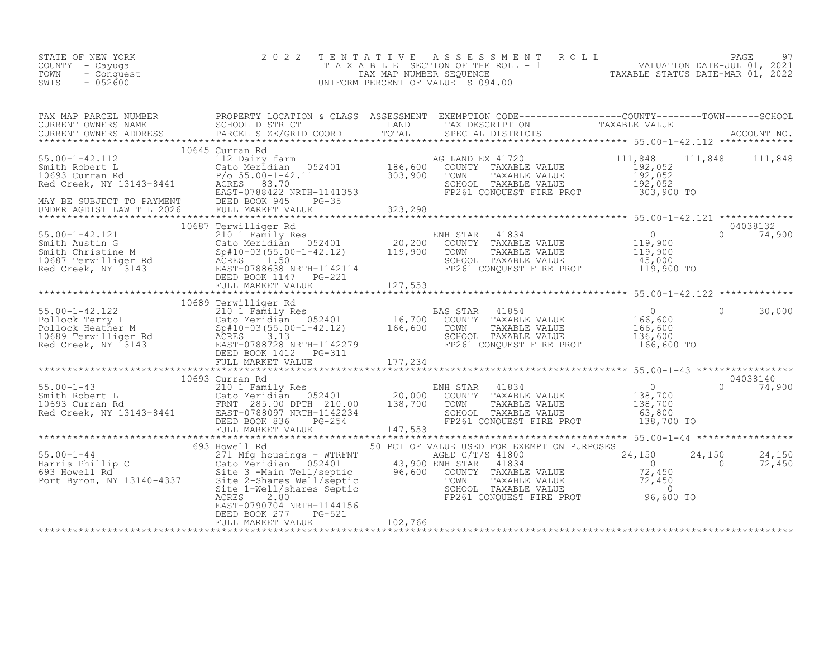| STATE OF NEW YORK<br>COUNTY - Cayuga<br>- Conquest<br>TOWN<br>$-052600$<br>SWIS | 2 0 2 2 | TENTATIVE ASSESSMENT ROLL PAGE 97<br>TAXABLE SECTION OF THE ROLL - 1 VALUATION DATE-JUL 01, 2021<br>TAX MAP NUMBER SEQUENCE TAXABLE STATUS DATE-MAR 01, 2022<br>UNIFORM PERCENT OF VALUE IS 094.00 |  |
|---------------------------------------------------------------------------------|---------|----------------------------------------------------------------------------------------------------------------------------------------------------------------------------------------------------|--|
|                                                                                 |         |                                                                                                                                                                                                    |  |
|                                                                                 |         |                                                                                                                                                                                                    |  |
|                                                                                 |         |                                                                                                                                                                                                    |  |
|                                                                                 |         |                                                                                                                                                                                                    |  |
|                                                                                 |         |                                                                                                                                                                                                    |  |
|                                                                                 |         |                                                                                                                                                                                                    |  |
|                                                                                 |         |                                                                                                                                                                                                    |  |
|                                                                                 |         |                                                                                                                                                                                                    |  |
|                                                                                 |         |                                                                                                                                                                                                    |  |
|                                                                                 |         |                                                                                                                                                                                                    |  |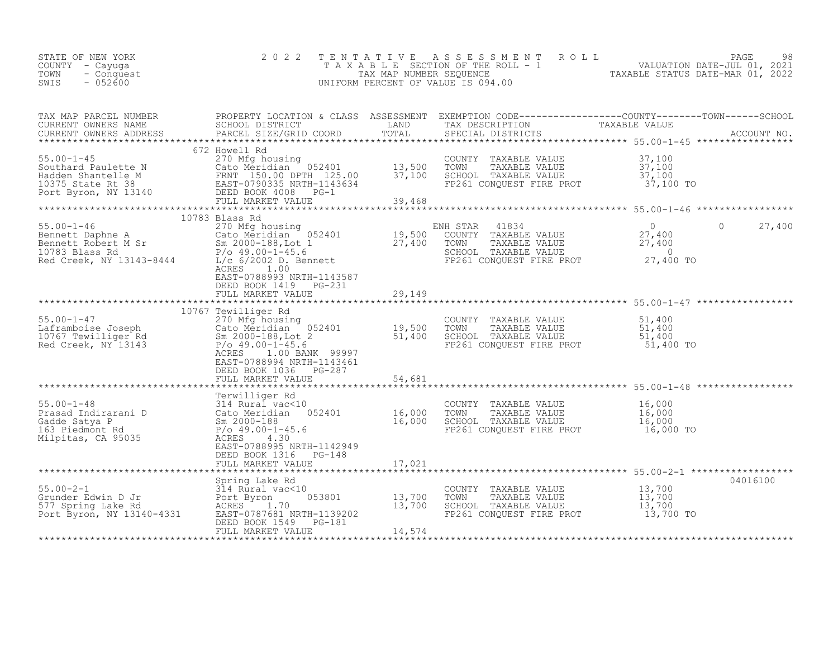| STATE OF NEW YORK<br>COUNTY - Cayuga<br>TOWN<br>- Conquest<br>$-052600$<br>SWIS | 2 0 2 2                                                                                                                                                                                                                                                                                                                                                            |        | TENTATIVE ASSESSMENT ROLL PAGE 98<br>TAXABLE SECTION OF THE ROLL - 1 VALUATION DATE-JUL 01, 2021<br>TAX MAP NUMBER SEQUENCE TAXABLE STATUS DATE-MAR 01, 2022<br>UNIFORM PERCENT OF VALUE IS 094.00 |         |          |
|---------------------------------------------------------------------------------|--------------------------------------------------------------------------------------------------------------------------------------------------------------------------------------------------------------------------------------------------------------------------------------------------------------------------------------------------------------------|--------|----------------------------------------------------------------------------------------------------------------------------------------------------------------------------------------------------|---------|----------|
|                                                                                 |                                                                                                                                                                                                                                                                                                                                                                    |        |                                                                                                                                                                                                    |         |          |
|                                                                                 | XERENT ONNERS ADDRESS<br>XAREAT ON THE STATE STATE STATE IN THE STATE OF THE STATE STATE OF A STATE OF MAKE TO ME AND THE STATE OF A SAMPLE VALUE<br>SOUCH THE STATE VALUE CALO METINIA (STATE 125.00 TOWN TAXABLE VALUE 37,100<br>S                                                                                                                               |        |                                                                                                                                                                                                    |         |          |
|                                                                                 | 10783 Blass Rd<br>10763 Bennett Daphne A<br>Bennett Daphne A<br>Bennett Robert M Sr<br>Bennett Robert M Sr<br>27,400<br>27,400<br>27,400<br>27,400<br>27,400<br>27,400<br>27,400<br>27,400<br>27,400<br>27,400<br>27,400<br>27,400<br>27,400<br>27,400<br>27,400<br>27,400<br>27,400<br>27<br>EAST-0788993 NRTH-1143587<br>DEED BOOK 1419 PG-231                   |        |                                                                                                                                                                                                    | $\circ$ | 27,400   |
|                                                                                 | FULL MARKET VALUE                                                                                                                                                                                                                                                                                                                                                  | 29,149 |                                                                                                                                                                                                    |         |          |
|                                                                                 | 10767 Tewilliger Rd<br>10767 Tewilliger Rd<br>10767 Tewilliger Rd<br>270 Mfg housing<br>270 Mfg housing<br>270 Mfg housing<br>052401<br>19,500<br>19,500<br>270 Aprober 10.1-45.6<br>270 -1-45.6<br>270 -1-45.6<br>270 -1-45.6<br>270 -1-45.6<br>270 -1-45.6<br>270 -1-45.6<br>2000<br>ACRES 1.00 BANK 99997<br>EAST-0788994 NRTH-1143461<br>DEED BOOK 1036 PG-287 |        | COUNTY TAXABLE VALUE 51,400<br>TOWN TAXABLE VALUE 51,400<br>SCHOOL TAXABLE VALUE 51,400<br>FP261 CONQUEST FIRE PROT 51,400 TO                                                                      |         |          |
|                                                                                 | FULL MARKET VALUE                                                                                                                                                                                                                                                                                                                                                  | 54,681 |                                                                                                                                                                                                    |         |          |
|                                                                                 | FULL MARKET VALUE                                                                                                                                                                                                                                                                                                                                                  |        | COUNTY TAXABLE VALUE $16,000$<br>TOWN TAXABLE VALUE $16,000$<br>SCHOOL TAXABLE VALUE $16,000$<br>FP261 CONQUEST FIRE PROT $16,000$ TO                                                              |         |          |
|                                                                                 |                                                                                                                                                                                                                                                                                                                                                                    | 17,021 |                                                                                                                                                                                                    |         |          |
|                                                                                 | 55.00-2-1<br>Grunder Edwin D Jr<br>577 Spring Lake Rd<br>Port Byron, NY 13140-4331<br>EAST-0787681 NRTH-1139202<br>FORED BOOK 1549 PG-181<br>PORT BYRON, NY 13140-4331<br>PORT BYRON DEED BOOK 1549 PG-181<br>FULL MARKET VALUE                                                                                                                                    | 14,574 | COUNTY TAXABLE VALUE 13,700<br>TOWN TAXABLE VALUE 13,700<br>SCHOOL TAXABLE VALUE 13,700<br>FP261 CONQUEST FIRE PROT 13,700 TO                                                                      |         | 04016100 |
|                                                                                 |                                                                                                                                                                                                                                                                                                                                                                    |        |                                                                                                                                                                                                    |         |          |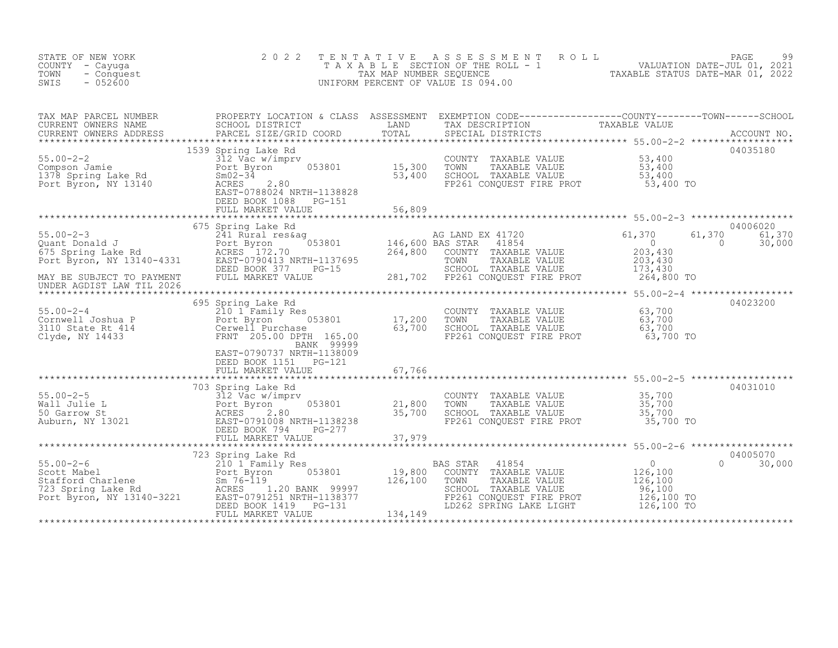| STATE OF NEW YORK<br>COUNTY - Cayuga<br>- Conquest<br>TOWN<br>SWIS<br>$-052600$                                                                                                                                     | 2 0 2 2                                                                                                                                         | T E N T A T I V E                 | ASSESSMENT<br>R O L L<br>T A X A B L E SECTION OF THE ROLL - 1<br>TAX MAP NUMBER SEQUENCE<br>INIFORM PERCENT OF VALUE IS 094.00<br>UNIFORM PERCENT OF VALUE IS 094.00                                                                                      |                                                                  | PAGE                                           |
|---------------------------------------------------------------------------------------------------------------------------------------------------------------------------------------------------------------------|-------------------------------------------------------------------------------------------------------------------------------------------------|-----------------------------------|------------------------------------------------------------------------------------------------------------------------------------------------------------------------------------------------------------------------------------------------------------|------------------------------------------------------------------|------------------------------------------------|
| TAX MAP PARCEL NUMBER<br>CURRENT OWNERS NAME<br>CURRENT OWNERS ADDRESS                                                                                                                                              |                                                                                                                                                 | TOTAL                             | SPECIAL DISTRICTS                                                                                                                                                                                                                                          | .uru<br>******************* 55.00-2-2 *******************        | ACCOUNT NO.                                    |
| $55.00 - 2 - 2$<br>55.00-2-2<br>Compson Jamie<br>1378 Spring Lake Rd<br>Port Byron, NY 13140                                                                                                                        | 1539 Spring Lake Rd<br>312 Vac w/imprv<br>Port Byron<br>$ACRES$ 2.80<br>EAST-0788024 NRTH-1138828<br>DEED BOOK 1088 PG-151<br>FULL MARKET VALUE | 053801 15,300<br>53,400<br>56,809 | COUNTY TAXABLE VALUE 53,400<br>TOWN TAXABLE VALUE 53,400<br>SCHOOL TAXABLE VALUE 53,400<br>FP261 CONQUEST FIRE PROT 53,400 TO                                                                                                                              |                                                                  | 04035180                                       |
|                                                                                                                                                                                                                     |                                                                                                                                                 |                                   |                                                                                                                                                                                                                                                            |                                                                  |                                                |
| $55.00 - 2 - 3$                                                                                                                                                                                                     | 675 Spring Lake Rd<br>Spring Lake Rd<br>241 Rural res&ag<br>Port Byron 053801 146,600 BAS STAR<br>ACRES 172.70 264,800 COUNTY                   |                                   | AG LAND EX 41720<br>Port Byron 053801 146,600 BAS STAR 41854 0<br>RCRES 172.70 264,800 COUNTY TAXABLE VALUE 203,430<br>EAST-0790413 NRTH-1137695 70MN TAXABLE VALUE 203,430<br>DEED BOOK 377 PG-15 281,702 FP261 CONQUEST FIRE PROT 264,800 TO<br>FULL MAR | 61,370<br>61,370                                                 | 04006020<br>61,370<br>$\overline{0}$<br>30,000 |
| MAY BE SUBJECT TO PAYMENT<br>UNDER AGDIST LAW TIL 2026                                                                                                                                                              |                                                                                                                                                 |                                   |                                                                                                                                                                                                                                                            |                                                                  |                                                |
|                                                                                                                                                                                                                     | 695 Spring Lake Rd                                                                                                                              |                                   |                                                                                                                                                                                                                                                            |                                                                  | 04023200                                       |
| Cornwell Joshua P<br>Cornwell Joshua P<br>3110 State Rt 414<br>Clyde, NY 14433<br>Clyde, NY 14433<br>Clyde, NY 14433<br>Clyde, NY 14433<br>Clyde, NY 14433<br>Clyde, NY 14433<br>Clyde, NY 14433<br>Clyde, NY 14433 |                                                                                                                                                 | 17,200<br>63,700                  | COUNTY TAXABLE VALUE<br>TOWN TAXABLE VALUE 63,700<br>SCHOOL TAXABLE VALUE 63,700<br>FP261 CONQUEST FIRE PROT 63,700 TO                                                                                                                                     | 63,700                                                           |                                                |
|                                                                                                                                                                                                                     | EAST-0790737 NRTH-1138009<br>DEED BOOK 1151 PG-121<br>FULL MARKET VALUE                                                                         | 67,766                            | ******************************** 55.00-2-5 ******************                                                                                                                                                                                              |                                                                  |                                                |
|                                                                                                                                                                                                                     | 703 Spring Lake Rd                                                                                                                              |                                   |                                                                                                                                                                                                                                                            |                                                                  | 04031010                                       |
| 55.00-2-5<br>Wall Julie L 312 Vac w/imprv<br>Mall Julie L 21,800<br>Fort Byron 053801<br>21,800<br>AcRES 2.80<br>Auburn, NY 13021<br>BEED BOOK 794 PG-277                                                           |                                                                                                                                                 |                                   | COUNTY TAXABLE VALUE<br>SCHOOL TAXABLE VALUE<br>FP261 CONQUEST FIRE PROT 35,700 TO                                                                                                                                                                         | 35,700<br>35,700<br>35,700                                       |                                                |
|                                                                                                                                                                                                                     |                                                                                                                                                 |                                   |                                                                                                                                                                                                                                                            |                                                                  |                                                |
| 55.00-2-6<br>Scott Mabel<br>Stafford Charlene<br>723 Spring Lake Rd<br>Port Byron, NY 13140-3221<br>Port Byron, NY 13140-3221<br>BEED BOOK 1419<br>PG-131<br>PG-131                                                 | ***************<br>} Rd<br>ly Res 053801<br>723 Spring Lake Rd<br>FULL MARKET VALUE                                                             | 19,800<br>126,100<br>134,149      | BAS STAR<br>41854<br>COUNTY TAXABLE VALUE<br>TAXABLE VALUE<br>TOWN<br>SCHOOL TAXABLE VALUE<br>FRIGI CONQUEST FIRE PROT 126,100 TO<br>LD262 SPRING LAKE LIGHT 126,100 TO                                                                                    | $\begin{array}{c} 0 \\ 126,100 \\ 126,100 \end{array}$<br>96,100 | 04005070<br>$\Omega$<br>30,000                 |
|                                                                                                                                                                                                                     |                                                                                                                                                 |                                   |                                                                                                                                                                                                                                                            |                                                                  |                                                |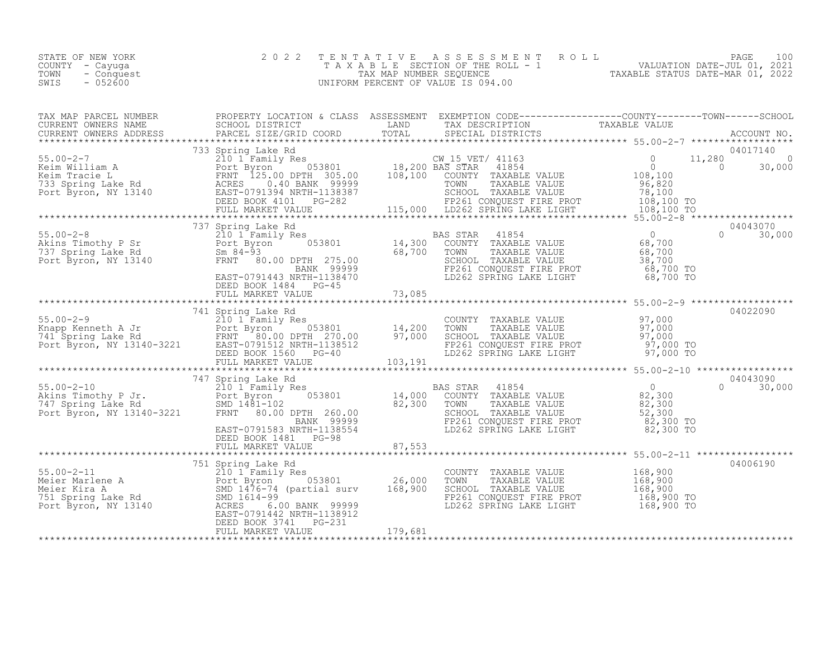| STATE OF NEW YORK<br>COUNTY – Cayuga<br>TOWN<br>- Conquest<br>$-052600$<br>SWIS |  | 2022 TENTATIVE ASSESSMENT ROLL<br>T A X A B L E SECTION OF THE ROLL - 1<br>TAX MAP NUMBER SEOUENCE<br>UNIFORM PERCENT OF VALUE IS 094.00 |  | TAXABLE STATUS DATE-MAR 01, 2022 | PAGE<br>VALUATION DATE-JUL 01, 2021 | 100 |
|---------------------------------------------------------------------------------|--|------------------------------------------------------------------------------------------------------------------------------------------|--|----------------------------------|-------------------------------------|-----|
|---------------------------------------------------------------------------------|--|------------------------------------------------------------------------------------------------------------------------------------------|--|----------------------------------|-------------------------------------|-----|

|  | $\begin{tabular}{c c c c c} \multicolumn{3}{c c c c} \multicolumn{3}{c c c} \multicolumn{3}{c c c} \multicolumn{3}{c c c} \multicolumn{3}{c c c} \multicolumn{3}{c c c} \multicolumn{3}{c c c} \multicolumn{3}{c c c} \multicolumn{3}{c c c} \multicolumn{3}{c c c} \multicolumn{3}{c c c} \multicolumn{3}{c c c} \multicolumn{3}{c c c} \multicolumn{3}{c c c} \multicolumn{3}{c c c} \multicolumn{3}{$ | 04006190 |
|--|----------------------------------------------------------------------------------------------------------------------------------------------------------------------------------------------------------------------------------------------------------------------------------------------------------------------------------------------------------------------------------------------------------|----------|
|  |                                                                                                                                                                                                                                                                                                                                                                                                          |          |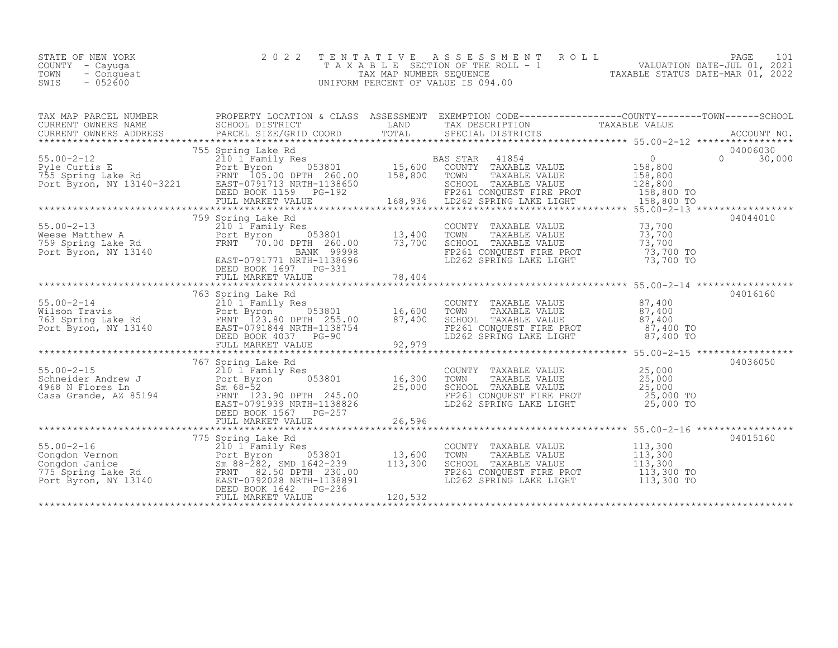|      | STATE OF NEW YORK | 2022 TENTATIVE ASSESSMENT ROLL     |                                  | PAGE |  |
|------|-------------------|------------------------------------|----------------------------------|------|--|
|      | COUNTY – Cayuga   | TAXABLE SECTION OF THE ROLL - 1    | VALUATION DATE-JUL 01, 2021      |      |  |
| TOWN | - Conquest        | TAX MAP NUMBER SEOUENCE            | TAXABLE STATUS DATE-MAR 01, 2022 |      |  |
| SWIS | $-052600$         | UNIFORM PERCENT OF VALUE IS 094.00 |                                  |      |  |
|      |                   |                                    |                                  |      |  |

| TAX MAP PARCEL NUMBER | PROPERTY LOCATION & CLASS ASSESSMENT EXEMPTION CODE----------------COUNTY-------TOWN------SCHOOL                                                                                                                                                                                                  |                                                                                                                                                                                        |          |
|-----------------------|---------------------------------------------------------------------------------------------------------------------------------------------------------------------------------------------------------------------------------------------------------------------------------------------------|----------------------------------------------------------------------------------------------------------------------------------------------------------------------------------------|----------|
|                       |                                                                                                                                                                                                                                                                                                   |                                                                                                                                                                                        |          |
|                       |                                                                                                                                                                                                                                                                                                   |                                                                                                                                                                                        |          |
|                       | 759 Spring Lake Rd                                                                                                                                                                                                                                                                                |                                                                                                                                                                                        | 04044010 |
|                       | 763 Spring Lake Rd                                                                                                                                                                                                                                                                                |                                                                                                                                                                                        | 04016160 |
|                       |                                                                                                                                                                                                                                                                                                   |                                                                                                                                                                                        |          |
|                       |                                                                                                                                                                                                                                                                                                   |                                                                                                                                                                                        |          |
|                       | 767 Spring Lake Rd<br>35.00-2-15<br>310 1 Family Res<br>310 1 Family Res<br>310 1 Family Res<br>310 1 Family Res<br>316,300 TOWN TAXABLE VALUE<br>35,000 EXABLE VALUE<br>35,000 25,000<br>35,000 SCHOOL TAXABLE VALUE<br>35,000 25,000<br>35,000 25,000 25,000 25,000 EX<br>DEED BOOK 1567 PG-257 |                                                                                                                                                                                        | 04036050 |
|                       |                                                                                                                                                                                                                                                                                                   |                                                                                                                                                                                        |          |
|                       | 55.00-2-16<br>Congdon Vernon<br>Congon Vernon<br>Congaring Lake Rd<br>210 1 Family Res<br>Port Byron, NY 13140<br>Port Byron, NY 13140<br>EED BOOK 1642 PG-236<br>TANT 82.50 DPTH 230.00<br>PORTH-1138891<br>DEED BOOK 1642 PG-236<br>TULL MARKET VA                                              | COUNTY TAXABLE VALUE 113,300<br>13,600 TOWN TAXABLE VALUE 113,300<br>113,300 SCHOOL TAXABLE VALUE 113,300<br>FP261 CONQUEST FIRE PROT 113,300 TO<br>LD262 SPRING LAKE LIGHT 113,300 TO | 04015160 |
|                       |                                                                                                                                                                                                                                                                                                   |                                                                                                                                                                                        |          |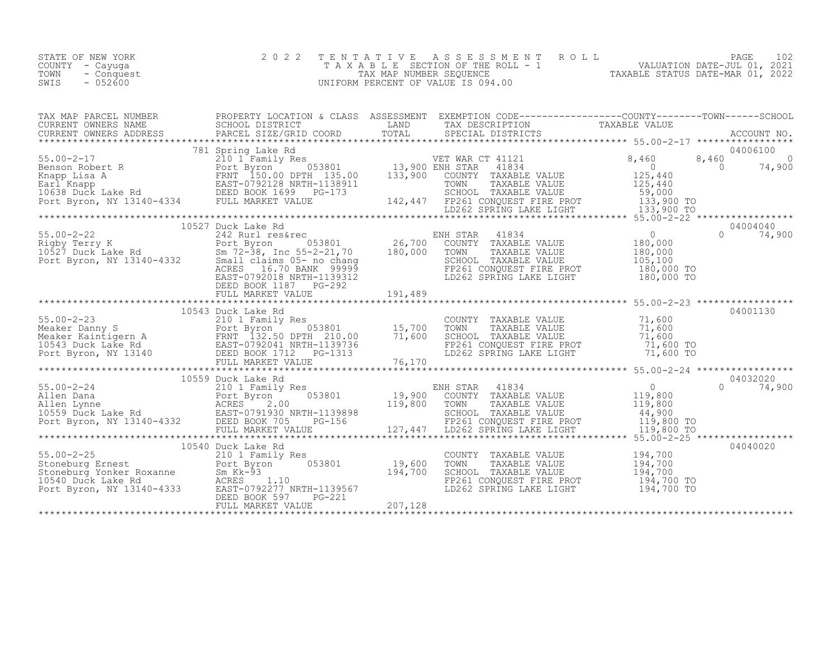| STATE OF NEW YORK<br>COUNTY - Cayuqa<br>TOWN<br>- Conquest<br>$-052600$<br>SWIS |  | 2022 TENTATIVE ASSESSMENT ROLL<br>TAXABLE SECTION OF THE ROLL - 1<br>TAX MAP NUMBER SEOUENCE<br>UNIFORM PERCENT OF VALUE IS 094.00 | VALUATION DATE-JUL 01, 2021<br>TAXABLE STATUS DATE-MAR 01, 2022 | PAGE |  |
|---------------------------------------------------------------------------------|--|------------------------------------------------------------------------------------------------------------------------------------|-----------------------------------------------------------------|------|--|
| TAX MAP PARCEL NUMBER                                                           |  | PROPERTY LOCATION & CLASS ASSESSMENT EXEMPTION CODE---------------COUNTY-------TOWN------SCHOOL                                    |                                                                 |      |  |

|                                                                                                                                                                                                                                                                                                                                                                                                                                                                                    | FULL MARKET VALUE                                                                                  | 207,128 |                                                                                                                                                                                                                                                                                                                                                                                                                                                                                                                                                                                                                                                                                    |                                             |                                                           |
|------------------------------------------------------------------------------------------------------------------------------------------------------------------------------------------------------------------------------------------------------------------------------------------------------------------------------------------------------------------------------------------------------------------------------------------------------------------------------------|----------------------------------------------------------------------------------------------------|---------|------------------------------------------------------------------------------------------------------------------------------------------------------------------------------------------------------------------------------------------------------------------------------------------------------------------------------------------------------------------------------------------------------------------------------------------------------------------------------------------------------------------------------------------------------------------------------------------------------------------------------------------------------------------------------------|---------------------------------------------|-----------------------------------------------------------|
| 55.00-2-25<br>Stoneburg Ernest<br>Stoneburg Yonker Roxanne<br>10540 Duck Lake Rd<br>Port Byron, NY 13140-4333<br>Port Byron, NY 13140-4333<br>DEED BOOK 597 NRTH-1139567<br>DEED BOOK 597<br>Port Byron, NY 13140-4333<br>DEED BOOK 597<br>Port Fi                                                                                                                                                                                                                                 | 10540 Duck Lake Rd<br>$\begin{array}{r} 0.53801 \ 0.53801 \ 1.94700 \ \end{array}$                 |         | COUNTY TAXABLE VALUE<br>TOWN<br>TAXABLE VALUE<br>SCHOOL TAXABLE VALUE<br>FP261 CONQUEST FIRE PROT 194,700 TO<br>LD262 SPRING LAKE LIGHT                                                                                                                                                                                                                                                                                                                                                                                                                                                                                                                                            | 194,700<br>194,700<br>194,700<br>194,700 TO | 04040020                                                  |
|                                                                                                                                                                                                                                                                                                                                                                                                                                                                                    |                                                                                                    |         |                                                                                                                                                                                                                                                                                                                                                                                                                                                                                                                                                                                                                                                                                    |                                             |                                                           |
| 55.00-2-24<br>Allen Dana<br>Allen Lynne<br>10559 Duck Lake Rd<br>Port Byron, NY 13140-4332<br>Port Byron, NY 13140-4332<br>Port Byron, NY 13140-4332<br>Port Byron, NY 13140-4332<br>Port Byron, NY 13140-4332<br>Port MARKET VALUE<br>Allen Dana (2008)<br>Allen Lynne (2008)<br>Allen Lynne (2008)<br>Allen Lynne (2009)<br>Allen Lynne (2009)<br>EAST-0791930 NRTH-1139898 (2000 SCHOOL TAXABLE VALUE 44,900<br>Port Byron, NY 13140-4332 DEED BOOK 705 PG-156 (27,447 LD262 SP | s<br>053801 19,900 EN                                                                              |         |                                                                                                                                                                                                                                                                                                                                                                                                                                                                                                                                                                                                                                                                                    |                                             |                                                           |
|                                                                                                                                                                                                                                                                                                                                                                                                                                                                                    | 10559 Duck Lake Rd                                                                                 |         | ENH STAR 41834                                                                                                                                                                                                                                                                                                                                                                                                                                                                                                                                                                                                                                                                     |                                             | 04032020<br>$\Omega$<br>74,900                            |
|                                                                                                                                                                                                                                                                                                                                                                                                                                                                                    |                                                                                                    |         |                                                                                                                                                                                                                                                                                                                                                                                                                                                                                                                                                                                                                                                                                    |                                             |                                                           |
| 55.00-2-23<br>Meaker Danny S<br>Meaker Kaintigern A<br>15,700<br>15,700<br>Meaker Kaintigern A<br>1600<br>1600<br>171,600<br>171,600<br>171,600<br>EED BOOK 1712<br>PG-1313<br>FULL MARKET VALUE<br>TULL MARKET VALUE<br>176,170<br>PG-1313<br>FULL MARKET VALUE                                                                                                                                                                                                                   | 10543 Duck Lake Rd                                                                                 |         | COUNTY TAXABLE VALUE 71,600<br>TOWN TAXABLE VALUE 71,600<br>SCHOOL TAXABLE VALUE<br>FP261 CONQUEST FIRE PROT<br>LD262 SPRING LAKE LIGHT 71,600 TO                                                                                                                                                                                                                                                                                                                                                                                                                                                                                                                                  | 71,600                                      | 04001130                                                  |
|                                                                                                                                                                                                                                                                                                                                                                                                                                                                                    |                                                                                                    |         |                                                                                                                                                                                                                                                                                                                                                                                                                                                                                                                                                                                                                                                                                    |                                             |                                                           |
| 1006 10062 10062 10062 10062 10062 10062 10062 10062 10062 10063801<br>Rigby Terry K 10527 Duck Lake Rd 26,700 26,700 COUNTY TAXABLE VALUE<br>26,700 COUNTY TAXABLE VALUE<br>26,700 COUNTY TAXABLE VALUE<br>26,700 COUNTY TAXABLE VALU                                                                                                                                                                                                                                             | 10527 Duck Lake Rd<br>ACRES 16.70 BANK 99999<br>EAST-0792018 NRTH-1139312<br>DEED BOOK 1187 PG-292 |         | $\begin{array}{l} \mathcal{L} \setminus \mathcal{L} \subset \mathcal{L} \subset \mathcal{L} \subset \mathcal{L} \subset \mathcal{L} \subset \mathcal{L} \subset \mathcal{L} \subset \mathcal{L} \subset \mathcal{L} \subset \mathcal{L} \subset \mathcal{L} \subset \mathcal{L} \subset \mathcal{L} \subset \mathcal{L} \subset \mathcal{L} \subset \mathcal{L} \subset \mathcal{L} \subset \mathcal{L} \subset \mathcal{L} \subset \mathcal{L} \subset \mathcal{L} \subset \mathcal{L} \subset \mathcal{L} \subset \mathcal{L} \subset \mathcal{L} \subset \mathcal$<br>SCHOOL TAXABLE VALUE 105,100<br>FP261 CONQUEST FIRE PROT 180,000 TO<br>LD262 SPRING LAKE LIGHT 180,000 TO | $\overline{0}$<br>180,000<br>180,000        | 04004040<br>$\Omega$<br>74,900                            |
| Earl Knapp EAST-0792128 NRTH-1138911 TOWN TAXABLE VALUE 125,440<br>10638 Duck Lake Rd DEED BOOK 1699 PG-173 SCHOOL TAXABLE VALUE 59,000<br>Port Byron, NY 13140-4334 FULL MARKET VALUE 142,447 FP261 CONQUEST FIRE PROT 133,900 TO<br>*                                                                                                                                                                                                                                            |                                                                                                    |         | COUNTY TAXABLE VALUE                                                                                                                                                                                                                                                                                                                                                                                                                                                                                                                                                                                                                                                               | 125,440                                     |                                                           |
|                                                                                                                                                                                                                                                                                                                                                                                                                                                                                    |                                                                                                    |         |                                                                                                                                                                                                                                                                                                                                                                                                                                                                                                                                                                                                                                                                                    | 8,460<br>$\overline{0}$                     | 04006100<br>8,460<br>$\overline{0}$<br>74,900<br>$\Omega$ |
| CURRENT OWNERS NAME<br>CURRENT OWNERS ADDRESS                                                                                                                                                                                                                                                                                                                                                                                                                                      | SCHOOL DISTRICT<br>PARCEL SIZE/GRID COORD                                                          | LAND    | TAX DESCRIPTION                                                                                                                                                                                                                                                                                                                                                                                                                                                                                                                                                                                                                                                                    | TAXABLE VALUE                               |                                                           |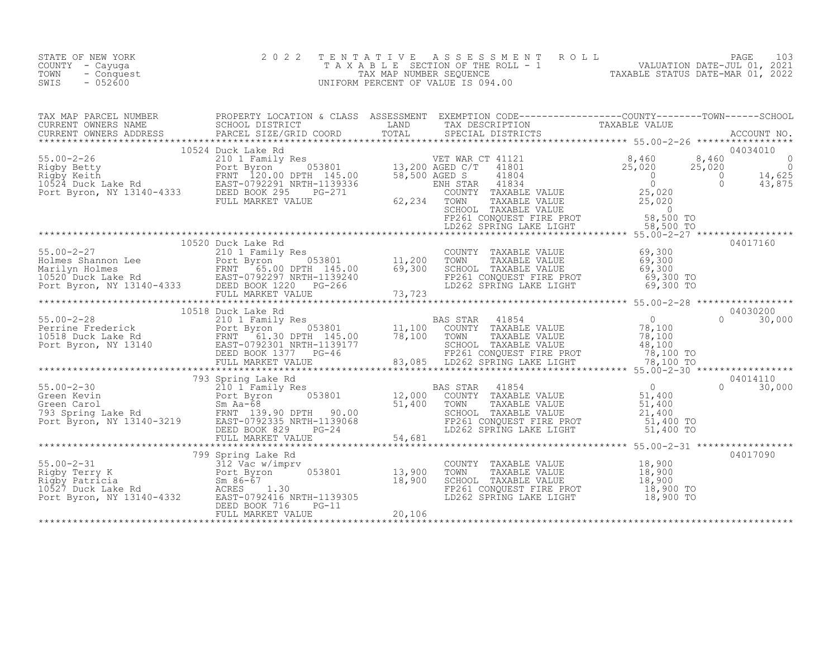| STATE OF NEW YORK<br>COUNTY - Cayuqa<br>- Conquest<br>TOWN<br>SWIS<br>$-052600$ | 2 0 2 2<br>T E N T A T I V E | TENTATIVE ASSESSMENT ROLL UNIVALUATION DATE-JUL 01, 2021<br>TAXABLE SECTION OF THE ROLL - 1<br>TAX MAP NUMBER SEQUENCE TAXABLE STATUS DATE-MAR 01, 2022<br>INIFORM PERCENT OF VALUE IS 094.00<br>UNIFORM PERCENT OF VALUE IS 094.00 |          |
|---------------------------------------------------------------------------------|------------------------------|-------------------------------------------------------------------------------------------------------------------------------------------------------------------------------------------------------------------------------------|----------|
|                                                                                 |                              |                                                                                                                                                                                                                                     |          |
|                                                                                 |                              |                                                                                                                                                                                                                                     |          |
|                                                                                 | 10520 Duck Lake Rd           |                                                                                                                                                                                                                                     | 04017160 |
|                                                                                 |                              |                                                                                                                                                                                                                                     |          |
|                                                                                 |                              |                                                                                                                                                                                                                                     |          |
|                                                                                 |                              | COUNTY TAXABLE VALUE 18,900<br>TOWN TAXABLE VALUE 18,900<br>SCHOOL TAXABLE VALUE 18,900<br>SP261 CONCUEST FIRE PROF<br>FP261 CONQUEST FIRE PROT 18,900 TO<br>LD262 SPRING LAKE LIGHT 18,900 TO                                      | 04017090 |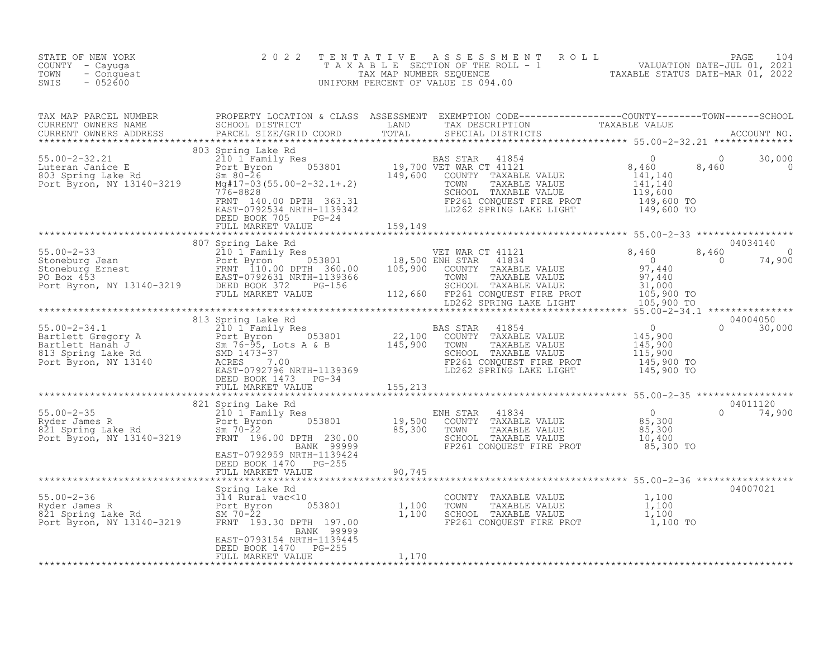| STATE OF NEW YORK<br>COUNTY - Cayuga<br>TOWN<br>- Conquest<br>$-052600$<br>SWIS                                                                                                                                                                                                                                                                                                                             | 2 0 2 2                                    |       | TENTATIVE ASSESSMENT ROLL PALUATION DATE-JUL 01, 2021<br>TAXABLE SECTION OF THE ROLL - 1 VALUATION DATE-JUL 01, 2021<br>UNIFORM PERCENT OF VALUE IS 094.00<br>UNIFORM PERCENT OF VALUE IS 094.00 |          |
|-------------------------------------------------------------------------------------------------------------------------------------------------------------------------------------------------------------------------------------------------------------------------------------------------------------------------------------------------------------------------------------------------------------|--------------------------------------------|-------|--------------------------------------------------------------------------------------------------------------------------------------------------------------------------------------------------|----------|
| TAX MAP PARCEL NUMBER BROPERTY LOCATION & CLASS ASSESSMENT EXEMPTION CODE-----------------COUNTY--------TOWN-----SCHOOL CURRENT OWNERS NAME SCHOOL DISTRICT LAND TAX DESCRIPTION TAXABLE VALUE<br>CURRENT OWNERS ADDRESS PARCEL S                                                                                                                                                                           |                                            |       |                                                                                                                                                                                                  |          |
| $\begin{tabular}{lllllllllll} \texttt{303 Spriq} & \texttt{803 Spriq} & \texttt{BAS STR} & 41854 & 0 & 30,000 \\ \texttt{50.00-2-32.21} & \texttt{803 Spriq} & \texttt{BAS STR} & 41854 & 0 & 30,000 \\ \texttt{103 Spriq} & \texttt{Take Rd} & \texttt{Some} & \texttt{Some} & \texttt{Some} & \texttt{Some} & \texttt{Some} \\ \texttt{210 1 Family Res} & \texttt{NewRCT 41121} & \texttt{140} & 0 & 30$ |                                            |       |                                                                                                                                                                                                  |          |
|                                                                                                                                                                                                                                                                                                                                                                                                             |                                            |       |                                                                                                                                                                                                  |          |
|                                                                                                                                                                                                                                                                                                                                                                                                             |                                            |       |                                                                                                                                                                                                  |          |
|                                                                                                                                                                                                                                                                                                                                                                                                             |                                            |       |                                                                                                                                                                                                  |          |
|                                                                                                                                                                                                                                                                                                                                                                                                             |                                            |       |                                                                                                                                                                                                  |          |
|                                                                                                                                                                                                                                                                                                                                                                                                             |                                            |       |                                                                                                                                                                                                  |          |
|                                                                                                                                                                                                                                                                                                                                                                                                             |                                            |       |                                                                                                                                                                                                  |          |
|                                                                                                                                                                                                                                                                                                                                                                                                             |                                            |       |                                                                                                                                                                                                  |          |
|                                                                                                                                                                                                                                                                                                                                                                                                             | BANK 99999<br>EAST-0793154 NRTH-1139445    |       |                                                                                                                                                                                                  | 04007021 |
|                                                                                                                                                                                                                                                                                                                                                                                                             | DEED BOOK 1470 PG-255<br>FULL MARKET VALUE | 1,170 |                                                                                                                                                                                                  |          |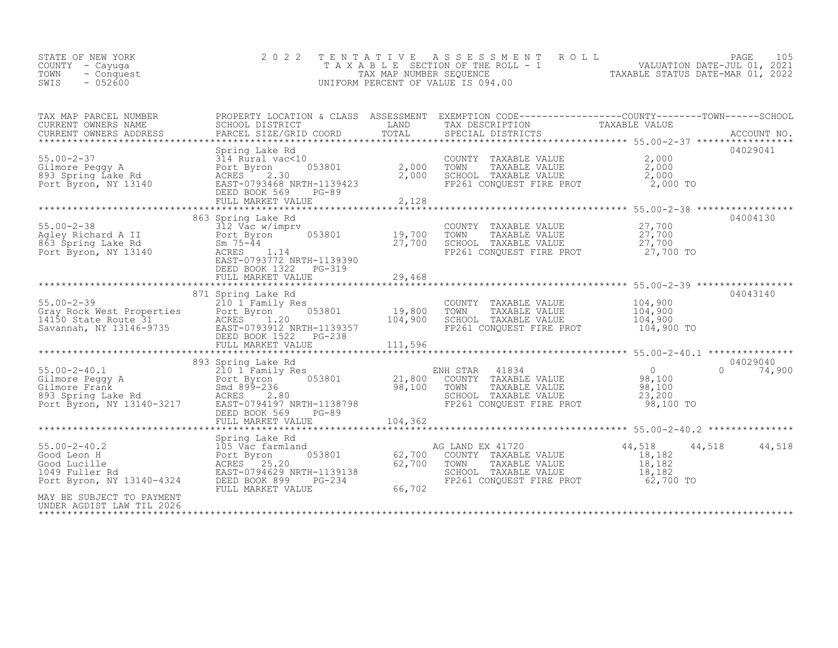| STATE OF NEW YORK<br>COUNTY – Cayuqa<br>TOWN<br>- Conquest<br>$-052600$<br>SWIS | 2022 TENTATIVE ASSESSMENT ROLL<br>T A X A B L E SECTION OF THE ROLL - 1<br>TAX MAP NUMBER SEOUENCE<br>UNIFORM PERCENT OF VALUE IS 094.00 | PAGE 105<br>VALUATION DATE-JUL 01, 2021<br>TAXABLE STATUS DATE-MAR 01, 2022 |
|---------------------------------------------------------------------------------|------------------------------------------------------------------------------------------------------------------------------------------|-----------------------------------------------------------------------------|
|---------------------------------------------------------------------------------|------------------------------------------------------------------------------------------------------------------------------------------|-----------------------------------------------------------------------------|

| TAX MAP PARCEL NUMBER                                                        |                                                                                                                                                                                                                                                                                                                                                                                                                                                                       |        | TAX DESCRIPTION                                                                                                                                                                | PROPERTY LOCATION & CLASS ASSESSMENT EXEMPTION CODE----------------COUNTY-------TOWN-----SCHOOL |  |
|------------------------------------------------------------------------------|-----------------------------------------------------------------------------------------------------------------------------------------------------------------------------------------------------------------------------------------------------------------------------------------------------------------------------------------------------------------------------------------------------------------------------------------------------------------------|--------|--------------------------------------------------------------------------------------------------------------------------------------------------------------------------------|-------------------------------------------------------------------------------------------------|--|
|                                                                              | Spring Lake Rd<br>Spring Lake Rd<br>Spring Lake Rd<br>314 Rural vac<10<br>314 Rural vac<10<br>893 Spring Lake Rd<br>893 Spring Lake Rd<br>893 Spring Lake Rd<br>802 RCRES<br>82.30<br>802 BAST-0793468 NRTH-1139423<br>81.000<br>82,000<br>82,000<br>82,000<br>82,000<br>82,00                                                                                                                                                                                        |        | COUNTY TAXABLE VALUE $2,000$<br>TOWN TAXABLE VALUE $2,000$<br>SCHOOL TAXABLE VALUE $2,000$<br>FP261 CONQUEST FIRE PROT $2,000$ TO                                              | 04029041                                                                                        |  |
|                                                                              | 863 Spring Lake Rd<br>55.00-2-38<br>Agley Richard A II Port Byron 053801 19,700<br>863 Spring Lake Rd Sm 75-44 27,700<br>Port Byron, NY 13140 ACRES 1.14 27,700<br>EAST-0793772 NRTH-1139390<br>DEED BOOK 1322 PG-319                                                                                                                                                                                                                                                 |        | COUNTY TAXABLE VALUE $27,700$<br>TOWN TAXABLE VALUE $27,700$<br>SCHOOL TAXABLE VALUE $27,700$<br>FP261 CONQUEST FIRE PROT 27,700 TO                                            | 04004130                                                                                        |  |
|                                                                              | 871 Spring Lake Rd<br>$\begin{array}{lllllllllllll} \text{55.00--2-39} & \text{871 Spring Lake Rd} & \text{COUNTY TAXABLE VALUE} & \text{104,900} & \text{04043140} \\ & & 210\text{ I Family Res} & & \text{COUNTY TAXABLE VALUE} & \text{104,900} & \text{04043140} \\ \text{Gray Rock West Properties} & \text{Boret } 104 & 900 & \text{19,800} & \text{TOWN} & \text{TXABLE VALUE} & \text{104,900} \\ \text{14150 State Route 31} & \text{ACRES} & \text{1.20}$ |        |                                                                                                                                                                                | 04043140                                                                                        |  |
|                                                                              | 893 Spring Lake Rd<br>55.00-2-40.1 893 Spring Lake Rd<br>Gilmore Peggy A 210 1 Family Res<br>Gilmore Frank Smd 899-236 98,100 70WN TAXABLE VALUE 98,100<br>893 Spring Lake Rd<br>Rort Byron, NY 13140-3217 EAST-0794197 NRTH-1138798 Port Byron, NY 13140-32                                                                                                                                                                                                          |        |                                                                                                                                                                                | 04029040<br>$0 \t 74,900$                                                                       |  |
| $55.00 - 2 - 40.2$<br>MAY BE SUBJECT TO PAYMENT<br>UNDER AGDIST LAW TIL 2026 | Spring Lake Rd<br>spring Lake Rd<br>105 Vac farmland<br>Cood Leon H<br>Good Lucille<br>1049 Fuller Rd<br>Port Byron BCRES<br>25.20<br>1049 Fuller Rd<br>Port Byron, NY 13140-4324<br>DEED BOOK 899 PG-234<br>FULL MARKET VALUE                                                                                                                                                                                                                                        | 66,702 | d<br>053801 62,700 COUNTY TAXABLE VALUE 18,182<br>62,700 TOWN TAXABLE VALUE 18,182<br>TH-1139138 62,700 TOWN TAXABLE VALUE 18,182<br>PG-234 FP261 CONQUEST FIRE PROT 62,700 TO | 44,518 44,518                                                                                   |  |

\*\*\*\*\*\*\*\*\*\*\*\*\*\*\*\*\*\*\*\*\*\*\*\*\*\*\*\*\*\*\*\*\*\*\*\*\*\*\*\*\*\*\*\*\*\*\*\*\*\*\*\*\*\*\*\*\*\*\*\*\*\*\*\*\*\*\*\*\*\*\*\*\*\*\*\*\*\*\*\*\*\*\*\*\*\*\*\*\*\*\*\*\*\*\*\*\*\*\*\*\*\*\*\*\*\*\*\*\*\*\*\*\*\*\*\*\*\*\*\*\*\*\*\*\*\*\*\*\*\*\*\*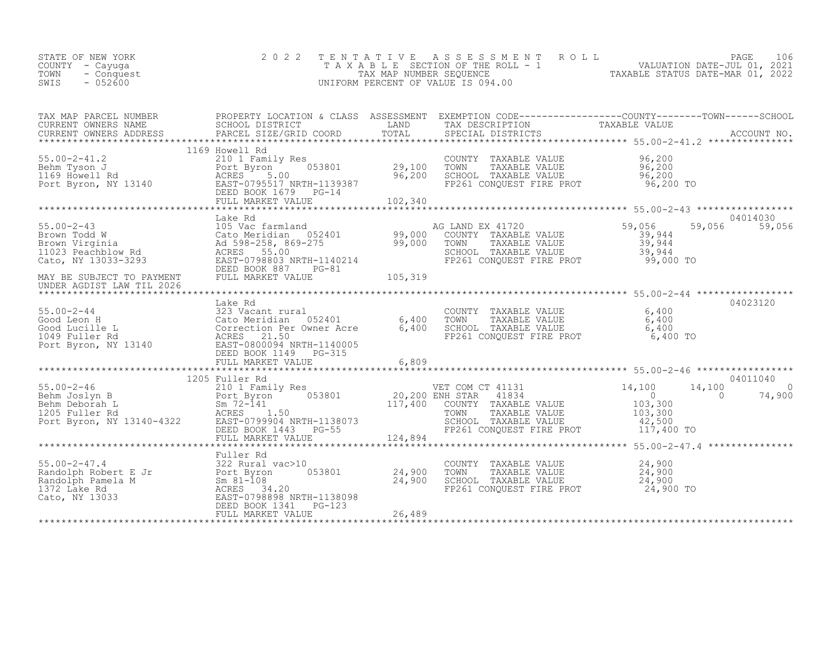| STATE OF NEW YORK<br>COUNTY - Cayuga<br>- Conquest<br>TOWN<br>$-052600$<br>SWIS                                                                                                                                                                        | 2 0 2 2                                 | TENTATIVE ASSESSMENT ROLL PACE 106<br>TAXABLE SECTION OF THE ROLL - 1 VALUATION DATE-JUL 01, 2021<br>TAX MAP NUMBER SEQUENCE TAXABLE STATUS DATE-MAR 01, 2022<br>UNIFORM PERCENT OF VALUE IS 094.00 |                                      |          |
|--------------------------------------------------------------------------------------------------------------------------------------------------------------------------------------------------------------------------------------------------------|-----------------------------------------|-----------------------------------------------------------------------------------------------------------------------------------------------------------------------------------------------------|--------------------------------------|----------|
| TAX MAP PARCEL NUMBER PROPERTY LOCATION & CLASS ASSESSMENT EXEMPTION CODE--------------------COUNTY---------TOWN------SCHOOL<br>CURRENT OWNERS NAME SCHOOL DISTRICT LAND TAX DESCRIPTION<br>CURRENT OWNERS ADDRESS PARCEL SIZE/GRID                    |                                         |                                                                                                                                                                                                     |                                      |          |
| 55.00-2-41.2<br>Behm Tyson J<br>1169 Howell Rd<br>Port Byron, NY 13140<br>Port Byron, NY 13140<br>Port Byron, NY 13140<br>Port Byron, NY 13140<br>Port Byron, NY 13140<br>Port Byron, NY 13140<br>PORE BOOK 1679<br>PG-14<br>PULL MARKET VALUE<br>PG-1 | 1169 Howell Rd                          |                                                                                                                                                                                                     |                                      |          |
|                                                                                                                                                                                                                                                        | Lake Rd                                 |                                                                                                                                                                                                     |                                      | 04014030 |
| 55.00-2-43<br>Brown Todd W<br>Brown Virginia (105 Vac farmland 052401 99,000<br>Brown Virginia (208-258, 869-275 99,000<br>11023 Peachblow Rd<br>Cato, NY 13033-3293 EAST-0798803 NRTH-1140214<br>MAY BE SUBJECT TO PAYMENT DEED BOOK 887              |                                         | AG LAND EX 41720<br>COUNTY TAXABLE VALUE<br>TOWN TAXABLE VALUE<br>SOM TAXABLE VALUE<br>SCHOOL TAXABLE VALUE 39,944<br>FP261 CONQUEST FIRE PROT 99,000 TO                                            | 59,056<br>39,944<br>39,944<br>59,056 | 59,056   |
|                                                                                                                                                                                                                                                        |                                         |                                                                                                                                                                                                     |                                      |          |
|                                                                                                                                                                                                                                                        |                                         | COUNTY TAXABLE VALUE 6,400<br>TOWN TAXABLE VALUE 6,400<br>SCHOOL TAXABLE VALUE 6,400<br>FP261 CONQUEST FIRE PROT 6,400 TO                                                                           |                                      | 04023120 |
|                                                                                                                                                                                                                                                        |                                         |                                                                                                                                                                                                     |                                      |          |
|                                                                                                                                                                                                                                                        |                                         |                                                                                                                                                                                                     |                                      |          |
|                                                                                                                                                                                                                                                        |                                         |                                                                                                                                                                                                     |                                      |          |
|                                                                                                                                                                                                                                                        |                                         |                                                                                                                                                                                                     |                                      |          |
|                                                                                                                                                                                                                                                        | $^{+10}$ 053801 24,900<br>24,900 24,900 | COUNTY TAXABLE VALUE<br>TOWN TAXABLE VALUE 24,900<br>SCHOOL TAXABLE VALUE 24,900<br>ER261 CONCURSE TIRE ROCE 24,900<br>FP261 CONQUEST FIRE PROT 24,900 TO                                           | 24,900                               |          |
|                                                                                                                                                                                                                                                        |                                         |                                                                                                                                                                                                     |                                      |          |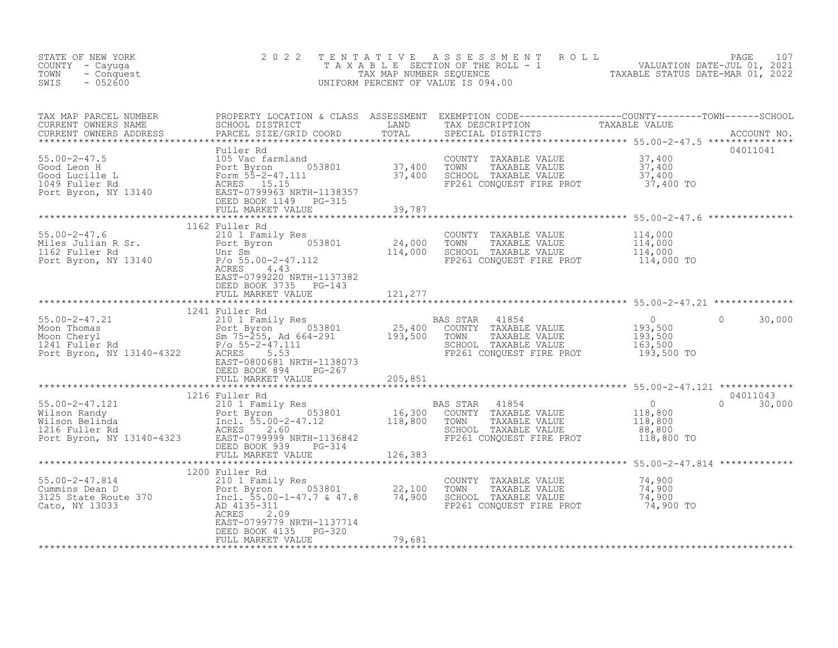| STATE OF NEW YORK<br>COUNTY - Cayuga<br>TOWN<br>- Conquest<br>$-052600$<br>SWIS | $2 0 2 2$                                          |        | TENTATIVE ASSESSMENT ROLL PACE 107<br>TAXABLE SECTION OF THE ROLL - 1 VALUATION DATE-JUL 01, 2021<br>TAX MAP NUMBER SEQUENCE TAXABLE STATUS DATE-MAR 01, 2022<br>UNIFORM PERCENT OF VALUE IS 094.00                                                                                                                                                                         |
|---------------------------------------------------------------------------------|----------------------------------------------------|--------|-----------------------------------------------------------------------------------------------------------------------------------------------------------------------------------------------------------------------------------------------------------------------------------------------------------------------------------------------------------------------------|
|                                                                                 |                                                    |        | TAX MAP PARCEL NUMBER PROPERTY LOCATION & CLASS ASSESSMENT EXEMPTION CODE----------------COUNTY--------TOWN------SCHOOL SCHOOL DISTRICT LAND TAX DESCRIPTION TAXABLE VALUE<br>CURRENT OWNERS NAME PARCEL SIZE/GRID COORD TOTAL SP<br>04011041                                                                                                                               |
|                                                                                 |                                                    |        |                                                                                                                                                                                                                                                                                                                                                                             |
|                                                                                 |                                                    |        | ******************************* 55.00-2-47.6 ***************                                                                                                                                                                                                                                                                                                                |
|                                                                                 | EAST-0799220 NRTH-1137382                          |        |                                                                                                                                                                                                                                                                                                                                                                             |
|                                                                                 | DEED BOOK 3735 PG-143                              |        |                                                                                                                                                                                                                                                                                                                                                                             |
|                                                                                 |                                                    |        |                                                                                                                                                                                                                                                                                                                                                                             |
|                                                                                 |                                                    |        |                                                                                                                                                                                                                                                                                                                                                                             |
|                                                                                 |                                                    |        |                                                                                                                                                                                                                                                                                                                                                                             |
|                                                                                 |                                                    |        |                                                                                                                                                                                                                                                                                                                                                                             |
|                                                                                 |                                                    |        |                                                                                                                                                                                                                                                                                                                                                                             |
|                                                                                 |                                                    |        |                                                                                                                                                                                                                                                                                                                                                                             |
|                                                                                 |                                                    |        |                                                                                                                                                                                                                                                                                                                                                                             |
|                                                                                 | EAST-0799779 NRTH-1137714<br>DEED BOOK 4135 PG-320 | 79,681 | $\begin{tabular}{l c c c c c} \multicolumn{1}{c}{\textbf{5.00-2-47.21}}\hspace{ \textbf{5.01-27.22}} \hspace{ \textbf{5.02-28.23}} \hspace{ \textbf{5.03-28.24}} \hspace{ \textbf{5.04-291}} \hspace{ \textbf{5.05-293}} \hspace{ \textbf{5.06-294}} \hspace{ \textbf{5.07-20}} \hspace{ \textbf{5.08-204}} \hspace{ \textbf{5.09-24}} \hspace{ \textbf{5.000}} \hspace{ \$ |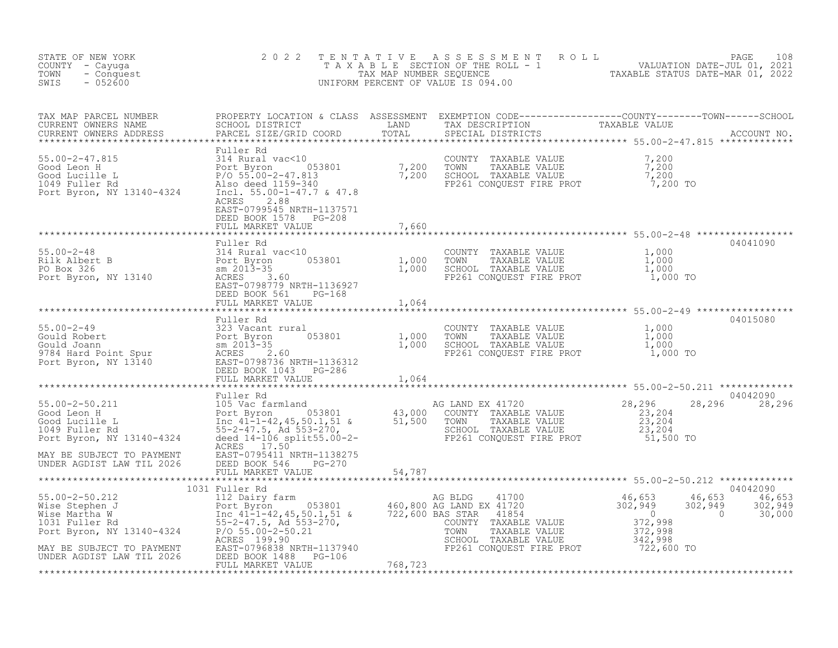| STATE OF NEW YORK<br>COUNTY - Cayuga<br>- Conquest<br>TOWN<br>$-052600$<br>SWIS                                                                                                                                                                                                             | 2 0 2 2                                                                                               |         | TENTATIVE ASSESSMENT ROLL PAGE 108<br>TAXABLE SECTION OF THE ROLL - 1 VALUATION DATE-JUL 01, 2021<br>TAX MAP NUMBER SEQUENCE TAXABLE STATUS DATE-MAR 01, 2022<br>UNIFORM PERCENT OF VALUE IS 094.00                        |                                              |                                                                                                |
|---------------------------------------------------------------------------------------------------------------------------------------------------------------------------------------------------------------------------------------------------------------------------------------------|-------------------------------------------------------------------------------------------------------|---------|----------------------------------------------------------------------------------------------------------------------------------------------------------------------------------------------------------------------------|----------------------------------------------|------------------------------------------------------------------------------------------------|
|                                                                                                                                                                                                                                                                                             |                                                                                                       |         |                                                                                                                                                                                                                            |                                              |                                                                                                |
| 55.00-2-47.815<br>Good Leon H<br>Good Lucille L<br>1049 Fuller Rd<br>Port Byron, NY 13140-4324<br>Port Byron, NY 13140-4324<br>Port Byron, NY 13140-4324<br>RORES<br>2.88<br>2.88<br>2.88<br>2.88<br>2.88                                                                                   | Fuller Rd<br>ACRES<br>2.88<br>EAST-0799545 NRTH-1137571<br>DEED BOOK 1578 PG-208<br>FULL MARKET VALUE | 7,660   |                                                                                                                                                                                                                            |                                              |                                                                                                |
|                                                                                                                                                                                                                                                                                             | Fuller Rd                                                                                             |         |                                                                                                                                                                                                                            |                                              | 04041090                                                                                       |
| 55.00-2-48<br>Rilk Albert B<br>Port Byron 053801<br>Port Byron, NY 13140<br>Port Byron, NY 13140<br>REES 3.60<br>REED 0798779 NRTH-1136927<br>REED 0798779 NRTH-1136927                                                                                                                     | DEED BOOK 561 PG-168<br>FULL MARKET VALUE                                                             | 1,064   | COUNTY TAXABLE VALUE $\begin{array}{cccc} 1,000 \ \text{TOWN} & \text{TAXABLE VALUE} & 1,000 \ \text{SCHOOL} & \text{TAXABLE VALUE} & 1,000 \ \text{FPC261 CONQUEST FIRE PROT} & 1,000 \ \text{FPC31} & 1,000 \end{array}$ |                                              |                                                                                                |
|                                                                                                                                                                                                                                                                                             | Fuller Rd                                                                                             |         |                                                                                                                                                                                                                            |                                              | 04015080                                                                                       |
| 55.00-2-49<br>Gould Robert<br>Gould Joann<br>9784 Hard Point Spur<br>Port Byron 8013-35<br>9784 Hard Point Spur<br>2013-35<br>9784 Hard Point Spur<br>2013-35<br>2.60<br>Port Byron, NY 13140<br>EAST-0798736 NRTH-1136312<br>DEED BOOK 1043<br>FULL MAR                                    | FULL MARKET VALUE                                                                                     | 1,064   | COUNTY TAXABLE VALUE $1,000$<br>TOWN TAXABLE VALUE $1,000$<br>SCHOOL TAXABLE VALUE $1,000$<br>FP261 CONQUEST FIRE PROT $1,000$ TO                                                                                          |                                              |                                                                                                |
|                                                                                                                                                                                                                                                                                             |                                                                                                       |         |                                                                                                                                                                                                                            |                                              | 04042090                                                                                       |
| Fuller Rd<br>Fuller Rd<br>Good Leon H<br>Fort Byron 053801<br>Good Lucille L<br>Inc 41-1-42, 45, 50.1, 51 &<br>1049 Fuller Rd<br>Fuller Rd<br>Fort Byron, NY 13140-4324<br>Reded 14-16 split55.00-2-<br>AcRES 17.50<br>AcRES 17.50<br>AcRES 17.50<br>AcR                                    | ACRES 17.50                                                                                           |         |                                                                                                                                                                                                                            | 28,296                                       | 28,296                                                                                         |
| MAY BE SUBJECT TO PAYMENT<br>UNDER AGDIST LAW TIL 2026                                                                                                                                                                                                                                      | EAST-0795411 NRTH-1138275<br>DEED BOOK 546 PG-270<br>FULL MARKET VALUE                                | 54,787  |                                                                                                                                                                                                                            |                                              |                                                                                                |
|                                                                                                                                                                                                                                                                                             | 1031 Fuller Rd                                                                                        |         |                                                                                                                                                                                                                            |                                              | 04042090                                                                                       |
| 55.00-2-50.212<br>Wise Stephen J<br>Wise Stephen J<br>Wise Martha W<br>1031 Fuller Rd<br>1031 Fuller Rd<br>1031 Fuller Rd<br>1031 Fuller Rd<br>1031 Fuller Rd<br>1031 Fuller Rd<br>55-2-47.5, 0.0.21<br>27,998<br>27,998<br>27,998<br>27,998<br>27,998<br>27,9<br>MAY BE SUBJECT TO PAYMENT | ACRES 199.90                                                                                          |         | TOWN TAXABLE VALUE<br>SCHOOL TAXABLE VALUE<br>FP261 CONQUEST FIRE PROT                                                                                                                                                     | 302,949<br>$\sim$ 0<br>342,998<br>722,600 TO | $\frac{46}{202}$ , $\frac{653}{949}$ $\frac{46}{202}$ , $\frac{653}{949}$<br>302,949<br>30,000 |
| UNDER AGDIST LAW TIL 2026                                                                                                                                                                                                                                                                   | FULL MARKET VALUE                                                                                     | 768,723 |                                                                                                                                                                                                                            |                                              |                                                                                                |
|                                                                                                                                                                                                                                                                                             |                                                                                                       |         |                                                                                                                                                                                                                            |                                              |                                                                                                |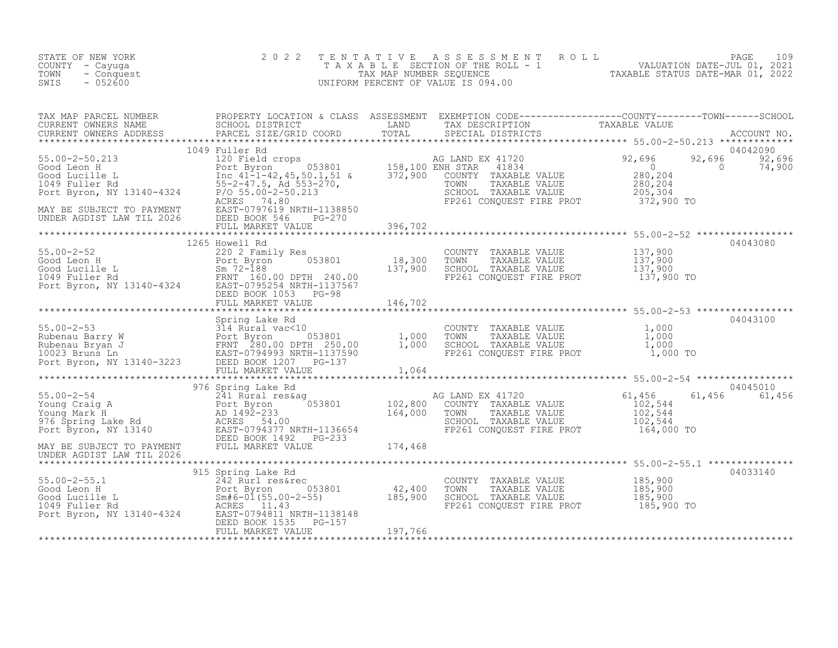| STATE OF NEW YORK<br>COUNTY - Cayuga<br>- Conquest<br>TOWN<br>$-052600$<br>SWIS                                                                                                                                                                                      | 2 0 2 2                                                                                                                                                                           | TENTATIVE | TENTATIVE ASSESSMENT ROLL UNIVALUATION DATE-JUL 01, 2021<br>TAXABLE SECTION OF THE ROLL - 1<br>TAX MAP NUMBER SEQUENCE TAXABLE STATUS DATE-MAR 01, 2022<br>JNIFORM PERCENT OF VALUE IS 094.00<br>UNIFORM PERCENT OF VALUE IS 094.00 |          |
|----------------------------------------------------------------------------------------------------------------------------------------------------------------------------------------------------------------------------------------------------------------------|-----------------------------------------------------------------------------------------------------------------------------------------------------------------------------------|-----------|-------------------------------------------------------------------------------------------------------------------------------------------------------------------------------------------------------------------------------------|----------|
|                                                                                                                                                                                                                                                                      |                                                                                                                                                                                   |           |                                                                                                                                                                                                                                     |          |
|                                                                                                                                                                                                                                                                      |                                                                                                                                                                                   |           |                                                                                                                                                                                                                                     |          |
|                                                                                                                                                                                                                                                                      | FULL MARKET VEHIT<br>***************************<br>Howell Rd<br>220 2 Family Res<br>Port Byron 053801 18,300<br>Sm 72-188<br>20 PPTH 240.00 137,900<br>FULL MARKET VALUE 146,702 |           | COUNTY TAXABLE VALUE 137,900<br>TOWN TAXABLE VALUE 137,900<br>SCHOOL TAXABLE VALUE 137,900<br>FP261 CONQUEST FIRE PROT 137,900 TO                                                                                                   | 04043080 |
|                                                                                                                                                                                                                                                                      |                                                                                                                                                                                   |           |                                                                                                                                                                                                                                     |          |
| $\begin{tabular}{l c c c c c} \hline \texttt{55.00-2-53 & 500-2-53 & 500-2-53 & 500-2-53 & 500-2-53 & 500-2-53 & 500-2-53 & 500-2-53 & 500-2-53 & 500-2-53 & 500-2-53 & 500-2-53 & 500-2-53 & 500-2-53 & 500-2-53 & 500-2-53 & 500-2-53 & 500-2-53 & 500-2-53 & 500$ |                                                                                                                                                                                   |           |                                                                                                                                                                                                                                     |          |
|                                                                                                                                                                                                                                                                      |                                                                                                                                                                                   |           | COUNTY TAXABLE VALUE 185,900<br>TOWN TAXABLE VALUE 185,900<br>SCHOOL TAXABLE VALUE 185,900<br>FP261 CONQUEST FIRE PROT 185,900 TO                                                                                                   | 04033140 |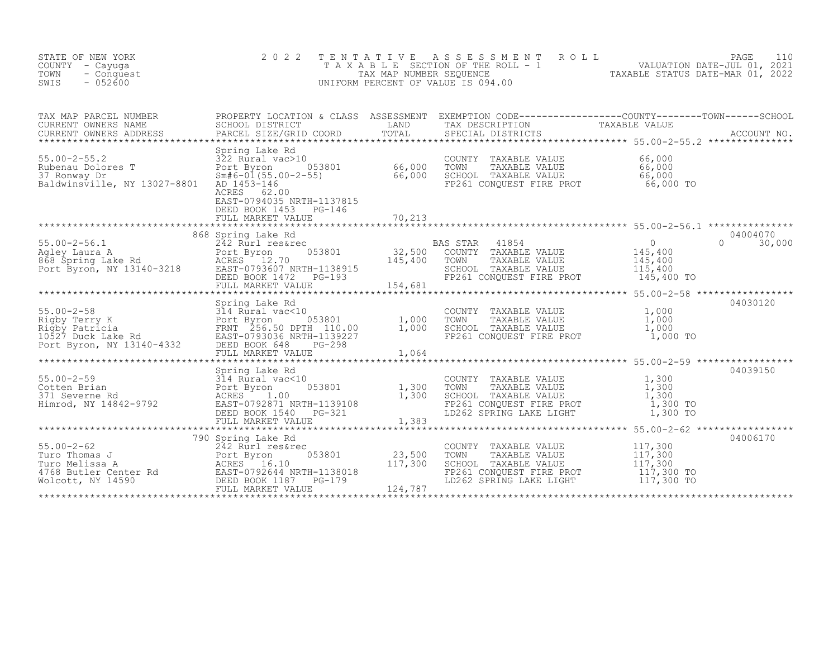| STATE OF NEW YORK<br>COUNTY - Cayuga<br>TOWN<br>- Conquest<br>$-052600$<br>SWIS                                                                                                                                                                        | 2 0 2 2                                                                                                                                                                   | TENTATIVE                    | PAGE 110<br>TAXABLE SECTION OF THE ROLL - 1<br>TAX MAP NUMBER SEQUENCE<br>NIFORM PERCENT OF VALUE IS 094.00<br>TAXABLE STATUS DATE-MAR 01, 2022<br>UNIFORM PERCENT OF VALUE IS 094.00 |                                                                                                  |                           |
|--------------------------------------------------------------------------------------------------------------------------------------------------------------------------------------------------------------------------------------------------------|---------------------------------------------------------------------------------------------------------------------------------------------------------------------------|------------------------------|---------------------------------------------------------------------------------------------------------------------------------------------------------------------------------------|--------------------------------------------------------------------------------------------------|---------------------------|
|                                                                                                                                                                                                                                                        |                                                                                                                                                                           |                              |                                                                                                                                                                                       |                                                                                                  |                           |
| Spring Lake Rd<br>Rubenau Dolores T<br>37 Ronway Dr<br>Baldwinsville NY 10000 Sm#6-01/FF 00                                                                                                                                                            | Fort Byron 053801 66,000<br>Sm#6-01(55.00-2-55) 66,000<br>AD 1453-146 66,000<br>RCRES 62.00<br>3AST-0794035 NRTH-1137015<br>DEED BOOK 1453<br>PG-146<br>FULL MARKET VALUE | 70,213                       | COUNTY TAXABLE VALUE<br>TOWN TAXABLE VALUE<br>SCHOOL TAXABLE VALUE<br>FP261 CONQUEST FIRE PROT 66,000 TO                                                                              | 66,000<br>66,000<br>66,000                                                                       |                           |
| $55.00 - 2 - 56.1$<br>55.00-2-56.1<br>Agley Laura A<br>868 Spring Lake Rd<br>Port Byron 653801<br>Port Byron, NY 13140-3218<br>BEED BOOK 1472 PG-193                                                                                                   | 868 Spring Lake Rd<br>242 Rurl res&rec<br>$\frac{c}{053801}$<br>DEED BOOK 1472 PG-193<br>FULL MARKET VALUE                                                                | 32,500<br>145,400<br>154,681 | BAS STAR 41854<br>COUNTY TAXABLE VALUE<br>TOWN<br>TAXABLE VALUE<br>SCHOOL TAXABLE VALUE 115,400<br>FP261 CONQUEST FIRE PROT 145,400 TO                                                | $\overline{0}$<br>145,400<br>145.400<br>145,400                                                  | 04004070<br>$0 \t 30,000$ |
| 55.00-2-58<br>Rigby Terry K<br>Rigby Patricia<br>Rigby Patricia<br>1,000<br>1,000<br>1,000<br>1,000<br>Port Byron, NY 13140-4332<br>Port Byron, NY 13140-4332<br>Port Byron, NY 13140-4332<br>Port Byron, NY 13140-4332<br>Port MARYER MARYER MARYER M | Spring Lake Rd<br>FULL MARKET VALUE                                                                                                                                       | ************<br>1,064        | COUNTY TAXABLE VALUE<br>TOWN    TAXABLE VALUE<br>SCHOOL  TAXABLE VALUE<br>FP261 CONQUEST FIRE PROT                                                                                    | *********************** 55.00-2-58 ******************<br>$1,000$<br>$1,000$<br>1,000<br>1,000 TO | 04030120                  |
| 55.00-2-59<br>Cotten Brian<br>371 Severne Rd<br>371 Severne Rd<br>Himrod, NY 14842-9792<br>82.00 EAST-07922<br>52.00 EAST-0792871 NRTH-1139108<br>52.1.00 EAST-0792871 NRTH-1139108<br>52.321                                                          | Spring Lake Rd<br>314 Rural vac<10<br>Port Byron 053801 1,300<br>ACRES 1.00 1.300<br>DEED BOOK 1540 PG-321<br>FULL MARKET VALUE                                           | $\frac{1}{300}$<br>1,383     | COUNTY TAXABLE VALUE<br>TOWN<br>TAXABLE VALUE<br>CHOOL TAXABLE VALUE 1,300<br>FP261 CONQUEST FIRE PROT 1,300 TO<br>LD262 SPRING LAKE LIGHT                                            | $\frac{1}{1}$ , 300<br>1, 300<br>1,300 TO                                                        | 04039150                  |
|                                                                                                                                                                                                                                                        | 790 Spring Lake Rd                                                                                                                                                        | 23,500<br>117,300<br>124,787 | COUNTY TAXABLE VALUE<br>TOWN<br>TAXABLE VALUE<br>SCHOOL TAXABLE VALUE<br>FP261 CONQUEST FIRE PROT<br>LD262 SPRING LAKE LIGHT 117,300 TO                                               | 117,300<br>117,300<br>117,300<br>117,300 TO                                                      | 04006170                  |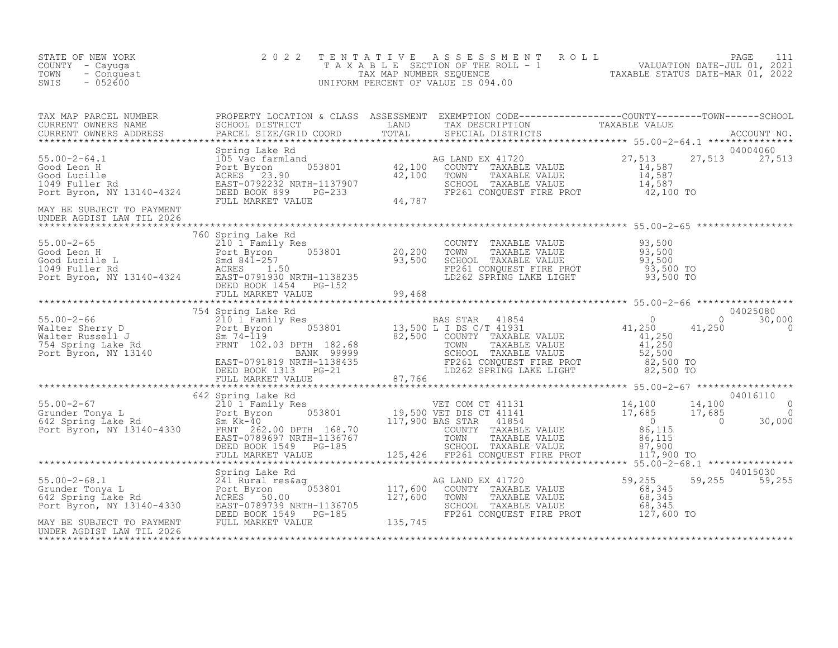| STATE OF NEW YORK<br>COUNTY - Cayuga<br>TOWN<br>- Conquest<br>SWIS<br>$-052600$                                                                                                                                                                                                                                                                                                                                                                                                                | 2 0 2 2 | TENTATIVE ASSESSMENT ROLL PAGE 111<br>TAXABLE SECTION OF THE ROLL - 1 VALUATION DATE-JUL 01, 2021<br>TAX MAP NUMBER SEQUENCE TAXABLE STATUS DATE-MAR 01, 2022<br>UNIFORM PERCENT OF VALUE IS 094.00 |  |
|------------------------------------------------------------------------------------------------------------------------------------------------------------------------------------------------------------------------------------------------------------------------------------------------------------------------------------------------------------------------------------------------------------------------------------------------------------------------------------------------|---------|-----------------------------------------------------------------------------------------------------------------------------------------------------------------------------------------------------|--|
|                                                                                                                                                                                                                                                                                                                                                                                                                                                                                                |         |                                                                                                                                                                                                     |  |
| $\begin{tabular}{lllllllllllllllllllllll} \textsc{max} & \textsc{map} & \textsc{propBERT} & \textsc{logins} & \textsc{SESSSMENT} & \textsc{ESESMENT} & \textsc{ESENEPITO} & \textsc{compTri} & \textsc{compTri} & \textsc{compTri} & \textsc{compTri} & \textsc{compTri} & \textsc{compTri} & \textsc{compTri} & \textsc{compTri} \\ \textsc{curRENT} & \textsc{OMNERS} & \textsc{ADRESS} & \textsc{SRRCEL} & \textsc{STER} & \textsc{STER} & \textsc{TPIT} & \textsc{SPECTRIT} & \textsc{SPE$ |         |                                                                                                                                                                                                     |  |
| MAY BE SUBJECT TO PAYMENT<br>UNDER AGDIST LAW TIL 2026                                                                                                                                                                                                                                                                                                                                                                                                                                         |         |                                                                                                                                                                                                     |  |
|                                                                                                                                                                                                                                                                                                                                                                                                                                                                                                |         |                                                                                                                                                                                                     |  |
| $\begin{tabular}{l c c c c c} \hline \texttt{2012} & 760 Spin & 104 \text{e-H} & 760 Spin & 104 \text{e-H} & 760 Spin & 104 \text{e-H} & 760 Spin & 104 \text{e-H} & 760 Spin & 104 \text{e-H} & 760 Spin & 104 \text{e-H} & 760 \text{e-H} & 760 \text{e-H} & 760 \text{e-H} & 760 \text{e-H} & 760 \text{e-H} & 760 \text{e-H} & 760 \text{e-H} & 760 \text{e-H}$                                                                                                                            |         |                                                                                                                                                                                                     |  |
| $\begin{tabular}{cccccccc} \texttt{1111} & \texttt{121} & \texttt{131} & \texttt{141} & \texttt{141} & \texttt{141} & \texttt{141} & \texttt{141} & \texttt{141} & \texttt{141} & \texttt{141} & \texttt{141} & \texttt{141} & \texttt{141} & \texttt{141} & \texttt{141} & \texttt{141} & \texttt{141} & \texttt{141} & \texttt{141} & \texttt{141} & \texttt{141} & \texttt{141} & \texttt$                                                                                                  |         |                                                                                                                                                                                                     |  |
| 125,426 FP261 CONQUEST FIRE PROT<br>55.00-2-68.1 MATE (FOLL MARKET VALUE)<br>Spring Lake Rd<br>Spring Lake Rd<br>Spring Lake Rd<br>Spring Lake Rd<br>Spring Lake Rd<br>Spring Lake Rd<br>Spring Lake Rd<br>ACRES 50.00<br>ACRES 50.00<br>TOT Byron,                                                                                                                                                                                                                                            |         |                                                                                                                                                                                                     |  |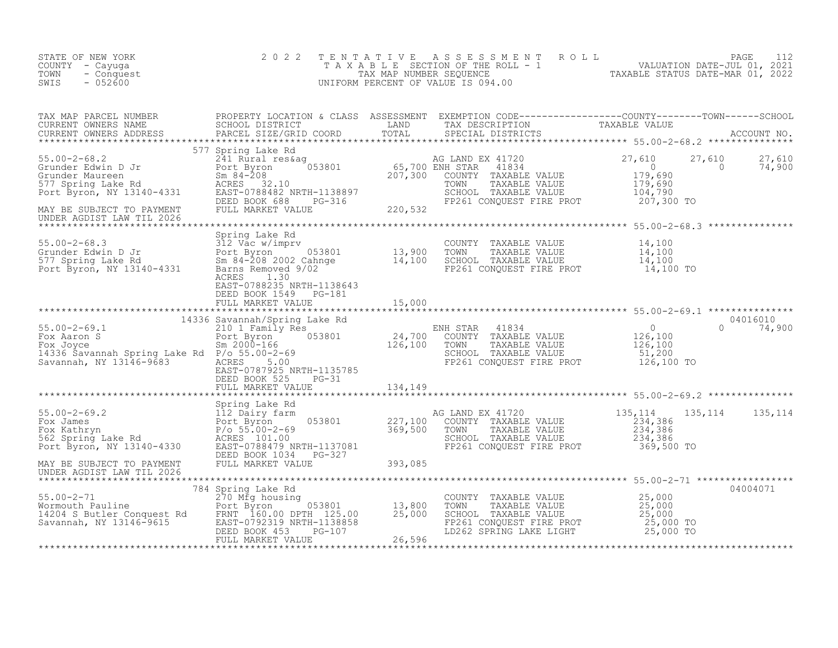| STATE OF NEW YORK<br>COUNTY - Cayuga<br>- Conquest<br>TOWN<br>$-052600$<br>SWIS                                                                                                                                                                                   | 2 0 2 2                                          |        | TENTATIVE ASSESSMENT ROLL PAGE 112<br>TAXABLE SECTION OF THE ROLL - 1 VALUATION DATE-JUL 01, 2021<br>TAX MAP NUMBER SEQUENCE TAXABLE STATUS DATE-MAR 01, 2022<br>UNIFORM PERCENT OF VALUE IS 094.00 |               |
|-------------------------------------------------------------------------------------------------------------------------------------------------------------------------------------------------------------------------------------------------------------------|--------------------------------------------------|--------|-----------------------------------------------------------------------------------------------------------------------------------------------------------------------------------------------------|---------------|
|                                                                                                                                                                                                                                                                   |                                                  |        |                                                                                                                                                                                                     |               |
|                                                                                                                                                                                                                                                                   |                                                  |        |                                                                                                                                                                                                     |               |
|                                                                                                                                                                                                                                                                   |                                                  |        |                                                                                                                                                                                                     |               |
|                                                                                                                                                                                                                                                                   | EAST-0788235 NRTH-1138643                        |        |                                                                                                                                                                                                     |               |
|                                                                                                                                                                                                                                                                   | DEED BOOK 1549 PG-181<br>FULL MARKET VALUE       | 15,000 |                                                                                                                                                                                                     |               |
|                                                                                                                                                                                                                                                                   |                                                  |        |                                                                                                                                                                                                     |               |
| 14336 Savannah Spring Lake Rd 24,700 COUNTY TAXABLE VALUE<br>Tox Joyce Savannah Spring Lake Rd P/o 55.00-2-69<br>Savannah Spring Lake Rd P/o 55.00-2-69<br>Savannah Spring Lake Rd P/o 55.00-2-69<br>Savannah, NY 13146-9683 ACRST-078<br>Savannah, NY 13146-9683 | EAST-0787925 NRTH-1135785<br>DEED BOOK 525 PG-31 |        |                                                                                                                                                                                                     | $0 \t 74,900$ |
|                                                                                                                                                                                                                                                                   | FULL MARKET VALUE 134, 149                       |        |                                                                                                                                                                                                     |               |
|                                                                                                                                                                                                                                                                   |                                                  |        |                                                                                                                                                                                                     |               |
| UNDER AGDIST LAW TIL 2026                                                                                                                                                                                                                                         |                                                  |        |                                                                                                                                                                                                     |               |
|                                                                                                                                                                                                                                                                   |                                                  |        | COUNTY TAXABLE VALUE<br>TOWN TAXABLE VALUE 25,000<br>SCHOOL TAXABLE VALUE 25,000<br>FP261 CONQUEST FIRE PROT 25,000 TO<br>LD262 SPRING LAKE LIGHT 25,000 TO                                         | 04004071      |
|                                                                                                                                                                                                                                                                   |                                                  |        |                                                                                                                                                                                                     |               |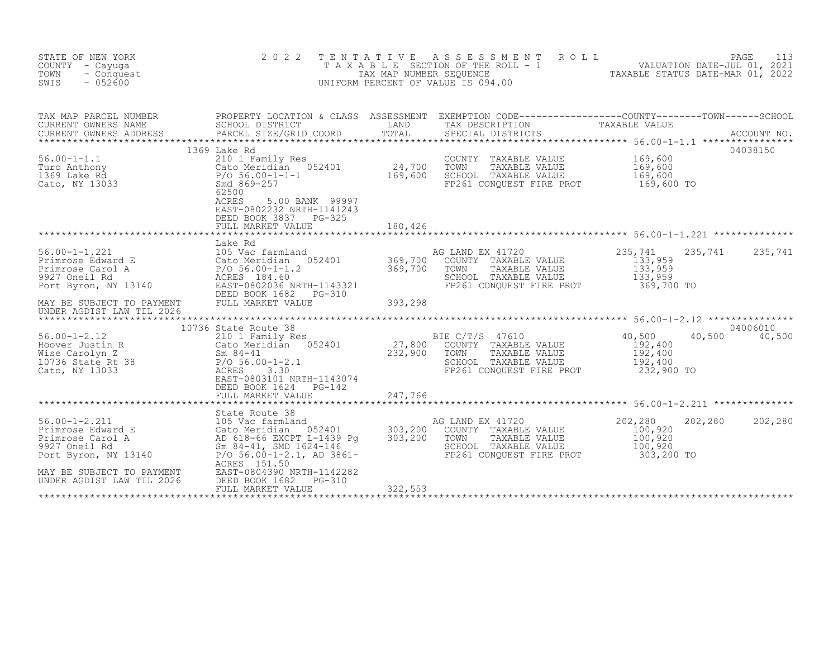| STATE OF NEW YORK<br>COUNTY - Cayuqa<br>TOWN<br>- Conquest<br>SWIS<br>$-052600$                                                                                                                                                                                                     | 2 0 2 2                                                                                                                                                            |         | TENTATIVE ASSESSMENT ROLL<br>PAGE 113<br>TAXABLE SECTION OF THE ROLL - 1 WALUATION DATE-JUL 01, 2021<br>TAXABLE STATUS DATE-MAR 01, 2022<br>JNIFORM PERCENT OF VALUE IS 094.00<br>UNIFORM PERCENT OF VALUE IS 094.00 |                                         | PAGE<br>113   |
|-------------------------------------------------------------------------------------------------------------------------------------------------------------------------------------------------------------------------------------------------------------------------------------|--------------------------------------------------------------------------------------------------------------------------------------------------------------------|---------|----------------------------------------------------------------------------------------------------------------------------------------------------------------------------------------------------------------------|-----------------------------------------|---------------|
| TAX MAP PARCEL NUMBER THE PROPERTY LOCATION & CLASS ASSESSMENT EXEMPTION CODE---------------COUNTY-------TOWN-----SCHOOL<br>TAX MAP PARULL NUTILLIN<br>CURRENT OWNERS NAME<br>CURRENT OWNERS ADDRESS                                                                                | SCHOOL DISTRICT<br><b>EXAMPLE DESCRIPTION OF STREET AND STREET AND STREET AND STREET AND STREET AND STREET AND STREET AND STREET AND</b><br>PARCEL SIZE/GRID COORD | TOTAL   | TAX DESCRIPTION TAXABLE VALUE<br>SPECIAL DISTRICTS                                                                                                                                                                   |                                         | ACCOUNT NO.   |
| 56.00-1-1.1<br>Turo Anthony<br>1369 Lake Rd<br>Cato, NY 13033<br>Cato, NY 13033<br>Cato, NY 13033<br>Cato, NY 13033<br>Cato, NY 13033<br>Cato, NY 13033<br>Cato, NY 13033<br>Cato, NY 13033<br>Cato, NY 13033<br>Cato, NY 13033<br>Cato, 25500                                      | 1369 Lake Rd<br>62500<br>ACRES<br>5.00 BANK 99997<br>EAST-0802232 NRTH-1141243<br>DEED BOOK 3837 PG-325<br>FULL MARKET VALUE                                       | 180,426 | COUNTY TAXABLE VALUE<br>TOWN<br>TAXABLE VALUE<br>SCHOOL TAXABLE VALUE<br>FP261 CONQUEST FIRE PROT 169,600 TO                                                                                                         | 169,600<br>169,600<br>169,600           | 04038150      |
|                                                                                                                                                                                                                                                                                     | Lake Rd                                                                                                                                                            |         |                                                                                                                                                                                                                      |                                         |               |
| 56.00-1-1.221<br>Primrose Edward E<br>Primrose Carol A<br>Primrose Carol A<br>9927 Oneil Rd<br>Primrose Carol A<br>Primrose Carol A<br>Primrose Carol A<br>Primrose Carol A<br>Primrose Carol A<br>Primrose Carol A<br>Primrose Carol A<br>Primrose Ca<br>UNDER AGDIST LAW TIL 2026 |                                                                                                                                                                    | 393,298 | AG LAND EX 41720<br>COUNTY TAXABLE VALUE<br>TOWN TAXABLE VALUE 133,959<br>SCHOOL TAXABLE VALUE 133,959<br>FP261 CONQUEST FIRE PROT 369,700 TO                                                                        | 235,741<br>235,741<br>133,959           | 235,741       |
|                                                                                                                                                                                                                                                                                     | 10736 State Route 38                                                                                                                                               |         |                                                                                                                                                                                                                      |                                         | 04006010      |
| 10730 3010 5011 2013<br>However Justin R<br>Mise Carolyn Z<br>Mise Carolyn Z<br>Mise Carolyn Z<br>Sm 84-41<br>232,900 TOWN TAXABLE VALUE<br>Cato, NY 13033<br>Cato, NY 13033<br>232,900 TOWN TAXABLE VALUE<br>Cato, NY 13033<br>232,900 TOWN TAXABLE                                | EAST-0803101 NRTH-1143074<br>DEED BOOK 1624 PG-142<br>FULL MARKET VALUE                                                                                            | 247,766 | SCHOOL TAXABLE VALUE<br>FP261 CONQUEST FIRE PROT 232,900 TO                                                                                                                                                          | 40,500<br>192,400<br>192,400<br>192,400 | 40,500 40,500 |
|                                                                                                                                                                                                                                                                                     | State Route 38                                                                                                                                                     |         |                                                                                                                                                                                                                      |                                         |               |
| 56.00-1-2.211<br>Primrose Edward E 105 Vac farmland<br>Primrose Carol A 2018-66 EXCPT L-1439 Pg 303,200<br>9927 Oneil Rd Sm 84-41, SMD 1624-146<br>Port Byron, NY 13140<br>Primrose Carol A 2018-66 EXCPT L-1439 Pg 303,200<br>Primrose Ca<br>MAY BE SUBJECT TO PAYMENT             | ACRES 151.50<br>EAST-0804390 NRTH-1142282                                                                                                                          |         | AG LAND EX 41720<br>COUNTY TAXABLE VALUE<br>FP261 CONQUEST FIRE PROT 303,200 TO                                                                                                                                      | 202,280<br>202,280<br>100,920           | 202,280       |
| UNDER AGDIST LAW TIL 2026                                                                                                                                                                                                                                                           | DEED BOOK 1682<br>PG-310<br>FULL MARKET VALUE                                                                                                                      | 322,553 |                                                                                                                                                                                                                      |                                         |               |
|                                                                                                                                                                                                                                                                                     |                                                                                                                                                                    |         |                                                                                                                                                                                                                      |                                         |               |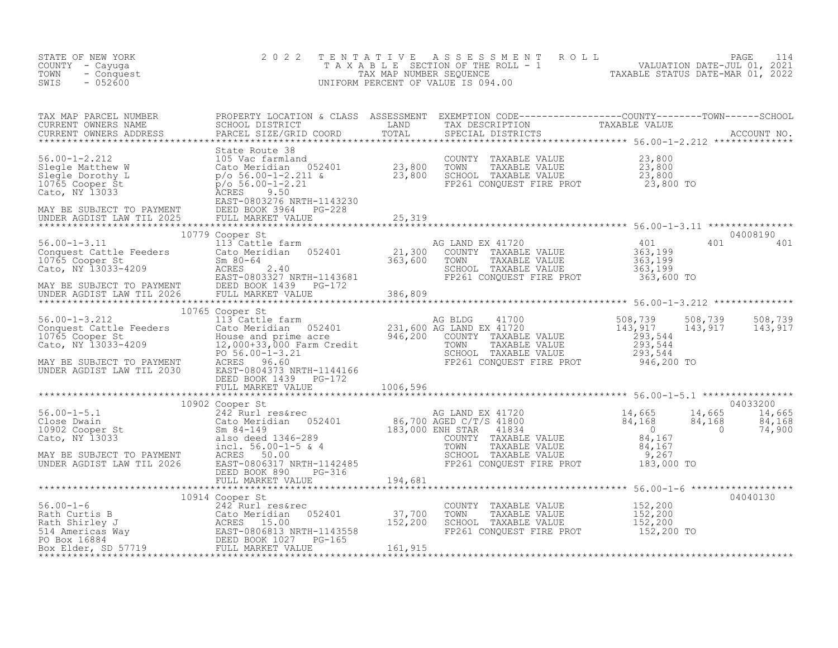| STATE OF NEW YORK<br>COUNTY - Cayuga<br>TOWN - Conquest<br>EWIS - 052600 | 2 0 2 2 | TENTATIVE ASSESSMENT ROLL PAGE 114<br>TAXABLE SECTION OF THE ROLL - 1 VALUATION DATE-JUL 01, 2021<br>TAX MAP NUMBER SEQUENCE TAXABLE STATUS DATE-MAR 01, 2022<br>UNIFORM PERCENT OF VALUE IS 094.00 |  |
|--------------------------------------------------------------------------|---------|-----------------------------------------------------------------------------------------------------------------------------------------------------------------------------------------------------|--|
|                                                                          |         |                                                                                                                                                                                                     |  |
|                                                                          |         |                                                                                                                                                                                                     |  |
|                                                                          |         |                                                                                                                                                                                                     |  |
|                                                                          |         |                                                                                                                                                                                                     |  |
|                                                                          |         |                                                                                                                                                                                                     |  |
|                                                                          |         |                                                                                                                                                                                                     |  |
|                                                                          |         |                                                                                                                                                                                                     |  |
|                                                                          |         |                                                                                                                                                                                                     |  |
|                                                                          |         |                                                                                                                                                                                                     |  |
|                                                                          |         |                                                                                                                                                                                                     |  |
|                                                                          |         |                                                                                                                                                                                                     |  |
|                                                                          |         |                                                                                                                                                                                                     |  |
|                                                                          |         |                                                                                                                                                                                                     |  |
|                                                                          |         |                                                                                                                                                                                                     |  |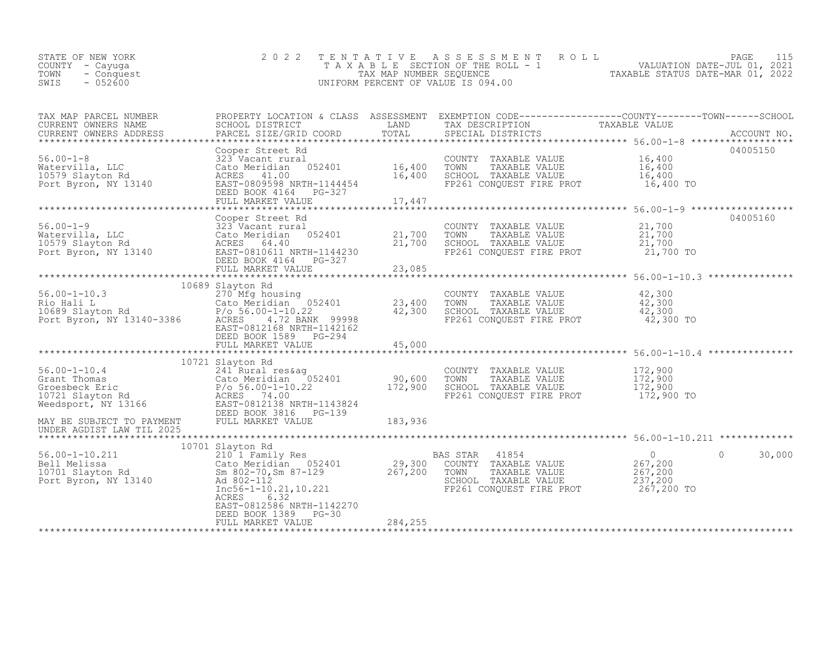|      | STATE OF NEW YORK | 2022 TENTATIVE ASSESSMENT ROLL     | PAGE 3                           |
|------|-------------------|------------------------------------|----------------------------------|
|      | COUNTY – Cayuga   | TAXABLE SECTION OF THE ROLL - 1    | VALUATION DATE-JUL 01, 2021      |
| TOWN | - Conquest        | TAX MAP NUMBER SEOUENCE            | TAXABLE STATUS DATE-MAR 01, 2022 |
| SWIS | $-052600$         | UNIFORM PERCENT OF VALUE IS 094.00 |                                  |
|      |                   |                                    |                                  |

| TAX MAP PARCEL NUMBER<br>CURRENT OWNERS NAME                                                                                                                                                                                                   | PROPERTY LOCATION & CLASS ASSESSMENT EXEMPTION CODE----------------COUNTY-------TOWN-----SCHOOL |         |                                                                                                                                   |                    |
|------------------------------------------------------------------------------------------------------------------------------------------------------------------------------------------------------------------------------------------------|-------------------------------------------------------------------------------------------------|---------|-----------------------------------------------------------------------------------------------------------------------------------|--------------------|
| CURRENT OWNERS NAME<br>CURRENT OWNERS NAME SCHOOL DISTRICT - - ----- LAND TAX DESCRIPTION TAXABLE VALUE<br>CURRENT OWNERS ADDRESS PARCEL SIZE/GRID COORD TOTAL SPECIAL DISTRICTS ACCOUNT NO.<br>CURRENT OWNERS ADDRESS                         |                                                                                                 |         |                                                                                                                                   |                    |
|                                                                                                                                                                                                                                                |                                                                                                 |         |                                                                                                                                   | 04005150           |
|                                                                                                                                                                                                                                                |                                                                                                 |         | 16,400 SCHOOL TAXABLE VALUE 16,400<br>FP261 CONQUEST FIRE PROT 16,400 TO                                                          |                    |
|                                                                                                                                                                                                                                                |                                                                                                 |         |                                                                                                                                   |                    |
|                                                                                                                                                                                                                                                |                                                                                                 |         |                                                                                                                                   |                    |
|                                                                                                                                                                                                                                                | Cooper Street Rd                                                                                |         |                                                                                                                                   | 04005160           |
|                                                                                                                                                                                                                                                |                                                                                                 |         |                                                                                                                                   |                    |
|                                                                                                                                                                                                                                                | 10689 Slayton Rd                                                                                |         |                                                                                                                                   |                    |
| 370 Mfg housing<br>23,400 TOWNTY TAXABLE VALUE<br>23,400 TOWN TAXABLE VALUE<br>23,400 TOWN TAXABLE VALUE<br>23,400 TOWN TAXABLE VALUE<br>23,400 TOWN TAXABLE VALUE<br>23,400 TOWN TAXABLE VALUE<br>23,300 TOWN TAXABLE VALUE<br>23,300 TOWN TA | EAST-0812168 NRTH-1142162                                                                       |         |                                                                                                                                   |                    |
|                                                                                                                                                                                                                                                | DEED BOOK 1589 PG-294                                                                           |         |                                                                                                                                   |                    |
|                                                                                                                                                                                                                                                |                                                                                                 |         |                                                                                                                                   |                    |
| 10721 Slayton Rd 24 21 Rural res&ag 24 21 Rural res&ag 24 21 Rural res&ag 26.00-1-10.4 21 Rural res&ag 26.00-1-10.22 26 26 Meridian 262-03 272,900 SCHOOL 271 Slayton Rd 26 26 Meridian 26 26 Meridian 26 26 Meridian 26 272,9                 | 10721 Slayton Rd                                                                                |         | COUNTY TAXABLE VALUE 172,900<br>TOWN TAXABLE VALUE 172,900<br>SCHOOL TAXABLE VALUE 172,900<br>FP261 CONQUEST FIRE PROT 172,900 TO |                    |
|                                                                                                                                                                                                                                                |                                                                                                 |         |                                                                                                                                   |                    |
|                                                                                                                                                                                                                                                | 10701 Slayton Rd                                                                                |         |                                                                                                                                   |                    |
| 10701 Siayton Rd<br>2010 I Family Res<br>2010 I Family Res<br>29,300 COUNTY TAXABLE VALUE<br>29,300 COUNTY TAXABLE VALUE<br>267,200 COUNTY TAXABLE VALUE<br>267,200 Sm 802-70,Sm 87-129<br>267,200 TOWN TAXABLE VALUE<br>267,200 SCHOOL TAXABL | ACRES 6.32<br>EAST-0812586 NRTH-1142270                                                         |         |                                                                                                                                   | 30,000<br>$\Omega$ |
|                                                                                                                                                                                                                                                | DEED BOOK 1389 PG-30<br>FULL MARKET VALUE                                                       | 284,255 |                                                                                                                                   |                    |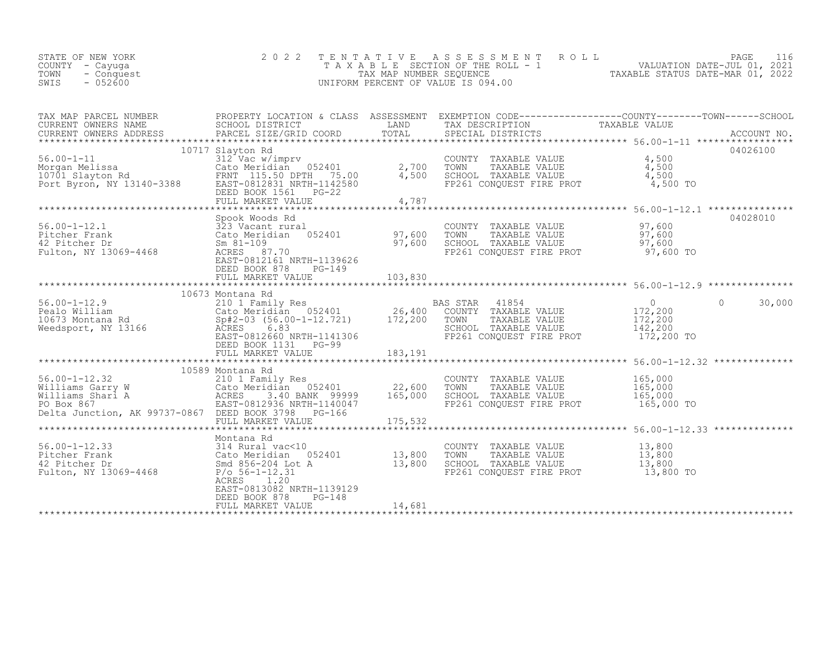| PAGE 116<br>2022 TENTATIVE ASSESSMENT ROLL<br>STATE OF NEW YORK<br>VALUATION DATE-JUL 01, 2021<br>TAXABLE SECTION OF THE ROLL - 1<br>COUNTY - Cayuqa<br>TAXABLE STATUS DATE-MAR 01, 2022<br>TOWN - Conquest<br>TAX MAP NUMBER SEOUENCE<br>$-052600$<br>SWIS<br>UNIFORM PERCENT OF VALUE IS 094.00 |  |
|---------------------------------------------------------------------------------------------------------------------------------------------------------------------------------------------------------------------------------------------------------------------------------------------------|--|
|---------------------------------------------------------------------------------------------------------------------------------------------------------------------------------------------------------------------------------------------------------------------------------------------------|--|

| TAX MAP PARCEL NUMBER                                                                                                                                                                                                                  |                           |  | PROPERTY LOCATION & CLASS ASSESSMENT EXEMPTION CODE-----------------COUNTY--------TOWN------SCHOOL |  |
|----------------------------------------------------------------------------------------------------------------------------------------------------------------------------------------------------------------------------------------|---------------------------|--|----------------------------------------------------------------------------------------------------|--|
|                                                                                                                                                                                                                                        |                           |  |                                                                                                    |  |
|                                                                                                                                                                                                                                        |                           |  |                                                                                                    |  |
|                                                                                                                                                                                                                                        |                           |  | 04028010                                                                                           |  |
| 56.00-1-12.1<br>Fitcher Frank (323 Vacant rural COUNTY TAXABLE VALUE 97,600<br>233 Vacant rural (52401 97,600 TOWN TAXABLE VALUE 97,600<br>42 Pitcher Dr Sm 81-109 97,600 SCHOOL TAXABLE VALUE 97,600<br>Fulton, NY 13069-4468 ACRES 8 | DEED BOOK 878 PG-149      |  |                                                                                                    |  |
|                                                                                                                                                                                                                                        |                           |  |                                                                                                    |  |
|                                                                                                                                                                                                                                        | DEED BOOK 1131 PG-99      |  |                                                                                                    |  |
|                                                                                                                                                                                                                                        |                           |  |                                                                                                    |  |
| 10589 Montana Rd<br>56.00-1-12.32 210 1 Family Res<br>Williams Garry W Cato Meridian 052401 22,600 TOWN TAXABLE VALUE<br>Miliams Garry W Cato Meridian 052401 22,600 TOWN TAXABLE VALUE 165,000<br>Miliams Shari A ACRES 3.40 BANK 999 |                           |  |                                                                                                    |  |
|                                                                                                                                                                                                                                        |                           |  |                                                                                                    |  |
| Montana Rd<br>56.00-1-12.33 314 Rural vac<10 Cato Meridian 052401 13,800 TOWN TAXABLE VALUE 13,800<br>42 Pitcher Dr Smd 856-204 Lot A 13,800 SCHOOL TAXABLE VALUE 13,800<br>Fulton, NY 13069-4468 P/o 56-1-12.31 120 P/o 56-1-12.31    | EAST-0813082 NRTH-1139129 |  |                                                                                                    |  |
|                                                                                                                                                                                                                                        | DEED BOOK 878<br>$PG-148$ |  |                                                                                                    |  |
|                                                                                                                                                                                                                                        |                           |  |                                                                                                    |  |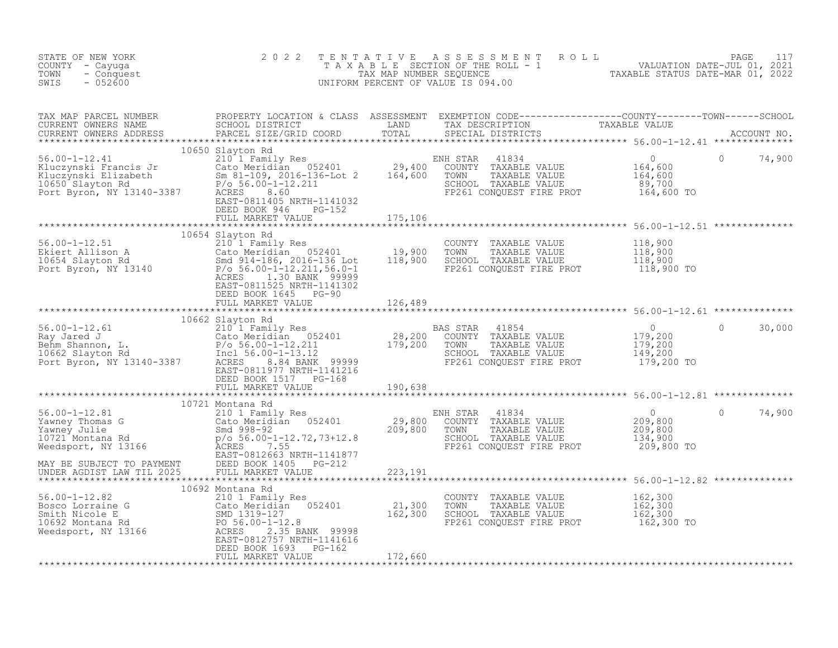| STATE OF NEW YORK<br>COUNTY - Cayuga<br>TOWN<br>- Conquest<br>$-052600$<br>SWIS                                                                                                                                                                  | 2 0 2 2                                                                   |         |                                                                                                                                                                        | TENTATIVE ASSESSMENT ROLL PACE 117<br>TAXABLE SECTION OF THE ROLL - 1 VALUATION DATE-JUL 01, 2021<br>TAX MAP NUMBER SEQUENCE TAXABLE STATUS DATE-MAR 01, 2022<br>UNIFORM PERCENT OF VALUE IS 094.00                               |
|--------------------------------------------------------------------------------------------------------------------------------------------------------------------------------------------------------------------------------------------------|---------------------------------------------------------------------------|---------|------------------------------------------------------------------------------------------------------------------------------------------------------------------------|-----------------------------------------------------------------------------------------------------------------------------------------------------------------------------------------------------------------------------------|
|                                                                                                                                                                                                                                                  |                                                                           |         |                                                                                                                                                                        | TAX MAP PARCEL NUMBER PROPERTY LOCATION & CLASS ASSESSMENT EXEMPTION CODE------------------COUNTY--------TOWN------SCHOOL CURRENT OWNERS NAME SCHOOL DISTRICT LAND TAX DESCRIPTION TAXABLE VALUE<br>CURRENT OWNERS ADDRESS PARCEL |
| 10650 Slayton Rd<br>210650 Slayton Rd<br>210650 Slayton Rd<br>29,400 COUNTY TAXABLE VALUE<br>29,400 COUNTY TAXABLE VALUE<br>29,400 COUNTY TAXABLE VALUE<br>29,400 COUNTY TAXABLE VALUE<br>29,400 COUNTY TAXABLE VALUE<br>29,400 COUNTY TAXABLE   | 10650 Slayton Rd<br>DEED BOOK 946 PG-152<br>FULL MARKET VALUE 132 175,106 |         | ENH STAR 41834<br>NH STAR 41834 0<br>COUNTY TAXABLE VALUE 164,600<br>TOWN TAXABLE VALUE 164,600<br>SCHOOL TAXABLE VALUE 164,600<br>FP261 CONQUEST FIRE PROT 164,600 TO | $\circ$<br>74,900                                                                                                                                                                                                                 |
|                                                                                                                                                                                                                                                  |                                                                           |         |                                                                                                                                                                        |                                                                                                                                                                                                                                   |
| 10654 Slayton Rd 10654 Slayton Rd 210 1 Family Res 210 1 Family Res 210 1 Family Res 210 1 Family Res 210 1 Family Res 210 1 Family Res 210 1 Family Res 210 1 Family Res 210 1 Family Res 210 1 Family Res 210 18,900<br>210 1                  | EAST-0811525 NRTH-1141302<br>DEED BOOK 1645 PG-90                         |         |                                                                                                                                                                        |                                                                                                                                                                                                                                   |
|                                                                                                                                                                                                                                                  | FULL MARKET VALUE 126,489                                                 |         |                                                                                                                                                                        |                                                                                                                                                                                                                                   |
|                                                                                                                                                                                                                                                  |                                                                           |         |                                                                                                                                                                        |                                                                                                                                                                                                                                   |
|                                                                                                                                                                                                                                                  |                                                                           |         |                                                                                                                                                                        | $\mathbf{0}$<br>30,000                                                                                                                                                                                                            |
|                                                                                                                                                                                                                                                  |                                                                           |         |                                                                                                                                                                        |                                                                                                                                                                                                                                   |
|                                                                                                                                                                                                                                                  |                                                                           |         |                                                                                                                                                                        |                                                                                                                                                                                                                                   |
|                                                                                                                                                                                                                                                  |                                                                           |         |                                                                                                                                                                        |                                                                                                                                                                                                                                   |
| 10692 Montana Rd<br>21,300 TOMN<br>Meedsport, NY 13166<br>Meedsport, NY 13166<br>Meens Parameters 2.35 BANK 99998<br>Meedsport, NY 13166<br>Meens Parameters 2.35 BANK 99998<br>Meedsport, NY 13166<br>Meedsport, NY 13166<br>Meedsport, NY 1316 | DEED BOOK 1693 PG-162                                                     |         | COUNTY TAXABLE VALUE 162,300<br>TOWN TAXABLE VALUE 162,300<br>SCHOOL TAXABLE VALUE 162,300<br>FP261 CONQUEST FIRE PROT 162,300 TO                                      |                                                                                                                                                                                                                                   |
|                                                                                                                                                                                                                                                  | FULL MARKET VALUE                                                         | 172,660 |                                                                                                                                                                        |                                                                                                                                                                                                                                   |
|                                                                                                                                                                                                                                                  |                                                                           |         |                                                                                                                                                                        |                                                                                                                                                                                                                                   |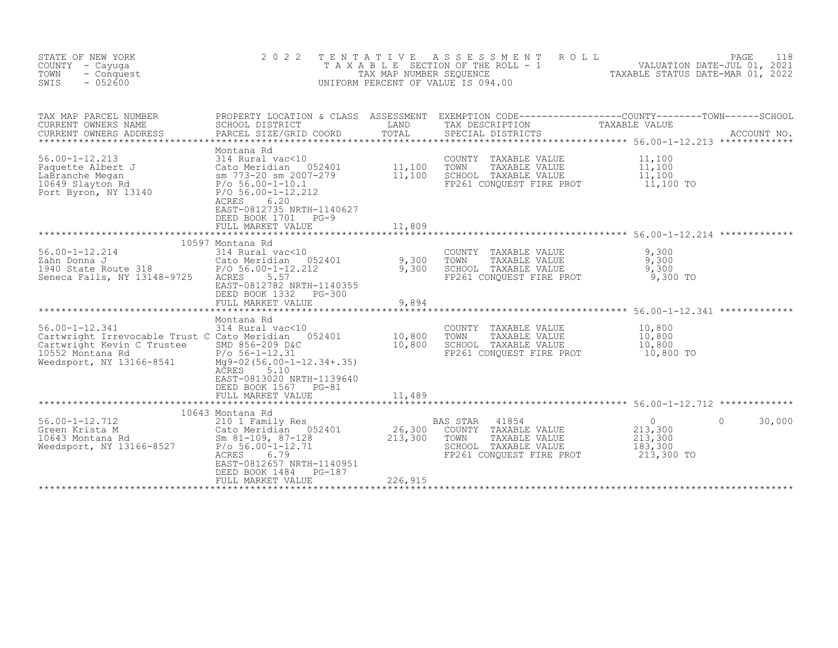| STATE OF NEW YORK<br>COUNTY - Cayuga<br>TOWN<br>- Conquest<br>SWIS<br>$-052600$                                                                                                          | 2 0 2 2<br>TAXABLE                                                                                                                                                                                                           | TENTATIVE<br>TAX MAP NUMBER SEQUENCE | A S S E S S M E N T<br>SECTION OF THE ROLL - 1<br>UNIFORM PERCENT OF VALUE IS 094.00                                   | PAGE 118<br>VALUATION DATE-JUL 01, 2021<br>TAXABLE STATUS DATE-MAD 01, 2000                                                     |
|------------------------------------------------------------------------------------------------------------------------------------------------------------------------------------------|------------------------------------------------------------------------------------------------------------------------------------------------------------------------------------------------------------------------------|--------------------------------------|------------------------------------------------------------------------------------------------------------------------|---------------------------------------------------------------------------------------------------------------------------------|
| TAX MAP PARCEL NUMBER<br>CURRENT OWNERS NAME<br>CURRENT OWNERS ADDRESS<br>***********************                                                                                        | SCHOOL DISTRICT<br>PARCEL SIZE/GRID COORD                                                                                                                                                                                    | LAND<br>TOTAL                        | TAX DESCRIPTION<br>SPECIAL DISTRICTS                                                                                   | PROPERTY LOCATION & CLASS ASSESSMENT EXEMPTION CODE----------------COUNTY-------TOWN-----SCHOOL<br>TAXABLE VALUE<br>ACCOUNT NO. |
| $56.00 - 1 - 12.213$<br>Paquette Albert J<br>LaBranche Megan<br>10649 Slayton Rd<br>Port Byron, NY 13140                                                                                 | Montana Rd<br>314 Rural vac<10<br>Cato Meridian 052401<br>sm 773-20 sm 2007-279<br>$P/O 56.00-1-10.1$<br>$P/O 56.00-1-12.212$<br>6.20<br>ACRES<br>EAST-0812735 NRTH-1140627<br>DEED BOOK 1701<br>$PG-9$<br>FULL MARKET VALUE | 11,100<br>11,100<br>11,809           | COUNTY TAXABLE VALUE<br>TOWN<br>TAXABLE VALUE<br>SCHOOL TAXABLE VALUE<br>FP261 CONQUEST FIRE PROT                      | 11,100<br>11,100<br>11,100<br>11,100 TO                                                                                         |
|                                                                                                                                                                                          |                                                                                                                                                                                                                              | ***********                          |                                                                                                                        | ******************************** 56.00-1-12.214 *************                                                                   |
| $56.00 - 1 - 12.214$<br>Zahn Donna J<br>1940 State Route 318<br>Concert Till<br>Seneca Falls, NY 13148-9725                                                                              | 10597 Montana Rd<br>314 Rural vac<10<br>Cato Meridian<br>052401<br>$P/O 56.00 - 1 - 12.212$<br>5.57<br>ACRES<br>EAST-0812782 NRTH-1140355<br>DEED BOOK 1332<br>PG-300                                                        | 9,300<br>9,300                       | COUNTY TAXABLE VALUE<br>TOWN<br>TAXABLE VALUE<br>SCHOOL TAXABLE VALUE<br>FP261 CONQUEST FIRE PROT                      | 9,300<br>9,300<br>9,300<br>9,300 TO                                                                                             |
|                                                                                                                                                                                          | FULL MARKET VALUE                                                                                                                                                                                                            | 9,894                                |                                                                                                                        |                                                                                                                                 |
|                                                                                                                                                                                          |                                                                                                                                                                                                                              |                                      |                                                                                                                        | ******************** 56.00-1-12.341 *************                                                                               |
| $56.00 - 1 - 12.341$<br>Cartwright Irrevocable Trust C Cato Meridian 052401<br>Cartwright Kevin C Trustee SMD 856-209 D&C<br>10552 Montana Rd<br>$66 - 8541$<br>Weedsport, NY 13166-8541 | Montana Rd<br>314 Rural vac<10<br>$P/O 56-1-12.31$<br>$Mq9-02(56.00-1-12.34+.35)$<br>ACRES<br>5.10<br>EAST-0813020 NRTH-1139640                                                                                              | 10,800<br>10,800                     | COUNTY TAXABLE VALUE<br>TOWN<br>TAXABLE VALUE<br>SCHOOL TAXABLE VALUE<br>FP261 CONQUEST FIRE PROT                      | 10,800<br>10,800<br>10,800<br>10,800 TO                                                                                         |
|                                                                                                                                                                                          | DEED BOOK 1567<br>PG-81<br>FULL MARKET VALUE                                                                                                                                                                                 | 11,489                               |                                                                                                                        | ******************************** 56.00-1-12.712 **************                                                                  |
|                                                                                                                                                                                          | 10643 Montana Rd                                                                                                                                                                                                             |                                      |                                                                                                                        |                                                                                                                                 |
| $56.00 - 1 - 12.712$<br>Green Krista M<br>10643 Montana Rd<br>Weedsport, NY 13166-8527                                                                                                   | 210 1 Family Res<br>Cato Meridian 052401<br>Sm 81-109, 87-128<br>$P/O 56.00 - 1 - 12.71$<br>ACRES<br>6.79<br>EAST-0812657 NRTH-1140951                                                                                       | 26,300<br>213,300                    | 41854<br>BAS STAR<br>COUNTY TAXABLE VALUE<br>TOWN<br>TAXABLE VALUE<br>SCHOOL TAXABLE VALUE<br>FP261 CONQUEST FIRE PROT | $\overline{0}$<br>$\Omega$<br>30,000<br>213,300<br>213,300<br>183,300<br>213,300 TO                                             |
|                                                                                                                                                                                          | PG-187<br>DEED BOOK 1484<br>FULL MARKET VALUE                                                                                                                                                                                | 226,915                              |                                                                                                                        |                                                                                                                                 |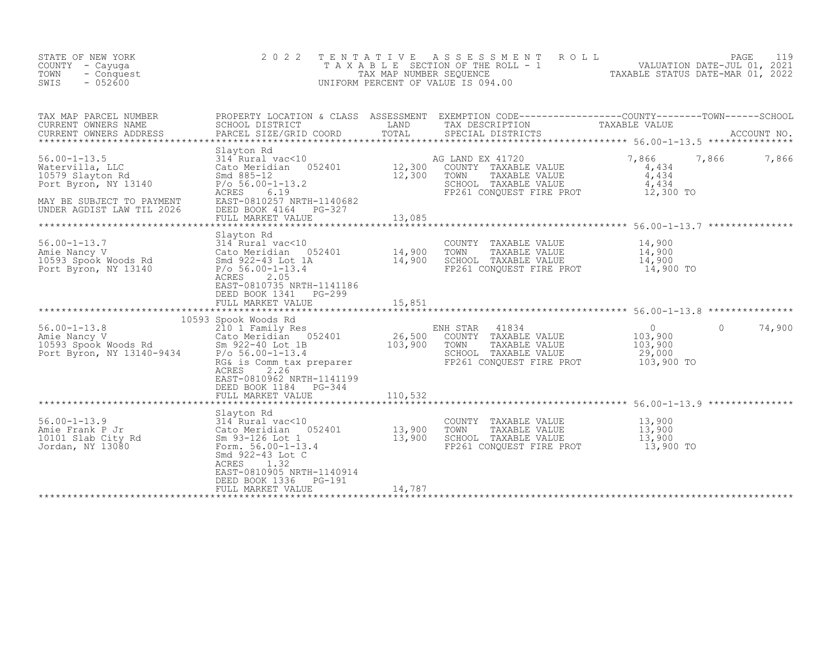| STATE OF NEW YORK<br>COUNTY - Cayuga<br>TOWN<br>- Conquest<br>SWIS<br>$-052600$                                                                                         | 2 0 2 2                                                                                                                                                                                                                            |                          | TENTATIVE ASSESSMENT<br>PAGE 119<br>TAXABLE SECTION OF THE ROLL - 1 VALUATION DATE-JUL 01, 2021<br>TAX MAP NUMBER SEQUENCE TAXABLE STATUS DATE-MAR 01, 2022<br>JNIFORM PERCENT OF VALUE IS 094.00<br>UNIFORM PERCENT OF VALUE IS 094.00 |                                                                                                             |             |
|-------------------------------------------------------------------------------------------------------------------------------------------------------------------------|------------------------------------------------------------------------------------------------------------------------------------------------------------------------------------------------------------------------------------|--------------------------|-----------------------------------------------------------------------------------------------------------------------------------------------------------------------------------------------------------------------------------------|-------------------------------------------------------------------------------------------------------------|-------------|
| TAX MAP PARCEL NUMBER<br>CURRENT OWNERS NAME<br>CURRENT OWNERS ADDRESS<br>************************                                                                      | SCHOOL DISTRICT<br>PARCEL SIZE/GRID COORD                                                                                                                                                                                          | LAND<br>TOTAL            | PROPERTY LOCATION & CLASS ASSESSMENT EXEMPTION CODE----------------COUNTY-------TOWN-----SCHOOL<br>TAX DESCRIPTION<br>SPECIAL DISTRICTS                                                                                                 | TAXABLE VALUE                                                                                               | ACCOUNT NO. |
| $56.00 - 1 - 13.5$<br>Watervilla, LLC<br>10579 Slayton Rd<br>Port Byron, NY 13140<br>MAY BE SUBJECT TO PAYMENT<br>UNDER AGDIST LAW TIL 2026                             | Slayton Rd<br>$314$ Rural vac $\lt10$<br>314 Rural vac<10<br>Cato Meridian 052401 12,300<br>And 885-12 12,300<br>$P/O 56.00-1-13.2$<br>ACRES<br>6.19<br>EAST-0810257 NRTH-1140682<br>DEED BOOK 4164<br>PG-327<br>FULL MARKET VALUE | 13,085                   | AG LAND EX 41720<br>COUNTY TAXABLE VALUE<br>TOWN<br>TAXABLE VALUE<br>SCHOOL TAXABLE VALUE<br>FP261 CONQUEST FIRE PROT                                                                                                                   | 7,866<br>7,866<br>4,434<br>4,434<br>4,434<br>12,300 TO                                                      | 7,866       |
| 56.00-1-13.7 314 Rural vac<10<br>Amie Nancy V Cato Meridian 052401 14,900<br>10593 Spook Woods Rd Smd 922-43 Lot 1A 14,900<br>Port Byron, NY 13140 $P/O = 56.00-1-13.4$ | Slayton Rd<br>314 Rural vac<10                                                                                                                                                                                                     | *************            | COUNTY TAXABLE VALUE<br>TAXABLE VALUE<br>TOWN<br>SCHOOL TAXABLE VALUE<br>FP261 CONOUEST FIRE PROT                                                                                                                                       | *********************************** 56.00-1-13.7 ***************<br>14,900<br>14,900<br>14,900<br>14,900 TO |             |
|                                                                                                                                                                         | 2.05<br>ACRES<br>EAST-0810735 NRTH-1141186<br>DEED BOOK 1341<br>PG-299<br>FULL MARKET VALUE                                                                                                                                        | 15,851<br>*************  |                                                                                                                                                                                                                                         | ******************************** 56.00-1-13.8 ***************                                               |             |
| $56.00 - 1 - 13.8$<br>56.00-1-13.8<br>Amie Nancy V<br>10593 Spook Woods Rd<br>Port Byron, NY 13140-9434                                                                 | 10593 Spook Woods Rd<br>210 1 Family Res<br>Cato Meridian 052401<br>Sm 922-40 Lot 1B<br>P/o 56.00-1-13.4<br>RG& is Comm tax preparer                                                                                               | $\frac{26,500}{103,900}$ | ENH STAR 41834<br>COUNTY TAXABLE VALUE<br>TOWN<br>TAXABLE VALUE<br>SCHOOL TAXABLE VALUE<br>FP261 CONQUEST FIRE PROT                                                                                                                     | $\overline{0}$<br>$\Omega$<br>103,900<br>103,900<br>29,000<br>103,900 TO                                    | 74,900      |
|                                                                                                                                                                         | ACRES<br>2.26<br>EAST-0810962 NRTH-1141199<br>DEED BOOK 1184 PG-344<br>FULL MARKET VALUE                                                                                                                                           | 110,532                  |                                                                                                                                                                                                                                         |                                                                                                             |             |
| $56.00 - 1 - 13.9$<br>Amie Frank P Jr<br>10101 Slab City Rd<br>Jordan, NY 13080                                                                                         | Slayton Rd<br>314 Rural vac<10<br>Cato Meridian 052401<br>Sm 93-126 Lot 1<br>Form. $56.00 - 1 - 13.4$<br>Smd 922-43 Lot C<br>1.32<br>ACRES<br>EAST-0810905 NRTH-1140914                                                            | 13,900<br>13,900         | COUNTY TAXABLE VALUE<br>TOWN<br>TAXABLE VALUE<br>SCHOOL TAXABLE VALUE<br>FP261 CONQUEST FIRE PROT                                                                                                                                       | 13,900<br>13,900<br>13,900<br>13,900 TO                                                                     |             |
|                                                                                                                                                                         | DEED BOOK 1336<br>PG-191<br>FULL MARKET VALUE                                                                                                                                                                                      | 14,787                   |                                                                                                                                                                                                                                         |                                                                                                             |             |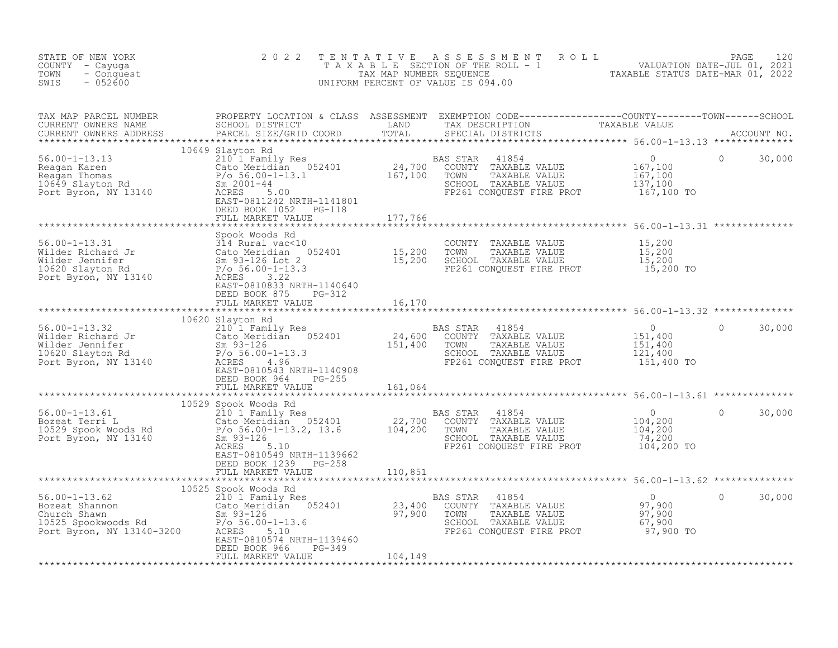| STATE OF NEW YORK<br>COUNTY - Cayuga<br>- Conquest<br>TOWN<br>$-052600$<br>SWIS                                                                                                                                                                                                                                                                                                                                                    | 2 0 2 2 | TENTATIVE ASSESSMENT ROLL PACE 120<br>TAXABLE SECTION OF THE ROLL - 1 VALUATION DATE-JUL 01, 2021<br>TAX MAP NUMBER SEQUENCE TAXABLE STATUS DATE-MAR 01, 2022<br>UNIFORM PERCENT OF VALUE IS 094.00 |                    |
|------------------------------------------------------------------------------------------------------------------------------------------------------------------------------------------------------------------------------------------------------------------------------------------------------------------------------------------------------------------------------------------------------------------------------------|---------|-----------------------------------------------------------------------------------------------------------------------------------------------------------------------------------------------------|--------------------|
|                                                                                                                                                                                                                                                                                                                                                                                                                                    |         |                                                                                                                                                                                                     |                    |
| 10649 SIRICAL MARKET VALUE<br>FRANCISCO CONTRACT CONSULT FOR THE PROT<br>Reagan Karen Mars (10649 SIRICAL MARKET VALUE POLIC MARKET VALUE NEXT-100<br>POLIC MARKET VALUE 2017<br>FRANCISCO CONSULT TAXABLE VALUE 167,100<br>POLIC BYTON,                                                                                                                                                                                           |         |                                                                                                                                                                                                     | $\Omega$<br>30,000 |
|                                                                                                                                                                                                                                                                                                                                                                                                                                    |         |                                                                                                                                                                                                     |                    |
|                                                                                                                                                                                                                                                                                                                                                                                                                                    |         |                                                                                                                                                                                                     |                    |
|                                                                                                                                                                                                                                                                                                                                                                                                                                    |         |                                                                                                                                                                                                     |                    |
|                                                                                                                                                                                                                                                                                                                                                                                                                                    |         |                                                                                                                                                                                                     |                    |
| $\begin{tabular}{l cccc} \texttt{M} & \texttt{M} & \texttt{M} & \texttt{M} & \texttt{M} & \texttt{M} & \texttt{M} & \texttt{M} & \texttt{M} & \texttt{M} & \texttt{M} & \texttt{M} & \texttt{M} & \texttt{M} & \texttt{M} & \texttt{M} & \texttt{M} & \texttt{M} & \texttt{M} & \texttt{M} & \texttt{M} & \texttt{M} & \texttt{M} & \texttt{M} & \texttt{M} & \texttt{M} & \texttt{M} & \texttt{M} & \texttt{M} & \texttt{M} &$    |         |                                                                                                                                                                                                     |                    |
|                                                                                                                                                                                                                                                                                                                                                                                                                                    |         |                                                                                                                                                                                                     |                    |
|                                                                                                                                                                                                                                                                                                                                                                                                                                    |         |                                                                                                                                                                                                     |                    |
|                                                                                                                                                                                                                                                                                                                                                                                                                                    |         |                                                                                                                                                                                                     |                    |
| $\begin{tabular}{l cccc} \textbf{EBD BON} \textbf{D}\textbf{EED BONR} \textbf{D}\textbf{EED BONR} \textbf{D}\textbf{EED BONR} \textbf{D}\textbf{EED BONR} \textbf{D}\textbf{EED BONR} \textbf{D}\textbf{EED BONR} \textbf{D}\textbf{EED BONR} \textbf{D}\textbf{ECED} \textbf{D}\textbf{D}\textbf{ECED} \textbf{D}\textbf{D}\textbf{ECED} \textbf{D}\textbf{D}\textbf{ECED} \textbf{D}\textbf{D}\textbf{ECED} \textbf{D}\textbf{D$ |         |                                                                                                                                                                                                     |                    |
|                                                                                                                                                                                                                                                                                                                                                                                                                                    |         |                                                                                                                                                                                                     |                    |
|                                                                                                                                                                                                                                                                                                                                                                                                                                    |         |                                                                                                                                                                                                     |                    |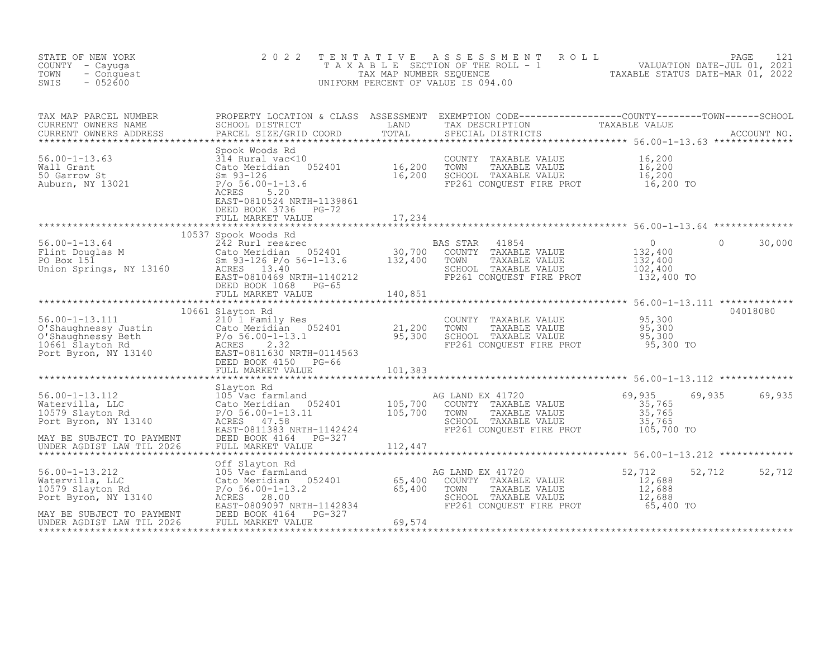| STATE OF NEW YORK<br>COUNTY - Cayuga<br>- Conquest<br>TOWN<br>$-052600$<br>SWIS                                                                                                                                                                                                                                                                           | 2022                 |        | TENTATIVE ASSESSMENT ROLL PAGE 121<br>TAXABLE SECTION OF THE ROLL - 1 VALUATION DATE-JUL 01, 2021<br>TAX MAP NUMBER SEQUENCE TAXABLE STATUS DATE-MAR 01, 2022<br>UNIFORM PERCENT OF VALUE IS 094.00 |               |
|-----------------------------------------------------------------------------------------------------------------------------------------------------------------------------------------------------------------------------------------------------------------------------------------------------------------------------------------------------------|----------------------|--------|-----------------------------------------------------------------------------------------------------------------------------------------------------------------------------------------------------|---------------|
| TAX MAP PARCEL NUMBER PROPERTY LOCATION & CLASS ASSESSMENT EXEMPTION CODE-----------------COUNTY--------TOWN------SCHOOL CURRENT OWNERS NAME SCHOOL DISTRICT LAND TAX DESCRIPTION TAXABLE VALUE<br>CURRENT OWNERS ADDRESS PARCEL                                                                                                                          |                      |        |                                                                                                                                                                                                     |               |
| 36.00-1-13.63<br>314 Rural vac<10<br>2000 Mall Grant<br>2000 Mall Grant<br>2000 Mall Grant<br>2000 Mall Grant<br>2000 Mall Grant<br>2000 Mall Grant<br>2000 Mall Grant<br>2000 Mall Grant<br>2000 Mall Crane 16,200<br>2000 Mall Crane 16,200<br>2000                                                                                                     |                      |        |                                                                                                                                                                                                     |               |
|                                                                                                                                                                                                                                                                                                                                                           | FULL MARKET VALUE    | 17,234 |                                                                                                                                                                                                     |               |
|                                                                                                                                                                                                                                                                                                                                                           | 10537 Spook Woods Rd |        |                                                                                                                                                                                                     |               |
|                                                                                                                                                                                                                                                                                                                                                           |                      |        |                                                                                                                                                                                                     |               |
| $\begin{tabular}{lllllll} 56.00-1-13.111 & 10661 Slayton Rd & 200NITY TAXABLE VALUE & 95,300 & 04018080 \\ 0'shaughnessy Justin & 210 & 17 ramily Res & 21,200 TOWN & TAXABLE VALUE & 95,300 \\ 0'shaughnessy Beth & P/o & 56.00-1-13.1 & 95,300 \\ 10661 Slayton Rd & P/o & 56.00-1-13.1 & 0.061 Suyton, NY 13140 & 23.32 & 2.32 \\ 10661 Suyton, NY 13$ | 10661 Slayton Rd     |        |                                                                                                                                                                                                     | 04018080      |
|                                                                                                                                                                                                                                                                                                                                                           |                      |        |                                                                                                                                                                                                     |               |
|                                                                                                                                                                                                                                                                                                                                                           |                      |        |                                                                                                                                                                                                     |               |
|                                                                                                                                                                                                                                                                                                                                                           |                      |        |                                                                                                                                                                                                     | 69,935 69,935 |
|                                                                                                                                                                                                                                                                                                                                                           |                      |        |                                                                                                                                                                                                     |               |
|                                                                                                                                                                                                                                                                                                                                                           |                      |        |                                                                                                                                                                                                     | 52,712 52,712 |
|                                                                                                                                                                                                                                                                                                                                                           |                      |        |                                                                                                                                                                                                     |               |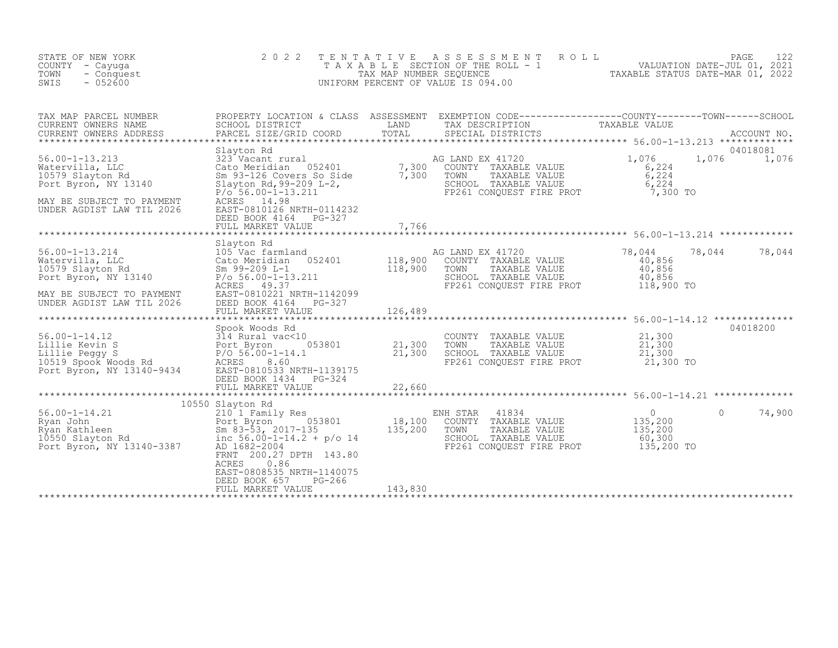| STATE OF NEW YORK<br>COUNTY - Cayuga<br>TOWN<br>- Conquest<br>$-052600$<br>SWIS                                                               | 2 0 2 2<br>TAXABLE                                                                                                                                                                                                                                                             | TENTATIVE<br>TAX MAP NUMBER SEQUENCE   | ASSESSMENT<br>ROLL<br>SECTION OF THE ROLL - 1<br>UNIFORM PERCENT OF VALUE IS 094.00                                                     |                                                              | PAGE<br>122<br>VALUATION DATE-JUL 01, 2021<br>TAXABLE STATUS DATE-MAR 01, 2022 |
|-----------------------------------------------------------------------------------------------------------------------------------------------|--------------------------------------------------------------------------------------------------------------------------------------------------------------------------------------------------------------------------------------------------------------------------------|----------------------------------------|-----------------------------------------------------------------------------------------------------------------------------------------|--------------------------------------------------------------|--------------------------------------------------------------------------------|
| TAX MAP PARCEL NUMBER<br>CURRENT OWNERS NAME<br>CURRENT OWNERS ADDRESS<br>******************************                                      | SCHOOL DISTRICT<br>PARCEL SIZE/GRID COORD                                                                                                                                                                                                                                      | LAND<br>TOTAL                          | PROPERTY LOCATION & CLASS ASSESSMENT EXEMPTION CODE----------------COUNTY-------TOWN-----SCHOOL<br>TAX DESCRIPTION<br>SPECIAL DISTRICTS | TAXABLE VALUE                                                | ACCOUNT NO.                                                                    |
| $56.00 - 1 - 13.213$<br>Watervilla, LLC<br>10579 Slayton Rd<br>Port Byron, NY 13140<br>MAY BE SUBJECT TO PAYMENT<br>UNDER AGDIST LAW TIL 2026 | Slayton Rd<br>323 Vacant rural<br>Cato Meridian 052401<br>Sm 93-126 Covers So Side<br>Slayton Rd, 99-209 $L-2$ ,<br>$P/O$ 56.00-1-13.211<br>ACRES 14.98<br>EAST-0810126 NRTH-0114232<br>DEED BOOK 4164 PG-327<br>FULL MARKET VALUE                                             | $\frac{7}{7}$ , 300<br>7, 300<br>7,766 | AG LAND EX 41720<br>COUNTY TAXABLE VALUE<br>TOWN<br>TAXABLE VALUE<br>SCHOOL TAXABLE VALUE<br>FP261 CONQUEST FIRE PROT                   | 1,076<br>6,224<br>6,224<br>6,224<br>7,300 TO                 | 04018081<br>1,076<br>1,076                                                     |
| $56.00 - 1 - 13.214$<br>Watervilla, LLC<br>10579 Slayton Rd<br>Port Byron, NY 13140<br>MAY BE SUBJECT TO PAYMENT<br>UNDER AGDIST LAW TIL 2026 | Slayton Rd<br>105 Vac farmland<br>052401<br>Cato Meridian<br>$Sm$ 99-209 $L-1$<br>$P/O 56.00 - 1 - 13.211$<br>ACRES 49.37<br>EAST-0810221 NRTH-1142099<br>DEED BOOK 4164 PG-327<br>FULL MARKET VALUE                                                                           | 118,900<br>118,900<br>126,489          | AG LAND EX 41720<br>COUNTY TAXABLE VALUE<br>TOWN<br>TAXABLE VALUE<br>SCHOOL TAXABLE VALUE<br>FP261 CONQUEST FIRE PROT                   | 78,044<br>40,856<br>40,856<br>40,856<br>118,900 TO           | 78,044<br>78,044                                                               |
| $56.00 - 1 - 14.12$<br>ob.UU-1-14.12<br>Lillie Kevin S<br>Lillie Peggy S<br>10519 Spook Woods Rd<br>Port Byron, NY 13140-9434                 | Spook Woods Rd<br>314 Rural vac<10<br>053801<br>Port Byron<br>$P/O 56.00 - 1 - 14.1$<br>8.60<br>ACRES<br>EAST-0810533 NRTH-1139175<br>DEED BOOK 1434<br>PG-324<br>FULL MARKET VALUE                                                                                            | 21,300<br>21,300<br>22,660             | COUNTY<br>TAXABLE VALUE<br>TOWN<br>TAXABLE VALUE<br>SCHOOL TAXABLE VALUE<br>FP261 CONQUEST FIRE PROT                                    | 21,300<br>21,300<br>21,300<br>21,300 TO                      | 04018200                                                                       |
| $56.00 - 1 - 14.21$<br>Ryan John<br>Ryan Kathleen<br>10550 Slayton Rd<br>Port Byron, NY 13140-3387                                            | 10550 Slayton Rd<br>210 1 Family Res<br>053801<br>Port Byron<br>Sm $83-\overline{5}3$ , $2017-135$<br>inc $56.00 - 1 - 14.2 + p/o$ 14<br>AD 1682-2004<br>FRNT 200.27 DPTH 143.80<br>0.86<br>ACRES<br>EAST-0808535 NRTH-1140075<br>DEED BOOK 657<br>PG-266<br>FULL MARKET VALUE | 18,100<br>135,200<br>143,830           | ENH STAR<br>41834<br>COUNTY<br>TAXABLE VALUE<br>TOWN<br>TAXABLE VALUE<br>SCHOOL TAXABLE VALUE<br>FP261 CONQUEST FIRE PROT               | $\overline{0}$<br>135,200<br>135,200<br>60,300<br>135,200 TO | 74,900<br>$\Omega$                                                             |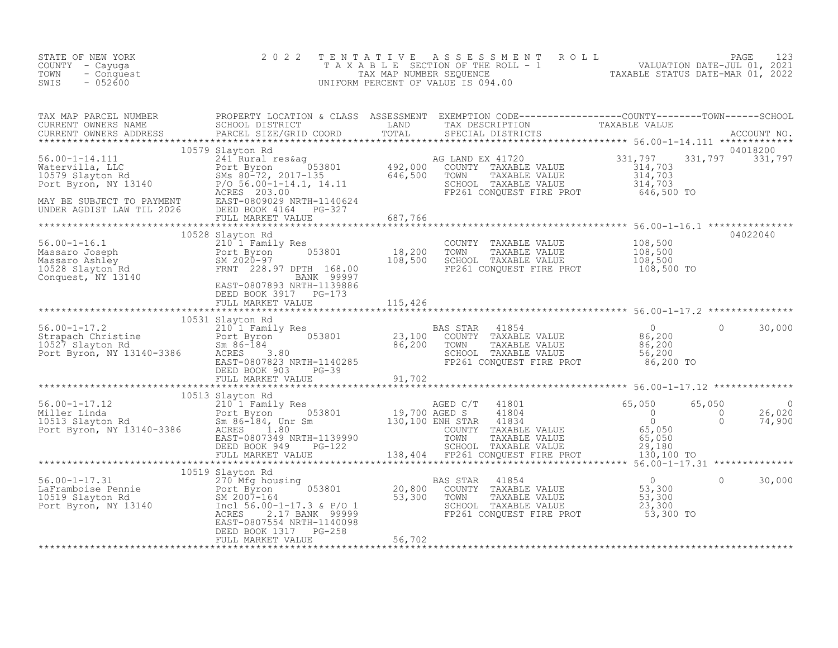| STATE OF NEW YORK<br>COUNTY - Cayuga<br>TOWN<br>- Conquest<br>SWIS<br>$-052600$                                                                                                                                                                                                                                                                                                                                                                                                     | 2 0 2 2                                                      |         | $\begin{tabular}{lllllllllllll} $\begin{array}{l} \multicolumn{4}{c}{\begin{tabular}{c} $\Gamma$ & $\lambda$ & $\lambda$ & $\lambda$ & $\lambda$ & $\lambda$ \\ $\Gamma$ & $\lambda$ & $\lambda$ & $\beta$ & $\text{L}$ & $\text{E} \end{tabular} & $\text{CFT} \end{tabular} & $\text{R}$ & $\text{R}$ & $\text{R}$ & $\text{R}$ & $\text{VALUATION} & $\text{DATE--JUL}$ & $\text{01, 2021}$ \\ $\text{TAX} $\text{MAP} $\text{ NUMBER} $\text{SEQUENCE}$ & $\text{ROLL} = 1$ & $\text{VALUATION} $\text{DATE-ML01, $ |                                                  |                 |          |
|-------------------------------------------------------------------------------------------------------------------------------------------------------------------------------------------------------------------------------------------------------------------------------------------------------------------------------------------------------------------------------------------------------------------------------------------------------------------------------------|--------------------------------------------------------------|---------|-------------------------------------------------------------------------------------------------------------------------------------------------------------------------------------------------------------------------------------------------------------------------------------------------------------------------------------------------------------------------------------------------------------------------------------------------------------------------------------------------------------------------|--------------------------------------------------|-----------------|----------|
| TAX MAP PARCEL NUMBER PROPERTY LOCATION & CLASS ASSESSMENT EXEMPTION CODE-----------------COUNTY--------TOWN-----SCHOOL CURRENT OWNERS NAME SCHOOL DISTRICT LAND TAX DESCRIPTION TAXABLE VALUE<br>CURRENT OWNERS ADDRESS PARCEL S                                                                                                                                                                                                                                                   |                                                              |         |                                                                                                                                                                                                                                                                                                                                                                                                                                                                                                                         |                                                  |                 |          |
| 10579 Siayton Rd 2013 2013<br>Matervilla, LLC 2013 2492,000 COUNTY TAXABLE VALUE 2013 2492,000 COUNTY TAXABLE VALUE 2013 214,703<br>2013 2017 135<br>2017 Byron, NY 13140<br>2016 500 2017-135<br>2017-135<br>2017-135<br>2017-135<br>2017-135<br>000101 11 2020 – 11 2020 – 1<br>FULL MARKET VALUE – 687,766 – 687,766 – 687,786 – 687,786 – 687,786 – 687,786 – 688 – 688 – 688 – 687,786 – 687,786 – 688 – 688 – 688 – 688 – 688 – 688 – 688 – 688 – 688 – 688 – 688 – 688 – 688 | 10579 Slayton Rd                                             |         |                                                                                                                                                                                                                                                                                                                                                                                                                                                                                                                         |                                                  | 331,797 331,797 | 04018200 |
| 10528 Siayton Kd<br>Massaro Joseph Port Byron 053801 18,200<br>Massaro Ashley BM 2020-97 10528 Slayton Rd<br>Conquest, NY 13140 EAST-0807893 NRTH-1139886<br>EAST-0807893 NRTH-1139886<br>PORT BOOK 3017 PORT 1139886                                                                                                                                                                                                                                                               | 10528 Slayton Rd<br>DEED BOOK 3917 PG-173                    |         | COUNTY TAXABLE VALUE<br>TAXABLE VALUE<br>TOWN<br>SCHOOL TAXABLE VALUE                                                                                                                                                                                                                                                                                                                                                                                                                                                   | 108,500<br>108,500<br>108,500                    |                 | 04022040 |
|                                                                                                                                                                                                                                                                                                                                                                                                                                                                                     | FULL MARKET VALUE                                            | 115,426 |                                                                                                                                                                                                                                                                                                                                                                                                                                                                                                                         |                                                  |                 |          |
| 10531 Slayton Rd<br>210531 Slayton Rd<br>23,100 COUNTY TAXABLE VALUE 10527 Slayton Rd<br>23,100 COUNTY TAXABLE VALUE 86,200<br>10527 Slayton Rd<br>23,100 COUNTY TAXABLE VALUE 86,200<br>23,100 COUNTY TAXABLE VALUE 86,200<br>23,100 COUNTY                                                                                                                                                                                                                                        | 10531 Slayton Rd<br>DEED BOOK 903 PG-39<br>FULL MARKET VALUE | 91,702  | TOWN TAXABLE VALUE 06,200<br>SCHOOL TAXABLE VALUE 56,200<br>FP261 CONQUEST FIRE PROT 86,200 TO                                                                                                                                                                                                                                                                                                                                                                                                                          | $\overline{0}$                                   | $\Omega$        | 30,000   |
|                                                                                                                                                                                                                                                                                                                                                                                                                                                                                     |                                                              |         |                                                                                                                                                                                                                                                                                                                                                                                                                                                                                                                         |                                                  |                 |          |
| $\begin{array}{cccccccc} 56.00-1-17.12 & 10513 \; \text{Slayton Rd} & 210 & 10513 \; \text{Slayton Rd} & 210 & 0 & 26,020 \\ & 2101 & \text{Family Res} & 19,700 \; \text{AGED C/T} & 41801 & 65,050 & 65,050 & 0 \\ & 201 & \text{Family Res} & 19,700 \; \text{AGED S} & 41804 & 0 & 0 & 26,020 \\ 10513 \; \text{Slayton Rd} & \text{Sm 86--18$                                                                                                                                  | 10513 Slayton Rd                                             |         |                                                                                                                                                                                                                                                                                                                                                                                                                                                                                                                         |                                                  |                 |          |
| 10015 10016 10016 10016 10016 10016 10016 1016 1016 1016 1016 1016 1016 1016 1016 1016 1016 1016 1016 1016 10<br>Ext Byron 053801 10519 Slayton Rd BM 2007-164 53,300<br>Port Byron, NY 13140 1ncl 56.00-1-17.3 & P/O 1 56,300                                                                                                                                                                                                                                                      | 10519 Slayton Rd                                             |         | BAS STAR 41854<br>COUNTY TAXABLE VALUE<br>TOWN<br>TAXABLE VALUE<br>SCHOOL TAXABLE VALUE                                                                                                                                                                                                                                                                                                                                                                                                                                 | $\overline{0}$<br>$53,300$<br>$53,300$<br>23,300 | $\Omega$        | 30,000   |

DEED BOOK 1317 PG-258 FULL MARKET VALUE 56,702 \*\*\*\*\*\*\*\*\*\*\*\*\*\*\*\*\*\*\*\*\*\*\*\*\*\*\*\*\*\*\*\*\*\*\*\*\*\*\*\*\*\*\*\*\*\*\*\*\*\*\*\*\*\*\*\*\*\*\*\*\*\*\*\*\*\*\*\*\*\*\*\*\*\*\*\*\*\*\*\*\*\*\*\*\*\*\*\*\*\*\*\*\*\*\*\*\*\*\*\*\*\*\*\*\*\*\*\*\*\*\*\*\*\*\*\*\*\*\*\*\*\*\*\*\*\*\*\*\*\*\*\*

ACRES 2.17 BANK 99999 PRESERVIER FIRE PROT 53,300 TO

EAST-0807554 NRTH-1140098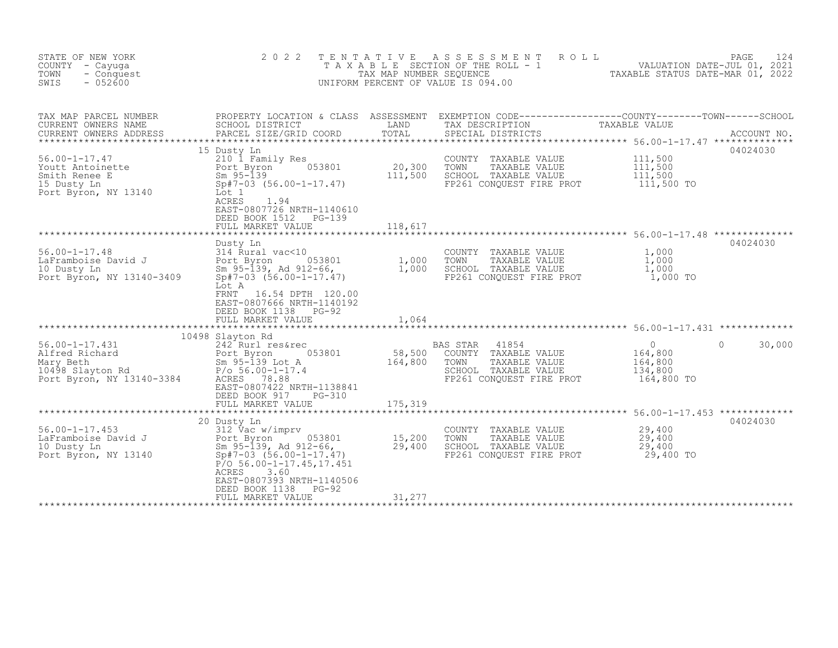| STATE OF NEW YORK<br>COUNTY - Cayuqa<br>TOWN<br>- Conquest<br>$-052600$<br>SWIS                      | 2 0 2 2                                                                                                                                                                                                    | T E N T A T I V E<br>TAX MAP NUMBER SEQUENCE | A S S E S S M E N T<br>ROLL<br>T A X A B L E SECTION OF THE ROLL - 1<br>UNIFORM PERCENT OF VALUE IS 094.00                             | 24 - FAGE<br>2021 VALUATION DATE-JUL<br>2021 - TAXARLE STATIS DATE MARL CA | PAGE<br>124        |
|------------------------------------------------------------------------------------------------------|------------------------------------------------------------------------------------------------------------------------------------------------------------------------------------------------------------|----------------------------------------------|----------------------------------------------------------------------------------------------------------------------------------------|----------------------------------------------------------------------------|--------------------|
| TAX MAP PARCEL NUMBER<br>CURRENT OWNERS NAME<br>CURRENT OWNERS ADDRESS                               | SCHOOL DISTRICT<br>PARCEL SIZE/GRID COORD                                                                                                                                                                  | LAND<br>TOTAL                                | PROPERTY LOCATION & CLASS ASSESSMENT EXEMPTION CODE---------------COUNTY-------TOWN-----SCHOOL<br>TAX DESCRIPTION<br>SPECIAL DISTRICTS | TAXABLE VALUE                                                              | ACCOUNT NO.        |
| $56.00 - 1 - 17.47$<br>Youtt Antoinette<br>Smith Renee E<br>15 Dusty Ln<br>Port Byron, NY 13140      | 15 Dusty Ln<br>210 1 Family Res<br>053801<br>Port Byron<br>$Sm$ 95-139<br>$Sp#7-03$ $(56.00-1-17.47)$<br>Lot 1<br>ACRES<br>1.94<br>EAST-0807726 NRTH-1140610<br>DEED BOOK 1512 PG-139<br>FULL MARKET VALUE | 20,300<br>111,500                            | COUNTY TAXABLE VALUE<br>TAXABLE VALUE<br>TOWN<br>SCHOOL TAXABLE VALUE<br>FP261 CONQUEST FIRE PROT                                      | 111,500<br>111,500<br>111,500<br>111,500 TO                                | 04024030           |
|                                                                                                      |                                                                                                                                                                                                            | 118,617                                      |                                                                                                                                        |                                                                            |                    |
| $56.00 - 1 - 17.48$<br>LaFramboise David J<br>10 Dusty Ln<br>Port Byron, NY 13140-3409               | Dusty Ln<br>314 Rural vac<10<br>053801<br>Port Byron<br>Sm 95-139, Ad 912-66,<br>$Sp#7-03$ $(56.00-1-17.47)$<br>Lot A<br>16.54 DPTH 120.00<br>FRNT<br>EAST-0807666 NRTH-1140192<br>DEED BOOK 1138 PG-92    | 1,000<br>1,000                               | COUNTY TAXABLE VALUE<br>TOWN<br>TAXABLE VALUE<br>SCHOOL TAXABLE VALUE<br>FP261 CONQUEST FIRE PROT                                      | 1,000<br>1,000<br>1,000<br>1,000 TO                                        | 04024030           |
|                                                                                                      | FULL MARKET VALUE                                                                                                                                                                                          | 1,064                                        |                                                                                                                                        |                                                                            |                    |
| $56.00 - 1 - 17.431$<br>Alfred Richard<br>Mary Beth<br>10498 Slayton Rd<br>Port Byron, NY 13140-3384 | 10498 Slayton Rd<br>242 Rurl res&rec<br>053801<br>Port Byron<br>Sm 95-139 Lot A<br>$P/O 56.00 - 1 - 17.4$<br>ACRES 78.88<br>EAST-0807422 NRTH-1138841<br>DEED BOOK 917<br>PG-310<br>FULL MARKET VALUE      | 58,500<br>164,800<br>175,319                 | 41854<br>BAS STAR<br>COUNTY TAXABLE VALUE<br>TOWN<br>TAXABLE VALUE<br>SCHOOL TAXABLE VALUE<br>FP261 CONQUEST FIRE PROT                 | $\circ$<br>164,800<br>164,800<br>134,800<br>164,800 TO                     | $\Omega$<br>30,000 |
|                                                                                                      |                                                                                                                                                                                                            |                                              |                                                                                                                                        |                                                                            |                    |
| $56.00 - 1 - 17.453$<br>LaFramboise David J<br>10 Dusty Ln<br>Port Byron, NY 13140                   | 20 Dusty Ln<br>312 Vac w/imprv<br>053801<br>Port Byron<br>Sm 95-139, Ad 912-66,<br>$Sp#7-03$ $(56.00-1-17.47)$<br>$P/O 56.00-1-17.45,17.451$<br>ACRES<br>3.60<br>EAST-0807393 NRTH-1140506                 | 15,200<br>29,400                             | COUNTY TAXABLE VALUE<br>TOWN<br>TAXABLE VALUE<br>SCHOOL TAXABLE VALUE<br>FP261 CONQUEST FIRE PROT                                      | 29,400<br>29,400<br>29,400<br>29,400 TO                                    | 04024030           |
|                                                                                                      | DEED BOOK 1138<br>PG-92<br>FULL MARKET VALUE                                                                                                                                                               | 31,277                                       |                                                                                                                                        |                                                                            |                    |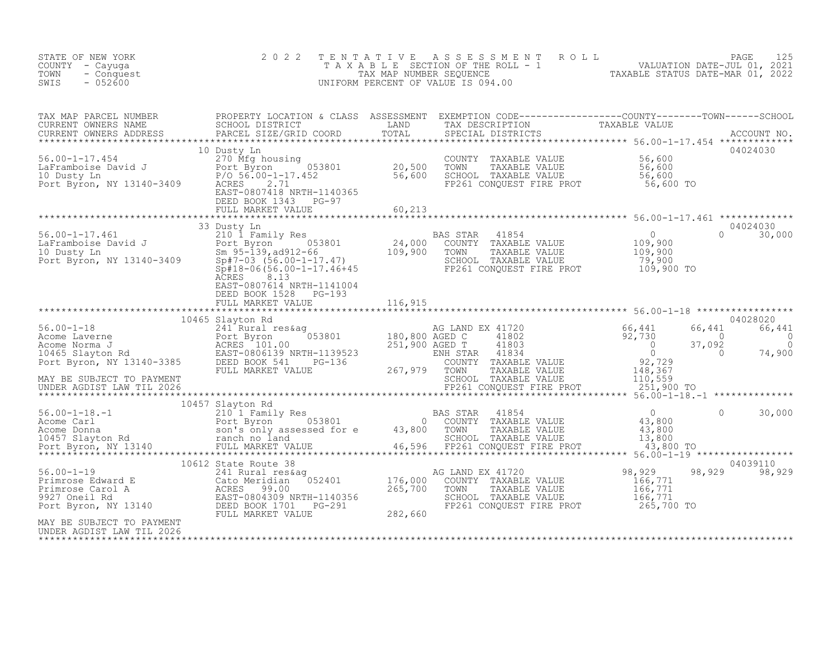| STATE OF NEW YORK<br>COUNTY - Cayuga<br>- Conquest<br>TOWN<br>$-052600$<br>SWIS                                                                                                                                                                                                                                                                                                                                                          | 2 0 2 2                                            |  | TENTATIVE ASSESSMENT ROLL PAGE 125<br>TAXABLE SECTION OF THE ROLL - 1 VALUATION DATE-JUL 01, 2021<br>TAX MAP NUMBER SEQUENCE TAXABLE STATUS DATE-MAR 01, 2022<br>UNIFORM PERCENT OF VALUE IS 094.00 |               |
|------------------------------------------------------------------------------------------------------------------------------------------------------------------------------------------------------------------------------------------------------------------------------------------------------------------------------------------------------------------------------------------------------------------------------------------|----------------------------------------------------|--|-----------------------------------------------------------------------------------------------------------------------------------------------------------------------------------------------------|---------------|
|                                                                                                                                                                                                                                                                                                                                                                                                                                          |                                                    |  |                                                                                                                                                                                                     |               |
| $\begin{tabular}{lllllllllllllllllllll} \textsc{TAX} & \textsc{map} & \textsc{PAREED} & \textsc{RROBERTY LOCATION & \textsc{CLASS} & \textsc{ASSESSMENT} & \textsc{EXEMPTION CODE--------------0-COMTY-----COUNTY-----0-COMN-----0-COMN-----0-COMN-----0-COMN-----0-COMN-----0-COMN-----0-COMN-----0-COMN-----0-OMN-----0-OMN-----0-OMN-----0-OMN-----0-OMN-----0-OMN-----0-OMN-----0-OMN-----0-OMN-----0-OMN-----0-OMN-----0-OMN-----0$ |                                                    |  |                                                                                                                                                                                                     |               |
| $\begin{tabular}{lllllllllllll} 56.00-1-17.461 & 33 \;{\rm Dusty\;In}\ & 210\;1\;{\rm Family\;Res} & {\rm BAS\;STAR} & 41854 & 0 & 04024030 \\ \text{LaFramboise David J} & {\rm Port\;Byron}\ & {\rm Sort\;By} & 0 & 0 & 30,0 \\ \text{Not By Ln} & {\rm Sort\;By} & 0 & 0 & 30,0 \\ \text{Not By N.} & {\rm Sm\;95-139}, a d912-66 & 109,900 & {\rm COUNT\;TXABLE\;VALUE} & 109,900$                                                   | EAST-0807614 NRTH-1141004<br>DEED BOOK 1528 PG-193 |  |                                                                                                                                                                                                     | $0 \t 30,000$ |
|                                                                                                                                                                                                                                                                                                                                                                                                                                          |                                                    |  |                                                                                                                                                                                                     |               |
|                                                                                                                                                                                                                                                                                                                                                                                                                                          |                                                    |  |                                                                                                                                                                                                     |               |
|                                                                                                                                                                                                                                                                                                                                                                                                                                          |                                                    |  |                                                                                                                                                                                                     |               |
|                                                                                                                                                                                                                                                                                                                                                                                                                                          |                                                    |  |                                                                                                                                                                                                     |               |
|                                                                                                                                                                                                                                                                                                                                                                                                                                          |                                                    |  |                                                                                                                                                                                                     |               |
|                                                                                                                                                                                                                                                                                                                                                                                                                                          |                                                    |  |                                                                                                                                                                                                     |               |
| MAY BE SUBJECT TO PAYMENT<br>UNDER AGDIST LAW TIL 2026                                                                                                                                                                                                                                                                                                                                                                                   |                                                    |  |                                                                                                                                                                                                     |               |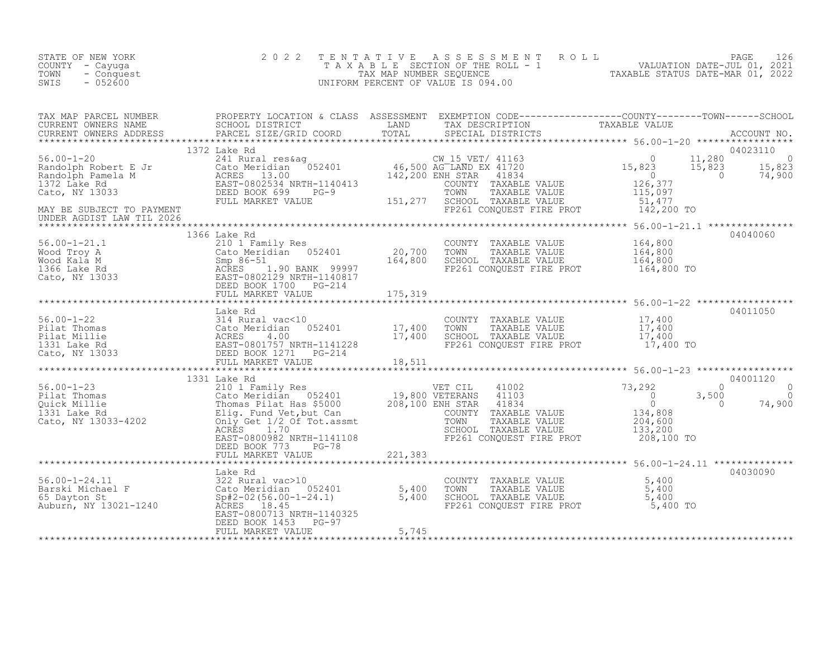| STATE OF NEW YORK<br>COUNTY - Cayuga<br>TOWN<br>- Conquest<br>SWIS<br>$-052600$                                                                                                                                                      | 2 0 2 2                      | TENTATIVE ASSESSMENT ROLL PAGE 126<br>TAXABLE SECTION OF THE ROLL - 1 VALUATION DATE-JUL 01, 2021<br>TAX MAP NUMBER SEQUENCE TAXABLE STATUS DATE-MAR 01, 2022<br>UNIFORM PERCENT OF VALUE IS 094.00 |          |
|--------------------------------------------------------------------------------------------------------------------------------------------------------------------------------------------------------------------------------------|------------------------------|-----------------------------------------------------------------------------------------------------------------------------------------------------------------------------------------------------|----------|
| TAX MAP PARCEL NUMBER PROPERTY LOCATION & CLASS ASSESSMENT EXEMPTION CODE----------------COUNTY--------TOWN------SCHOOL<br>CURRENT OWNERS NAME SCHOOL DISTRICT LAND TAX DESCRIPTION TAXABLE VALUE<br>CURRENT OWNERS ADDRESS PARCEL S |                              |                                                                                                                                                                                                     |          |
| UNDER AGDIST LAW TIL 2026                                                                                                                                                                                                            |                              |                                                                                                                                                                                                     |          |
|                                                                                                                                                                                                                                      | 1366 Lake Rd                 |                                                                                                                                                                                                     | 04040060 |
|                                                                                                                                                                                                                                      |                              |                                                                                                                                                                                                     |          |
|                                                                                                                                                                                                                                      |                              |                                                                                                                                                                                                     |          |
|                                                                                                                                                                                                                                      |                              |                                                                                                                                                                                                     |          |
|                                                                                                                                                                                                                                      | FULL MARKET VALUE 70 221,383 |                                                                                                                                                                                                     |          |
|                                                                                                                                                                                                                                      |                              |                                                                                                                                                                                                     | 04030090 |
|                                                                                                                                                                                                                                      |                              |                                                                                                                                                                                                     |          |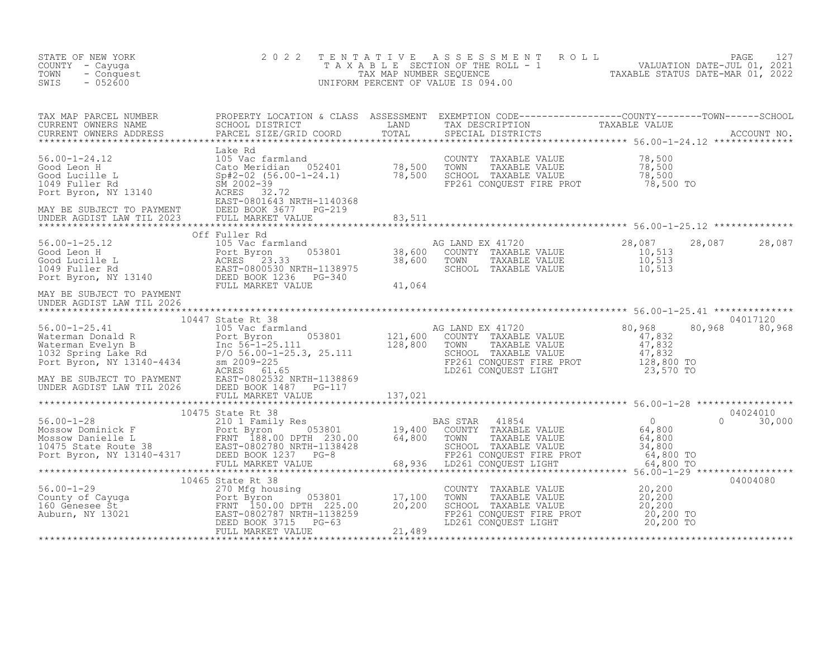| STATE OF NEW YORK<br>COUNTY - Cayuga<br>TOWN<br>- Conquest<br>SWIS<br>$-052600$                                                                                                                                                                                                                                                                                                                                               | 2 0 2 2                       | TENTATIVE ASSESSMENT ROLL PAGE 127<br>TAXABLE SECTION OF THE ROLL - 1 VALUATION DATE-JUL 01, 2021<br>TAX MAP NUMBER SEQUENCE TAXABLE STATUS DATE-MAR 01, 2022<br>UNIFORM PERCENT OF VALUE IS 094.00 |               |          |
|-------------------------------------------------------------------------------------------------------------------------------------------------------------------------------------------------------------------------------------------------------------------------------------------------------------------------------------------------------------------------------------------------------------------------------|-------------------------------|-----------------------------------------------------------------------------------------------------------------------------------------------------------------------------------------------------|---------------|----------|
| TAX MAP PARCEL NUMBER PROPERTY LOCATION & CLASS ASSESSMENT EXEMPTION CODE-----------------COUNTY--------TOWN------SCHOOL SCHOOL DISTRICT LAND TAX DESCRIPTION TAXABLE VALUE<br>CURRENT OWNERS ADDRESS PARCEL SIZE/GRID COORD TOTA                                                                                                                                                                                             |                               |                                                                                                                                                                                                     |               |          |
|                                                                                                                                                                                                                                                                                                                                                                                                                               |                               |                                                                                                                                                                                                     |               |          |
|                                                                                                                                                                                                                                                                                                                                                                                                                               |                               |                                                                                                                                                                                                     |               |          |
|                                                                                                                                                                                                                                                                                                                                                                                                                               |                               | AG LAND EX 41720<br>COUNTY TAXABLE VALUE 10,513<br>TOWN TAXABLE VALUE 10,513<br>SCHOOL TAXABLE VALUE 10,513                                                                                         | 28,087 28,087 |          |
| UNDER AGDIST LAW TIL 2026                                                                                                                                                                                                                                                                                                                                                                                                     |                               |                                                                                                                                                                                                     |               |          |
|                                                                                                                                                                                                                                                                                                                                                                                                                               | 10447 State Rt 38             |                                                                                                                                                                                                     | 80,968 80,968 | 04017120 |
|                                                                                                                                                                                                                                                                                                                                                                                                                               | FULL MARKET VALUE 11, 137,021 |                                                                                                                                                                                                     |               |          |
| $\begin{tabular}{lcccc} \texttt{****}{\textbf{10475} & \textbf{10475} & \textbf{10475} & \textbf{10475} & \textbf{10475} & \textbf{10475} & \textbf{10475} & \textbf{10475} & \textbf{10475} & \textbf{10475} & \textbf{10475} & \textbf{10475} & \textbf{10475} & \textbf{10475} & \textbf{10475} & \textbf{10475} & \textbf{10475} & \textbf{10475} & \textbf{104$                                                          |                               |                                                                                                                                                                                                     |               |          |
|                                                                                                                                                                                                                                                                                                                                                                                                                               |                               |                                                                                                                                                                                                     |               | 04004080 |
| $\begin{tabular}{l c c c c c c} \hline $\text{10465}$ & $\text{10465}$ & $\text{State}$ & $\text{R1 38}$ & $\text{COUNT}$ \\ & & $270$ & \text{Mfg housing} & $17,100$ & $\text{TOMN}$ \\ & & & $270$ & \text{Mfg housing} & $17,100$ & $\text{TOMN}$ \\ & & & & $270$ & \text{Mfg housing} & $17,100$ & $\text{TOMN}$ \\ & & & & & $270$ & \text{Mfg housing} & $17,100$ & $\text{TOMN}$ \\ \hline \text{160} \text{ Genese$ |                               | COUNTY TAXABLE VALUE $20,200$<br>TOWN TAXABLE VALUE $20,200$<br>SCHOOL TAXABLE VALUE $20,200$<br>FP261 CONQUEST FIRE PROT $20,200$ TO<br>LD261 CONQUEST LIGHT $20,200$ TO                           |               |          |
|                                                                                                                                                                                                                                                                                                                                                                                                                               |                               |                                                                                                                                                                                                     |               |          |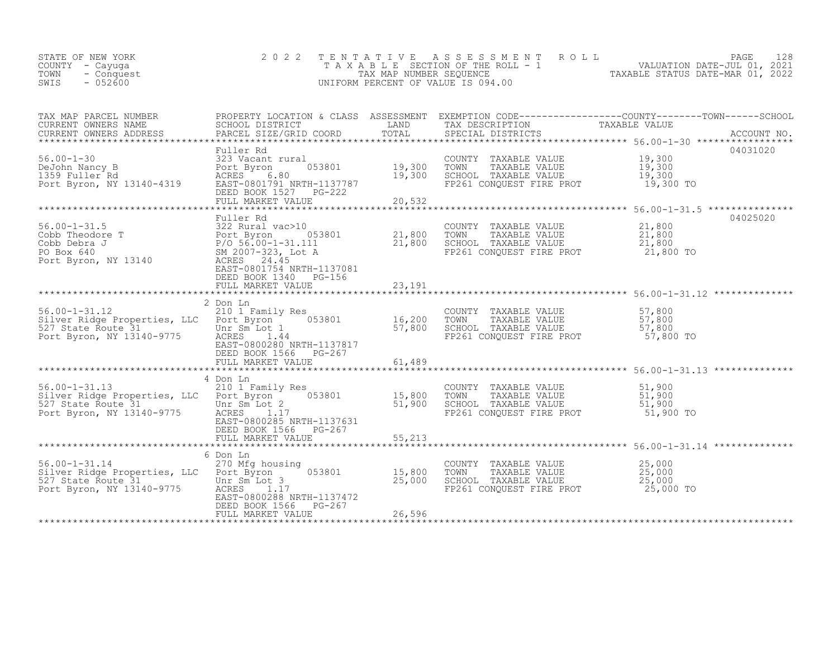| STATE OF NEW YORK  | 2022 TENTATIVE ASSESSMENT ROLL        |                                  | PAGE | 128 |
|--------------------|---------------------------------------|----------------------------------|------|-----|
| COUNTY - Cayuga    | T A X A B L E SECTION OF THE ROLL - 1 | VALUATION DATE-JUL 01, 2021      |      |     |
| TOWN<br>- Conquest | TAX MAP NUMBER SEQUENCE               | TAXABLE STATUS DATE-MAR 01, 2022 |      |     |
| SWIS<br>$-052600$  | UNIFORM PERCENT OF VALUE IS 094.00    |                                  |      |     |
|                    |                                       |                                  |      |     |

| TAX MAP PARCEL NUMBER<br>CURRENT OWNERS NAME                            | SCHOOL DISTRICT                                                                | LAND             | TAX DESCRIPTION                                  | PROPERTY LOCATION & CLASS ASSESSMENT EXEMPTION CODE----------------COUNTY-------TOWN-----SCHOOL<br>TAXABLE VALUE |
|-------------------------------------------------------------------------|--------------------------------------------------------------------------------|------------------|--------------------------------------------------|------------------------------------------------------------------------------------------------------------------|
| CURRENT OWNERS ADDRESS                                                  | PARCEL SIZE/GRID COORD                                                         |                  |                                                  |                                                                                                                  |
| ********************                                                    |                                                                                |                  |                                                  |                                                                                                                  |
|                                                                         | Fuller Rd                                                                      |                  |                                                  | 04031020                                                                                                         |
| $56.00 - 1 - 30$                                                        | 323 Vacant rural                                                               |                  | COUNTY TAXABLE VALUE                             | 19,300                                                                                                           |
| DeJohn Nancy B<br>1359 Fuller Rd                                        | 053801<br>Port Byron<br>ACRES<br>6.80                                          | 19,300<br>19,300 | TOWN<br>TAXABLE VALUE<br>SCHOOL TAXABLE VALUE    | 19,300<br>19,300                                                                                                 |
| Port Byron, NY 13140-4319                                               | EAST-0801791 NRTH-1137787                                                      |                  | FP261 CONQUEST FIRE PROT                         | 19,300 TO                                                                                                        |
|                                                                         | DEED BOOK 1527 PG-222                                                          |                  |                                                  |                                                                                                                  |
|                                                                         | FULL MARKET VALUE                                                              | 20,532           |                                                  |                                                                                                                  |
|                                                                         |                                                                                |                  |                                                  | ************************ 56.00-1-31.5 ***************<br>04025020                                                |
| $56.00 - 1 - 31.5$                                                      | Fuller Rd<br>322 Rural vac>10                                                  |                  | COUNTY TAXABLE VALUE 21,800                      |                                                                                                                  |
| Cobb Theodore T                                                         | 053801                                                                         |                  | TOWN<br>TAXABLE VALUE                            | 21,800                                                                                                           |
| Cobb Debra J                                                            |                                                                                | 21,800<br>21,800 | SCHOOL TAXABLE VALUE                             | 21,800                                                                                                           |
| PO Box 640                                                              | Port Byron 053<br>P/O 56.00-1-31.111<br>SM 2007-323, Lot A<br>3140 ACRES 24.45 |                  | FP261 CONQUEST FIRE PROT 21,800 TO               |                                                                                                                  |
| Port Byron, NY 13140                                                    | ACRES 24.45                                                                    |                  |                                                  |                                                                                                                  |
|                                                                         | EAST-0801754 NRTH-1137081                                                      |                  |                                                  |                                                                                                                  |
|                                                                         | DEED BOOK 1340 PG-156<br>FULL MARKET VALUE                                     | 23,191           |                                                  |                                                                                                                  |
|                                                                         |                                                                                |                  |                                                  |                                                                                                                  |
|                                                                         | 2 Don Ln                                                                       |                  |                                                  |                                                                                                                  |
| $56.00 - 1 - 31.12$                                                     | 210 1 Family Res                                                               |                  | COUNTY TAXABLE VALUE                             | 57,800                                                                                                           |
| Silver Ridge Properties, LLC Port Byron                                 | 053801                                                                         | 16,200           | TOWN<br>TAXABLE VALUE                            | 57,800                                                                                                           |
| 527 State Route 31 Unr Sm Lot 1<br>Port Byron, NY 13140-9775 ACRES 1.44 |                                                                                | 57,800           | SCHOOL TAXABLE VALUE<br>FP261 CONQUEST FIRE PROT | 57,800<br>57,800 TO                                                                                              |
|                                                                         | EAST-0800280 NRTH-1137817                                                      |                  |                                                  |                                                                                                                  |
|                                                                         | DEED BOOK 1566 PG-267                                                          |                  |                                                  |                                                                                                                  |
|                                                                         |                                                                                |                  |                                                  |                                                                                                                  |
|                                                                         |                                                                                |                  |                                                  |                                                                                                                  |
| $56.00 - 1 - 31.13$                                                     | 4 Don Ln<br>210 1 Family Res                                                   |                  | COUNTY TAXABLE VALUE                             | 51,900                                                                                                           |
| Silver Ridge Properties, LLC Port Byron                                 | 053801                                                                         | 15,800           | TOWN<br>TAXABLE VALUE                            | 51,900                                                                                                           |
|                                                                         | Unr Sm Lot 2                                                                   | 51,900           | SCHOOL TAXABLE VALUE                             | 51,900                                                                                                           |
| 527 State Route 31<br>Port Byron, NY 13140-9775                         | ACRES 1.17                                                                     |                  | FP261 CONQUEST FIRE PROT                         | 51,900 TO                                                                                                        |
|                                                                         | EAST-0800285 NRTH-1137631                                                      |                  |                                                  |                                                                                                                  |
|                                                                         | DEED BOOK 1566 PG-267                                                          |                  |                                                  |                                                                                                                  |
|                                                                         | FULL MARKET VALUE                                                              | 55,213           |                                                  |                                                                                                                  |
|                                                                         | 6 Don Ln                                                                       |                  |                                                  |                                                                                                                  |
| $56.00 - 1 - 31.14$                                                     | 270 Mfg housing                                                                |                  | COUNTY TAXABLE VALUE                             | 25,000                                                                                                           |
| Silver Ridge Properties, LLC Port Byron                                 | 053801                                                                         | 15,800           | TOWN<br>TAXABLE VALUE                            | 25,000                                                                                                           |
| 527 State Route 31 11 122                                               | Unr Sm Lot 3<br>ACRES 1.17                                                     | 25,000           | SCHOOL TAXABLE VALUE<br>FP261 CONQUEST FIRE PROT | 25,000<br>25,000 TO                                                                                              |
|                                                                         | EAST-0800288 NRTH-1137472                                                      |                  |                                                  |                                                                                                                  |
|                                                                         | DEED BOOK 1566 PG-267                                                          |                  |                                                  |                                                                                                                  |
|                                                                         | FULL MARKET VALUE                                                              | 26,596           |                                                  |                                                                                                                  |
|                                                                         |                                                                                |                  |                                                  |                                                                                                                  |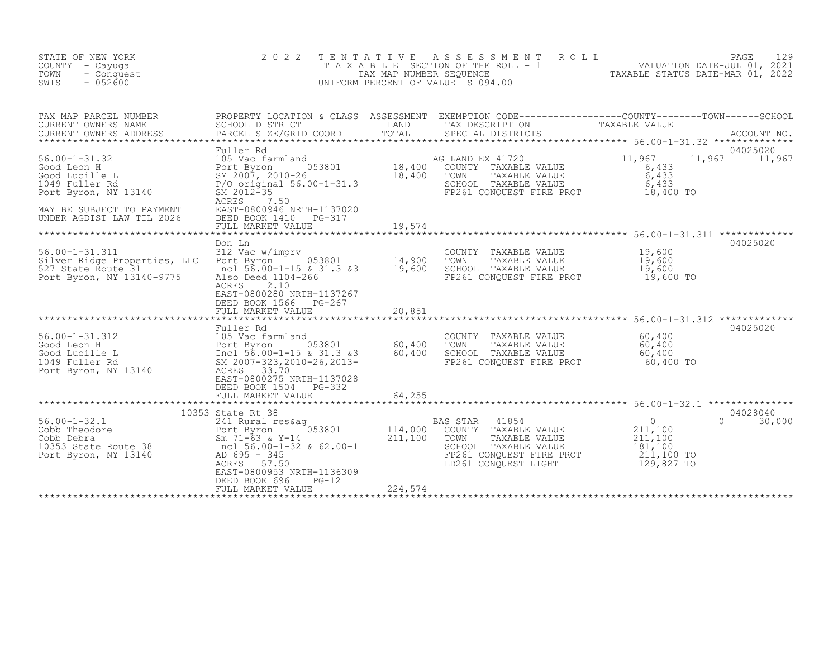| STATE OF NEW YORK<br>COUNTY - Cayuga<br>TOWN<br>- Conquest<br>$-052600$<br>SWIS                                                                                                                                                                                                                                      | 2 0 2 2                                                                                                                                                                                                    |         | TENTATIVE ASSESSMENT ROLL PAGE 129<br>TAXABLE SECTION OF THE ROLL - 1 VALUATION DATE-JUL 01, 2021<br>TAXABLE STATUS DATE-MAR 01, 2022<br>UNIFORM PERCENT OF VALUE IS 094.00 |                                                                                                                  |          |
|----------------------------------------------------------------------------------------------------------------------------------------------------------------------------------------------------------------------------------------------------------------------------------------------------------------------|------------------------------------------------------------------------------------------------------------------------------------------------------------------------------------------------------------|---------|-----------------------------------------------------------------------------------------------------------------------------------------------------------------------------|------------------------------------------------------------------------------------------------------------------|----------|
| TAX MAP PARCEL NUMBER<br>CURRENT OWNERS NAME<br>CURRENT OWNERS ADDRESS                                                                                                                                                                                                                                               | PROPERTY LOCATION & CLASS ASSESSMENT EXEMPTION CODE-----------------COUNTY--------TOWN------SCHOOL<br>SCHOOL DISTRICT LAND TAX DESCRIPTION TAXABLE VALUE<br>PARCEL SIZE/GRID COORD TOTAL SPECIAL DISTRICTS |         |                                                                                                                                                                             |                                                                                                                  |          |
| 36.00-1-31.32<br>36.00-1-31.32<br>36 LAND EX 41720<br>36 LAND EX 41720<br>36 LAND EX 41720<br>36 LAND EX 41720<br>36 LAND EX 41720<br>36 A33<br>36 A33<br>36 A33<br>36 A33<br>36 A33<br>37 POT SM 2007, 2010-26<br>38 2017, 2010-26<br>38 A10 TOWN TAXABLE<br>MAY BE SUBJECT TO PAYMENT<br>UNDER AGDIST LAW TIL 2026 | Fuller Rd<br>ACRES<br>7.50<br>EAST-0800946 NRTH-1137020<br>DEED BOOK 1410 PG-317<br>FULL MARKET VALUE                                                                                                      | 19,574  | FP261 CONQUEST FIRE PROT 18,400 TO                                                                                                                                          | 11,967 11,967                                                                                                    | 04025020 |
|                                                                                                                                                                                                                                                                                                                      |                                                                                                                                                                                                            |         |                                                                                                                                                                             |                                                                                                                  | 04025020 |
| 14,900<br>56.00-1-31.311 312 Vac w/imprv<br>Silver Ridge Properties, LLC Port Byron 053801 14,900<br>527 State Route 31 10,600<br>527 State Route 31 19,600<br>Port Byron, NY 13140-9775                                                                                                                             | Don Ln<br>Also Deed 1104-266<br>ACRES<br>2.10<br>EAST-0800280 NRTH-1137267<br>DEED BOOK 1566 PG-267<br>FULL MARKET VALUE                                                                                   | 20,851  | COUNTY TAXABLE VALUE 19,600<br>TOWN TAXABLE VALUE 19,600<br>SCHOOL TAXABLE VALUE 19,600<br>FP261 CONQUEST FIRE PROT                                                         | 19,600 TO                                                                                                        |          |
|                                                                                                                                                                                                                                                                                                                      | Fuller Rd                                                                                                                                                                                                  |         |                                                                                                                                                                             |                                                                                                                  | 04025020 |
| 56.00-1-31.312<br>Good Leon H<br>Good Lucille L<br>105 Vac farmland<br>Port Byron 053801 60,400<br>1049 Fuller Rd<br>2007-323,2010-26,2013-<br>Port Byron, NY 13140<br>RCRES 33.370<br>ACRES 33.370<br>ACRES 33.70<br>RCRES 33.70<br>ACRES 33.70<br>RCRE                                                             | EAST-0800275 NRTH-1137028<br>DEED BOOK 1504 PG-332<br>FULL MARKET VALUE                                                                                                                                    | 64,255  | COUNTY TAXABLE VALUE $60, 400$<br>TOWN TAXABLE VALUE $60,400$<br>SCHOOL TAXABLE VALUE 60,400<br>FP261 CONQUEST FIRE PROT                                                    | 60,400 TO                                                                                                        |          |
|                                                                                                                                                                                                                                                                                                                      |                                                                                                                                                                                                            |         |                                                                                                                                                                             |                                                                                                                  | 04028040 |
| 10353 State Rt 38<br>EXERCISE 10353 State Rt 38<br>Cobb Theodore<br>Cobb Debra<br>Cobb Debra<br>EXABLE VALUE<br>Cobb Debra<br>Sm 71-63 & Y-14<br>211,100 COUNTY TAXABLE VALUE<br>211,100 TOWN TAXABLE VALUE<br>COUNTY TAXABLE VALUE<br>TAXABLE VALUE                                                                 | EAST-0800953 NRTH-1136309<br>DEED BOOK 696<br>PG-12<br>FULL MARKET VALUE                                                                                                                                   | 224,574 |                                                                                                                                                                             | $\begin{smallmatrix}0\0\211,100\end{smallmatrix}$<br>$\Omega$<br>211, 100<br>181,100<br>211,100 TO<br>129,827 TO | 30,000   |
|                                                                                                                                                                                                                                                                                                                      |                                                                                                                                                                                                            |         |                                                                                                                                                                             |                                                                                                                  |          |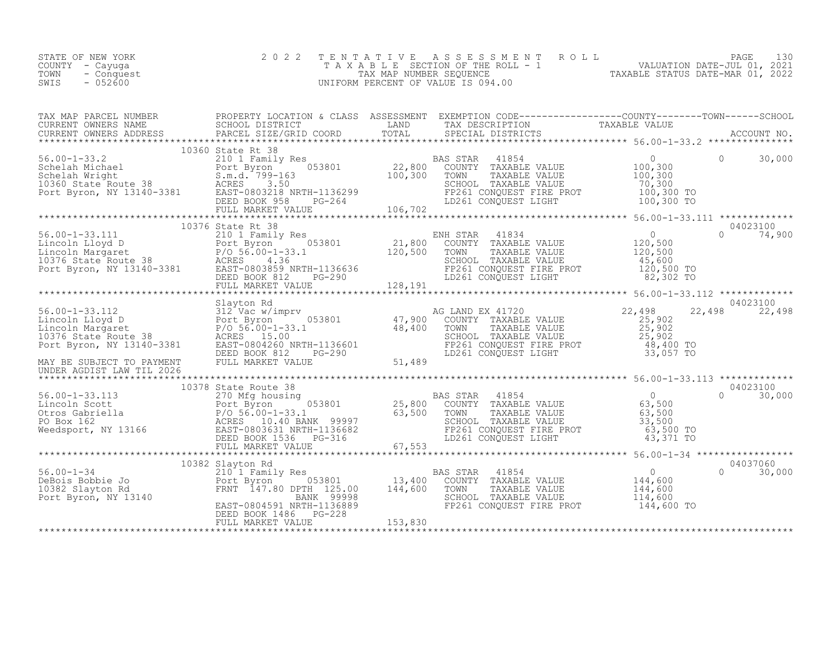| STATE OF NEW YORK<br>COUNTY - Cayuga<br>- Conquest<br>TOWN<br>$-052600$<br>SWIS                                                                                                                                                                                                                                                                                                                                                                       | 2 0 2 2 | TENTATIVE ASSESSMENT ROLL PAGE 130<br>TAXABLE SECTION OF THE ROLL - 1 VALUATION DATE-JUL 01, 2021<br>TAX MAP NUMBER SEQUENCE TAXABLE STATUS DATE-MAR 01, 2022<br>UNIFORM PERCENT OF VALUE IS 094.00 |               |
|-------------------------------------------------------------------------------------------------------------------------------------------------------------------------------------------------------------------------------------------------------------------------------------------------------------------------------------------------------------------------------------------------------------------------------------------------------|---------|-----------------------------------------------------------------------------------------------------------------------------------------------------------------------------------------------------|---------------|
|                                                                                                                                                                                                                                                                                                                                                                                                                                                       |         |                                                                                                                                                                                                     |               |
| $\begin{tabular}{l c c c c c} \texttt{TAX} \texttt{MAP} \texttt{ PARECL} \texttt{ NUMBER} & \texttt{PROBERT toCATION 6 CLASS} \texttt{SSESMENT} & \texttt{EXEMENT ONNEDR} & \texttt{TAXABLE} \texttt{VALUE} & \texttt{TAXABLE} \texttt{VALUE} & \texttt{TAXABLE} \texttt{VALUE} & \texttt{TAXABLE} \texttt{VALUE} & \texttt{CORRENT ONNEDR} \texttt{NADRESS} & \texttt{RACEDI, SITERICT} & \texttt{TAXBLE} \texttt{VALUE} & \texttt{TAXABLE} \texttt$ |         |                                                                                                                                                                                                     |               |
|                                                                                                                                                                                                                                                                                                                                                                                                                                                       |         |                                                                                                                                                                                                     |               |
|                                                                                                                                                                                                                                                                                                                                                                                                                                                       |         |                                                                                                                                                                                                     |               |
|                                                                                                                                                                                                                                                                                                                                                                                                                                                       |         |                                                                                                                                                                                                     | 04023100      |
|                                                                                                                                                                                                                                                                                                                                                                                                                                                       |         |                                                                                                                                                                                                     | 22,498 22,498 |
|                                                                                                                                                                                                                                                                                                                                                                                                                                                       |         |                                                                                                                                                                                                     |               |
|                                                                                                                                                                                                                                                                                                                                                                                                                                                       |         |                                                                                                                                                                                                     |               |
|                                                                                                                                                                                                                                                                                                                                                                                                                                                       |         |                                                                                                                                                                                                     |               |
|                                                                                                                                                                                                                                                                                                                                                                                                                                                       |         |                                                                                                                                                                                                     |               |
|                                                                                                                                                                                                                                                                                                                                                                                                                                                       |         |                                                                                                                                                                                                     |               |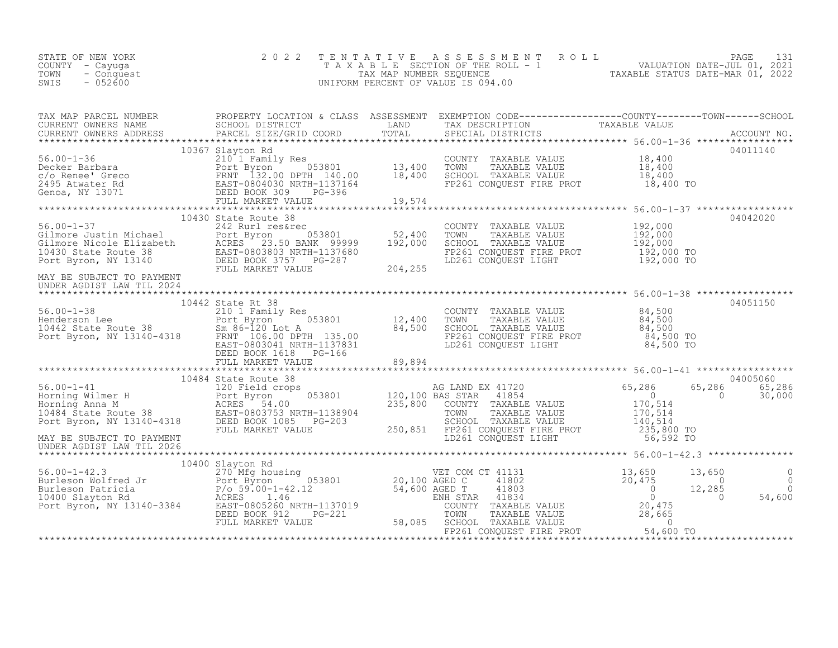| STATE OF NEW YORK<br>COUNTY - Cayuga<br>TOWN<br>- Conquest<br>$-052600$<br>SWIS | 2022 TENTATIVE ASSESSMENT ROLL<br>TAXABLE SECTION OF THE ROLL - 1<br>TAX MAP NUMBER SEOUENCE<br>UNIFORM PERCENT OF VALUE IS 094.00 | PAGE<br>VALUATION DATE-JUL 01, 2021<br>TAXABLE STATUS DATE-MAR 01, 2022 |
|---------------------------------------------------------------------------------|------------------------------------------------------------------------------------------------------------------------------------|-------------------------------------------------------------------------|
|---------------------------------------------------------------------------------|------------------------------------------------------------------------------------------------------------------------------------|-------------------------------------------------------------------------|

|                                          |  | 04011140 |
|------------------------------------------|--|----------|
|                                          |  | 04042020 |
|                                          |  |          |
|                                          |  |          |
|                                          |  |          |
| 10367 Slayton Rd<br>10430 State Route 38 |  |          |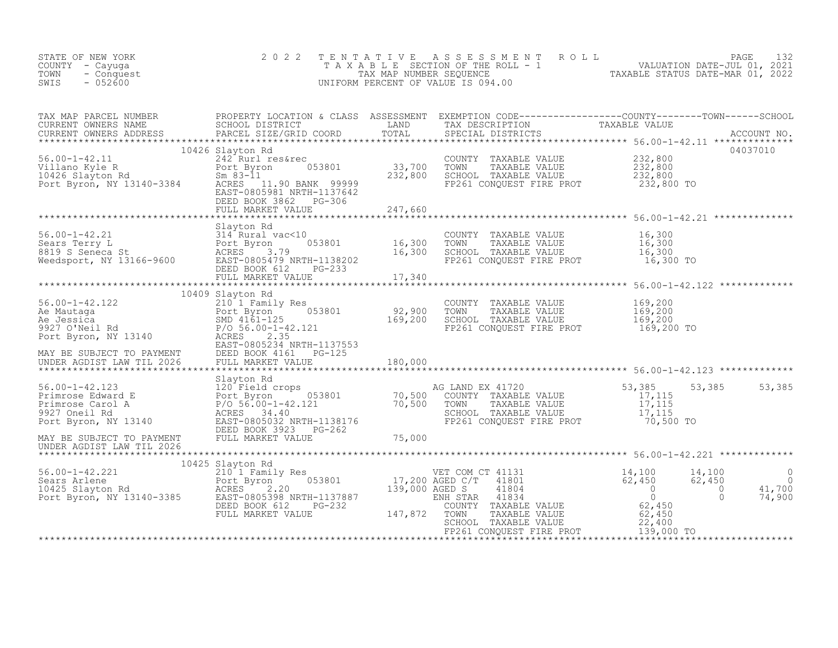| STATE OF NEW YORK<br>COUNTY - Cayuga<br>TOWN<br>- Conquest<br>$-052600$<br>SWIS                                                                                                                                                                                                                                                                                                                                                                                 | 2 0 2 2                                      |              | TAXABLE SECTION OF THE ROLL - 1<br>TAXABLE SECTION OF THE ROLL - 1<br>TAXABLE STATUS DATE-MAR 01, 2022<br>INIFORM PERCENT OF VALUE IS 094.00<br>TENTATIVE ASSESSMENT ROLL<br>UNIFORM PERCENT OF VALUE IS 094.00 |                                                              |                     |
|-----------------------------------------------------------------------------------------------------------------------------------------------------------------------------------------------------------------------------------------------------------------------------------------------------------------------------------------------------------------------------------------------------------------------------------------------------------------|----------------------------------------------|--------------|-----------------------------------------------------------------------------------------------------------------------------------------------------------------------------------------------------------------|--------------------------------------------------------------|---------------------|
| TAX MAP PARCEL NUMBER PROPERTY LOCATION & CLASS ASSESSMENT EXEMPTION CODE----------------COUNTY--------TOWN------SCHOOL CURRENT OWNERS NAME SCHOOL DISTRICT LAND TAX DESCRIPTION TAXABLE VALUE<br>CURRENT OWNERS ADDRESS PARCEL S                                                                                                                                                                                                                               | PARCEL SIZE/GRID COORD TOTAL                 |              |                                                                                                                                                                                                                 |                                                              |                     |
|                                                                                                                                                                                                                                                                                                                                                                                                                                                                 | 10426 Slayton Rd                             |              |                                                                                                                                                                                                                 |                                                              | 04037010            |
|                                                                                                                                                                                                                                                                                                                                                                                                                                                                 |                                              |              | COUNTY TAXABLE VALUE<br>TOWN TAXABLE VALUE 232,800<br>SCHOOL TAXABLE VALUE 232,800                                                                                                                              |                                                              |                     |
|                                                                                                                                                                                                                                                                                                                                                                                                                                                                 | DEED BOOK 3862 PG-306<br>FULL MARKET VALUE   | 247,660      | FP261 CONQUEST FIRE PROT 232,800 TO                                                                                                                                                                             |                                                              |                     |
|                                                                                                                                                                                                                                                                                                                                                                                                                                                                 |                                              | ************ |                                                                                                                                                                                                                 |                                                              |                     |
| 56.00-1-42.21<br>Sears Terry L<br>8819 S Seneca St<br>Weedsport, NY 13166-9600<br>Weedsport, NY 13166-9600<br>SEED BOOK 612<br>DEED BOOK 612<br>PG-233                                                                                                                                                                                                                                                                                                          | Slayton Rd                                   |              | COUNTY TAXABLE VALUE $16,300$<br>TOWN TAXABLE VALUE $16,300$<br>SCHOOL TAXABLE VALUE $16,300$<br>SCHOOL COUCHER TALL FOR $16,300$<br>FP261 CONQUEST FIRE PROT                                                   | 16,300 TO                                                    |                     |
|                                                                                                                                                                                                                                                                                                                                                                                                                                                                 | DEED BOOK 612<br>PG-233<br>FULL MARKET VALUE | 17,340       |                                                                                                                                                                                                                 |                                                              |                     |
|                                                                                                                                                                                                                                                                                                                                                                                                                                                                 | 10409 Slayton Rd                             |              |                                                                                                                                                                                                                 |                                                              |                     |
|                                                                                                                                                                                                                                                                                                                                                                                                                                                                 |                                              |              | COUNTY TAXABLE VALUE                                                                                                                                                                                            | 169,200                                                      |                     |
| $\begin{array}{lllllllllllllll} & & & & 10409 \text{ Slayton Rd} & & & & & 10409 \text{ Slayton Rd} & & & & & 210 & 1 \text{ Family Res} & & & & & 210 & 1 \text{ Family Res} & & & & & 210 & 1 \text{ Family Res} & & & & & 210 & 1 \text{ Family Res} & & & & & & 210 & 1 \text{ Family Res} & & & & & & 210 & 1 \text{ Family Res} & & & & & & 210 & 1 \text{ Family Res} & & & & & & 210 & 1 \text{ Family Res} & & & & & & 210 & 1 \text{ Family Res} & &$ |                                              |              | TOWN      TAXABLE VALUE<br>SCHOOL   TAXABLE VALUE<br>FP261 CONQUEST FIRE PROT 169,200 TO                                                                                                                        | 169,200<br>169,200                                           |                     |
|                                                                                                                                                                                                                                                                                                                                                                                                                                                                 |                                              |              |                                                                                                                                                                                                                 |                                                              |                     |
|                                                                                                                                                                                                                                                                                                                                                                                                                                                                 |                                              |              |                                                                                                                                                                                                                 |                                                              |                     |
|                                                                                                                                                                                                                                                                                                                                                                                                                                                                 |                                              |              | AG LAND EX 41720                                                                                                                                                                                                | 53,385<br>53,385                                             | 53,385              |
| 56.00-1-42.123<br>Primrose Edward E<br>Primrose Carol A<br>Primrose Carol A<br>Primrose Carol A<br>Primrose Carol A<br>Primrose Carol A<br>Primrose Carol A<br>Primrose Carol A<br>Primrose Carol A<br>Primrose Carol A<br>Primrose Carol A<br>Primros                                                                                                                                                                                                          |                                              |              |                                                                                                                                                                                                                 |                                                              |                     |
|                                                                                                                                                                                                                                                                                                                                                                                                                                                                 |                                              |              | COUNTY TAXABLE VALUE<br>TOWN TAXABLE VALUE<br>SCHOOL TAXABLE VALUE                                                                                                                                              | $\frac{17,115}{17,115}$                                      |                     |
|                                                                                                                                                                                                                                                                                                                                                                                                                                                                 | DEED BOOK 3923 PG-262                        |              | FP261 CONQUEST FIRE PROT 70,500 TO                                                                                                                                                                              |                                                              |                     |
| DEED BOOK 3923 F<br>MAY BE SUBJECT TO PAYMENT FULL MARKET VALUE<br>UNDER AGDIST LAW TIL 2026                                                                                                                                                                                                                                                                                                                                                                    |                                              | 75,000       |                                                                                                                                                                                                                 |                                                              |                     |
|                                                                                                                                                                                                                                                                                                                                                                                                                                                                 | 10425 Slayton Rd                             |              |                                                                                                                                                                                                                 |                                                              |                     |
|                                                                                                                                                                                                                                                                                                                                                                                                                                                                 |                                              |              |                                                                                                                                                                                                                 |                                                              | 0<br>$\overline{0}$ |
|                                                                                                                                                                                                                                                                                                                                                                                                                                                                 |                                              |              |                                                                                                                                                                                                                 | $14,100$<br>$62,450$<br>0<br>0<br>0<br>0<br>0<br>0<br>0<br>0 | 41,700<br>74,900    |
| $\begin{tabular}{lllllllllllllllllllllll} & & & & 10425 \text{ Slayton Rd} & & & & & & 10425 \text{ Slayton Rd} & & & & & & 14,100 & 14 \text{ S} \text{dears Arlene} & & & & & 14,100 & 14 \text{ S} \text{dears Arlene} & & & & 14,100 & 14 \text{ S} \text{dears Arlene} & & & & 14,100 & 14 \text{ S} \text{dears Arlene} & & & 14,100 & 14 \text{ S} \text{dears Arlene} & & & 14,100 & 14 \text{ S} \text$                                                |                                              |              |                                                                                                                                                                                                                 |                                                              |                     |
|                                                                                                                                                                                                                                                                                                                                                                                                                                                                 |                                              |              |                                                                                                                                                                                                                 |                                                              |                     |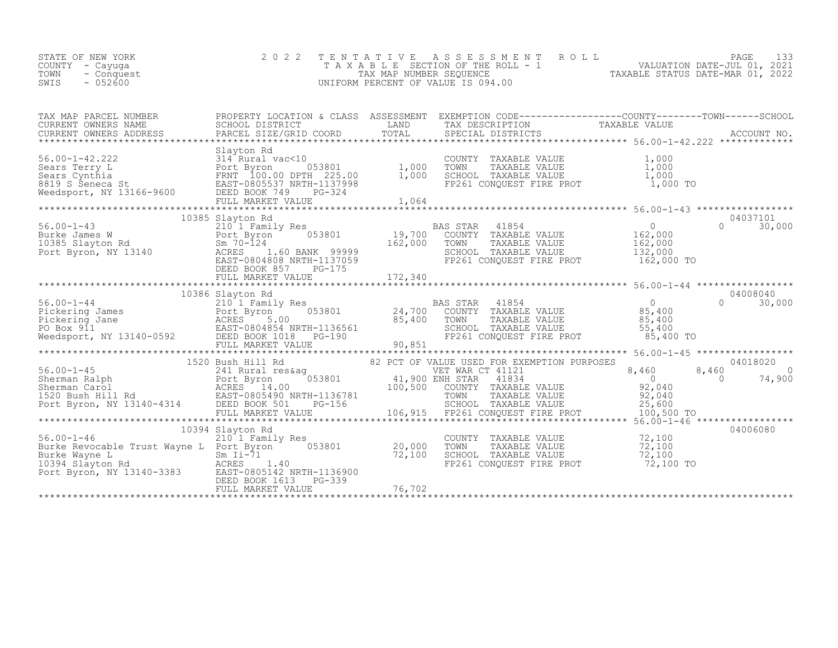| STATE OF NEW YORK<br>COUNTY – Cayuga<br>TOWN<br>- Conquest<br>$-052600$<br>SWIS |  | 2022 TENTATIVE ASSESSMENT ROLL<br>TAXABLE SECTION OF THE ROLL - 1<br>TAX MAP NUMBER SEOUENCE<br>UNIFORM PERCENT OF VALUE IS 094.00 |  | TAXABLE STATUS DATE-MAR 01, 2022 | PAGE<br>VALUATION DATE-JUL 01, 2021 |  |
|---------------------------------------------------------------------------------|--|------------------------------------------------------------------------------------------------------------------------------------|--|----------------------------------|-------------------------------------|--|
|---------------------------------------------------------------------------------|--|------------------------------------------------------------------------------------------------------------------------------------|--|----------------------------------|-------------------------------------|--|

| TAX MAP PARCEL NUMBER                                                                                                                                                                                                                                                                                                                                                                                                             |                         | PROPERTY LOCATION & CLASS ASSESSMENT EXEMPTION CODE----------------COUNTY-------TOWN-----SCHOOL |                    |
|-----------------------------------------------------------------------------------------------------------------------------------------------------------------------------------------------------------------------------------------------------------------------------------------------------------------------------------------------------------------------------------------------------------------------------------|-------------------------|-------------------------------------------------------------------------------------------------|--------------------|
|                                                                                                                                                                                                                                                                                                                                                                                                                                   |                         |                                                                                                 |                    |
|                                                                                                                                                                                                                                                                                                                                                                                                                                   |                         |                                                                                                 |                    |
|                                                                                                                                                                                                                                                                                                                                                                                                                                   | 10385 Slayton Rd        |                                                                                                 | 04037101           |
|                                                                                                                                                                                                                                                                                                                                                                                                                                   | DEED BOOK 857<br>PG-175 |                                                                                                 | $\Omega$<br>30,000 |
|                                                                                                                                                                                                                                                                                                                                                                                                                                   |                         |                                                                                                 |                    |
|                                                                                                                                                                                                                                                                                                                                                                                                                                   | 10386 Slayton Rd        |                                                                                                 | 04008040           |
|                                                                                                                                                                                                                                                                                                                                                                                                                                   |                         |                                                                                                 |                    |
|                                                                                                                                                                                                                                                                                                                                                                                                                                   |                         |                                                                                                 |                    |
|                                                                                                                                                                                                                                                                                                                                                                                                                                   |                         |                                                                                                 |                    |
|                                                                                                                                                                                                                                                                                                                                                                                                                                   | 10394 Slayton Rd        |                                                                                                 | 04006080           |
| 10394 Slayton Rd<br>210 1 Family Res<br>Burke Revocable Trust Wayne L Port Byron 053801 20,000 TOWN TAXABLE VALUE 72,100<br>Burke Wayne L Sm Ii-71 72,100 SCHOOL TAXABLE VALUE 72,100<br>10394 Slavton Rd ACRES 1.40 FP261 CONQUEST FI<br>Burke Revocable 11855 mm = Sm Ii-71<br>10394 Slayton Rd<br>Port Byron, NY 13140-3383<br>Port Byron, NY 13140-3383<br>DEED BOOS142 NRTH-1136900<br>DEED BOOS14613<br>POOS14613<br>PC-339 |                         |                                                                                                 |                    |
|                                                                                                                                                                                                                                                                                                                                                                                                                                   |                         |                                                                                                 |                    |
|                                                                                                                                                                                                                                                                                                                                                                                                                                   |                         |                                                                                                 |                    |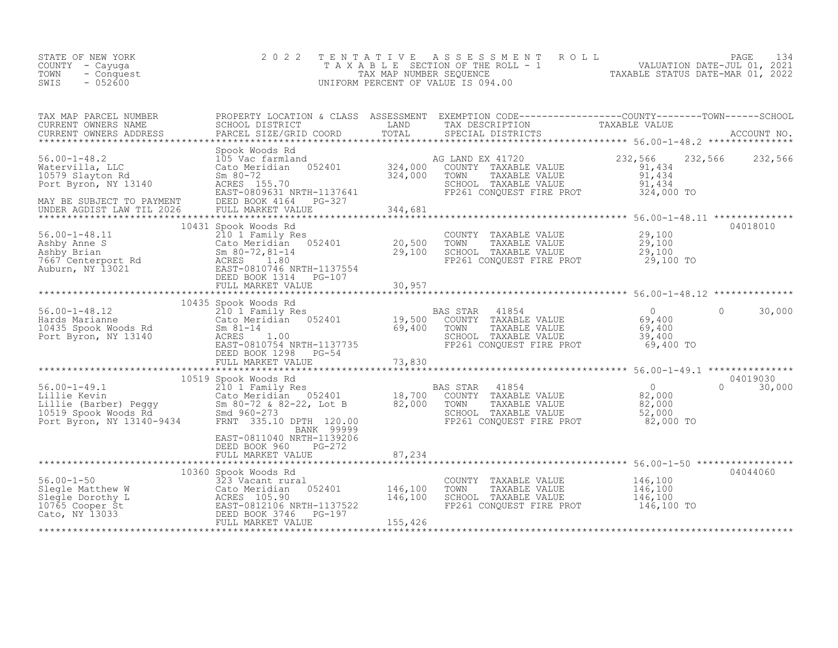| TENTATIVE ASSESSMENT ROLL PAGE 134<br>TAXABLE SECTION OF THE ROLL - 1 VALUATION DATE-JUL 01, 2021<br>TAX MAP NUMBER SEQUENCE TAXABLE STATUS DATE-MAR 01, 2022<br>UNIFORM PERCENT OF VALUE IS 094.00                               |
|-----------------------------------------------------------------------------------------------------------------------------------------------------------------------------------------------------------------------------------|
| TAX MAP PARCEL NUMBER PROPERTY LOCATION & CLASS ASSESSMENT EXEMPTION CODE------------------COUNTY--------TOWN------SCHOOL SCHOOL DISTRICT LAND TAX DESCRIPTION TAXABLE VALUE<br>CURRENT OWNERS ADDRESS PARCEL SIZE/GRID COORD TOT |
| 232,566 232,566                                                                                                                                                                                                                   |
|                                                                                                                                                                                                                                   |
| 04018010                                                                                                                                                                                                                          |
|                                                                                                                                                                                                                                   |
|                                                                                                                                                                                                                                   |
| 30,000                                                                                                                                                                                                                            |
|                                                                                                                                                                                                                                   |
| 04019030<br>30,000                                                                                                                                                                                                                |
|                                                                                                                                                                                                                                   |
| 04044060                                                                                                                                                                                                                          |
|                                                                                                                                                                                                                                   |
|                                                                                                                                                                                                                                   |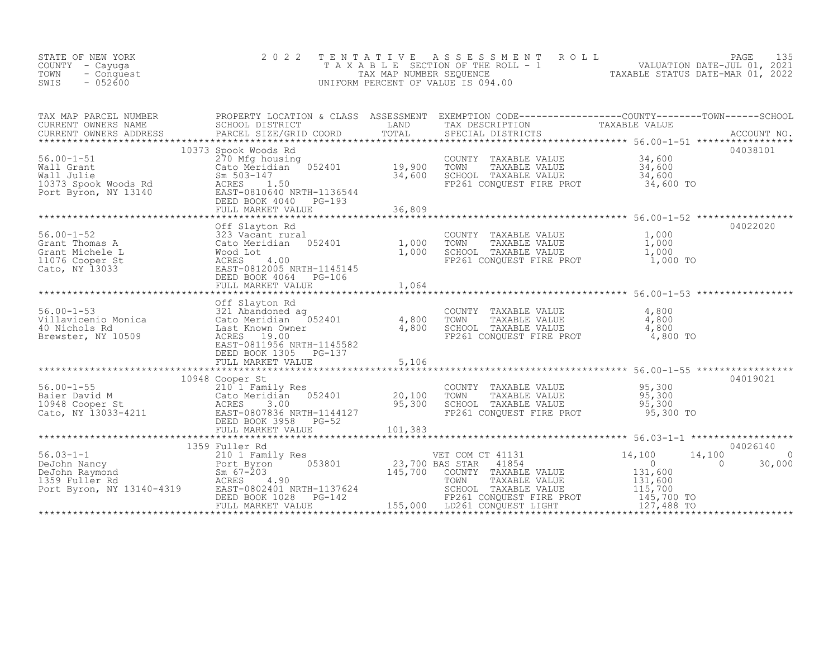| STATE OF NEW YORK<br>COUNTY - Cayuga<br>TOWN<br>- Conquest<br>$-052600$<br>SWIS                                                                                                                                                                                  | 2 0 2 2                                                                                                                                                                     | TENTATIVE | ASSESSMENT ROLL<br>T A X A B L E SECTION OF THE ROLL - 1 W CALUATION DATE-JUL 01, 2021<br>TAX MAP NUMBER SEQUENCE TAXABLE STATUS DATE-MAR 01, 2022<br>UNIFORM PERCENT OF VALUE IS 094.00                                                             |                                                                                                                                           | PAGE<br>135        |
|------------------------------------------------------------------------------------------------------------------------------------------------------------------------------------------------------------------------------------------------------------------|-----------------------------------------------------------------------------------------------------------------------------------------------------------------------------|-----------|------------------------------------------------------------------------------------------------------------------------------------------------------------------------------------------------------------------------------------------------------|-------------------------------------------------------------------------------------------------------------------------------------------|--------------------|
| TAX MAP PARCEL NUMBER PROPERTY LOCATION & CLASS ASSESSMENT EXEMPTION CODE-----------------COUNTY---------TOWN------SCHOOL CURRENT OWNERS NAME SCHOOL DISTRICT LAND TAX DESCRIPTION TAXABLE VALUE<br>CURRENT OWNERS ADDRESS PARCEL                                |                                                                                                                                                                             |           |                                                                                                                                                                                                                                                      |                                                                                                                                           |                    |
| 56.00-1-51<br>Wall Grant Cato Meridian 052401<br>Wall Julie Sm 503-147<br>10373 Spook Woods Rd ACRES 1.50<br>Port Byron, NY 13140<br>BEBD BOOK 4040 PG-193<br>THE MARKET VALUE                                                                                   | 10373 Spook Woods Rd<br>Spook woods kd<br>270 Mfg housing<br>Cato Meridian 052401 19,900<br>Sm 503-147 34,600<br>ACRES 1.50<br>PRST-08106 NPTH-1136544<br>FULL MARKET VALUE | 36,809    | COUNTY TAXABLE VALUE $34,600$<br>TOWN TAXABLE VALUE $34,600$<br>SCHOOL TAXABLE VALUE $34,600$<br>FP261 CONQUEST FIRE PROT $34,600$                                                                                                                   |                                                                                                                                           | 04038101           |
|                                                                                                                                                                                                                                                                  |                                                                                                                                                                             |           |                                                                                                                                                                                                                                                      |                                                                                                                                           |                    |
| 56.00-1-52<br>Grant Thomas A<br>Grant Michele L<br>1,000<br>1076 Cooper St<br>Cato, NY 13033<br>223 Vacant dian<br>Cato Meridian<br>22401<br>22401<br>22401<br>22401<br>22401<br>22401<br>232 Vacant dian<br>232 Vacant dian<br>232 Vacant dian<br>232 Vacant di | Off Slayton Rd<br>FULL MARKET VALUE                                                                                                                                         | 1,064     | COUNTY TAXABLE VALUE 1,000<br>TOWN TAXABLE VALUE 1,000<br>TOWN TAXABLE VALUE $\begin{array}{ccc} 1,000 \\ \text{SCHOOL} & \text{TAXABLE VALUE} \\ \text{FP261 CONQUEST FIRE PROT} & 1,000 \\ \text{FP261 CONQUEST FIRE PROT} & 1,000 \\ \end{array}$ |                                                                                                                                           | 04022020           |
|                                                                                                                                                                                                                                                                  |                                                                                                                                                                             |           |                                                                                                                                                                                                                                                      |                                                                                                                                           |                    |
| 56.00-1-53<br>Villavicenio Monica 321 Abandoned ag<br>4,800<br>4,800<br>Brewster, NY 10509<br>Exer-0011056 Word 1050<br>Facr-0011056 Word 1050                                                                                                                   | EAST-0811956 NRTH-1145582<br>DEED BOOK 1305 PG-137                                                                                                                          |           | COUNTY TAXABLE VALUE<br>TOWN TAXABLE VALUE<br>SCHOOL TAXABLE VALUE<br>FP261 CONQUEST FIRE PROT                                                                                                                                                       | $\frac{4,800}{4,800}$<br>$4,800$<br>$4,800$ TO                                                                                            |                    |
|                                                                                                                                                                                                                                                                  | FULL MARKET VALUE                                                                                                                                                           | 5,106     |                                                                                                                                                                                                                                                      |                                                                                                                                           |                    |
|                                                                                                                                                                                                                                                                  | 10948 Cooper St                                                                                                                                                             |           | COUNTY TAXABLE VALUE<br>TOWN    TAXABLE VALUE<br>SCHOOL  TAXABLE VALUE<br>FP261 CONQUEST FIRE PROT                                                                                                                                                   | 95,300<br>95,300<br>95,300<br>95,300 TO                                                                                                   | 04019021           |
|                                                                                                                                                                                                                                                                  |                                                                                                                                                                             |           |                                                                                                                                                                                                                                                      |                                                                                                                                           | 04026140           |
|                                                                                                                                                                                                                                                                  |                                                                                                                                                                             |           | VET COM CT 41131 14,100<br>BAS STAR 41854 0                                                                                                                                                                                                          | 14,100<br>$\sim$ 0<br>$\begin{array}{c}\n 0 \\  131, 600 \\  131, 600 \\  115, 700 \\  145, 700 \\  127, 400\n \end{array}$<br>127,488 TO | $\Omega$<br>30,000 |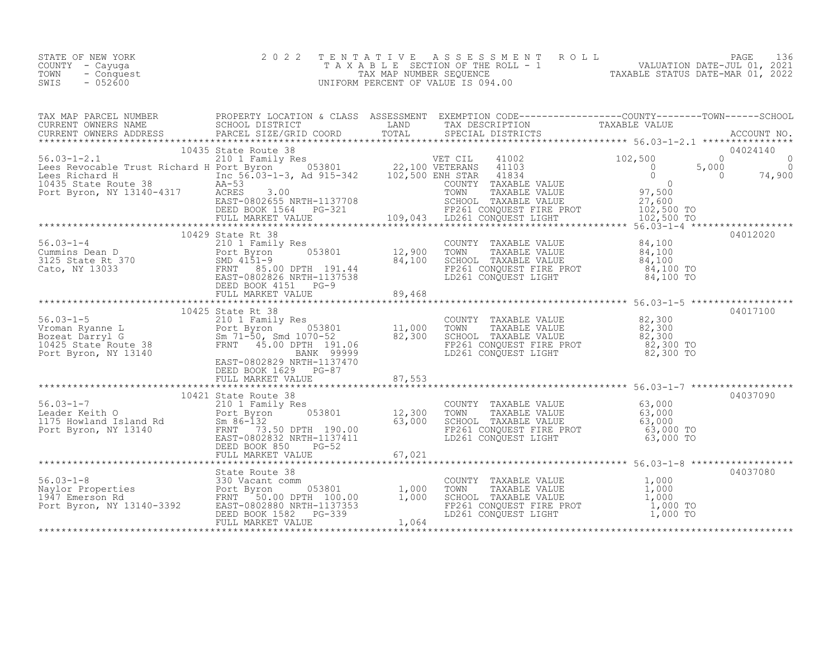| STATE OF NEW YORK  | 2022 TENTATIVE ASSESSMENT ROLL     | 136<br>PAGE                      |
|--------------------|------------------------------------|----------------------------------|
| COUNTY – Cayuqa    | TAXABLE SECTION OF THE ROLL - 1    | VALUATION DATE-JUL 01, 2021      |
| TOWN<br>- Conquest | TAX MAP NUMBER SEOUENCE            | TAXABLE STATUS DATE-MAR 01, 2022 |
| $-052600$<br>SWIS  | UNIFORM PERCENT OF VALUE IS 094.00 |                                  |

| 10429 State Rt 38<br>10429 State Rt 38<br>210 1 Family Res<br>210 1 Family Res<br>210 1 Family Res<br>2125 State Rt 370<br>216 SMD 4151-9<br>216 SHATH-1137538<br>2125 State Rt 370<br>216 SMRTH-1137538<br>2125 State Rt 370<br>216 SMRTH-1137538<br> |  |                                     |          |
|--------------------------------------------------------------------------------------------------------------------------------------------------------------------------------------------------------------------------------------------------------|--|-------------------------------------|----------|
|                                                                                                                                                                                                                                                        |  |                                     |          |
|                                                                                                                                                                                                                                                        |  |                                     |          |
|                                                                                                                                                                                                                                                        |  |                                     |          |
|                                                                                                                                                                                                                                                        |  |                                     |          |
|                                                                                                                                                                                                                                                        |  |                                     |          |
|                                                                                                                                                                                                                                                        |  |                                     |          |
|                                                                                                                                                                                                                                                        |  | *********************************** | 04037080 |
|                                                                                                                                                                                                                                                        |  |                                     |          |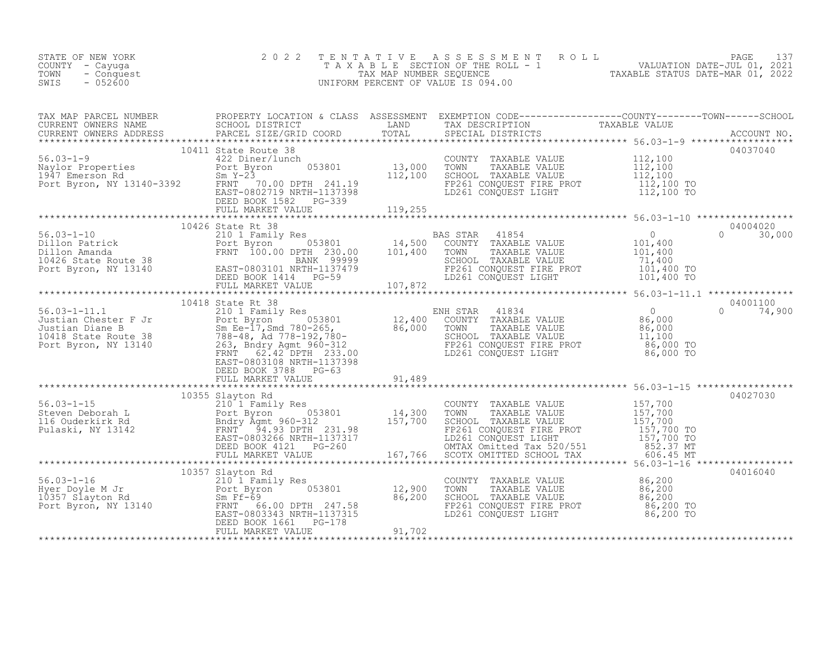| STATE OF NEW YORK<br>COUNTY - Cayuga<br>- Conquest<br>TOWN<br>$-052600$<br>SWIS |  | 2022 TENTATIVE ASSESSMENT ROLL PAGE 137<br>TAXABLE SECTION OF THE ROLL - 1 VALUATION DATE-JUL 01, 2021<br>TAX MAP NUMBER SEQUENCE TAXABLE STATUS DATE-MAR 01, 2022<br>UNIFORM PERCENT OF VALUE IS 094.00                                                                                                                                                                                                   |  |
|---------------------------------------------------------------------------------|--|------------------------------------------------------------------------------------------------------------------------------------------------------------------------------------------------------------------------------------------------------------------------------------------------------------------------------------------------------------------------------------------------------------|--|
|                                                                                 |  |                                                                                                                                                                                                                                                                                                                                                                                                            |  |
|                                                                                 |  | $\begin{tabular}{lllllllllllll} \textsc{TAX} \textsc{MAP} \textsc{PARED} \textsc{IUNBER} & \textsc{PCOBERTY LOCATION & CLAS} & \textsc{ASESSSMENT} \textsc{EXEMENTION COD} & \textsc{CDF--------------0-COMITY------000NTY------000NTY------000NTY------000NTY------000NTY------000NTY------000NTY------000NTY------000NTY------000NTY------000NTY------000NTY------000NTY------000NTY------000NTY------0$ |  |
|                                                                                 |  |                                                                                                                                                                                                                                                                                                                                                                                                            |  |
|                                                                                 |  |                                                                                                                                                                                                                                                                                                                                                                                                            |  |
|                                                                                 |  |                                                                                                                                                                                                                                                                                                                                                                                                            |  |
|                                                                                 |  |                                                                                                                                                                                                                                                                                                                                                                                                            |  |
|                                                                                 |  |                                                                                                                                                                                                                                                                                                                                                                                                            |  |
|                                                                                 |  |                                                                                                                                                                                                                                                                                                                                                                                                            |  |
|                                                                                 |  |                                                                                                                                                                                                                                                                                                                                                                                                            |  |
|                                                                                 |  | 04016040                                                                                                                                                                                                                                                                                                                                                                                                   |  |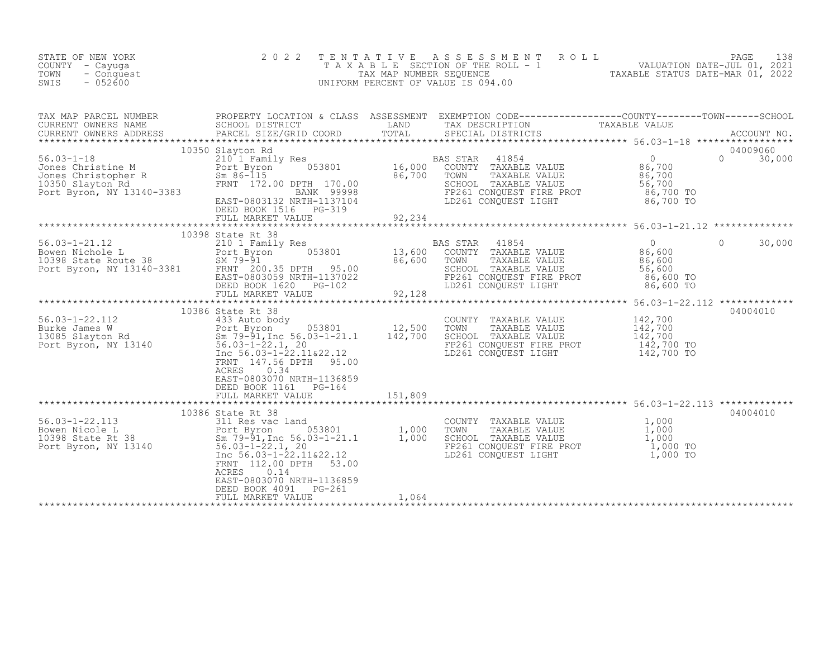| STATE OF NEW YORK<br>COUNTY - Cayuga<br>TOWN<br>- Conquest<br>SWIS<br>$-052600$                                                                                                                                                                    | 2 0 2 2                                                                                                                                                               | TENTATIVE                                                | A S S E S S M E N T R O L L<br>TAXABLE SECTION OF THE ROLL - 1<br>TAXABLE STATUS DATE-JUL 01, 2021<br>TAXABLE STATUS DATE-MAR 01, 2022<br>UNIFORM PERCENT OF VALUE IS 094.00          |                                                                                    | 138<br>PAGE                    |
|----------------------------------------------------------------------------------------------------------------------------------------------------------------------------------------------------------------------------------------------------|-----------------------------------------------------------------------------------------------------------------------------------------------------------------------|----------------------------------------------------------|---------------------------------------------------------------------------------------------------------------------------------------------------------------------------------------|------------------------------------------------------------------------------------|--------------------------------|
| TAX MAP PARCEL NUMBER     PROPERTY LOCATION & CLASS ASSESSMENT EXEMPTION CODE----------------COUNTY-------TOWN------SCHOOL CURRENT OWNERS NAME     SCHOOL DISTRICT     LAND     TAX DESCRIPTION     TAXABLE VALUE<br>CURRENT OWNERS ADDRESS        | PARCEL SIZE/GRID COORD                                                                                                                                                | TOTAL                                                    | SPECIAL DISTRICTS                                                                                                                                                                     |                                                                                    | ACCOUNT NO.                    |
|                                                                                                                                                                                                                                                    | 10350 Slayton Rd<br>053801<br>EAST-0803132 NRTH-1137104<br>DEED BOOK 1516 PG-319                                                                                      | $16,000$ <sup>B.</sup><br>$\frac{1}{86}$ , 700<br>92,234 | BAS STAR<br>41854<br>COUNTY TAXABLE VALUE<br>TOWN<br>TAXABLE VALUE<br>SCHOOL TAXABLE VALUE<br>FP261 CONQUEST FIRE PROT<br>LD261 CONQUEST LIGHT                                        | $\overline{0}$<br>86,700<br>86,700<br>56,700<br>86,700 TO<br>86,700 TO             | 04009060<br>$\Omega$<br>30,000 |
|                                                                                                                                                                                                                                                    | FULL MARKET VALUE                                                                                                                                                     |                                                          |                                                                                                                                                                                       |                                                                                    |                                |
| $56.03 - 1 - 21.12$<br>56.03-1-21.12 210 1 Family Res<br>Bowen Nichole L 210 1 Family Res<br>10398 State Route 38 5M 79-91<br>Port Byron, NY 13140-3381 FRNT 200.35 DPTH 95.00                                                                     | 10398 State Rt 38<br>210 1 Family Res<br>1053801<br>EAST-0803059 NRTH-1137022<br>DEED BOOK 1620 PG-102                                                                | 13,600<br>$\frac{1}{86}$ , 600                           | BAS STAR<br>41854<br>COUNTY TAXABLE VALUE<br>TOWN<br>TAXABLE VALUE<br>SCHOOL TAXABLE VALUE<br>FP261 CONQUEST FIRE PROT<br>LD261 CONOUEST LIGHT                                        | $\overline{0}$<br>$\Omega$<br>86,600<br>86,600<br>56,600<br>86,600 TO<br>86,600 TO | 30,000                         |
|                                                                                                                                                                                                                                                    |                                                                                                                                                                       |                                                          |                                                                                                                                                                                       |                                                                                    |                                |
| 56.03-1-22.112<br>Burke James W<br>13085 Slayton Rd<br>Port Byron, NY 13140<br>Port Byron, NY 13140<br>Port Byron, NY 13140<br>Port Byron, NY 13140<br>Port Byron, NY 13140<br>Port Byron, NY 13140<br>Port Byron, NY 13140<br>Port Barrows Conten | 10386 State Rt 38<br>Inc 56.03-1-22.11&22.12<br>FRNT 147.56 DPTH<br>95.00<br>ACRES<br>0.34<br>EAST-0803070 NRTH-1136859<br>DEED BOOK 1161 PG-164<br>FULL MARKET VALUE | 151,809                                                  | COUNTY TAXABLE VALUE<br>TOWN<br>TAXABLE VALUE<br>SCHOOL TAXABLE VALUE<br>FP261 CONQUEST FIRE PROT<br>LD261 CONQUEST LIGHT                                                             | 142,700<br>142,700<br>142,700<br>142,700 TO<br>142,700 TO                          | 04004010                       |
|                                                                                                                                                                                                                                                    |                                                                                                                                                                       |                                                          | ******************************** 56.03-1-22.113 *************                                                                                                                         |                                                                                    |                                |
| 56.03-1-22.113<br>Bowen Nicole L<br>10398 State Rt 38<br>Port Byron, NY 13140<br>Port Byron, NY 13140<br>Fort Byron, NY 13140<br>Fort December 22.1, 20<br>The 56.03-1-22.11&22.12<br>The 56.03-1-22.11&22.12                                      | 10386 State Rt 38<br>FRNT 112.00 DPTH<br>53.00<br>ACRES<br>0.14<br>EAST-0803070 NRTH-1136859                                                                          |                                                          | COUNTY TAXABLE VALUE $1,000$<br>TOWN TAXABLE VALUE $1,000$<br>SCHOOL TAXABLE VALUE $1,000$<br>FP261 CONQUEST FIEUT $1,000$<br>FD261 CONQUEST FIEUT $1,000$ TO<br>LD261 CONQUEST LIGHT | $\frac{1}{1}$ , 000<br>$\frac{1}{1}$ , 000<br>1,000 TO                             | 04004010                       |
|                                                                                                                                                                                                                                                    | DEED BOOK 4091<br>PG-261<br>FULL MARKET VALUE                                                                                                                         | 1,064                                                    |                                                                                                                                                                                       |                                                                                    |                                |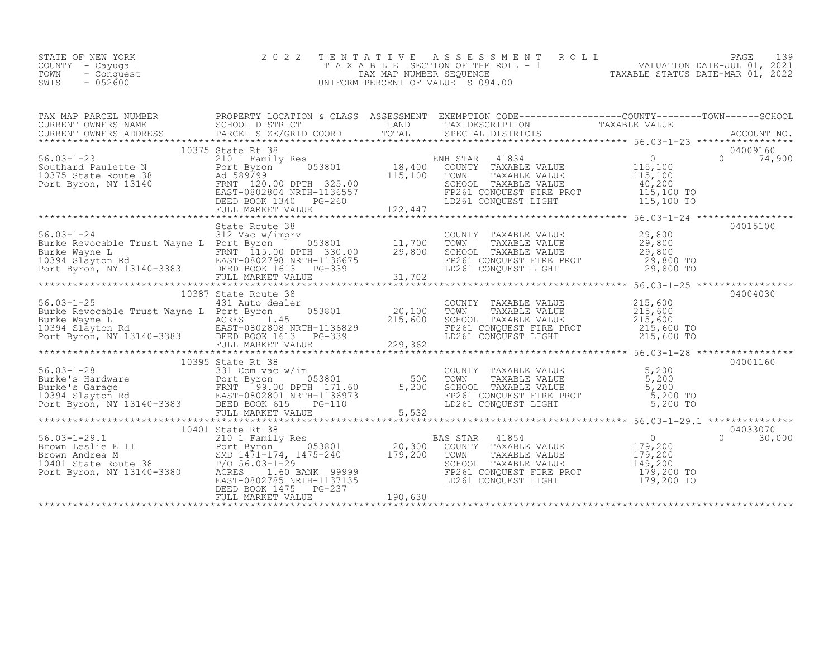| STATE OF NEW YORK  | 2022 TENTATIVE ASSESSMENT ROLL     |                                  | PAGE <b>Fig.</b>            | 139 |
|--------------------|------------------------------------|----------------------------------|-----------------------------|-----|
| COUNTY – Cayuga    | TAXABLE SECTION OF THE ROLL - 1    |                                  | VALUATION DATE-JUL 01, 2021 |     |
| TOWN<br>- Conquest | TAX MAP NUMBER SEOUENCE            | TAXABLE STATUS DATE-MAR 01, 2022 |                             |     |
| $-052600$<br>SWIS  | UNIFORM PERCENT OF VALUE IS 094.00 |                                  |                             |     |

| TAX MAP PARCEL NUMBER THE PROPERTY LOCATION & CLASS ASSESSMENT EXEMPTION CODE----------------COUNTY-------TOWN-----SCHOOL                                                                                                                                                                   |  |  |  |  |  |  |  |
|---------------------------------------------------------------------------------------------------------------------------------------------------------------------------------------------------------------------------------------------------------------------------------------------|--|--|--|--|--|--|--|
|                                                                                                                                                                                                                                                                                             |  |  |  |  |  |  |  |
|                                                                                                                                                                                                                                                                                             |  |  |  |  |  |  |  |
|                                                                                                                                                                                                                                                                                             |  |  |  |  |  |  |  |
|                                                                                                                                                                                                                                                                                             |  |  |  |  |  |  |  |
|                                                                                                                                                                                                                                                                                             |  |  |  |  |  |  |  |
|                                                                                                                                                                                                                                                                                             |  |  |  |  |  |  |  |
|                                                                                                                                                                                                                                                                                             |  |  |  |  |  |  |  |
|                                                                                                                                                                                                                                                                                             |  |  |  |  |  |  |  |
|                                                                                                                                                                                                                                                                                             |  |  |  |  |  |  |  |
|                                                                                                                                                                                                                                                                                             |  |  |  |  |  |  |  |
|                                                                                                                                                                                                                                                                                             |  |  |  |  |  |  |  |
|                                                                                                                                                                                                                                                                                             |  |  |  |  |  |  |  |
|                                                                                                                                                                                                                                                                                             |  |  |  |  |  |  |  |
|                                                                                                                                                                                                                                                                                             |  |  |  |  |  |  |  |
|                                                                                                                                                                                                                                                                                             |  |  |  |  |  |  |  |
| 312 Vac w/impry 312 Vac Wimpry COUNTY TAXABLE VALUE<br>Burke Revocable Trust Wayne L POrt Byron RANGE COUNTY TAXABLE VALUE<br>Burke Nayne L PRIT 115.00 DPTH 330.00<br>10394 Slayton Rd EAST-0802798 NRTH-1136675<br>PORT Byron, NY 13                                                      |  |  |  |  |  |  |  |
|                                                                                                                                                                                                                                                                                             |  |  |  |  |  |  |  |
|                                                                                                                                                                                                                                                                                             |  |  |  |  |  |  |  |
|                                                                                                                                                                                                                                                                                             |  |  |  |  |  |  |  |
|                                                                                                                                                                                                                                                                                             |  |  |  |  |  |  |  |
|                                                                                                                                                                                                                                                                                             |  |  |  |  |  |  |  |
|                                                                                                                                                                                                                                                                                             |  |  |  |  |  |  |  |
|                                                                                                                                                                                                                                                                                             |  |  |  |  |  |  |  |
|                                                                                                                                                                                                                                                                                             |  |  |  |  |  |  |  |
|                                                                                                                                                                                                                                                                                             |  |  |  |  |  |  |  |
|                                                                                                                                                                                                                                                                                             |  |  |  |  |  |  |  |
|                                                                                                                                                                                                                                                                                             |  |  |  |  |  |  |  |
| 10395 State RT 38<br>56.03-1-28<br>Burke's Garage FRNT Byron EAKABLE VALUE<br>ENT BY 200 DPTH 171.60<br>TOWN TAXABLE VALUE 5,200<br>TOWN TAXABLE VALUE 5,200<br>TOWN TAXABLE VALUE 5,200<br>TOWN TAXABLE VALUE 5,200<br>TOWN TAXABLE VALUE 5,2                                              |  |  |  |  |  |  |  |
|                                                                                                                                                                                                                                                                                             |  |  |  |  |  |  |  |
|                                                                                                                                                                                                                                                                                             |  |  |  |  |  |  |  |
|                                                                                                                                                                                                                                                                                             |  |  |  |  |  |  |  |
|                                                                                                                                                                                                                                                                                             |  |  |  |  |  |  |  |
|                                                                                                                                                                                                                                                                                             |  |  |  |  |  |  |  |
|                                                                                                                                                                                                                                                                                             |  |  |  |  |  |  |  |
|                                                                                                                                                                                                                                                                                             |  |  |  |  |  |  |  |
|                                                                                                                                                                                                                                                                                             |  |  |  |  |  |  |  |
|                                                                                                                                                                                                                                                                                             |  |  |  |  |  |  |  |
| $\begin{tabular}{l c c c c c} \multicolumn{4}{c}{\text{\small\textbf{56.03--1--29.1}} & 10401 & 10401 & 10401 & 10401 & 10401 & 10401 & 10401 & 10401 & 10401 & 10401 & 10401 & 10401 & 10401 & 10401 & 10401 & 10401 & 10401 & 10401 & 10401 & 10401 & 10401 & 10401 & 10401 & 10401 & 10$ |  |  |  |  |  |  |  |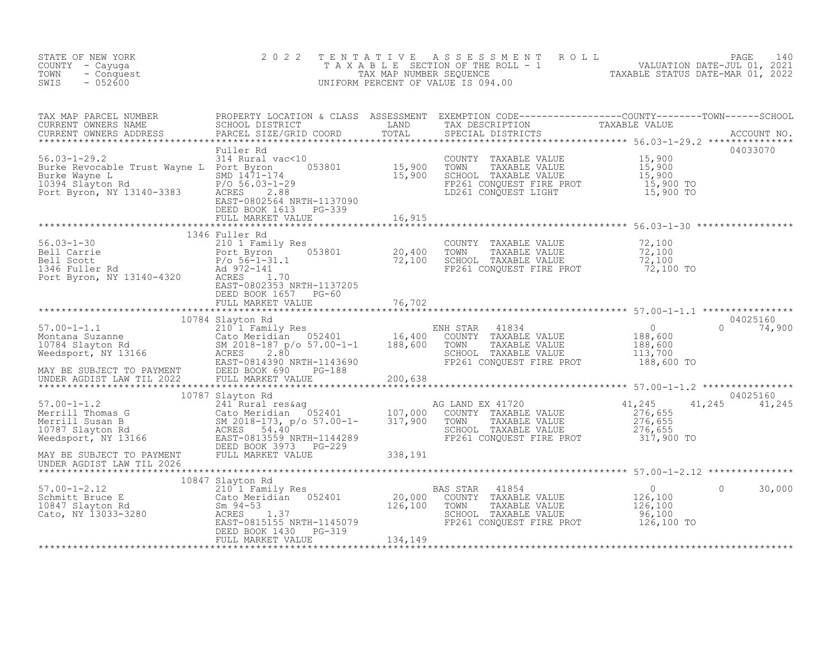| STATE OF NEW YORK<br>COUNTY - Cayuga<br>TOWN<br>- Conquest<br>$-052600$<br>SWIS                                                                                                                                                                                                                                                                                                                                           | 2022                                                                |         | TENTATIVE ASSESSMENT ROLL PACE 140<br>TAXABLE SECTION OF THE ROLL - 1 VALUATION DATE-JUL 01, 2021<br>TAX MAP NUMBER SEQUENCE TAXABLE STATUS DATE-MAR 01, 2022<br>UNIFORM PERCENT OF VALUE IS 094.00 |                                                                          |                    |
|---------------------------------------------------------------------------------------------------------------------------------------------------------------------------------------------------------------------------------------------------------------------------------------------------------------------------------------------------------------------------------------------------------------------------|---------------------------------------------------------------------|---------|-----------------------------------------------------------------------------------------------------------------------------------------------------------------------------------------------------|--------------------------------------------------------------------------|--------------------|
|                                                                                                                                                                                                                                                                                                                                                                                                                           |                                                                     |         |                                                                                                                                                                                                     |                                                                          |                    |
| 56.03-1-29.2<br>Burke Revocable Trust Wayne L Port Byron, NY 13140-3383<br>Port Byron, NY 13140-3383<br>Port Byron, NY 13140-3383<br>EAST-0802564<br>NET-DOCY 1613 PC 2.88<br>POCY 1613 PC 2.38<br>POCY 1613 PC 2.33<br>POCY 1613 PC 3389<br>POC                                                                                                                                                                          | Fuller Rd                                                           |         | COUNTY TAXABLE VALUE 15,900<br>TOWN TAXABLE VALUE 15,900<br>SCHOOL TAXABLE VALUE 15,900<br>FP261 CONQUEST FIRE PROT 15,900 TO<br>LD261 CONQUEST LIGHT 15,900 TO                                     |                                                                          | 04033070           |
|                                                                                                                                                                                                                                                                                                                                                                                                                           |                                                                     |         |                                                                                                                                                                                                     |                                                                          |                    |
| 1346 Fuller Rd<br>56.03-1-30 1346 Fuller Rd<br>20.400 TOWN TAXABLE VALUE<br>20.400 TOWN TAXABLE VALUE<br>20.400 TOWN TAXABLE VALUE<br>20.400 TOWN TAXABLE VALUE<br>20.400 TOWN TAXABLE VALUE<br>20.400 TOWN TAXABLE VALUE<br>20.400 TOWN TAXAB                                                                                                                                                                            | 1346 Fuller Rd<br>EAST-0802353 NRTH-1137205<br>DEED BOOK 1657 PG-60 |         |                                                                                                                                                                                                     |                                                                          |                    |
|                                                                                                                                                                                                                                                                                                                                                                                                                           | FULL MARKET VALUE 76,702                                            |         |                                                                                                                                                                                                     |                                                                          |                    |
|                                                                                                                                                                                                                                                                                                                                                                                                                           |                                                                     |         |                                                                                                                                                                                                     |                                                                          |                    |
|                                                                                                                                                                                                                                                                                                                                                                                                                           |                                                                     |         |                                                                                                                                                                                                     |                                                                          |                    |
|                                                                                                                                                                                                                                                                                                                                                                                                                           |                                                                     |         |                                                                                                                                                                                                     |                                                                          |                    |
|                                                                                                                                                                                                                                                                                                                                                                                                                           |                                                                     |         |                                                                                                                                                                                                     |                                                                          |                    |
|                                                                                                                                                                                                                                                                                                                                                                                                                           |                                                                     |         |                                                                                                                                                                                                     |                                                                          |                    |
|                                                                                                                                                                                                                                                                                                                                                                                                                           |                                                                     |         |                                                                                                                                                                                                     |                                                                          |                    |
|                                                                                                                                                                                                                                                                                                                                                                                                                           | 10847 Slayton Rd                                                    |         |                                                                                                                                                                                                     |                                                                          |                    |
| $\begin{array}{cccc} 57.00-1-2.12 & 10847 \text{ Slayton Rd} & 20,000 & \text{COUNTY TAXABLE VALUE} \\ {\small\texttt{Schmit} \end{array} \begin{array}{cccc} 10847 \text{ Slayton Rd} & 210 1 \text{ Family Res} & 20,000 & \text{COUNTY TAXABLE VALUE} \\ \texttt{Sm 94-53} & 20,100 & \text{COUNTY TAXABLE VALUE} \\ \texttt{Cato, NY 13033-3280} & \texttt{EAST-0815155 NRTH-1145079} & \texttt{TS-319} \\ & & & & &$ |                                                                     |         | SCHOOL TAXABLE VALUE<br>FP261 CONQUEST FIRE PROT 126,100 TO                                                                                                                                         | $\overline{0}$<br>$\begin{array}{c} 0 \\ 126,100 \\ 126,100 \end{array}$ | $\Omega$<br>30,000 |
|                                                                                                                                                                                                                                                                                                                                                                                                                           | FULL MARKET VALUE                                                   | 134,149 |                                                                                                                                                                                                     |                                                                          |                    |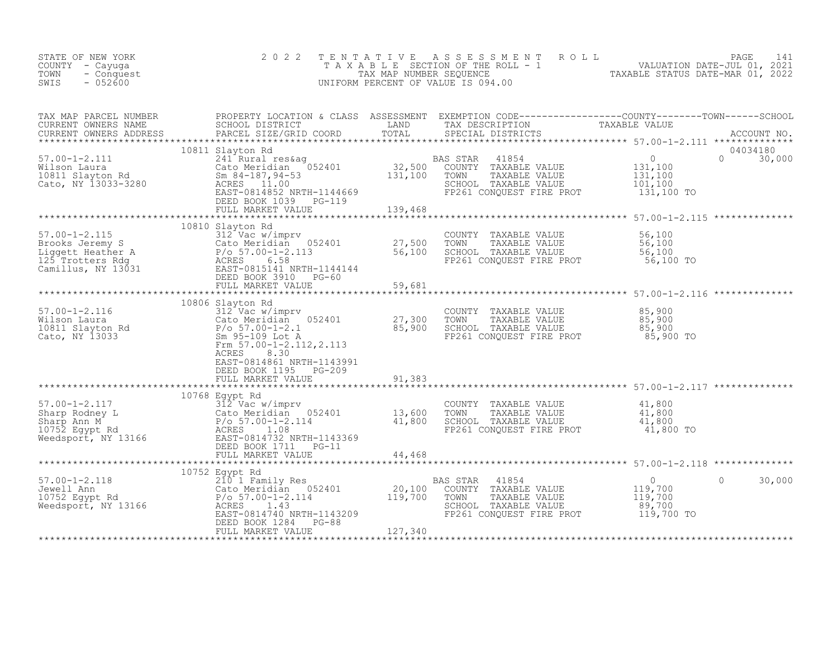| STATE OF NEW YORK<br>COUNTY - Cayuga<br>TOWN<br>SWIS                                                                                                                                                                                                                                                                                                                                                                                   |                                                                                                    |  |  |
|----------------------------------------------------------------------------------------------------------------------------------------------------------------------------------------------------------------------------------------------------------------------------------------------------------------------------------------------------------------------------------------------------------------------------------------|----------------------------------------------------------------------------------------------------|--|--|
|                                                                                                                                                                                                                                                                                                                                                                                                                                        |                                                                                                    |  |  |
| $\begin{tabular}{lllllllllll} \textsc{rank} & \textsc{map} & \textsc{PROBERTY LOCATION & \textsc{CLSS} & \textsc{SSESSMENT} & \textsc{EXEMPTION} & \textsc{CODE} & \textsc{TONNT} & \textsc{TONN} & \textsc{TONN} & \textsc{TONN} & \textsc{TONN} & \textsc{TONN} & \textsc{TONN} & \textsc{TONN} & \textsc{TONN} & \textsc{TONN} & \textsc{TONN} & \textsc{TONN} & \textsc{TONN} & \textsc{TONN} & \textsc{TONN} & \textsc{TONN} & \$ |                                                                                                    |  |  |
| $\begin{array}{cccccccc}\n 57.00-1-2.115 & 10810 & 51ayton & \text{Rd} & 10810 & 51ayton & \text{Rd} & 10810 & 51ayton & \text{Rd} & 10810 & 51ayton & \text{Rd} & 10810 & 51ayton & \text{Rd} & 10810 & 51ayton & \text{Rd} & 10810 & 51ayton & \text{Rd} & 10810 & 51ayton & \text{Rd} & 10810 & 51ayton & \text{Rd} & 10810 &$                                                                                                      | 10810 Slayton Rd                                                                                   |  |  |
| 10000 31ayton Ka and the COUNTY TAXABLE VALUE 35,900<br>Wilson Laura 312 Vac w/imprv<br>CALO MI TAXABLE VALUE 85,900<br>CALO, NY 13033<br>Cato, NY 13033<br>Cato, NY 13033<br>Cato, NY 13033<br>CALO MI TAXABLE VALUE 85,900<br>CALO MI TAXABL                                                                                                                                                                                         | 10806 Slayton Rd<br>EAST-0814861 NRTH-1143991<br>DEED BOOK 1195 PG-209<br>FULL MARKET VALUE 91,383 |  |  |
|                                                                                                                                                                                                                                                                                                                                                                                                                                        |                                                                                                    |  |  |
| $\begin{tabular}{l cccc} \texttt{57.00-1-2.117} & 10768\, \texttt{Bayley Red} & 100768\, \texttt{Weyl Red} & 100768\, \texttt{Weyl Red} & 100768\, \texttt{Weyl Red} & 100768\, \texttt{Weyl Red} & 100768\, \texttt{Weyl Red} & 100768\, \texttt{Weyl Red} & 100768\, \texttt{Weyl Red} & 100768\, \texttt{Weyl Red} & 100768\, \texttt{Weyl Red} & 10$                                                                               |                                                                                                    |  |  |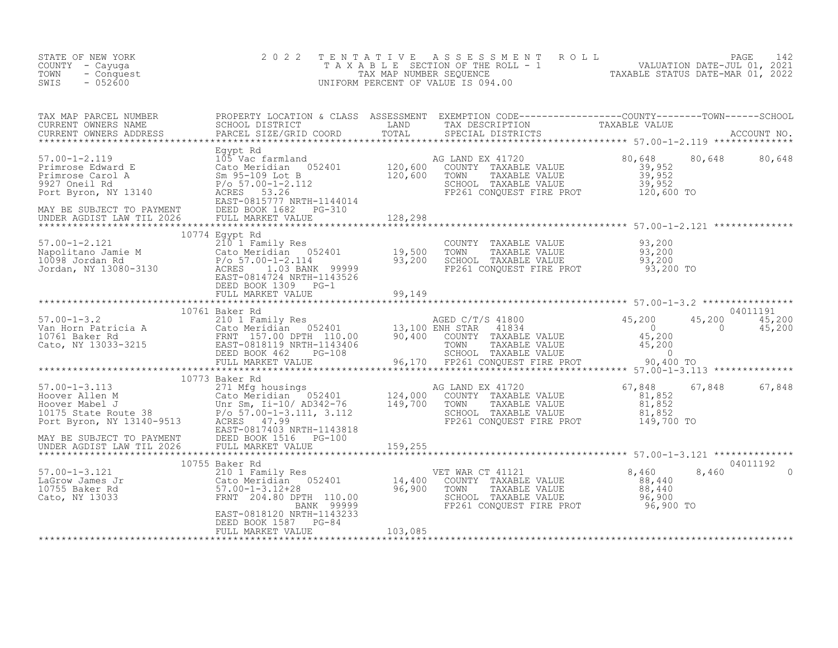| STATE OF NEW YORK<br>COUNTY - Cayuga<br>- Conquest<br>TOWN<br>$-052600$<br>SWIS                                                                                                                                                                                                                                                                                                                                                | 2 0 2 2                                                                | TENTATIVE     | TENTATIVE ASSESSMENT ROLL UNIVALUATION DATE-JUL 01, 2021<br>TAXABLE SECTION OF THE ROLL - 1<br>TAX MAP NUMBER SEQUENCE TAXABLE STATUS DATE-MAR 01, 2022<br>JNIFORM PERCENT OF VALUE IS 094.00<br>UNIFORM PERCENT OF VALUE IS 094.00 |               |          |
|--------------------------------------------------------------------------------------------------------------------------------------------------------------------------------------------------------------------------------------------------------------------------------------------------------------------------------------------------------------------------------------------------------------------------------|------------------------------------------------------------------------|---------------|-------------------------------------------------------------------------------------------------------------------------------------------------------------------------------------------------------------------------------------|---------------|----------|
| TAX MAP PARCEL NUMBER BROPERTY LOCATION & CLASS ASSESSMENT EXEMPTION CODE---------------COUNTY--------TOWN------SCHOOL CURRENT OWNERS NAME SCHOOL DISTRICT LAND TAX DESCRIPTION TAXABLE VALUE<br>CURRENT OWNERS ADDRESS PARCEL SI                                                                                                                                                                                              |                                                                        |               |                                                                                                                                                                                                                                     |               |          |
|                                                                                                                                                                                                                                                                                                                                                                                                                                |                                                                        |               |                                                                                                                                                                                                                                     |               |          |
|                                                                                                                                                                                                                                                                                                                                                                                                                                |                                                                        |               |                                                                                                                                                                                                                                     |               |          |
| 10//4 Egypt Rd<br>210 1/4 Egypt Rd<br>210 1 21 21 21<br>Cato Meridian 052401 19,500<br>210098 Jordan Rd<br>210098 Jordan Rd<br>210098 Jordan Rd<br>210098 DEED BOOK 103 BANK 99999<br>20110<br>20110<br>20110<br>20110                                                                                                                                                                                                         | 10774 Egypt Rd                                                         |               | COUNTY TAXABLE VALUE $93,200$<br>TOWN TAXABLE VALUE $93,200$<br>SCHOOL TAXABLE VALUE $93,200$<br>FP261 CONQUEST FIRE PROT $93,200$ TO                                                                                               |               |          |
|                                                                                                                                                                                                                                                                                                                                                                                                                                | DEED BOOK 1309 PG-1<br>FULL MARKET VALUE                               |               |                                                                                                                                                                                                                                     |               |          |
|                                                                                                                                                                                                                                                                                                                                                                                                                                |                                                                        |               |                                                                                                                                                                                                                                     |               |          |
|                                                                                                                                                                                                                                                                                                                                                                                                                                |                                                                        |               |                                                                                                                                                                                                                                     |               |          |
|                                                                                                                                                                                                                                                                                                                                                                                                                                | 10773 Baker Rd                                                         |               |                                                                                                                                                                                                                                     |               |          |
| $\begin{tabular}{lllllllllllll} & & & & 10773\text{ Baker Rd} & & & \text{AG} & \text{AG} \\ 57.00-1-3.113 & & 271\text{ Mfg housings} & & & \text{AG} & \text{AG} \\ \text{Hoover Allen M} & & & \text{Cato Meridian} & 052401 & 124,000 & 10175\text{ State Route 38} & & \text{P/O} & 10175\text{ State Route 38} & & \text{P/O} & 10175\text{ State Route 38} & & \text{P/O} & 10175\text{ State Route 38} & & \text{P/O}$ |                                                                        |               | AG LAND EX 41720 67,848 67<br>1 COUNTY TAXABLE VALUE 81,852<br>1 TOWN TAXABLE VALUE 81,852<br>SCHOOL TAXABLE VALUE 81,852<br>FP261 CONQUEST FIRE PROT 149,700 TO                                                                    | 67,848 67,848 |          |
|                                                                                                                                                                                                                                                                                                                                                                                                                                |                                                                        |               |                                                                                                                                                                                                                                     |               |          |
|                                                                                                                                                                                                                                                                                                                                                                                                                                | 10755 Baker Rd                                                         |               |                                                                                                                                                                                                                                     |               | 04011192 |
| 10755 Baker Rd 10755 Baker Rd 210 1 Family Res 210 1 Family Res 210 1 Family Res 210 1 Family Res 210 1 Family Res 210 1 Family Res 210 1 Family Res 210 1 Family Res 210 1 Family Res 210 1 Family Res 210 1 Family Res 210 1                                                                                                                                                                                                 |                                                                        |               |                                                                                                                                                                                                                                     | 8,460         |          |
|                                                                                                                                                                                                                                                                                                                                                                                                                                | EAST-0818120 NRTH-1143233<br>DEED BOOK 1587 PG-84<br>FULL MARKET VALUE | $-84$ 103,085 |                                                                                                                                                                                                                                     |               |          |
|                                                                                                                                                                                                                                                                                                                                                                                                                                |                                                                        |               |                                                                                                                                                                                                                                     |               |          |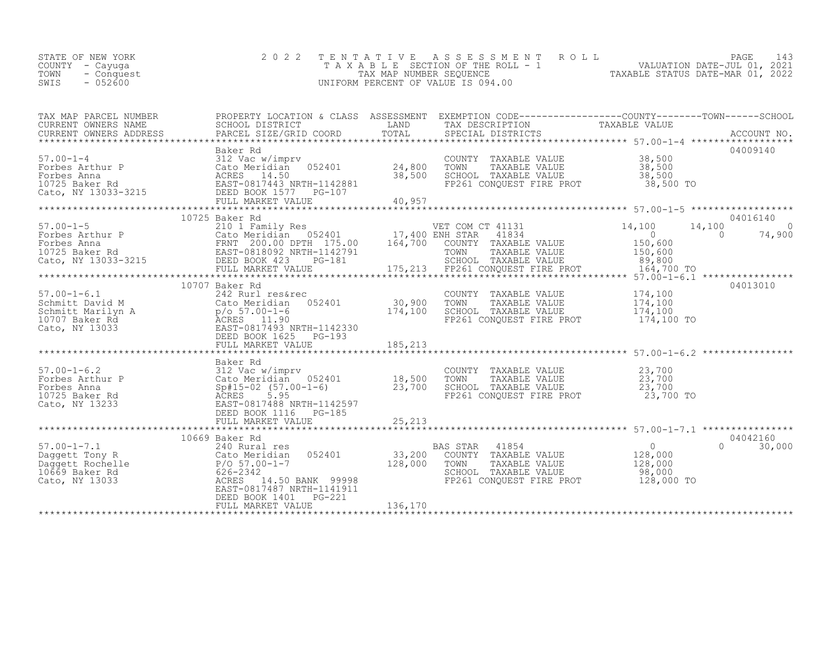|                                                                                                                                                                                                                                                                                                                                                               | TENTATIVE ASSESSMENT ROLL PAGE 143<br>TAXABLE SECTION OF THE ROLL - 1 VALUATION DATE-JUL 01, 2021<br>TAX MAP NUMBER SEQUENCE TAXABLE STATUS DATE-MAR 01, 2022<br>UNIFORM PERCENT OF VALUE IS 094.00 |
|---------------------------------------------------------------------------------------------------------------------------------------------------------------------------------------------------------------------------------------------------------------------------------------------------------------------------------------------------------------|-----------------------------------------------------------------------------------------------------------------------------------------------------------------------------------------------------|
| TAX MAP PARCEL NUMBER PROPERTY LOCATION & CLASS ASSESSMENT EXEMPTION CODE----------------COUNTY--------TOWN------SCHOOL CURRENT OWNERS NAME SCHOOL DISTRICT LAND TAX DESCRIPTION TAXABLE VALUE (URRENT OWNERS ADDRESS PARCEL S                                                                                                                                |                                                                                                                                                                                                     |
| 04009140                                                                                                                                                                                                                                                                                                                                                      |                                                                                                                                                                                                     |
| 04016140<br>10725 Baker Rd                                                                                                                                                                                                                                                                                                                                    |                                                                                                                                                                                                     |
| 10707 Baker Rd<br>04013010<br>COUNTY TAXABLE VALUE $174,100$<br>TOWN TAXABLE VALUE $174,100$<br>SCHOOL TAXABLE VALUE $174,100$<br>FP261 CONQUEST FIRE PROT $174,100$ TO                                                                                                                                                                                       |                                                                                                                                                                                                     |
|                                                                                                                                                                                                                                                                                                                                                               |                                                                                                                                                                                                     |
| $\begin{tabular}{l c c c c c} \hline \texttt{57.00-1-6.2} & \texttt{Backer Red} & \texttt{1056} & \texttt{1057.01} & \texttt{1057.02} & \texttt{1057.00} & \texttt{1057.00} & \texttt{1057.00} & \texttt{1057.00} & \texttt{1057.00} & \texttt{1057.00} & \texttt{1057.00} & \texttt{1057.00} & \texttt{1057.00} & \texttt{1057.00} & \texttt{105$<br>136,170 |                                                                                                                                                                                                     |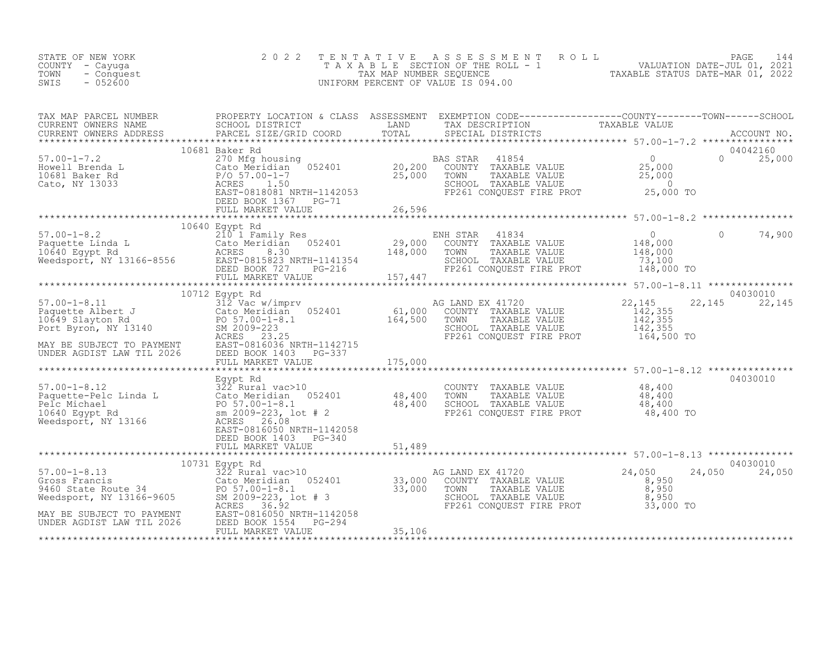| STATE OF NEW YORK<br>COUNTY - Cayuga<br>- Conquest<br>TOWN<br>$-052600$<br>SWIS                                                                                                                                                                                                                                                                                                                                                                    | 2 0 2 2           |        | TENTATIVE ASSESSMENT ROLL PAGE 144<br>TAXABLE SECTION OF THE ROLL - 1 VALUATION DATE-JUL 01, 2021<br>TAX MAP NUMBER SEQUENCE TAXABLE STATUS DATE-MAR 01, 2022<br>UNIFORM PERCENT OF VALUE IS 094.00                                                                                                                    |                             |
|----------------------------------------------------------------------------------------------------------------------------------------------------------------------------------------------------------------------------------------------------------------------------------------------------------------------------------------------------------------------------------------------------------------------------------------------------|-------------------|--------|------------------------------------------------------------------------------------------------------------------------------------------------------------------------------------------------------------------------------------------------------------------------------------------------------------------------|-----------------------------|
|                                                                                                                                                                                                                                                                                                                                                                                                                                                    |                   |        |                                                                                                                                                                                                                                                                                                                        |                             |
| $\begin{tabular}{lllllllllllllllllllll} \textsc{TAX} & \textsc{map} & \textsc{PROEEN} & \textsc{PROPERTY LOCATION & \textsc{CIASS} & \textsc{ASSSESSEMENT} & \textsc{EXEMFTION COD}-\textsc{------------CCIONY--\textsc{------COMY--\textsc{------COMY--\textsc{------COMY--\textsc{------COMY--\textsc{------COMY--\textsc{------COMY--\textsc{------COMY--\textsc{------COMY--\textsc{------COMY--\textsc{------COMY--\textsc{------COMY--\text$ |                   |        |                                                                                                                                                                                                                                                                                                                        |                             |
|                                                                                                                                                                                                                                                                                                                                                                                                                                                    |                   |        |                                                                                                                                                                                                                                                                                                                        |                             |
| $\begin{tabular}{lcccc} 57.00-1-8.2 & 10640 Egypt Rd & 210 1 Family Res & 210 1 Family Res & 29,000 COUNTY TAXABLE VALUE & 148,00010640 Egypt Rd & 210 1 Family Res & 29,000 COUNTY TAXABLE VALUE & 148,00010640 Egypt Rd & 200 MCT, NY 13166-8556 RAST-0815823 NRTH-1141354 & 157,447DEED BOOK 727 PG-216 & 157,4470000000000000$                                                                                                                 |                   |        |                                                                                                                                                                                                                                                                                                                        | $\circ$<br>74,900           |
|                                                                                                                                                                                                                                                                                                                                                                                                                                                    |                   |        |                                                                                                                                                                                                                                                                                                                        |                             |
| 10712 Equation 10712 Equation 10712 Equation 10712 Equation 10712 Equation 10712 Equation 10712 Equation 10712 Equation 10712 Exact when the cato Meridian 1052401 and the set of the state value of the state of the state of                                                                                                                                                                                                                     |                   |        | $\begin{tabular}{lllllllllll} \texttt{G LAND EX} & 41720 & 22,145 & 22\\ \texttt{COUNTY} & \texttt{TAXABLE VALUE} & 142,355\\ \texttt{TCWN} & \texttt{TAXABLE VALUE} & 142,355\\ \texttt{SCHOOL} & \texttt{TAXABLE VALUE} & 142,355\\ \texttt{FP261 CONQUEST FIRE PROT} & 164,500\texttt{\color{red}TO} \end{tabular}$ | 04030010<br>22, 145 22, 145 |
|                                                                                                                                                                                                                                                                                                                                                                                                                                                    |                   |        |                                                                                                                                                                                                                                                                                                                        |                             |
|                                                                                                                                                                                                                                                                                                                                                                                                                                                    |                   |        |                                                                                                                                                                                                                                                                                                                        | 04030010                    |
| 57.00-1-8.12<br>Paquette-Pelc Linda L<br>Paquette-Pelc Linda L<br>Pack Cato Meridian 052401<br>Pelc Michael<br>Pelc Michael<br>Pelc Michael<br>Pelc Michael<br>Pelc Michael<br>Pelc Michael<br>Pelc Michael<br>Pelc Michael<br>Pelc Michael<br>Pelc Sm 2                                                                                                                                                                                           |                   |        | COUNTY TAXABLE VALUE $\begin{array}{cccc} 48,400 \ \text{TOWN} & \text{TAXABLE VALUE} & 48,400 \ \text{SCHOL} & \text{TAXABLE VALUE} & 48,400 \ \text{FP261 CONQUEST FIRE PROT} & 48,400 \ \text{TO} & \text{P261} & 4800 \end{array}$                                                                                 |                             |
|                                                                                                                                                                                                                                                                                                                                                                                                                                                    | FULL MARKET VALUE | 51,489 |                                                                                                                                                                                                                                                                                                                        |                             |
|                                                                                                                                                                                                                                                                                                                                                                                                                                                    | 10731 Egypt Rd    |        |                                                                                                                                                                                                                                                                                                                        | 04030010<br>24,050 24,050   |
| $\begin{tabular}{lllllllllllll} 57.00-1-8.13 & 10731 \; \texttt{ Egypt} \; \texttt{Rd} & 33,000 & \texttt{AG} \; \texttt{LAND} \; \texttt{EX} \; 41720 & 24,050 & 24 \; \texttt{Gross Francis} & 24,050 & 24 \; \texttt{Gross Francis} & 24,050 & 24 \; \texttt{Gross Francis} & 24,050 & 24 \; \texttt{Gross Francis} & 24,050 & 24 \; \texttt{Gross Francis} & 24,050 & 24 \; \texttt{Gross$                                                     |                   |        |                                                                                                                                                                                                                                                                                                                        |                             |
|                                                                                                                                                                                                                                                                                                                                                                                                                                                    |                   |        |                                                                                                                                                                                                                                                                                                                        |                             |
|                                                                                                                                                                                                                                                                                                                                                                                                                                                    |                   |        |                                                                                                                                                                                                                                                                                                                        |                             |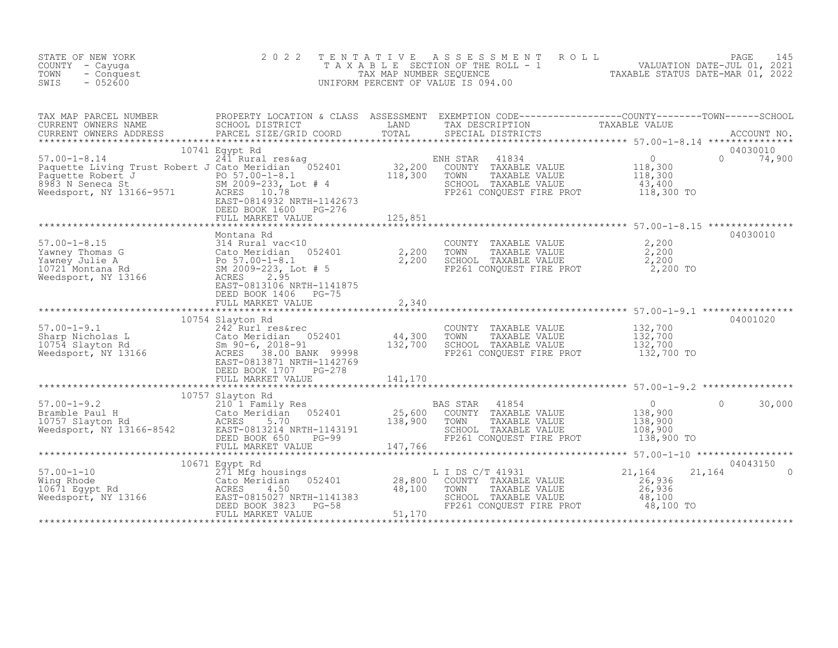| STATE OF NEW YORK<br>COUNTY - Cayuga<br>TOWN<br>- Conquest<br>$-052600$<br>SWIS                                                                                                                                                                                                                                                                                       | 2 0 2 2                                                                                      | TENTATIVE                                                                     | FAXABLE SECTION OF THE ROLL TAXABLE STATUS DATE-JUL 01, 2021<br>TAXABLE SECTION OF THE ROLL - 1 VALUATION DATE-JUL 01, 2021<br>TAXABLE STATUS DATE-MAR 01, 2022<br>INIFORM PERCENT OF VALUE IS 094 00<br>UNIFORM PERCENT OF VALUE IS 094.00 |                                                                                                                        |                                |
|-----------------------------------------------------------------------------------------------------------------------------------------------------------------------------------------------------------------------------------------------------------------------------------------------------------------------------------------------------------------------|----------------------------------------------------------------------------------------------|-------------------------------------------------------------------------------|---------------------------------------------------------------------------------------------------------------------------------------------------------------------------------------------------------------------------------------------|------------------------------------------------------------------------------------------------------------------------|--------------------------------|
| *********************                                                                                                                                                                                                                                                                                                                                                 |                                                                                              |                                                                               |                                                                                                                                                                                                                                             |                                                                                                                        |                                |
| 57.00-1-8.14<br>Paquette Living Trust Robert J Cato Meridian 052401<br>Paquette Robert J Cato Meridian 052401<br>Paquette Robert J PO 57.00-1-8.1<br>8983 N Seneca St SM 2009-233, Lot # 4<br>Weedsport, NY 13166-9571 ACRES 10.78<br>Paquette Robert J<br>Paquette Robert J<br>8983 N Seneca St<br>Weedsport, NY 13166-9571<br>ROBERS 10.78<br>EAST-0814932 NRTH-114 | 10741 Egypt Rd<br>EAST-0814932 NRTH-1142673<br>DEED BOOK 1600<br>PG-276<br>FULL MARKET VALUE | 125,851                                                                       | ENH STAR<br>41834<br>COUNTY TAXABLE VALUE<br>TOWN<br>TAXABLE VALUE<br>SCHOOL TAXABLE VALUE<br>FP261 CONQUEST FIRE PROT 118,300 TO                                                                                                           | $\overline{0}$<br>$0$<br>118,300<br>118,300<br>43,400                                                                  | 04030010<br>$\Omega$<br>74,900 |
|                                                                                                                                                                                                                                                                                                                                                                       |                                                                                              |                                                                               |                                                                                                                                                                                                                                             |                                                                                                                        | 04030010                       |
| 57.00-1-8.15<br>Yawney Thomas G 314 Rural vac<10<br>Yawney Julie A Bootheridian 052401 2,200<br>Yawney Julie A Bootheridian 052401 2,200<br>10721 Montana Rd SM 2009-223, Lot #5<br>Weedsport, NY 13166 ACRES 2.95<br>RAST-0813106 NPTH-11                                                                                                                            | Montana Rd<br>EAST-0813106 NRTH-1141875<br>DEED BOOK 1406 PG-75                              |                                                                               | COUNTY TAXABLE VALUE $2,200$<br>TOWN TAXABLE VALUE $2,200$<br>SCHOOL TAXABLE VALUE $2,200$<br>FP261 CONQUEST FIRE PROT $2,200$ TO                                                                                                           |                                                                                                                        |                                |
|                                                                                                                                                                                                                                                                                                                                                                       | FULL MARKET VALUE                                                                            | 2,340                                                                         |                                                                                                                                                                                                                                             |                                                                                                                        |                                |
| 57.00-1-9.1<br>Sharp Nicholas L<br>10754 Slayton Rd<br>Weedsport, NY 13166<br>Weedsport, NY 13166<br>TACRES 38.00 BANK 99998                                                                                                                                                                                                                                          | 10754 Slayton Rd<br>EAST-0813871 NRTH-1142769<br>DEED BOOK 1707 PG-278<br>FULL MARKET VALUE  | $\frac{44}{300}$ , $\frac{44}{132}$ , $\frac{300}{700}$<br>132,700<br>141,170 | COUNTY TAXABLE VALUE<br>TOWN<br>TAXABLE VALUE<br>SCHOOL TAXABLE VALUE<br>FP261 CONQUEST FIRE PROT                                                                                                                                           | 132,700<br>132,700<br>132,700<br>132,700 TO                                                                            | 04001020                       |
|                                                                                                                                                                                                                                                                                                                                                                       | 10757 Slayton Rd                                                                             |                                                                               |                                                                                                                                                                                                                                             |                                                                                                                        |                                |
| 57.00-1-9.2<br>Bramble Paul H<br>10757 Slayton Rd<br>2010 I Family Res<br>210 1 Family Res<br>Cato Meridian 052401<br>20210 ACRES<br>5.70<br>202114 NRTH-1143191<br>DEED BOOK 650 PG-99                                                                                                                                                                               | DEED BOOK 650<br>$PG-99$<br>FULL MARKET VALUE                                                | $25,600$<br>$138.900$<br>$147,766$<br>*******************                     | BAS STAR<br>41854<br>COUNTY TAXABLE VALUE<br>TOWN<br>TAXABLE VALUE<br>SCHOOL TAXABLE VALUE<br>FP261 CONQUEST FIRE PROT                                                                                                                      | $\overline{0}$<br>138,900<br>138,900<br>108,900<br>138,900 TO<br>*********************** 57.00-1-10 ****************** | 30,000                         |
|                                                                                                                                                                                                                                                                                                                                                                       | 10671 Egypt Rd<br>271 Mfg housings                                                           |                                                                               |                                                                                                                                                                                                                                             |                                                                                                                        | 04043150                       |
| 57.00-1-10<br>Wing Rhode<br>10671 Egypt Rd<br>Weedsport, NY 13166<br>Cato Mexical Bass 28,800<br>Cato MCRES 4.50<br>EAST-0815027 NRTH-1141383<br>DEED BOOK 3823 PG-58<br>FIIT.T. MARKET VALUE<br>CARRET VALUE                                                                                                                                                         |                                                                                              |                                                                               | L I DS C/T 41931<br>COUNTY TAXABLE VALUE<br>TOWN<br>TAXABLE VALUE<br>SCHOOL TAXABLE VALUE<br>FP261 CONQUEST FIRE PROT 48,100 TO                                                                                                             | 21,164<br>26,936<br>26,936<br>48,100                                                                                   | 21,164                         |
|                                                                                                                                                                                                                                                                                                                                                                       |                                                                                              |                                                                               |                                                                                                                                                                                                                                             |                                                                                                                        |                                |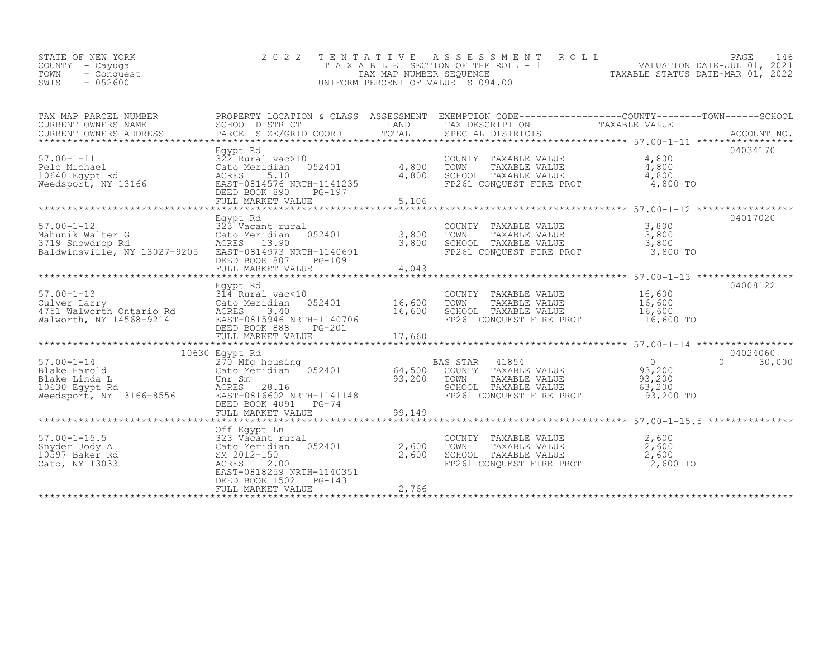| TAXABLE STATUS DATE-MAR 01, 2022<br>TOWN<br>TAX MAP NUMBER SEOUENCE<br>- Conquest<br>$-052600$<br>SWIS<br>UNIFORM PERCENT OF VALUE IS 094.00 | STATE OF NEW YORK<br>COUNTY - Cayuqa |  | 2022 TENTATIVE ASSESSMENT ROLL<br>TAXABLE SECTION OF THE ROLL - 1 | PAGE 146<br>VALUATION DATE-JUL 01, 2021 |  |
|----------------------------------------------------------------------------------------------------------------------------------------------|--------------------------------------|--|-------------------------------------------------------------------|-----------------------------------------|--|
|----------------------------------------------------------------------------------------------------------------------------------------------|--------------------------------------|--|-------------------------------------------------------------------|-----------------------------------------|--|

| TAX MAP PARCEL NUMBER<br>CURRENT OWNERS NAME<br>CURRENT OWNERS ADDRESS                                                                                                                                                                                              | SCHOOL DISTRICT                                                                                                                                        |        | PROPERTY LOCATION & CLASS ASSESSMENT EXEMPTION CODE-----------------COUNTY--------TOWN------SCHOOL<br>LAND TAX DESCRIPTION                                                                      | TAXABLE VALUE |                                |
|---------------------------------------------------------------------------------------------------------------------------------------------------------------------------------------------------------------------------------------------------------------------|--------------------------------------------------------------------------------------------------------------------------------------------------------|--------|-------------------------------------------------------------------------------------------------------------------------------------------------------------------------------------------------|---------------|--------------------------------|
| Egypt Rd<br>For Boyst Rd<br>22 Rural vac>10<br>Cato Meridian 052401<br>20 Rural 10640 Egypt Rd<br>20 Rural 10640 Egypt Rd<br>20 ACRES 15.10<br>20 Meedsport, NY 13166<br>20 EAST-0814576 NRTH-1141235<br>20 BEED BOOK 890 PG-197<br>20 PG-197                       | FULL MARKET VALUE                                                                                                                                      | 5,106  |                                                                                                                                                                                                 |               | 04034170                       |
| $57.00 - 1 - 12$<br>Mahunik Walter G<br>3719 Snowdrop Rd<br>Baldwinsville, NY 13027-9205 EAST-0814973 NRTH-1140691                                                                                                                                                  | Egypt Rd<br>323 Vacant rural<br>1923 Vacant rural (COUNTY COUNTY)<br>1929 - ACRES 13.90 (CHOOL SCHOOL)<br>DEED BOOK 807<br>PG-109<br>FULL MARKET VALUE | 4,043  | COUNTY TAXABLE VALUE $\begin{array}{ccc} 3,800\ \text{TOWN} & \text{TAXABLE VALUE} & 3,800\ \text{SCHOOL} & \text{TAXABLE VALUE} & 3,800\ \text{FP261 CONQUEST FIRE PROT} & 3,800\ \end{array}$ |               | 04017020                       |
|                                                                                                                                                                                                                                                                     | Egypt Rd<br>314 Rural vac<10<br>DEED BOOK 888<br>$PG-201$                                                                                              |        |                                                                                                                                                                                                 | 16,600 TO     | 04008122                       |
| 10030 Eqypt Kd<br>270 Mfg housing<br>270 Mfg housing<br>270 Mfg housing<br>Cato Meridian 052401<br>28.16<br>28.16<br>28.16<br>28.16<br>28.16<br>28.16<br>28.16<br>28.16<br>28.16<br>28.16<br>28.16<br>28.16<br>28.200 Eqypt Rd<br>28.200 Eqypt Rd<br>28.200 Eqypt R | 10630 Eqypt Rd<br>FULL MARKET VALUE                                                                                                                    | 99,149 |                                                                                                                                                                                                 |               | 04024060<br>$\Omega$<br>30,000 |
| 57.00-1-15.5<br>Show a state of the country<br>Show a state of the cato Meridian 052401 2,600 TOWN<br>2,600 TOWN 2012-150 2,600 SCHOOL<br>Cato, NY 13033 ACRES 2.00                                                                                                 | Off Eqypt Ln<br>EAST-0818259 NRTH-1140351<br>DEED BOOK 1502 PG-143<br>FULL MARKET VALUE                                                                | 2,766  | COUNTY TAXABLE VALUE $2,600$<br>TOWN TAXABLE VALUE $2,600$<br>SCHOOL TAXABLE VALUE $2,600$<br>FP261 CONQUEST FIRE PROT $2,600$ TO                                                               |               |                                |
|                                                                                                                                                                                                                                                                     |                                                                                                                                                        |        |                                                                                                                                                                                                 |               |                                |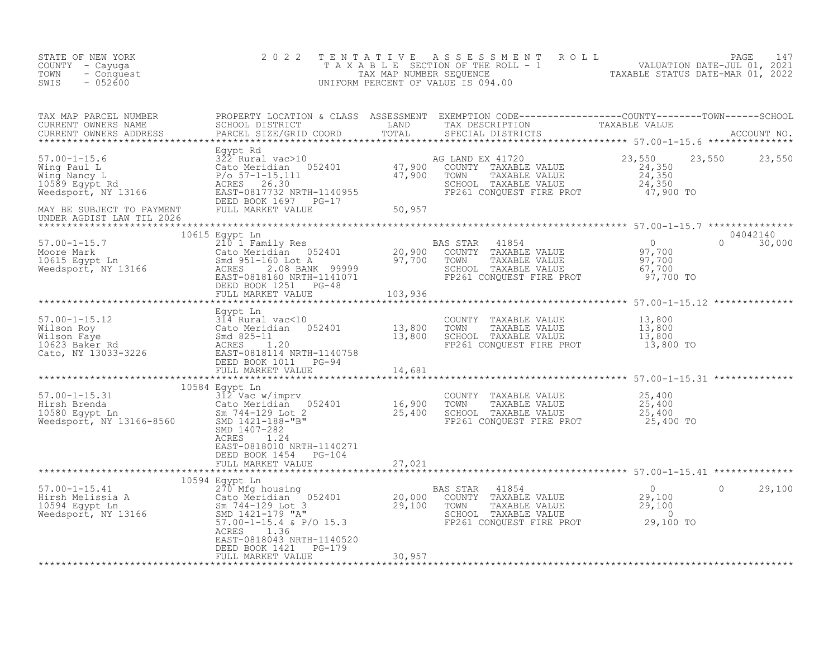| 2 0 2 2<br>STATE OF NEW YORK<br>COUNTY - Cayuga<br>TOWN<br>- Conquest<br>SWIS<br>$-052600$                                                                                                                                                                                                                              | TENTATIVE ASSESSMENT ROLL TAXABLE SECTION OF THE ROLL - 1<br>TAXABLE SECTION OF THE ROLL - 1<br>TAXABLE STATUS DATE-JUL 01, 2021<br>UNIFORM PERCENT OF VALUE IS 094.00<br>UNIFORM PERCENT OF VALUE IS 094.00 |
|-------------------------------------------------------------------------------------------------------------------------------------------------------------------------------------------------------------------------------------------------------------------------------------------------------------------------|--------------------------------------------------------------------------------------------------------------------------------------------------------------------------------------------------------------|
|                                                                                                                                                                                                                                                                                                                         |                                                                                                                                                                                                              |
|                                                                                                                                                                                                                                                                                                                         |                                                                                                                                                                                                              |
|                                                                                                                                                                                                                                                                                                                         |                                                                                                                                                                                                              |
|                                                                                                                                                                                                                                                                                                                         |                                                                                                                                                                                                              |
|                                                                                                                                                                                                                                                                                                                         |                                                                                                                                                                                                              |
|                                                                                                                                                                                                                                                                                                                         |                                                                                                                                                                                                              |
|                                                                                                                                                                                                                                                                                                                         |                                                                                                                                                                                                              |
| ACRES<br>1.24<br>EAST-0818010 NRTH-1140271                                                                                                                                                                                                                                                                              |                                                                                                                                                                                                              |
| DEED BOOK 1454 PG-104                                                                                                                                                                                                                                                                                                   |                                                                                                                                                                                                              |
| 10594 Egypt Ln                                                                                                                                                                                                                                                                                                          |                                                                                                                                                                                                              |
| 10594 Egypt Ln<br>10594 Egypt Ln<br>20,000 COUNTY TAXABLE VALUE<br>29,100 TOWN TAXABLE VALUE<br>29,100 Sm 744-129 Lot 3<br>Weedsport, NY 13166 SMD 1421-179 "A"<br>57.00-1-15.41<br>29,100 COUNTY TAXABLE VALUE<br>29,100 TOWN TAXABLE VALUE<br><br>1.36<br>ACRES<br>EAST-0818043 NRTH-1140520<br>DEED BOOK 1421 PG-179 | $\circ$<br>29,100                                                                                                                                                                                            |
| 30,957<br>FULL MARKET VALUE                                                                                                                                                                                                                                                                                             |                                                                                                                                                                                                              |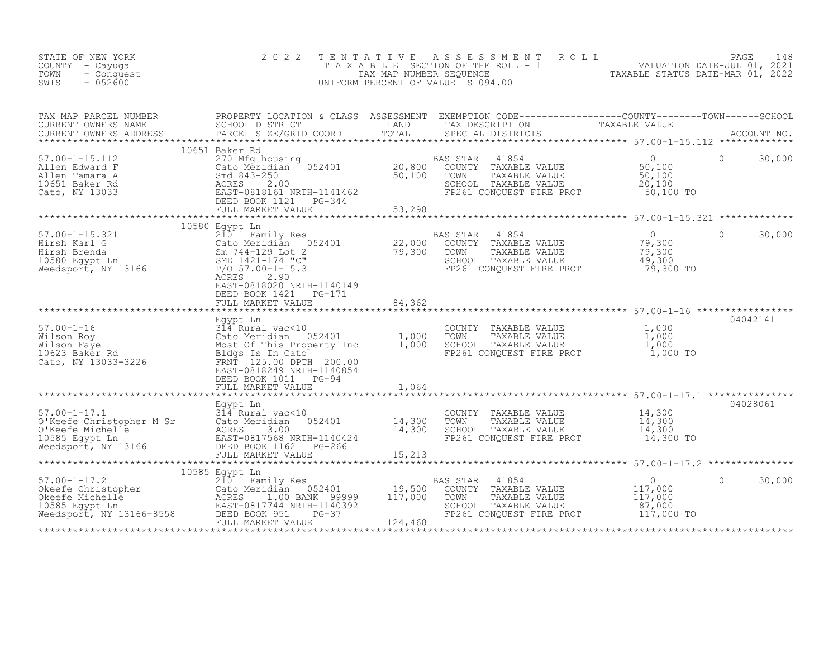| STATE OF NEW YORK<br>COUNTY - Cayuga<br>TOWN<br>- Conquest<br>$-052600$<br>SWIS                                                                                                                                                                                        | 2 0 2 2                                                                                                                                                                    | TENTATIVE        | PAGE 148<br>TAXABLE SECTION OF THE ROLL - 1<br>TAX MAP NUMBER SEQUENCE<br>NIFORM PERCENT OF VALUE IS 094.00<br>TAXABLE STATUS DATE-MAR 01, 2022<br>UNIFORM PERCENT OF VALUE IS 094.00                           |                                                                 |                      |
|------------------------------------------------------------------------------------------------------------------------------------------------------------------------------------------------------------------------------------------------------------------------|----------------------------------------------------------------------------------------------------------------------------------------------------------------------------|------------------|-----------------------------------------------------------------------------------------------------------------------------------------------------------------------------------------------------------------|-----------------------------------------------------------------|----------------------|
| TAX MAP PARCEL NUMBER<br>CURRENT OWNERS NAME<br>CURRENT OWNERS ADDRESS                                                                                                                                                                                                 |                                                                                                                                                                            |                  | PROPERTY LOCATION & CLASS ASSESSMENT EXEMPTION CODE-----------------COUNTY--------TOWN------SCHOOL SCHOOL SCHOOL DISTRICT LAND TAX DESCRIPTION TAXABLE VALUE<br>PARCEL SIZE/GRID COORD  TOTAL SPECIAL DISTRICTS |                                                                 |                      |
| $57.00 - 1 - 15.112$<br>Allen Edward F<br>Allen Tamara A<br>10651 Baker Rd<br>Cato, NY 13033                                                                                                                                                                           | 10651 Baker Rd<br>20,800 20,800 20,800 20,800 20,800 20,800 5md 843-250 50,100<br>ESED 818161 NRTH-1141462<br>ESED BOOK 1121 PG-344 FULL MARKET VALUE<br>FULL MARKET VALUE | 53,298           | 41854<br>BAS STAR<br>COUNTY TAXABLE VALUE<br>TAXABLE VALUE<br>TOWN<br>SCHOOL TAXABLE VALUE<br>FP261 CONQUEST FIRE PROT                                                                                          | $\overline{0}$<br>50,100<br>50,100<br>20,100<br>50,100 TO       | $\bigcirc$<br>30,000 |
|                                                                                                                                                                                                                                                                        |                                                                                                                                                                            |                  |                                                                                                                                                                                                                 |                                                                 |                      |
| 10380 Egypt Ln<br>Hirsh Karl G<br>Cato Meridian 052401<br>Cato Meridian 052401<br>Sm 744-129 Lot 2<br>10580 Egypt Ln<br>Sm 744-129 Lot 2<br>22,000 COUNTY TAXABLE VALUE<br>79,300 TOWN TAXABLE VALUE<br>SMD 1421-174 "C"<br>SCHOOL TAXABLE VALUE<br>                   | 10580 Egypt Ln<br>ACRES<br>2.90<br>EAST-0818020 NRTH-1140149                                                                                                               |                  | SCHOOL TAXABLE VALUE<br>FP261 CONQUEST FIRE PROT                                                                                                                                                                | $\overline{0}$<br>0<br>79,300<br>79,300<br>49,300<br>79,300 TO  | $\Omega$<br>30,000   |
|                                                                                                                                                                                                                                                                        | DEED BOOK 1421    PG-171<br>FULL MARKET VALUE                                                                                                                              | 84,362           |                                                                                                                                                                                                                 |                                                                 |                      |
|                                                                                                                                                                                                                                                                        |                                                                                                                                                                            |                  |                                                                                                                                                                                                                 |                                                                 |                      |
| 84,362<br>57.00-1-16<br>Wilson Roy<br>Wilson Roy<br>64,362<br>54,362<br>57.00-1-16<br>74,200<br>74,200<br>75.00 DPTH<br>700<br>7623 Baker Rd<br>7623 Baker Rd<br>7623 Baker Rd<br>7623 Baker Rd<br>7623 Baker Rd<br>7623 Baker Rd<br>7625.00 DPTH<br>700<br>762901<br> | DEED BOOK 1011 PG-94                                                                                                                                                       |                  | COUNTY TAXABLE VALUE<br>TOWN TAXABLE VALUE 1,000<br>SCHOOL TAXABLE VALUE 1,000<br>FP261 CONQUEST FIRE PROT 1,000                                                                                                | 1,000<br>1,000 TO                                               | 04042141             |
|                                                                                                                                                                                                                                                                        | FULL MARKET VALUE                                                                                                                                                          | 1,064            |                                                                                                                                                                                                                 |                                                                 |                      |
|                                                                                                                                                                                                                                                                        | Egypt Ln                                                                                                                                                                   |                  |                                                                                                                                                                                                                 |                                                                 | 04028061             |
| 57.00-1-17.1<br>0'Keefe Christopher M Sr<br>0'Keefe Michelle<br>10585 Egypt Ln<br>10885 Egypt Ln<br>10885 Egypt Ln<br>Meedsport, NY 13166<br>2080 EAST-0817568 NRTH-1140424<br>EAST-0817568 NRTH-1140424<br>ERED BOOK 1162<br>PEULL MARKET VALUE                       | 052401                                                                                                                                                                     | 14,300<br>14,300 | COUNTY TAXABLE VALUE<br>TOWN<br>TAXABLE VALUE<br>SCHOOL TAXABLE VALUE<br>FP261 CONQUEST FIRE PROT                                                                                                               | 14,300<br>14,300<br>14,300<br>14,300 TO                         |                      |
|                                                                                                                                                                                                                                                                        | FULL MARKET VALUE                                                                                                                                                          | 15,213           |                                                                                                                                                                                                                 |                                                                 |                      |
|                                                                                                                                                                                                                                                                        |                                                                                                                                                                            |                  |                                                                                                                                                                                                                 |                                                                 |                      |
|                                                                                                                                                                                                                                                                        | 10585 Egypt Ln<br>210 1 Family Res                                                                                                                                         |                  | BAS STAR<br>41854<br>COUNTY TAXABLE VALUE<br>TOWN<br>TAXABLE VALUE<br>SCHOOL TAXABLE VALUE 67,000<br>FP261 CONQUEST FIRE PROT 117,000 TO                                                                        | $\begin{array}{c} 0 \\ 117,000 \\ 117,000 \\ 0.000 \end{array}$ | $\circ$<br>30,000    |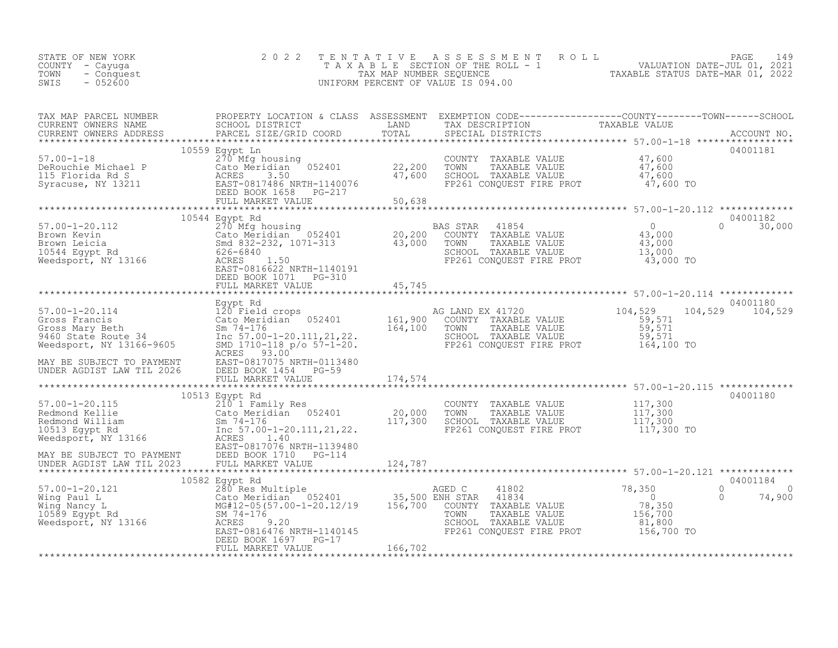| STATE OF NEW YORK<br>COUNTY - Cayuga<br>TOWN<br>- Conquest<br>SWIS<br>$-052600$                                                                                                                                                                                                                                                                                                                                                                                                                                  | 2 0 2 2                                            | TENTATIVE ASSESSMENT ROLL PAGE 149<br>TAXABLE SECTION OF THE ROLL - 1 VALUATION DATE-JUL 01, 2021<br>TAX MAP NUMBER SEQUENCE TAXABLE STATUS DATE-MAR 01, 2022<br>UNIFORM PERCENT OF VALUE IS 094.00                                                                                                                                                                                                                                              |            |                               |
|------------------------------------------------------------------------------------------------------------------------------------------------------------------------------------------------------------------------------------------------------------------------------------------------------------------------------------------------------------------------------------------------------------------------------------------------------------------------------------------------------------------|----------------------------------------------------|--------------------------------------------------------------------------------------------------------------------------------------------------------------------------------------------------------------------------------------------------------------------------------------------------------------------------------------------------------------------------------------------------------------------------------------------------|------------|-------------------------------|
|                                                                                                                                                                                                                                                                                                                                                                                                                                                                                                                  |                                                    |                                                                                                                                                                                                                                                                                                                                                                                                                                                  |            |                               |
|                                                                                                                                                                                                                                                                                                                                                                                                                                                                                                                  |                                                    | $\begin{tabular}{llllll} \multicolumn{2}{c}{\text{COUNTY}} & \text{TAXABLE VALUE} & & & 47,600 \\ \multicolumn{2}{c}{\text{TOWN}} & \text{TAXABLE VALUE} & & 47,600 \\ \multicolumn{2}{c}{\text{SCHOOL}} & \text{TAXABLE VALUE} & & 47,600 \\ \multicolumn{2}{c}{\text{FP261 CONQUEST FIRE PROT}} & & 47,600 \\ \multicolumn{2}{c}{\text{FPC1}} & & 47,600 \\ \multicolumn{2}{c}{\text{FPC2}} & & 47,600 \\ \multicolumn{2}{c}{\text{FPC1}} & &$ |            | 04001181                      |
|                                                                                                                                                                                                                                                                                                                                                                                                                                                                                                                  |                                                    |                                                                                                                                                                                                                                                                                                                                                                                                                                                  |            | 04001182                      |
|                                                                                                                                                                                                                                                                                                                                                                                                                                                                                                                  |                                                    |                                                                                                                                                                                                                                                                                                                                                                                                                                                  |            | $0 \t 30,000$                 |
|                                                                                                                                                                                                                                                                                                                                                                                                                                                                                                                  |                                                    |                                                                                                                                                                                                                                                                                                                                                                                                                                                  |            |                               |
| $\begin{tabular}{lllllllllll} \text{57.00-1-20.114} & \text{Egypt Rd} & \text{04001180} & \text{0401180} & \text{0401180} & \text{0401180} \\ \text{Gross Francis} & \text{Cato Method cross} & \text{0401180} & \text{0401180} & \text{0401180} \\ \text{Gross Francis} & \text{Cato Medical cross} & \text{0401180} & \text{0401180} & \text{0401180} & \text{0401180} \\ \text{Gross Mary Beth} & \text{$<br>MAY BE SUBJECT TO PAYMENT<br>UNDER AGDIST LAW TIL 2026 DEED BOOK 1454 PG-59<br>FULL MARKET VALUE |                                                    |                                                                                                                                                                                                                                                                                                                                                                                                                                                  |            |                               |
|                                                                                                                                                                                                                                                                                                                                                                                                                                                                                                                  | FULL MARKET VALUE 174,574                          |                                                                                                                                                                                                                                                                                                                                                                                                                                                  |            |                               |
|                                                                                                                                                                                                                                                                                                                                                                                                                                                                                                                  |                                                    |                                                                                                                                                                                                                                                                                                                                                                                                                                                  |            |                               |
|                                                                                                                                                                                                                                                                                                                                                                                                                                                                                                                  | 10513 Egypt Rd                                     |                                                                                                                                                                                                                                                                                                                                                                                                                                                  |            | 04001180                      |
|                                                                                                                                                                                                                                                                                                                                                                                                                                                                                                                  |                                                    |                                                                                                                                                                                                                                                                                                                                                                                                                                                  |            |                               |
|                                                                                                                                                                                                                                                                                                                                                                                                                                                                                                                  |                                                    |                                                                                                                                                                                                                                                                                                                                                                                                                                                  |            | 04001184                      |
|                                                                                                                                                                                                                                                                                                                                                                                                                                                                                                                  |                                                    |                                                                                                                                                                                                                                                                                                                                                                                                                                                  | $\bigcirc$ | $\overline{O}$<br>0<br>74,900 |
|                                                                                                                                                                                                                                                                                                                                                                                                                                                                                                                  | DEED BOOK 1697 PG-17<br>FIILL MARKET VALUE 166,702 |                                                                                                                                                                                                                                                                                                                                                                                                                                                  |            |                               |
|                                                                                                                                                                                                                                                                                                                                                                                                                                                                                                                  |                                                    |                                                                                                                                                                                                                                                                                                                                                                                                                                                  |            |                               |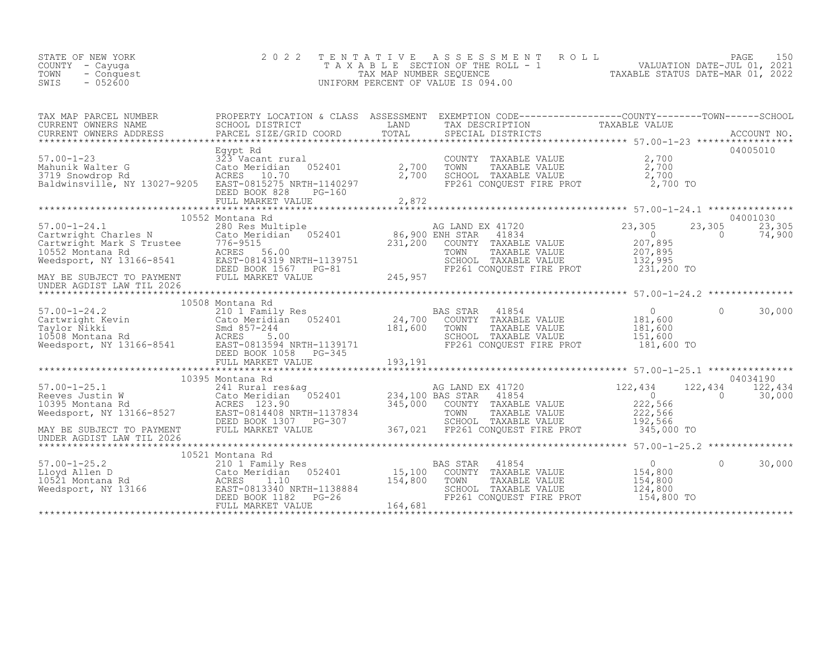| STATE OF NEW YORK<br>COUNTY - Cayuga<br>TOWN<br>- Conquest<br>$-0.52600$<br>SWIS | 2022 TENTATIVE ASSESSMENT ROLL<br>TAXABLE SECTION OF THE ROLL - 1<br>TAX MAP NUMBER SEOUENCE<br>UNIFORM PERCENT OF VALUE IS 094.00 | TAXABLE STATUS DATE-MAR 01, 2022 | PAGE<br>VALUATION DATE-JUL 01, 2021 | 150 |
|----------------------------------------------------------------------------------|------------------------------------------------------------------------------------------------------------------------------------|----------------------------------|-------------------------------------|-----|
|                                                                                  |                                                                                                                                    |                                  |                                     |     |

| TAX MAP PARCEL NUMBER<br>CURRENT OWNERS NAME<br>CURRENT OWNERS ADDRESS                                                                                                                                                                 | SCHOOL DISTRICT<br>PARCEL SIZE/GRID COORD                                                                                                   | LAND                         | PROPERTY LOCATION & CLASS ASSESSMENT EXEMPTION CODE----------------COUNTY-------TOWN-----SCHOOL<br>TAX DESCRIPTION            | TAXABLE VALUE                                                    |                                          |
|----------------------------------------------------------------------------------------------------------------------------------------------------------------------------------------------------------------------------------------|---------------------------------------------------------------------------------------------------------------------------------------------|------------------------------|-------------------------------------------------------------------------------------------------------------------------------|------------------------------------------------------------------|------------------------------------------|
| $57.00 - 1 - 23$<br>Mahunik Walter G<br>3719 Snowdrop Rd<br>Baldwinsville, NY 13027-9205                                                                                                                                               | Egypt Rd<br>323 Vacant rural<br>052401<br>Cato Meridian<br>ACRES 10.70<br>EAST-0815275 NRTH-1140297<br>DEED BOOK 828<br>PG-160              | 2,700<br>2,700               | COUNTY TAXABLE VALUE<br>TOWN<br>TAXABLE VALUE<br>SCHOOL TAXABLE VALUE<br>FP261 CONQUEST FIRE PROT                             | 2,700<br>2,700<br>2,700<br>2,700 TO                              | 04005010                                 |
|                                                                                                                                                                                                                                        | 10552 Montana Rd                                                                                                                            |                              |                                                                                                                               |                                                                  | 04001030                                 |
| 37.00-1-24.1<br>Cartwright Charles N Cato Meridian 052401 86,900 ENH STAR<br>Cartwright Mark S Trustee 776-9515<br>10552 Montana Rd ACRES 56.00 TOWN Meedsport, NY 13166-8541 EAST-0814319.751<br>Weedsport, NY 13166-8541 EAST-081431 | DEED BOOK 1567<br>$PG-81$                                                                                                                   |                              | AG LAND EX 41720<br>41834<br>COUNTY TAXABLE VALUE<br>TAXABLE VALUE<br>SCHOOL TAXABLE VALUE<br>FP261 CONQUEST FIRE PROT        | 23,305<br>$\circ$<br>207,895<br>207,895<br>132,995<br>231,200 TO | 23,305<br>23,305<br>$\Omega$<br>74,900   |
| MAY BE SUBJECT TO PAYMENT<br>UNDER AGDIST LAW TIL 2026                                                                                                                                                                                 | FULL MARKET VALUE                                                                                                                           | 245,957                      |                                                                                                                               |                                                                  |                                          |
|                                                                                                                                                                                                                                        | 10508 Montana Rd                                                                                                                            |                              |                                                                                                                               |                                                                  |                                          |
| $57.00 - 1 - 24.2$<br>57.00-1-24.2<br>Cartwright Kevin<br>Taylor Nikki<br>10508 Montana Rd<br>Weedsport, NY 13166-8541                                                                                                                 | 210 1 Family Res<br>Cato Meridian 052401<br>Smd 857-244<br>ACRES<br>5.00<br>EAST-0813594 NRTH-1139171<br>DEED BOOK 1058<br>$PG-345$         | 24,700<br>181,600            | <b>BAS STAR</b><br>41854<br>COUNTY TAXABLE VALUE<br>TOWN<br>TAXABLE VALUE<br>SCHOOL TAXABLE VALUE<br>FP261 CONQUEST FIRE PROT | $\overline{0}$<br>181,600<br>181,600<br>151,600<br>181,600 TO    | $\Omega$<br>30,000                       |
|                                                                                                                                                                                                                                        |                                                                                                                                             |                              |                                                                                                                               |                                                                  |                                          |
|                                                                                                                                                                                                                                        | 10395 Montana Rd                                                                                                                            |                              |                                                                                                                               |                                                                  | 04034190                                 |
| $57.00 - 1 - 25.1$<br>57.00-1-25.1 241 Rural res&ag<br>Reeves Justin W Cato Meridian 052401<br>10395 Montana Rd ACRES 123.90<br>Weedsport, NY 13166-8527 EAST-0814408 NRTH-1137834                                                     | 241 Rural res&ag<br>DEED BOOK 1307 PG-307                                                                                                   | 234,100 BAS STAR<br>345,000  | AG LAND EX 41720<br>41854<br>COUNTY TAXABLE VALUE<br>TOWN<br>TAXABLE VALUE<br>SCHOOL TAXABLE VALUE                            | 122,434<br>$\overline{0}$<br>222,566<br>222,566<br>192,566       | 122,434<br>122,434<br>$\Omega$<br>30,000 |
| MAY BE SUBJECT TO PAYMENT<br>UNDER AGDIST LAW TIL 2026                                                                                                                                                                                 | FULL MARKET VALUE                                                                                                                           | 367,021                      | FP261 CONQUEST FIRE PROT                                                                                                      | 345,000 TO                                                       |                                          |
|                                                                                                                                                                                                                                        | 10521 Montana Rd                                                                                                                            |                              |                                                                                                                               |                                                                  |                                          |
| $57.00 - 1 - 25.2$<br>Lloyd Allen D<br>10521 Montana Rd<br>Weedsport, NY 13166                                                                                                                                                         | 210 1 Family Res<br>052401<br>Cato Meridian<br>ACRES<br>1.10<br>EAST-0813340 NRTH-1138884<br>DEED BOOK 1182<br>$PG-26$<br>FULL MARKET VALUE | 15,100<br>154,800<br>164,681 | <b>BAS STAR</b><br>41854<br>COUNTY TAXABLE VALUE<br>TOWN<br>TAXABLE VALUE<br>SCHOOL TAXABLE VALUE<br>FP261 CONQUEST FIRE PROT | $\overline{0}$<br>154,800<br>154,800<br>124,800<br>154,800 TO    | $\Omega$<br>30,000                       |
|                                                                                                                                                                                                                                        |                                                                                                                                             |                              |                                                                                                                               |                                                                  |                                          |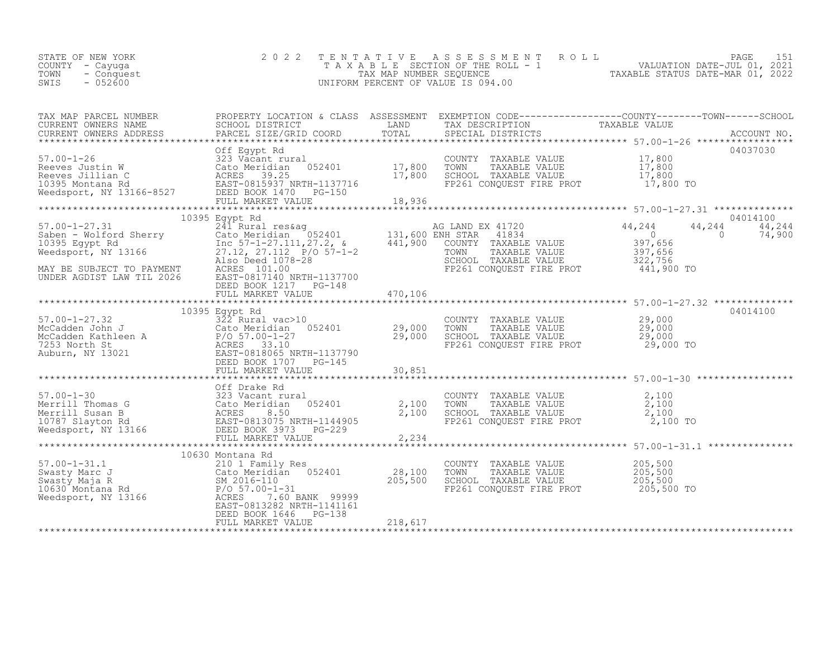| STATE OF NEW YORK<br>COUNTY - Cayuga<br>TOWN<br>- Conquest<br>$-052600$<br>SWIS                                                                                                                                                                                                                | 2 0 2 2                                                                                                                                                                                                                         |                |                                                                                                                     | $\begin{tabular}{lllllllllllllllllllll} $\begin{array}{l} \text{L} & \text{L} & \text{L} & \text{L} & \text{R} \\ \text{T} & \text{A} & \text{A} & \text{L} & \text{V} & \text{L} & \text{L} \\ \text{T} & \text{A} & \text{A} & \text{B} & \text{L} & \text{E} & \text{SECTION } \text{OF} \\ \text{L} & \text{L} & \text{L} & \text{R} & \text{N} & \text{M} \\ \text{L} & \text{L} & \text{R} & \text{R} & \text{R} & \text{M} \\ \text{L} & \$ |
|------------------------------------------------------------------------------------------------------------------------------------------------------------------------------------------------------------------------------------------------------------------------------------------------|---------------------------------------------------------------------------------------------------------------------------------------------------------------------------------------------------------------------------------|----------------|---------------------------------------------------------------------------------------------------------------------|----------------------------------------------------------------------------------------------------------------------------------------------------------------------------------------------------------------------------------------------------------------------------------------------------------------------------------------------------------------------------------------------------------------------------------------------------|
| CURRENT OWNERS NAME<br>CURRENT OWNERS ADDRESS                                                                                                                                                                                                                                                  |                                                                                                                                                                                                                                 |                |                                                                                                                     |                                                                                                                                                                                                                                                                                                                                                                                                                                                    |
| 57.00-1-26<br>Reeves Justin W<br>Reeves Jillian C<br>Reeves Jillian C<br>10395 Montana Rd<br>Weedsport, NY 13166-8527<br>PEED BOOK 1470<br>PEULL MARKET VALUE<br>FULL MARKET VALUE                                                                                                             | CHOOL DISIN-<br>2ARCEL SIZE/GRID COUNL<br>*****************************<br>Off Egypt Rd<br>323 Vacant rural<br>Cato Meridian 052401 17,800<br>ACRES 39.25 17,800<br>ACRES 39.25 17,800<br>26.25 17,800<br>26.25 17,800<br>26.25 |                | COUNTY TAXABLE VALUE 17,800<br>TOWN TAXABLE VALUE 17,800<br>COUNCY TAXABLE VALUE 17,800                             | 04037030                                                                                                                                                                                                                                                                                                                                                                                                                                           |
|                                                                                                                                                                                                                                                                                                |                                                                                                                                                                                                                                 |                |                                                                                                                     |                                                                                                                                                                                                                                                                                                                                                                                                                                                    |
|                                                                                                                                                                                                                                                                                                | DEED BOOK 1217 PG-148                                                                                                                                                                                                           |                |                                                                                                                     | 04014100<br>44,244<br>44,244<br>$\Omega$<br>74,900                                                                                                                                                                                                                                                                                                                                                                                                 |
|                                                                                                                                                                                                                                                                                                |                                                                                                                                                                                                                                 |                |                                                                                                                     |                                                                                                                                                                                                                                                                                                                                                                                                                                                    |
| $\begin{tabular}{lllllllllllll} 57.00-1-27.32 & 10395 Egypt Rd & 0.29,000 TOWN \\ & 322 Rural vac & 0.29,000 TOWN \\ & 0.29,000 TOWN & 0.29,000 TOWN \\ & 7253 North St & 0.29,000 SCHO \\ & 7253 North St & 0.21 & 0.22 & 0.22 & 0.22 \\ & 0.22 & 0.22 & 0.22 & 0.22 & 0.22 \\ \end{tabular}$ | 10395 Egypt Rd<br>FULL MARKET VALUE                                                                                                                                                                                             | 30,851         |                                                                                                                     | 04014100<br>29,000 TO                                                                                                                                                                                                                                                                                                                                                                                                                              |
|                                                                                                                                                                                                                                                                                                |                                                                                                                                                                                                                                 |                |                                                                                                                     |                                                                                                                                                                                                                                                                                                                                                                                                                                                    |
| 57.00-1-30<br>Merrill Thomas G<br>Merrill Susan B<br>10787 Slayton Rd<br>Weedsport, NY 13166<br>Metaport, NY 13166<br>Metaport, NY 13166<br>Metaport, NY 13166<br>Metaport, NY 13166<br>Metaport, NY 13166<br>Metaport, NY 13166<br>Metaport, NY 13                                            |                                                                                                                                                                                                                                 | 2,100<br>2,100 | COUNTY TAXABLE VALUE<br>TOWN TAXABLE VALUE 2,100<br>SCHOOL TAXABLE VALUE 2,100<br>FP261 CONQUEST FIRE PROT 2,100 TO |                                                                                                                                                                                                                                                                                                                                                                                                                                                    |
|                                                                                                                                                                                                                                                                                                |                                                                                                                                                                                                                                 |                |                                                                                                                     | ******************************* 57.00-1-31.1 ***************                                                                                                                                                                                                                                                                                                                                                                                       |
| $57.00 - 1 - 31.1$<br>Swasty Marc J                                                                                                                                                                                                                                                            | 10630 Montana Rd<br>210 1 Family Res<br>Cato Meridian 052401                                                                                                                                                                    | 28,100         | COUNTY TAXABLE VALUE<br>TOWN<br>TAXABLE VALUE                                                                       | 205,500<br>205,500                                                                                                                                                                                                                                                                                                                                                                                                                                 |

\*\*\*\*\*\*\*\*\*\*\*\*\*\*\*\*\*\*\*\*\*\*\*\*\*\*\*\*\*\*\*\*\*\*\*\*\*\*\*\*\*\*\*\*\*\*\*\*\*\*\*\*\*\*\*\*\*\*\*\*\*\*\*\*\*\*\*\*\*\*\*\*\*\*\*\*\*\*\*\*\*\*\*\*\*\*\*\*\*\*\*\*\*\*\*\*\*\*\*\*\*\*\*\*\*\*\*\*\*\*\*\*\*\*\*\*\*\*\*\*\*\*\*\*\*\*\*\*\*\*\*\*

Swasty Maja R SM 2016-110 205,500 SCHOOL TAXABLE VALUE 205,500 10630 Montana Rd P/O 57.00-1-31 FP261 CONQUEST FIRE PROT 205,500 TO Weedsport, NY 13166 ACRES 7.60 BANK 99999

EAST-0813282 NRTH-1141161

FULL MARKET VALUE 218, 617

nder book 1646 PG-138<br>DEED BOOK 1646 PG-138<br>FULL MARKET VALUE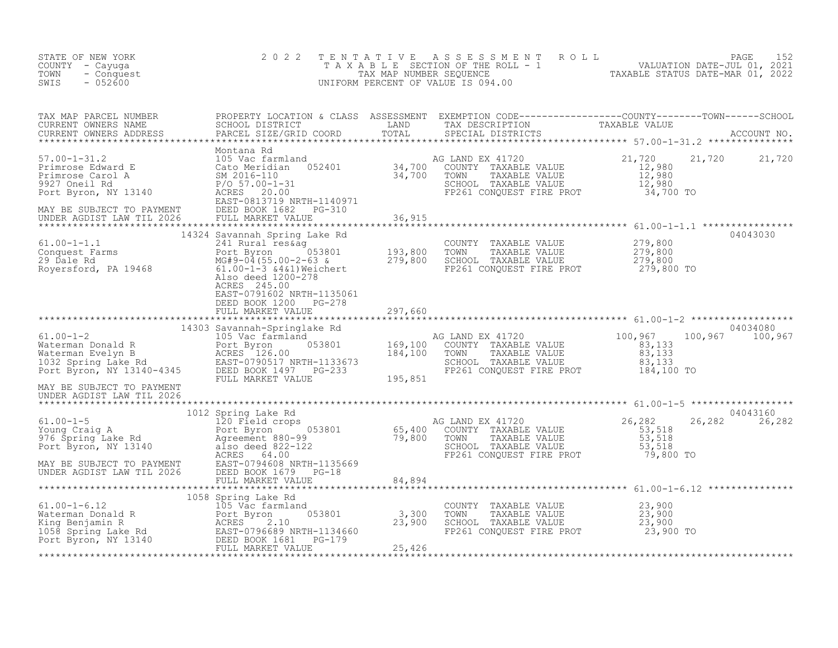| STATE OF NEW YORK<br>COUNTY - Cayuga<br>- Conquest<br>TOWN<br>$-052600$<br>SWIS | 2 0 2 2                                            | TENTATIVE ASSESSMENT ROLL PAGE 152<br>TAXABLE SECTION OF THE ROLL - 1 VALUATION DATE-JUL 01, 2021<br>TAX MAP NUMBER SEQUENCE TAXABLE STATUS DATE-MAR 01, 2022<br>UNIFORM PERCENT OF VALUE IS 094.00 |                             |
|---------------------------------------------------------------------------------|----------------------------------------------------|-----------------------------------------------------------------------------------------------------------------------------------------------------------------------------------------------------|-----------------------------|
|                                                                                 |                                                    |                                                                                                                                                                                                     |                             |
|                                                                                 |                                                    |                                                                                                                                                                                                     |                             |
|                                                                                 |                                                    |                                                                                                                                                                                                     |                             |
|                                                                                 | EAST-0791602 NRTH-1135061                          |                                                                                                                                                                                                     |                             |
|                                                                                 | DEED BOOK 1200 PG-278<br>FULL MARKET VALUE 297,660 |                                                                                                                                                                                                     |                             |
|                                                                                 |                                                    |                                                                                                                                                                                                     |                             |
| MAY BE SUBJECT TO PAYMENT<br>UNDER AGDIST LAW TIL 2026                          |                                                    |                                                                                                                                                                                                     |                             |
|                                                                                 |                                                    |                                                                                                                                                                                                     | 04043160<br>26, 282 26, 282 |
|                                                                                 |                                                    |                                                                                                                                                                                                     |                             |
|                                                                                 |                                                    |                                                                                                                                                                                                     |                             |
|                                                                                 |                                                    |                                                                                                                                                                                                     |                             |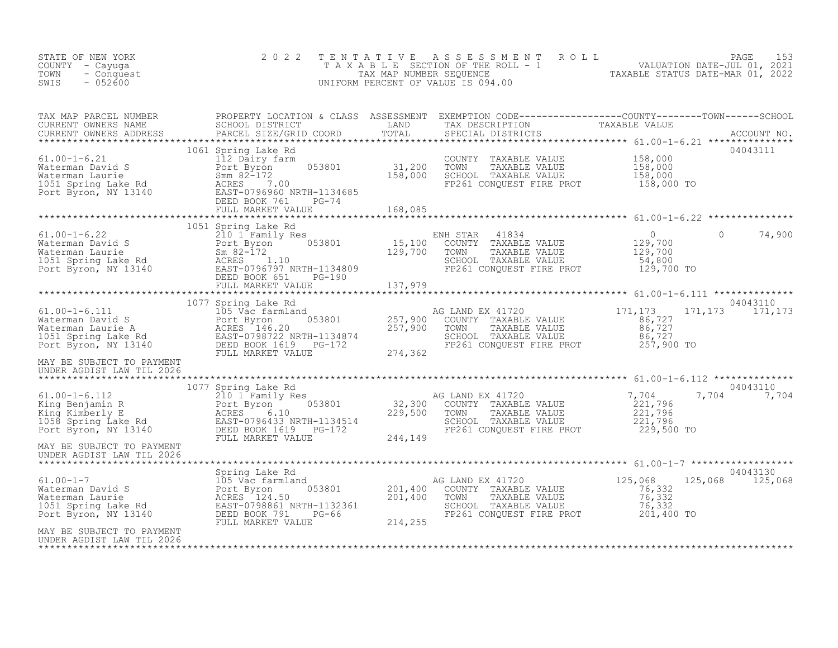| STATE OF NEW YORK<br>COUNTY - Cayuga<br>- Conquest<br>TOWN<br>$-052600$<br>SWIS                                                                                                                                                                                               | 2 0 2 2                                                                                                             | TENTATIVE | UNIFORM PERCENT OF VALUE IS 094.00                                                                                                            | TAXABLE SECTION OF THE ROLL - 1<br>TAXAB NUMBER SEQUENCE THE ROLL - 1<br>TAX MAP NUMBER SEQUENCE TAXABLE STATUS DATE-MAR 01, 2022<br>INIFORM PERCENT OF VALUE IS 094.00 |        |
|-------------------------------------------------------------------------------------------------------------------------------------------------------------------------------------------------------------------------------------------------------------------------------|---------------------------------------------------------------------------------------------------------------------|-----------|-----------------------------------------------------------------------------------------------------------------------------------------------|-------------------------------------------------------------------------------------------------------------------------------------------------------------------------|--------|
|                                                                                                                                                                                                                                                                               |                                                                                                                     |           |                                                                                                                                               |                                                                                                                                                                         |        |
|                                                                                                                                                                                                                                                                               | 1061 Spring Lake Rd                                                                                                 |           | COUNTY TAXABLE VALUE 158,000<br>TOWN TAXABLE VALUE 158,000<br>SCHOOL TAXABLE VALUE 158,000<br>FP261 CONQUEST FIRE PROT 158,000 TO             | 04043111                                                                                                                                                                |        |
|                                                                                                                                                                                                                                                                               |                                                                                                                     |           |                                                                                                                                               |                                                                                                                                                                         |        |
| 61.00-1-6.22<br>Waterman David S<br>Waterman Laurie<br>Waterman Laurie<br>1051 Spring Lake Rd<br>Port Byron, NY 13140<br>Port Byron, NY 13140<br>Port Byron, NY 13140<br>Port Byron, NY 13140<br>Port Byron, NY 13140<br>Port Byron, NY 13140<br>Por                          | 1051 Spring Lake Rd                                                                                                 |           | ENH STAR<br>41834<br>COUNTY TAXABLE VALUE<br>TOWN     TAXABLE VALUE<br>SCHOOL TAXABLE VALUE 54,800<br>FP261 CONQUEST FIRE PROT 129,700 TO     | $\overline{0}$<br>$\bigcap$<br>0<br>129,700<br>129,700                                                                                                                  | 74,900 |
|                                                                                                                                                                                                                                                                               |                                                                                                                     |           |                                                                                                                                               |                                                                                                                                                                         |        |
| $61.00 - 1 - 6.111$                                                                                                                                                                                                                                                           | 1077 Spring Lake Rd<br>Spring Lake Rd<br>105 Vac farmland<br>Port Byron 053801 257,900<br>ACRES 146.20 1.1. 257,900 |           | AG LAND EX 41720<br>COUNTY TAXABLE VALUE<br>TOWN TAXABLE VALUE<br>SCHOOL TAXABLE VALUE<br>FP261 CONQUEST FIRE PROT 257,900 TO                 | 04043110<br>171,173<br>171, 173 171, 173<br>$86,727$ $86,727$ $86,727$                                                                                                  |        |
| MAY BE SUBJECT TO PAYMENT<br>UNDER AGDIST LAW TIL 2026                                                                                                                                                                                                                        |                                                                                                                     |           |                                                                                                                                               |                                                                                                                                                                         |        |
|                                                                                                                                                                                                                                                                               |                                                                                                                     |           | AG LAND EX 41720<br>COUNTY TAXABLE VALUE<br>TOWN TAXABLE VALUE 221,796<br>SCHOOL TAXABLE VALUE 221,796<br>FP261 CONQUEST FIRE PROT 229,500 TO | 04043110<br>7,704<br>221,796<br>7,704 7,704                                                                                                                             |        |
| MAY BE SUBJECT TO PAYMENT<br>UNDER AGDIST LAW TIL 2026                                                                                                                                                                                                                        |                                                                                                                     |           |                                                                                                                                               |                                                                                                                                                                         |        |
| 61.00-1-7<br>Waterman David S<br>Waterman Laurie (105 Vac farmland<br>201,400<br>Waterman Laurie (105 Vac Fast - 0798861 NRTH-1132361<br>201,400<br>Port Byron, NY 13140<br>DEED BOOK 791,1111 PG-66<br>Port Byron, NY 13140<br>DEED BOOK 791,11<br>MAY BE SUBJECT TO PAYMENT | Spring Lake Rd<br>FULL MARKET VALUE                                                                                 | 214,255   | AG LAND EX 41720<br>COUNTY TAXABLE VALUE 76,332<br>TOWN<br>TAXABLE VALUE<br>SCHOOL TAXABLE VALUE<br>FP261 CONQUEST FIRE PROT 201,400 TO       | 04043130<br>125,068<br>125,068<br>125,068<br>76,332<br>76,332                                                                                                           |        |
| UNDER AGDIST LAW TIL 2026                                                                                                                                                                                                                                                     |                                                                                                                     |           |                                                                                                                                               |                                                                                                                                                                         |        |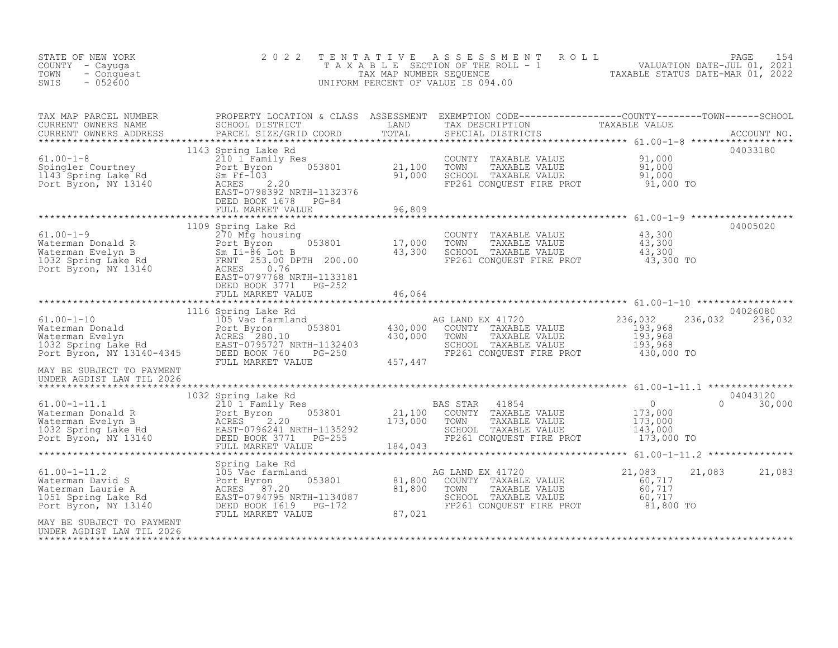| STATE OF NEW YORK<br>COUNTY - Cayuga<br>TOWN<br>- Conquest<br>$-052600$<br>SWIS                                                                                                                                                                                        | 2 0 2 2                                                                                                                                                                                        | TENTATIVE                                                     | A S S E S S M E N T A O L L<br>T A X A B L E SECTION OF THE ROLL - 1<br>TAX MAP NUMBER SEQUENCE<br>INIFORM PERCENT OF VALUE IS 094.00<br>UNIFORM PERCENT OF VALUE IS 094.00                                             |                  | 154<br>PAGE                 |
|------------------------------------------------------------------------------------------------------------------------------------------------------------------------------------------------------------------------------------------------------------------------|------------------------------------------------------------------------------------------------------------------------------------------------------------------------------------------------|---------------------------------------------------------------|-------------------------------------------------------------------------------------------------------------------------------------------------------------------------------------------------------------------------|------------------|-----------------------------|
|                                                                                                                                                                                                                                                                        | PARCEL SIZE/GRID COORD                                                                                                                                                                         |                                                               |                                                                                                                                                                                                                         |                  |                             |
| 61.00-1-8<br>Spingler Courtney<br>1143 Spring Lake Rd<br>Port Byron, NY 13140                                                                                                                                                                                          | 1143 Spring Lake Rd<br>210 11 Family Res<br>Port Byron 053801 21,100<br>Sm Ff-103 053801 21,000<br>ACRES 2.20 91,000<br>EAST-0798392 NRTH-1132376<br>DEED BOOK 1678 PG-84<br>FULL MARKET VALUE | 96,809<br>* * * * * * * * * * * *                             | COUNTY TAXABLE VALUE $\begin{array}{cccc} 91,000 \ \text{TOWN} & \text{TAXABLE VALUE} & 91,000 \ \text{SCHOOL} & \text{TAXABLE VALUE} & 91,000 \ \text{FP261 CONQUEST FIRE PROT} & 91,000 \ \end{array}$                |                  |                             |
| $61.00 - 1 - 9$<br>61.00-1-9<br>Waterman Donald R<br>Waterman Evelyn B<br>Waterman Evelyn B<br>Port Byron B<br>Port Byron, NY 13140<br>Port Byron, NY 13140<br>Port Byron, NY 13140<br>Port Byron, NY 13140<br>Port Byron, NY 13140<br>Port Byron, NY 13140<br>Port By | 1109 Spring Lake Rd                                                                                                                                                                            |                                                               | COUNTY TAXABLE VALUE $\begin{array}{ccc} 43,300\ \text{TOWN} & \text{TAXABLE VALUE} & 43,300\ \text{SCHOOL} & \text{TAXABLE VALUE} & 43,300\ \text{FF261 CONQUEST FIRE PROT} & 43,300\ \text{TO} & 43,300\ \end{array}$ |                  | 04005020                    |
| 1116 Spring Lake Rd and Materman Donald Port Byron (1116 Spring Lake Rd and Materman Donald Port Byron (53801 and also and the spring of Byron (653801 and also and also and also and also and also and also and also and also                                         | FULL MARKET VALUE                                                                                                                                                                              | 46,064                                                        |                                                                                                                                                                                                                         |                  | 04026080<br>236,032 236,032 |
| MAY BE SUBJECT TO PAYMENT<br>UNDER AGDIST LAW TIL 2026                                                                                                                                                                                                                 |                                                                                                                                                                                                |                                                               |                                                                                                                                                                                                                         |                  |                             |
|                                                                                                                                                                                                                                                                        | 1032 Spring Lake Rd                                                                                                                                                                            |                                                               |                                                                                                                                                                                                                         | 173,000 TO       | 04043120<br>30,000          |
| 61.00-1-11.2<br>Waterman David S<br>Waterman Laurie A<br>1051 Spring Lake Rd<br>Port Byron, NY 13140<br>MAY BE SUBJECT TO PAYMENT                                                                                                                                      | Spring Lake Rd<br>105 Vac farmland<br>Port Byron<br>ACRES 87.20<br>EAST-0794795 NRTH-1134087<br>DEED BOOK 1619 PG-172<br>FULL MARKET VALUE                                                     | 1d<br>053801 81,800<br>RTH-1134087 81,800<br>PG-172<br>87,021 | AG LAND EX 41720<br>COUNTY TAXABLE VALUE<br>TOWN TAXABLE VALUE 60,717<br>SCHOOL TAXABLE VALUE 60,717<br>SCHOOL TAXABLE VALUE 60,717<br>FP261 CONQUEST FIRE PROT 81,800 TO                                               | 21,083<br>21,083 | 21,083                      |
| UNDER AGDIST LAW TIL 2026                                                                                                                                                                                                                                              |                                                                                                                                                                                                |                                                               |                                                                                                                                                                                                                         |                  |                             |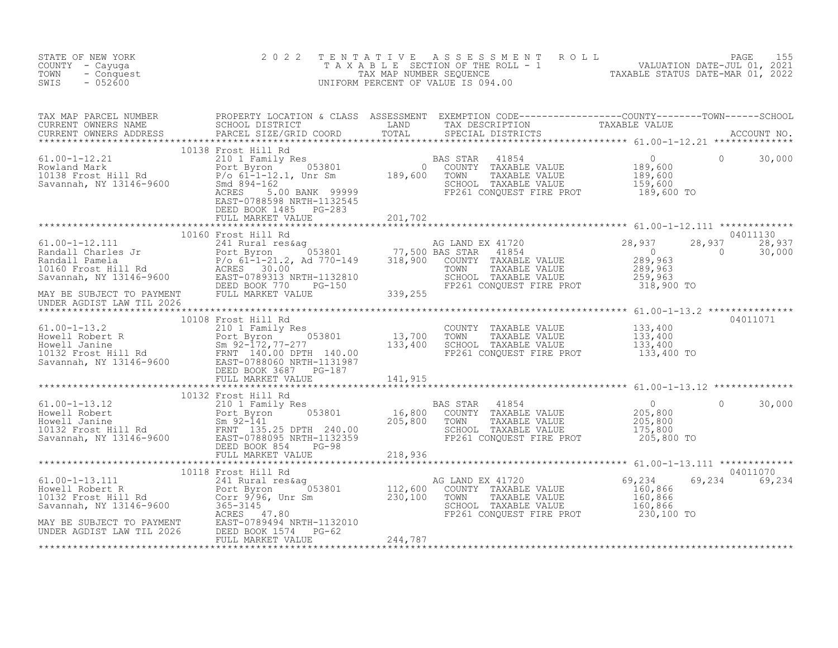| STATE OF NEW YORK<br>COUNTY - Cayuga<br>TOWN<br>- Conquest<br>$-052600$<br>SWIS                                                                                                                                                              | 2 0 2 2                                                                                                                                                                                                                                                          | TENTATIVE | FENTATIVE ASSESSMENT ROLL UNIVERSITY PAGE 155<br>TAXABLE SECTION OF THE ROLL - 1 VALUATION DATE-JUL 01, 2021<br>TAXABLE STATUS DATE-MAR 01, 2022<br>JNIFORM PERCENT OF VALUE IS 094.00<br>UNIFORM PERCENT OF VALUE IS 094.00 |                                                  |                    |                  |
|----------------------------------------------------------------------------------------------------------------------------------------------------------------------------------------------------------------------------------------------|------------------------------------------------------------------------------------------------------------------------------------------------------------------------------------------------------------------------------------------------------------------|-----------|------------------------------------------------------------------------------------------------------------------------------------------------------------------------------------------------------------------------------|--------------------------------------------------|--------------------|------------------|
|                                                                                                                                                                                                                                              | TAX MAP PARCEL NUMBER PROPERTY LOCATION & CLASS ASSESSMENT EXEMPTION CODE-----------------COUNTY--------TOWN------SCHOOL CURRENT OWNERS NAME SCHOOL DISTRICT LAND TAX DESCRIPTION TAXABLE VALUE<br>CURRENT OWNERS ADDRESS PARCEL<br>PARCEL SIZE/GRID COORD TOTAL |           |                                                                                                                                                                                                                              |                                                  |                    |                  |
| 10138 Frost Hill Rd<br>210 1 Family Res<br>Rowland Mark 210 1 Family Res<br>Port Byron 053801 0 COUNTY TAXABLE VALUE 189,600<br>Port Byron 153801 0 COUNTY TAXABLE VALUE 189,600<br>Savannah, NY 13146-9600 8md 894-162<br>Savannah, NY 13   | 10138 Frost Hill Rd<br>DEED BOOK 1485 PG-283<br>FULL MARKET VALUE                                                                                                                                                                                                | 201,702   |                                                                                                                                                                                                                              |                                                  | $\circ$            | 30,000           |
|                                                                                                                                                                                                                                              |                                                                                                                                                                                                                                                                  |           |                                                                                                                                                                                                                              |                                                  |                    | 04011130         |
|                                                                                                                                                                                                                                              |                                                                                                                                                                                                                                                                  |           | AG LAND EX 41720<br>10 BAS STAR 41854<br>10 COUNTY TAXABLE VALUE 289,963<br>TOWN TAXABLE VALUE 289,963<br>SCHOOL TAXABLE VALUE 259,963<br>FP261 CONQUEST FIRE PROT 318,900 TO                                                |                                                  | 28,937<br>$\sim$ 0 | 28,937<br>30,000 |
|                                                                                                                                                                                                                                              |                                                                                                                                                                                                                                                                  |           |                                                                                                                                                                                                                              |                                                  |                    |                  |
|                                                                                                                                                                                                                                              |                                                                                                                                                                                                                                                                  |           |                                                                                                                                                                                                                              |                                                  |                    |                  |
|                                                                                                                                                                                                                                              |                                                                                                                                                                                                                                                                  |           |                                                                                                                                                                                                                              |                                                  |                    |                  |
|                                                                                                                                                                                                                                              |                                                                                                                                                                                                                                                                  |           | AS STAR 41854 0<br>COUNTY TAXABLE VALUE 205,800<br>TOWN TAXABLE VALUE 205,800<br>SCHOOL TAXABLE VALUE 175,800                                                                                                                | 205,800 TO                                       | $\Omega$           | 30,000           |
|                                                                                                                                                                                                                                              |                                                                                                                                                                                                                                                                  |           |                                                                                                                                                                                                                              |                                                  |                    |                  |
| A<br>AG LAND EX 41720<br>61.00-1-13.111 1 241 Rural res&ag<br>Howell Robert R<br>10132 Frost Hill Rd<br>Savannah, NY 13146-9600 365801 230,100 TOWN TAXABLE VALUE<br>Savannah, NY 13146-9600 3658-3145<br>MAY BE SUBJECT TO PAYMENT EAST-078 |                                                                                                                                                                                                                                                                  |           |                                                                                                                                                                                                                              | 69,234<br>$160, 866$<br>$160, 866$<br>$160, 866$ | 69,234 69,234      | 04011070         |
|                                                                                                                                                                                                                                              |                                                                                                                                                                                                                                                                  |           | FP261 CONQUEST FIRE PROT 230,100 TO                                                                                                                                                                                          |                                                  |                    |                  |
|                                                                                                                                                                                                                                              |                                                                                                                                                                                                                                                                  |           |                                                                                                                                                                                                                              |                                                  |                    |                  |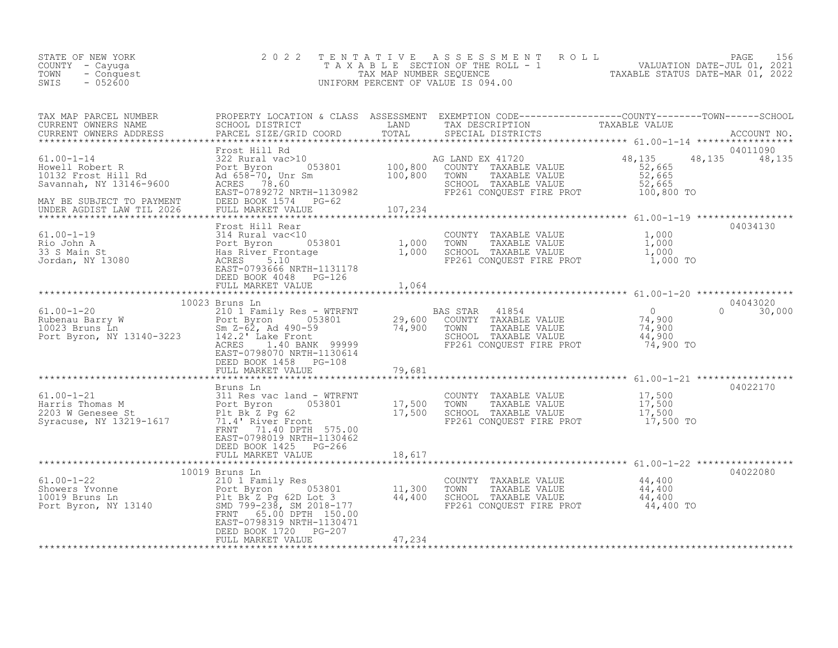| STATE OF NEW YORK<br>COUNTY – Cayuqa<br>TOWN<br>- Conquest<br>$-052600$<br>SWIS | 2022 TENTATIVE ASSESSMENT ROLL<br>T A X A B L E SECTION OF THE ROLL - 1<br>TAX MAP NUMBER SEOUENCE<br>UNIFORM PERCENT OF VALUE IS 094.00 |  | PAGE<br>VALUATION DATE-JUL 01, 2021<br>TAXABLE STATUS DATE-MAR 01, 2022 | 156 |
|---------------------------------------------------------------------------------|------------------------------------------------------------------------------------------------------------------------------------------|--|-------------------------------------------------------------------------|-----|
|                                                                                 |                                                                                                                                          |  |                                                                         |     |

| TAX MAP PARCEL NUMBER<br>TAX MAP PARCEL NUMBER<br>CURRENT OWNERS NAME SCHOOL DISTRICT COORD TOTAL TRIN DESCRIPTION TAXABLE VALUE<br>CURRENT OWNERS ADDRESS PARCEL SIZE/GRID COORD IAND TOTAL SPECIAL DISTRICTS ACCOUNT NO.<br>********************************** | PROPERTY LOCATION & CLASS ASSESSMENT EXEMPTION CODE----------------COUNTY-------TOWN------SCHOOL                    |        |  |                             |
|------------------------------------------------------------------------------------------------------------------------------------------------------------------------------------------------------------------------------------------------------------------|---------------------------------------------------------------------------------------------------------------------|--------|--|-----------------------------|
|                                                                                                                                                                                                                                                                  |                                                                                                                     |        |  |                             |
|                                                                                                                                                                                                                                                                  |                                                                                                                     |        |  | 04011090<br>48, 135 48, 135 |
|                                                                                                                                                                                                                                                                  |                                                                                                                     |        |  |                             |
|                                                                                                                                                                                                                                                                  | DEED BOOK 4048 PG-126                                                                                               |        |  | 04034130                    |
|                                                                                                                                                                                                                                                                  |                                                                                                                     |        |  |                             |
|                                                                                                                                                                                                                                                                  | 10023 Bruns Ln                                                                                                      |        |  | 04043020                    |
|                                                                                                                                                                                                                                                                  | EAST-0798070 NRTH-1130614<br>DEED BOOK 1458 PG-108                                                                  |        |  | $0 \t 30,000$               |
|                                                                                                                                                                                                                                                                  | FULL MARKET VALUE                                                                                                   | 79,681 |  |                             |
|                                                                                                                                                                                                                                                                  |                                                                                                                     |        |  |                             |
| 61.00-1-21<br>Bruns Ln<br>311 Res vac land - WTRFNT<br>Harris Thomas M<br>203 W Genesee St<br>203 W Genesee St<br>203 W Genesee St<br>203 W Genesee St<br>203 W Genesee St<br>203 W Genesee St<br>203 W Genesee St<br>203 W Genesee St<br>203 W Genese           | FRNT 71.40 DPTH 575.00<br>EAST-0798019 NRTH-1130462<br>DEED BOOK 1425 PG-266                                        |        |  | 04022170                    |
|                                                                                                                                                                                                                                                                  | FULL MARKET VALUE                                                                                                   | 18,617 |  |                             |
|                                                                                                                                                                                                                                                                  |                                                                                                                     |        |  |                             |
|                                                                                                                                                                                                                                                                  | 10019 Bruns Ln<br>FRNT 65.00 DPTH 150.00<br>EAST-0798319 NRTH-1130471<br>DEED BOOK 1720 PG-207<br>FULL MARKET VALUE | 47,234 |  | 04022080                    |
|                                                                                                                                                                                                                                                                  |                                                                                                                     |        |  |                             |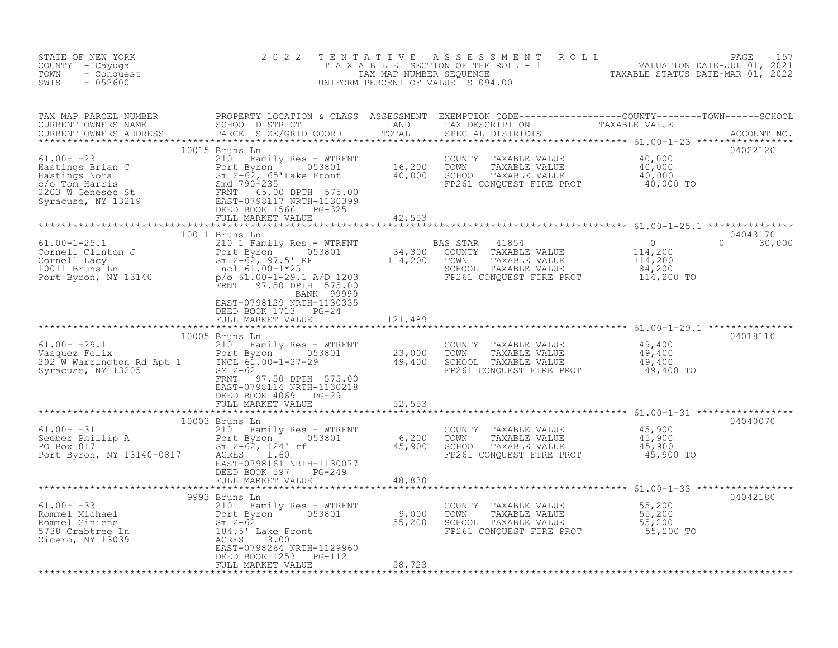| TAX MAP PARCEL NUMBER PROPERTY LOCATION & CLASS ASSESSMENT EXEMPTION CODE-----------------COUNTY--------TOWN------SCHOOL CURRENT OWNERS NAME SCHOOL DISTRICT LAND TAX DESCRIPTION TAXABLE VALUE<br>CURRENT OWNERS ADDRESS PARCEL<br>10015 Bruns Ln<br>04022120<br>04043170<br>10011 Bruns Ln<br>$0 \t 30,000$<br>FRNT 97.50 DPTH 575.00<br>BANK 99999<br>EAST-0798129 NRTH-1130335<br>DEED BOOK 1713 PG-24<br>121,489<br>FULL MARKET VALUE<br>* * * * * * * * * * * * * * * * *<br>10005 Bruns Ln<br>04018110<br>61.00-1-29.1<br>Vasquez Felix<br>202 W Warrington Rd Apt 1<br>Syracuse, NY 13205<br>202 W Warrington Rd Apt 1<br>Syracuse, NY 13205<br>203,000<br>23,000<br>23,000<br>23,000<br>23,000<br>23,000<br>23,000<br>23,000<br>23,000<br>23,000<br>23,000<br>23,000<br>23<br>COUNTY TAXABLE VALUE $\begin{array}{ccc} 49,400 \ \text{TOWN} & \text{TAXABLE VALUE} & 49,400 \ \text{SCHOOL} & \text{TAXABLE VALUE} & 49,400 \ \text{FP261 CONQUEST FIRE PROT} & 49,400 \ \end{array}$<br>EAST-0798114 NRTH-1130218<br>DEED BOOK 4069 PG-29<br>FULL MARKET VALUE<br>52,553<br>10003 Bruns Ln<br>61.00-1-31 210 1 Family Res - WTRFNT<br>Seeber Phillip A Port Byron 053801 6,200 TOWN TAXABLE VALUE 45,900<br>PO Box 817 5.900 5.00 EAST-0798161 NRTH-1130077 EP261 CONQUEST FIRE PROT<br>Port Byron, NY 13140-0817<br>04040070<br>DEED BOOK 597 PG-249<br>FULL MARKET VALUE 48,830<br>04042180<br>9993 Bruns Ln<br>9993 Bruns Ln<br>210 1 Family Res - WTRFNT<br>210 1 Family Res - WTRFNT<br>210 1 Family Res - WTRFNT<br>210 1 Family Res - WTRFNT<br>210 1 Family Res - WTRFNT<br>210 1 Family Res - WTRFNT<br>2000 70WN TAXABLE VALUE<br>2000 70WN TAXABLE VA | STATE OF NEW YORK<br>COUNTY - Cayuga<br>TOWN<br>- Conquest<br>$-052600$<br>SWIS | 2 0 2 2 | TENTATIVE ASSESSMENT ROLL PAGE 157<br>TAXABLE SECTION OF THE ROLL - 1 VALUATION DATE-JUL 01, 2021<br>TAX MAP NUMBER SEQUENCE TAXABLE STATUS DATE-MAR 01, 2022<br>UNIFORM PERCENT OF VALUE IS 094.00 |  |
|----------------------------------------------------------------------------------------------------------------------------------------------------------------------------------------------------------------------------------------------------------------------------------------------------------------------------------------------------------------------------------------------------------------------------------------------------------------------------------------------------------------------------------------------------------------------------------------------------------------------------------------------------------------------------------------------------------------------------------------------------------------------------------------------------------------------------------------------------------------------------------------------------------------------------------------------------------------------------------------------------------------------------------------------------------------------------------------------------------------------------------------------------------------------------------------------------------------------------------------------------------------------------------------------------------------------------------------------------------------------------------------------------------------------------------------------------------------------------------------------------------------------------------------------------------------------------------------------------------------------------------------------------------------------------|---------------------------------------------------------------------------------|---------|-----------------------------------------------------------------------------------------------------------------------------------------------------------------------------------------------------|--|
|                                                                                                                                                                                                                                                                                                                                                                                                                                                                                                                                                                                                                                                                                                                                                                                                                                                                                                                                                                                                                                                                                                                                                                                                                                                                                                                                                                                                                                                                                                                                                                                                                                                                            |                                                                                 |         |                                                                                                                                                                                                     |  |
|                                                                                                                                                                                                                                                                                                                                                                                                                                                                                                                                                                                                                                                                                                                                                                                                                                                                                                                                                                                                                                                                                                                                                                                                                                                                                                                                                                                                                                                                                                                                                                                                                                                                            |                                                                                 |         |                                                                                                                                                                                                     |  |
|                                                                                                                                                                                                                                                                                                                                                                                                                                                                                                                                                                                                                                                                                                                                                                                                                                                                                                                                                                                                                                                                                                                                                                                                                                                                                                                                                                                                                                                                                                                                                                                                                                                                            |                                                                                 |         |                                                                                                                                                                                                     |  |
|                                                                                                                                                                                                                                                                                                                                                                                                                                                                                                                                                                                                                                                                                                                                                                                                                                                                                                                                                                                                                                                                                                                                                                                                                                                                                                                                                                                                                                                                                                                                                                                                                                                                            |                                                                                 |         |                                                                                                                                                                                                     |  |
|                                                                                                                                                                                                                                                                                                                                                                                                                                                                                                                                                                                                                                                                                                                                                                                                                                                                                                                                                                                                                                                                                                                                                                                                                                                                                                                                                                                                                                                                                                                                                                                                                                                                            |                                                                                 |         |                                                                                                                                                                                                     |  |
|                                                                                                                                                                                                                                                                                                                                                                                                                                                                                                                                                                                                                                                                                                                                                                                                                                                                                                                                                                                                                                                                                                                                                                                                                                                                                                                                                                                                                                                                                                                                                                                                                                                                            |                                                                                 |         |                                                                                                                                                                                                     |  |
|                                                                                                                                                                                                                                                                                                                                                                                                                                                                                                                                                                                                                                                                                                                                                                                                                                                                                                                                                                                                                                                                                                                                                                                                                                                                                                                                                                                                                                                                                                                                                                                                                                                                            |                                                                                 |         |                                                                                                                                                                                                     |  |
|                                                                                                                                                                                                                                                                                                                                                                                                                                                                                                                                                                                                                                                                                                                                                                                                                                                                                                                                                                                                                                                                                                                                                                                                                                                                                                                                                                                                                                                                                                                                                                                                                                                                            |                                                                                 |         |                                                                                                                                                                                                     |  |
|                                                                                                                                                                                                                                                                                                                                                                                                                                                                                                                                                                                                                                                                                                                                                                                                                                                                                                                                                                                                                                                                                                                                                                                                                                                                                                                                                                                                                                                                                                                                                                                                                                                                            |                                                                                 |         |                                                                                                                                                                                                     |  |
|                                                                                                                                                                                                                                                                                                                                                                                                                                                                                                                                                                                                                                                                                                                                                                                                                                                                                                                                                                                                                                                                                                                                                                                                                                                                                                                                                                                                                                                                                                                                                                                                                                                                            |                                                                                 |         |                                                                                                                                                                                                     |  |
|                                                                                                                                                                                                                                                                                                                                                                                                                                                                                                                                                                                                                                                                                                                                                                                                                                                                                                                                                                                                                                                                                                                                                                                                                                                                                                                                                                                                                                                                                                                                                                                                                                                                            |                                                                                 |         |                                                                                                                                                                                                     |  |
| DEED BOOK 1253 PG-112                                                                                                                                                                                                                                                                                                                                                                                                                                                                                                                                                                                                                                                                                                                                                                                                                                                                                                                                                                                                                                                                                                                                                                                                                                                                                                                                                                                                                                                                                                                                                                                                                                                      |                                                                                 |         |                                                                                                                                                                                                     |  |
| 58,723<br>FULL MARKET VALUE                                                                                                                                                                                                                                                                                                                                                                                                                                                                                                                                                                                                                                                                                                                                                                                                                                                                                                                                                                                                                                                                                                                                                                                                                                                                                                                                                                                                                                                                                                                                                                                                                                                |                                                                                 |         |                                                                                                                                                                                                     |  |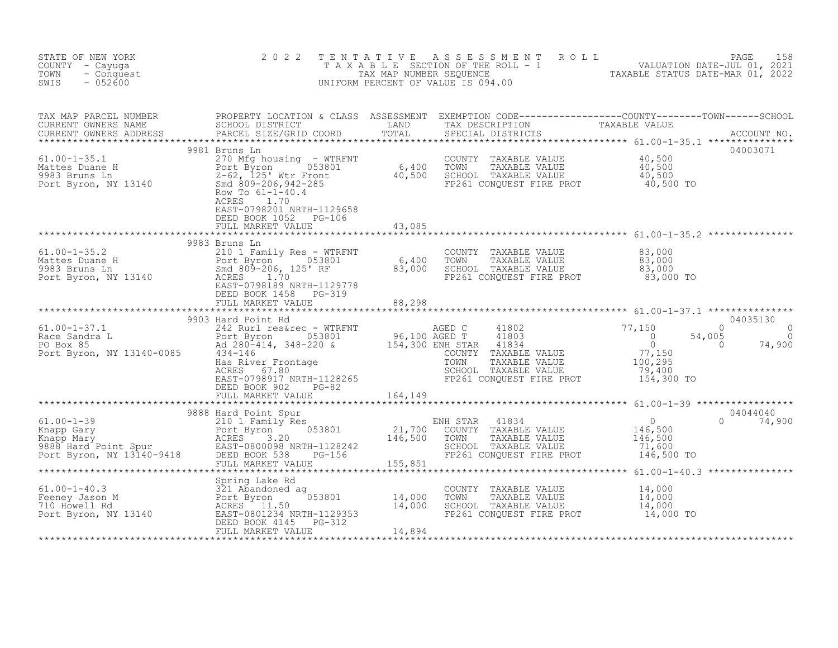| STATE OF NEW YORK<br>COUNTY - Cayuga<br>- Conquest<br>TOWN<br>SWIS<br>$-052600$ | 2 0 2 2                                                                              |                                                                                                                                       | TENTATIVE ASSESSMENT ROLL PAGE 158<br>TAXABLE SECTION OF THE ROLL - 1 VALUATION DATE-JUL 01, 2021<br>TAX MAP NUMBER SEQUENCE TAXABLE STATUS DATE-MAR 01, 2022<br>UNIFORM PERCENT OF VALUE IS 094.00 |  |
|---------------------------------------------------------------------------------|--------------------------------------------------------------------------------------|---------------------------------------------------------------------------------------------------------------------------------------|-----------------------------------------------------------------------------------------------------------------------------------------------------------------------------------------------------|--|
|                                                                                 |                                                                                      |                                                                                                                                       |                                                                                                                                                                                                     |  |
|                                                                                 | 9981 Bruns Ln<br>ACRES<br>1.70<br>EAST-0798201 NRTH-1129658<br>DEED BOOK 1052 PG-106 |                                                                                                                                       | 04003071                                                                                                                                                                                            |  |
|                                                                                 |                                                                                      |                                                                                                                                       |                                                                                                                                                                                                     |  |
|                                                                                 | 9983 Bruns Ln                                                                        |                                                                                                                                       |                                                                                                                                                                                                     |  |
|                                                                                 |                                                                                      |                                                                                                                                       |                                                                                                                                                                                                     |  |
|                                                                                 | 9903 Hard Point Rd                                                                   |                                                                                                                                       | 04035130                                                                                                                                                                                            |  |
|                                                                                 |                                                                                      |                                                                                                                                       |                                                                                                                                                                                                     |  |
|                                                                                 |                                                                                      |                                                                                                                                       |                                                                                                                                                                                                     |  |
|                                                                                 |                                                                                      | COUNTY TAXABLE VALUE $14,000$<br>TOWN TAXABLE VALUE $14,000$<br>SCHOOL TAXABLE VALUE $14,000$<br>FP261 CONQUEST FIRE PROT $14,000$ TO |                                                                                                                                                                                                     |  |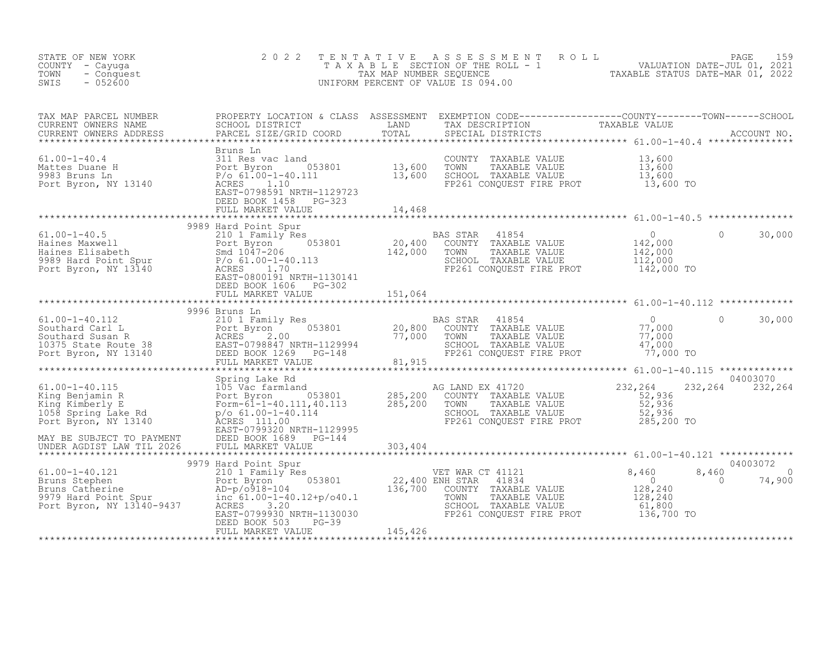| STATE OF NEW YORK<br>COUNTY - Cayuga<br>- Conquest<br>TOWN<br>$-052600$<br>SWIS                                                                                                                                                                                                                                                                                                                            | 2 0 2 2                                        | TENTATIVE ASSESSMENT ROLL PAGE 159<br>TAXABLE SECTION OF THE ROLL - 1 VALUATION DATE-JUL 01, 2021<br>TAX MAP NUMBER SEQUENCE TAXABLE STATUS DATE-MAR 01, 2022<br>UNIFORM PERCENT OF VALUE IS 094.00 |                |                         |                                |
|------------------------------------------------------------------------------------------------------------------------------------------------------------------------------------------------------------------------------------------------------------------------------------------------------------------------------------------------------------------------------------------------------------|------------------------------------------------|-----------------------------------------------------------------------------------------------------------------------------------------------------------------------------------------------------|----------------|-------------------------|--------------------------------|
| TAX MAP PARCEL NUMBER PROPERTY LOCATION & CLASS ASSESSMENT EXEMPTION CODE-----------------COUNTY--------TOWN------SCHOOL SCHOOL DISTRICT LAND TAX DESCRIPTION TAXABLE VALUE<br>CURRENT OWNERS NAME SCHOOL DISTRICT LAND TAX DESCR                                                                                                                                                                          |                                                |                                                                                                                                                                                                     |                |                         |                                |
|                                                                                                                                                                                                                                                                                                                                                                                                            | FULL MARKET VALUE 14,468                       |                                                                                                                                                                                                     |                |                         |                                |
|                                                                                                                                                                                                                                                                                                                                                                                                            |                                                |                                                                                                                                                                                                     |                |                         |                                |
|                                                                                                                                                                                                                                                                                                                                                                                                            |                                                |                                                                                                                                                                                                     |                | $\circ$                 | 30,000                         |
|                                                                                                                                                                                                                                                                                                                                                                                                            |                                                |                                                                                                                                                                                                     |                |                         |                                |
|                                                                                                                                                                                                                                                                                                                                                                                                            | 9996 Bruns Ln                                  |                                                                                                                                                                                                     |                |                         |                                |
|                                                                                                                                                                                                                                                                                                                                                                                                            |                                                | 0<br>COUNTY TAXABLE VALUE<br>TOWN TAXABLE VALUE 77,000<br>SCHOOL TAXABLE VALUE 77,000<br>SCHOOL TAXABLE VALUE 47,000<br>FP261 CONQUEST FIRE PROT 77,000 TO                                          | $\overline{0}$ |                         | 30,000                         |
|                                                                                                                                                                                                                                                                                                                                                                                                            |                                                |                                                                                                                                                                                                     |                |                         | 04003070                       |
| 61.00-1-40.115<br>61.00-1-40.115<br>61.00-1-40.115<br>61.00-1-40.115<br>61.00-1-40.115<br>61.00-1-40.115<br>61.00-1-40.115<br>61.00-1-40.115<br>62.00<br>62.00 53801<br>62.00 53801<br>62.00 53801<br>62.00 53801<br>62.00 53801<br>62.00 53801<br>62.00 538                                                                                                                                               |                                                | AG LAND EX 41720<br>COUNTY TAXABLE VALUE<br>G LAND EX 41720<br>COUNTY TAXABLE VALUE<br>TOWN TAXABLE VALUE<br>SCHOOL TAXABLE VALUE<br>SCHOOL TAXABLE VALUE<br>FP261 CONQUEST FIRE PROT<br>285,200 TO | 232,264        |                         | 232, 264 232, 264              |
|                                                                                                                                                                                                                                                                                                                                                                                                            |                                                | ****************************** 61.00-1-40.121 *************                                                                                                                                         |                |                         |                                |
| $\begin{array}{lllllllllllllll} 61.00-1-40.121 & 9979\text{ Hard Point Spur} & \text{VET WAR CT 41121} & 8,460 & 8\\ \text{Bruns Stephen} & \text{Port Byron} & 053801 & 22,400\text{ ENH STAR} & 41834 & 0\\ \text{Bruns Catherine} & \text{AD}-p/0918-104 & 136,700\text{ CONTY TAXABLE VALUE} & 128,240\\ \text{Port Byron, NY 13140-9437} & \text{ACRES} & 3.20 & \text{SCROOL TAXABLE VALUE} & 61,80$ | $PG-39$<br>ALUE $145,426$<br>FULL MARKET VALUE |                                                                                                                                                                                                     |                | 8,460<br>$\overline{0}$ | 04003072<br>$\sim$ 0<br>74,900 |
|                                                                                                                                                                                                                                                                                                                                                                                                            |                                                |                                                                                                                                                                                                     |                |                         |                                |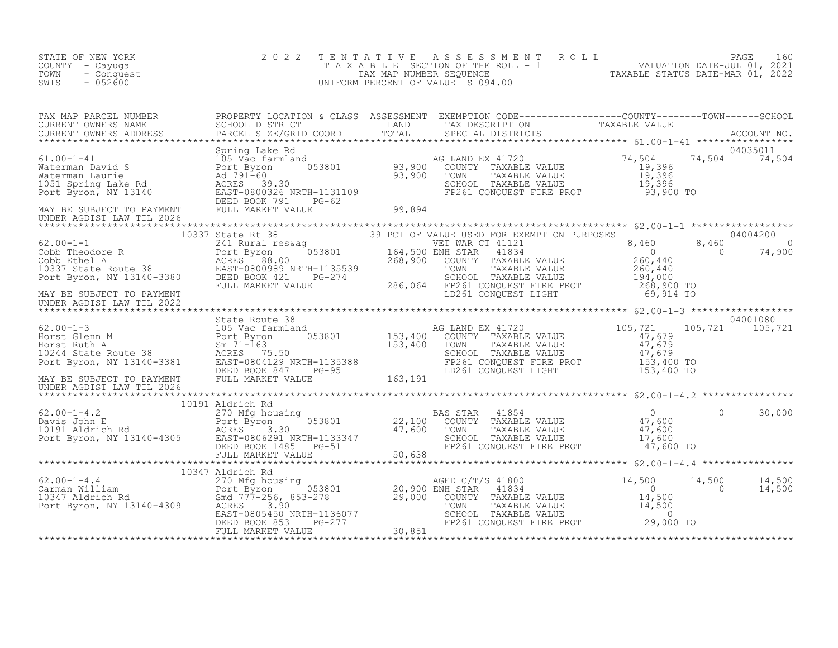| STATE OF NEW YORK<br>COUNTY - Cayuga<br>TOWN<br>- Conquest<br>SWIS<br>$-052600$ | 2 0 2 2 | TENTATIVE ASSESSMENT ROLL PACE 160<br>TAXABLE SECTION OF THE ROLL - 1 VALUATION DATE-JUL 01, 2021<br>TAX MAP NUMBER SEQUENCE TAXABLE STATUS DATE-MAR 01, 2022<br>UNIFORM PERCENT OF VALUE IS 094.00 |  |  |
|---------------------------------------------------------------------------------|---------|-----------------------------------------------------------------------------------------------------------------------------------------------------------------------------------------------------|--|--|
|                                                                                 |         |                                                                                                                                                                                                     |  |  |
|                                                                                 |         |                                                                                                                                                                                                     |  |  |
|                                                                                 |         |                                                                                                                                                                                                     |  |  |
|                                                                                 |         |                                                                                                                                                                                                     |  |  |
|                                                                                 |         |                                                                                                                                                                                                     |  |  |
| UNDER AGDIST LAW TIL 2022                                                       |         |                                                                                                                                                                                                     |  |  |
|                                                                                 |         |                                                                                                                                                                                                     |  |  |
|                                                                                 |         |                                                                                                                                                                                                     |  |  |
|                                                                                 |         |                                                                                                                                                                                                     |  |  |
|                                                                                 |         |                                                                                                                                                                                                     |  |  |
|                                                                                 |         |                                                                                                                                                                                                     |  |  |
|                                                                                 |         |                                                                                                                                                                                                     |  |  |
|                                                                                 |         |                                                                                                                                                                                                     |  |  |
|                                                                                 |         |                                                                                                                                                                                                     |  |  |
|                                                                                 |         |                                                                                                                                                                                                     |  |  |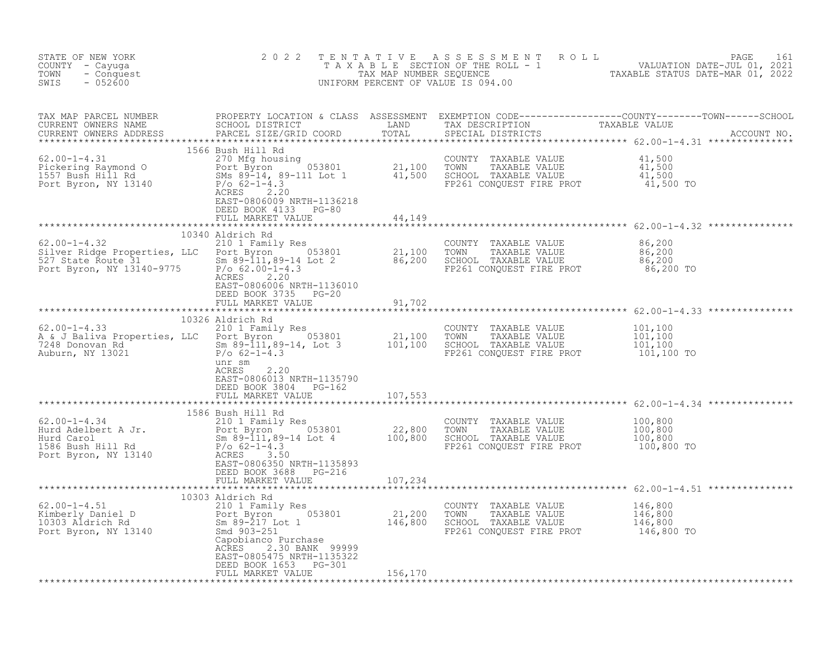| STATE OF NEW YORK<br>COUNTY - Cayuga<br>TOWN - Conquest<br>SWIS - 052600 |                                                                                                                                                                                                                                                   |  | TENTATIVE ASSESSMENT ROLL PAGE 161<br>TAXABLE SECTION OF THE ROLL - 1 VALUATION DATE-JUL 01, 2021<br>TAX MAP NUMBER SEQUENCE TAXABLE STATUS DATE-MAR 01, 2022<br>UNIFORM PERCENT OF VALUE IS 094.00 |
|--------------------------------------------------------------------------|---------------------------------------------------------------------------------------------------------------------------------------------------------------------------------------------------------------------------------------------------|--|-----------------------------------------------------------------------------------------------------------------------------------------------------------------------------------------------------|
|                                                                          |                                                                                                                                                                                                                                                   |  |                                                                                                                                                                                                     |
|                                                                          |                                                                                                                                                                                                                                                   |  |                                                                                                                                                                                                     |
|                                                                          |                                                                                                                                                                                                                                                   |  |                                                                                                                                                                                                     |
|                                                                          | 10340 Aldrich Rd<br>10340 Aldrich Rd<br>210 1 Family Res<br>Silver Ridge Properties, LLC Port Byron<br>527 State Route 31<br>Port Byron, NY 13140-9775<br>21,100 TOWN TAXABLE VALUE<br>21,100 TOWN TAXABLE VALUE<br>21,100 TOWN TAXABLE VALUE<br> |  |                                                                                                                                                                                                     |
|                                                                          | EAST-0806006 NRTH-1136010<br>DEED BOOK 3735 PG-20<br>FULL MARKET VALUE 91,702                                                                                                                                                                     |  |                                                                                                                                                                                                     |
|                                                                          |                                                                                                                                                                                                                                                   |  |                                                                                                                                                                                                     |
|                                                                          | unr sm<br>2.20<br>ACRES<br>EAST-0806013 NRTH-1135790<br>DEED BOOK 3804 PG-162<br>FULL MARKET VALUE 702<br>FULL MARKET VALUE 707,553                                                                                                               |  |                                                                                                                                                                                                     |
|                                                                          |                                                                                                                                                                                                                                                   |  |                                                                                                                                                                                                     |
|                                                                          |                                                                                                                                                                                                                                                   |  |                                                                                                                                                                                                     |
|                                                                          |                                                                                                                                                                                                                                                   |  |                                                                                                                                                                                                     |
|                                                                          | EAST-0805475 NRTH-1135322<br>DEED BOOK 1653 PG-301<br>FULL MARKET VALUE 156,170                                                                                                                                                                   |  |                                                                                                                                                                                                     |
|                                                                          |                                                                                                                                                                                                                                                   |  |                                                                                                                                                                                                     |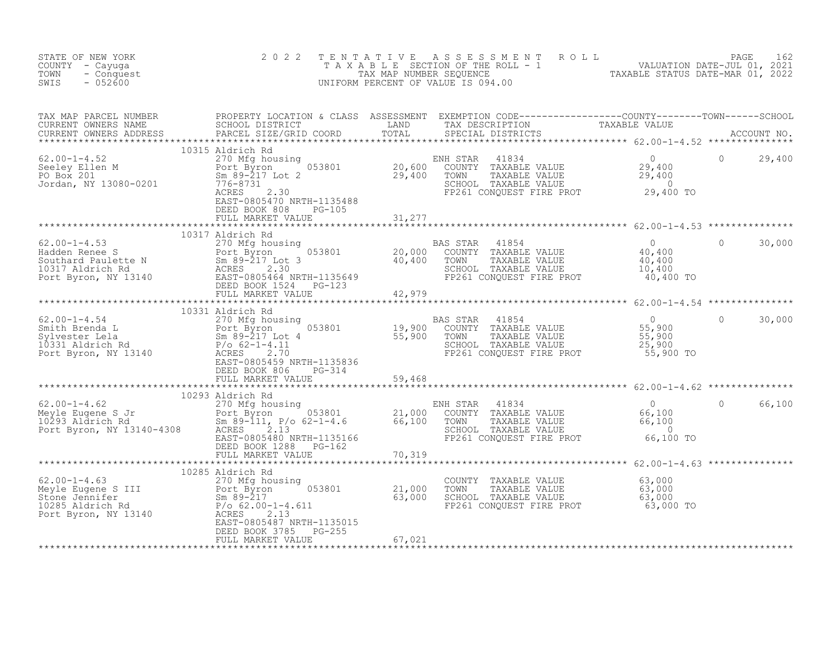| STATE OF NEW YORK<br>COUNTY - Cayuga<br>- Conquest<br>TOWN<br>SWIS<br>$-052600$                                                                                                                                                                             | 2 0 2 2<br>TENTATIVE                          |        | TENTATIVE ASSESSMENT ROLL UNIVALUATION DATE-JUL 01, 2021<br>TAXABLE SECTION OF THE ROLL - 1<br>TAX MAP NUMBER SEQUENCE TAXABLE STATUS DATE-MAR 01, 2022<br>JNIFORM PERCENT OF VALUE IS 094.00<br>UNIFORM PERCENT OF VALUE IS 094.00 |                                                      |                    |
|-------------------------------------------------------------------------------------------------------------------------------------------------------------------------------------------------------------------------------------------------------------|-----------------------------------------------|--------|-------------------------------------------------------------------------------------------------------------------------------------------------------------------------------------------------------------------------------------|------------------------------------------------------|--------------------|
| TAX MAP PARCEL NUMBER PROPERTY LOCATION & CLASS ASSESSMENT EXEMPTION CODE----------------COUNTY--------TOWN------SCHOOL CURRENT OWNERS NAME SCHOOL DISTRICT LAND TAX DESCRIPTION TAXABLE VALUE<br>CURRENT OWNERS ADDRESS PARCEL S                           |                                               |        |                                                                                                                                                                                                                                     |                                                      |                    |
|                                                                                                                                                                                                                                                             | DEED BOOK 808 PG-105                          |        |                                                                                                                                                                                                                                     |                                                      |                    |
|                                                                                                                                                                                                                                                             | ****************************                  |        |                                                                                                                                                                                                                                     |                                                      |                    |
|                                                                                                                                                                                                                                                             | 10317 Aldrich Rd                              |        |                                                                                                                                                                                                                                     | 40,400 TO                                            | $\Omega$<br>30,000 |
|                                                                                                                                                                                                                                                             |                                               |        |                                                                                                                                                                                                                                     |                                                      |                    |
|                                                                                                                                                                                                                                                             | 10331 Aldrich Rd                              |        |                                                                                                                                                                                                                                     | ********************** 62.00-1-4.54 **************** |                    |
| 62.00-1-4.54<br>Smith Brenda L<br>Smith Brenda L<br>Sylvester Lela<br>270 Mfg housing<br>270 Mfg housing<br>25,900 TOWN TAXABLE VALUE<br>Subseter Lela<br>25,900<br>25,900<br>25,900<br>Pot Byron, NY 13140<br>25,900<br>EAS STAR 41854<br>26.900<br>25,900 | DEED BOOK 806 PG-314                          |        |                                                                                                                                                                                                                                     |                                                      | 0<br>30,000        |
|                                                                                                                                                                                                                                                             |                                               |        |                                                                                                                                                                                                                                     |                                                      |                    |
|                                                                                                                                                                                                                                                             |                                               |        |                                                                                                                                                                                                                                     |                                                      |                    |
|                                                                                                                                                                                                                                                             | DEED BOOK 1288<br>PG-162<br>FULL MARKET VALUE | 70,319 | 41834<br>VH STAR 41834<br>COUNTY TAXABLE VALUE 66,100<br>TOWN TAXABLE VALUE 66,100<br>SCHOOL TAXABLE VALUE 66,100<br>ENH STAR<br>FP261 CONQUEST FIRE PROT                                                                           | 66,100 TO                                            | 0 66,100           |
|                                                                                                                                                                                                                                                             |                                               |        |                                                                                                                                                                                                                                     | ********************** 62.00-1-4.63 ***************  |                    |
| 62.00-1-4.63<br>Meyle Eugene S III 21,000<br>Stone Jennifer Bort Byron, NY 13140<br>Port Byron, NY 13140<br>Port Byron, NY 13140<br>Port Byron, NY 13140<br>Port Byron, NY 13140<br>Port Byron, NY 13140<br>Port Byron, NY 13140<br>Port Bort Bo            | 10285 Aldrich Rd<br>$PG-255$                  |        | COUNTY TAXABLE VALUE<br>TOWN TAXABLE VALUE<br>SCHOOL TAXABLE VALUE 63,000<br>FP261 CONQUEST FIRE PROT 63,000                                                                                                                        | 63,000<br>63,000 TO                                  |                    |
|                                                                                                                                                                                                                                                             | DEED BOOK 3785<br>FULL MARKET VALUE           | 67,021 |                                                                                                                                                                                                                                     |                                                      |                    |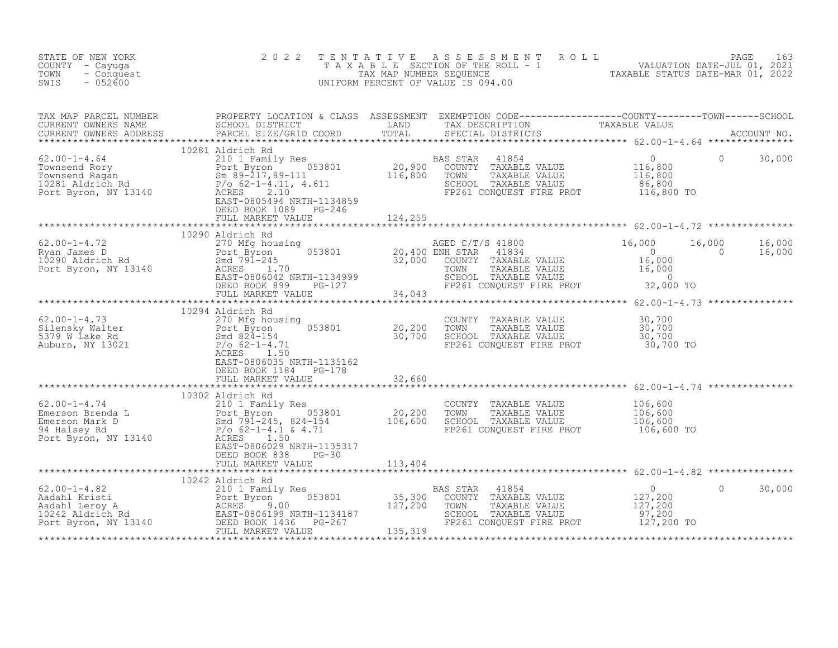| STATE OF NEW YORK<br>COUNTY - Cayuga<br>TOWN<br>- Conquest<br>$-052600$<br>SWIS                                                                                                                                                                                                                                | 2 0 2 2          | TENTATIVE ASSESSMENT ROLL PAGE 163<br>TAXABLE SECTION OF THE ROLL - 1 VALUATION DATE-JUL 01, 2021<br>TAX MAP NUMBER SEQUENCE TAXABLE STATUS DATE-MAR 01, 2022<br>UNIFORM PERCENT OF VALUE IS 094.00 |                                 |        |
|----------------------------------------------------------------------------------------------------------------------------------------------------------------------------------------------------------------------------------------------------------------------------------------------------------------|------------------|-----------------------------------------------------------------------------------------------------------------------------------------------------------------------------------------------------|---------------------------------|--------|
|                                                                                                                                                                                                                                                                                                                |                  |                                                                                                                                                                                                     |                                 |        |
|                                                                                                                                                                                                                                                                                                                |                  |                                                                                                                                                                                                     |                                 |        |
|                                                                                                                                                                                                                                                                                                                |                  |                                                                                                                                                                                                     |                                 |        |
| $\begin{array}{lllllllllllllllllll} \text{62.00--1-4.72} & & & & & 10290 \text{ Aldrich Rd} & & & & & & & 16,000 & 16,000 & 16,000 & 16,000 & 16,000 & 16,000 & 16,000 & 16,000 & 16,000 & 16,000 & 16,000 & 16,000 & 16,000 & 16,000 & 16,000 & 16,000 & 16,000 & 16,000 & 16,000 & 16,000 & 16$              | 10290 Aldrich Rd |                                                                                                                                                                                                     | $16,000$ $16,000$<br>0 $16,000$ |        |
|                                                                                                                                                                                                                                                                                                                |                  |                                                                                                                                                                                                     |                                 |        |
|                                                                                                                                                                                                                                                                                                                |                  |                                                                                                                                                                                                     |                                 |        |
|                                                                                                                                                                                                                                                                                                                |                  |                                                                                                                                                                                                     |                                 |        |
| $\begin{tabular}{lllllllllllllllllllll} \multicolumn{3}{c}{\begin{tabular}{l} \multicolumn{3}{c}{62.00-1-4.74} & 10302 \text{ Aldrich Rd} & 20,200 & 0.00000000 & 0.00000000 & 0.0000000 & 0.0000000 & 0.0000000 & 0.000000 & 0.000000 & 0.000000 & 0.000000 & 0.00000 & 0.00000 & 0.00000 & 0.00000 & 0.0000$ | 10302 Aldrich Rd |                                                                                                                                                                                                     |                                 |        |
|                                                                                                                                                                                                                                                                                                                |                  |                                                                                                                                                                                                     |                                 |        |
|                                                                                                                                                                                                                                                                                                                |                  |                                                                                                                                                                                                     | $\circ$                         | 30,000 |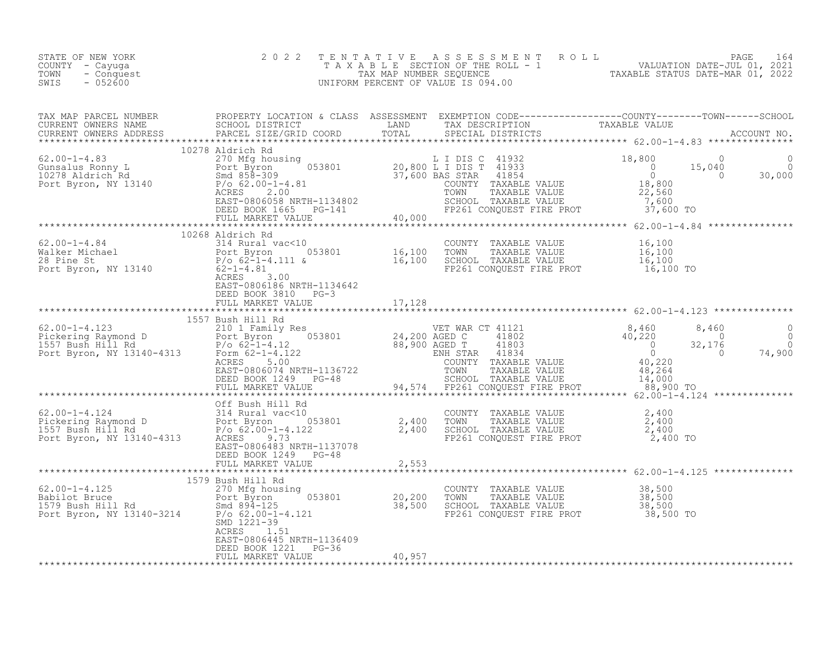| STATE OF NEW YORK<br>COUNTY - Cayuga<br>TOWN - Conquest<br>SWIS - 052600                                                                                                                                                             |                                                                                             |                                                                                                                                                                                                                                                                                                                                                                                                   | TENTATIVE ASSESSMENT ROLL PAGE 164<br>TAXABLE SECTION OF THE ROLL - 1 VALUATION DATE-JUL 01, 2021<br>TAX MAP NUMBER SEQUENCE TAXABLE STATUS DATE-MAR 01, 2022<br>UNIFORM PERCENT OF VALUE IS 094.00                                                                                                                                                                   |
|--------------------------------------------------------------------------------------------------------------------------------------------------------------------------------------------------------------------------------------|---------------------------------------------------------------------------------------------|---------------------------------------------------------------------------------------------------------------------------------------------------------------------------------------------------------------------------------------------------------------------------------------------------------------------------------------------------------------------------------------------------|-----------------------------------------------------------------------------------------------------------------------------------------------------------------------------------------------------------------------------------------------------------------------------------------------------------------------------------------------------------------------|
|                                                                                                                                                                                                                                      |                                                                                             |                                                                                                                                                                                                                                                                                                                                                                                                   |                                                                                                                                                                                                                                                                                                                                                                       |
|                                                                                                                                                                                                                                      |                                                                                             |                                                                                                                                                                                                                                                                                                                                                                                                   |                                                                                                                                                                                                                                                                                                                                                                       |
| <u>and a straightful state of the straight of the straight of the straight of the straight of the straight of the straight of the straight of the straight of the straight of the straight of the straight of the straight of th</u> | 10268 Aldrich Rd                                                                            |                                                                                                                                                                                                                                                                                                                                                                                                   |                                                                                                                                                                                                                                                                                                                                                                       |
|                                                                                                                                                                                                                                      | DEED BOOK 3810 PG-3<br>FULL MARKET VALUE 17, 128                                            |                                                                                                                                                                                                                                                                                                                                                                                                   |                                                                                                                                                                                                                                                                                                                                                                       |
|                                                                                                                                                                                                                                      |                                                                                             |                                                                                                                                                                                                                                                                                                                                                                                                   | $\begin{tabular}{l c c c c c} \hline & \texttt{157} & \texttt{157} & \texttt{1587} & \texttt{1587} & \texttt{1588} & \texttt{1588} & \texttt{1588} & \texttt{1588} & \texttt{1588} & \texttt{1588} & \texttt{1588} & \texttt{1588} & \texttt{1588} & \texttt{1588} & \texttt{1588} & \texttt{1588} & \texttt{1588} & \texttt{1588} & \texttt{1588} & \texttt{1588} &$ |
|                                                                                                                                                                                                                                      |                                                                                             |                                                                                                                                                                                                                                                                                                                                                                                                   |                                                                                                                                                                                                                                                                                                                                                                       |
|                                                                                                                                                                                                                                      | ACRES 1.51<br>EAST-0806445 NRTH-1136409<br>DEED BOOK 1221 PG-36<br>FULL MARKET VALUE 40,957 | $\begin{array}{lllllllllllll} \text{62.00-1-4.125} & & & & & & 1579\text{ Bush Hill Rd} & & & & & & & 000\text{NTV} & \text{TAXABLE VALUE} & & & & 38,500\text{Rabilot Bruce} & & & & 38,500\text{Rabilot Bruce} & & & & 38,500\text{Rabilot Bruce} & & & & 38,500\text{Sabilot Boush Hill Rd} & & & & & 38,500\text{SoulD} & & & & 38,500\text{SoulD} & & & & 38,500\text{SoulD} & & & & 38,500$ |                                                                                                                                                                                                                                                                                                                                                                       |
|                                                                                                                                                                                                                                      |                                                                                             |                                                                                                                                                                                                                                                                                                                                                                                                   |                                                                                                                                                                                                                                                                                                                                                                       |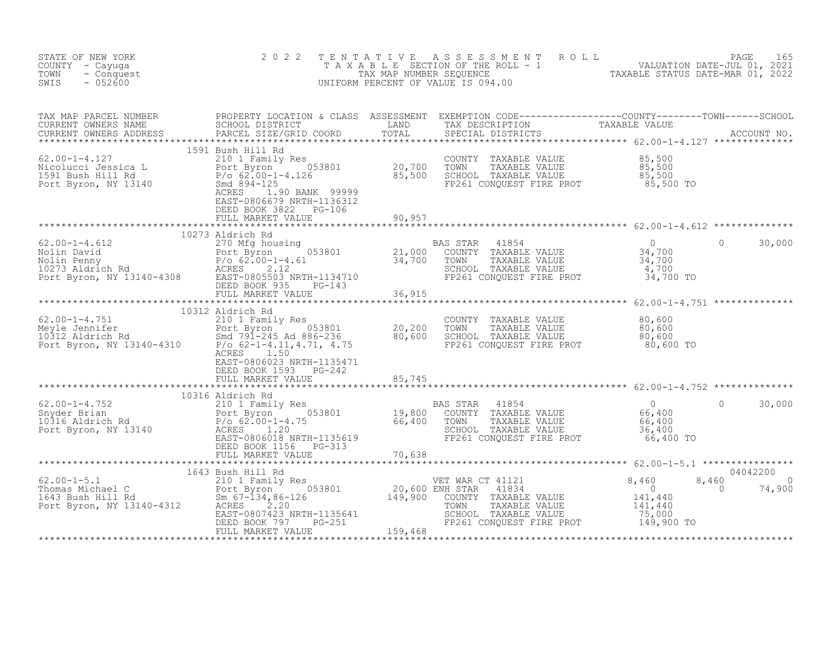| STATE OF NEW YORK<br>COUNTY - Cayuga<br>TOWN<br>- Conquest<br>$-052600$<br>SWIS                                                                                                                                                                                                                                                                                                                                                                   | 2 0 2 2                                                                     | TENTATIVE ASSESSMENT ROLL PAGE 165<br>TAXABLE SECTION OF THE ROLL - 1 VALUATION DATE-JUL 01, 2021<br>TAX MAP NUMBER SEQUENCE TAXABLE STATUS DATE-MAR 01, 2022<br>UNIFORM PERCENT OF VALUE IS 094.00 |          |             |
|---------------------------------------------------------------------------------------------------------------------------------------------------------------------------------------------------------------------------------------------------------------------------------------------------------------------------------------------------------------------------------------------------------------------------------------------------|-----------------------------------------------------------------------------|-----------------------------------------------------------------------------------------------------------------------------------------------------------------------------------------------------|----------|-------------|
|                                                                                                                                                                                                                                                                                                                                                                                                                                                   |                                                                             |                                                                                                                                                                                                     |          |             |
|                                                                                                                                                                                                                                                                                                                                                                                                                                                   | DEED BOOK 3822 PG-106<br>FULL MARKET VALUE 90,957                           |                                                                                                                                                                                                     |          |             |
|                                                                                                                                                                                                                                                                                                                                                                                                                                                   |                                                                             |                                                                                                                                                                                                     |          |             |
|                                                                                                                                                                                                                                                                                                                                                                                                                                                   |                                                                             |                                                                                                                                                                                                     |          |             |
|                                                                                                                                                                                                                                                                                                                                                                                                                                                   |                                                                             |                                                                                                                                                                                                     |          |             |
|                                                                                                                                                                                                                                                                                                                                                                                                                                                   |                                                                             |                                                                                                                                                                                                     |          |             |
| $\begin{array}{cccccc} \texttt{62.00-1-4.751} & \texttt{10312 Aldrich Rd} & \texttt{210 1 Family Res} & \texttt{COUNTY TAXABLE VALUE} & \texttt{80,600} \\ \texttt{Meyle Jennifer} & \texttt{Port Byron} & \texttt{10312 Aldrich Rd} & \texttt{20,200 TOMNY TAXABLE VALUE} & \texttt{80,600} \\ \texttt{10312 Aldrich Rd} & \texttt{Sort Byron} & \texttt{1051-245 Ad 886-236} & \texttt{80,600} & \texttt{SCHOOL TAXABLE VALUE} & \texttt{80,60$ | EAST-0806023 NRTH-1135471<br>DEED BOOK 1593 PG-242<br>DEED BOOK 1593 PG-242 |                                                                                                                                                                                                     |          |             |
|                                                                                                                                                                                                                                                                                                                                                                                                                                                   | FULL MARKET VALUE 85,745                                                    |                                                                                                                                                                                                     |          |             |
| 10316 Aldrich Rd<br>10316 Aldrich Rd<br>210 1 Family Res<br>210 1 Family Res<br>210 1 Family Res<br>210 2 Family Res<br>210 2 200-1-4.75<br>20 200-1-4.75<br>20 200-1-4.75<br>20 200-1-4.75<br>20 200-1-4.75<br>20 200-1-4.75<br>20 200-1-4.75<br>20 200                                                                                                                                                                                          |                                                                             |                                                                                                                                                                                                     |          |             |
|                                                                                                                                                                                                                                                                                                                                                                                                                                                   |                                                                             |                                                                                                                                                                                                     |          |             |
|                                                                                                                                                                                                                                                                                                                                                                                                                                                   |                                                                             |                                                                                                                                                                                                     | 04042200 |             |
|                                                                                                                                                                                                                                                                                                                                                                                                                                                   |                                                                             |                                                                                                                                                                                                     | 8,460    | 0<br>74,900 |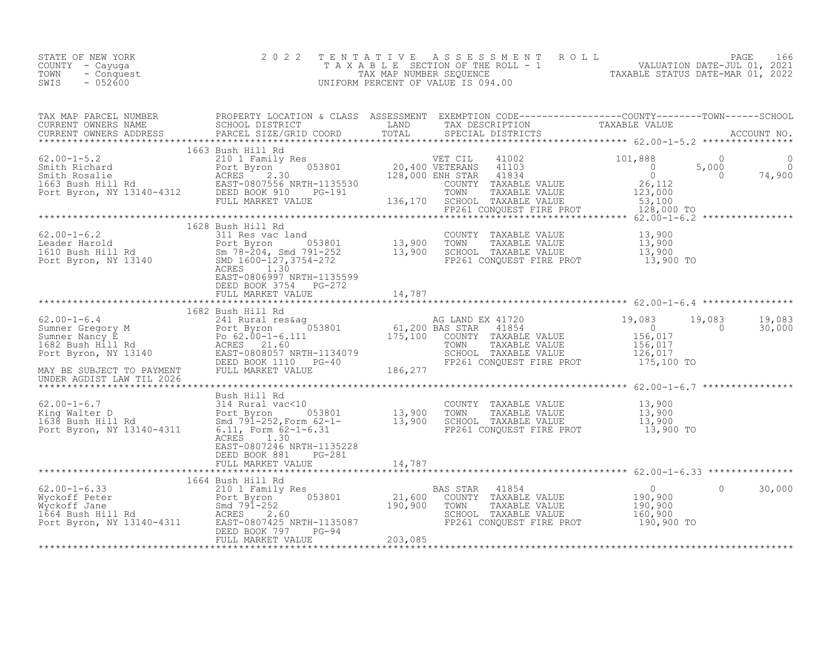| STATE OF NEW YORK<br>COUNTY - Cayuga<br>TOWN - Conquest<br>TIPS - 052600                                                                                                                                                                                                                                                                                                                                               |                       | TENTATIVE ASSESSMENT ROLL PAGE 166<br>TAXABLE SECTION OF THE ROLL - 1 VALUATION DATE-JUL 01, 2021<br>TAX MAP NUMBER SEQUENCE TAXABLE STATUS DATE-MAR 01, 2022<br>UNIFORM PERCENT OF VALUE IS 094.00 |  |  |
|------------------------------------------------------------------------------------------------------------------------------------------------------------------------------------------------------------------------------------------------------------------------------------------------------------------------------------------------------------------------------------------------------------------------|-----------------------|-----------------------------------------------------------------------------------------------------------------------------------------------------------------------------------------------------|--|--|
| TAX MAP PARCEL NUMBER PROPERTY LOCATION & CLASS ASSESSMENT EXEMPTION CODE-----------------COUNTY--------TOWN------SCHOOL<br>CURRENT OWNERS NAME SCHOOL DISTRICT LAND TAX DESCRIPTION TAXABLE VALUE<br>CURRENT OWNERS ADDRESS PARCEL                                                                                                                                                                                    |                       |                                                                                                                                                                                                     |  |  |
| $\begin{tabular}{l cccc} \texttt{\footnotesize{53.5}} & \texttt{\footnotesize{1663} }\texttt{Bub} & \texttt{Hil} & \texttt{Red} & \texttt{1663} \texttt{Bub} & \texttt{Hil} & \texttt{Red} & \texttt{1663} \texttt{Bub} & \texttt{1663} \texttt{Bub} & \texttt{1663} \texttt{Bub} & \texttt{1663} \texttt{Bub} & \texttt{1663} \texttt{Bub} & \texttt{1663} \texttt{Bub} & \texttt{1663} \texttt{Bub} & \texttt{1663}$ |                       |                                                                                                                                                                                                     |  |  |
|                                                                                                                                                                                                                                                                                                                                                                                                                        |                       |                                                                                                                                                                                                     |  |  |
|                                                                                                                                                                                                                                                                                                                                                                                                                        |                       |                                                                                                                                                                                                     |  |  |
|                                                                                                                                                                                                                                                                                                                                                                                                                        | DEED BOOK 3754 PG-272 |                                                                                                                                                                                                     |  |  |
|                                                                                                                                                                                                                                                                                                                                                                                                                        |                       |                                                                                                                                                                                                     |  |  |
|                                                                                                                                                                                                                                                                                                                                                                                                                        |                       |                                                                                                                                                                                                     |  |  |
|                                                                                                                                                                                                                                                                                                                                                                                                                        |                       |                                                                                                                                                                                                     |  |  |
|                                                                                                                                                                                                                                                                                                                                                                                                                        |                       |                                                                                                                                                                                                     |  |  |
|                                                                                                                                                                                                                                                                                                                                                                                                                        |                       |                                                                                                                                                                                                     |  |  |
|                                                                                                                                                                                                                                                                                                                                                                                                                        |                       |                                                                                                                                                                                                     |  |  |
|                                                                                                                                                                                                                                                                                                                                                                                                                        |                       |                                                                                                                                                                                                     |  |  |
|                                                                                                                                                                                                                                                                                                                                                                                                                        |                       |                                                                                                                                                                                                     |  |  |
|                                                                                                                                                                                                                                                                                                                                                                                                                        |                       |                                                                                                                                                                                                     |  |  |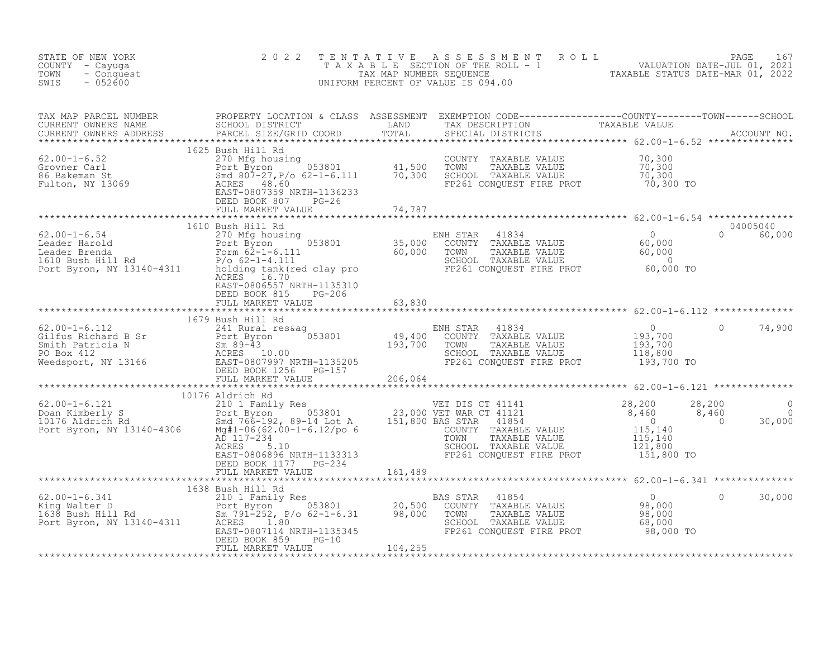| STATE OF NEW YORK<br>COUNTY - Cayuga<br>- Conquest<br>TOWN<br>$-052600$<br>SWIS | 2 0 2 2 | TENTATIVE ASSESSMENT ROLL PAGE 167<br>TAXABLE SECTION OF THE ROLL - 1 VALUATION DATE-JUL 01, 2021<br>TAX MAP NUMBER SEQUENCE TAXABLE STATUS DATE-MAR 01, 2022<br>UNIFORM PERCENT OF VALUE IS 094.00 |  |        |
|---------------------------------------------------------------------------------|---------|-----------------------------------------------------------------------------------------------------------------------------------------------------------------------------------------------------|--|--------|
|                                                                                 |         |                                                                                                                                                                                                     |  |        |
|                                                                                 |         |                                                                                                                                                                                                     |  |        |
|                                                                                 |         |                                                                                                                                                                                                     |  |        |
|                                                                                 |         |                                                                                                                                                                                                     |  |        |
|                                                                                 |         |                                                                                                                                                                                                     |  |        |
|                                                                                 |         |                                                                                                                                                                                                     |  |        |
|                                                                                 |         |                                                                                                                                                                                                     |  |        |
|                                                                                 |         |                                                                                                                                                                                                     |  |        |
|                                                                                 |         |                                                                                                                                                                                                     |  |        |
|                                                                                 |         |                                                                                                                                                                                                     |  |        |
|                                                                                 |         |                                                                                                                                                                                                     |  |        |
|                                                                                 |         |                                                                                                                                                                                                     |  | 30,000 |
|                                                                                 |         |                                                                                                                                                                                                     |  |        |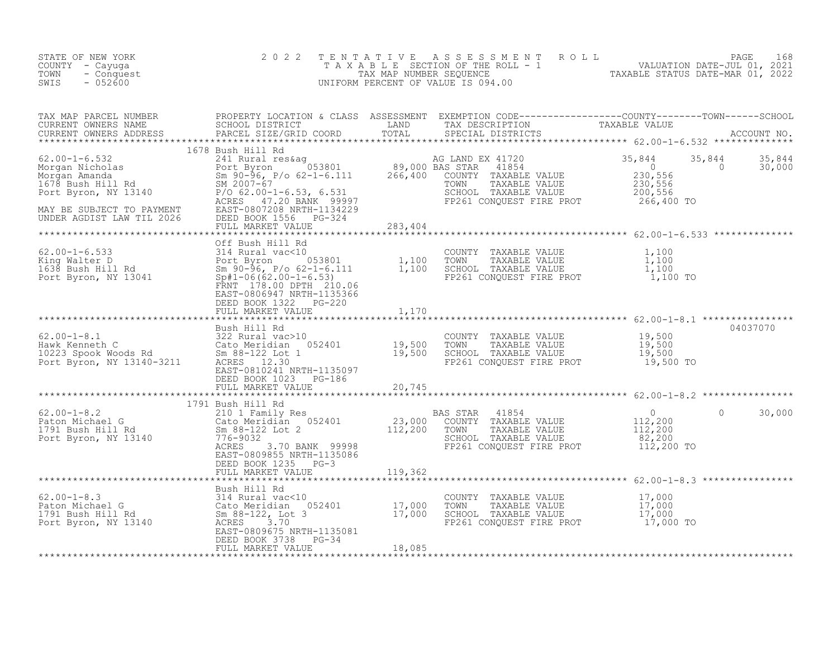| : OF NEW YORK<br>Y - Cayuga - Conquest<br>- 052600<br>STATE OF NEW YORK<br>COUNTY - Cayuga<br>TOWN<br>SWIS                                                                                                                                                                                                                                                                                                              |                                                                         |                  | TENTATIVE ASSESSMENT ROLL PACE 168<br>TAXABLE SECTION OF THE ROLL - 1 VALUATION DATE-JUL 01, 2021<br>TAX MAP NUMBER SEQUENCE TAXABLE STATUS DATE-MAR 01, 2022<br>UNIFORM PERCENT OF VALUE IS 094.00 |          |                                 |
|-------------------------------------------------------------------------------------------------------------------------------------------------------------------------------------------------------------------------------------------------------------------------------------------------------------------------------------------------------------------------------------------------------------------------|-------------------------------------------------------------------------|------------------|-----------------------------------------------------------------------------------------------------------------------------------------------------------------------------------------------------|----------|---------------------------------|
| TAX MAP PARCEL NUMBER PROPERTY LOCATION & CLASS ASSESSMENT EXEMPTION CODE-------------------COUNTY--------TOWN------SCHOOL CURRENT OWNERS NAME SCHOOL DISTRICT LAND TAX DESCRIPTION TAXABLE VALUE<br>CURRENT OWNERS ADDRESS PARCE                                                                                                                                                                                       |                                                                         |                  |                                                                                                                                                                                                     |          |                                 |
|                                                                                                                                                                                                                                                                                                                                                                                                                         | 1678 Bush Hill Rd<br>DEED BOOK 1556 PG-324<br>FULL MARKET VALUE 283,404 |                  |                                                                                                                                                                                                     |          | $35,844$ $35,844$<br>0 $30,000$ |
| $\begin{tabular}{lllllllllll} \textbf{62.00-1-6.533} & \textbf{0ff Bush Hill Rd} & & \textbf{COUNTY} & \textbf{YAXABLE VALUE} & 62.00-1-6.53 \\ & & 314 Rural vac<10 & & & \textbf{COUNTY} & \textbf{YAXABLE VALUE} & 1,100 \\ & & 314 Rural vac<10 & & & \textbf{COUNTY} & \textbf{YAXABLE VALUE} & 1,100 \\ & & 588 Bush Hill Rd & & 50-96, P/o & 62-1-6.111 & 1,100 & \textbf{SCHOOL} & \textbf{TXABLE VALUE} & 1,1$ | DEED BOOK 1322 PG-220<br>FULL MARKET VALUE 1,170                        |                  |                                                                                                                                                                                                     |          |                                 |
|                                                                                                                                                                                                                                                                                                                                                                                                                         |                                                                         |                  |                                                                                                                                                                                                     |          |                                 |
|                                                                                                                                                                                                                                                                                                                                                                                                                         |                                                                         |                  |                                                                                                                                                                                                     |          |                                 |
| 1791 Bush Hill Rd 1791 Bush Hill Rd 52.00<br>Port Byron, NY 13140 7865 3.70 BANK 99998<br>EASTAR 41854 0<br>23,000 COUNTY TAXABLE VALUE 112,200<br>23,000 COUNTY TAXABLE VALUE 112,200<br>23,000 COUNTY TAXABLE VALUE 112,200<br>23,000 CO                                                                                                                                                                              |                                                                         |                  |                                                                                                                                                                                                     | $\Omega$ | 30,000                          |
|                                                                                                                                                                                                                                                                                                                                                                                                                         | FULL MARKET VALUE                                                       | $25 - 5$ 119,362 |                                                                                                                                                                                                     |          |                                 |
| 62.00-1-8.3<br>Bush Hill Rd<br>2.00-1-8.3<br>2.00-1-8.3<br>2.00-1-8.3<br>2.00-1-8.3<br>2.00-1-8.3<br>2.00-1-8.3<br>2.00-1-8.3<br>2.00-1-8.3<br>2.00-1-8.3<br>2.00-1-8.3<br>2.00-1-8.3<br>2.00-1-8.3<br>2.00-1-8.3<br>2.00-1-8.3<br>2.00-1-8.3<br>2.00-1-8.3<br>2.0                                                                                                                                                      | DEED BOOK 3738 PG-34<br>FULL MARKET VALUE                               | 18,085           |                                                                                                                                                                                                     |          |                                 |
|                                                                                                                                                                                                                                                                                                                                                                                                                         |                                                                         |                  |                                                                                                                                                                                                     |          |                                 |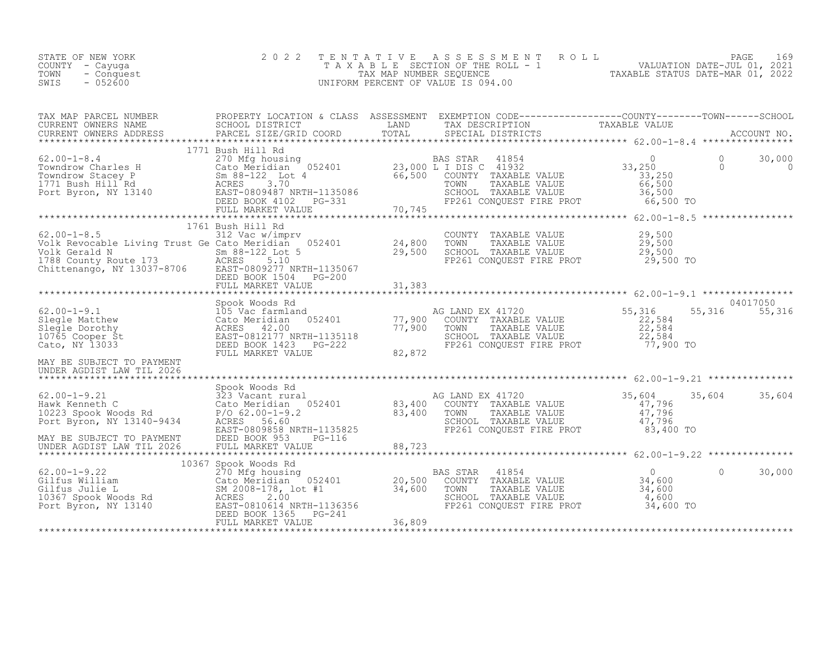| STATE OF NEW YORK<br>COUNTY - Cayuqa<br>TOWN<br>- Conquest<br>$-052600$<br>SWIS                                                                                                                                                                                                                                                                                                                                                                                                                                                       | 2 0 2 2<br>TENTATIVE | TENTATIVE ASSESSMENT ROLL PAGE 169<br>TAXABLE SECTION OF THE ROLL - 1 VALUATION DATE-JUL 01, 2021<br>TAX MAP NUMBER SEQUENCE TAXABLE STATUS DATE-MAR 01, 2022<br>UNIFORM PERCENT OF VALUE IS 094.00 |                    |                             |  |
|---------------------------------------------------------------------------------------------------------------------------------------------------------------------------------------------------------------------------------------------------------------------------------------------------------------------------------------------------------------------------------------------------------------------------------------------------------------------------------------------------------------------------------------|----------------------|-----------------------------------------------------------------------------------------------------------------------------------------------------------------------------------------------------|--------------------|-----------------------------|--|
|                                                                                                                                                                                                                                                                                                                                                                                                                                                                                                                                       |                      |                                                                                                                                                                                                     |                    |                             |  |
|                                                                                                                                                                                                                                                                                                                                                                                                                                                                                                                                       | 1771 Bush Hill Rd    |                                                                                                                                                                                                     |                    |                             |  |
| $62.00 - 1 - 8.5$<br>$62.00-1-8.5$<br>$1/01$ Busin Hill Kd<br>$312$ Vac w/imprv<br>$1/01$ Busin Hill Kd<br>$312$ Vac w/imprv<br>$052401$<br>$24,800$<br>$29,500$<br>TOWN<br>Yolk Gerald N<br>SCHOC<br>$1788$ County Route 173<br>Chittenango, NY 13037-8706<br>EAST-0809277<br>Volk Gerald N<br>1788 County Route 173<br>1788 County Route 173<br>1788 County Route 173<br>1788 Chittenango, NY 13037-8706<br>1788 EAST-0809277 NRTH-1135067<br>1788 EAST-0809277 NRTH-1135067<br>1788 EAST-0809277 NRTH-1135067<br>1788 EAST-0809277 | 1761 Bush Hill Rd    | COUNTY TAXABLE VALUE $29,500$<br>TOWN TAXABLE VALUE $29,500$<br>SCHOOL TAXABLE VALUE $29,500$<br>FP261 CONQUEST FIRE PROT 29,500 TO                                                                 |                    |                             |  |
| MAY BE SUBJECT TO PAYMENT                                                                                                                                                                                                                                                                                                                                                                                                                                                                                                             |                      |                                                                                                                                                                                                     |                    | 04017050<br>55, 316 55, 316 |  |
| MAY BE SUBJECT TO PAYMENT<br>UNDER AGDIST LAW TIL 2026 FULL MARKET VALUE                                                                                                                                                                                                                                                                                                                                                                                                                                                              |                      |                                                                                                                                                                                                     |                    | 35,604<br>35,604            |  |
| $62.00 - 1 - 9.22$<br>Gilfus William                                                                                                                                                                                                                                                                                                                                                                                                                                                                                                  | 10367 Spook Woods Rd |                                                                                                                                                                                                     | $\Omega$<br>34,600 | $\Omega$<br>30,000          |  |

\*\*\*\*\*\*\*\*\*\*\*\*\*\*\*\*\*\*\*\*\*\*\*\*\*\*\*\*\*\*\*\*\*\*\*\*\*\*\*\*\*\*\*\*\*\*\*\*\*\*\*\*\*\*\*\*\*\*\*\*\*\*\*\*\*\*\*\*\*\*\*\*\*\*\*\*\*\*\*\*\*\*\*\*\*\*\*\*\*\*\*\*\*\*\*\*\*\*\*\*\*\*\*\*\*\*\*\*\*\*\*\*\*\*\*\*\*\*\*\*\*\*\*\*\*\*\*\*\*\*\*\*

Gilfus Julie L SM 2008-178, lot #1 34,600 TOWN TAXABLE VALUE 34,600 10367 Spook Woods Rd ACRES 2.00 SCHOOL TAXABLE VALUE 4,600 Port Byron, NY 13140 EAST-0810614 NRTH-1136356 FP261 CONQUEST FIRE PROT 34,600 TO

DEED BOOK 1365 PG-241 FULL MARKET VALUE 36,809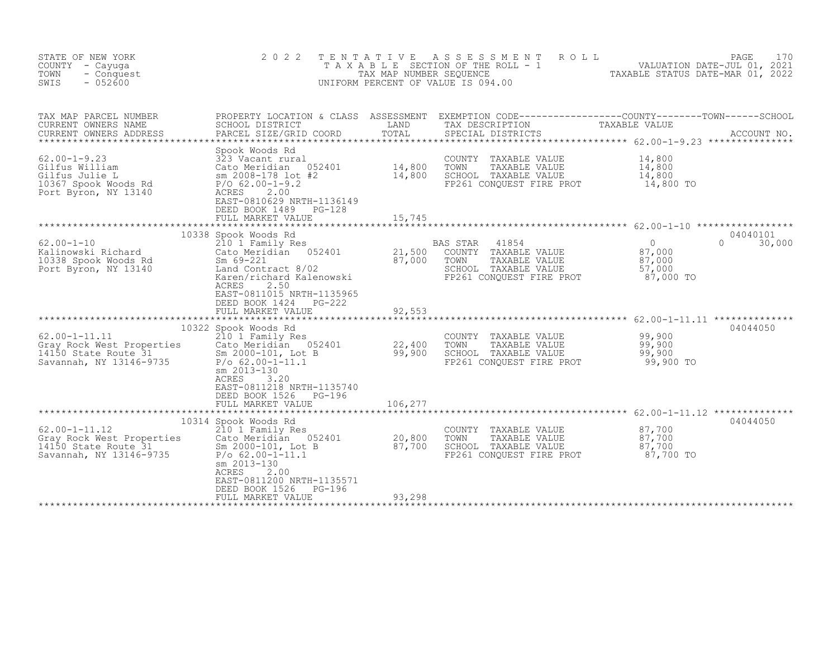| STATE OF NEW YORK<br>COUNTY - Cayuga<br>TOWN<br>- Conquest<br>$-052600$<br>SWIS                        | 2 0 2 2                                                                                                                                                                                                                           | TENTATIVE<br>TAX MAP NUMBER SEQUENCE | A S S E S S M E N T<br>ROLL<br>T A X A B L E SECTION OF THE ROLL - 1<br>UNIFORM PERCENT OF VALUE IS 094.00                                                                                                                                                | VALUATION DATE-JUL 01, 2021<br>TAXABLE STATUS DATE-MAR 01, 2022 | PAGE<br>170                    |
|--------------------------------------------------------------------------------------------------------|-----------------------------------------------------------------------------------------------------------------------------------------------------------------------------------------------------------------------------------|--------------------------------------|-----------------------------------------------------------------------------------------------------------------------------------------------------------------------------------------------------------------------------------------------------------|-----------------------------------------------------------------|--------------------------------|
| TAX MAP PARCEL NUMBER<br>CURRENT OWNERS NAME<br>CURRENT OWNERS ADDRESS                                 | PARCEL SIZE/GRID COORD                                                                                                                                                                                                            | TOTAL                                | PROPERTY LOCATION & CLASS ASSESSMENT EXEMPTION CODE----------------COUNTY--------TOWN------SCHOOL<br>SCHOOL DISTRICT               LAND       TAX DESCRIPTION         TAXABLE VALUE<br>PARCEL SIZE/GRID COORD       TOTAL     SPECIA<br>SPECIAL DISTRICTS |                                                                 | ACCOUNT NO.                    |
| $62.00 - 1 - 9.23$<br>Gilfus William<br>Gilfus Julie L<br>10367 Spook Woods Rd<br>Port Byron, NY 13140 | Spook Woods Rd<br>323 Vacant rural<br>Cato Meridian<br>052401<br>sm 2008-178 lot #2<br>$P/O$ 62.00-1-9.2<br>2.00<br>ACRES<br>EAST-0810629 NRTH-1136149<br>DEED BOOK 1489<br>PG-128<br>FULL MARKET VALUE                           | 14,800<br>14,800<br>15,745           | COUNTY TAXABLE VALUE<br>TOWN<br>TAXABLE VALUE<br>SCHOOL TAXABLE VALUE<br>FP261 CONOUEST FIRE PROT                                                                                                                                                         | 14,800<br>14,800<br>14,800<br>14,800 TO                         |                                |
|                                                                                                        |                                                                                                                                                                                                                                   |                                      |                                                                                                                                                                                                                                                           |                                                                 |                                |
| $62.00 - 1 - 10$<br>Kalinowski Richard<br>10338 Spook Woods Rd<br>Port Byron, NY 13140                 | 10338 Spook Woods Rd<br>210 1 Family Res<br>Cato Meridian 052401<br>$Sm 69 - 221$<br>Land Contract 8/02<br>Karen/richard Kalenowski<br>ACRES<br>2.50<br>EAST-0811015 NRTH-1135965<br>DEED BOOK 1424<br><b>PG-222</b>              | 21,500<br>87,000                     | BAS STAR<br>41854<br>COUNTY TAXABLE VALUE<br>TOWN<br>TAXABLE VALUE<br>SCHOOL TAXABLE VALUE<br>FP261 CONQUEST FIRE PROT                                                                                                                                    | $\Omega$<br>87,000<br>87,000<br>57,000<br>87,000 TO             | 04040101<br>$\Omega$<br>30,000 |
|                                                                                                        | FULL MARKET VALUE                                                                                                                                                                                                                 | 92,553                               |                                                                                                                                                                                                                                                           |                                                                 |                                |
| $62.00 - 1 - 11.11$<br>Gray Rock West Properties<br>14150 State Route 31<br>Savannah, NY 13146-9735    | 10322 Spook Woods Rd<br>210 1 Family Res<br>Cato Meridian 052401<br>Sm 2000-101, Lot B<br>$P/O 62.00-1-11.1$<br>sm 2013-130<br><b>ACRES</b><br>3.20<br>EAST-0811218 NRTH-1135740<br>DEED BOOK 1526<br>PG-196<br>FULL MARKET VALUE | 22,400<br>99,900<br>106,277          | COUNTY TAXABLE VALUE<br>TOWN<br>TAXABLE VALUE<br>SCHOOL TAXABLE VALUE<br>FP261 CONOUEST FIRE PROT                                                                                                                                                         | 99,900<br>99,900<br>99,900<br>99,900 TO                         | 04044050                       |
|                                                                                                        |                                                                                                                                                                                                                                   |                                      |                                                                                                                                                                                                                                                           |                                                                 |                                |
| $62.00 - 1 - 11.12$<br>Gray Rock West Properties<br>14150 State Route 31<br>Savannah, NY 13146-9735    | 10314 Spook Woods Rd<br>210 1 Family Res<br>Cato Meridian 052401<br>Sm 2000-101, Lot B<br>$P/O 62.00-1-11.1$<br>sm 2013-130<br>ACRES<br>2.00<br>EAST-0811200 NRTH-1135571                                                         | 20,800<br>87,700                     | COUNTY TAXABLE VALUE<br>TOWN<br>TAXABLE VALUE<br>SCHOOL TAXABLE VALUE<br>FP261 CONQUEST FIRE PROT                                                                                                                                                         | 87,700<br>87,700<br>87,700<br>87,700 TO                         | 04044050                       |
|                                                                                                        | DEED BOOK 1526<br>PG-196<br>FULL MARKET VALUE                                                                                                                                                                                     | 93,298                               |                                                                                                                                                                                                                                                           |                                                                 |                                |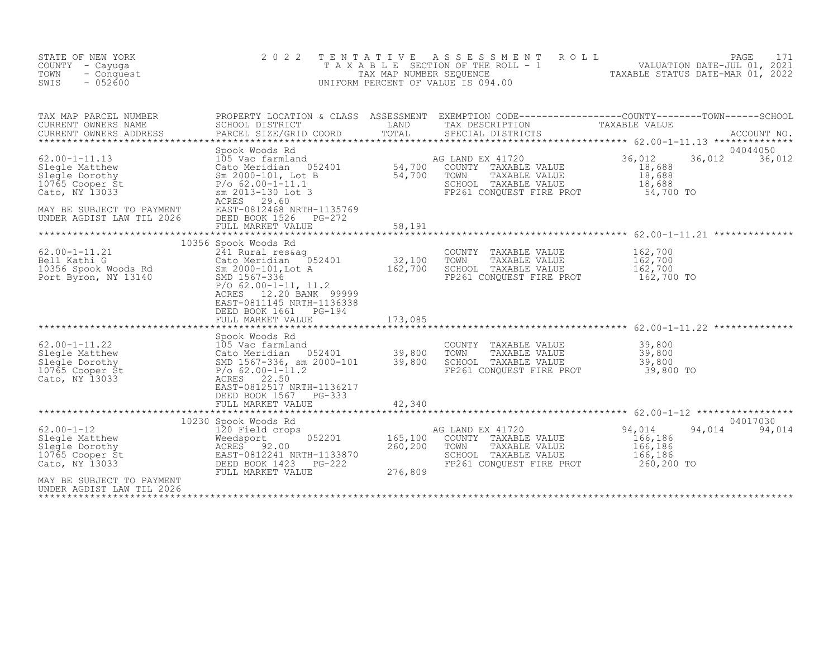| STATE OF NEW YORK<br>COUNTY - Cayuga<br>TOWN<br>- Conquest<br>$-052600$<br>SWIS                                                                                                                                                                                                                                                                                 | 2 0 2 2                                                                                                                           |        | TENTATIVE ASSESSMENT ROLL<br>UNIFORM PERCENT OF VALUE IS 094.00                                                       |                                                                        |
|-----------------------------------------------------------------------------------------------------------------------------------------------------------------------------------------------------------------------------------------------------------------------------------------------------------------------------------------------------------------|-----------------------------------------------------------------------------------------------------------------------------------|--------|-----------------------------------------------------------------------------------------------------------------------|------------------------------------------------------------------------|
| TAX MAP PARCEL NUMBER<br>CURRENT OWNERS NAME<br>CURRENT OWNERS ADDRESS                                                                                                                                                                                                                                                                                          |                                                                                                                                   |        |                                                                                                                       |                                                                        |
| 62.00-1-11.13<br>Spook Woods Rd<br>Slegle Dorothy<br>Slegge Dorothy<br>Slegge Dorothy<br>Slegge Dorothy<br>Slegge Dorothy<br>Slegge Dorothy<br>Slegge Dorothy<br>Slegge Dorothy<br>Slegge Dorothy<br>Slegge Dorothy<br>Slegge Dorothy<br>Slegge Dorothy<br>MAY BE SUBJECT TO PAYMENT<br>UNDER AGDIST LAW TIL 2026 DEED BOOK 1526 PG-272<br>EED BOOK 1526 PG-272 |                                                                                                                                   |        | FP261 CONQUEST FIRE PROT 54,700 TO                                                                                    | 04044050<br>36,012<br>36,012                                           |
|                                                                                                                                                                                                                                                                                                                                                                 | FULL MARKET VALUE                                                                                                                 | 58,191 |                                                                                                                       |                                                                        |
| 62.00-1-11.21<br>Bell Kathi G COUNT<br>10356 Spook Woods Rd Cato Meridian 052401 32,100 TOWN<br>10356 Spook Woods Rd Sm 2000-101, Lot A 32,700 SCHOC<br>PON SMD 1567-336 PON 42.00-1-11.11 2                                                                                                                                                                    | 10356 Spook Woods Rd<br>$P/O$ 62.00-1-11, 11.2<br>12.20 BANK 99999<br>ACRES<br>EAST-0811145 NRTH-1136338<br>DEED BOOK 1661 PG-194 |        | COUNTY TAXABLE VALUE                                                                                                  | 162,700                                                                |
| $\begin{tabular}{lllllllllllll} \texttt{62.00-1-11.22} & \texttt{Sbook Woods Rd} & \texttt{COUNTY TAXABLE VALUE} & 39,800 & 39,800 & 39,800 & 39,800 & 39,800 & 39,800 & 39,800 & 39,800 & 39,800 & 39,800 & 39,800 & 39,800 & 39,800 & 39,800 & 39,800 & 39,800 & 39,800 & 39,800 & 39,800 & 39,800 & 39,$                                                     | DEED BOOK 1567 PG-333                                                                                                             |        |                                                                                                                       |                                                                        |
|                                                                                                                                                                                                                                                                                                                                                                 |                                                                                                                                   |        |                                                                                                                       | 04017030                                                               |
| 02.00-1-12<br>Slegle Matthew<br>Slegle Dorothy<br>10230 Spook Woods Rd<br>120 Field crops<br>Weedsport<br>052201<br>165,100<br>165,100<br>165,100<br>165,100<br>165,100<br>260,200<br>Cato, NY 13033<br>PEED BOOK 1423<br>PG-222<br>PG-222<br>AY BE SUBJECT TO P                                                                                                |                                                                                                                                   |        | AG LAND EX 41720<br>COUNTY TAXABLE VALUE<br>TOWN<br>TAXABLE VALUE<br>SCHOOL TAXABLE VALUE<br>FP261 CONQUEST FIRE PROT | 94,014<br>94,014 94,014<br>166,186<br>166,186<br>166,186<br>260,200 TO |
| MAY BE SUBJECT TO PAYMENT<br>UNDER AGDIST LAW TIL 2026                                                                                                                                                                                                                                                                                                          |                                                                                                                                   |        |                                                                                                                       |                                                                        |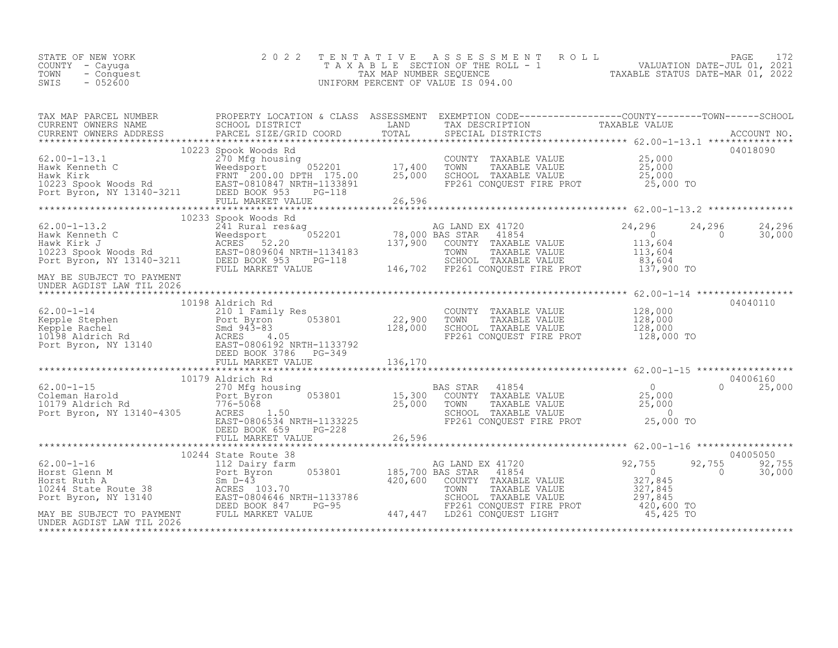| VALUATION DATE-JUL 01, 2021<br>TAXABLE SECTION OF THE ROLL - 1<br>COUNTY - Cayuqa<br>TAXABLE STATUS DATE-MAR 01, 2022<br>TOWN - Conquest<br>TAX MAP NUMBER SEOUENCE<br>- 052600<br>SWIS<br>UNIFORM PERCENT OF VALUE IS 094.00 | STATE OF NEW YORK |  | 2022 TENTATIVE ASSESSMENT ROLL |  |  |  |  | PAGE 172 |  |
|-------------------------------------------------------------------------------------------------------------------------------------------------------------------------------------------------------------------------------|-------------------|--|--------------------------------|--|--|--|--|----------|--|
|-------------------------------------------------------------------------------------------------------------------------------------------------------------------------------------------------------------------------------|-------------------|--|--------------------------------|--|--|--|--|----------|--|

| TAX MAP PARCEL NUMBER<br>TAX MAP PARCES NOWERS ADDRESS FROM DISTRICT COORD TOTAL TRIP TO THE CONFERNIT OWNERS NO CONCOLL DISTRICT TO THE TRIP TO THE CONFERNITION TAXABLE VALUE<br>CURRENT OWNERS ADDRESS BARCEL SIZE/GRID COORD IGNIL SPECIAL DISTRICTS A                                                                                                                                                                                                                                                    | PROPERTY LOCATION & CLASS ASSESSMENT EXEMPTION CODE----------------COUNTY-------TOWN------SCHOOL |  |        |                              |
|---------------------------------------------------------------------------------------------------------------------------------------------------------------------------------------------------------------------------------------------------------------------------------------------------------------------------------------------------------------------------------------------------------------------------------------------------------------------------------------------------------------|--------------------------------------------------------------------------------------------------|--|--------|------------------------------|
|                                                                                                                                                                                                                                                                                                                                                                                                                                                                                                               |                                                                                                  |  |        |                              |
|                                                                                                                                                                                                                                                                                                                                                                                                                                                                                                               |                                                                                                  |  |        |                              |
| $\begin{array}{lllllllllllllllllllll} & & & & 10223\text{ Spook Woods Rd && & & & & 04018090 \\ \text{Hawk Kenneth C && 270 Mfp how using & & & & & & & 052201 \\ \text{Hawk Kenneth C && 270 Mfp how MFRXABLE VALUE && 25,000 \\ \text{Hawk Kirk} && 200.00 DPTH 175.00 && 25,000 \\ \text{FRT} && 200.00 DPTH 175.00 && 25,000 \\ \text{DQ23 Spook Woods Rd && EAST-0810847 NRTH-1133891 && 25$                                                                                                             | 10223 Spook Woods Rd                                                                             |  |        | 04018090                     |
|                                                                                                                                                                                                                                                                                                                                                                                                                                                                                                               |                                                                                                  |  |        |                              |
|                                                                                                                                                                                                                                                                                                                                                                                                                                                                                                               |                                                                                                  |  |        |                              |
| 10233 Spook Woods Rd 24,296<br>Hawk Kenneth C<br>Hawk Kirk J<br>24,296<br>Hawk Kirk J<br>24,296<br>Hawk Kirk J<br>24,296<br>24,296<br>24,296<br>24,296<br>24,296<br>24,296<br>24,296<br>24,296<br>24,296<br>24,296<br>24,296<br>24,296<br>24,296<br>24,296<br>24,296<br>24                                                                                                                                                                                                                                    | 10233 Spook Woods Rd                                                                             |  | 24,296 | 24,296<br>30,000             |
| MAY BE SUBJECT TO PAYMENT<br>UNDER AGDIST LAW TIL 2026                                                                                                                                                                                                                                                                                                                                                                                                                                                        |                                                                                                  |  |        |                              |
|                                                                                                                                                                                                                                                                                                                                                                                                                                                                                                               |                                                                                                  |  |        |                              |
| $\begin{tabular}{lllllllllllllllllll} \multicolumn{3}{c}{\begin{tabular}{l} \multicolumn{3}{c}{\begin{tabular}{l} \multicolumn{3}{c}{\begin{tabular}{l} \multicolumn{3}{c}{\begin{tabular}{l} \multicolumn{3}{c}{\begin{tabular}{l} \multicolumn{3}{c}{\begin{tabular}{l} \multicolumn{3}{c}{\begin{tabular}{l} \multicolumn{3}{c}{\begin{tabular}{l} \multicolumn{3}{c}{\begin{tabular}{l} \multicolumn{3}{c}{\begin{tabular}{l} \multicolumn{3}{c}{\begin{tabular}{l} \multicolumn{3}{c}{\begin{tabular}{l$ |                                                                                                  |  |        |                              |
|                                                                                                                                                                                                                                                                                                                                                                                                                                                                                                               |                                                                                                  |  |        |                              |
|                                                                                                                                                                                                                                                                                                                                                                                                                                                                                                               |                                                                                                  |  |        |                              |
| 10179 Aldrich Rd<br>2700-1-15 270 Mfg housing<br>25,000 COUNTY TAXABLE VALUE<br>25,000 COUNTY TAXABLE VALUE<br>25,000 TOWN TAXABLE VALUE<br>Port Byron, NY 13140-4305 ACRES 1.50 25,000 SCHOOL TAXABLE VALUE<br>Port Byron, NY 13140-4305                                                                                                                                                                                                                                                                     | 10179 Aldrich Rd<br>$PG-228$<br>DEED BOOK 659                                                    |  |        | 04006160<br>$0 \t 25,000$    |
|                                                                                                                                                                                                                                                                                                                                                                                                                                                                                                               |                                                                                                  |  |        |                              |
|                                                                                                                                                                                                                                                                                                                                                                                                                                                                                                               | 10244 State Route 38                                                                             |  |        | 04005050<br>92,755<br>30,000 |
|                                                                                                                                                                                                                                                                                                                                                                                                                                                                                                               |                                                                                                  |  |        |                              |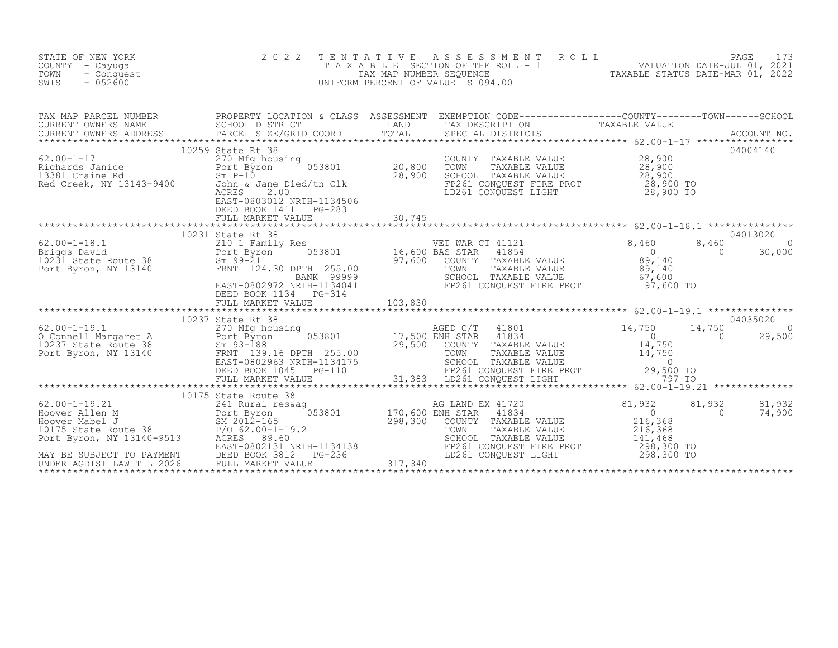| STATE OF NEW YORK<br>COUNTY - Cayuga<br>TOWN<br>- Conquest<br>SWIS<br>$-052600$                                                                                                                                                                                                                                                                                      | 2 0 2 2                                                                                                                                                                           |                              | TENTATIVE ASSESSMENT ROLL PAGE 173<br>TAXABLE SECTION OF THE ROLL - 1 VALUATION DATE-JUL 01, 2021<br>TAX MAP NUMBER SEQUENCE TAXABLE STATUS DATE-MAR 01, 2022<br>UNIFORM PERCENT OF VALUE IS 094.00 |                                                                                               |                                                                 |
|----------------------------------------------------------------------------------------------------------------------------------------------------------------------------------------------------------------------------------------------------------------------------------------------------------------------------------------------------------------------|-----------------------------------------------------------------------------------------------------------------------------------------------------------------------------------|------------------------------|-----------------------------------------------------------------------------------------------------------------------------------------------------------------------------------------------------|-----------------------------------------------------------------------------------------------|-----------------------------------------------------------------|
|                                                                                                                                                                                                                                                                                                                                                                      |                                                                                                                                                                                   |                              |                                                                                                                                                                                                     |                                                                                               |                                                                 |
| 62.00-1-17<br>Richards Janice<br>13381 Craine Rd<br>Red Creek, NY 13143-9400<br>Red Creek, NY 13143-9400<br>Sohn & Jane                                                                                                                                                                                                                                              | 10259 State Rt 38<br>$053801$ 20,800<br>270 Mfg housing<br>John & Jane Died/tn Clk<br>ACRES<br>2.00<br>EAST-0803012 NRTH-1134506<br>DEED BOOK 1411    PG-283<br>FULL MARKET VALUE | $\frac{28,900}{ }$<br>30,745 | COUNTY TAXABLE VALUE $28,900$<br>TOWN TAXABLE VALUE $28,900$<br>SCHOOL TAXABLE VALUE $28,900$<br>FP261 CONQUEST FIRE PROT $28,900$ TO<br>LD261 CONQUEST LIGHT $28,900$ TO                           |                                                                                               | 04004140                                                        |
| 62.00-1-18.1<br>Briggs David<br>10231 State Route 38<br>Port Byron, NY 13140<br>Port Byron, NY 13140<br>FRNT 124.30 DPTH 255.00<br>BANK 99999                                                                                                                                                                                                                        | 10231 State Rt 38<br>Sm 99-211<br>FRNT 124.30 DPTH 255.00<br>BANK 99999<br>EAST-0802972 NRTH-1134041<br>DEED BOOK 1134 PG-314                                                     |                              | VET WAR CT 41121<br>BAS STAR 41854 0<br>COUNTY TAXABLE VALUE 89,140<br>TOWN TAXABLE VALUE 89,140<br>SCHOOL TAXABLE VALUE 89,140<br>FP261 CONQUEST FIRE PROT 97,600 TO                               |                                                                                               | 04013020<br>8,460<br>$\overline{0}$<br>$\overline{0}$<br>30,000 |
| $\begin{tabular}{lllllllllll} 62.00-1-19.1 & 10237 \text{ State R} & 10237 \text{ State R} & 10237 \text{ State R} & 10237 \text{ State R} & 270 \text{ Mfg} & 17,500 \text{ ENR} \text{ STAR} & 41834 & 10237 \text{ State R} & 0 & 29,500 \text{ DNP} & 0 & 29,500 \text{ DNP} & 0 & 29,500 \text{ DNP} & 0 & 29,500 \text{ DNP} & 0 & 29,500 \text{ DNP} & 0 & 2$ |                                                                                                                                                                                   |                              |                                                                                                                                                                                                     |                                                                                               | 04035020                                                        |
|                                                                                                                                                                                                                                                                                                                                                                      |                                                                                                                                                                                   |                              | COUNTY TAXABLE VALUE<br>TAXABLE VALUE<br>SCHOOL TAXABLE VALUE<br>FP261 CONQUEST FIRE PROT<br>LD261 CONQUEST LIGHT                                                                                   | $\begin{array}{c} 0 \\ 216,368 \end{array}$<br>216,368<br>141,468<br>298,300 TO<br>298,300 TO | 81,932<br>81,932<br>$\overline{0}$<br>74,900                    |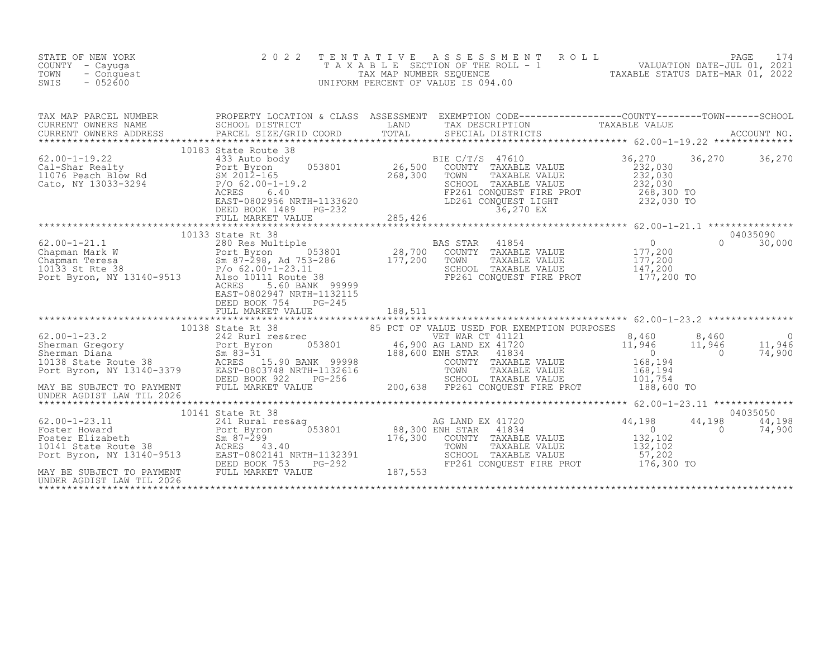| STATE OF NEW YORK<br>COUNTY - Cayuga<br>TOWN<br>- Conquest<br>SWIS<br>$-052600$ | 2 0 2 2                                                                     | TENTATIVE | T E N T A T I V E A S S E S S M E N T R O L L<br>T A X A B L E SECTION OF THE ROLL - 1<br>TAX MAP NUMBER SEQUENCE TAXABLE STATUS DATE-MAR 01, 2022<br>JNIFORM PERCENT OF VALUE IS 094.00<br>UNIFORM PERCENT OF VALUE IS 094.00                                                                       |                      |                    |                              |
|---------------------------------------------------------------------------------|-----------------------------------------------------------------------------|-----------|------------------------------------------------------------------------------------------------------------------------------------------------------------------------------------------------------------------------------------------------------------------------------------------------------|----------------------|--------------------|------------------------------|
|                                                                                 |                                                                             |           |                                                                                                                                                                                                                                                                                                      |                      |                    |                              |
|                                                                                 | 10183 State Route 38                                                        |           |                                                                                                                                                                                                                                                                                                      | 36,270 36,270 36,270 |                    |                              |
|                                                                                 | EAST-0802947 NRTH-1132115<br>DEED BOOK 754<br>$PG-245$<br>FULL MARKET VALUE | 188,511   | FP261 CONQUEST FIRE PROT 177,200 TO                                                                                                                                                                                                                                                                  |                      | $\Omega$           | 04035090<br>30,000           |
|                                                                                 |                                                                             |           | ******************************** 62.00-1-23.2 ***************<br>VET WAR CT 41121 (3,460 8,460 0<br>NG LAND EX 41720 11,946 11,946 11,946 11,946<br>ENH STAR 41834 0 74,900<br>COUNTY TAXABLE VALUE 168,194<br>TOWN TAXABLE VALUE 168,194<br>SCHOOL TAXABLE VALUE 168,194<br>101,754 101,754 101,000 | 188,600 TO           |                    |                              |
|                                                                                 | 10141 State Rt 38                                                           |           | AG LAND EX 41720<br>ENH STAR 41834 0<br>COUNTY TAXABLE VALUE 132,102<br>mount TAXABLE VALUE 132,102<br>TOWN        TAXABLE  VALUE<br>SCHOOL    TAXABLE  VALUE<br>FP261 CONQUEST FIRE PROT 176,300 TO                                                                                                 | 57,202               | 44,198<br>$\sim$ 0 | 04035050<br>44,198<br>74,900 |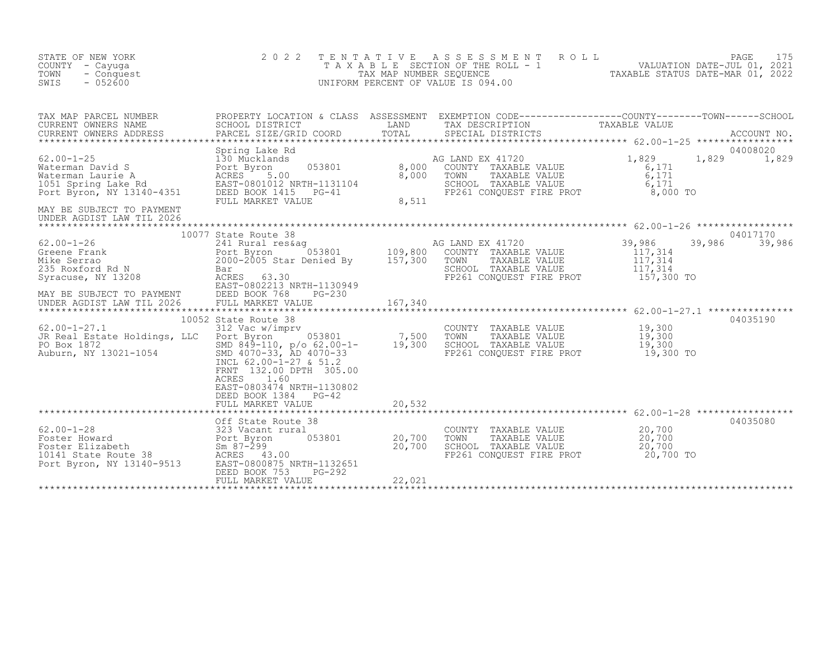| STATE OF NEW YORK<br>COUNTY - Cayuga<br>TOWN<br>- Conquest<br>SWIS<br>$-052600$                                                                                                                                                                                                   | 2 0 2 2                                                                                                                                                                 |                           | TENTATIVE ASSESSMENT<br>UNIFORM PERCENT OF VALUE IS 094.00                                                                                                                                                                                                                                                                                                                                                                                                                                       | TAXABLE SECTION OF THE ROLL - 1<br>TAX MAP NUMBER SEQUENCE THE ROLL - 1<br>INIFORM PERCENT OF VALUE IS 094.00 |
|-----------------------------------------------------------------------------------------------------------------------------------------------------------------------------------------------------------------------------------------------------------------------------------|-------------------------------------------------------------------------------------------------------------------------------------------------------------------------|---------------------------|--------------------------------------------------------------------------------------------------------------------------------------------------------------------------------------------------------------------------------------------------------------------------------------------------------------------------------------------------------------------------------------------------------------------------------------------------------------------------------------------------|---------------------------------------------------------------------------------------------------------------|
| TAX MAP PARCEL NUMBER<br>CURRENT OWNERS NAME<br>CURRENT OWNERS ADDRESS                                                                                                                                                                                                            | SCHOOL DISTRICT                                                                                                                                                         |                           | TAX DESCRIPTION                                                                                                                                                                                                                                                                                                                                                                                                                                                                                  |                                                                                                               |
| 62.00-1-25<br>Waterman David S<br>Waterman Laurie A<br>1051 Spring Lake Rd<br>Port Byron, NY 13140-4351<br>Port Byron, NY 13140-4351<br>Port Byron, NY 13140-4351<br>PELED BOOK 1415<br>PELED BOOK 1415<br>PELED BOOK 1415<br>PELED BOOK 1415<br>PEL<br>MAY BE SUBJECT TO PAYMENT | Spring Lake Rd<br>FULL MARKET VALUE                                                                                                                                     |                           | $\begin{tabular}{lllllllll} \texttt{1} & \texttt{AG} & \texttt{LAND} & \texttt{EX} & 41720 \\ & & & & & & \\ \texttt{053801} & & & & & & \\ & & & & & & \\ \texttt{NRFH-1131104} & & & & & \\ & & & & & & \\ \texttt{NRFH-1131104} & & & & & \\ & & & & & & \\ \texttt{PG-41} & & & & & & \\ & & & & & & & \\ \texttt{PG-41} & & & & & & \\ \end{tabular} \vspace{5mm} \begin{tabular}{lllllllllllll} \texttt{AND} & \texttt{EX}$<br>AG LAND EX 41720 1,829<br>FP261 CONQUEST FIRE PROT 6,000 TO | 04008020<br>1,829<br>1,829<br>6,171<br>$6,171$<br>$6,171$                                                     |
| UNDER AGDIST LAW TIL 2026                                                                                                                                                                                                                                                         |                                                                                                                                                                         |                           |                                                                                                                                                                                                                                                                                                                                                                                                                                                                                                  |                                                                                                               |
| MAY BE SUBJECT TO PAYMENT<br>UNDER AGDIST LAW TIL 2026                                                                                                                                                                                                                            | DEED BOOK 768<br>PG-230<br>FULL MARKET VALUE                                                                                                                            | 167,340                   | FP261 CONQUEST FIRE PROT 157,300 TO                                                                                                                                                                                                                                                                                                                                                                                                                                                              | 04017170<br>39,986<br>39,986<br>$\begin{array}{c} 117,314 \\ 117,314 \\ 117,314 \end{array}$                  |
|                                                                                                                                                                                                                                                                                   |                                                                                                                                                                         |                           |                                                                                                                                                                                                                                                                                                                                                                                                                                                                                                  |                                                                                                               |
| $62.00 - 1 - 27.1$                                                                                                                                                                                                                                                                | 10052 State Route 38<br>312 Vac w/imprv<br>INCL 62.00-1-27 & 51.2<br>FRNT 132.00 DPTH 305.00<br>1.60<br>ACRES<br>EAST-0803474 NRTH-1130802<br>DEED BOOK 1384<br>$PG-42$ |                           | COUNTY TAXABLE VALUE 19,300<br>TOWN TAXABLE VALUE 19,300<br>SCHOOL TAXABLE VALUE 19,300<br>FP261 CONQUEST FIRE PROT 19,300 TO                                                                                                                                                                                                                                                                                                                                                                    | 04035190                                                                                                      |
|                                                                                                                                                                                                                                                                                   | FULL MARKET VALUE                                                                                                                                                       | 20,532                    |                                                                                                                                                                                                                                                                                                                                                                                                                                                                                                  |                                                                                                               |
|                                                                                                                                                                                                                                                                                   |                                                                                                                                                                         |                           |                                                                                                                                                                                                                                                                                                                                                                                                                                                                                                  | 04035080                                                                                                      |
| 62.00-1-28<br>Foster Howard<br>Foster Elizabeth<br>10141 State Route 38<br>Port Byron, NY 13140-9513<br>Port Byron, NY 13140-9513<br>EAST-0800875 NRTH-1132651<br>PORES<br>PORT BOOK 753<br>PG-292                                                                                | PG-292<br>DEED BOOK 753                                                                                                                                                 | $053801$ 20,700<br>20,700 | COUNTY TAXABLE VALUE 20,700<br>TOWN<br>TAXABLE VALUE<br>SCHOOL TAXABLE VALUE $20,700$<br>FP261 CONQUEST FIRE PROT $20,700$ TO                                                                                                                                                                                                                                                                                                                                                                    | $\frac{20}{700}$                                                                                              |
|                                                                                                                                                                                                                                                                                   | FULL MARKET VALUE                                                                                                                                                       | 22,021                    |                                                                                                                                                                                                                                                                                                                                                                                                                                                                                                  |                                                                                                               |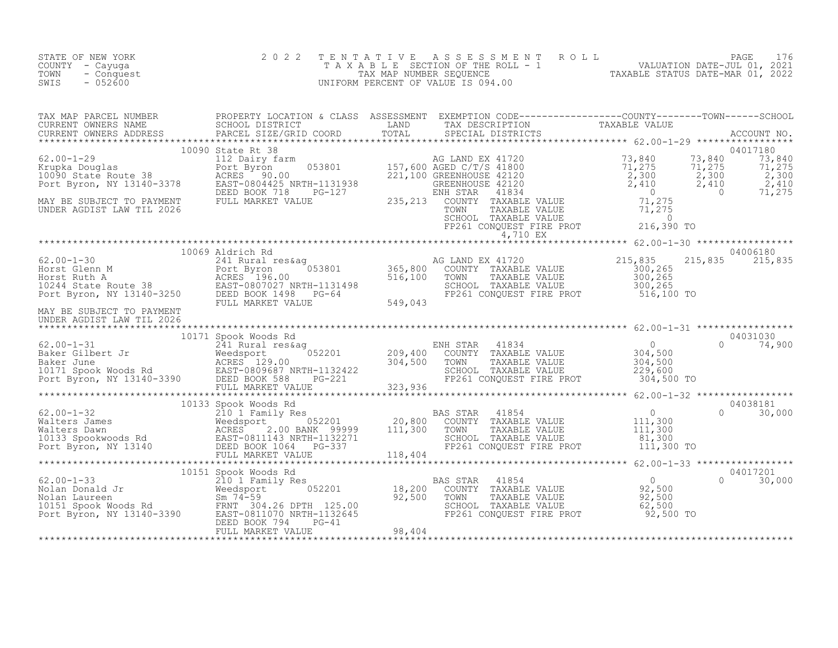| STATE OF NEW YORK<br>COUNTY - Cayuga<br>- Conquest<br>TOWN<br>$-052600$<br>SWIS                                                                                                                                                                                                                                                                                                                                                          | 2 0 2 2 | TENTATIVE ASSESSMENT ROLL PACE 176<br>TAXABLE SECTION OF THE ROLL - 1 VALUATION DATE-JUL 01, 2021<br>TAX MAP NUMBER SEQUENCE TAXABLE STATUS DATE-MAR 01, 2022<br>UNIFORM PERCENT OF VALUE IS 094.00 |  |
|------------------------------------------------------------------------------------------------------------------------------------------------------------------------------------------------------------------------------------------------------------------------------------------------------------------------------------------------------------------------------------------------------------------------------------------|---------|-----------------------------------------------------------------------------------------------------------------------------------------------------------------------------------------------------|--|
| $\begin{tabular}{l c c c c c} \hline \texttt{TAN} \texttt{MP} \texttt{PARCH} \texttt{UURER} & \texttt{PROPERTY LOCATION 4 CLASS ASSESSMENT} & \texttt{EXEMENT CONRES} & \texttt{EXEMENT ONINET} & \texttt{TANABLE VALUE} & \texttt{TANABLE VALUE} & \texttt{TANABLE VALUE} & \texttt{TANABLE VALUE} & \texttt{TANABLE VALUE} & \texttt{TANABLE VALUE} & \texttt{TANABLE VALUE} & \texttt{C2.00-1-29} & \texttt{10000.000000000000000000$ |         |                                                                                                                                                                                                     |  |
| 10069 Aldrich Rd<br>62.00-1-30 10069 Aldrich Rd<br>241 Rural res&ag and the company and the company of the company of the company of the company of the company of the company of the company of the company of the company of the<br>UNDER AGDIST LAW TIL 2026                                                                                                                                                                          |         |                                                                                                                                                                                                     |  |
|                                                                                                                                                                                                                                                                                                                                                                                                                                          |         |                                                                                                                                                                                                     |  |
|                                                                                                                                                                                                                                                                                                                                                                                                                                          |         |                                                                                                                                                                                                     |  |
| $\begin{tabular}{lcccc} \texttt{****}{\textbf{10151}} & \texttt{52.00--1-33} & \texttt{****}{\textbf{10151}} & \texttt{52.00} & \texttt{52.00} & \texttt{62.00--1-33} & \texttt{****}{\textbf{10151}} & \texttt{52.00} & \texttt{62.00--1-33} & \texttt{****}{\textbf{10151}} & \texttt{62.00--1-33} & \texttt{****}{\textbf{10151}} & \texttt{62.00--1-33} & \texttt{****}{\textbf{101$                                                 |         |                                                                                                                                                                                                     |  |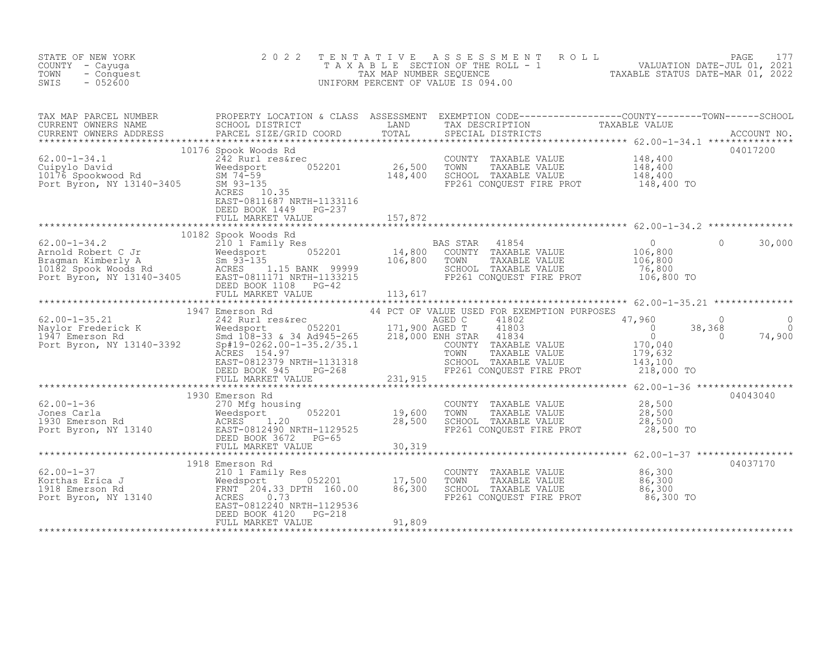| STATE OF NEW YORK<br>COUNTY - Cayuga<br>- Conquest<br>TOWN<br>$-052600$<br>SWIS                                                                                                                                                                                                  | 2022                                               |  | TENTATIVE ASSESSMENT ROLL PAGE 177<br>TAXABLE SECTION OF THE ROLL - 1 VALUATION DATE-JUL 01, 2021<br>TAX MAP NUMBER SEQUENCE TAXABLE STATUS DATE-MAR 01, 2022<br>UNIFORM PERCENT OF VALUE IS 094.00 |          |
|----------------------------------------------------------------------------------------------------------------------------------------------------------------------------------------------------------------------------------------------------------------------------------|----------------------------------------------------|--|-----------------------------------------------------------------------------------------------------------------------------------------------------------------------------------------------------|----------|
| TAX MAP PARCEL NUMBER PROPERTY LOCATION & CLASS ASSESSMENT EXEMPTION CODE-----------------COUNTY--------TOWN------SCHOOL CURRENT OWNERS NAME SCHOOL DISTRICT LAND TAX DESCRIPTION TAXABLE VALUE<br>CURRENT OWNERS ADDRESS PARCEL                                                 |                                                    |  |                                                                                                                                                                                                     |          |
| 19176 Spook Wood Rd (10176 Spook Wood Rd (10176 Spook Wood Rd (10176 Spook Wood Rd (10176 Spook Wood Rd (10176 Spook Wood Rd (10176 Spook Wood Rd (10176 Spook Wood Rd SM 74-59 (102) 26,500 TOWN TAXABLE VALUE 148,400 (148,4                                                   | EAST-0811687 NRTH-1133116<br>DEED BOOK 1449 PG-237 |  |                                                                                                                                                                                                     | 04017200 |
|                                                                                                                                                                                                                                                                                  |                                                    |  |                                                                                                                                                                                                     |          |
|                                                                                                                                                                                                                                                                                  |                                                    |  |                                                                                                                                                                                                     |          |
|                                                                                                                                                                                                                                                                                  |                                                    |  |                                                                                                                                                                                                     |          |
|                                                                                                                                                                                                                                                                                  |                                                    |  |                                                                                                                                                                                                     |          |
|                                                                                                                                                                                                                                                                                  |                                                    |  |                                                                                                                                                                                                     |          |
|                                                                                                                                                                                                                                                                                  |                                                    |  |                                                                                                                                                                                                     |          |
| 1930 Emerson Rd<br>270 Mfg housing<br>28,500<br>28,500<br>28,500<br>28,500<br>28,500<br>28,500<br>28,500<br>28,500<br>28,500<br>28,500<br>28,500<br>28,500<br>28,500<br>28,500<br>28,500<br>28,500<br>28,500<br>28,500<br>28,500<br>28,500<br>28,500<br>28,500<br>28,500<br>28,5 |                                                    |  |                                                                                                                                                                                                     | 04043040 |
|                                                                                                                                                                                                                                                                                  |                                                    |  |                                                                                                                                                                                                     |          |
|                                                                                                                                                                                                                                                                                  |                                                    |  |                                                                                                                                                                                                     | 04037170 |
|                                                                                                                                                                                                                                                                                  |                                                    |  |                                                                                                                                                                                                     |          |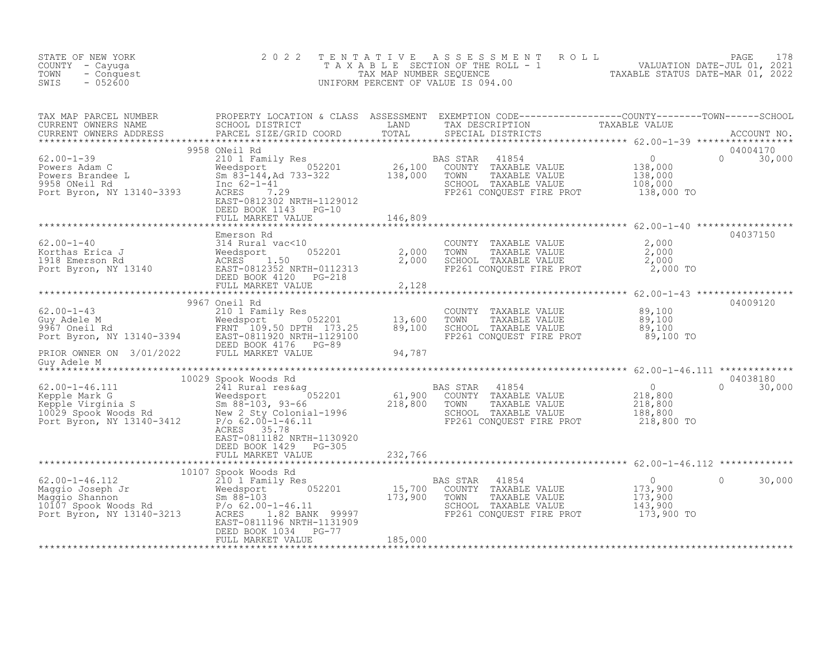| STATE OF NEW YORK<br>COUNTY - Cayuga<br>- Conquest<br>TOWN<br>$-052600$<br>SWIS                                                                                                                                                                                              | 2 0 2 2                                           | TENTATIVE        | TAXABLE TAXABLE TAXABLE TAXABLE SECTION OF THE ROLL - 1<br>TAX MAP NUMBER SEQUENCE TAXABLE STATUS DATE-MAR 01, 2021<br>INIFORM PERCENT OF VALUE IS 094.00<br>UNIFORM PERCENT OF VALUE IS 094.00 |                                                                                                |                                |
|------------------------------------------------------------------------------------------------------------------------------------------------------------------------------------------------------------------------------------------------------------------------------|---------------------------------------------------|------------------|-------------------------------------------------------------------------------------------------------------------------------------------------------------------------------------------------|------------------------------------------------------------------------------------------------|--------------------------------|
| TAX MAP PARCEL NUMBER PROPERTY LOCATION & CLASS ASSESSMENT EXEMPTION CODE----------------COUNTY--------TOWN------SCHOOL CURRENT OWNERS NAME SCHOOL DISTRICT LAND TAX DESCRIPTION TAXABLE VALUE<br>CURRENT OWNERS ADDRESS PARCEL S                                            |                                                   |                  |                                                                                                                                                                                                 |                                                                                                |                                |
| 62.00-1-39<br>Powers Adam C<br>Powers Brandee L<br>Powers Brandee L<br>Powers Brandee L<br>Port Byron, NY 13140-3393<br>Port Byron, NY 13140-3393<br>Port Byron, NY 13140-3393<br>Port Byron, NY 13140-3393<br>Port Byron, NY 13140-3393<br>BAST-0                           | 9958 ONeil Rd<br>DEED BOOK 1143 PG-10             |                  | 41854<br>BAS STAR<br>COUNTY TAXABLE VALUE<br>TOWN TAXABLE VALUE<br>SCHOOL TAXABLE VALUE<br>FP261 CONQUEST FIRE PROT 138,000 TO                                                                  | $\begin{matrix}&&0\\138,000\\138,000\\108&000\end{matrix}$                                     | 04004170<br>$\Omega$<br>30,000 |
|                                                                                                                                                                                                                                                                              |                                                   |                  |                                                                                                                                                                                                 |                                                                                                |                                |
| 62.00-1-40<br>Korthas Erica J<br>1918 Emerson Rd<br>2,000<br>1918 Emerson Rd<br>2,000<br>Port Byron, NY 13140<br>ERST-0812352 NRTH-0112313<br>EED BOOK 4120<br>PG-218<br>FULL MARKET VALUE<br>FULL MARKET VALUE<br>FULL MARKET VALUE<br>FULL MARKET VAL                      | Emerson Rd                                        |                  | COUNTY TAXABLE VALUE<br>TOWN TAXABLE VALUE $2,000$<br>SCHOOL TAXABLE VALUE $2,000$<br>FP261 CONQUEST FIRE PROT $2,000$ TO                                                                       | 2,000                                                                                          | 04037150                       |
|                                                                                                                                                                                                                                                                              |                                                   |                  |                                                                                                                                                                                                 | *********************** 62.00-1-43 ******************                                          |                                |
| $62.00 - 1 - 43$<br>62.00-1-43<br>Guy Adele M<br>9967 Oneil Rd<br>9967 Oneil Rd<br>PeRIOR OWNER ON 3/01/2022<br>PERIOR OWNER ON 3/01/2022<br>PEED BOOK 4176<br>PEED BOOK 4176<br>PEED BOOK 4176<br>PEED BOOK 4176<br>PEED BOOK 4176<br>PEED BOOK 4176<br>PEED BOOK 4176<br>P | 9967 Oneil Rd<br>210 1 Family Res<br>052201       | 13,600<br>89,100 | TOWN - AGAPLE VALUE (89,100)<br>TAXABLE VALUE (89,100)<br>SCHOOL TAXABLE VALUE (89,100)<br>FP261 CONQUEST FIRE PROT (89,100)                                                                    | 89,100 TO                                                                                      | 04009120                       |
| Guy Adele M                                                                                                                                                                                                                                                                  |                                                   | 94,787           |                                                                                                                                                                                                 |                                                                                                |                                |
|                                                                                                                                                                                                                                                                              | 10029 Spook Woods Rd                              |                  |                                                                                                                                                                                                 |                                                                                                | 04038180                       |
| 10029 Spook Woods Rd 2.00-1-46.111<br>Kepple Mark G<br>Kepple Virginia S<br>10029 Spook Woods Rd 2029 Spook Woods Rd 2029 Spook Woods Rd 2029 Spook Woods Rd 2029 Spook Woods Rd 2029 Spook Woods Rd 2029 Spook Woods Rd 2029 Spook                                          | ACRES 35.78<br>EAST-0811182 NRTH-1130920          |                  | 41854<br>TAXABLE VALUE<br>TAXABLE VALUE<br>SCHOOL TAXABLE VALUE<br>FP261 CONQUEST FIRE PROT 218,800 TO                                                                                          | $\begin{array}{c}0\\218,800\\218,800\\188\end{array}$                                          | $\Omega$<br>30,000             |
|                                                                                                                                                                                                                                                                              | DEED BOOK 1429 PG-305<br>FULL MARKET VALUE        | 232,766          |                                                                                                                                                                                                 |                                                                                                |                                |
| 10107 Spook Woods Rd                                                                                                                                                                                                                                                         |                                                   |                  |                                                                                                                                                                                                 |                                                                                                |                                |
| 62.00-1-46.112 10107 Spook Woods Rd<br>Maggio Joseph Jr (2010) I Family Res (2010) 15,700<br>Maggio Shannon Sm 88-103 10107 Spook Woods Rd<br>Po 62.00-1-46.11 Port Byron, NY 13140-3213 RCRES 1136 NBTH-11313997<br>RCRES 1136 NBTH-1                                       | EAST-0811196 NRTH-1131909<br>DEED BOOK 1034 PG-77 |                  | BAS STAR<br>41854<br>COUNTY TAXABLE VALUE<br>TOWN<br>TAXABLE VALUE<br>SCHOOL TAXABLE VALUE<br>FP261 CONQUEST FIRE PROT 173,900 TO                                                               | $\overline{0}$<br>$\begin{array}{c} 0 \\ 173,900 \\ 173,900 \\ 143,900 \end{array}$<br>143,900 | $\Omega$<br>30,000             |
|                                                                                                                                                                                                                                                                              | FULL MARKET VALUE                                 | 185,000          |                                                                                                                                                                                                 |                                                                                                |                                |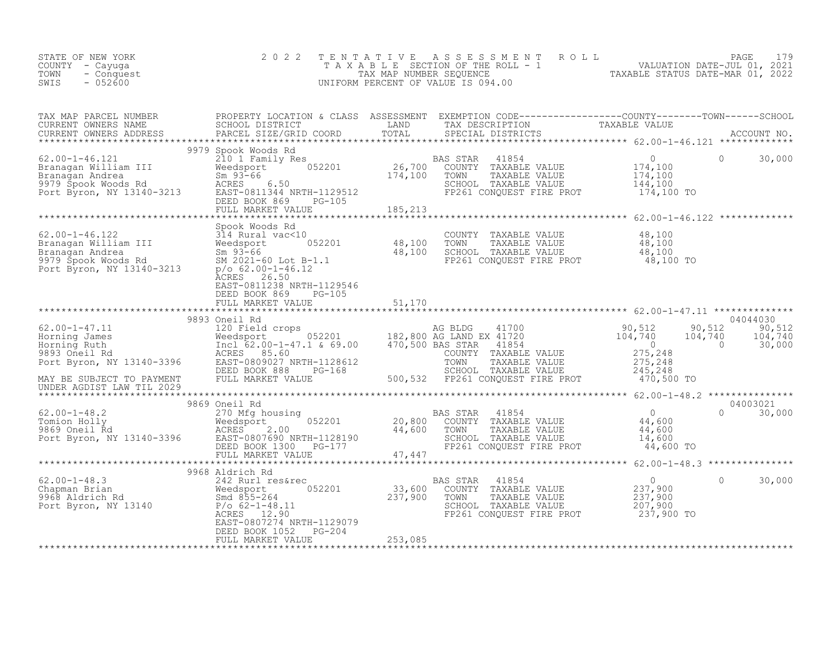| STATE OF NEW YORK<br>COUNTY - Cayuga<br>TOWN<br>- Conquest<br>$-052600$<br>SWIS                                                                                                                                                                  | 2 0 2 2                                                                |         | TENTATIVE ASSESSMENT ROLL PAGE 179<br>TAXABLE SECTION OF THE ROLL - 1 VALUATION DATE-JUL 01, 2021<br>TAX MAP NUMBER SEQUENCE TAXABLE STATUS DATE-MAR 01, 2022<br>UNIFORM PERCENT OF VALUE IS 094.00 |                                                                                          |        |
|--------------------------------------------------------------------------------------------------------------------------------------------------------------------------------------------------------------------------------------------------|------------------------------------------------------------------------|---------|-----------------------------------------------------------------------------------------------------------------------------------------------------------------------------------------------------|------------------------------------------------------------------------------------------|--------|
| TAX MAP PARCEL NUMBER PROPERTY LOCATION & CLASS ASSESSMENT EXEMPTION CODE-----------------COUNTY--------TOWN-----SCHOOL CURRENT OWNERS NAME SCHOOL DISTRICT LAND TAX DESCRIPTION TAXABLE VALUE<br>CURRENT OWNERS ADDRESS PARCEL S                |                                                                        |         |                                                                                                                                                                                                     |                                                                                          |        |
| 3979 Spook Woods Rd<br>82.00-1-46.121 210 1 Family Res<br>Branagan William III Weedsport 052201 26,700 COUNTY TAXABLE VALUE 174,100 0<br>8979 Spook Woods Rd<br>8979 Spook Woods Rd<br>8979 Spook Woods Rd<br>82.00-1-46.121 20512 26,700        |                                                                        |         |                                                                                                                                                                                                     |                                                                                          | 30,000 |
|                                                                                                                                                                                                                                                  | EAST-0811238 NRTH-1129546<br>DEED BOOK 869 PG-105<br>FULL MARKET VALUE | 51,170  |                                                                                                                                                                                                     |                                                                                          |        |
|                                                                                                                                                                                                                                                  |                                                                        |         |                                                                                                                                                                                                     |                                                                                          |        |
|                                                                                                                                                                                                                                                  |                                                                        |         |                                                                                                                                                                                                     |                                                                                          |        |
|                                                                                                                                                                                                                                                  |                                                                        |         |                                                                                                                                                                                                     | 04003021                                                                                 |        |
| 3869 One11 Rd<br>270 Mfg housing<br>Tomion Holly<br>270 Mfg housing<br>20,800 COUNTY TAXABLE VALUE<br>20,800 COUNTY TAXABLE VALUE<br>20,800 COUNTY TAXABLE VALUE<br>20,800 COUNTY TAXABLE VALUE<br>20,800 COUNTY TAXABLE VALUE<br>20,800 TOWN TA |                                                                        |         |                                                                                                                                                                                                     | $\Omega$                                                                                 | 30,000 |
|                                                                                                                                                                                                                                                  |                                                                        |         |                                                                                                                                                                                                     |                                                                                          |        |
|                                                                                                                                                                                                                                                  | DEED BOOK 1052 PG-204                                                  |         | 41854<br>BAS STAR<br>COUNTY TAXABLE VALUE<br>TOWN<br>TAXABLE VALUE<br>SCHOOL TAXABLE VALUE<br>FP261 CONQUEST FIRE PROT 237,900 TO                                                                   | $\overline{0}$<br>$\begin{array}{c} 0 \\ 237,900 \\ 237,900 \\ 207,900 \end{array}$<br>0 | 30,000 |
|                                                                                                                                                                                                                                                  | FULL MARKET VALUE                                                      | 253,085 |                                                                                                                                                                                                     |                                                                                          |        |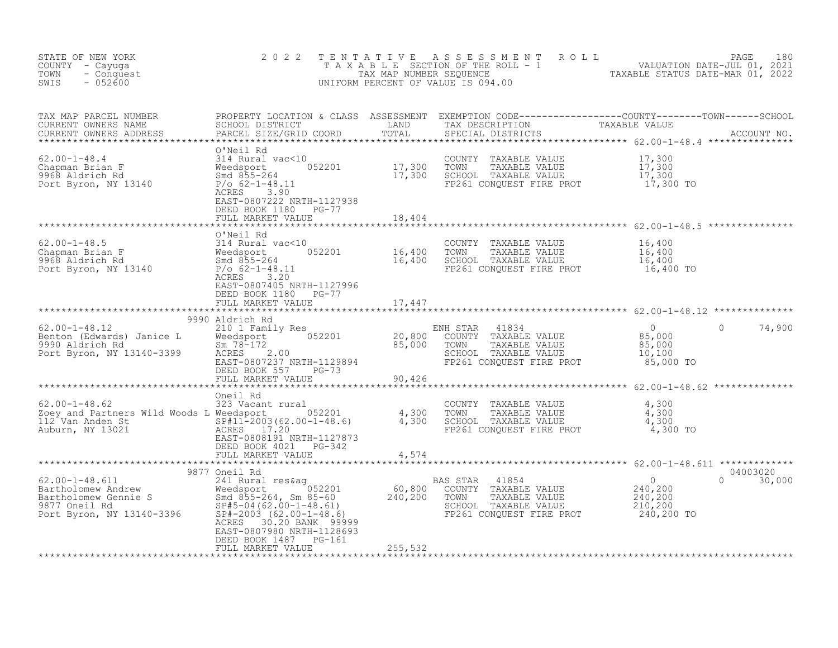| STATE OF NEW YORK<br>COUNTY - Cayuga<br>TOWN<br>- Conquest<br>SWIS<br>$-052600$ | 2 0 2 2                                                                                           |         | TENTATIVE ASSESSMENT ROLL PACE 180<br>TAXABLE SECTION OF THE ROLL - 1 VALUATION DATE-JUL 01, 2021<br>TAX MAP NUMBER SEQUENCE TAXABLE STATUS DATE-MAR 01, 2022<br>UNIFORM PERCENT OF VALUE IS 094.00                               |
|---------------------------------------------------------------------------------|---------------------------------------------------------------------------------------------------|---------|-----------------------------------------------------------------------------------------------------------------------------------------------------------------------------------------------------------------------------------|
|                                                                                 |                                                                                                   |         | TAX MAP PARCEL NUMBER PROPERTY LOCATION & CLASS ASSESSMENT EXEMPTION CODE----------------COUNTY--------TOWN------SCHOOL CURRENT OWNERS NAME SCHOOL DISTRICT LAND TAX DESCRIPTION TAXABLE VALUE<br>CURRENT OWNERS ADDRESS PARCEL S |
|                                                                                 | DEED BOOK 1180 PG-77                                                                              |         |                                                                                                                                                                                                                                   |
|                                                                                 |                                                                                                   |         |                                                                                                                                                                                                                                   |
|                                                                                 | O'Neil Rd<br>EAST-0807405 NRTH-1127996<br>DEED BOOK 1180 PG-77                                    |         |                                                                                                                                                                                                                                   |
|                                                                                 | FULL MARKET VALUE                                                                                 | 17,447  |                                                                                                                                                                                                                                   |
|                                                                                 | *************************                                                                         |         |                                                                                                                                                                                                                                   |
|                                                                                 | 9990 Aldrich Rd<br>FULL MARKET VALUE 90,426                                                       |         | $0 \t 74,900$<br>85,000 TO                                                                                                                                                                                                        |
|                                                                                 |                                                                                                   |         |                                                                                                                                                                                                                                   |
|                                                                                 | DEED BOOK 4021 PG-342                                                                             |         |                                                                                                                                                                                                                                   |
|                                                                                 |                                                                                                   |         |                                                                                                                                                                                                                                   |
|                                                                                 | ACRES 30.20 BANK 99999<br>EAST-0807980 NRTH-1128693<br>DEED BOOK 1487 PG-161<br>FULL MARKET VALUE | 255,532 |                                                                                                                                                                                                                                   |
|                                                                                 |                                                                                                   |         |                                                                                                                                                                                                                                   |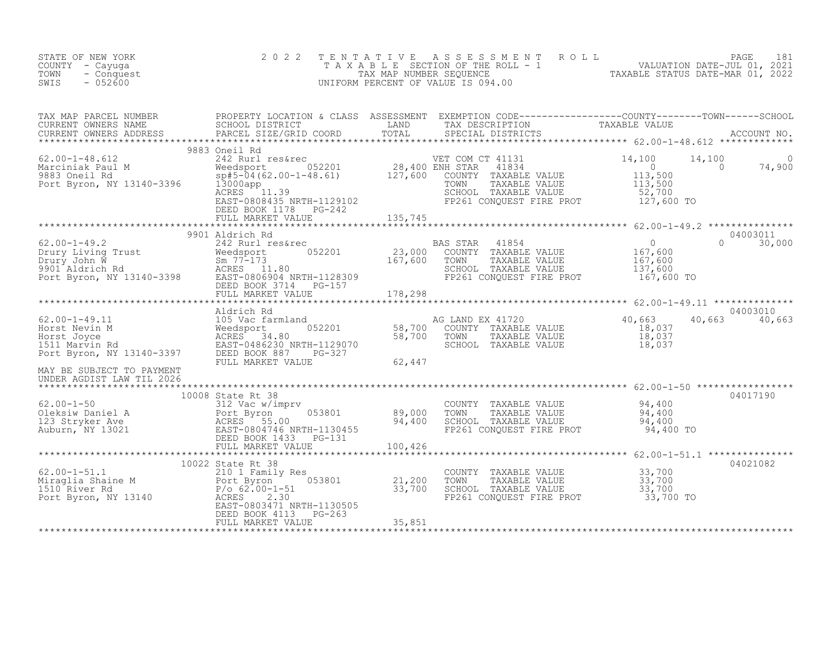| STATE OF NEW YORK<br>COUNTY - Cayuga<br>- Conquest<br>TOWN<br>$-052600$<br>SWIS                                                                                                                                                                                                                        | 2 0 2 2                                            | TENTATIVE ASSESSMENT ROLL PAGE 181<br>TAXABLE SECTION OF THE ROLL - 1 VALUATION DATE-JUL 01, 2021<br>TAX MAP NUMBER SEQUENCE TAXABLE STATUS DATE-MAR 01, 2022<br>UNIFORM PERCENT OF VALUE IS 094.00 |                                                    |                           |
|--------------------------------------------------------------------------------------------------------------------------------------------------------------------------------------------------------------------------------------------------------------------------------------------------------|----------------------------------------------------|-----------------------------------------------------------------------------------------------------------------------------------------------------------------------------------------------------|----------------------------------------------------|---------------------------|
|                                                                                                                                                                                                                                                                                                        |                                                    |                                                                                                                                                                                                     |                                                    |                           |
|                                                                                                                                                                                                                                                                                                        | DEED BOOK II/0 PG-242<br>FULL MARKET VALUE 135,745 |                                                                                                                                                                                                     |                                                    |                           |
|                                                                                                                                                                                                                                                                                                        |                                                    |                                                                                                                                                                                                     |                                                    |                           |
| 40,663<br>Horst Nevin M and the Magnetics (1890)<br>Morst Joyce (18,037<br>Horst Joyce (18,037<br>Horst Joyce (18,037<br>EAST-0486230 NRTH-1129070 58,700 COUNTY TAXABLE VALUE 18,037<br>Port Byron, NY 13140-3397 DEED BOOK 887 PG-327<br>M<br>MAY BE SUBJECT TO PAYMENT<br>UNDER AGDIST LAW TIL 2026 | Aldrich Rd                                         |                                                                                                                                                                                                     |                                                    | 04003010<br>40,663 40,663 |
| 10008 State Rt 38<br>62.00-1-50 10008 State Rt 38<br>62.00-1-50 312 Vac w/imprv COUNTY TAXABLE VALUE 94,400<br>Oleksiw Daniel A Port Byron 053801 89,000 TOWN TAXABLE VALUE 94,400<br>123 Stryker Ave ACRES 55.00 94,400 SCHOOL TAXABL                                                                 |                                                    |                                                                                                                                                                                                     | *********************** 62.00-1-51.1 ************* | 04017190                  |
| 62.00-1-51.1<br>Miraglia Shaine M<br>10022 State Rt 38<br>210 1 Family Res<br>Port Byron, NY 13140<br>Port Byron, NY 13140<br>EAST-0803471 NRTH-1130505<br>DEED BOOK 4113<br>PG-263<br>TELL MARKET VALUE<br>PEED BOOK 4113<br>PG-263<br>TELL MARKET V                                                  | 10022 State Rt 38                                  | COUNTY TAXABLE VALUE $33,700$<br>TOWN TAXABLE VALUE $33,700$<br>SCHOOL TAXABLE VALUE $33,700$<br>FP261 CONQUEST FIRE PROT $33,700$ TO                                                               |                                                    | 04021082                  |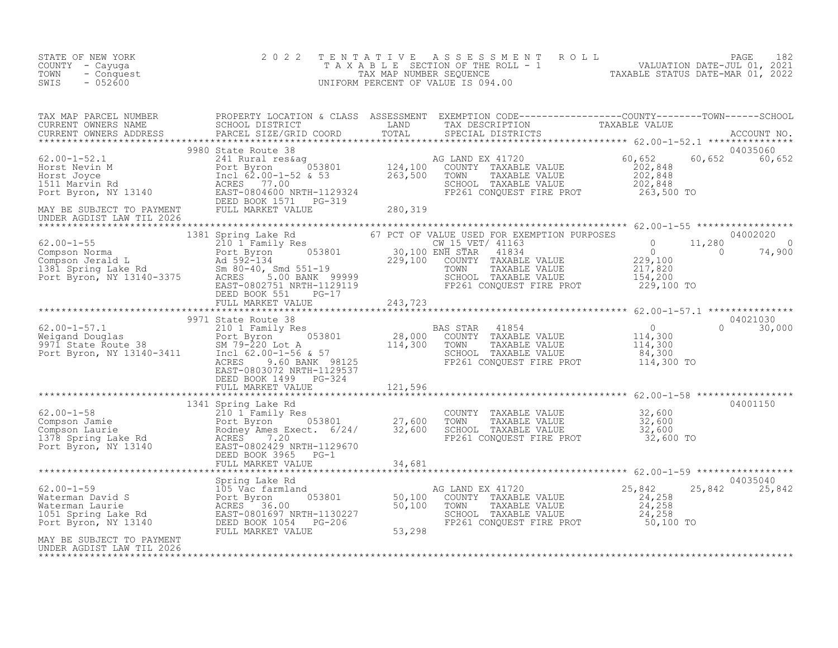| STATE OF NEW YORK<br>COUNTY - Cayuga<br>TOWN<br>- Conquest<br>$-052600$<br>SWIS | 2022 |  | TENTATIVE ASSESSMENT ROLL PALUATION DATE-JUL 01, 2021<br>TAXABLE SECTION OF THE ROLL - 1 VALUATION DATE-JUL 01, 2021<br>UNIFORM PERCENT OF VALUE IS 094.00<br>UNIFORM PERCENT OF VALUE IS 094.00                                                                                      |
|---------------------------------------------------------------------------------|------|--|---------------------------------------------------------------------------------------------------------------------------------------------------------------------------------------------------------------------------------------------------------------------------------------|
|                                                                                 |      |  |                                                                                                                                                                                                                                                                                       |
|                                                                                 |      |  |                                                                                                                                                                                                                                                                                       |
|                                                                                 |      |  | $\begin{tabular}{l cccccccc} \textbf{3.81} & 1381 & 1381 & 1381 & 1381 & 1381 & 1381 & 1381 & 1381 & 1381 & 1381 & 1381 & 1381 & 1381 & 1381 & 1381 & 1381 & 1381 & 1381 & 1381 & 1381 & 1381 & 1381 & 1381 & 1381 & 1381 & 1381 & 1381 & 1381 & 1381 & 1381 & 1381 & 1381 & 1381 & $ |
|                                                                                 |      |  |                                                                                                                                                                                                                                                                                       |
|                                                                                 |      |  |                                                                                                                                                                                                                                                                                       |
|                                                                                 |      |  |                                                                                                                                                                                                                                                                                       |
|                                                                                 |      |  |                                                                                                                                                                                                                                                                                       |
|                                                                                 |      |  |                                                                                                                                                                                                                                                                                       |
|                                                                                 |      |  | 04035040<br>25,842 25,842                                                                                                                                                                                                                                                             |
| MAY BE SUBJECT TO PAYMENT<br>UNDER AGDIST LAW TIL 2026                          |      |  |                                                                                                                                                                                                                                                                                       |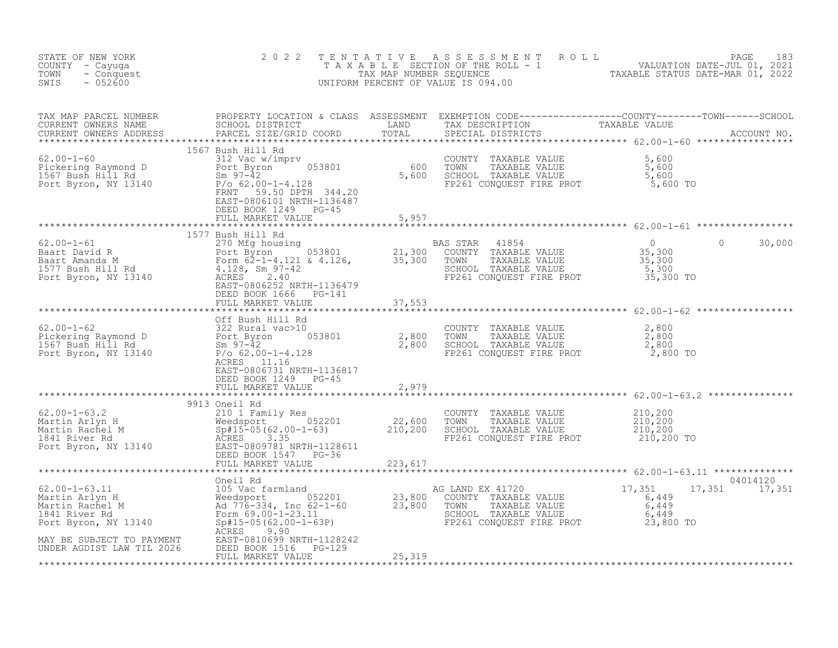| STATE OF NEW YORK<br>COUNTY - Cayuga<br>TOWN - Conquest<br>SWIS - 052600 | 2 0 2 2                                   |       | TENTATIVE ASSESSMENT ROLL PAGE 183<br>TAXABLE SECTION OF THE ROLL - 1 VALUATION DATE-JUL 01, 2021<br>TAX MAP NUMBER SEQUENCE TAXABLE STATUS DATE-MAR 01, 2022<br>UNIFORM PERCENT OF VALUE IS 094.00                                           |
|--------------------------------------------------------------------------|-------------------------------------------|-------|-----------------------------------------------------------------------------------------------------------------------------------------------------------------------------------------------------------------------------------------------|
|                                                                          |                                           |       |                                                                                                                                                                                                                                               |
|                                                                          | DEED BOOK 1249 PG-45<br>FULL MARKET VALUE | 5,957 |                                                                                                                                                                                                                                               |
|                                                                          |                                           |       |                                                                                                                                                                                                                                               |
|                                                                          |                                           |       | 30,000                                                                                                                                                                                                                                        |
|                                                                          |                                           |       |                                                                                                                                                                                                                                               |
|                                                                          | EAST-0806731 NRTH-1136817                 |       |                                                                                                                                                                                                                                               |
|                                                                          |                                           |       |                                                                                                                                                                                                                                               |
|                                                                          |                                           |       | BAST-0806731 NRTH-1136817<br>FULL MARKET VALUE<br>FULL MARKET VALUE<br>FULL MARTIN REND BOOK 1249 PG-45<br>9913 Oneil Rd<br>Martin Arlyn H 210,200<br>Meedsport 2010-1-63.2<br>Martin Arlyn H 210,200<br>Meedsport 2010-1-63<br>Martin Rangel |
|                                                                          |                                           |       |                                                                                                                                                                                                                                               |
|                                                                          |                                           |       | 04014120<br>17,351 17,351                                                                                                                                                                                                                     |
|                                                                          |                                           |       |                                                                                                                                                                                                                                               |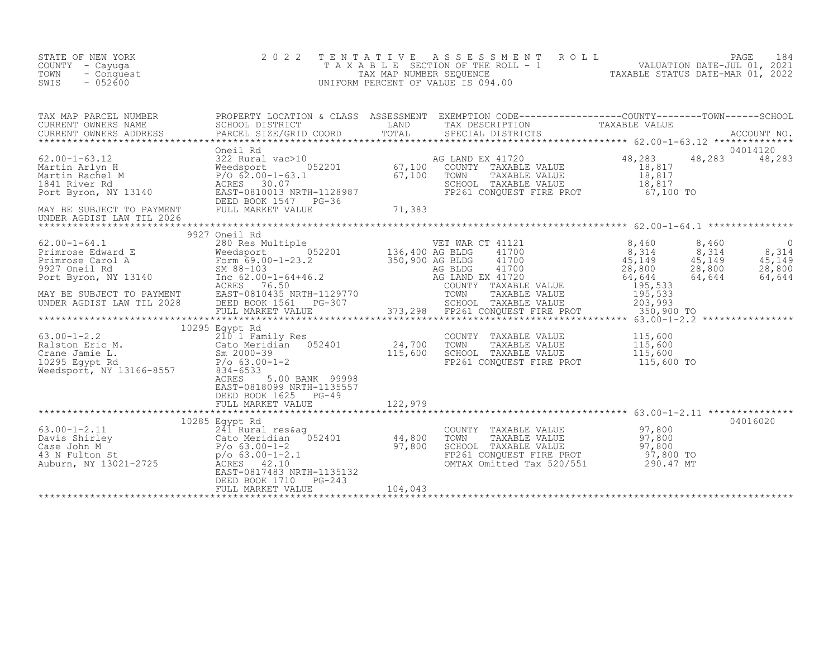| STATE OF NEW YORK<br>COUNTY - Cayuqa<br>TOWN<br>- Conquest<br>$-052600$<br>SWIS                                                                                                                                                          | 2 0 2 2                                                         |                     | TENTATIVE ASSESSMENT ROLL PALUATION DATE-JUL 01, 2021<br>TAXABLE SECTION OF THE ROLL - 1 VALUATION DATE-JUL 01, 2021<br>TAXABLE STATUS DATE-MAR 01, 2022<br>UNIFORM PERCENT OF VALUE IS 094.00 |               |
|------------------------------------------------------------------------------------------------------------------------------------------------------------------------------------------------------------------------------------------|-----------------------------------------------------------------|---------------------|------------------------------------------------------------------------------------------------------------------------------------------------------------------------------------------------|---------------|
| TAX MAP PARCEL NUMBER PROPERTY LOCATION & CLASS ASSESSMENT EXEMPTION CODE----------------COUNTY--------TOWN-----SCHOOL<br>CURRENT OWNERS NAME SCHOOL DISTRICT LAND TAX DESCRIPTION TAXABLE VALUE<br>CURRENT OWNERS ADDRESS PARCEL SI     |                                                                 |                     |                                                                                                                                                                                                | 04014120      |
|                                                                                                                                                                                                                                          |                                                                 |                     |                                                                                                                                                                                                | 48,283 48,283 |
|                                                                                                                                                                                                                                          |                                                                 |                     |                                                                                                                                                                                                |               |
|                                                                                                                                                                                                                                          |                                                                 |                     |                                                                                                                                                                                                |               |
| 10295 Eqypt Rd<br>210 1 Family Res<br>Ralston Eric M. Cato Meridian 052401 24,700 TOWNY TAXABLE VALUE 115,600<br>Cato Meridian 052401 24,700 TOWN TAXABLE VALUE 115,600<br>24,700 TOWN TAXABLE VALUE 115,600<br>24,700 TOWN TAXABLE VALU | EAST-0818099 NRTH-1135557                                       |                     |                                                                                                                                                                                                |               |
|                                                                                                                                                                                                                                          |                                                                 |                     |                                                                                                                                                                                                |               |
|                                                                                                                                                                                                                                          | DEED BOOK 1710 PG-243<br>FULL MARKET VALUE<br>FULL MARKET VALUE | $3 - 243$ $104,043$ |                                                                                                                                                                                                |               |
|                                                                                                                                                                                                                                          |                                                                 |                     |                                                                                                                                                                                                |               |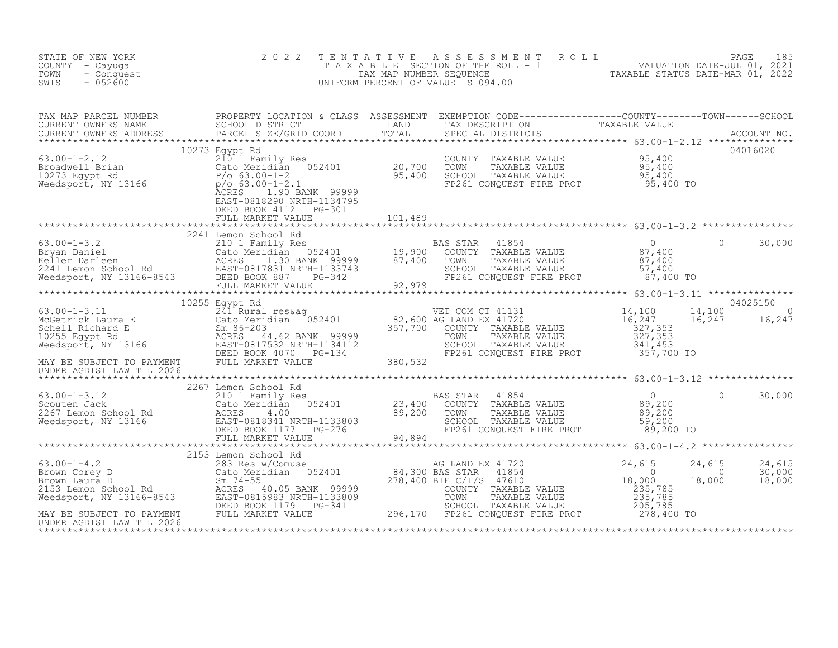| STATE OF NEW YORK<br>COUNTY - Cayuga<br>TOWN<br>- Conquest<br>$-052600$<br>SWIS                                                                                                                                                                        | 2 0 2 2              |         | TENTATIVE ASSESSMENT ROLL PAGE 185<br>TAXABLE SECTION OF THE ROLL - 1 VALUATION DATE-JUL 01, 2021<br>TAX MAP NUMBER SEQUENCE TAXABLE STATUS DATE-MAR 01, 2022<br>UNIFORM PERCENT OF VALUE IS 094.00 |          |                            |
|--------------------------------------------------------------------------------------------------------------------------------------------------------------------------------------------------------------------------------------------------------|----------------------|---------|-----------------------------------------------------------------------------------------------------------------------------------------------------------------------------------------------------|----------|----------------------------|
|                                                                                                                                                                                                                                                        |                      |         |                                                                                                                                                                                                     |          |                            |
| 10273 Egypt Rd<br>10273 Egypt Rd<br>20.700 TOWNTY TAXABLE VALUE<br>20.700 TOWN TAXABLE VALUE<br>20.700 TOWN TAXABLE VALUE<br>20.700 TOWN TAXABLE VALUE<br>95,400<br>20.700 TOWN TAXABLE VALUE<br>95,400<br>95,400<br>95,400<br>95,400<br>20.700 TOWN T | FULL MARKET VALUE    | 101,489 |                                                                                                                                                                                                     |          | 04016020                   |
|                                                                                                                                                                                                                                                        |                      |         |                                                                                                                                                                                                     |          |                            |
|                                                                                                                                                                                                                                                        | 2241 Lemon School Rd |         |                                                                                                                                                                                                     | $\circ$  | 30,000                     |
|                                                                                                                                                                                                                                                        | 10255 Egypt Rd       |         |                                                                                                                                                                                                     |          | 04025150                   |
|                                                                                                                                                                                                                                                        |                      |         |                                                                                                                                                                                                     | 14,100   | 16,247 16,247              |
|                                                                                                                                                                                                                                                        |                      |         |                                                                                                                                                                                                     |          |                            |
|                                                                                                                                                                                                                                                        |                      |         |                                                                                                                                                                                                     | $\Omega$ | 30,000                     |
|                                                                                                                                                                                                                                                        |                      |         |                                                                                                                                                                                                     |          |                            |
|                                                                                                                                                                                                                                                        | 2153 Lemon School Rd |         |                                                                                                                                                                                                     |          | 24,615<br>30,000<br>18,000 |
|                                                                                                                                                                                                                                                        |                      |         |                                                                                                                                                                                                     |          |                            |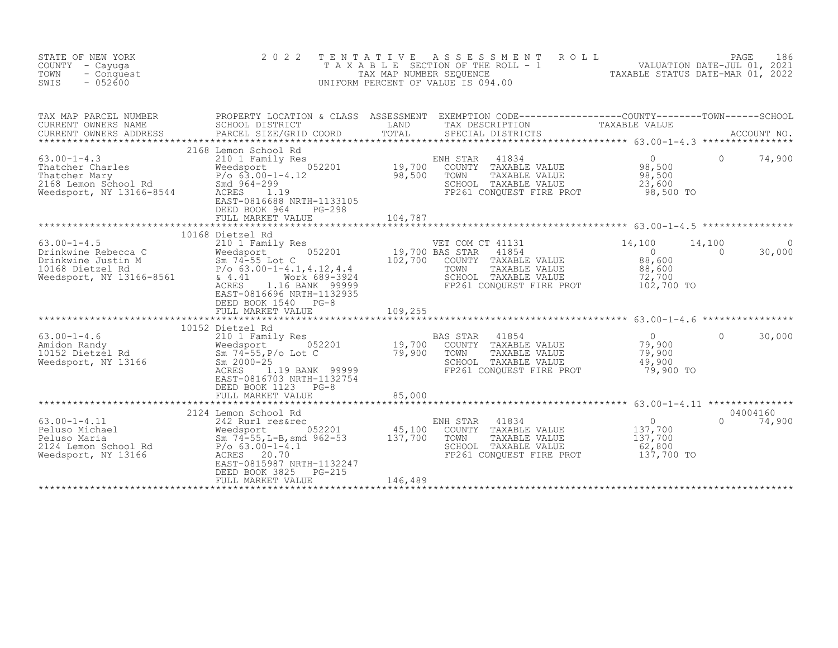| STATE OF NEW YORK<br>COUNTY - Cayuga<br>TOWN<br>- Conquest<br>$-052600$<br>SWIS                                                                                                                                                                                 | 2 0 2 2<br>T E N T A T I V E                                                                                                                                                                                                  |         | TENTATIVE ASSESSMENT ROLL PACE 186<br>TAXABLE SECTION OF THE ROLL - 1 VALUATION DATE-JUL 01, 2021<br>TAX MAP NUMBER SEQUENCE TAXABLE STATUS DATE-MAR 01, 2022<br>JNIFORM PERCENT OF VALUE IS 094.00<br>UNIFORM PERCENT OF VALUE IS 094.00 |                                                                                    |                    |                    |
|-----------------------------------------------------------------------------------------------------------------------------------------------------------------------------------------------------------------------------------------------------------------|-------------------------------------------------------------------------------------------------------------------------------------------------------------------------------------------------------------------------------|---------|-------------------------------------------------------------------------------------------------------------------------------------------------------------------------------------------------------------------------------------------|------------------------------------------------------------------------------------|--------------------|--------------------|
| TAX MAP PARCEL NUMBER<br>CURRENT OWNERS NAME                                                                                                                                                                                                                    | SCHOOL DISTRICT                                                                                                                                                                                                               |         | TAX DESCRIPTION                                                                                                                                                                                                                           |                                                                                    |                    |                    |
| $63.00 - 1 - 4.3$<br>63.00-1-4.3<br>Thatcher Charles<br>Thatcher Mary<br>2168 Lemon School Rd<br>2168 Lemon School Rd<br>2168 Lemon School Rd<br>2168 Smd 964-299<br>22168 Meedsport, NY 13166-8544<br>222168 ACRES                                             | 2168 Lemon School Rd<br>Eemon School Rd<br>210 1 Family Res<br>Weedsport 052201 19,700<br>P/o 63.00-1-4.12 98,500<br>Smd 964-299<br>ACRES 1.19<br>EAST-0816688 NRTH-1133105<br>DEED BOOK 964<br>$PG-298$<br>FULL MARKET VALUE | 104,787 | 41834<br>ENH STAR<br>COUNTY TAXABLE VALUE<br>TOWN<br>TAXABLE VALUE<br>SCHOOL TAXABLE VALUE<br>FP261 CONQUEST FIRE PROT                                                                                                                    | $\Omega$<br>98,500<br>98,500<br>23,600<br>98,500 TO                                | $\Omega$           | 74,900             |
|                                                                                                                                                                                                                                                                 |                                                                                                                                                                                                                               |         |                                                                                                                                                                                                                                           |                                                                                    |                    |                    |
| $63.00 - 1 - 4.5$<br>63.00-1-4.5<br>Drinkwine Rebecca C and Teamily Res<br>Drinkwine Justin M 52201<br>10168 Dietzel Rd P/o 63.00-1-4.1,4.12,4.4<br>Needsport, NY 13166-8561 & 4.41<br>160 Medsport, NY 13166-8561 & 4.41<br>160 Medsport, NY 13166-8561 & 4.41 | 10168 Dietzel Rd<br>Dietzel Rd<br>210 1 Family Res<br>Weedsport 052201 19,700 BAS STAR<br>Sm 74-55 Lot C 102,700 COUNTY<br>Work 689-3924<br>ACRES<br>1.16 BANK 99999<br>EAST-0816696 NRTH-1132935<br>DEED BOOK 1540 PG-8      |         | VET COM CT 41131<br>41854<br>COUNTY TAXABLE VALUE<br>TOWN<br>TAXABLE VALUE<br>SCHOOL TAXABLE VALUE<br>FP261 CONQUEST FIRE PROT                                                                                                            | 14,100<br>$\overline{0}$<br>88,600<br>88,600<br>72,700<br>102,700 TO               | 14,100<br>$\Omega$ | 30,000             |
|                                                                                                                                                                                                                                                                 |                                                                                                                                                                                                                               |         |                                                                                                                                                                                                                                           |                                                                                    |                    |                    |
|                                                                                                                                                                                                                                                                 | 10152 Dietzel Rd                                                                                                                                                                                                              |         |                                                                                                                                                                                                                                           |                                                                                    |                    |                    |
| 03.00-1-4.6<br>Amidon Randy<br>10152 Dietzel Rd<br>Weedsport, NY 13166                                                                                                                                                                                          | Sm 74-55, P/o Lot C 79, 900<br>Sm 2000-25<br>ACRES 1.19 BANK 99999<br>ACRES<br>1.19 BANK 99999<br>EAST-0816703 NRTH-1132754<br>DEED BOOK 1123 PG-8                                                                            |         | $\frac{1}{2}$<br>BAS STAR<br>41854<br>COUNTY TAXABLE VALUE<br>TOWN<br>TAXABLE VALUE<br>SCHOOL TAXABLE VALUE<br>FP261 CONQUEST FIRE PROT                                                                                                   | $\bigcirc$<br>79,900<br>79,900<br>49,900<br>79,900 TO                              | $\Omega$           | 30,000             |
|                                                                                                                                                                                                                                                                 | FULL MARKET VALUE                                                                                                                                                                                                             | 85,000  |                                                                                                                                                                                                                                           |                                                                                    |                    |                    |
| $63.00 - 1 - 4.11$<br>63.00-1-4.11<br>Peluso Michael Meedsport<br>Peluso Maria Meedsport<br>2124 Lemon School Rd<br>2124 Lemon School Rd<br>22.00-1-4.1<br>22.00-1-4.1<br>22.00-1-4.1<br>22.00-1-4.1<br>22.00-1-4.1<br>22.00-1-4.1<br>22.00-1-4.1               | 2124 Lemon School Rd<br>Lemon School Rd<br>242 Rurl res&rec<br>Weedsport 052201 45,100<br>Sm 74-55,L-B,smd 962-53 137,700<br>EAST-0815987 NRTH-1132247<br>DEED BOOK 3825<br>PG-215                                            |         | 41834<br>ENH STAR<br>COUNTY TAXABLE VALUE<br>TOWN<br>TAXABLE VALUE<br>SCHOOL TAXABLE VALUE<br>FP261 CONQUEST FIRE PROT                                                                                                                    | $\begin{smallmatrix}0\137,700\end{smallmatrix}$<br>137,700<br>62,800<br>137,700 TO | $\Omega$           | 04004160<br>74,900 |
|                                                                                                                                                                                                                                                                 | FULL MARKET VALUE                                                                                                                                                                                                             | 146,489 |                                                                                                                                                                                                                                           |                                                                                    |                    |                    |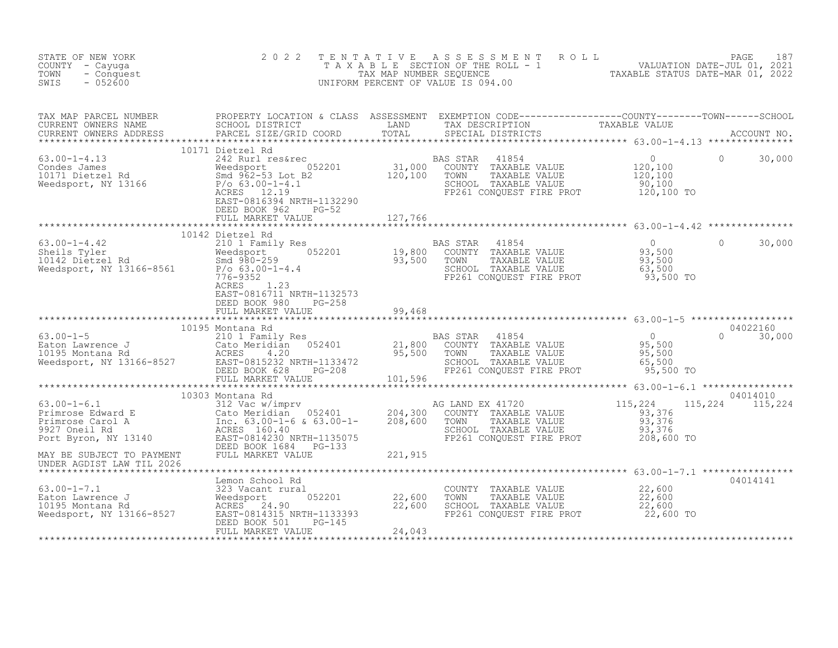| STATE OF NEW YORK<br>COUNTY - Cayuga<br>TOWN<br>- Conquest<br>SWIS<br>$-052600$                                                                                                                                                   | 2 0 2 2                                          | TENTATIVE ASSESSMENT ROLL PALUATION DATE-JUL 01, 2021<br>TAXABLE SECTION OF THE ROLL - 1 VALUATION DATE-JUL 01, 2021<br>TAXABLE STATUS DATE-MAR 01, 2022<br>UNIFORM PERCENT OF VALUE IS 094.00 |          |          |
|-----------------------------------------------------------------------------------------------------------------------------------------------------------------------------------------------------------------------------------|--------------------------------------------------|------------------------------------------------------------------------------------------------------------------------------------------------------------------------------------------------|----------|----------|
| TAX MAP PARCEL NUMBER PROPERTY LOCATION & CLASS ASSESSMENT EXEMPTION CODE----------------COUNTY--------TOWN------SCHOOL SCHOOL DISTRICT LAND TAX DESCRIPTION TAXABLE VALUE<br>CURRENT OWNERS ADDRESS PARCEL SIZE/GRID COORD TOTAL |                                                  |                                                                                                                                                                                                |          |          |
|                                                                                                                                                                                                                                   |                                                  |                                                                                                                                                                                                |          |          |
|                                                                                                                                                                                                                                   |                                                  |                                                                                                                                                                                                |          |          |
|                                                                                                                                                                                                                                   | 10142 Dietzel Rd<br>EAST-0816711 NRTH-1132573    |                                                                                                                                                                                                | $\Omega$ | 30,000   |
|                                                                                                                                                                                                                                   | DEED BOOK 980 PG-258<br>FULL MARKET VALUE 99,468 |                                                                                                                                                                                                |          |          |
|                                                                                                                                                                                                                                   |                                                  |                                                                                                                                                                                                |          |          |
|                                                                                                                                                                                                                                   |                                                  |                                                                                                                                                                                                |          |          |
|                                                                                                                                                                                                                                   |                                                  |                                                                                                                                                                                                |          |          |
|                                                                                                                                                                                                                                   |                                                  |                                                                                                                                                                                                |          |          |
|                                                                                                                                                                                                                                   |                                                  |                                                                                                                                                                                                |          |          |
|                                                                                                                                                                                                                                   |                                                  |                                                                                                                                                                                                |          | 04014141 |
|                                                                                                                                                                                                                                   |                                                  |                                                                                                                                                                                                |          |          |
|                                                                                                                                                                                                                                   |                                                  |                                                                                                                                                                                                |          |          |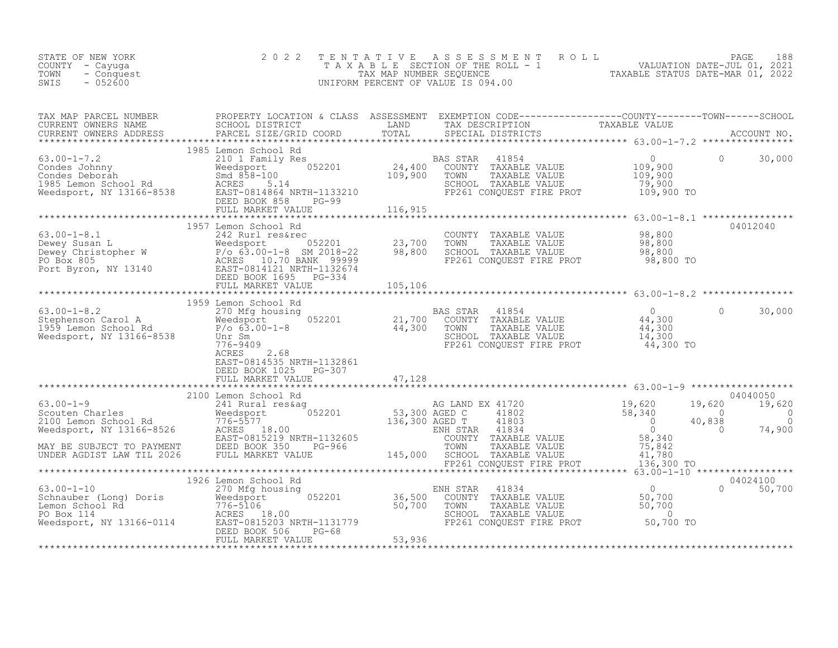| STATE OF NEW YORK<br>COUNTY - Cayuga<br>- Conquest<br>TOWN<br>$-052600$<br>SWIS | 2022                      |  | TENTATIVE ASSESSMENT ROLL PACE 188<br>TAXABLE SECTION OF THE ROLL - 1 VALUATION DATE-JUL 01, 2021<br>TAX MAP NUMBER SEQUENCE TAXABLE STATUS DATE-MAR 01, 2022<br>UNIFORM PERCENT OF VALUE IS 094.00                                                                                                                                                                                          |  |
|---------------------------------------------------------------------------------|---------------------------|--|----------------------------------------------------------------------------------------------------------------------------------------------------------------------------------------------------------------------------------------------------------------------------------------------------------------------------------------------------------------------------------------------|--|
|                                                                                 |                           |  |                                                                                                                                                                                                                                                                                                                                                                                              |  |
|                                                                                 | 1985 Lemon School Rd      |  |                                                                                                                                                                                                                                                                                                                                                                                              |  |
|                                                                                 | 1957 Lemon School Rd      |  | 04012040<br>$\begin{array}{lllllllllllll} \text{63.00--1-8.1} & 1957 \text{ Lemon School Rd} & 24012040 & 04012040 \\ \text{Dewey Susan L} & 242 \text{ Rurl} \text{ resfree} & 052201 & 23,700 & \text{TOWN} & \text{TAXABLE VALUE} & 98,800 \\ \text{Dewey Susan L} & 86,800 & 62,00--18 & 98,800 & 04012040 \\ \text{Dewey Christopher W} & P/O & 63.00--18 & 98,800 & \text{SCHODL} & \$ |  |
|                                                                                 | EAST-0814535 NRTH-1132861 |  |                                                                                                                                                                                                                                                                                                                                                                                              |  |
|                                                                                 |                           |  |                                                                                                                                                                                                                                                                                                                                                                                              |  |
|                                                                                 |                           |  | 04040050<br>19,620<br>$40,838$<br>0<br>0<br>0<br>74,900                                                                                                                                                                                                                                                                                                                                      |  |
|                                                                                 |                           |  |                                                                                                                                                                                                                                                                                                                                                                                              |  |
|                                                                                 |                           |  |                                                                                                                                                                                                                                                                                                                                                                                              |  |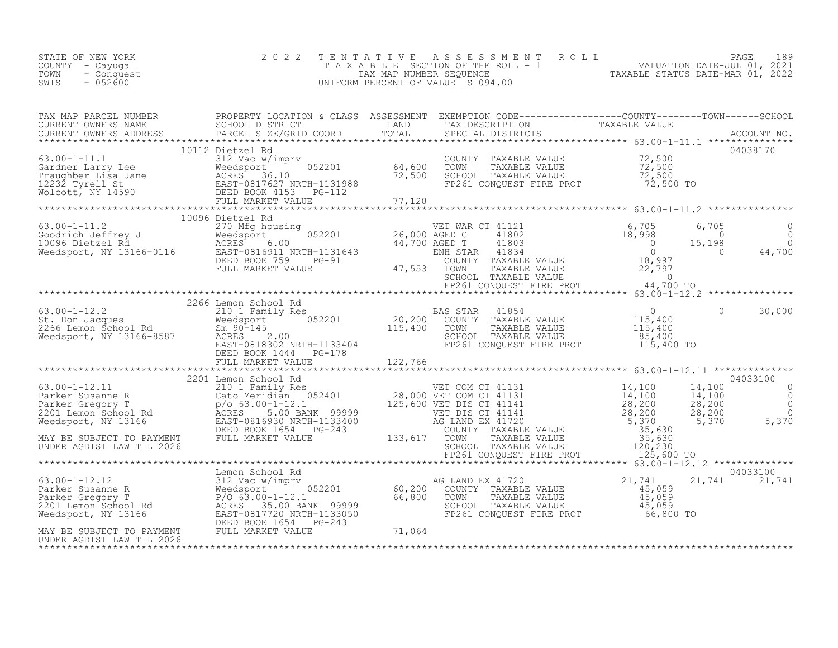| STATE OF NEW YORK<br>COUNTY – Cayuga<br>TOWN<br>- Conquest<br>$-052600$<br>SWIS | 2022 TENTATIVE ASSESSMENT ROLL<br>T A X A B L E SECTION OF THE ROLL - 1<br>TAX MAP NUMBER SEOUENCE<br>UNIFORM PERCENT OF VALUE IS 094.00 | TAXABLE STATUS DATE-MAR 01, 2022 | PAGE<br>VALUATION DATE-JUL 01, 2021 | 189 |
|---------------------------------------------------------------------------------|------------------------------------------------------------------------------------------------------------------------------------------|----------------------------------|-------------------------------------|-----|
|                                                                                 |                                                                                                                                          |                                  |                                     |     |

| TAX MAP PARCEL NUMBER                                                                                                                                                                                                                                                                                                                                                                               | PROPERTY LOCATION & CLASS ASSESSMENT EXEMPTION CODE-----------------COUNTY-------TOWN-----SCHOOL |  |  |                           |
|-----------------------------------------------------------------------------------------------------------------------------------------------------------------------------------------------------------------------------------------------------------------------------------------------------------------------------------------------------------------------------------------------------|--------------------------------------------------------------------------------------------------|--|--|---------------------------|
|                                                                                                                                                                                                                                                                                                                                                                                                     | 10112 Dietzel Rd                                                                                 |  |  | 04038170                  |
|                                                                                                                                                                                                                                                                                                                                                                                                     | 10096 Dietzel Rd                                                                                 |  |  |                           |
| $\begin{array}{lllllllllllllllllll} \text{63.00-1-12.2} & 2266 \text{ Lemon School Rd} & \text{BAS STAR} & 41854 & 0 & 30,000 \\ \text{St. Don Jacques} & 210 1 Family Res & 052201 & 0 & 30,000 \\ \text{Needsport, NY 13166-8587} & 0 & 30,000 & 0 & 30,000 \\ \text{Needsport, NY 13166-8587} & \text{ACRES} & 2.00 & 0 & 0 & 0 \\ \text{RGEBS = 080K 1444} & \text{PG$                          | 2266 Lemon School Rd                                                                             |  |  |                           |
|                                                                                                                                                                                                                                                                                                                                                                                                     |                                                                                                  |  |  |                           |
| $\begin{tabular}{l c c c c c c} \hline & \multicolumn{4}{c c c c} \multicolumn{4}{c c c} \multicolumn{4}{c c c} \multicolumn{4}{c c c} \multicolumn{4}{c c c} \multicolumn{4}{c c c} \multicolumn{4}{c c c} \multicolumn{4}{c c c} \multicolumn{4}{c c c} \multicolumn{4}{c c c} \multicolumn{4}{c c c} \multicolumn{4}{c c c} \multicolumn{4}{c c c} \multicolumn{4}{c c c} \multicolumn{4}{c c c$ |                                                                                                  |  |  |                           |
|                                                                                                                                                                                                                                                                                                                                                                                                     |                                                                                                  |  |  |                           |
|                                                                                                                                                                                                                                                                                                                                                                                                     |                                                                                                  |  |  |                           |
| $\begin{tabular}{lllllllllllllllllllll} \textbf{63.00-1-12.12} & \textbf{Lemon School Rd} & \textbf{64.00-1-12.12} & \textbf{25.00-1-12.12} & \textbf{26.00-1-12.12} & \textbf{27.00-1-12.12} & \textbf{28.00-1-12.12} & \textbf{29.00-1-12.12} & \textbf{20.00-1-12.12} & \textbf{21.00-1-12.12} & \textbf{22.01} & \textbf{23.00-$                                                                |                                                                                                  |  |  | 04033100<br>21,741 21,741 |
|                                                                                                                                                                                                                                                                                                                                                                                                     |                                                                                                  |  |  |                           |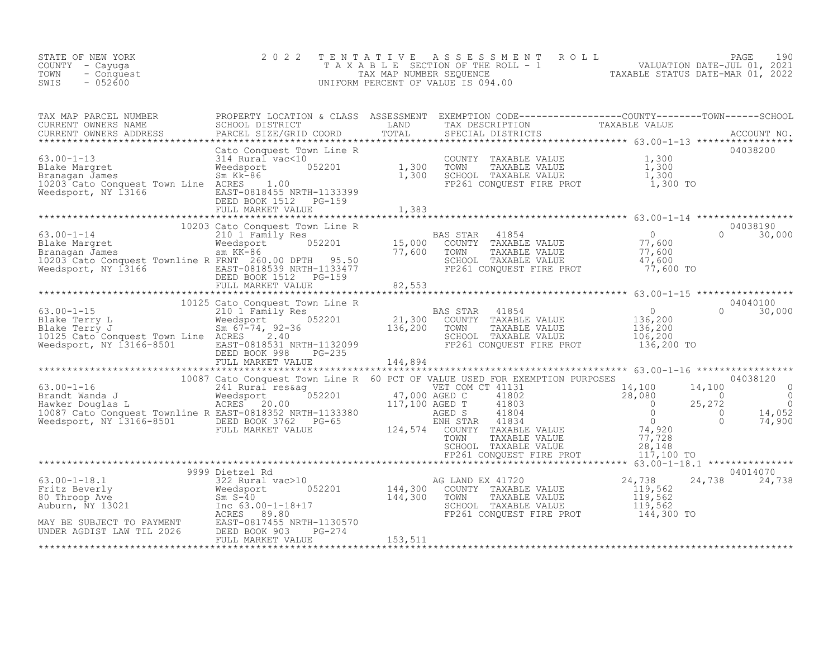| STATE OF NEW YORK<br>COUNTY - Cayuga<br>- Conquest<br>TOWN<br>$-052600$<br>SWIS | 2 0 2 2 |  | TENTATIVE ASSESSMENT ROLL PAGE 190<br>TAXABLE SECTION OF THE ROLL - 1 VALUATION DATE-JUL 01, 2021<br>TAX MAP NUMBER SEQUENCE TAXABLE STATUS DATE-MAR 01, 2022<br>UNIFORM PERCENT OF VALUE IS 094.00 |
|---------------------------------------------------------------------------------|---------|--|-----------------------------------------------------------------------------------------------------------------------------------------------------------------------------------------------------|
|                                                                                 |         |  |                                                                                                                                                                                                     |
|                                                                                 |         |  |                                                                                                                                                                                                     |
|                                                                                 |         |  |                                                                                                                                                                                                     |
|                                                                                 |         |  |                                                                                                                                                                                                     |
|                                                                                 |         |  |                                                                                                                                                                                                     |
|                                                                                 |         |  |                                                                                                                                                                                                     |
|                                                                                 |         |  |                                                                                                                                                                                                     |
|                                                                                 |         |  |                                                                                                                                                                                                     |
|                                                                                 |         |  |                                                                                                                                                                                                     |
|                                                                                 |         |  |                                                                                                                                                                                                     |
|                                                                                 |         |  |                                                                                                                                                                                                     |
|                                                                                 |         |  |                                                                                                                                                                                                     |
|                                                                                 |         |  |                                                                                                                                                                                                     |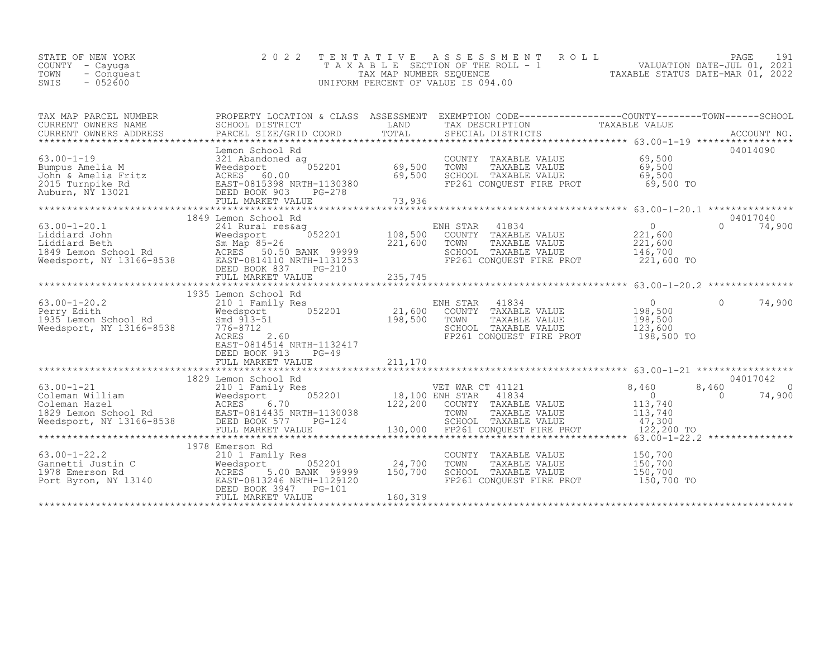| STATE OF NEW YORK<br>COUNTY – Cayuga<br>TOWN<br>- Conquest<br>$-052600$<br>SWIS |  | 2022 TENTATIVE ASSESSMENT ROLL<br>TAXABLE SECTION OF THE ROLL - 1<br>TAX MAP NUMBER SEOUENCE<br>UNIFORM PERCENT OF VALUE IS 094.00 |  | TAXABLE STATUS DATE-MAR 01, 2022 | PAGE<br>VALUATION DATE-JUL 01, 2021 | 191 |
|---------------------------------------------------------------------------------|--|------------------------------------------------------------------------------------------------------------------------------------|--|----------------------------------|-------------------------------------|-----|
|---------------------------------------------------------------------------------|--|------------------------------------------------------------------------------------------------------------------------------------|--|----------------------------------|-------------------------------------|-----|

| TAX MAP PARCEL NUMBER |                                                                                                                                                                                                                                                                                                                                                                                                                                                                                                                                                                   | PROPERTY LOCATION & CLASS ASSESSMENT EXEMPTION CODE----------------COUNTY-------TOWN-----SCHOOL<br>TAX DESCRIPTION |                               |                    |
|-----------------------|-------------------------------------------------------------------------------------------------------------------------------------------------------------------------------------------------------------------------------------------------------------------------------------------------------------------------------------------------------------------------------------------------------------------------------------------------------------------------------------------------------------------------------------------------------------------|--------------------------------------------------------------------------------------------------------------------|-------------------------------|--------------------|
|                       | Lemon School Rd<br>Emon School Rd<br>Bumpus Amelia M 321 and Moedsport 69,500 TOWN TAXABLE VALUE 69,500<br>John & Amelia Fritz ACRES 60.00 EAST-0815 ACRES 60.00 EAST-081 2015 Turnpike Rd EAST-0815 ACRES 60.00 EAST-08<br>2015 Turnpike Rd EAST-08153                                                                                                                                                                                                                                                                                                           |                                                                                                                    |                               | 04014090           |
|                       | 1849 Lemon School Rd                                                                                                                                                                                                                                                                                                                                                                                                                                                                                                                                              |                                                                                                                    |                               | 04017040           |
|                       | 1935 Lemon School Rd<br>1935 Lemon School Rd 210 1 Family Res 210 1 Family Res 21,600 ENH STAR 21,600 COUNTY TAXABLE VALUE 21,600 COUNTY TAXABLE VALUE 21,600 COUNTY TAXABLE VALUE 21,600 COUNTY TAXABLE VALUE 21,600 COUNTY TAXABLE VALUE 21,600 COUN<br>EAST-0814514 NRTH-1132417<br>DEED BOOK 913<br>$PG-49$                                                                                                                                                                                                                                                   | FP261 CONQUEST FIRE PROT 198,500 TO                                                                                |                               | 74,900<br>$\Omega$ |
|                       |                                                                                                                                                                                                                                                                                                                                                                                                                                                                                                                                                                   |                                                                                                                    |                               |                    |
|                       | 1978 Emerson Rd<br>$\begin{minipage}{.45\textwidth} \begin{subfigure}[t]{.45\textwidth} \begin{subfigure}[t]{.45\textwidth} \begin{subfigure}[t]{.45\textwidth} \begin{subfigure}[t]{.45\textwidth} \begin{subfigure}[t]{.45\textwidth} \begin{subfigure}[t]{.45\textwidth} \begin{subfigure}[t]{.45\textwidth} \begin{subfigure}[t]{.45\textwidth} \begin{subfigure}[t]{.45\textwidth} \begin{subfigure}[t]{.45\textwidth} \begin{subfigure}[t]{.45\textwidth} \begin{subfigure}[t]{.45\textwidth} \begin{subfigure}[t]{.45\textwidth} \begin{subfigure}[t]{.45$ | COUNTY TAXABLE VALUE<br>TOWN<br>TAXABLE VALUE<br>SCHOOL TAXABLE VALUE<br>FP261 CONQUEST FIRE PROT 150,700 TO       | 150,700<br>150,700<br>150,700 |                    |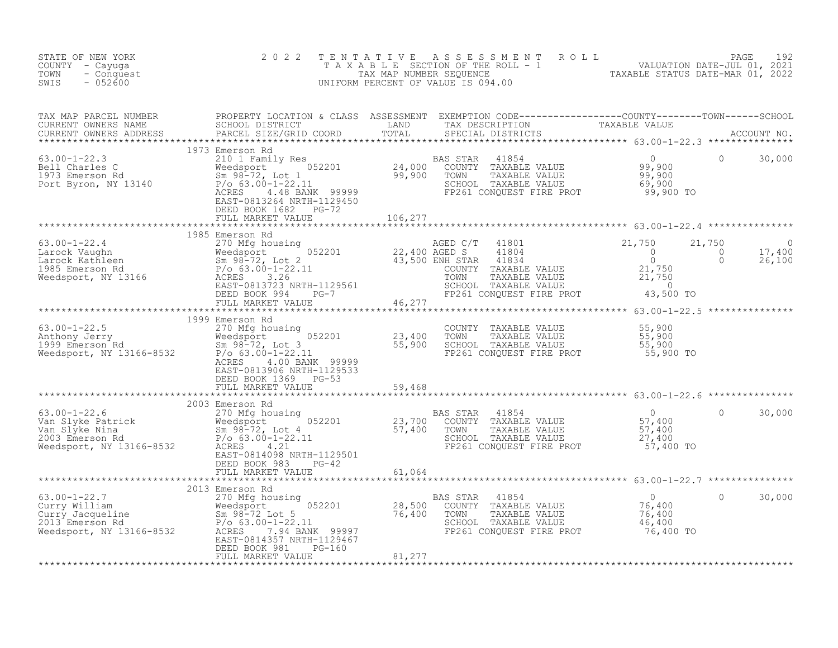| STATE OF NEW YORK<br>COUNTY - Cayuga<br>- Conquest<br>TOWN<br>$-052600$<br>SWIS                                                                                                                                                                                                                                                                        | 2 0 2 2                                           |        | TENTATIVE ASSESSMENT ROLL PACE 192<br>TAXABLE SECTION OF THE ROLL - 1 VALUATION DATE-JUL 01, 2021<br>TAX MAP NUMBER SEQUENCE TAXABLE STATUS DATE-MAR 01, 2022<br>UNIFORM PERCENT OF VALUE IS 094.00 |  |
|--------------------------------------------------------------------------------------------------------------------------------------------------------------------------------------------------------------------------------------------------------------------------------------------------------------------------------------------------------|---------------------------------------------------|--------|-----------------------------------------------------------------------------------------------------------------------------------------------------------------------------------------------------|--|
|                                                                                                                                                                                                                                                                                                                                                        |                                                   |        |                                                                                                                                                                                                     |  |
|                                                                                                                                                                                                                                                                                                                                                        | DEED BOOK 1682 PG-72<br>FULL MARKET VALUE 106,277 |        |                                                                                                                                                                                                     |  |
|                                                                                                                                                                                                                                                                                                                                                        |                                                   |        |                                                                                                                                                                                                     |  |
|                                                                                                                                                                                                                                                                                                                                                        | 1985 Emerson Rd                                   |        |                                                                                                                                                                                                     |  |
|                                                                                                                                                                                                                                                                                                                                                        |                                                   |        |                                                                                                                                                                                                     |  |
|                                                                                                                                                                                                                                                                                                                                                        |                                                   |        |                                                                                                                                                                                                     |  |
|                                                                                                                                                                                                                                                                                                                                                        | 1999 Emerson Rd                                   |        |                                                                                                                                                                                                     |  |
| 1999 Emerson Rd<br>270 Mfg housing<br>23,400<br>23,400<br>1999 Emerson Rd<br>Weedsport 052201<br>23,400<br>Weedsport, NY 13166-8532<br>23,900<br>23,900<br>23,400<br>23,900<br>23,900<br>23,900<br>23,900<br>23,900<br>23,900<br>23,900<br>23,900<br>23,900<br>23,900                                                                                  | EAST-0813906 NRTH-1129533                         |        | COUNTY TAXABLE VALUE $$55,900$<br>TOWN TAXABLE VALUE $$55,900$<br>SCHOOL TAXABLE VALUE $$55,900$<br>FP261 CONQUEST FIRE PROT $$55,900$ TO                                                           |  |
|                                                                                                                                                                                                                                                                                                                                                        |                                                   |        |                                                                                                                                                                                                     |  |
| $\begin{tabular}{c cccc} \textbf{53.00--1--22.6} & \textbf{0.00--1--22.7} & \textbf{0.00--1--22.8} \\ \hline \textbf{0.00--1--22.6} & \textbf{0.00--1--22.9} & \textbf{0.00--1--22.9} \\ \textbf{0.00--1--22.6} & \textbf{0.00--1--22.9} & \textbf{0.00--1--22.1} & \textbf{0.00--1--22.1} \\ \textbf{0.00--1--22.6} & \textbf{0.00--1--22.1} & \text$ |                                                   |        |                                                                                                                                                                                                     |  |
|                                                                                                                                                                                                                                                                                                                                                        |                                                   |        |                                                                                                                                                                                                     |  |
|                                                                                                                                                                                                                                                                                                                                                        | DEED BOOK 981<br>$PG-160$<br>FULL MARKET VALUE    | 81,277 |                                                                                                                                                                                                     |  |
|                                                                                                                                                                                                                                                                                                                                                        |                                                   |        |                                                                                                                                                                                                     |  |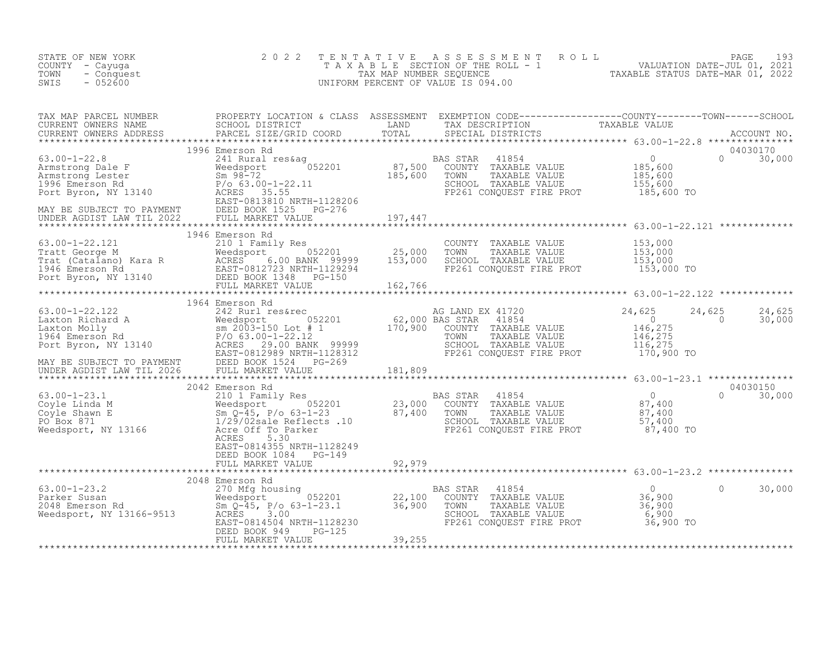| STATE OF NEW YORK<br>COUNTY - Cayuga<br>TOWN<br>- Conquest<br>$-052600$<br>SWIS                                                                                                                                                                    | 2 0 2 2 | TENTATIVE ASSESSMENT ROLL PACE 193<br>TAXABLE SECTION OF THE ROLL - 1 VALUATION DATE-JUL 01, 2021<br>TAX MAP NUMBER SEQUENCE TAXABLE STATUS DATE-MAR 01, 2022<br>UNIFORM PERCENT OF VALUE IS 094.00 |                   |
|----------------------------------------------------------------------------------------------------------------------------------------------------------------------------------------------------------------------------------------------------|---------|-----------------------------------------------------------------------------------------------------------------------------------------------------------------------------------------------------|-------------------|
|                                                                                                                                                                                                                                                    |         |                                                                                                                                                                                                     |                   |
|                                                                                                                                                                                                                                                    |         |                                                                                                                                                                                                     |                   |
|                                                                                                                                                                                                                                                    |         |                                                                                                                                                                                                     |                   |
|                                                                                                                                                                                                                                                    |         |                                                                                                                                                                                                     |                   |
|                                                                                                                                                                                                                                                    |         |                                                                                                                                                                                                     |                   |
|                                                                                                                                                                                                                                                    |         |                                                                                                                                                                                                     |                   |
|                                                                                                                                                                                                                                                    |         |                                                                                                                                                                                                     |                   |
|                                                                                                                                                                                                                                                    |         |                                                                                                                                                                                                     |                   |
|                                                                                                                                                                                                                                                    |         |                                                                                                                                                                                                     |                   |
| 3.00-1-23.2<br>2048 Emerson Rd<br>2048 Emerson Rd<br>2048 Emerson Rd<br>2048 Emerson Rd<br>2048 Emerson Rd<br>2048 Emerson Rd<br>2014 Emerson Solomony TAXABLE VALUE<br>2014 Emerson Medsport<br>2014 Solomony TAXABLE VALUE<br>22,100 COUNTY TAXA |         |                                                                                                                                                                                                     | $\circ$<br>30,000 |
|                                                                                                                                                                                                                                                    |         |                                                                                                                                                                                                     |                   |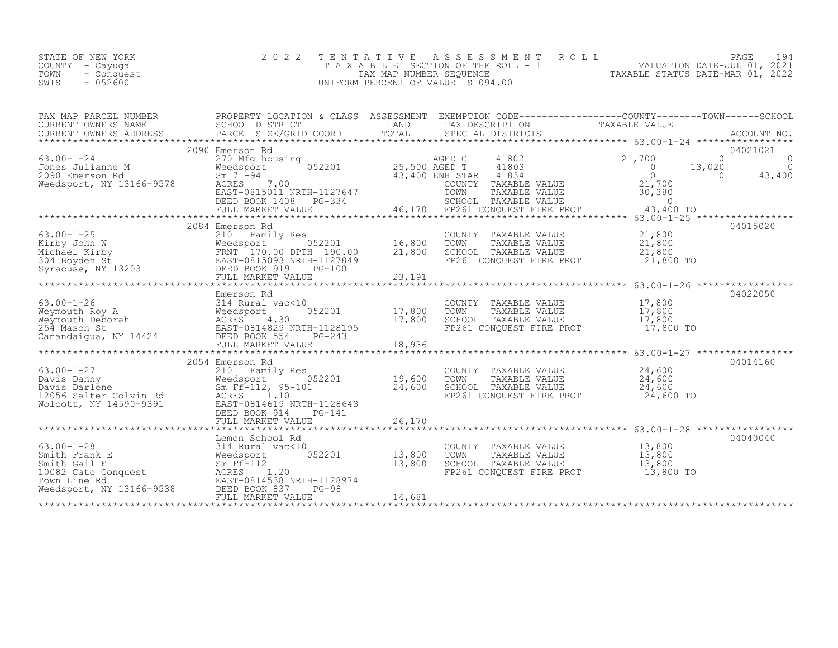| STATE OF NEW YORK<br>COUNTY - Cayuqa<br>TOWN - Conquest<br>- 052600<br>SWIS | 2022 TENTATIVE ASSESSMENT ROLL<br>TAXABLE SECTION OF THE ROLL - 1<br>TAX MAP NUMBER SEOUENCE<br>UNIFORM PERCENT OF VALUE IS 094.00 | TAXABLE STATUS DATE-MAR 01, 2022 | PAGE 194<br>VALUATION DATE-JUL 01, 2021 |  |
|-----------------------------------------------------------------------------|------------------------------------------------------------------------------------------------------------------------------------|----------------------------------|-----------------------------------------|--|
|                                                                             |                                                                                                                                    |                                  |                                         |  |

| TAX MAP PARCEL NUMBER<br>CURRENT OWNERS NAME                                                                                                                                                                                                                                                                                                                                                                                                    | PROPERTY LOCATION & CLASS ASSESSMENT<br>SCHOOL DISTRICT<br><b>EXAMPLE EXAMPLE EXAMPLE EXAMPLE EXAMPLE EXAMPLE EXAMPLE EXAMPLE EXAMPLE EXAMPLE EXAMPLE EXAMPLE EXAMPLE EXAMPLE E</b> |        | EXEMPTION CODE-----------------COUNTY-------TOWN------SCHOOL<br>TAX DESCRIPTION                                                    | TAXABLE VALUE |                                    |
|-------------------------------------------------------------------------------------------------------------------------------------------------------------------------------------------------------------------------------------------------------------------------------------------------------------------------------------------------------------------------------------------------------------------------------------------------|-------------------------------------------------------------------------------------------------------------------------------------------------------------------------------------|--------|------------------------------------------------------------------------------------------------------------------------------------|---------------|------------------------------------|
|                                                                                                                                                                                                                                                                                                                                                                                                                                                 |                                                                                                                                                                                     |        |                                                                                                                                    |               |                                    |
|                                                                                                                                                                                                                                                                                                                                                                                                                                                 | 2090 Emerson Rd                                                                                                                                                                     |        |                                                                                                                                    |               | 04021021                           |
| $63.00 - 1 - 24$                                                                                                                                                                                                                                                                                                                                                                                                                                | 270 Mfg housing                                                                                                                                                                     |        | AGED C 41802 21,700<br>0 25,500 AGED T 41803                                                                                       | 13,020        | $\overline{0}$ 0<br>$\overline{a}$ |
| Jones Julianne Market Meedsport<br>2090 Emerson Rd<br>Weedsport, NY 13166-9578 ACRES                                                                                                                                                                                                                                                                                                                                                            |                                                                                                                                                                                     |        | 25,500 AGED T 41803<br>43,400 ENH STAR 41834 0                                                                                     |               | $\overline{0}$<br>43,400           |
|                                                                                                                                                                                                                                                                                                                                                                                                                                                 | ACRES 7.00                                                                                                                                                                          |        | COUNTY TAXABLE VALUE 21,700                                                                                                        |               |                                    |
|                                                                                                                                                                                                                                                                                                                                                                                                                                                 |                                                                                                                                                                                     |        |                                                                                                                                    |               |                                    |
|                                                                                                                                                                                                                                                                                                                                                                                                                                                 |                                                                                                                                                                                     |        |                                                                                                                                    |               |                                    |
|                                                                                                                                                                                                                                                                                                                                                                                                                                                 | 2084 Emerson Rd                                                                                                                                                                     |        |                                                                                                                                    |               | 04015020                           |
|                                                                                                                                                                                                                                                                                                                                                                                                                                                 |                                                                                                                                                                                     |        |                                                                                                                                    |               |                                    |
|                                                                                                                                                                                                                                                                                                                                                                                                                                                 |                                                                                                                                                                                     |        |                                                                                                                                    | 21,800 TO     |                                    |
|                                                                                                                                                                                                                                                                                                                                                                                                                                                 |                                                                                                                                                                                     |        |                                                                                                                                    |               |                                    |
|                                                                                                                                                                                                                                                                                                                                                                                                                                                 |                                                                                                                                                                                     |        |                                                                                                                                    |               |                                    |
|                                                                                                                                                                                                                                                                                                                                                                                                                                                 | Emerson Rd                                                                                                                                                                          |        |                                                                                                                                    |               | 04022050                           |
|                                                                                                                                                                                                                                                                                                                                                                                                                                                 | 0<br>052201 17,800                                                                                                                                                                  |        |                                                                                                                                    |               |                                    |
|                                                                                                                                                                                                                                                                                                                                                                                                                                                 |                                                                                                                                                                                     | 17,800 | COUNTY TAXABLE VALUE $17,800$<br>TOWN TAXABLE VALUE $17,800$<br>SCHOOL TAXABLE VALUE $17,800$<br>FP261 CONQUEST FIRE PROT $17,800$ |               |                                    |
| $\begin{tabular}{llllllllll} \multicolumn{3}{c}{63.00-1-26} & \multicolumn{3}{c}{Emerson Rd} \\ \multicolumn{3}{c}{Weymouth Roy A} & \multicolumn{3}{c}{Wegrowth} & \multicolumn{3}{c}{MexC10} \\ \multicolumn{3}{c}{Weymouth Deboard} & \multicolumn{3}{c}{MexCRES} & 4.30 \\ \multicolumn{3}{c}{254 Mason St} & \multicolumn{3}{c}{EAST-0814829 NRTH-1128195} \\ \multicolumn{3}{c}{Canandaigua, NY 14424} & \multicolumn{3}{c}{DEID EOST-08$ |                                                                                                                                                                                     |        |                                                                                                                                    |               |                                    |
|                                                                                                                                                                                                                                                                                                                                                                                                                                                 | FULL MARKET VALUE                                                                                                                                                                   | 18,936 |                                                                                                                                    |               |                                    |
|                                                                                                                                                                                                                                                                                                                                                                                                                                                 | 2054 Emerson Rd                                                                                                                                                                     |        |                                                                                                                                    |               | 04014160                           |
|                                                                                                                                                                                                                                                                                                                                                                                                                                                 |                                                                                                                                                                                     |        | COUNTY TAXABLE VALUE 24,600                                                                                                        |               |                                    |
|                                                                                                                                                                                                                                                                                                                                                                                                                                                 |                                                                                                                                                                                     |        | TOWN TAXABLE VALUE $24,600$<br>SCHOOL TAXABLE VALUE $24,600$<br>FP261 CONQUEST FIRE PROT $24,600$ TO                               |               |                                    |
|                                                                                                                                                                                                                                                                                                                                                                                                                                                 |                                                                                                                                                                                     |        |                                                                                                                                    |               |                                    |
|                                                                                                                                                                                                                                                                                                                                                                                                                                                 |                                                                                                                                                                                     |        |                                                                                                                                    |               |                                    |
| 63.00-1-27<br>Davis Danny Weedsport 052201<br>Davis Danny Weedsport 052201<br>Davis Darlene Sm Ff-112, 95-101 24,600 SC<br>19,600 TC<br>Molcott, NY 14590-9391 EAST-0814619 NRTH-1128643<br>FULL MARKET VALUE 26,170<br>********************                                                                                                                                                                                                    |                                                                                                                                                                                     |        |                                                                                                                                    |               |                                    |
|                                                                                                                                                                                                                                                                                                                                                                                                                                                 | Lemon School Rd                                                                                                                                                                     |        |                                                                                                                                    |               | 04040040                           |
|                                                                                                                                                                                                                                                                                                                                                                                                                                                 | 052201 13,800                                                                                                                                                                       |        | COUNTY TAXABLE VALUE 13,800<br>TOWN TAXABLE VALUE 13,800                                                                           |               |                                    |
|                                                                                                                                                                                                                                                                                                                                                                                                                                                 |                                                                                                                                                                                     | 13,800 |                                                                                                                                    |               |                                    |
| 63.00-1-28<br>Smith Frank E<br>Smith Gail E<br>10082 Cato Conquest<br>Town Line Rd<br>Weedsport, NY 13166-9538<br>Smith Gail E<br>Town Line Rd<br>EAST-0814538 NRTH-1128974<br>EAST-0814538 NRTH-1128974<br>Meedsport, NY 13166-9538<br>DEED BOOK 8                                                                                                                                                                                             |                                                                                                                                                                                     |        |                                                                                                                                    |               |                                    |
|                                                                                                                                                                                                                                                                                                                                                                                                                                                 | FULL MARKET VALUE                                                                                                                                                                   | 14,681 |                                                                                                                                    |               |                                    |
|                                                                                                                                                                                                                                                                                                                                                                                                                                                 |                                                                                                                                                                                     |        |                                                                                                                                    |               |                                    |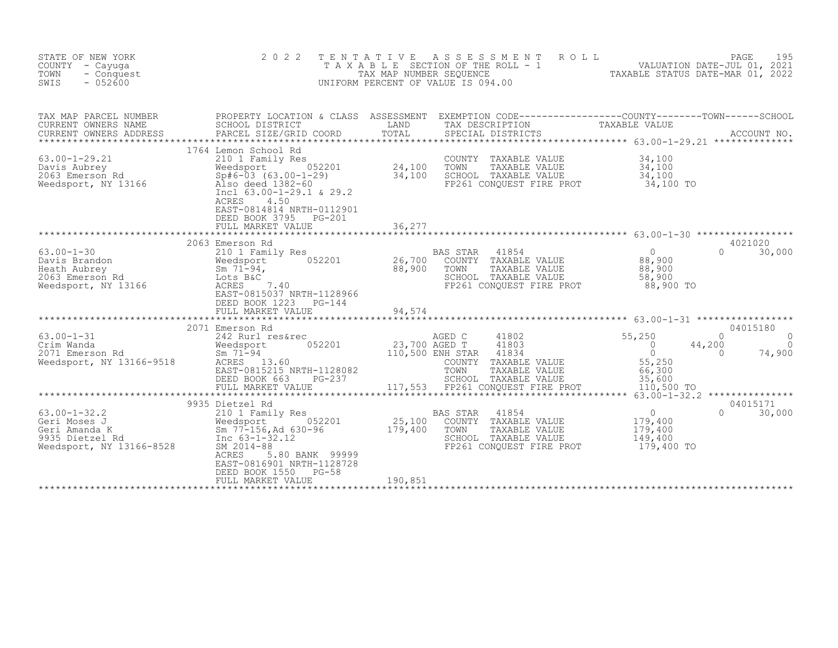| STATE OF NEW YORK<br>COUNTY - Cayuga<br>TOWN<br>- Conquest<br>SWIS<br>$-052600$                                                                                                                                                     | 2 0 2 2                                                                                                                                                                                                                                                                                                                                                                                                               | TENTATIVE        | UNIFORM PERCENT OF VALUE IS 094.00                                                                                                                                                    | FENTATIVE ASSESSMENT ROLL PACE 195<br>TAXABLE SECTION OF THE ROLL - 1 VALUATION DATE-JUL 01, 2021<br>TAX MAP NUMBER SEQUENCE TAXABLE STATUS DATE-MAR 01, 2022<br>JNIFORM PERCENT OF VALUE IS 094.00 |  |
|-------------------------------------------------------------------------------------------------------------------------------------------------------------------------------------------------------------------------------------|-----------------------------------------------------------------------------------------------------------------------------------------------------------------------------------------------------------------------------------------------------------------------------------------------------------------------------------------------------------------------------------------------------------------------|------------------|---------------------------------------------------------------------------------------------------------------------------------------------------------------------------------------|-----------------------------------------------------------------------------------------------------------------------------------------------------------------------------------------------------|--|
| TAX MAP PARCEL NUMBER<br>CURRENT OWNERS NAME<br>CURRENT OWNERS ADDRESS                                                                                                                                                              | SCHOOL DISTRICT<br>PARCEL SIZE/GRID COORD                                                                                                                                                                                                                                                                                                                                                                             | LAND<br>TOTAL    | TAX DESCRIPTION<br>SPECIAL DISTRICTS                                                                                                                                                  | TAXABLE VALUE<br>ACCOUNT NO.                                                                                                                                                                        |  |
|                                                                                                                                                                                                                                     | 1764 Lemon School Rd<br>63.00-1-29.21<br>Davis Aubrey<br>2063 Emerson Rd<br>Weedsport, NY 13166<br>Weedsport, NY 13166<br>COUNT<br>COUNT<br>COUNT<br>COUNT<br>COUNT<br>210 1 Family Res<br>24,100 TOWN<br>24,100 TOWN<br>24,100 TOWN<br>24,100 SCHOO<br>24,100 SCHOO<br>24,100 SCHOO<br><br>Incl $63.00-1-29.1$ & 29.2<br>ACRES<br>4.50<br>EAST-0814814 NRTH-0112901<br>DEED BOOK 3795<br>PG-201<br>FULL MARKET VALUE | 36,277           | COUNTY TAXABLE VALUE<br>TAXABLE VALUE<br>SCHOOL TAXABLE VALUE<br>FP261 CONQUEST FIRE PROT                                                                                             | 34,100<br>34,100<br>34,100<br>34,100 TO                                                                                                                                                             |  |
|                                                                                                                                                                                                                                     |                                                                                                                                                                                                                                                                                                                                                                                                                       |                  |                                                                                                                                                                                       |                                                                                                                                                                                                     |  |
|                                                                                                                                                                                                                                     | 2063 Emerson Rd<br>63.00-1-30<br>Davis Brandon<br>Heath Aubrey<br>2063 Emerson Rd<br>Weedsport, NY 13166<br>Readsport, NY 13166<br>Contains Container Container Container Container Container Contains Container Contains Contains Contains Contains Contains<br>EAST-0815037 NRTH-1128966<br>DEED BOOK 1223<br>$PG-144$                                                                                              | 26,700<br>88,900 | BAS STAR 41854<br>COUNTY TAXABLE VALUE<br>TOWN<br>TAXABLE VALUE<br>SCHOOL TAXABLE VALUE<br>FP261 CONQUEST FIRE PROT                                                                   | 4021020<br>$\overline{0}$<br>$\Omega$<br>30,000<br>88,900<br>88,900<br>58,900<br>88,900 TO                                                                                                          |  |
|                                                                                                                                                                                                                                     | FULL MARKET VALUE                                                                                                                                                                                                                                                                                                                                                                                                     | 94,574           |                                                                                                                                                                                       |                                                                                                                                                                                                     |  |
| 63.00-1-31<br>Crim Wanda<br>2071 Emerson Rd<br>Weedsport, NY 13166-9518                                                                                                                                                             | 2071 Emerson Rd<br>242 Rurl res&rec<br>052201<br>Weedsport<br>- , 1-94<br>ACRES 13.60<br>EAST-001505<br>EAST-0815215 NRTH-1128082<br>DEED BOOK 663<br>PG-237<br>FULL MARKET VALUE                                                                                                                                                                                                                                     |                  | AGED C 41802<br>23,700 AGED T 41803<br>110,500 ENH STAR 41001<br>COUNTY TAXABLE VALUE<br>TOWN TAXABLE VALUE 66,300<br>SCHOOL TAXABLE VALUE 35,600<br>117,553 FP261 CONQUEST FIRE PROT | 04015180<br>55, 200<br>$\Omega$<br>$\Omega$<br>44,200<br>$\Omega$<br>$\Omega$<br>$\Omega$<br>74,900<br>55,250<br>110,500 TO<br>******* $63.00 - 1 - 32.2$                                           |  |
|                                                                                                                                                                                                                                     | 9935 Dietzel Rd                                                                                                                                                                                                                                                                                                                                                                                                       |                  |                                                                                                                                                                                       | 04015171                                                                                                                                                                                            |  |
| 63.00-1-32.2<br>Geri Moses J<br>Geri Amanda K<br>9935 Dietzel Rd<br>Meedsport, NY 13166-8528<br>Redsport, NY 13166-8528<br>Redsport, NY 13166-8528<br>Redsport, NY 13166-8528<br>Redsport, NY 13166-8528<br>Redsport, NY 13166-8528 | ACRES<br>5.80 BANK 99999<br>EAST-0816901 NRTH-1128728<br>DEED BOOK 1550<br>$PG-58$<br>FULL MARKET VALUE                                                                                                                                                                                                                                                                                                               | 190,851          | BAS STAR<br>41854<br>COUNTY TAXABLE VALUE<br>TOWN<br>TAXABLE VALUE<br>SCHOOL TAXABLE VALUE<br>FP261 CONOUEST FIRE PROT                                                                | $\begin{smallmatrix} & & 0 \\ 179,400 \end{smallmatrix}$<br>$\Omega$<br>30,000<br>179,400<br>149,400<br>179,400 TO                                                                                  |  |
|                                                                                                                                                                                                                                     |                                                                                                                                                                                                                                                                                                                                                                                                                       |                  |                                                                                                                                                                                       |                                                                                                                                                                                                     |  |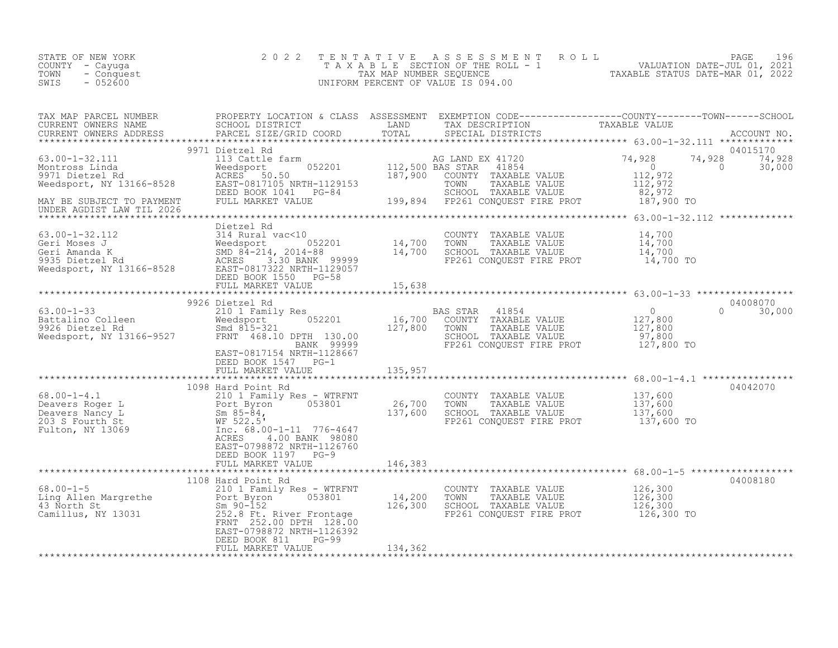| STATE OF NEW YORK<br>COUNTY - Cayuga<br>TOWN<br>- Conquest<br>SWIS<br>$-052600$                                                                                                                                                                                                                                                                                                                                             | 2 0 2 2                                                                     |         |                                                                                                                                           |                                                   |
|-----------------------------------------------------------------------------------------------------------------------------------------------------------------------------------------------------------------------------------------------------------------------------------------------------------------------------------------------------------------------------------------------------------------------------|-----------------------------------------------------------------------------|---------|-------------------------------------------------------------------------------------------------------------------------------------------|---------------------------------------------------|
|                                                                                                                                                                                                                                                                                                                                                                                                                             |                                                                             |         |                                                                                                                                           |                                                   |
| 9971 Dietzel Rd<br>Montross Linda (13 Cattle farm (13 Cattle farm (13 Cattle farm (13 Cattle farm (13 Cattle farm (13 Cattle 10<br>Montross Linda (NGRES 50.50 112,500 BAS STAR 41854 0<br>Weedsport, NY 13166-8528 EAST-0817105 NRT<br>UNDER AGDIST LAW TIL 2026                                                                                                                                                           | 9971 Dietzel Rd                                                             |         |                                                                                                                                           | 04015170<br>74,928 74,928<br>0 30,000<br>$\sim$ 0 |
|                                                                                                                                                                                                                                                                                                                                                                                                                             | Dietzel Rd                                                                  |         |                                                                                                                                           |                                                   |
|                                                                                                                                                                                                                                                                                                                                                                                                                             |                                                                             |         |                                                                                                                                           | 04008070<br>$0 \t 30,000$                         |
|                                                                                                                                                                                                                                                                                                                                                                                                                             |                                                                             |         |                                                                                                                                           |                                                   |
|                                                                                                                                                                                                                                                                                                                                                                                                                             | DEED BOOK 1547 PG-1<br>FULL MARKET VALUE 135,957                            |         |                                                                                                                                           |                                                   |
| $\begin{tabular}{lllllllllllllllllll} \hline 68.00-1-4.1 & \multicolumn{3}{c }{10} & \multicolumn{3}{c }{10} & \multicolumn{3}{c }{10} & \multicolumn{3}{c }{10} & \multicolumn{3}{c }{10} & \multicolumn{3}{c }{10} & \multicolumn{3}{c }{10} & \multicolumn{3}{c }{10} & \multicolumn{3}{c }{10} & \multicolumn{3}{c }{10} & \multicolumn{3}{c }{10} & \multicolumn{3}{c }{10} & \multicolumn{3}{c }{10} & \multicolumn{$ | EAST-0798872 NRTH-1126760<br>DEED BOOK 1197 PG-9                            |         |                                                                                                                                           | 04042070                                          |
|                                                                                                                                                                                                                                                                                                                                                                                                                             | FULL MARKET VALUE                                                           | 146,383 |                                                                                                                                           |                                                   |
| 1108 Hard Point Rd<br>210 1 Family Res - WTRFNT<br>Ling Allen Margrethe<br>43 North St<br>Camillus, NY 13031<br>252.08 FENT<br>252.00 DPTH 128.00                                                                                                                                                                                                                                                                           | FRNT 252.00 DPTH 128.00<br>EAST-0798872 NRTH-1126392<br>DEED BOOK 811 PG-99 |         | COUNTY TAXABLE VALUE $126,300$<br>TOWN TAXABLE VALUE $126,300$<br>SCHOOL TAXABLE VALUE $126,300$<br>FP261 CONQUEST FIRE PROT $126,300$ TO | 04008180                                          |
|                                                                                                                                                                                                                                                                                                                                                                                                                             | FULL MARKET VALUE                                                           | 134,362 |                                                                                                                                           |                                                   |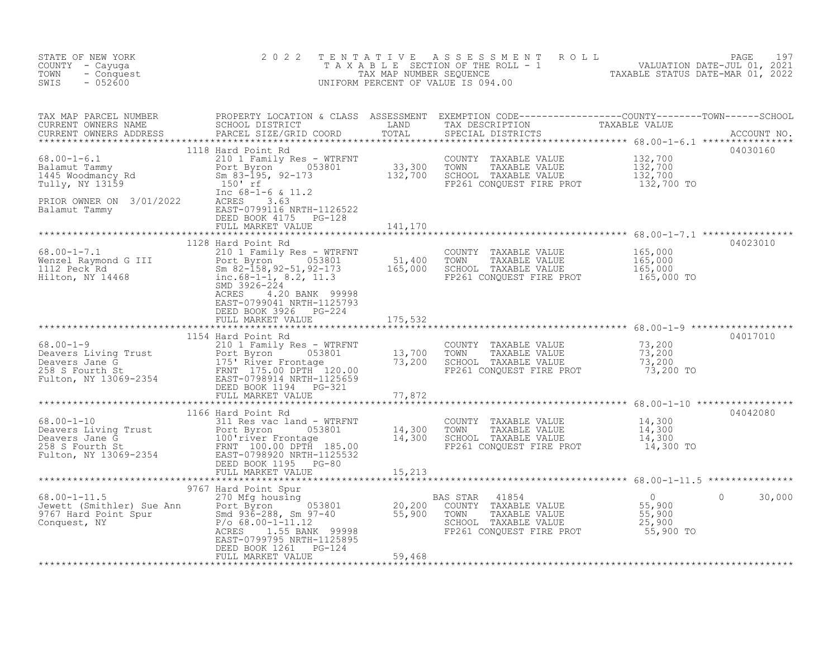| STATE OF NEW YORK<br>COUNTY - Cayuga<br>- Conquest<br>TOWN<br>$-052600$<br>SWIS                                                                                                                                                                  | 2 0 2 2                                                                  | TENTATIVE ASSESSMENT ROLL PALUATION DATE-JUL 01, 2021<br>TAXABLE SECTION OF THE ROLL - 1 VALUATION DATE-JUL 01, 2021<br>TAXABLE STATUS DATE-MAR 01, 2022<br>UNIFORM PERCENT OF VALUE IS 094.00 |         |          |
|--------------------------------------------------------------------------------------------------------------------------------------------------------------------------------------------------------------------------------------------------|--------------------------------------------------------------------------|------------------------------------------------------------------------------------------------------------------------------------------------------------------------------------------------|---------|----------|
| TAX MAP PARCEL NUMBER BROPERTY LOCATION & CLASS ASSESSMENT EXEMPTION CODE------------------COUNTY--------TOWN------SCHOOL CURRENT OWNERS NAME SCHOOL DISTRICT LAND TAX DESCRIPTION TAXABLE VALUE<br>CURRENT OWNERS ADDRESS PARCEL                |                                                                          |                                                                                                                                                                                                |         |          |
|                                                                                                                                                                                                                                                  | 1118 Hard Point Rd                                                       |                                                                                                                                                                                                |         | 04030160 |
|                                                                                                                                                                                                                                                  |                                                                          |                                                                                                                                                                                                |         |          |
|                                                                                                                                                                                                                                                  | 1128 Hard Point Rd<br>EAST-0799041 NRTH-1125793<br>DEED BOOK 3926 PG-224 |                                                                                                                                                                                                |         | 04023010 |
|                                                                                                                                                                                                                                                  | FULL MARKET VALUE 175,532                                                |                                                                                                                                                                                                |         |          |
| 1154 Hard Point Rd<br>210 1 Family Res - WTRFNT<br>Deavers Living Trust<br>210 1 Family Res - WTRFNT<br>210 1 Family Res - WTRFNT<br>210 1 Family Res - WTRFNT<br>213,700 TOWN TAXABLE VALUE<br>258 S Fourth St<br>258 S Fourth St<br>258 S Four |                                                                          |                                                                                                                                                                                                |         |          |
|                                                                                                                                                                                                                                                  |                                                                          |                                                                                                                                                                                                |         |          |
|                                                                                                                                                                                                                                                  |                                                                          |                                                                                                                                                                                                |         |          |
|                                                                                                                                                                                                                                                  |                                                                          |                                                                                                                                                                                                |         |          |
|                                                                                                                                                                                                                                                  | DEED BOOK 1261 PG-124<br>FULL MARKET VALUE 59,468                        |                                                                                                                                                                                                | $\circ$ | 30,000   |
|                                                                                                                                                                                                                                                  |                                                                          |                                                                                                                                                                                                |         |          |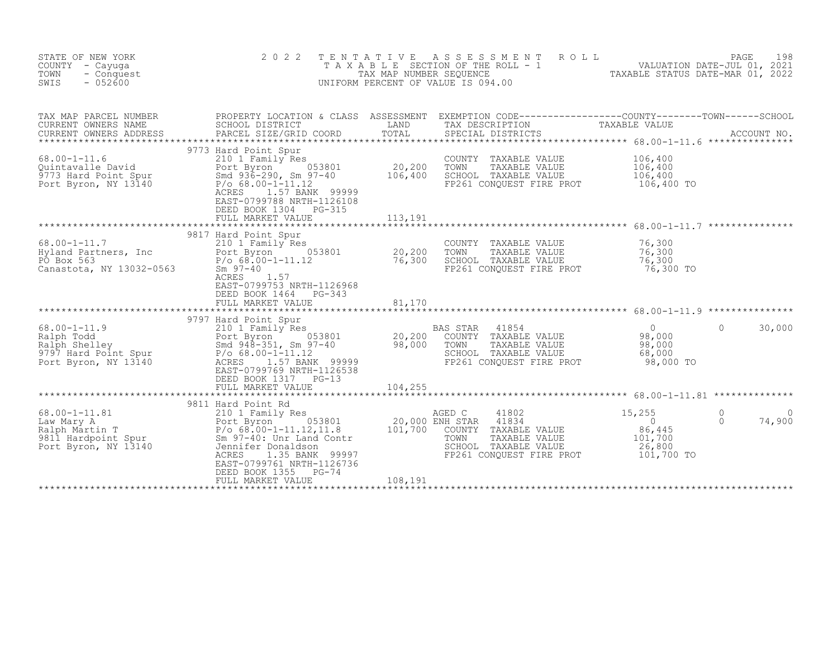| STATE OF NEW YORK<br>COUNTY - Cayuga<br>TOWN<br>- Conquest<br>SWIS<br>$-052600$ | 2 0 2 2                                                                                                                                                                                                                                                                                                                                    | T E N T A T I V E             | $\begin{tabular}{lllllllllllllllllllll} $\bot$ & $\bot$ & $\bot$ & $\bot$ & $\bot$ & $\bot$ \\ $\top$ & $\times$ & $\times$ & $\bot$ & $\bot$ & $\bot$ & $\bot$ & $\bot$ \\ $\top$ & $\times$ & $\times$ & $\text{SECTION of the ROLL} $ & $\top$ & $\top$ & $\top$ & $\top$ & $\top$ & $\top$ \\ $\top$ & $\times$ & $\text{MAP NUMBER} & $\text{SCUENCE}$ & $\top$ & $\top$ & $\text{EXAMPLE} & $\text{STATUS} $\text{ DATE}-\text{MAR} $\text{ 01, 2021}$ \\ $\top$ & $\top$ & $\top$ & $\top$ & $\top$ & $\top$ & $\top$ & $\$<br>UNIFORM PERCENT OF VALUE IS 094.00 |                                                         |                         |
|---------------------------------------------------------------------------------|--------------------------------------------------------------------------------------------------------------------------------------------------------------------------------------------------------------------------------------------------------------------------------------------------------------------------------------------|-------------------------------|--------------------------------------------------------------------------------------------------------------------------------------------------------------------------------------------------------------------------------------------------------------------------------------------------------------------------------------------------------------------------------------------------------------------------------------------------------------------------------------------------------------------------------------------------------------------------|---------------------------------------------------------|-------------------------|
| TAX MAP PARCEL NUMBER<br>CURRENT OWNERS NAME<br>CURRENT OWNERS ADDRESS          | SCHOOL DISTRICT<br>PARCEL SIZE/GRID COORD                                                                                                                                                                                                                                                                                                  | TOTAL                         | TAX DESCRIPTION<br>SPECIAL DISTRICTS                                                                                                                                                                                                                                                                                                                                                                                                                                                                                                                                     | TAXABLE VALUE                                           | ACCOUNT NO.             |
| $68.00 - 1 - 11.6$<br>Port Byron, NY 13140                                      | 9773 Hard Point Spur<br>210 1 Family Res<br>68.00-1-11.6 210 1 Family Res<br>Quintavalle David Port Byron 053801<br>9773 Hard Point Spur Smd 936-290, Sm 97-40<br>Port Byron, NY 13140 P/o 68.00-1-11.12<br>$P/O 68.00 - 1 - 11.12$<br>1.57 BANK 99999<br>ACRES<br>EAST-0799788 NRTH-1126108<br>DEED BOOK 1304 PG-315<br>FULL MARKET VALUE | 20, 200<br>106,400<br>113,191 | COUNTY TAXABLE VALUE<br>TOWN<br>TAXABLE VALUE<br>SCHOOL TAXABLE VALUE<br>FP261 CONQUEST FIRE PROT                                                                                                                                                                                                                                                                                                                                                                                                                                                                        | 106,400<br>106,400<br>106,400<br>106,400 TO             |                         |
|                                                                                 |                                                                                                                                                                                                                                                                                                                                            |                               |                                                                                                                                                                                                                                                                                                                                                                                                                                                                                                                                                                          |                                                         |                         |
|                                                                                 | 68.00-1-11.7 9817 Hard Point Spur<br>Hyland Partners, Inc 20.200<br>PO Box 563 P/o 68.00-1-11.12 76,300<br>Canastota, NY 13032-0563 Sm 97-40<br>ACRES 1.57<br>EAST-0799753 NRTH-1126968<br>DEED BOOK 1464 PG-343                                                                                                                           |                               | COUNTY TAXABLE VALUE 76,300<br>TOWN<br>TAXABLE VALUE<br>SCHOOL TAXABLE VALUE<br>FP261 CONQUEST FIRE PROT                                                                                                                                                                                                                                                                                                                                                                                                                                                                 | 76,300<br>76,300<br>76,300 TO                           |                         |
|                                                                                 | FULL MARKET VALUE                                                                                                                                                                                                                                                                                                                          | 81,170                        |                                                                                                                                                                                                                                                                                                                                                                                                                                                                                                                                                                          |                                                         |                         |
| $68.00 - 1 - 11.9$<br>Port Byron, NY 13140                                      | 9797 Hard Point Spur<br>210 1 Family Res<br>ACRES 1.57 BANK 99999<br>EAST-0799769 NRTH-1126538                                                                                                                                                                                                                                             |                               | BAS STAR 41854<br>VS STAR 41854<br>COUNTY TAXABLE VALUE 98,000<br>TAVABLE VALUE 98,000<br>SCHOOL TAXABLE VALUE<br>FP261 CONQUEST FIRE PROT                                                                                                                                                                                                                                                                                                                                                                                                                               | 68,000<br>98,000 TO                                     | $\Omega$<br>30,000      |
|                                                                                 | DEED BOOK 1317 PG-13<br>FULL MARKET VALUE                                                                                                                                                                                                                                                                                                  | 104,255                       |                                                                                                                                                                                                                                                                                                                                                                                                                                                                                                                                                                          |                                                         |                         |
|                                                                                 |                                                                                                                                                                                                                                                                                                                                            |                               |                                                                                                                                                                                                                                                                                                                                                                                                                                                                                                                                                                          |                                                         |                         |
| $68.00 - 1 - 11.81$                                                             | Hard Point Rd<br>210 1 Family Res<br>9811 Hard Point Rd<br>ACRES<br>1.35 BANK 99997<br>EAST-0799761 NRTH-1126736                                                                                                                                                                                                                           |                               | AGED C<br>41802<br>FP261 CONQUEST FIRE PROT 101,700 TO                                                                                                                                                                                                                                                                                                                                                                                                                                                                                                                   | 15,255<br>$\overline{0}$<br>86,445<br>101,700<br>26,800 | 0<br>$\Omega$<br>74,900 |
|                                                                                 | DEED BOOK 1355 PG-74<br>FULL MARKET VALUE                                                                                                                                                                                                                                                                                                  | 108,191                       |                                                                                                                                                                                                                                                                                                                                                                                                                                                                                                                                                                          |                                                         |                         |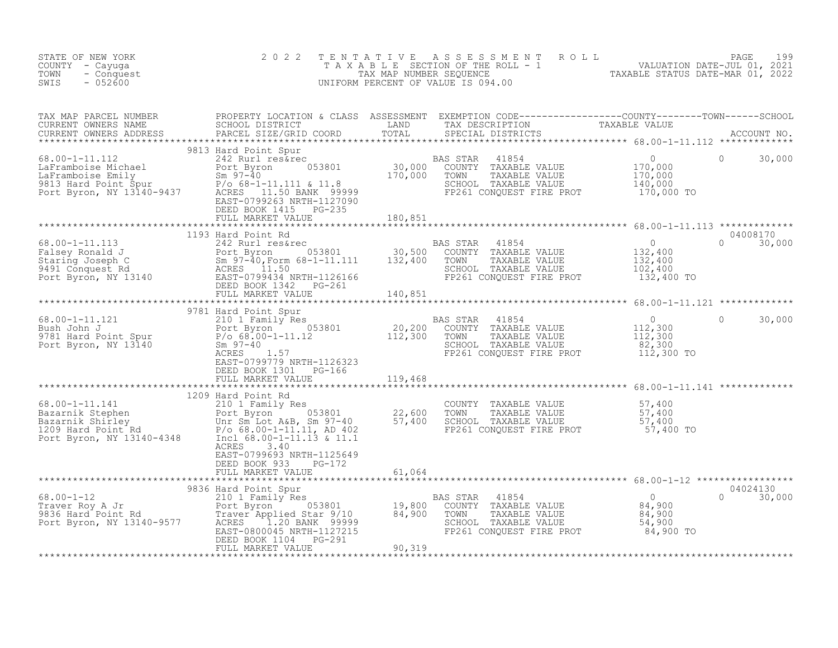| STATE OF NEW YORK<br>COUNTY - Cayuga<br>- Conquest<br>TOWN<br>$-052600$<br>SWIS                                                                                                                                                                                                                                                                                                  | 2 0 2 2                                                                       |        |                                                                                                                                                     | TENTATIVE ASSESSMENT ROLL PAGE 199<br>TAXABLE SECTION OF THE ROLL - 1 VALUATION DATE-JUL 01, 2021<br>TAX MAP NUMBER SEQUENCE TAXABLE STATUS DATE-MAR 01, 2022<br>UNIFORM PERCENT OF VALUE IS 094.00                                                                                                                                                                                                                                                                     |  |
|----------------------------------------------------------------------------------------------------------------------------------------------------------------------------------------------------------------------------------------------------------------------------------------------------------------------------------------------------------------------------------|-------------------------------------------------------------------------------|--------|-----------------------------------------------------------------------------------------------------------------------------------------------------|-------------------------------------------------------------------------------------------------------------------------------------------------------------------------------------------------------------------------------------------------------------------------------------------------------------------------------------------------------------------------------------------------------------------------------------------------------------------------|--|
|                                                                                                                                                                                                                                                                                                                                                                                  |                                                                               |        |                                                                                                                                                     |                                                                                                                                                                                                                                                                                                                                                                                                                                                                         |  |
|                                                                                                                                                                                                                                                                                                                                                                                  | DEED BOOK 1415 PG-235<br>DEED BOOK 1415 FG-235<br>FULL MARKET VALUE 180,851   |        |                                                                                                                                                     | $\begin{tabular}{lllllllllllllllllllllll} \textsc{TAX} & \textsc{MAP} & \textsc{PROBERT} & \textsc{DCART} & \textsc{DCART} & \textsc{EXEMENT} & \textsc{EXEMENT} & \textsc{CODE--------------COUNITY-------TOWN----SCHOOL \\ \textsc{CUREENT} & \textsc{ONWERS} & \textsc{NABRES} & \textsc{SRRCELI} & \textsc{STISTICT} & \textsc{TCRAT} & \textsc{TCTAL} & \textsc{DFSTRTCTS} & \textsc{ACCOURN} & \textsc{ACCOURN} & \textsc{ACCOURN} & \textsc{DCCURE} \\ \textsc{$ |  |
|                                                                                                                                                                                                                                                                                                                                                                                  |                                                                               |        |                                                                                                                                                     |                                                                                                                                                                                                                                                                                                                                                                                                                                                                         |  |
|                                                                                                                                                                                                                                                                                                                                                                                  |                                                                               |        |                                                                                                                                                     |                                                                                                                                                                                                                                                                                                                                                                                                                                                                         |  |
|                                                                                                                                                                                                                                                                                                                                                                                  |                                                                               |        |                                                                                                                                                     |                                                                                                                                                                                                                                                                                                                                                                                                                                                                         |  |
| 3781 Hard Point Spur<br>Point Spur<br>Point Spur<br>Point Spur<br>Point Spur<br>Point Spur<br>Point Spur<br>Point Spur<br>Point Spur<br>Point Spur<br>Point Space 3801<br>Point Spur<br>Point Spur<br>Point Spur<br>Point Spur<br>Point Spur<br>Sm 97-40<br>RARB                                                                                                                 | DEED BOOK 1301 PG-166<br>FULL MARKET VALUE<br>FULL MARKET VALUE 119,468       |        | AS STAR 41854 0<br>COUNTY TAXABLE VALUE 112,300<br>TOWN TAXABLE VALUE 112,300<br>SCHOOL TAXABLE VALUE 82,300<br>FP261 CONQUEST FIRE PROT 112,300 TO | $\circ$<br>30,000                                                                                                                                                                                                                                                                                                                                                                                                                                                       |  |
|                                                                                                                                                                                                                                                                                                                                                                                  | ******************************                                                |        |                                                                                                                                                     |                                                                                                                                                                                                                                                                                                                                                                                                                                                                         |  |
| $\begin{tabular}{lllllllllll} 68.00-1-11.141 & 1209\ \texttt{Hard Point Rd} & 2101\ \texttt{Family Res} & 22,600\ \texttt{Box} & 57,400\ \texttt{Bazarnik Stephen} & 57,400\ \texttt{Bazarnik Stephen} & 57,400\ \texttt{Box} & 57,400\ \texttt{Box} & 57,400\ \texttt{Dor Byron, NY 13140-4348} & 57,400\ \texttt{Port Byron, NY 13140-4348} & 57,400\ \texttt{COur Sm Lot Byn$ | ACRES 3.40                                                                    |        |                                                                                                                                                     |                                                                                                                                                                                                                                                                                                                                                                                                                                                                         |  |
|                                                                                                                                                                                                                                                                                                                                                                                  | EAST-0799693 NRTH-1125649<br>DEED BOOK 933 PG-172<br>FULL MARKET VALUE 61,064 |        |                                                                                                                                                     |                                                                                                                                                                                                                                                                                                                                                                                                                                                                         |  |
|                                                                                                                                                                                                                                                                                                                                                                                  | FULL MARKET VALUE                                                             | 90,319 |                                                                                                                                                     | 04024130<br>$0 \t30,000$                                                                                                                                                                                                                                                                                                                                                                                                                                                |  |
|                                                                                                                                                                                                                                                                                                                                                                                  |                                                                               |        |                                                                                                                                                     |                                                                                                                                                                                                                                                                                                                                                                                                                                                                         |  |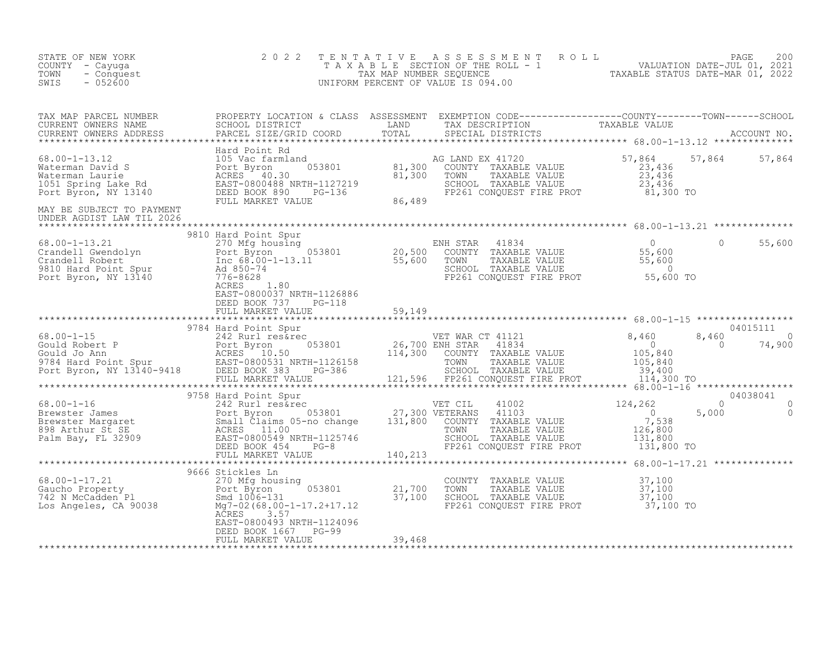| STATE OF NEW YORK<br>COUNTY - Cayuga<br>TOWN<br>- Conquest<br>SWIS<br>$-052600$                                                                                                                                                                                                                                                                                                                                                   | 2 0 2 2                                                                                | TENTATIVE | TENTATIVE ASSESSMENT ROLL UNIVATION DATE-JUL 01, 2021<br>TAXABLE SECTION OF THE ROLL - 1 VALUATION DATE-JUL 01, 2021<br>TAXABLE STATUS DATE-MAR 01, 2022<br>INIFORM PERCENT OF VALUE IS 094.00<br>UNIFORM PERCENT OF VALUE IS 094.00 |                                 |                           |
|-----------------------------------------------------------------------------------------------------------------------------------------------------------------------------------------------------------------------------------------------------------------------------------------------------------------------------------------------------------------------------------------------------------------------------------|----------------------------------------------------------------------------------------|-----------|--------------------------------------------------------------------------------------------------------------------------------------------------------------------------------------------------------------------------------------|---------------------------------|---------------------------|
|                                                                                                                                                                                                                                                                                                                                                                                                                                   |                                                                                        |           |                                                                                                                                                                                                                                      |                                 |                           |
| CURRENT OWNERS ADDRESS<br>TOTAL TOTAL TOTAL SIZE/GRID COORD TON SECTIAL DISTRICTS<br>FIG. 101 2 3,436<br>Materman David S<br>Materman Laurie (105 Vac farmland and 21,300 COUNTY TAXABLE VALUE<br>Materman Laurie (105 Vac farmland and<br>MAY BE SUBJECT TO PAYMENT                                                                                                                                                              |                                                                                        |           |                                                                                                                                                                                                                                      |                                 | 57,864 57,864             |
| UNDER AGDIST LAW TIL 2026                                                                                                                                                                                                                                                                                                                                                                                                         |                                                                                        |           |                                                                                                                                                                                                                                      |                                 |                           |
| $\begin{tabular}{lllllllllll} 68.00-1-13.21 & 9810 Hard Point Spur & \multicolumn{2}{c }{270 Mg housing} & \multicolumn{2}{c }{EMS TRAR} & 41834 & 0 \\ \multicolumn{2}{c }{Crandell Gwendolyn} & 270 Mg housing & \multicolumn{2}{c }{ENIS TRAR} & 41834 & 0 \\ \multicolumn{2}{c }{Crandell Robert} & 0 & 20,500 & \multicolumn{2}{c }{COUNTY} & TAXABLE VALUE & 55,600 \\ \multicolumn{2}{c }{Crandell Robert} & 0 & 20,500 &$ | EAST-0800037 NRTH-1126886<br>DEED BOOK 737 PG-118                                      |           |                                                                                                                                                                                                                                      |                                 | $\Omega$<br>55,600        |
|                                                                                                                                                                                                                                                                                                                                                                                                                                   |                                                                                        |           |                                                                                                                                                                                                                                      |                                 |                           |
|                                                                                                                                                                                                                                                                                                                                                                                                                                   | ***************************                                                            |           |                                                                                                                                                                                                                                      | 8,460<br>$\sim$ 0<br>114,300 TO | 04015111<br>0<br>74,900   |
|                                                                                                                                                                                                                                                                                                                                                                                                                                   |                                                                                        |           |                                                                                                                                                                                                                                      |                                 | 04038041                  |
|                                                                                                                                                                                                                                                                                                                                                                                                                                   |                                                                                        |           |                                                                                                                                                                                                                                      | $\overline{0}$<br>5,000         | $\circ$<br>$\overline{0}$ |
|                                                                                                                                                                                                                                                                                                                                                                                                                                   |                                                                                        |           |                                                                                                                                                                                                                                      |                                 |                           |
| 88.00-1-17.21<br>Gaucho Property<br>742 N McCadden P1 5000 5000-131<br>742 N McCadden P1 5006-131<br>77,100<br>77,100<br>77,100<br>8 Mg7-02 (68.00-1-17.2+17.12<br>8 Mg7-02 (68.00-1-17.2+17.12                                                                                                                                                                                                                                   | 9666 Stickles Ln<br>ACRES<br>3.57<br>EAST-0800493 NRTH-1124096<br>DEED BOOK 1667 PG-99 |           | COUNTY TAXABLE VALUE $37,100$<br>TOWN TAXABLE VALUE $37,100$<br>SCHOOL TAXABLE VALUE $37,100$<br>FP261 CONQUEST FIRE PROT $37,100$ TO                                                                                                |                                 |                           |
|                                                                                                                                                                                                                                                                                                                                                                                                                                   | FULL MARKET VALUE                                                                      | 39,468    |                                                                                                                                                                                                                                      |                                 |                           |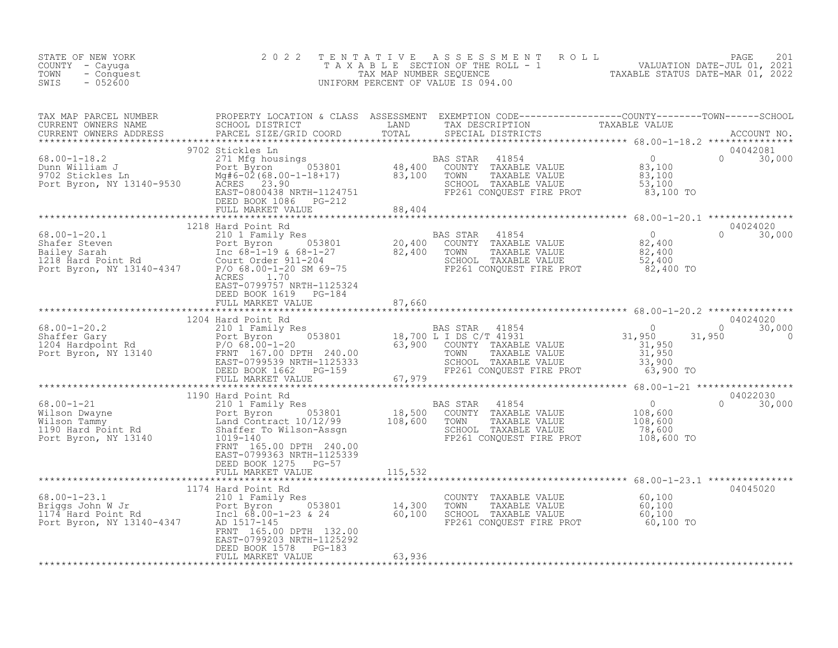| STATE OF NEW YORK<br>COUNTY - Cayuga<br>- Conquest<br>TOWN<br>$-052600$<br>SWIS                                                                                                                                                                      | 2 0 2 2                                                                                                   |               | TENTATIVE ASSESSMENT ROLL PACE 201<br>TAXABLE SECTION OF THE ROLL - 1 VALUATION DATE-JUL 01, 2021<br>TAX MAP NUMBER SEQUENCE TAXABLE STATUS DATE-MAR 01, 2022<br>UNIFORM PERCENT OF VALUE IS 094.00                              |
|------------------------------------------------------------------------------------------------------------------------------------------------------------------------------------------------------------------------------------------------------|-----------------------------------------------------------------------------------------------------------|---------------|----------------------------------------------------------------------------------------------------------------------------------------------------------------------------------------------------------------------------------|
|                                                                                                                                                                                                                                                      |                                                                                                           |               | TAX MAP PARCEL NUMBER BROPERTY LOCATION & CLASS ASSESSMENT EXEMPTION CODE-----------------COUNTY--------TOWN------SCHOOL CURRENT OWNERS NAME SCHOOL DISTRICT LAND TAX DESCRIPTION TAXABLE VALUE<br>CURRENT OWNERS ADDRESS PARCEL |
|                                                                                                                                                                                                                                                      | 9702 Stickles Ln                                                                                          |               | 04042081<br>$0 \t 30,000$                                                                                                                                                                                                        |
|                                                                                                                                                                                                                                                      |                                                                                                           |               |                                                                                                                                                                                                                                  |
| 1218 Hard Point Rd<br>1218 Hard Point Rd<br>210 1 Family Res<br>210 1 Family Res<br>210 1 Family Res<br>210 1 Family Res<br>20,400 COUNTY TAXABLE VALUE<br>22,400 ENTER PAULS<br>22,400 ENTER PAULS<br>22,400 ENTER PROT<br>22,400 ENTER PROT<br>22, |                                                                                                           |               | 04024020<br>$0 \t30,000$                                                                                                                                                                                                         |
|                                                                                                                                                                                                                                                      | EAST-0799757 NRTH-1125324<br>DEED BOOK 1619 PG-184<br>FULL MARKET VALUE                                   | 87,660        |                                                                                                                                                                                                                                  |
|                                                                                                                                                                                                                                                      |                                                                                                           |               |                                                                                                                                                                                                                                  |
|                                                                                                                                                                                                                                                      |                                                                                                           |               |                                                                                                                                                                                                                                  |
|                                                                                                                                                                                                                                                      |                                                                                                           |               |                                                                                                                                                                                                                                  |
|                                                                                                                                                                                                                                                      | FRNT 165.00 DPTH 240.00<br>EAST-0799363 NRTH-1125339<br>DEED BOOK 1275 PG-57<br>FULL MARKET VALUE 115,532 |               |                                                                                                                                                                                                                                  |
|                                                                                                                                                                                                                                                      |                                                                                                           |               |                                                                                                                                                                                                                                  |
|                                                                                                                                                                                                                                                      | EAST-0799203 NRTH-1125292<br>DEED BOOK 1578 PG-183                                                        |               | 04045020                                                                                                                                                                                                                         |
|                                                                                                                                                                                                                                                      | FULL MARKET VALUE                                                                                         | $-103$ 63,936 |                                                                                                                                                                                                                                  |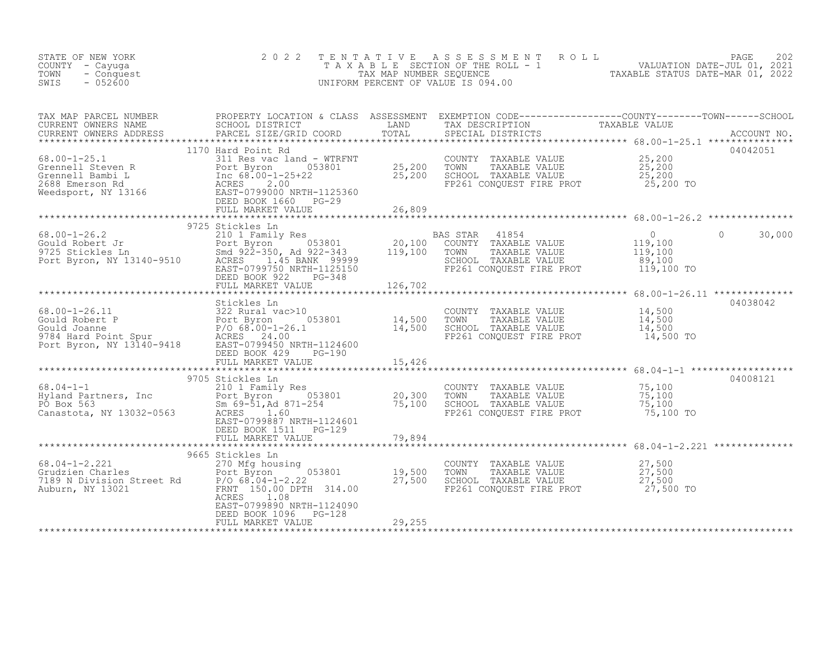| STATE OF NEW YORK<br>COUNTY - Cayuga<br>- Conquest<br>TOWN<br>$-052600$<br>SWIS                                                                                                                                                                      | 2 0 2 2                                                                                                                                                                               | TENTATIVE        | UNIFORM PERCENT OF VALUE IS 094.00                                                                                                    | TENTATIVE ASSESSMENT ROLL MALUATION DATE-JUL 01, 2021<br>TAXABLE SECTION OF THE ROLL - 1 VALUATION DATE-JUL 01, 2021<br>TAXABLE STATUS DATE-MAR 01, 2022<br>INIFORM PERCENT OF VALUE IS 094.00 |
|------------------------------------------------------------------------------------------------------------------------------------------------------------------------------------------------------------------------------------------------------|---------------------------------------------------------------------------------------------------------------------------------------------------------------------------------------|------------------|---------------------------------------------------------------------------------------------------------------------------------------|------------------------------------------------------------------------------------------------------------------------------------------------------------------------------------------------|
|                                                                                                                                                                                                                                                      |                                                                                                                                                                                       |                  |                                                                                                                                       |                                                                                                                                                                                                |
| 68.00-1-25.1<br>Grennell Steven R<br>Grennell Bambi L<br>2688 Emerson Rd<br>Weedsport, NY 13166<br>CHERE BOOK 1660 PG-29<br>DEED BOOK 1660 PG-29                                                                                                     | 1170 Hard Point Rd<br>311 Res vac land - WTRFNT<br>Port Byron 053801 25,200<br>Inc 68.00-1-25+22 25,200<br>ACRES 2 00<br>DEED BOOK 1660 PG-29<br>FULL MARKET VALUE                    | 26,809           | COUNTY TAXABLE VALUE $25,200$<br>TOWN TAXABLE VALUE $25,200$<br>SCHOOL TAXABLE VALUE $25,200$<br>FP261 CONQUEST FIRE PROT $25,200$ TO | 04042051                                                                                                                                                                                       |
|                                                                                                                                                                                                                                                      |                                                                                                                                                                                       |                  |                                                                                                                                       |                                                                                                                                                                                                |
| 00.00-1-26.2<br>Gould Robert Jr<br>9725 Stickles Ln<br>Port Byron, NY 13140-9510<br>Port Byron, NY 13140-9510<br>EAST-0799750 NRTH-1125150                                                                                                           | DEED BOOK 922<br>PG-348<br>FULL MARKET VALUE                                                                                                                                          | 126,702          | 41854<br>BAS STAR<br>COUNTY TAXABLE VALUE<br>TOWN<br>TAXABLE VALUE<br>SCHOOL TAXABLE VALUE<br>FP261 CONQUEST FIRE PROT                | $\overline{0}$<br>$\circ$<br>30,000<br>$\begin{array}{c} 0 \\ 119,100 \\ 119,100 \end{array}$<br>89,100<br>119,100 TO                                                                          |
|                                                                                                                                                                                                                                                      |                                                                                                                                                                                       |                  |                                                                                                                                       |                                                                                                                                                                                                |
| 68.00-1-26.11<br>Gould Robert P<br>Gould Joanne<br>9784 Hard Point Spur<br>Port Byron, NY 13140-9418<br>Port Byron, NY 13140-9418<br>Port Byron, NY 13140-9418<br>Port Byron, NY 13140-9418<br>POED BOOK 429<br>POED BOOK 429<br>POED BOOK 429<br>PO | Stickles Ln<br>ac/10<br>053801 14,500<br>-26.1 14,500<br>FULL MARKET VALUE                                                                                                            | 15,426           | COUNTY TAXABLE VALUE<br>TOWN<br>TAXABLE VALUE<br>SCHOOL TAXABLE VALUE<br>FP261 CONQUEST FIRE PROT                                     | 04038042<br>14,500<br>14,500<br>14,500<br>14,500 TO                                                                                                                                            |
|                                                                                                                                                                                                                                                      |                                                                                                                                                                                       |                  |                                                                                                                                       |                                                                                                                                                                                                |
| $68.04 - 1 - 1$<br>68.04-1-1 210 1 Family<br>Hyland Partners, Inc Port Byron<br>PO Box 563 50 50 50.000 50.000<br>Canastota, NY 13032-0563 ACRES                                                                                                     | 9705 Stickles Ln<br>210 1 Family Res<br>Port Byron 053801 20,300<br>Sm 69-51, Ad 871-254 75,100<br>1.60<br>EAST-0799887 NRTH-1124601<br>DEED BOOK 1511    PG-129<br>FULL MARKET VALUE | 79,894           | COUNTY TAXABLE VALUE<br>TOWN<br>TAXABLE VALUE<br>SCHOOL TAXABLE VALUE<br>FP261 CONQUEST FIRE PROT                                     | 04008121<br>75,100<br>75,100<br>75,100<br>75,100 TO                                                                                                                                            |
|                                                                                                                                                                                                                                                      |                                                                                                                                                                                       |                  |                                                                                                                                       |                                                                                                                                                                                                |
| $68.04 - 1 - 2.221$<br>68.04-1-2.221 270 Mfg housing<br>Grudzien Charles<br>7189 N Division Street Rd<br>8/0 68.04-1-2.22<br>8/0 68.04-1-2.22<br>8/0 108<br>8/0 108<br>8/0 108                                                                       | 9665 Stickles Ln<br>ACRES<br>1.08<br>EAST-0799890 NRTH-1124090<br>DEED BOOK 1096<br>PG-128                                                                                            | 19,500<br>27,500 | COUNTY TAXABLE VALUE $27,500$<br>TOWN TAXABLE VALUE $27,500$<br>SCHOOL TAXABLE VALUE $27,500$<br>FP261 CONQUEST FIRE PROT $27,500$    |                                                                                                                                                                                                |
|                                                                                                                                                                                                                                                      | FULL MARKET VALUE                                                                                                                                                                     | 29,255           |                                                                                                                                       |                                                                                                                                                                                                |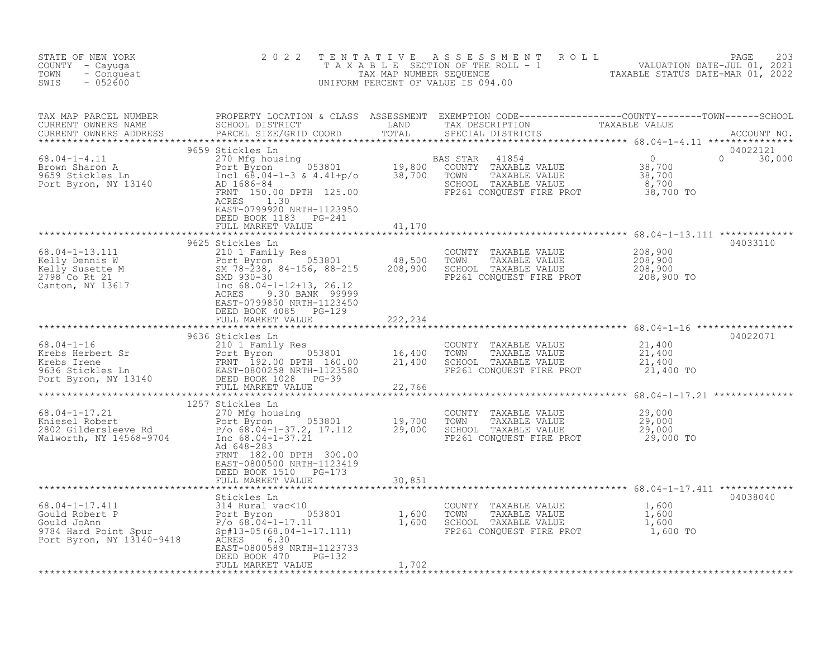| PARCEL SIZE/GRID COORD<br>CURRENT OWNERS ADDRESS<br>SPECIAL DISTRICTS<br>ACCOUNT NO.<br>9659 Stickles Ln<br>04022121<br>% AS STAR 41854<br>COUNTY TAXABLE VALUE 38,700<br>TOWN TAXABLE VALUE 38,700<br>SCHOOL TAXABLE VALUE 8,700<br>FP261 CONQUEST FIRE PROT 38,700 TO<br>8.04-1-4.11<br>BAS STAR 41854<br>Brown Sharon A<br>Port Byron 053801<br>9659 Stickles Ln Incl 68.04-1-3 & 4.41+p/o 38,700 TOWN TAXABLE VALUE<br>Port Byron, NY 13140 AD 1686-84<br>Port Byron, NY 13140 AD 1686-84<br>Port Byron, NY 13140 A<br>$\Omega$<br>30,000<br>FRNT 150.00 DPTH 125.00<br>ACRES<br>1.30<br>EAST-0799920 NRTH-1123950<br>DEED BOOK 1183 PG-241<br>41,170<br>FULL MARKET VALUE<br>*******************<br>*************<br>04033110<br>COUNTY TAXABLE VALUE $208,900$<br>TOWN TAXABLE VALUE $208,900$<br>SCHOOL TAXABLE VALUE $208,900$<br>FP261 CONQUEST FIRE PROT $208,900$ TO<br>06.04-1-13.111<br>Kelly Dennis W<br>Kelly Susette M<br>210 1 Family Res<br>Port Byron 053801 48,500<br>SM 78-238, 84-156, 88-215 208,900<br>2798 Co Rt 21<br>Canton, NY 13617 Inc 68.04-1-12+13, 26.12<br>ACRES 9.30 RANK 99990<br>EAST-0799850 NRTH-1123450<br>DEED BOOK 4085 PG-129<br>222,234<br>FULL MARKET VALUE<br>04022071<br>9636 Stickles Ln<br>68.04-1-16<br>Krebs Herbert Sr<br>Krebs Tene 210 1 Family Res<br>FRNT 192.00 DPTH 160.00 21,400<br>9636 Stickles Ln<br>Port Byron, NY 13140<br>FRNT 192.00 DPTH 160.00 21,400<br>DEED BOOK 1028 PG-39<br>FULL MARKET VALUE<br>******************<br>COUNTY TAXABLE VALUE $21,400$<br>TOWN TAXABLE VALUE $21,400$<br>SCHOOL TAXABLE VALUE $21,400$<br>FP261 CONQUEST FIRE PROT $21,400$ TO<br>1257 Stickles Ln<br>68.04-1-17.21 123 123 270 Mfg housing<br>Kniesel Robert Port Byron 053801 19,700 TOWN TAXABLE VALUE 29,000<br>2802 Gildersleeve Rd P/o 68.04-1-37.2, 17.112 29,000 SCHOOL TAXABLE VALUE 29,000<br>29,000 TOWN TAXABLE VALUE 29,000 2<br>Ad 648-283<br>FRNT 182.00 DPTH 300.00<br>EAST-0800500 NRTH-1123419<br>DEED BOOK 1510 PG-173<br>30,851<br>FULL MARKET VALUE<br>04038040<br>68.04-1-17.411<br>Gould Robert P<br>Gould Johan<br>Gould Johan<br>Suickles Ln<br>314 Rural vac<10<br>Port Byron<br>Port Byron 1,600<br>P/0 68.04-1-17.11<br>Port Byron, NY 13140-9418<br>Rexes<br>Rexes<br>Rexes<br>Rexes<br>Port 304-1-17.111)<br>Rexes<br>Re<br>COUNTY TAXABLE VALUE $\begin{array}{cccc} 1,600 \ \text{TOWN} & \text{TAXABLE VALUE} & 1,600 \ \text{SCHOOL} & \text{TAXABLE VALUE} & 1,600 \ \text{FP261 CONQUEST FIRE PROT} & 1,600 \ \text{FP261 CONQUEST FIRE PROT} & 1,600 \ \end{array}$ | STATE OF NEW YORK<br>COUNTY - Cayuga<br>TOWN<br>- Conquest<br>$-052600$<br>SWIS | 2 0 2 2                   |  | TENTATIVE ASSESSMENT ROLL PAGE 203<br>TAXABLE SECTION OF THE ROLL - 1 VALUATION DATE-JUL 01, 2021<br>TAX MAP NUMBER SEQUENCE TAXABLE STATUS DATE-MAR 01, 2022<br>UNIFORM PERCENT OF VALUE IS 094.00 |
|-----------------------------------------------------------------------------------------------------------------------------------------------------------------------------------------------------------------------------------------------------------------------------------------------------------------------------------------------------------------------------------------------------------------------------------------------------------------------------------------------------------------------------------------------------------------------------------------------------------------------------------------------------------------------------------------------------------------------------------------------------------------------------------------------------------------------------------------------------------------------------------------------------------------------------------------------------------------------------------------------------------------------------------------------------------------------------------------------------------------------------------------------------------------------------------------------------------------------------------------------------------------------------------------------------------------------------------------------------------------------------------------------------------------------------------------------------------------------------------------------------------------------------------------------------------------------------------------------------------------------------------------------------------------------------------------------------------------------------------------------------------------------------------------------------------------------------------------------------------------------------------------------------------------------------------------------------------------------------------------------------------------------------------------------------------------------------------------------------------------------------------------------------------------------------------------------------------------------------------------------------------------------------------------------------------------------------------------------------------------------------------------------------------------------------------------------------------------------------------------------------------------------------------------------------------------|---------------------------------------------------------------------------------|---------------------------|--|-----------------------------------------------------------------------------------------------------------------------------------------------------------------------------------------------------|
|                                                                                                                                                                                                                                                                                                                                                                                                                                                                                                                                                                                                                                                                                                                                                                                                                                                                                                                                                                                                                                                                                                                                                                                                                                                                                                                                                                                                                                                                                                                                                                                                                                                                                                                                                                                                                                                                                                                                                                                                                                                                                                                                                                                                                                                                                                                                                                                                                                                                                                                                                                 |                                                                                 |                           |  |                                                                                                                                                                                                     |
|                                                                                                                                                                                                                                                                                                                                                                                                                                                                                                                                                                                                                                                                                                                                                                                                                                                                                                                                                                                                                                                                                                                                                                                                                                                                                                                                                                                                                                                                                                                                                                                                                                                                                                                                                                                                                                                                                                                                                                                                                                                                                                                                                                                                                                                                                                                                                                                                                                                                                                                                                                 |                                                                                 |                           |  |                                                                                                                                                                                                     |
|                                                                                                                                                                                                                                                                                                                                                                                                                                                                                                                                                                                                                                                                                                                                                                                                                                                                                                                                                                                                                                                                                                                                                                                                                                                                                                                                                                                                                                                                                                                                                                                                                                                                                                                                                                                                                                                                                                                                                                                                                                                                                                                                                                                                                                                                                                                                                                                                                                                                                                                                                                 |                                                                                 |                           |  |                                                                                                                                                                                                     |
|                                                                                                                                                                                                                                                                                                                                                                                                                                                                                                                                                                                                                                                                                                                                                                                                                                                                                                                                                                                                                                                                                                                                                                                                                                                                                                                                                                                                                                                                                                                                                                                                                                                                                                                                                                                                                                                                                                                                                                                                                                                                                                                                                                                                                                                                                                                                                                                                                                                                                                                                                                 |                                                                                 |                           |  |                                                                                                                                                                                                     |
|                                                                                                                                                                                                                                                                                                                                                                                                                                                                                                                                                                                                                                                                                                                                                                                                                                                                                                                                                                                                                                                                                                                                                                                                                                                                                                                                                                                                                                                                                                                                                                                                                                                                                                                                                                                                                                                                                                                                                                                                                                                                                                                                                                                                                                                                                                                                                                                                                                                                                                                                                                 |                                                                                 |                           |  |                                                                                                                                                                                                     |
|                                                                                                                                                                                                                                                                                                                                                                                                                                                                                                                                                                                                                                                                                                                                                                                                                                                                                                                                                                                                                                                                                                                                                                                                                                                                                                                                                                                                                                                                                                                                                                                                                                                                                                                                                                                                                                                                                                                                                                                                                                                                                                                                                                                                                                                                                                                                                                                                                                                                                                                                                                 |                                                                                 |                           |  |                                                                                                                                                                                                     |
|                                                                                                                                                                                                                                                                                                                                                                                                                                                                                                                                                                                                                                                                                                                                                                                                                                                                                                                                                                                                                                                                                                                                                                                                                                                                                                                                                                                                                                                                                                                                                                                                                                                                                                                                                                                                                                                                                                                                                                                                                                                                                                                                                                                                                                                                                                                                                                                                                                                                                                                                                                 |                                                                                 |                           |  |                                                                                                                                                                                                     |
|                                                                                                                                                                                                                                                                                                                                                                                                                                                                                                                                                                                                                                                                                                                                                                                                                                                                                                                                                                                                                                                                                                                                                                                                                                                                                                                                                                                                                                                                                                                                                                                                                                                                                                                                                                                                                                                                                                                                                                                                                                                                                                                                                                                                                                                                                                                                                                                                                                                                                                                                                                 |                                                                                 |                           |  |                                                                                                                                                                                                     |
|                                                                                                                                                                                                                                                                                                                                                                                                                                                                                                                                                                                                                                                                                                                                                                                                                                                                                                                                                                                                                                                                                                                                                                                                                                                                                                                                                                                                                                                                                                                                                                                                                                                                                                                                                                                                                                                                                                                                                                                                                                                                                                                                                                                                                                                                                                                                                                                                                                                                                                                                                                 |                                                                                 |                           |  |                                                                                                                                                                                                     |
| DEED BOOK 470<br>PG-132                                                                                                                                                                                                                                                                                                                                                                                                                                                                                                                                                                                                                                                                                                                                                                                                                                                                                                                                                                                                                                                                                                                                                                                                                                                                                                                                                                                                                                                                                                                                                                                                                                                                                                                                                                                                                                                                                                                                                                                                                                                                                                                                                                                                                                                                                                                                                                                                                                                                                                                                         |                                                                                 | EAST-0800589 NRTH-1123733 |  |                                                                                                                                                                                                     |
| FULL MARKET VALUE<br>1,702                                                                                                                                                                                                                                                                                                                                                                                                                                                                                                                                                                                                                                                                                                                                                                                                                                                                                                                                                                                                                                                                                                                                                                                                                                                                                                                                                                                                                                                                                                                                                                                                                                                                                                                                                                                                                                                                                                                                                                                                                                                                                                                                                                                                                                                                                                                                                                                                                                                                                                                                      |                                                                                 |                           |  |                                                                                                                                                                                                     |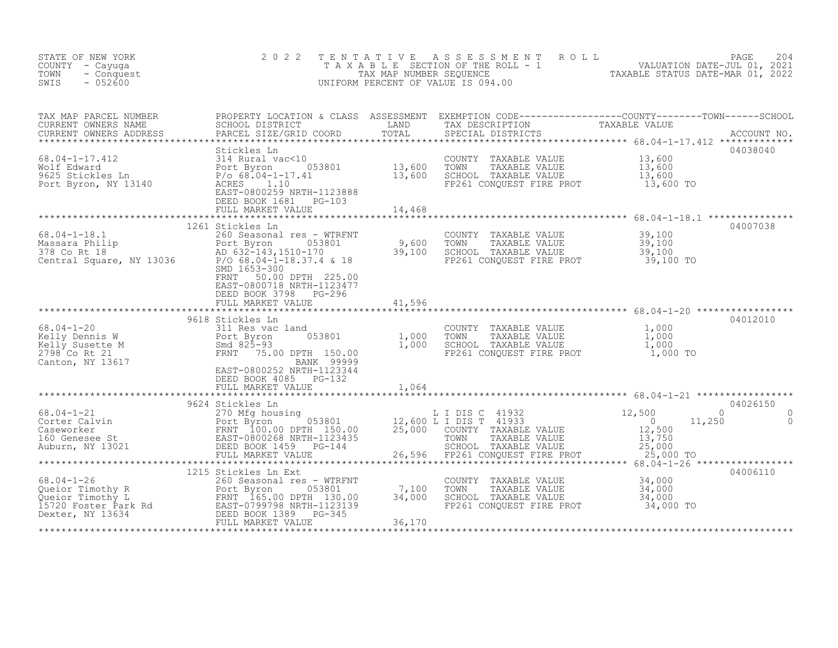| STATE OF NEW YORK<br>COUNTY - Cayuga<br>TOWN<br>- Conquest<br>$-052600$<br>SWIS                                                                                                                                                                            | 2 0 2 2                                                                                                                                          | TENTATIVE                                     | PAGE 204<br>TAXABLE SECTION OF THE ROLL - 1 VALUATION DATE-JUL 01, 2021<br>TAX MAP NUMBER SEQUENCE TAXABLE STATUS DATE-MAR 01, 2022<br>NIFORM PERCENT OF VALUE IS 094.00<br>UNIFORM PERCENT OF VALUE IS 094.00                                                                                                                                                                                                                                       |                                  |                                       |
|------------------------------------------------------------------------------------------------------------------------------------------------------------------------------------------------------------------------------------------------------------|--------------------------------------------------------------------------------------------------------------------------------------------------|-----------------------------------------------|------------------------------------------------------------------------------------------------------------------------------------------------------------------------------------------------------------------------------------------------------------------------------------------------------------------------------------------------------------------------------------------------------------------------------------------------------|----------------------------------|---------------------------------------|
| TAX MAP PARCEL NUMBER<br>TAX MAP PARCEL NUMBER<br>CURRENT OWNERS NAME<br>CURRENT OWNERS ADDRESS                                                                                                                                                            |                                                                                                                                                  |                                               | PROPERTY LOCATION & CLASS ASSESSMENT EXEMPTION CODE------------------COUNTY--------TOWN------SCHOOL SCHOOL DISTRICT LAND TAX DESCRIPTION TAXABLE VALUE ACCOUNT NO.                                                                                                                                                                                                                                                                                   |                                  |                                       |
| Stickles Ln<br>Wolf Edward 314 Rural vac<10<br>9625 Stickles Ln<br>Port Byron, NY 13140<br>Port Byron, NY 13140<br>Port Byron, NY 13140<br>Port Byron, NY 13140<br>Port Byron, NY 13140<br>Port Byron, NY 13140<br>Port Byron, NY 13140<br>Port Ba         | Stickles Ln<br>DEED BOOK 1681 PG-103                                                                                                             |                                               | COUNTY TAXABLE VALUE 13,600<br>TOWN TAXABLE VALUE 13,600<br>SCHOOL TAXABLE VALUE 13,600<br>FP261 CONQUEST FIRE PROT 13,600 TO                                                                                                                                                                                                                                                                                                                        |                                  | 04038040                              |
|                                                                                                                                                                                                                                                            | FULL MARKET VALUE                                                                                                                                | 14,468                                        |                                                                                                                                                                                                                                                                                                                                                                                                                                                      |                                  |                                       |
| $68.04 - 1 - 18.1$                                                                                                                                                                                                                                         | 1261 Stickles Ln<br>260 Seasonal res - WTRFNT<br>SMD 1653-300<br>50.00 DPTH 225.00<br>FRNT<br>EAST-0800718 NRTH-1123477<br>DEED BOOK 3798 PG-296 |                                               | COUNTY TAXABLE VALUE $39,100$<br>TOWN TAXABLE VALUE $39,100$<br>SCHOOL TAXABLE VALUE $39,100$<br>FP261 CONQUEST FIRE PROT $39,100$ TO                                                                                                                                                                                                                                                                                                                |                                  | 04007038                              |
|                                                                                                                                                                                                                                                            | FULL MARKET VALUE                                                                                                                                | 41,596                                        |                                                                                                                                                                                                                                                                                                                                                                                                                                                      |                                  |                                       |
| 68.04-1-20<br>68.04-1-20<br>Kelly Dennis W<br>Kelly Susette M<br>X-10 Susette M<br>2798 Co Rt 21<br>Canton, NY 13617<br>Canton, NY 13617<br>EAST-0800252 NRTH-1123344                                                                                      | Stickles Ln<br>311 Res vac land<br>9618 Stickles Ln<br>DEED BOOK 4085 PG-132                                                                     | d<br>053801 1,000<br>TH 150.00 1,000<br>1,000 | COUNTY TAXABLE VALUE<br>COWN TAXABLE VALUE 1,000<br>SCHOOL TAXABLE VALUE 1,000<br>FP261 CONQUEST FIRE PROT 1,000 TO                                                                                                                                                                                                                                                                                                                                  | 1,000                            | 04012010                              |
|                                                                                                                                                                                                                                                            | FULL MARKET VALUE                                                                                                                                | 1,064                                         |                                                                                                                                                                                                                                                                                                                                                                                                                                                      |                                  |                                       |
| 68.04-1-21<br>Corter Calvin<br>Caseworker<br>160 Genesee St<br>Auburn, NY 13021<br>Auburn, NY 13021<br>Caseworker<br>270 Mfg housing<br>POTT Byron<br>POTT Byron<br>FRNT 100.00 DPTH 150.00<br>EAST-0800268 NRTH-1123435<br>DEED BOOK 1459<br>PG-144<br>FU | 9624 Stickles Ln<br>270 Mfg housing<br>Port Byron (153801)<br>an Tanahiran                                                                       |                                               | L I DIS C 41932<br>12,600 L I DIS T 41933<br>25,000 COUNTY TAXABLE<br>12,600 $\overline{L}$ $\overline{L}$ $\overline{D}$ $\overline{S}$ $\overline{T}$ $\overline{4}$ $\overline{1}$ $\overline{9}$ $\overline{3}$ $\overline{3}$ $\overline{1}$ $\overline{2}$ $\overline{5}$ $\overline{1}$ $\overline{2}$ $\overline{5}$ $\overline{1}$ $\overline{1}$ $\overline{2}$ $\overline{5}$ $\overline{1}$ $\overline{2}$ $\overline{5}$ $\overline{1}$ | 12,500<br>11,250                 | 04026150<br>$\Omega$<br>0<br>$\Omega$ |
|                                                                                                                                                                                                                                                            | 1215 Stickles Ln Ext                                                                                                                             | 7,100<br>34,000<br>36,170                     | COUNTY TAXABLE VALUE<br>TOWN<br>TAXABLE VALUE<br>SCHOOL TAXABLE VALUE<br>FP261 CONQUEST FIRE PROT 34,000 TO                                                                                                                                                                                                                                                                                                                                          | $34,000$<br>$34,000$<br>$34,000$ | 04006110                              |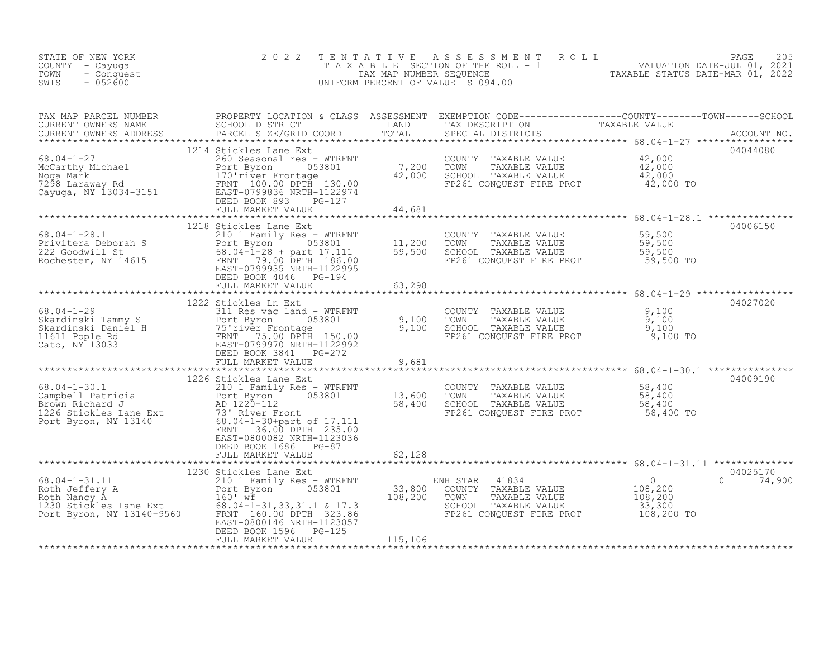| STATE OF NEW YORK<br>COUNTY - Cayuga<br>TOWN<br>- Conquest<br>SWIS<br>$-052600$                                                                                                                                                                  | 2 0 2 2                                                                      | TENTATIVE      | UNIFORM PERCENT OF VALUE IS 094.00                                                                                                                                                                            | FENTATIVE ASSESSMENT ROLL<br>TAXABLE SECTION OF THE ROLL - 1 VALUATION DATE-JUL 01, 2021<br>TAX MAP NUMBER SEQUENCE TAXABLE STATUS DATE-MAR 01, 2022<br>JNIFORM PERCENT OF VALUE IS 094.00                                        |
|--------------------------------------------------------------------------------------------------------------------------------------------------------------------------------------------------------------------------------------------------|------------------------------------------------------------------------------|----------------|---------------------------------------------------------------------------------------------------------------------------------------------------------------------------------------------------------------|-----------------------------------------------------------------------------------------------------------------------------------------------------------------------------------------------------------------------------------|
|                                                                                                                                                                                                                                                  |                                                                              |                |                                                                                                                                                                                                               | TAX MAP PARCEL NUMBER PROPERTY LOCATION & CLASS ASSESSMENT EXEMPTION CODE----------------COUNTY--------TOWN------SCHOOL CURRENT OWNERS NAME SCHOOL DISTRICT LAND TAX DESCRIPTION TAXABLE VALUE<br>CURRENT OWNERS ADDRESS PARCEL S |
|                                                                                                                                                                                                                                                  |                                                                              |                | COUNTY TAXABLE VALUE $\begin{array}{cccc} 42,000 \\ \text{TOMN} & \text{TAXABLE VALUE} & 42,000 \\ \text{SCHOOL} & \text{TAXABLE VALUE} & 42,000 \\ \text{FP261 CONQUEST FIRST PROT} & 42,000 \\ \end{array}$ | 04044080                                                                                                                                                                                                                          |
|                                                                                                                                                                                                                                                  |                                                                              |                |                                                                                                                                                                                                               |                                                                                                                                                                                                                                   |
| 68.04-1-28.1<br>Privitera Deborah S<br>222 Goodwill St 88.04-1-28 + part 17.111 59,500<br>Rochester, NY 14615<br>ERST-0799935 NRTH-1122995<br>DEED BOOK 4046 PG-194                                                                              | 1218 Stickles Lane Ext                                                       |                | COUNTY TAXABLE VALUE 59,500<br>TOWN TAXABLE VALUE 59,500<br>SCHOOL TAXABLE VALUE 59,500<br>FP261 CONQUEST FIRE PROT 59,500 TO                                                                                 | 04006150                                                                                                                                                                                                                          |
|                                                                                                                                                                                                                                                  | FULL MARKET VALUE                                                            | 63,298         |                                                                                                                                                                                                               |                                                                                                                                                                                                                                   |
|                                                                                                                                                                                                                                                  | 1222 Stickles Ln Ext                                                         |                |                                                                                                                                                                                                               | 04027020                                                                                                                                                                                                                          |
| $68.04 - 1 - 29$<br>68.04-1-29<br>Skardinski Tammy S<br>Skardinski Daniel H<br>11611 Pople Rd Correlation Contract Port Byron 053801<br>11611 Pople Rd FRNT 75.00 DPTH 150.00<br>Cato, NY 13033<br>Cato, NY 13033<br>DEED BOOK 3841 PG-272       | 311 Res vac land - WTRFNT<br>Port Byron 053801 9,10<br>DEED BOOK 3841 PG-272 | 9,100<br>9,100 | COUNTY TAXABLE VALUE<br>TOWN TAXABLE VALUE 9,100<br>SCHOOL TAXABLE VALUE 9,100<br>FP261 CONQUEST FIRE PROT 9,100 TO                                                                                           |                                                                                                                                                                                                                                   |
|                                                                                                                                                                                                                                                  | FULL MARKET VALUE                                                            | 9,681          |                                                                                                                                                                                                               |                                                                                                                                                                                                                                   |
| 1226 Stickles Lane Ext<br>Campbell Patricia 210 1 Family Res - WTRFNT<br>Port Byron 053801 13,600<br>Brown Richard J AD 1220-112 58,400<br>1226 Stickles Lane Ext<br>Port Byron, NY 13140 68.04-1-36.00 DPTH 235.00                              | 1226 Stickles Lane Ext<br>36.00 DPTH 235.00<br>FRNT                          |                | COUNTY TAXABLE VALUE 58,400<br>TOWN TAXABLE VALUE 58,400<br>SCHOOL TAXABLE VALUE 58,400<br>FP261 CONQUEST FIRE PROT 58,400 TO                                                                                 | 04009190                                                                                                                                                                                                                          |
|                                                                                                                                                                                                                                                  | EAST-0800082 NRTH-1123036<br>DEED BOOK 1686 PG-87<br>FULL MARKET VALUE       | 62,128         |                                                                                                                                                                                                               |                                                                                                                                                                                                                                   |
|                                                                                                                                                                                                                                                  | 1230 Stickles Lane Ext                                                       |                |                                                                                                                                                                                                               | 04025170<br>$\Omega$                                                                                                                                                                                                              |
| 68.04-1-31.11<br>Roth Jeffery A<br>Roth Nancy A<br>1230 Stickles Lane Ext<br>Port Byron, NY 13140-9560<br>Port Byron, NY 13140-9560<br>EAST-0800146 Norwillong<br>FRNT 160.00 DPTH 323.86<br>RAST-0800146 Norwillong<br>Port Byron, NY 13140-956 | EAST-0800146 NRTH-1123057                                                    |                | NH STAR 41834<br>COUNTY TAXABLE VALUE 108,200<br>TOWN TAXABLE VALUE 108,200<br>SCHOOL TAXABLE VALUE 33,300<br>ENH STAR<br>FP261 CONQUEST FIRE PROT 108,200 TO                                                 | 74,900                                                                                                                                                                                                                            |
|                                                                                                                                                                                                                                                  | DEED BOOK 1596 PG-125<br>FULL MARKET VALUE                                   | 115,106        |                                                                                                                                                                                                               |                                                                                                                                                                                                                                   |
|                                                                                                                                                                                                                                                  |                                                                              |                |                                                                                                                                                                                                               |                                                                                                                                                                                                                                   |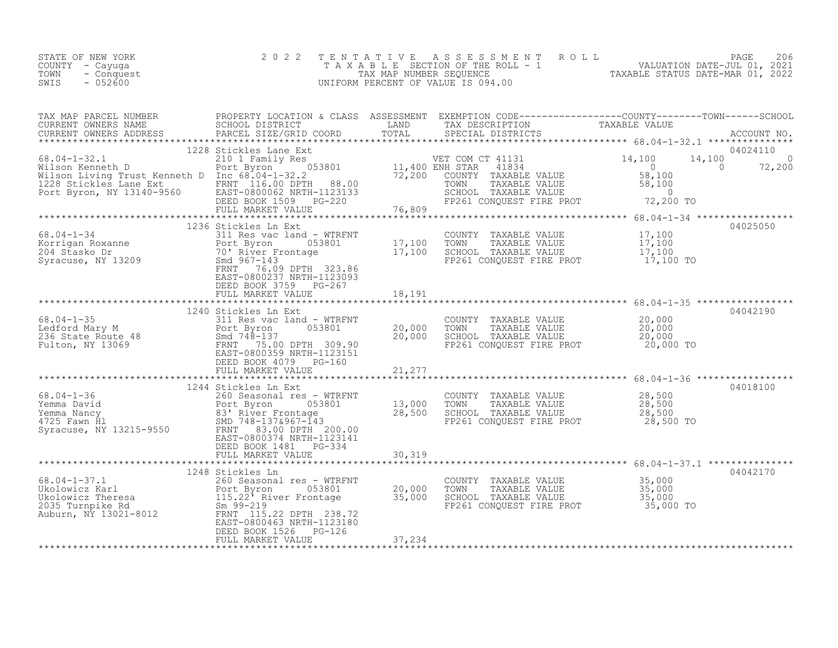| STATE OF NEW YORK<br>COUNTY - Cayuga<br>TOWN<br>- Conquest<br>$-052600$<br>SWIS                                                                                             | 2 0 2 2                                                                                                                                                                | TENTATIVE<br>TAX MAP NUMBER SEOUENCE                    | ROLL<br>A S S E S S M E N T<br>T A X A B L E SECTION OF THE ROLL - 1<br>UNIFORM PERCENT OF VALUE IS 094.00                     | PAGE<br>206<br>VALUATION DATE-JUL 01, 2021<br>TAXAI<br>TAXABLE STATUS DATE-MAR 01, 2022                                  |
|-----------------------------------------------------------------------------------------------------------------------------------------------------------------------------|------------------------------------------------------------------------------------------------------------------------------------------------------------------------|---------------------------------------------------------|--------------------------------------------------------------------------------------------------------------------------------|--------------------------------------------------------------------------------------------------------------------------|
| TAX MAP PARCEL NUMBER<br>CURRENT OWNERS NAME<br>CURRENT OWNERS ADDRESS                                                                                                      | PROPERTY LOCATION & CLASS ASSESSMENT<br>SCHOOL DISTRICT<br>PARCEL SIZE/GRID COORD                                                                                      | LAND<br>TOTAL                                           | TAX DESCRIPTION<br>SPECIAL DISTRICTS                                                                                           | EXEMPTION CODE-----------------COUNTY-------TOWN------SCHOOL<br>TAXABLE VALUE<br>ACCOUNT NO.                             |
| $68.04 - 1 - 32.1$<br>Wilson Kenneth D<br>Wilson Living Trust Kenneth D Inc 68.04-1-32.2<br>Wilson Hiving Trust Nome<br>1228 Stickles Lane Ext<br>Port Byron, NY 13140-9560 | 1228 Stickles Lane Ext<br>210 1 Family Res<br>Port Byron<br>FRNT 116.00 DPTH<br>88.00<br>EAST-0800062 NRTH-1123133<br>DEED BOOK 1509<br>PG-220<br>FULL MARKET VALUE    | ver COM (<br>053801 11,400 ENH STAR<br>72,200<br>76,809 | VET COM CT 41131<br>41834<br>COUNTY TAXABLE VALUE<br>TOWN<br>TAXABLE VALUE<br>SCHOOL TAXABLE VALUE<br>FP261 CONQUEST FIRE PROT | 04024110<br>14,100<br>14,100<br>$\Omega$<br>$\bigcap$<br>72,200<br>$\Omega$<br>58,100<br>58,100<br>$\Omega$<br>72,200 TO |
|                                                                                                                                                                             | 1236 Stickles Ln Ext                                                                                                                                                   |                                                         |                                                                                                                                | 04025050                                                                                                                 |
| $68.04 - 1 - 34$<br>Korrigan Roxanne<br>204 Stasko Dr<br>Syracuse, NY 13209                                                                                                 | 311 Res vac land - WTRFNT<br>053801<br>Port Byron<br>70' River Frontage<br>Smd 967-143<br>FRNT 76.09 DPTH 323.86<br>EAST-0800237 NRTH-1123093<br>DEED BOOK 3759 PG-267 | 17,100<br>17,100                                        | COUNTY TAXABLE VALUE<br>TOWN<br>TAXABLE VALUE<br>SCHOOL TAXABLE VALUE<br>FP261 CONOUEST FIRE PROT                              | 17,100<br>17,100<br>17,100<br>17,100 TO                                                                                  |
|                                                                                                                                                                             | FULL MARKET VALUE<br>*************************                                                                                                                         | 18,191                                                  |                                                                                                                                | ************************* 68.04-1-35 ***********                                                                         |
| $68.04 - 1 - 35$<br>Ledford Mary M<br>236 State Route 48<br>Fulton, NY 13069                                                                                                | 1240 Stickles Ln Ext<br>311 Res vac land - WTRFNT<br>Port Byron<br>053801<br>Smd $748 - 137$<br>FRNT<br>75.00 DPTH 309.90<br>EAST-0800359 NRTH-1123151                 | 20,000<br>20,000                                        | COUNTY<br>TAXABLE VALUE<br>TOWN<br>TAXABLE VALUE<br>SCHOOL TAXABLE VALUE<br>FP261 CONQUEST FIRE PROT                           | 04042190<br>20,000<br>20,000<br>20,000<br>20,000 TO                                                                      |
|                                                                                                                                                                             | DEED BOOK 4079 PG-160<br>FULL MARKET VALUE                                                                                                                             | 21,277                                                  |                                                                                                                                |                                                                                                                          |
|                                                                                                                                                                             | 1244 Stickles Ln Ext                                                                                                                                                   |                                                         |                                                                                                                                | 04018100                                                                                                                 |
| $68.04 - 1 - 36$<br>Yemma David<br>Yemma Nancy<br>4725 Fawn Hl<br>Syracuse, NY 13215-9550                                                                                   | 260 Seasonal res - WTRFNT<br>053801<br>Port Byron<br>83' River Frontage<br>SMD 748-137&967-143<br>FRNT<br>83.00 DPTH 200.00<br>EAST-0800374 NRTH-1123141               | 13,000<br>28,500                                        | COUNTY TAXABLE VALUE<br>TOWN<br>TAXABLE VALUE<br>SCHOOL TAXABLE VALUE<br>FP261 CONOUEST FIRE PROT                              | 28,500<br>28,500<br>28,500<br>28,500 TO                                                                                  |
|                                                                                                                                                                             | DEED BOOK 1481    PG-334<br>FULL MARKET VALUE                                                                                                                          | 30,319                                                  |                                                                                                                                |                                                                                                                          |
|                                                                                                                                                                             | 1248 Stickles Ln                                                                                                                                                       |                                                         |                                                                                                                                | 04042170                                                                                                                 |

|                       | TERO DETERTES THI                  |        |                          |           | V ユ フ ユ ム エ / V |
|-----------------------|------------------------------------|--------|--------------------------|-----------|-----------------|
| 68.04-1-37.1          | 260 Seasonal res - WTRFNT          |        | TAXABLE VALUE<br>COUNTY  | 35,000    |                 |
| Ukolowicz Karl        | 053801<br>Port Byron               | 20,000 | TOWN<br>TAXABLE VALUE    | 35,000    |                 |
| Ukolowicz Theresa     | 115.22 <sup>7</sup> River Frontage | 35,000 | SCHOOL TAXABLE VALUE     | 35,000    |                 |
| 2035 Turnpike Rd      | Sm 99-219                          |        | FP261 CONOUEST FIRE PROT | 35,000 TO |                 |
| Auburn, NY 13021-8012 | FRNT 115.22 DPTH 238.72            |        |                          |           |                 |
|                       | EAST-0800463 NRTH-1123180          |        |                          |           |                 |
|                       | DEED BOOK 1526 PG-126              |        |                          |           |                 |
|                       | FULL MARKET VALUE                  | 37,234 |                          |           |                 |
|                       |                                    |        |                          |           |                 |
|                       |                                    |        |                          |           |                 |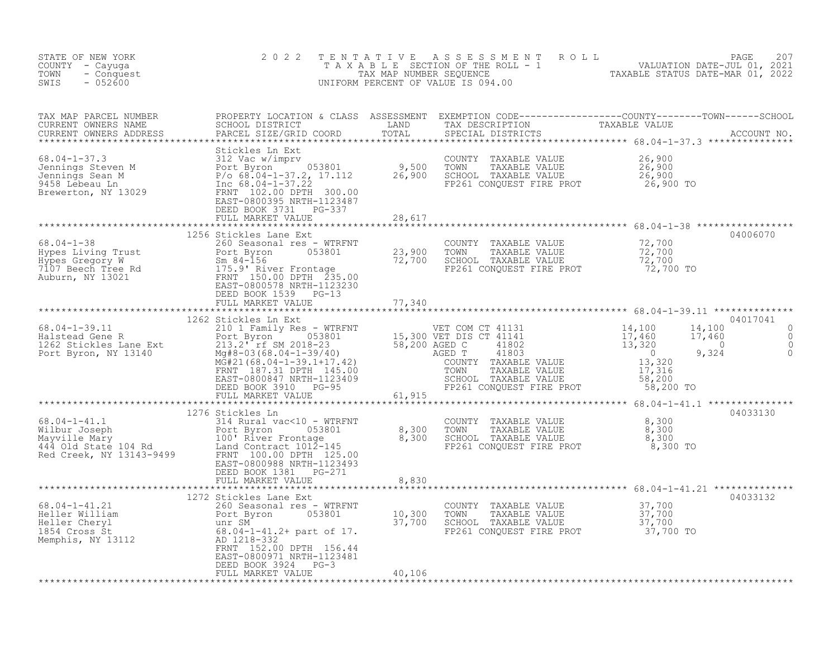| STATE OF NEW YORK<br>COUNTY - Cayuga<br>- Conquest<br>TOWN<br>SWIS<br>$-052600$ | 2 0 2 2                                                               |        | TENTATIVE ASSESSMENT ROLL PACE 207<br>TAXABLE SECTION OF THE ROLL - 1 VALUATION DATE-JUL 01, 2021<br>TAX MAP NUMBER SEQUENCE TAXABLE STATUS DATE-MAR 01, 2022<br>UNIFORM PERCENT OF VALUE IS 094.00 |          |
|---------------------------------------------------------------------------------|-----------------------------------------------------------------------|--------|-----------------------------------------------------------------------------------------------------------------------------------------------------------------------------------------------------|----------|
|                                                                                 |                                                                       |        |                                                                                                                                                                                                     |          |
|                                                                                 | FULL MARKET VALUE 28,617                                              |        |                                                                                                                                                                                                     |          |
|                                                                                 |                                                                       |        |                                                                                                                                                                                                     | 04006070 |
|                                                                                 | FULL MARKET VALUE 77,340                                              |        |                                                                                                                                                                                                     |          |
|                                                                                 |                                                                       |        |                                                                                                                                                                                                     |          |
|                                                                                 | 1276 Stickles Ln<br>FULL MARKET VALUE                                 | 8,830  |                                                                                                                                                                                                     | 04033130 |
|                                                                                 | 1272 Stickles Lane Ext                                                |        |                                                                                                                                                                                                     | 04033132 |
|                                                                                 | EAST-0800971 NRTH-1123481<br>DEED BOOK 3924 PG-3<br>FULL MARKET VALUE | 40,106 |                                                                                                                                                                                                     |          |
|                                                                                 |                                                                       |        |                                                                                                                                                                                                     |          |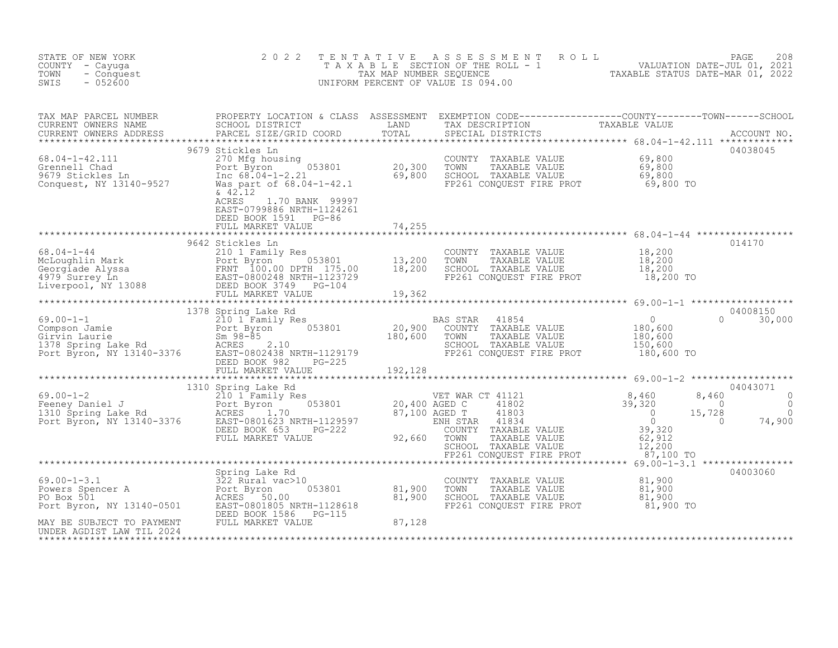| STATE OF NEW YORK<br>COUNTY - Cayuga<br>TOWN<br>- Conquest<br>$-052600$<br>SWIS                                                                                                                                                                                                                                                                                                                                                                                                                                         | 2 0 2 2                                                                                     |        | TENTATIVE ASSESSMENT ROLL PAGE 208<br>TAXABLE SECTION OF THE ROLL - 1 VALUATION DATE-JUL 01, 2021<br>TAX MAP NUMBER SEQUENCE TAXABLE STATUS DATE-MAR 01, 2022<br>UNIFORM PERCENT OF VALUE IS 094.00 |          |
|-------------------------------------------------------------------------------------------------------------------------------------------------------------------------------------------------------------------------------------------------------------------------------------------------------------------------------------------------------------------------------------------------------------------------------------------------------------------------------------------------------------------------|---------------------------------------------------------------------------------------------|--------|-----------------------------------------------------------------------------------------------------------------------------------------------------------------------------------------------------|----------|
|                                                                                                                                                                                                                                                                                                                                                                                                                                                                                                                         |                                                                                             |        |                                                                                                                                                                                                     |          |
| $\begin{tabular}{lllllllllllll} \textsc{rank} & \textsc{map} & \textsc{rank} & \textsc{rank} & \textsc{rank} & \textsc{rank} & \textsc{rank} & \textsc{rank} & \textsc{rank} & \textsc{rank} & \textsc{rank} & \textsc{rank} & \textsc{rank} & \textsc{rank} & \textsc{rank} & \textsc{rank} & \textsc{rank} & \textsc{rank} & \textsc{rank} & \textsc{rank} & \textsc{rank} & \textsc{rank} & \textsc{rank} & \textsc{rank} & \textsc{rank} & \textsc{rank} & \textsc{rank} & \textsc{rank} & \textsc{rank} & \textsc$ | $\& 42.12$<br>ACRES<br>1.70 BANK 99997<br>EAST-0799886 NRTH-1124261<br>DEED BOOK 1591 PG-86 | 74,255 |                                                                                                                                                                                                     |          |
|                                                                                                                                                                                                                                                                                                                                                                                                                                                                                                                         | FULL MARKET VALUE                                                                           |        |                                                                                                                                                                                                     |          |
|                                                                                                                                                                                                                                                                                                                                                                                                                                                                                                                         |                                                                                             |        |                                                                                                                                                                                                     |          |
|                                                                                                                                                                                                                                                                                                                                                                                                                                                                                                                         |                                                                                             |        |                                                                                                                                                                                                     |          |
|                                                                                                                                                                                                                                                                                                                                                                                                                                                                                                                         |                                                                                             |        |                                                                                                                                                                                                     |          |
|                                                                                                                                                                                                                                                                                                                                                                                                                                                                                                                         |                                                                                             |        |                                                                                                                                                                                                     |          |
|                                                                                                                                                                                                                                                                                                                                                                                                                                                                                                                         |                                                                                             |        |                                                                                                                                                                                                     |          |
| 69.00-1-3.1<br>Powers Spencer A<br>Powers Spencer A<br>Powers Spencer A<br>Powers Spencer A<br>Powers 501<br>Powers 501<br>Po Box 501<br>Po Box 501<br>Po Box 501<br>Po Box 501<br>RAY BE SUBJECT TO PAYMENT<br>MAY BE SUBJECT TO PAYMENT<br>MAY BE SUBJ                                                                                                                                                                                                                                                                |                                                                                             |        | COUNTY TAXABLE VALUE $81,900$<br>TOWN TAXABLE VALUE $81,900$<br>SCHOOL TAXABLE VALUE $81,900$<br>FP261 CONQUEST FIRE PROT $81,900$ TO                                                               | 04003060 |
|                                                                                                                                                                                                                                                                                                                                                                                                                                                                                                                         |                                                                                             |        |                                                                                                                                                                                                     |          |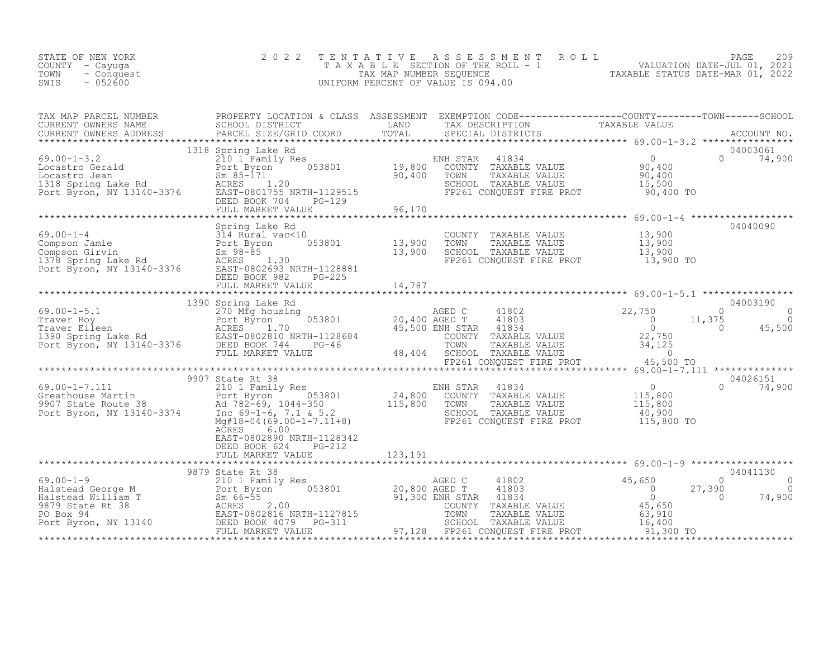| 2 0 2 2 |                                                                                                                                       |                                                                                                                                                                                                                                                                                                                                                                                                                                                                                                                                                                                                                                                                                                                                                                                                                                                                                                                                                                                                                                                                                                                                                                |
|---------|---------------------------------------------------------------------------------------------------------------------------------------|----------------------------------------------------------------------------------------------------------------------------------------------------------------------------------------------------------------------------------------------------------------------------------------------------------------------------------------------------------------------------------------------------------------------------------------------------------------------------------------------------------------------------------------------------------------------------------------------------------------------------------------------------------------------------------------------------------------------------------------------------------------------------------------------------------------------------------------------------------------------------------------------------------------------------------------------------------------------------------------------------------------------------------------------------------------------------------------------------------------------------------------------------------------|
|         |                                                                                                                                       |                                                                                                                                                                                                                                                                                                                                                                                                                                                                                                                                                                                                                                                                                                                                                                                                                                                                                                                                                                                                                                                                                                                                                                |
|         |                                                                                                                                       |                                                                                                                                                                                                                                                                                                                                                                                                                                                                                                                                                                                                                                                                                                                                                                                                                                                                                                                                                                                                                                                                                                                                                                |
|         |                                                                                                                                       |                                                                                                                                                                                                                                                                                                                                                                                                                                                                                                                                                                                                                                                                                                                                                                                                                                                                                                                                                                                                                                                                                                                                                                |
|         | COUNTY TAXABLE VALUE $13,900$<br>TOWN TAXABLE VALUE $13,900$<br>SCHOOL TAXABLE VALUE $13,900$<br>FP261 CONQUEST FIRE PROT $13,900$ TO | 04040090                                                                                                                                                                                                                                                                                                                                                                                                                                                                                                                                                                                                                                                                                                                                                                                                                                                                                                                                                                                                                                                                                                                                                       |
|         |                                                                                                                                       |                                                                                                                                                                                                                                                                                                                                                                                                                                                                                                                                                                                                                                                                                                                                                                                                                                                                                                                                                                                                                                                                                                                                                                |
|         |                                                                                                                                       |                                                                                                                                                                                                                                                                                                                                                                                                                                                                                                                                                                                                                                                                                                                                                                                                                                                                                                                                                                                                                                                                                                                                                                |
|         |                                                                                                                                       |                                                                                                                                                                                                                                                                                                                                                                                                                                                                                                                                                                                                                                                                                                                                                                                                                                                                                                                                                                                                                                                                                                                                                                |
|         |                                                                                                                                       |                                                                                                                                                                                                                                                                                                                                                                                                                                                                                                                                                                                                                                                                                                                                                                                                                                                                                                                                                                                                                                                                                                                                                                |
|         |                                                                                                                                       |                                                                                                                                                                                                                                                                                                                                                                                                                                                                                                                                                                                                                                                                                                                                                                                                                                                                                                                                                                                                                                                                                                                                                                |
|         |                                                                                                                                       |                                                                                                                                                                                                                                                                                                                                                                                                                                                                                                                                                                                                                                                                                                                                                                                                                                                                                                                                                                                                                                                                                                                                                                |
|         |                                                                                                                                       |                                                                                                                                                                                                                                                                                                                                                                                                                                                                                                                                                                                                                                                                                                                                                                                                                                                                                                                                                                                                                                                                                                                                                                |
|         |                                                                                                                                       |                                                                                                                                                                                                                                                                                                                                                                                                                                                                                                                                                                                                                                                                                                                                                                                                                                                                                                                                                                                                                                                                                                                                                                |
|         | Spring Lake Rd<br>6.00<br>EAST-0802890 NRTH-1128342                                                                                   | TENTATIVE ASSESSMENT ROLL PACE 209<br>TAXABLE SECTION OF THE ROLL - 1 VALUATION DATE-JUL 01, 2021<br>TAX MAP NUMBER SEQUENCE TAXABLE STATUS DATE-MAR 01, 2022<br>UNIFORM PERCENT OF VALUE IS 094.00<br>$\begin{tabular}{lllllllllllllll} \textsc{rank} & \textsc{PROPERTY LOCATION & \textsc{CURRENT} & \textsc{ENDFRITY CODE------------C-COUNTY------TOWN------COIONY------SCHOOL \\ \textsc{CURRENT OWNERS NAME} & \textsc{PROPEEST NATED} & \textsc{TAND} & \textsc{TAND} & \textsc{TAND} & \textsc{TAX} & \textsc{DSECRIPTION} & \textsc{TAXABLE VALUE} & \textsc{ACOUNT NO}, \\ \textsc{CURRENT OWNRERS NAME} & \textsc{PROPEESS} & \textsc{PROPESST NATEN} & \textsc{$<br>99.00-1-4<br>Compson Jamie 314 Rural vac<10<br>Compson Girvin Port Byron 53801 13,900<br>1378 Spring Lake Rd RCRES 1.30<br>Port Byron, NY 13140-3376 EAST-0802693 NRTH-1128881<br>DEED BOOK 982PG-225<br>2010 13,900<br>DEED BOOK 982.<br>123,191 - 123,191 - 123 - 123 - 123 - 123 - 123 - 123 - 123 - 123 - 123 - 123 - 123 - 123 - 123 - 123 - 123 -<br>FULL MARKET VALUE - 123,191 - 123 - 123 - 123 - 123 - 123 - 123 - 123 - 123 - 123 - 123 - 123 - 123 - 123 - 12<br> |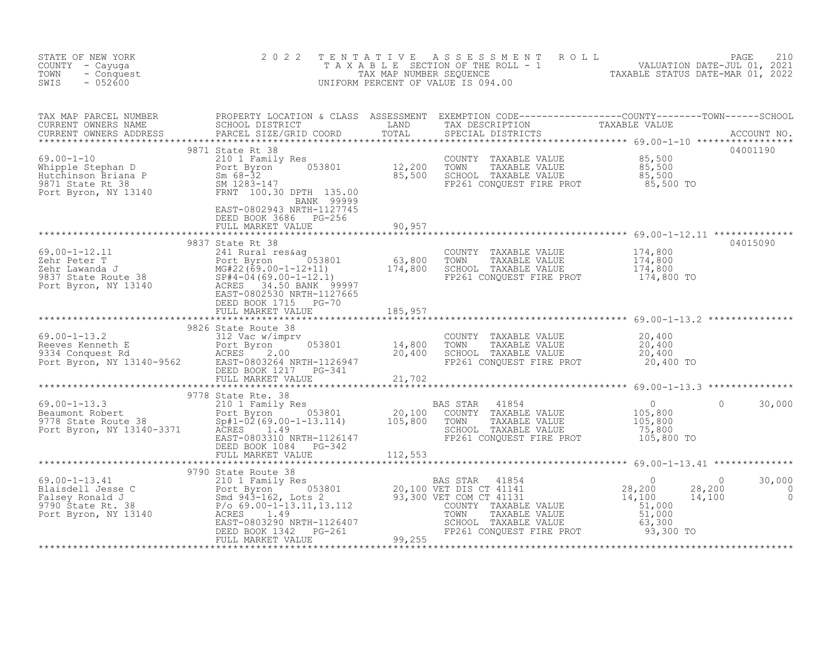| STATE OF NEW YORK<br>COUNTY - Cayuga<br>- Conquest<br>TOWN<br>$-052600$<br>SWIS                                                                                                                                                                                                                                                                                                                             | 2 0 2 2                                                          |         | TENTATIVE ASSESSMENT ROLL PAGE 210<br>TAXABLE SECTION OF THE ROLL - 1 VALUATION DATE-JUL 01, 2021<br>TAX MAP NUMBER SEQUENCE TAXABLE STATUS DATE-MAR 01, 2022<br>UNIFORM PERCENT OF VALUE IS 094.00 |                    |                                         |
|-------------------------------------------------------------------------------------------------------------------------------------------------------------------------------------------------------------------------------------------------------------------------------------------------------------------------------------------------------------------------------------------------------------|------------------------------------------------------------------|---------|-----------------------------------------------------------------------------------------------------------------------------------------------------------------------------------------------------|--------------------|-----------------------------------------|
| TAX MAP PARCEL NUMBER PROPERTY LOCATION & CLASS ASSESSMENT EXEMPTION CODE----------------COUNTY--------TOWN------SCHOOL CURRENT OWNERS NAME SCHOOL DISTRICT LAND TAX DESCRIPTION TAXABLE VALUE CURRENT OWNERS ADDRESS PARCEL S                                                                                                                                                                              | BANK 99999<br>EAST-0802943 NRTH-1127745<br>DEED BOOK 3686 PG-256 |         |                                                                                                                                                                                                     |                    |                                         |
| $\begin{tabular}{lllllllll} 69.00-1-12.11 & 9837 \text{ State Rt } 38 & \\ \text{Zehr Peter T} & 053801 & 63,800 \\ \text{Zehr Lawanda J} & 987 \text{ State Route } 38 & 174,800 \\ \text{9837 State Route } 38 & 150 \text{ BANK } 9997 \\ \text{Port Byron, NY } 13140 & \text{ACRES } 34.50 \text{ BANK } 9997 \\ & 053801 & 174,800 \\ \text{Port Byron, NY } 13140 & \text{ACRES } 34.50 \text{ BANK$ | FULL MARKET VALUE<br>9837 State Rt 38                            | 90,957  | COUNTY TAXABLE VALUE 174,800<br>TOWN TAXABLE VALUE 174,800<br>SCHOOL TAXABLE VALUE 174,800<br>FP261 CONQUEST FIRE PROT 174,800 TO                                                                   |                    | 04015090                                |
|                                                                                                                                                                                                                                                                                                                                                                                                             |                                                                  |         | COUNTY TAXABLE VALUE $20,400$<br>TOWN TAXABLE VALUE $20,400$<br>SCHOOL TAXABLE VALUE $20,400$<br>FP261 CONQUEST FIRE PROT $20,400$ TO                                                               |                    |                                         |
|                                                                                                                                                                                                                                                                                                                                                                                                             | FULL MARKET VALUE                                                | 112,553 |                                                                                                                                                                                                     |                    | 30,000                                  |
|                                                                                                                                                                                                                                                                                                                                                                                                             |                                                                  |         |                                                                                                                                                                                                     | $\sim$ 0<br>14,100 | 30,000<br>$28, 200$ 0<br>$\overline{0}$ |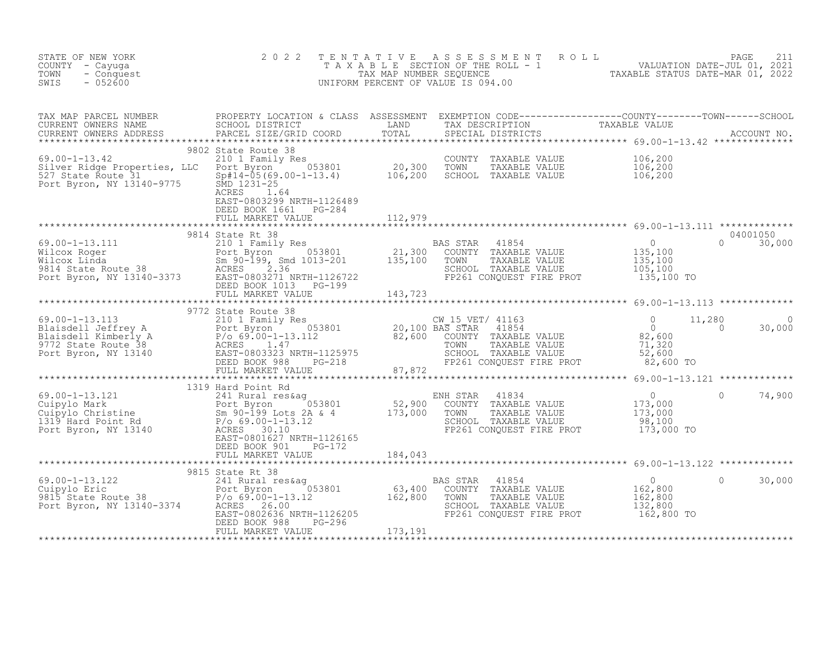| STATE OF NEW YORK<br>COUNTY - Cayuga<br>TOWN<br>- Conquest<br>$-052600$<br>SWIS                                                                                                                                                                                                                                                                                                                                      | 2 0 2 2                                                                         | TENTATIVE ASSESSMENT ROLL PAGE 211<br>TAXABLE SECTION OF THE ROLL - 1 VALUATION DATE-JUL 01, 2021<br>TAX MAP NUMBER SEQUENCE TAXABLE STATUS DATE-MAR 01, 2022<br>UNIFORM PERCENT OF VALUE IS 094.00 |                   |
|----------------------------------------------------------------------------------------------------------------------------------------------------------------------------------------------------------------------------------------------------------------------------------------------------------------------------------------------------------------------------------------------------------------------|---------------------------------------------------------------------------------|-----------------------------------------------------------------------------------------------------------------------------------------------------------------------------------------------------|-------------------|
|                                                                                                                                                                                                                                                                                                                                                                                                                      |                                                                                 |                                                                                                                                                                                                     |                   |
|                                                                                                                                                                                                                                                                                                                                                                                                                      | EAST-0803299 NRTH-1126489<br>DEED BOOK 1661 PG-284<br>FULL MARKET VALUE 112,979 |                                                                                                                                                                                                     |                   |
|                                                                                                                                                                                                                                                                                                                                                                                                                      |                                                                                 |                                                                                                                                                                                                     |                   |
|                                                                                                                                                                                                                                                                                                                                                                                                                      |                                                                                 |                                                                                                                                                                                                     |                   |
|                                                                                                                                                                                                                                                                                                                                                                                                                      |                                                                                 |                                                                                                                                                                                                     |                   |
|                                                                                                                                                                                                                                                                                                                                                                                                                      | 9815 State Rt 38                                                                |                                                                                                                                                                                                     |                   |
| $\begin{array}{lllllllllllllll} \text{69.00--1-13.122} & & & & & & & 9815 \text{ State Rt } 38 & & & & & & & & 241 \text{ Rural res\& & & & & & & & & 241 \text{ Rural res\& & & & & & & & 241 \text{ Rural res\& & & & & & & & 241 \text{ Rural res\& & & & & & & & 241 \text{ Rural res\& & & & & & & & 241 \text{ Rural res\& & & & & & & 241 \text{ Rural res\& & & & & & & 241 \text{ Rural res\& & & & & & & $ |                                                                                 |                                                                                                                                                                                                     | 30,000<br>$\circ$ |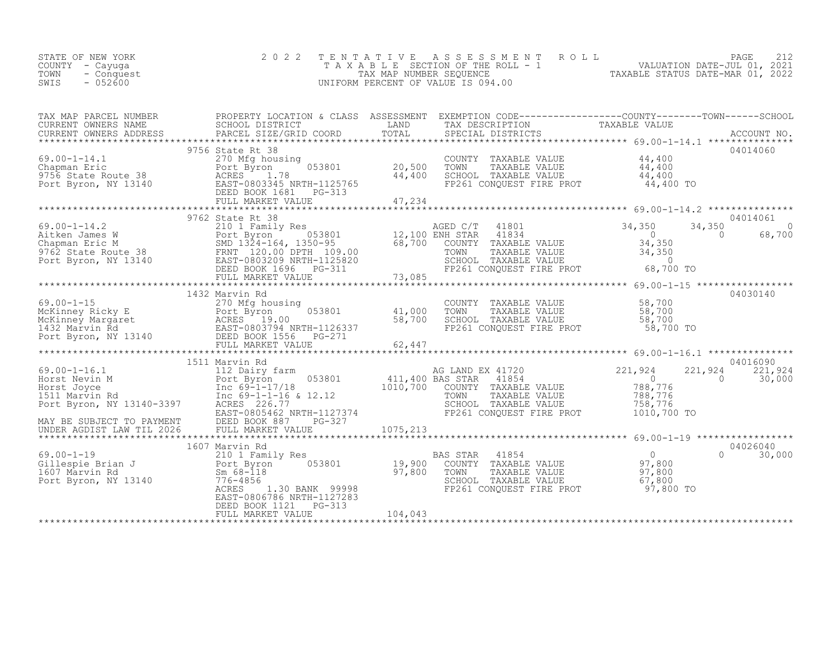| STATE OF NEW YORK<br>COUNTY – Cayuga<br>TOWN<br>- Conquest<br>$-052600$<br>SWIS | 2022 TENTATIVE ASSESSMENT ROLL<br>T A X A B L E SECTION OF THE ROLL - 1<br>TAX MAP NUMBER SEOUENCE<br>UNIFORM PERCENT OF VALUE IS 094.00 | PAGE<br>VALUATION DATE-JUL 01, 2021<br>TAXABLE STATUS DATE-MAR 01, 2022 |
|---------------------------------------------------------------------------------|------------------------------------------------------------------------------------------------------------------------------------------|-------------------------------------------------------------------------|
|                                                                                 |                                                                                                                                          |                                                                         |

| TAX MAP PARCEL NUMBER | PROPERTY LOCATION & CLASS ASSESSMENT EXEMPTION CODE----------------COUNTY-------TOWN------SCHOOL                                                                                                                                                                                                                                                                                                                                                                                                            |  |                           |
|-----------------------|-------------------------------------------------------------------------------------------------------------------------------------------------------------------------------------------------------------------------------------------------------------------------------------------------------------------------------------------------------------------------------------------------------------------------------------------------------------------------------------------------------------|--|---------------------------|
|                       | TAX MAP PARCER NUMBER<br>CURRENT OWNERS NAME SCHOOL DISTRICT COORD TOTAL TRANSFERS TRANSFERS ADDRESS FACCOUNT NO.<br>CURRENT OWNERS ADDRESS PARCEL SIZE/GRID COORD TOTAL SPECIAL DISTRICTS ACCOUNT NO.<br>*****************************                                                                                                                                                                                                                                                                     |  |                           |
|                       |                                                                                                                                                                                                                                                                                                                                                                                                                                                                                                             |  |                           |
|                       | 9756 State Rt 38                                                                                                                                                                                                                                                                                                                                                                                                                                                                                            |  | 04014060                  |
|                       |                                                                                                                                                                                                                                                                                                                                                                                                                                                                                                             |  |                           |
|                       |                                                                                                                                                                                                                                                                                                                                                                                                                                                                                                             |  |                           |
|                       |                                                                                                                                                                                                                                                                                                                                                                                                                                                                                                             |  |                           |
|                       |                                                                                                                                                                                                                                                                                                                                                                                                                                                                                                             |  |                           |
|                       | $\begin{tabular}{lllllllllll} 69.00-1-14.1 & 9756 State Rt 38 & 2000NF & 04014060 \\ \hline \texttt{Chapman Eric} & 2070 Mg housing & 053801 & 20,500 TOMN & TAXABLE VALUE & 44,400 \\ \texttt{50.500 M5} & 20,500 TOMN & TAXABLE VALUE & 44,400 \\ \texttt{9756 State Route 38} & 1.78 & 44,400 SCHOOL TAXABLE VALUE & 44,400 \\ \texttt{Port Byron, NY 13140} & EAST-0803345 NRTH-$                                                                                                                       |  |                           |
|                       |                                                                                                                                                                                                                                                                                                                                                                                                                                                                                                             |  |                           |
|                       |                                                                                                                                                                                                                                                                                                                                                                                                                                                                                                             |  |                           |
|                       |                                                                                                                                                                                                                                                                                                                                                                                                                                                                                                             |  |                           |
|                       |                                                                                                                                                                                                                                                                                                                                                                                                                                                                                                             |  |                           |
|                       |                                                                                                                                                                                                                                                                                                                                                                                                                                                                                                             |  |                           |
|                       | $\begin{tabular}{lllllllllllll} \multicolumn{3}{c }{\begin{tabular}{l} \multicolumn{3}{c}{\begin{tabular}{l} \multicolumn{3}{c}{\begin{tabular}{l} \multicolumn{3}{c}{\begin{tabular}{l} \multicolumn{3}{c}{\begin{tabular}{l} \multicolumn{3}{c}{\begin{tabular}{l} \multicolumn{3}{c}{\begin{tabular}{l} \multicolumn{3}{c}{\begin{tabular}{l} \multicolumn{3}{c}{\begin{tabular}{l} \multicolumn{3}{c}{\begin{tabular}{l} \multicolumn{3}{c}{\begin{tabular}{l} \multicolumn{3}{c}{\begin{tabular}{l} \$ |  |                           |
|                       | 1432 Marvin Rd                                                                                                                                                                                                                                                                                                                                                                                                                                                                                              |  | 04030140                  |
|                       |                                                                                                                                                                                                                                                                                                                                                                                                                                                                                                             |  |                           |
|                       |                                                                                                                                                                                                                                                                                                                                                                                                                                                                                                             |  |                           |
|                       |                                                                                                                                                                                                                                                                                                                                                                                                                                                                                                             |  |                           |
|                       |                                                                                                                                                                                                                                                                                                                                                                                                                                                                                                             |  |                           |
|                       | $\begin{array}{lllllllllll} 69.00-1-15 & 1432&\text{Maximum Rd} & \text{COUNTY} & \text{TAXABLE VALUE} & 58,700 & 04030140\\ \text{McKinney Ricky E} & 270&\text{Mfg house} & 58,700\\ \text{McKinney Margaret} & \text{ACRES} & 19.00 & 53801 & 41,000&\text{TOWN} & \text{TAXABLE VALUE} & 58,700\\ \text{McKinney Margaret} & \text{ACRES} & 19.00 & 58,700 & \text{SCHOOL TAXABLE VALUE} & 58,700\\$                                                                                                    |  |                           |
|                       |                                                                                                                                                                                                                                                                                                                                                                                                                                                                                                             |  |                           |
|                       |                                                                                                                                                                                                                                                                                                                                                                                                                                                                                                             |  |                           |
|                       |                                                                                                                                                                                                                                                                                                                                                                                                                                                                                                             |  |                           |
|                       |                                                                                                                                                                                                                                                                                                                                                                                                                                                                                                             |  |                           |
|                       |                                                                                                                                                                                                                                                                                                                                                                                                                                                                                                             |  |                           |
|                       |                                                                                                                                                                                                                                                                                                                                                                                                                                                                                                             |  |                           |
|                       |                                                                                                                                                                                                                                                                                                                                                                                                                                                                                                             |  |                           |
|                       | $\begin{tabular}{lllllllllllllllllllll} \hline 69.00-1-16.1 & 1511\text{ Marvin Rd} & \text{AG LAND EX 41720} & 04016090 \\ \text{Host Newbin M} & 122 & 1924 & 221,924 & 221,924 \\ \text{Host Newbin M} & \text{Enc 69--1--17/18} & 1010,700 & \text{COUNTY} & \text{TAXABLE VALUE} & 788,776 & 05300 \\ \text{Horst Joyce} & \text{Inc 69--1--16 & 12.12 & 1010,700 & \text{COUNTY$                                                                                                                      |  |                           |
|                       |                                                                                                                                                                                                                                                                                                                                                                                                                                                                                                             |  | 04026040<br>$0 \t 30,000$ |
|                       |                                                                                                                                                                                                                                                                                                                                                                                                                                                                                                             |  |                           |
|                       |                                                                                                                                                                                                                                                                                                                                                                                                                                                                                                             |  |                           |
|                       |                                                                                                                                                                                                                                                                                                                                                                                                                                                                                                             |  |                           |
|                       | EAST-0806786 NRTH-1127283                                                                                                                                                                                                                                                                                                                                                                                                                                                                                   |  |                           |
|                       | DEED BOOK 1121 PG-313                                                                                                                                                                                                                                                                                                                                                                                                                                                                                       |  |                           |
|                       |                                                                                                                                                                                                                                                                                                                                                                                                                                                                                                             |  |                           |
|                       |                                                                                                                                                                                                                                                                                                                                                                                                                                                                                                             |  |                           |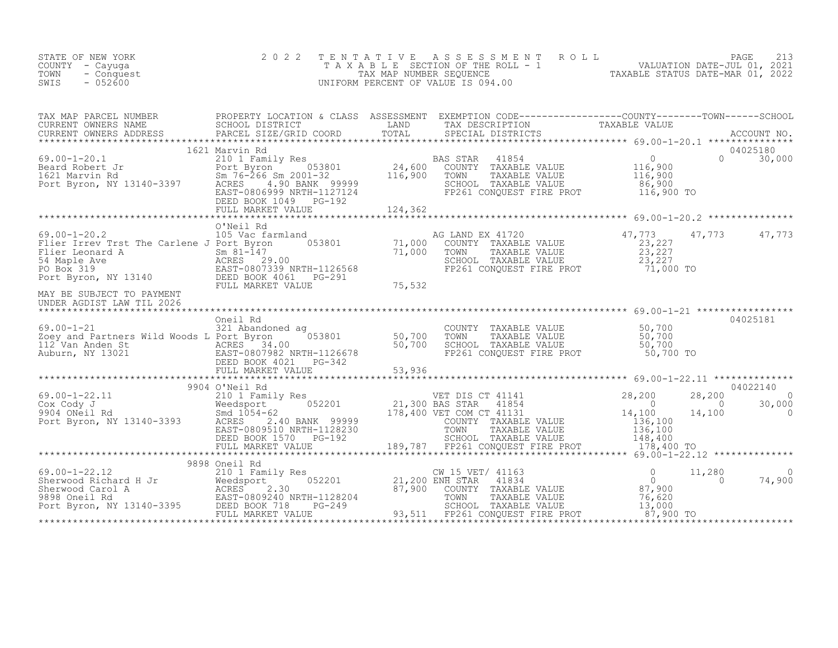| STATE OF NEW YORK<br>COUNTY - Cayuga<br>- Conquest<br>TOWN<br>$-052600$<br>SWIS                                                                                                                                                                                                                                                                       | 2 0 2 2                                                                 | TENTATIVE ASSESSMENT ROLL PAGE 213<br>TAXABLE SECTION OF THE ROLL - 1 VALUATION DATE-JUL 01, 2021<br>TAX MAP NUMBER SEQUENCE TAXABLE STATUS DATE-MAR 01, 2022<br>UNIFORM PERCENT OF VALUE IS 094.00 |                                                                                      |
|-------------------------------------------------------------------------------------------------------------------------------------------------------------------------------------------------------------------------------------------------------------------------------------------------------------------------------------------------------|-------------------------------------------------------------------------|-----------------------------------------------------------------------------------------------------------------------------------------------------------------------------------------------------|--------------------------------------------------------------------------------------|
| TAX MAP PARCEL NUMBER PROPERTY LOCATION & CLASS ASSESSMENT EXEMPTION CODE--------------------COUNTY---------TOWN------SCHOOL SCHOOL DISTRICT LAND TAX DESCRIPTION TO TAXABLE VALUE<br>CURRENT OWNERS ADDRESS PARCEL SIZE/GRID COO                                                                                                                     |                                                                         |                                                                                                                                                                                                     |                                                                                      |
| $\begin{array}{lllllllllllll} 69.00-1-20.1 & 1621~\text{Marvin }\text{Rd} & 04025180 \\ & 210~\text{Beard} & 1621~\text{Family }\text{Res} & 0.53801 & 24,600~\text{COUNTY} & \text{TAXABLE VALUE} & 116,900 & 0.30,000 \\ & 1621~\text{Marvin }\text{Rd} & 5\text{m } 76-266~\text{Sm } 2001-32 & 116,900 & \text{TAXABLE VALUE} & 116,900 & 116,90$ | 1621 Marvin Rd                                                          |                                                                                                                                                                                                     | 04025180                                                                             |
|                                                                                                                                                                                                                                                                                                                                                       |                                                                         |                                                                                                                                                                                                     |                                                                                      |
| 0'Neil Rd<br>Flier Irrev Trst The Carlene J Port Byron 053801<br>Flier Irrev Trst The Carlene J Port Byron 053801<br>Flier Leonard A Sm 81-147 71,000 1<br>54 Maple Ave ACRES 29.00<br>PO Box 319<br>Port Byron, NY 13140 DEED BOOK 4061 P                                                                                                            |                                                                         | AG LAND EX 41720<br>COUNTY TAXABLE VALUE (23,227<br>TOWN TAXABLE VALUE 23,227<br>SCHOOL TAXABLE VALUE 23,227<br>FP261 CONQUEST FIRE PROT 71,000 TO                                                  | 47,773 47,773 47,773                                                                 |
|                                                                                                                                                                                                                                                                                                                                                       |                                                                         |                                                                                                                                                                                                     |                                                                                      |
| $69.00 - 1 - 21$                                                                                                                                                                                                                                                                                                                                      | Oneil Rd<br>321 Abandoned ag                                            | COUNTY TAXABLE VALUE 50,700<br>TOWN TAXABLE VALUE 50,700<br>SCHOOL TAXABLE VALUE 50,700<br>FP261 CONQUEST FIRE PROT 50,700 TO                                                                       | 04025181                                                                             |
|                                                                                                                                                                                                                                                                                                                                                       |                                                                         | ***************************** 69.00-1-22.11 **************                                                                                                                                          |                                                                                      |
| *************************************                                                                                                                                                                                                                                                                                                                 | EAST-0809510 NRTH-1128230<br>DEED BOOK 1570 PG-192<br>FULL MARKET VALUE |                                                                                                                                                                                                     | 04022140<br>28,200<br>$\overline{a}$<br>30,000<br>$\overline{0}$<br>30,000<br>14,100 |
|                                                                                                                                                                                                                                                                                                                                                       | 9898 Oneil Rd                                                           |                                                                                                                                                                                                     |                                                                                      |
| $\begin{array}{cccccccc} 69.00-1-22.12 & 9898 & 0\\ 0 & 11 & 210 & 1 & 1 & 0 & 0 & 11\\ 0 & 210 & 1 & 1 & 0 & 0 & 0 & 0\\ 0 & 210 & 1 & 1 & 0 & 0 & 0 & 0\\ 0 & 210 & 1 & 1 & 0 & 0 & 0 & 0\\ 0 & 210 & 1 & 1 & 0 & 0 & 0 & 0\\ 0 & 210 & 1 & 1 & 0 & 0 & 0 & 0\\ 0 & 210 & 1 & 1 & 0 & 0 & 0 & 0\\ 0 & $                                             |                                                                         |                                                                                                                                                                                                     | 11,280<br>$\bigcirc$<br>74,900<br>$\Omega$                                           |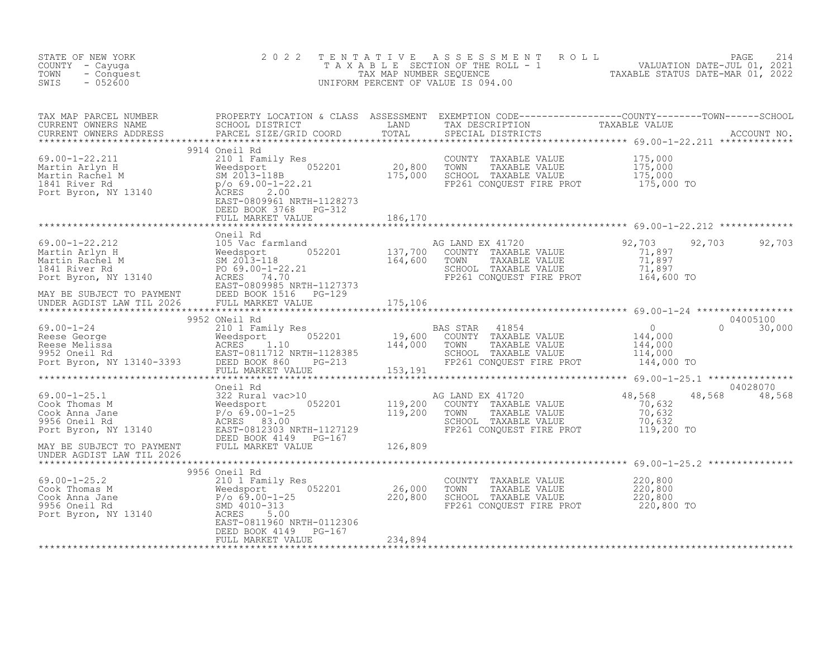| STATE OF NEW YORK<br>COUNTY - Cayuga<br>TOWN<br>- Conquest<br>$-052600$<br>SWIS                                                                                                                                                   | 2 0 2 2       | TENTATIVE ASSESSMENT ROLL PAGE 214<br>TAXABLE SECTION OF THE ROLL - 1 VALUATION DATE-JUL 01, 2021<br>TAX MAP NUMBER SEQUENCE TAXABLE STATUS DATE-MAR 01, 2022<br>UNIFORM PERCENT OF VALUE IS 094.00 |                           |
|-----------------------------------------------------------------------------------------------------------------------------------------------------------------------------------------------------------------------------------|---------------|-----------------------------------------------------------------------------------------------------------------------------------------------------------------------------------------------------|---------------------------|
| TAX MAP PARCEL NUMBER PROPERTY LOCATION & CLASS ASSESSMENT EXEMPTION CODE----------------COUNTY--------TOWN------SCHOOL CURRENT OWNERS NAME SCHOOL DISTRICT LAND TAX DESCRIPTION TAXABLE VALUE<br>CURRENT OWNERS ADDRESS PARCEL S |               |                                                                                                                                                                                                     |                           |
|                                                                                                                                                                                                                                   | 9914 Oneil Rd |                                                                                                                                                                                                     |                           |
|                                                                                                                                                                                                                                   |               |                                                                                                                                                                                                     |                           |
|                                                                                                                                                                                                                                   |               |                                                                                                                                                                                                     |                           |
|                                                                                                                                                                                                                                   |               |                                                                                                                                                                                                     |                           |
|                                                                                                                                                                                                                                   |               |                                                                                                                                                                                                     |                           |
|                                                                                                                                                                                                                                   |               |                                                                                                                                                                                                     |                           |
|                                                                                                                                                                                                                                   |               |                                                                                                                                                                                                     |                           |
|                                                                                                                                                                                                                                   |               |                                                                                                                                                                                                     | 04028070<br>48,568 48,568 |
|                                                                                                                                                                                                                                   |               |                                                                                                                                                                                                     |                           |
|                                                                                                                                                                                                                                   |               |                                                                                                                                                                                                     |                           |
|                                                                                                                                                                                                                                   |               |                                                                                                                                                                                                     |                           |
|                                                                                                                                                                                                                                   |               |                                                                                                                                                                                                     |                           |
|                                                                                                                                                                                                                                   |               |                                                                                                                                                                                                     |                           |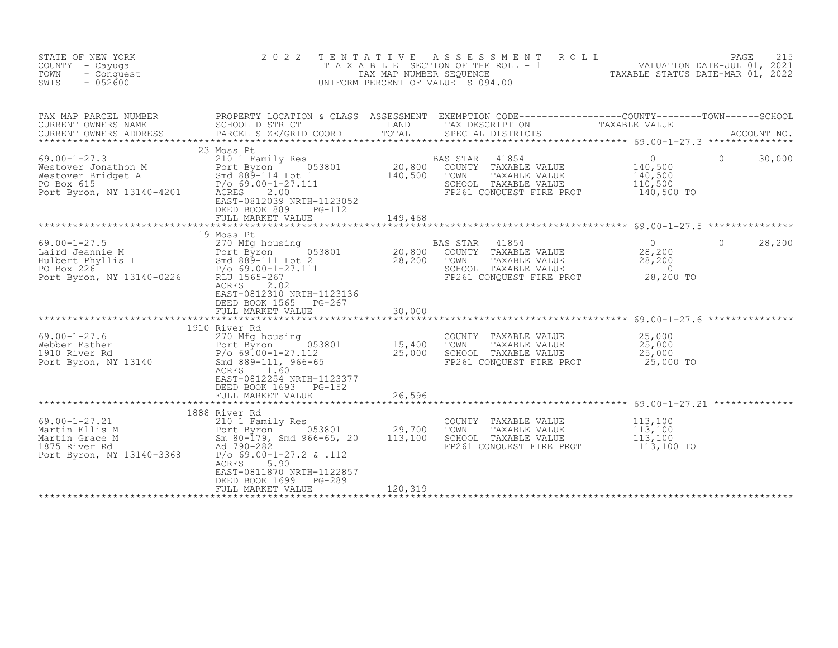| STATE OF NEW YORK<br>COUNTY - Cayuqa<br>TOWN<br>- Conquest<br>SWIS<br>$-052600$                                                                                                                                        | 2 0 2 2                                                                                                                                                                      | TENTATIVE                    | ASSESSMENT ROLL<br>TAXABLE SECTION OF THE ROLL - 1<br>TAXABLE STATUS DATE-JUL 01, 2021<br>TAXABLE STATUS DATE-MAR 01, 2022<br>UNIFORM PERCENT OF VALUE IS 094.00 |                                                               | 215<br>PAGE        |
|------------------------------------------------------------------------------------------------------------------------------------------------------------------------------------------------------------------------|------------------------------------------------------------------------------------------------------------------------------------------------------------------------------|------------------------------|------------------------------------------------------------------------------------------------------------------------------------------------------------------|---------------------------------------------------------------|--------------------|
| TAX MAP PARULL NONDERS<br>CURRENT OWNERS NAME                                                                                                                                                                          | PROPERTY LOCATION & CLASS ASSESSMENT EXEMPTION CODE----------------COUNTY-------TOWN------SCHOOL<br>SCHOOL DISTRICT<br><b>EXAMPLE TERMS</b><br>PARCEL SIZE/GRID COORD        | TOTAL                        | TAX DESCRIPTION TAXABLE VALUE<br>SPECIAL DISTRICTS                                                                                                               |                                                               | ACCOUNT NO.        |
| $69.00 - 1 - 27.3$<br>Westover Jonathon M<br>Westover Bridget A<br>Port Byron Smd 889-114 Lot 1<br>Po Box 615<br>Po 69.00-1-27.111<br>Port Byron, NY 13140-4201<br>ACRES 2.00                                          | 23 Moss Pt<br>210 1 Family Res<br>EAST-0812039 NRTH-1123052<br>DEED BOOK 889<br>$PG-112$<br>FULL MARKET VALUE                                                                | 20,800<br>140,500<br>149,468 | BAS STAR<br>41854<br>COUNTY TAXABLE VALUE<br>TOWN<br>TAXABLE VALUE<br>SCHOOL TAXABLE VALUE<br>FP261 CONQUEST FIRE PROT                                           | $\overline{0}$<br>140,500<br>140,500<br>110,500<br>140,500 TO | $\Omega$<br>30,000 |
|                                                                                                                                                                                                                        | 19 Moss Pt                                                                                                                                                                   |                              |                                                                                                                                                                  |                                                               |                    |
| $69.00 - 1 - 27.5$<br>69.00-1-27.5<br>Laird Jeannie M<br>Hulbert Phyllis I Smd 889-111 Lot 2<br>PO Box 226<br>Port Byron, NY 13140-0226<br>RUU 1565-267                                                                | $0,53801$ 20,800<br>ACRES<br>2.02<br>EAST-0812310 NRTH-1123136<br>DEED BOOK 1565 PG-267<br>FULL MARKET VALUE                                                                 | 28,200<br>30,000             | BAS STAR<br>41854<br>COUNTY TAXABLE VALUE<br>TOWN<br>TAXABLE VALUE<br>SCHOOL TAXABLE VALUE<br>FP261 CONQUEST FIRE PROT                                           | $\overline{0}$<br>28,200<br>28,200<br>$\sim$ 0<br>28,200 TO   | $\Omega$<br>28,200 |
|                                                                                                                                                                                                                        |                                                                                                                                                                              |                              | ******************************** 69.00-1-27.6 ***************                                                                                                    |                                                               |                    |
| $\begin{array}{cc} r & I \\ d & \end{array}$<br>$69.00 - 1 - 27.6$<br>Webber Esther I<br>1910 River Rd<br>Port Byron, NY 13140                                                                                         | 1910 River Rd<br>270 Mfg housing<br>Port Byron 053801<br>P/o 69.00-1-27.112<br>Smd 889-111, 966-65<br>ACRES<br>1.60<br>EAST-0812254 NRTH-1123377<br>DEED BOOK 1693<br>PG-152 | 15,400<br>25,000             | COUNTY TAXABLE VALUE<br>TOWN<br>TAXABLE VALUE<br>SCHOOL TAXABLE VALUE<br>FP261 CONQUEST FIRE PROT                                                                | 25,000<br>25,000<br>25,000<br>25,000 TO                       |                    |
|                                                                                                                                                                                                                        | FULL MARKET VALUE                                                                                                                                                            | 26,596                       |                                                                                                                                                                  |                                                               |                    |
|                                                                                                                                                                                                                        | 1888 River Rd                                                                                                                                                                |                              |                                                                                                                                                                  |                                                               |                    |
| $69.00 - 1 - 27.21$<br>69.00-1-27.21 210 1 Family Res<br>Martin Ellis M Port Byron 053801<br>Martin Grace M Sm 80-179, Smd 966-65, 20<br>1875 River Rd Ad 790-282<br>Port Byron, NY 13140-3368 P/o 69.00-1-27.2 & .112 | 210 1 Family Res<br>Port Byron 053801<br>ACRES<br>5.90<br>EAST-0811870 NRTH-1122857<br>DEED BOOK 1699<br>PG-289                                                              | 29,700<br>113,100            | COUNTY TAXABLE VALUE<br>TOWN<br>TAXABLE VALUE<br>SCHOOL TAXABLE VALUE<br>FP261 CONOUEST FIRE PROT                                                                | 113,100<br>113,100<br>113,100<br>113,100 TO                   |                    |
|                                                                                                                                                                                                                        | FULL MARKET VALUE                                                                                                                                                            | 120,319                      |                                                                                                                                                                  |                                                               |                    |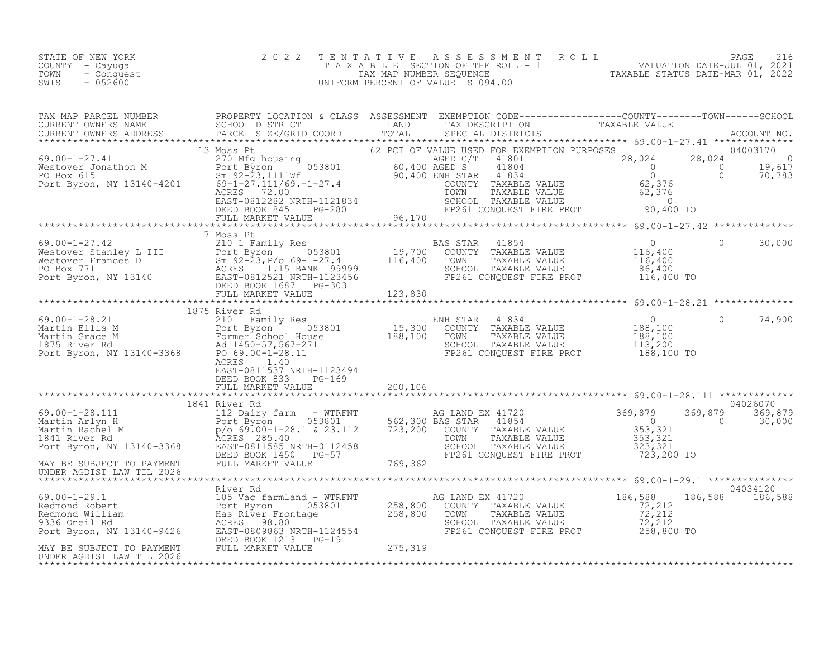| STATE OF NEW YORK  | 2022 TENTATIVE ASSESSMENT ROLL     | PAGE 216                         |
|--------------------|------------------------------------|----------------------------------|
| COUNTY - Cayuqa    | TAXABLE SECTION OF THE ROLL - 1    | VALUATION DATE-JUL 01, 2021      |
| TOWN<br>- Conquest | TAX MAP NUMBER SEOUENCE            | TAXABLE STATUS DATE-MAR 01, 2022 |
| $-052600$<br>SWIS  | UNIFORM PERCENT OF VALUE IS 094.00 |                                  |

| TAX MAP PARCEL NUMBER PROPERTY LOCATION & CLASS ASSESSMENT EXEMPTION CODE-------------------COUNTY--------TOWN------SCHOOL CURRENT OWNERS NAME SCHOOL DISTRICT LOCATION LAND TAX DESCRIPTION TRIMAGE VALUE<br>CURRENT OWNERS ADDR |                           |  |           |          |
|-----------------------------------------------------------------------------------------------------------------------------------------------------------------------------------------------------------------------------------|---------------------------|--|-----------|----------|
|                                                                                                                                                                                                                                   |                           |  |           |          |
|                                                                                                                                                                                                                                   |                           |  |           |          |
|                                                                                                                                                                                                                                   |                           |  |           |          |
|                                                                                                                                                                                                                                   | 7 Moss Pt                 |  |           |          |
|                                                                                                                                                                                                                                   |                           |  |           |          |
|                                                                                                                                                                                                                                   | EAST-0811537 NRTH-1123494 |  | $\bigcap$ | 74,900   |
|                                                                                                                                                                                                                                   | 1841 River Rd             |  |           | 04026070 |
|                                                                                                                                                                                                                                   |                           |  |           |          |
|                                                                                                                                                                                                                                   |                           |  |           |          |
|                                                                                                                                                                                                                                   |                           |  |           |          |
|                                                                                                                                                                                                                                   |                           |  |           |          |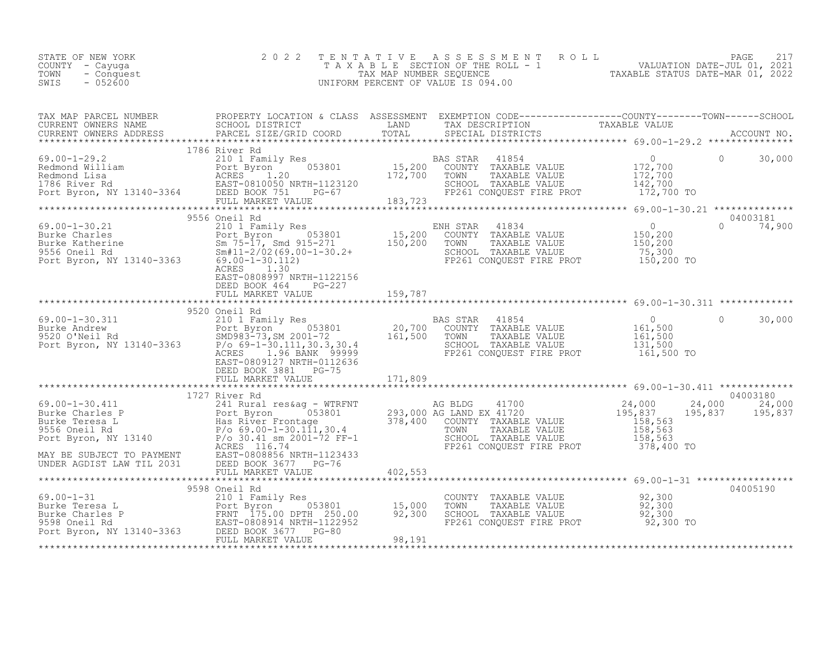| STATE OF NEW YORK<br>COUNTY - Cayuga<br>TOWN<br>- Conquest<br>$-052600$<br>SWIS | 2022 TENTATIVE ASSESSMENT ROLL<br>T A X A B L E SECTION OF THE ROLL - 1<br>TAX MAP NUMBER SEOUENCE<br>UNIFORM PERCENT OF VALUE IS 094.00 | TAXABLE STATUS DATE-MAR 01, 2022 | PAGE<br>VALUATION DATE-JUL 01, 2021 |  |
|---------------------------------------------------------------------------------|------------------------------------------------------------------------------------------------------------------------------------------|----------------------------------|-------------------------------------|--|
|                                                                                 |                                                                                                                                          |                                  |                                     |  |

| $\begin{array}{lllllllllllll} \text{69.00--1-29.2} & & & & & 1786 \text{ River Rd} & & & & & \text{BAS STAR} & 41854 & & & & 0 & 30,000 \\ \text{Redmond William} & & & & & & 2101 \text{ Family Res} & & & & \text{BAS STAR} & 41854 & & & 0 & 0 & 30,000 \\ \text{Redmond Lisa} & & & & & & & 172,700 & & & 172,700 & & & 172,700 & & & 172,700 \\ \text{Redmond Lisa} & & & & & & & & 172,700 &$ | 1786 River Rd                                                      |  |           |                           |
|-----------------------------------------------------------------------------------------------------------------------------------------------------------------------------------------------------------------------------------------------------------------------------------------------------------------------------------------------------------------------------------------------------|--------------------------------------------------------------------|--|-----------|---------------------------|
| 3556 Oneil Rd<br>210 1 Family Res<br>Burke Charles<br>Burke Katherine (15,200 COUNTY TAXABLE VALUE 210 1 Family Res<br>Burke Katherine (15,200 COUNTY TAXABLE VALUE 200 150,200<br>3556 Oneil Rd<br>3556 Oneil Rd<br>210 1 Family Res<br>200 1                                                                                                                                                      | ACRES 1.30<br>EAST-0808997 NRTH-1122156<br>DEED BOOK 464 PG-227    |  |           | 04003181<br>$0 \t 74,900$ |
|                                                                                                                                                                                                                                                                                                                                                                                                     |                                                                    |  |           |                           |
| 99.00-1-30.311<br>20,00-1-30.311 20,700 BAS STAR 41854<br>20,700 COUNTY TAXABLE VALUE 161,500<br>20,700 COUNTY TAXABLE VALUE 161,500<br>9520 O'Neil Rd SMD983-73,SM 2001-72 161,500 TOWN TAXABLE VALUE 161,500<br>Port Byron, NY 13140-3                                                                                                                                                            | 9520 Oneil Rd<br>EAST-0809127 NRTH-0112636<br>DEED BOOK 3881 PG-75 |  |           | 30,000<br>$\Omega$        |
|                                                                                                                                                                                                                                                                                                                                                                                                     |                                                                    |  |           |                           |
|                                                                                                                                                                                                                                                                                                                                                                                                     |                                                                    |  |           |                           |
|                                                                                                                                                                                                                                                                                                                                                                                                     |                                                                    |  |           |                           |
|                                                                                                                                                                                                                                                                                                                                                                                                     | 9598 Oneil Rd                                                      |  |           | 04005190                  |
| $\begin{tabular}{lllllllllll} 69.00-1-31 & 9598 Oneil Rd & 210 1 Family Res & 053801 & 15,000 TOWN & TAXABLE VALUE & 92,300Burke Teresa L & 210 1 Family Res & 053801 & 15,000 TOWN & TAXABLE VALUE & 92,300Burke Charles P & 25,3009598 Oneil Rd & 250.00 DPTH & 250.00 & 92,300 SCHOOL TAXABLE VALUE & 92,3009598 Oneil Rd & 25000 EED BOOK 3677 & 250.$                                          |                                                                    |  | 92,300 TO |                           |
|                                                                                                                                                                                                                                                                                                                                                                                                     |                                                                    |  |           |                           |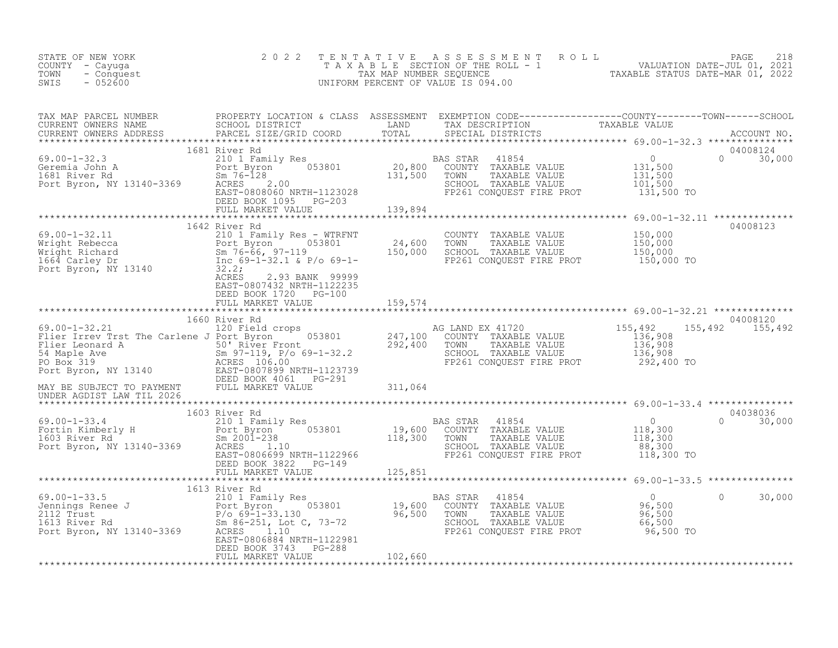| STATE OF NEW YORK<br>COUNTY – Cayuga<br>TOWN<br>- Conquest<br>$-052600$<br>SWIS                                                                                                                                                          | 2 0 2 2                                            |  | TENTATIVE ASSESSMENT ROLL PALUATION DATE-JUL 01, 2021<br>TAXABLE SECTION OF THE ROLL - 1 VALUATION DATE-JUL 01, 2021<br>UNIFORM PERCENT OF VALUE IS 094.00<br>UNIFORM PERCENT OF VALUE IS 094.00                                  |
|------------------------------------------------------------------------------------------------------------------------------------------------------------------------------------------------------------------------------------------|----------------------------------------------------|--|-----------------------------------------------------------------------------------------------------------------------------------------------------------------------------------------------------------------------------------|
|                                                                                                                                                                                                                                          |                                                    |  | TAX MAP PARCEL NUMBER BROPERTY LOCATION & CLASS ASSESSMENT EXEMPTION CODE----------------COUNTY--------TOWN-----SCHOOL CURRENT OWNERS NAME SCHOOL DISTRICT LAND TAX DESCRIPTION TAXABLE VALUE<br>CURRENT OWNERS ADDRESS PARCEL SI |
| 1681 River Rd                                                                                                                                                                                                                            |                                                    |  | 04008124<br>$0 \t 30,000$                                                                                                                                                                                                         |
|                                                                                                                                                                                                                                          |                                                    |  |                                                                                                                                                                                                                                   |
| 1642 River Rd<br>69.00-1-32.11 1642 River Rd<br>Wright Rebecca Port Byron 053801 24,600 TOWN TAXABLE VALUE<br>Nright Richard Sm 76-66, 97-119 150,000 SCHOOL TAXABLE VALUE 150,000<br>150,000 SCHOOL TAXABLE VALUE 150,000<br>150,000 TO | EAST-0807432 NRTH-1122235                          |  | 04008123                                                                                                                                                                                                                          |
|                                                                                                                                                                                                                                          | DEED BOOK 1720 PG-100<br>FULL MARKET VALUE 159,574 |  |                                                                                                                                                                                                                                   |
|                                                                                                                                                                                                                                          |                                                    |  |                                                                                                                                                                                                                                   |
|                                                                                                                                                                                                                                          |                                                    |  |                                                                                                                                                                                                                                   |
|                                                                                                                                                                                                                                          | 1660 River Rd                                      |  | 04008120                                                                                                                                                                                                                          |
|                                                                                                                                                                                                                                          |                                                    |  |                                                                                                                                                                                                                                   |
|                                                                                                                                                                                                                                          |                                                    |  |                                                                                                                                                                                                                                   |
|                                                                                                                                                                                                                                          |                                                    |  |                                                                                                                                                                                                                                   |
|                                                                                                                                                                                                                                          |                                                    |  |                                                                                                                                                                                                                                   |
|                                                                                                                                                                                                                                          |                                                    |  | 30,000<br>$\Omega$                                                                                                                                                                                                                |
|                                                                                                                                                                                                                                          | DEED BOOK 3743 PG-288<br>FULL MARKET VALUE 102,660 |  |                                                                                                                                                                                                                                   |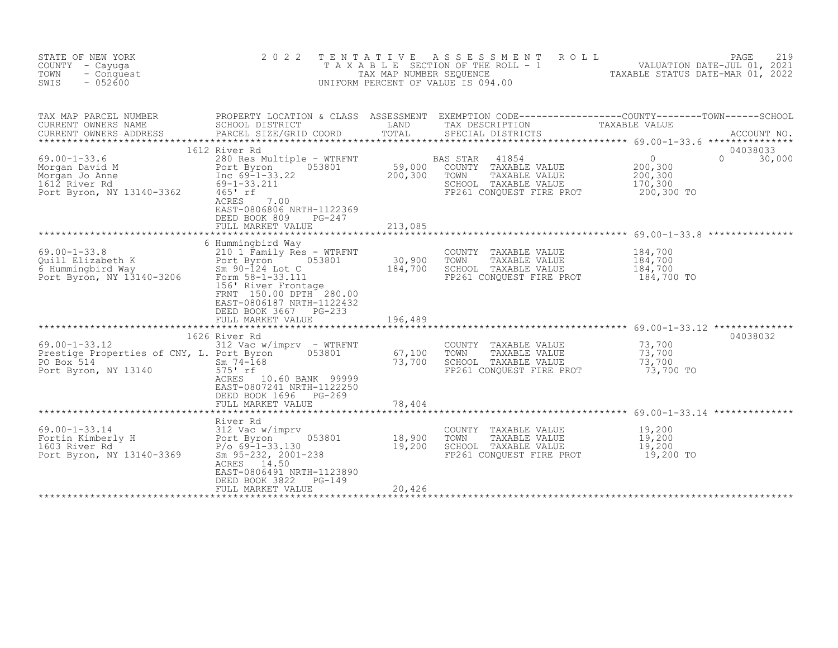| STATE OF NEW YORK<br>COUNTY - Cayuga<br>TOWN<br>- Conquest<br>$-052600$<br>SWIS                                                                                                                                                                                                                                                                       | 2 0 2 2                                                                                                                                                         |                            | TENTATIVE ASSESSMENT<br>R O L L<br>UNIFORM PERCENT OF VALUE IS 094.00                                                         | PAGE<br>219<br>T A X A B L E SECTION OF THE ROLL - 1 WALUATION DATE-JUL 01, 2021<br>TAX MAP NUMBER SEQUENCE TANDED TAXABLE STATUS DATE-MAR 01, 2022 |
|-------------------------------------------------------------------------------------------------------------------------------------------------------------------------------------------------------------------------------------------------------------------------------------------------------------------------------------------------------|-----------------------------------------------------------------------------------------------------------------------------------------------------------------|----------------------------|-------------------------------------------------------------------------------------------------------------------------------|-----------------------------------------------------------------------------------------------------------------------------------------------------|
| CURRENT OWNERS ADDRESS                                                                                                                                                                                                                                                                                                                                | PARCEL SIZE/GRID COORD                                                                                                                                          | TOTAL                      | SPECIAL DISTRICTS                                                                                                             | ACCOUNT NO.                                                                                                                                         |
| 69.00-1-33.6<br>Morgan David M<br>Morgan Jo Anne<br>Morgan Jo Anne<br>Morgan Jo Anne<br>Morgan Jo Anne<br>Morgan Jo Anne<br>200,300 COUNTY TAXABLE VALUE<br>TRABLE VALUE<br>TRABLE VALUE<br>TRABLE VALUE<br>TRABLE VALUE<br>TRABLE VALUE<br>TRABLE VALU                                                                                               | 1612 River Rd<br>EAST-0806806 NRTH-1122369<br>DEED BOOK 809<br>PG-247<br>FULL MARKET VALUE                                                                      | 213,085                    | BAS STAR 41854<br>SCHOOL TAXABLE VALUE 170,300<br>FP261 CONQUEST FIRE PROT                                                    | 04038033<br>0<br>200,300<br>200,300<br>$\Omega$<br>30,000<br>200,300 TO                                                                             |
|                                                                                                                                                                                                                                                                                                                                                       |                                                                                                                                                                 |                            |                                                                                                                               |                                                                                                                                                     |
| 69.00-1-33.8<br>Quill Elizabeth K<br>G Hummingbird Way<br>Fort Byron 053801<br>The Summingbird Way<br>Sm 90-124 Lot C<br>Tom 58-1-33.11<br>The River Frontage<br>The Street Protocol of River Frontage                                                                                                                                                | 6 Hummingbird Way<br>156' River Frontage<br>FRNT 150.00 DPTH 280.00<br>EAST-0806187 NRTH-1122432<br>DEED BOOK 3667 PG-233<br>FULL MARKET VALUE                  | 196,489                    | COUNTY TAXABLE VALUE<br>TOWN<br>TAXABLE VALUE<br>SCHOOL TAXABLE VALUE<br>FP261 CONOUEST FIRE PROT                             | 184,700<br>184,700<br>184,700<br>184,700 TO                                                                                                         |
| $69.00 - 1 - 33.12$<br>Prestige Properties of CNY, L. Port Byron <sup>7</sup> 053801<br>PO Box 514<br>Port Byron, NY 13140 575' rf                                                                                                                                                                                                                    | 1626 River Rd<br>312 Vac w/imprv - WTRFNT<br>Sm $74 - 168$<br>ACRES 10.60 BANK 99999<br>EAST-0807241 NRTH-1122250<br>DEED BOOK 1696 PG-269<br>FULL MARKET VALUE | 67,100<br>73,700<br>78,404 | COUNTY TAXABLE VALUE 73,700<br>TOWN TAXABLE VALUE 73,700<br>SCHOOL TAXABLE VALUE 73,700<br>FP261 CONQUEST FIRE PROT 73,700 TO | 04038032                                                                                                                                            |
|                                                                                                                                                                                                                                                                                                                                                       |                                                                                                                                                                 |                            |                                                                                                                               |                                                                                                                                                     |
| $\begin{tabular}{lllllllllll} 69.00-1-33.14 & \multicolumn{3}{c }{River\ Rd} \\ \text{Fort\ Byron, NY\ 13140-3369} & \multicolumn{3}{c }{312\ Vac\ w/imprv} & 053801 & 18,900 \\ \text{Fort\ Byron, NY\ 13140-3369} & \multicolumn{3}{c }{P/o\ 69-1-33.130} & 053801 & 18,900 \\ \text{Port\ Byron, NY\ 13140-3369} & \multicolumn{3}{c }{sn\ 95-232$ | ACRES 14.50<br>EAST-0806491 NRTH-1123890<br>DEED BOOK 3822<br>PG-149<br>FULL MARKET VALUE                                                                       | 20,426                     | COUNTY TAXABLE VALUE 19,200<br>TOWN TAXABLE VALUE 19,200<br>SCHOOL TAXABLE VALUE 19,200<br>FP261 CONQUEST FIRE PROT 19,200 TO |                                                                                                                                                     |
|                                                                                                                                                                                                                                                                                                                                                       |                                                                                                                                                                 |                            |                                                                                                                               |                                                                                                                                                     |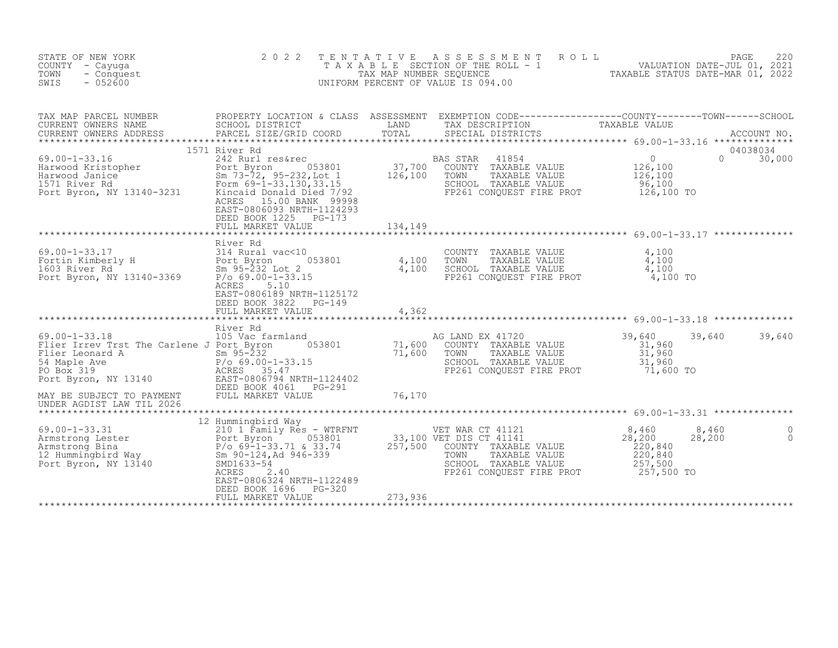| STATE OF NEW YORK<br>COUNTY - Cayuga<br>TOWN<br>- Conquest<br>$-052600$<br>SWIS                                                                                                                            | 2 0 2 2                                                                                                                                                                                                                       | TENTATIVE                    | A S S E S S M E N T<br>ROLL<br>TAXABLE SECTION OF THE ROLL - 1 (1994) VALUATION DATE-JUL 01, 2021<br>TAX MAP NUMBER SEQUENCE TAXABLE STATUS DATE-MAR 01, 2022<br>UNIFORM PERCENT OF VALUE IS 094.00                                                       |                                                                                   | PAGE<br>220   |
|------------------------------------------------------------------------------------------------------------------------------------------------------------------------------------------------------------|-------------------------------------------------------------------------------------------------------------------------------------------------------------------------------------------------------------------------------|------------------------------|-----------------------------------------------------------------------------------------------------------------------------------------------------------------------------------------------------------------------------------------------------------|-----------------------------------------------------------------------------------|---------------|
| TAX MAP PARCEL NUMBER<br>CURRENT OWNERS NAME<br>CURRENT OWNERS ADDRESS                                                                                                                                     | PARCEL SIZE/GRID COORD<br>1571 River Rd                                                                                                                                                                                       |                              | PROPERTY LOCATION & CLASS ASSESSMENT EXEMPTION CODE----------------COUNTY--------TOWN------SCHOOL<br>SCHOOL DISTRICT               LAND       TAX DESCRIPTION         TAXABLE VALUE<br>PARCEL SIZE/GRID COORD       TOTAL     SPECIA<br>SPECIAL DISTRICTS |                                                                                   | 04038034      |
| $69.00 - 1 - 33.16$<br>Harwood Kristopher<br>Harwood Janice<br>1571 River Rd<br>Port Byron, NY 13140-3231                                                                                                  | 242 Rurl res&rec<br>053801<br>Port Byron<br>Sm 73-72, 95-232,Lot 1<br>Form 69-1-33.130,33.15<br>Kincaid Donald Died 7/92<br>ACRES 15.00 BANK 99998<br>EAST-0806093 NRTH-1124293<br>DEED BOOK 1225 PG-173<br>FULL MARKET VALUE | 37,700<br>126,100<br>134,149 | BAS STAR<br>41854<br>COUNTY TAXABLE VALUE<br>TOWN<br>TAXABLE VALUE<br>SCHOOL TAXABLE VALUE<br>FP261 CONQUEST FIRE PROT                                                                                                                                    | $\overline{0}$<br>$\Omega$<br>126,100<br>126,100<br>96,100<br>126,100 TO          | 30,000        |
|                                                                                                                                                                                                            |                                                                                                                                                                                                                               |                              |                                                                                                                                                                                                                                                           |                                                                                   |               |
| $69.00 - 1 - 33.17$<br>Fortin Kimberly H Port Byron<br>1603 River Rd Sm 95-232 I<br>Port Byron, NY 13140-3369 P/o 69.00-1                                                                                  | River Rd<br>314 Rural vac<10<br>053801<br>Sm 95-232 Lot 2<br>$P/O 69.00 - 1 - 33.15$<br>ACRES<br>5.10<br>EAST-0806189 NRTH-1125172<br>DEED BOOK 3822<br>PG-149                                                                | $\frac{4,100}{4,100}$        | COUNTY TAXABLE VALUE<br>TOWN<br>TAXABLE VALUE<br>SCHOOL TAXABLE VALUE<br>FP261 CONQUEST FIRE PROT                                                                                                                                                         | 4,100<br>4,100<br>4,100<br>4,100 TO                                               |               |
|                                                                                                                                                                                                            | FULL MARKET VALUE                                                                                                                                                                                                             | 4,362                        |                                                                                                                                                                                                                                                           |                                                                                   |               |
| $69.00 - 1 - 33.18$<br>Flier Irrev Trst The Carlene J Port Byron<br>Flier Leonard A<br>54 Maple Ave<br>PO Box 319<br>Port Byron, NY 13140 EAST-0806794 NRTH-1124402                                        | River Rd<br>105 Vac farmland<br>053801<br>$Sm$ 95-232<br>Sm 95-232<br>P/o 69.00-1-33.15<br>ACRES 35.47                                                                                                                        | 71,600<br>71,600             | AG LAND EX 41720<br>COUNTY TAXABLE VALUE<br>TAXABLE VALUE<br>TOWN<br>SCHOOL TAXABLE VALUE<br>FP261 CONQUEST FIRE PROT                                                                                                                                     | 39,640<br>39,640<br>31,960<br>31,960<br>31,960<br>71,600 TO                       | 39,640        |
| MAY BE SUBJECT TO PAYMENT<br>UNDER AGDIST LAW TIL 2026                                                                                                                                                     | DEED BOOK 4061<br>PG-291<br>FULL MARKET VALUE                                                                                                                                                                                 | 76,170                       |                                                                                                                                                                                                                                                           |                                                                                   |               |
|                                                                                                                                                                                                            |                                                                                                                                                                                                                               |                              |                                                                                                                                                                                                                                                           |                                                                                   |               |
| Armstrong Bina<br>Armstrong Bina<br>12 Hummingbird Way<br>Port Byron, NY 13140<br>257,500 COUNTY TAYAPT<br>257,500 COUNTY TAYAPT<br>Port Byron, NY 13140<br>257,500 COUNTY TAYAPT<br>257,500 COUNTY TAYAPT | EAST-0806324 NRTH-1122489<br>DEED BOOK 1696<br>PG-320                                                                                                                                                                         |                              | COUNTY TAXABLE VALUE<br>TAXABLE VALUE<br>SCHOOL TAXABLE VALUE<br>FP261 CONOUEST FIRE PROT                                                                                                                                                                 | 8,460<br>8,460<br>28,200<br>28,200<br>220,840<br>220,840<br>257,500<br>257,500 TO | 0<br>$\Omega$ |
|                                                                                                                                                                                                            | FULL MARKET VALUE                                                                                                                                                                                                             | 273,936                      |                                                                                                                                                                                                                                                           |                                                                                   |               |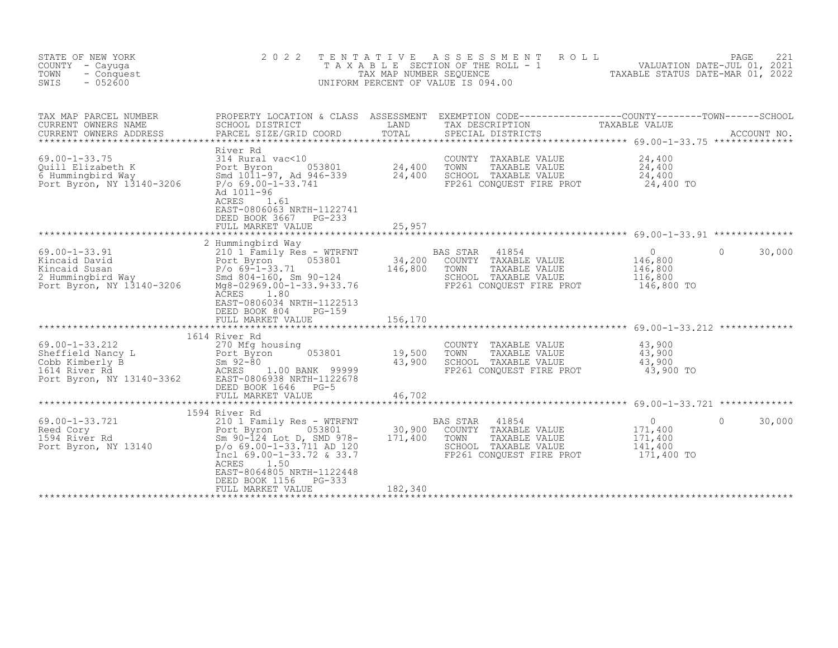| STATE OF NEW YORK<br>COUNTY - Cayuga<br>TOWN<br>- Conquest<br>SWIS<br>$-052600$                                                                                                                                | 2 0 2 2                                                                                                         |                  | TENTATIVE ASSESSMENT ROLL<br>PAGE 221<br>TAXABLE SECTION OF THE ROLL - 1 VALUATION DATE-JUL 01, 2021<br>TAX MAP NUMBER SEQUENCE TAXABLE STATUS DATE-MAR 01, 2022<br>NIFORM PERCENT OF VALUE IS 094.00<br>UNIFORM PERCENT OF VALUE IS 094.00 |                                                 |                    |
|----------------------------------------------------------------------------------------------------------------------------------------------------------------------------------------------------------------|-----------------------------------------------------------------------------------------------------------------|------------------|---------------------------------------------------------------------------------------------------------------------------------------------------------------------------------------------------------------------------------------------|-------------------------------------------------|--------------------|
| TAX MAP PARCEL NUMBER<br>CURRENT OWNERS NAME<br>CURRENT OWNERS ADDRESS                                                                                                                                         | SCHOOL DISTRICT                                                                                                 |                  | PROPERTY LOCATION & CLASS ASSESSMENT EXEMPTION CODE----------------COUNTY-------TOWN------SCHOOL<br>TAXABLE VALUE<br>LAND TAX DESCRIPTION                                                                                                   |                                                 |                    |
| 69.00-1-33.75<br>Quill Elizabeth K<br>G Hummingbird Way<br>Fort Byron (1011-97, Ad 946-339)<br>Port Byron, NY 13140-3206<br>Port Byron, NY 13140-3206<br>Port Byron, NY 13140-3206<br>Port Accordinates 23.741 | River Rd<br>Ad 1011-96<br>ACRES 1.61<br>EAST-0806063 NRTH-1122741<br>DEED BOOK 3667 PG-233<br>FULL MARKET VALUE | 25,957           | COUNTY TAXABLE VALUE<br>TOWN<br>TAXABLE VALUE<br>SCHOOL TAXABLE VALUE<br>FP261 CONQUEST FIRE PROT 24,400 TO                                                                                                                                 | 24,400<br>24,400<br>24,400                      |                    |
|                                                                                                                                                                                                                | 2 Hummingbird Way                                                                                               |                  |                                                                                                                                                                                                                                             | $\overline{0}$<br>146,800                       | $\Omega$<br>30,000 |
|                                                                                                                                                                                                                | ACRES 1.80<br>EAST-0806034 NRTH-1122513<br>DEED BOOK 804<br>PG-159                                              |                  | FP261 CONQUEST FIRE PROT 146,800 TO                                                                                                                                                                                                         | 146,800<br>116,800                              |                    |
|                                                                                                                                                                                                                | FULL MARKET VALUE                                                                                               | 156,170          |                                                                                                                                                                                                                                             |                                                 |                    |
| 69.00-1-33.212                                                                                                                                                                                                 | 1614 River Rd<br>270 Mfg housing                                                                                |                  | COUNTY TAXABLE VALUE                                                                                                                                                                                                                        | 43,900                                          |                    |
| 69.00-1-33.212 270 Mfg housing<br>Sheffield Nancy L<br>Cobb Kimberly B<br>1614 River Rd<br>Port Byron, NY 13140-3362 EAST-0806938 NRTH-1122678<br>FRED BOOK 1646 PG-5                                          | 053801                                                                                                          | 19,500<br>43,900 | TOWN TAXABLE VALUE 43, 900<br>SCHOOL TAXABLE VALUE 43, 900<br>FP261 CONQUEST FIRE PROT 43,900 TO                                                                                                                                            |                                                 |                    |
|                                                                                                                                                                                                                | DEED BOOK 1646 PG-5<br>FULL MARKET VALUE                                                                        | 46,702           |                                                                                                                                                                                                                                             |                                                 |                    |
|                                                                                                                                                                                                                |                                                                                                                 |                  |                                                                                                                                                                                                                                             |                                                 |                    |
| 69.00-1-33.721 1391 1391 1392<br>Reed Cory Port Byron 053801 30,900<br>1594 River Rd Sm 90-124 Lot D, SMD 978- 171,400<br>Port Byron, NY 13140 $p/0.69.00-1-33.711$ AD 120                                     | 1594 River Rd<br>Incl $69.00 - 1 - 33.72$ & 33.7<br>1.50<br>ACRES<br>EAST-8064805 NRTH-1122448                  |                  | BAS STAR 41854<br>30,900 COUNTY TAXABLE VALUE<br>TOWN<br>TAXABLE VALUE<br>SCHOOL TAXABLE VALUE<br>FP261 CONQUEST FIRE PROT 171,400 TO                                                                                                       | $\overline{0}$<br>171,400<br>171,400<br>141,400 | 30,000<br>$\Omega$ |
|                                                                                                                                                                                                                | DEED BOOK 1156 PG-333<br>FULL MARKET VALUE                                                                      | 182,340          |                                                                                                                                                                                                                                             |                                                 |                    |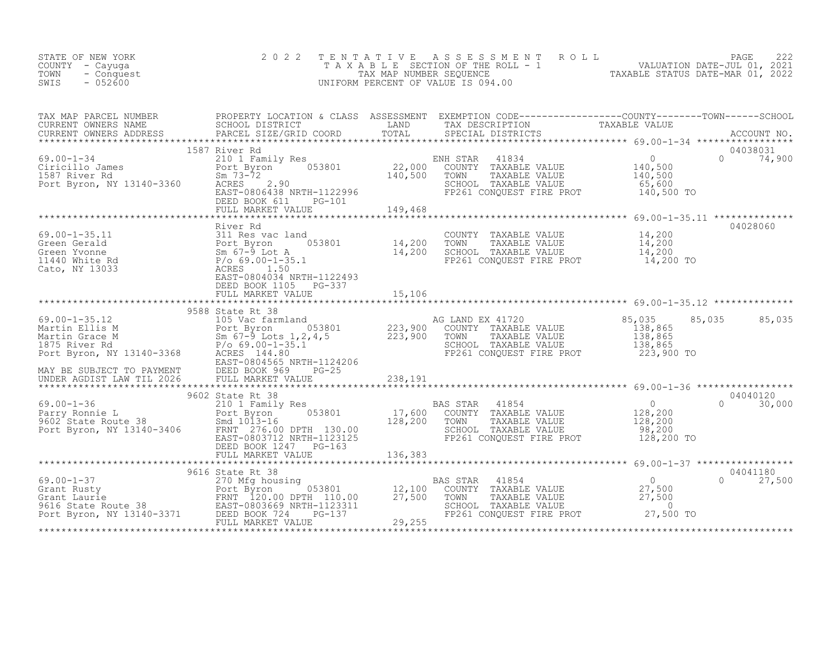| STATE OF NEW YORK<br>COUNTY - Cayuga<br>TOWN<br>- Conquest<br>$-052600$<br>SWIS                                                                                                                                                | 2 0 2 2                           | TENTATIVE | TENTATIVE ASSESSMENT ROLL MALUATION DATE-JUL 01, 2021<br>TAXABLE SECTION OF THE ROLL - 1<br>TAX MAP NUMBER SEQUENCE TAXABLE STATUS DATE-MAR 01, 2022<br>JNIFORM PERCENT OF VALUE IS 094.00<br>UNIFORM PERCENT OF VALUE IS 094.00 |        |                           |
|--------------------------------------------------------------------------------------------------------------------------------------------------------------------------------------------------------------------------------|-----------------------------------|-----------|----------------------------------------------------------------------------------------------------------------------------------------------------------------------------------------------------------------------------------|--------|---------------------------|
| 1587 River Rd 1587 River Rd 210 1 Family Res 210 1 Family Res 22,000 COUNTY TAXABLE VALUE 22,000 COUNTY TAXABLE VALUE 22,000 COUNTY TAXABLE VALUE 22,000 COUNTY TAXABLE VALUE 22,000 COUNTY TAXABLE VALUE 22,000 COUNTY TAXABL |                                   |           |                                                                                                                                                                                                                                  |        | 04038031<br>$0 \t 74,900$ |
|                                                                                                                                                                                                                                |                                   |           | FP261 CONQUEST FIRE PROT 140,500 TO                                                                                                                                                                                              |        |                           |
| 69.00-1-35.11<br>Green Gerald<br>Green Wonne<br>Green Wonne<br>1440 White Rd<br>Cato, NY 13033<br>SCHOO EAST-0804034 NRTH-1122493<br>EAST-0804034 NRTH-1122493                                                                 | River Rd<br>DEED BOOK 1105 PG-337 |           | COUNTY TAXABLE VALUE $14,200$<br>TOWN TAXABLE VALUE $14,200$<br>SCHOOL TAXABLE VALUE $14,200$<br>FP261 CONQUEST FIRE PROT $14,200$                                                                                               |        | 04028060                  |
|                                                                                                                                                                                                                                | FULL MARKET VALUE                 | 15,106    |                                                                                                                                                                                                                                  |        |                           |
|                                                                                                                                                                                                                                | 9588 State Rt 38                  |           |                                                                                                                                                                                                                                  | 85,035 | 85,035                    |
|                                                                                                                                                                                                                                |                                   |           |                                                                                                                                                                                                                                  |        |                           |
|                                                                                                                                                                                                                                |                                   |           |                                                                                                                                                                                                                                  |        |                           |
|                                                                                                                                                                                                                                | FULL MARKET VALUE                 | 136,383   |                                                                                                                                                                                                                                  |        |                           |
|                                                                                                                                                                                                                                |                                   |           |                                                                                                                                                                                                                                  |        | 04041180                  |
|                                                                                                                                                                                                                                |                                   |           |                                                                                                                                                                                                                                  |        | 27,500                    |
|                                                                                                                                                                                                                                |                                   |           |                                                                                                                                                                                                                                  |        |                           |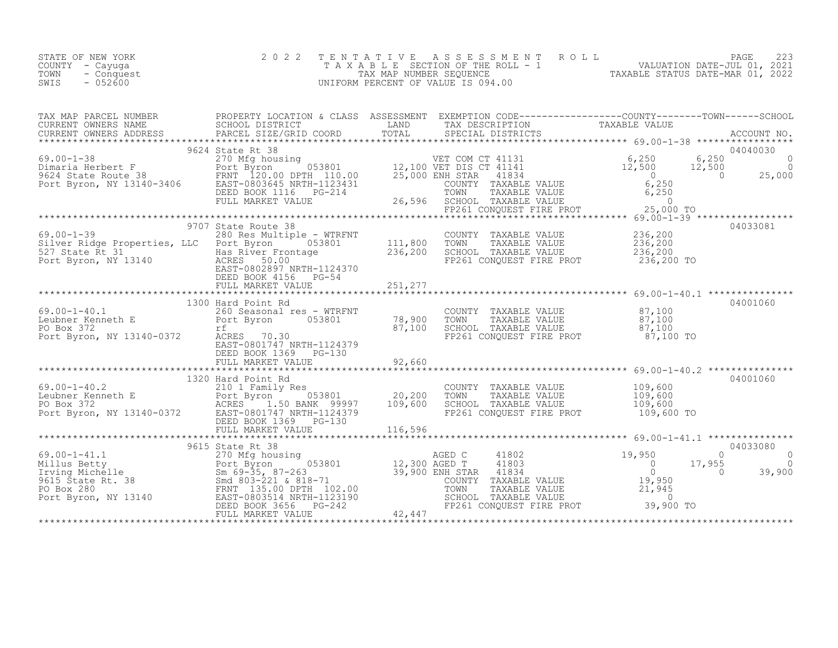| STATE OF NEW YORK<br>COUNTY - Cayuqa<br>TOWN - Conquest<br>$-052600$<br>SWIS | 2022 TENTATIVE ASSESSMENT ROLL<br>T A X A B L E SECTION OF THE ROLL - 1<br>TAX MAP NUMBER SEOUENCE<br>UNIFORM PERCENT OF VALUE IS 094.00 | PAGE 223<br>VALUATION DATE-JUL 01, 2021<br>TAXABLE STATUS DATE-MAR 01, 2022 |
|------------------------------------------------------------------------------|------------------------------------------------------------------------------------------------------------------------------------------|-----------------------------------------------------------------------------|
|------------------------------------------------------------------------------|------------------------------------------------------------------------------------------------------------------------------------------|-----------------------------------------------------------------------------|

| TAX MAP PARCEL NUMBER                                                                                                                                                                                                                                                                                                                                                                        | PROPERTY LOCATION & CLASS ASSESSMENT EXEMPTION CODE-----------------COUNTY-------TOWN------SCHOOL |                                                                                                                                                                                                 |          |
|----------------------------------------------------------------------------------------------------------------------------------------------------------------------------------------------------------------------------------------------------------------------------------------------------------------------------------------------------------------------------------------------|---------------------------------------------------------------------------------------------------|-------------------------------------------------------------------------------------------------------------------------------------------------------------------------------------------------|----------|
| TAX MAP PARCES NUMBER TRINING A CONTROLL IN A CONSUMING A CONSUMING TRINING TRINING TRINING TRINING TRINING TRINING TRINING TRINING TRINING TRINING TRINING TRINING TRINING TRINING TRINING TRINING TRINING TRINING TRINING TR                                                                                                                                                               |                                                                                                   |                                                                                                                                                                                                 |          |
|                                                                                                                                                                                                                                                                                                                                                                                              |                                                                                                   |                                                                                                                                                                                                 |          |
| $\begin{tabular}{lllllllllllll} \multicolumn{3}{c}{\begin{tabular}{l} \multicolumn{3}{c}{\begin{tabular}{l} $69.00-1-38$} \end{tabular} & $9624$ states Rt 38 & $VET$ COM CT 41131 & $6,250$ & $6,250$ \\ 59.00-1-38 & $270$ Mfg housing & $053801$ & $12,100 VET DIS CT 41141 & $6,250$ & $6,250$ & $0$ \\ 9624$ State Route 38 & FENT 120.00 DPTH 110.00 & $25,000$ ENR$                   |                                                                                                   |                                                                                                                                                                                                 |          |
|                                                                                                                                                                                                                                                                                                                                                                                              |                                                                                                   |                                                                                                                                                                                                 |          |
| 9.00-1-39<br>Silver Ridge Properties, LLC Port Byron 053801<br>236,200 Res Multiple - WTRFNT 211,800 TOWN TAXABLE VALUE 236,200<br>527 State Rt 31 Bas River Frontage 236,200 SCHOOL TAXABLE VALUE 236,200<br>Port Byron, NY 13140 ACR                                                                                                                                                       | 9707 State Route 38                                                                               |                                                                                                                                                                                                 | 04033081 |
|                                                                                                                                                                                                                                                                                                                                                                                              |                                                                                                   |                                                                                                                                                                                                 |          |
| 69.00-1-40.1<br>Leubner Kenneth E<br>Port Byron 053801 78,900<br>PO Box 372 (100)<br>Port Byron, NY 13140-0372 ACRES 70.30                                                                                                                                                                                                                                                                   | 1300 Hard Point Rd<br>EAST-0801747 NRTH-1124379<br>DEED BOOK 1369 PG-130                          | COUNTY TAXABLE VALUE $\begin{array}{cccc} 87,100\ 78,900 & TOWN & TAXABLE VALUE & 87,100\ 87,100 & SCHOOL & TAXABLE VALUE & 87,100\ 87,100 & FP261 CONQUEST FIRE PROT & 87,100 TO\ \end{array}$ | 04001060 |
|                                                                                                                                                                                                                                                                                                                                                                                              |                                                                                                   |                                                                                                                                                                                                 |          |
| $\begin{array}{lllllllllllll} 69.00-1-40.2 & 1320\ \text{Hard Point Rd} & 20,200 & \text{COMNY} & \text{TAXABLE VALUE} & 109,600 & 04001000 \\ \text{Leubner Kenneth E} & 20,200 & \text{TOWN} & \text{TAXABLE VALUE} & 109,600 & 04001000 \\ \text{PO Box 372} & \text{ACRES} & 1.50\ \text{BANK} & 99997 & 109,600 & \text{SCHOOL TAXABLE VALUE} & 109,600 \\ \text{Port Byron, NY 13140-$ | 1320 Hard Point Rd                                                                                |                                                                                                                                                                                                 | 04001060 |
|                                                                                                                                                                                                                                                                                                                                                                                              |                                                                                                   |                                                                                                                                                                                                 |          |
| 39615 State Rt 38<br>69.00-1-41.1 270 Mfg housing<br>Millius Betty and 803-221 & 818-71<br>270 Mfg housing<br>12,300 AGED T 41803<br>12,300 AGED T 41803<br>21,950<br>21,950<br>21,955<br>21,955<br>21,955<br>21,955<br>21,950<br>21,955<br>21,955<br>21,955                                                                                                                                 |                                                                                                   |                                                                                                                                                                                                 |          |
|                                                                                                                                                                                                                                                                                                                                                                                              |                                                                                                   |                                                                                                                                                                                                 |          |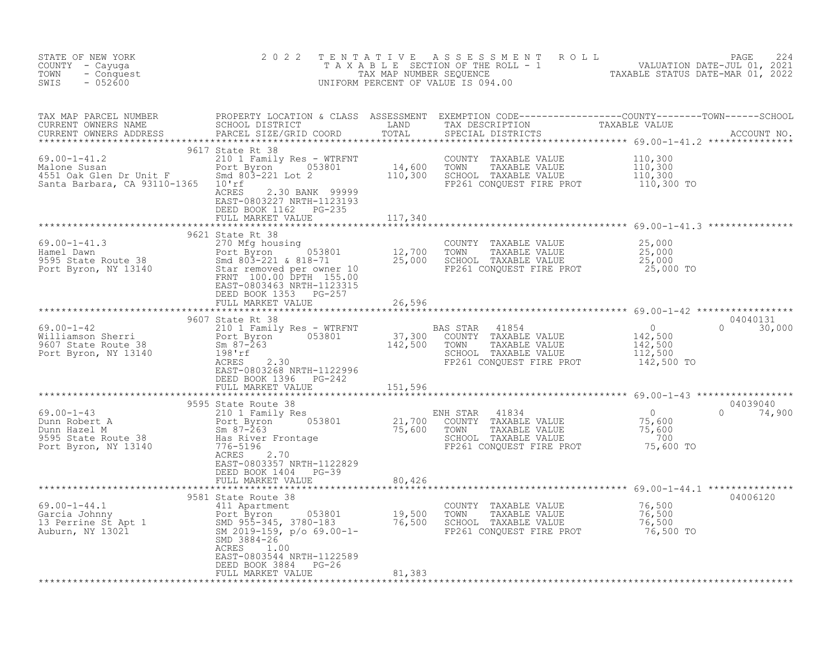| STATE OF NEW YORK<br>COUNTY - Cayuga<br>TOWN - Conquest<br>Asagno                                                   | 2 0 2 2                                                                                             |        |                                                                                                                                                                                                                                              | TENTATIVE ASSESSMENT ROLL PACE 224<br>TAXABLE SECTION OF THE ROLL - 1 VALUATION DATE-JUL 01, 2021<br>TAX MAP NUMBER SEQUENCE TAXABLE STATUS DATE-MAR 01, 2022<br>UNIFORM PERCENT OF VALUE IS 094.00 |
|---------------------------------------------------------------------------------------------------------------------|-----------------------------------------------------------------------------------------------------|--------|----------------------------------------------------------------------------------------------------------------------------------------------------------------------------------------------------------------------------------------------|-----------------------------------------------------------------------------------------------------------------------------------------------------------------------------------------------------|
|                                                                                                                     |                                                                                                     |        |                                                                                                                                                                                                                                              |                                                                                                                                                                                                     |
| $69.00 - 1 - 41.2$<br>69.00-1-41.2<br>Malone Susan<br>4551 Oak Glen Dr Unit F<br>Santa Barbara, CA 93110-1365 10'rf | 9617 State Rt 38<br>EAST-0803227 NRTH-1123193<br>DEED BOOK 1162 PG-235<br>FULL MARKET VALUE 117,340 |        | 210 1 Family Res - WTRFNT<br>210 1 Family Res - WTRFNT<br>Port Byron 053801 14,600 TOWN TAXABLE VALUE 110,300<br>300 Smd 803-221 Lot 2 110,300 SCHOOL TAXABLE VALUE 110,300<br>10'rf<br>2.30 BANK 99999<br>ACRES 2.30 BANK 999999<br>FP261 C |                                                                                                                                                                                                     |
|                                                                                                                     |                                                                                                     |        |                                                                                                                                                                                                                                              |                                                                                                                                                                                                     |
|                                                                                                                     |                                                                                                     |        |                                                                                                                                                                                                                                              |                                                                                                                                                                                                     |
|                                                                                                                     | DEED BOOK 1353 PG-257<br>FULL MARKET VALUE                                                          | 26,596 |                                                                                                                                                                                                                                              |                                                                                                                                                                                                     |
|                                                                                                                     |                                                                                                     |        |                                                                                                                                                                                                                                              |                                                                                                                                                                                                     |
|                                                                                                                     |                                                                                                     |        |                                                                                                                                                                                                                                              |                                                                                                                                                                                                     |
|                                                                                                                     |                                                                                                     |        |                                                                                                                                                                                                                                              |                                                                                                                                                                                                     |
|                                                                                                                     | EAST-0803357 NRTH-1122829<br>DEED BOOK 1404 PG-39                                                   |        |                                                                                                                                                                                                                                              |                                                                                                                                                                                                     |
|                                                                                                                     | FULL MARKET VALUE                                                                                   | 80,426 |                                                                                                                                                                                                                                              |                                                                                                                                                                                                     |
|                                                                                                                     |                                                                                                     |        |                                                                                                                                                                                                                                              | 04006120                                                                                                                                                                                            |
|                                                                                                                     | ACRES 1.00<br>EAST-0803544 NRTH-1122589<br>DEED BOOK 3884 PG-26<br>FULL MARKET VALUE                | 81,383 |                                                                                                                                                                                                                                              |                                                                                                                                                                                                     |
|                                                                                                                     |                                                                                                     |        |                                                                                                                                                                                                                                              |                                                                                                                                                                                                     |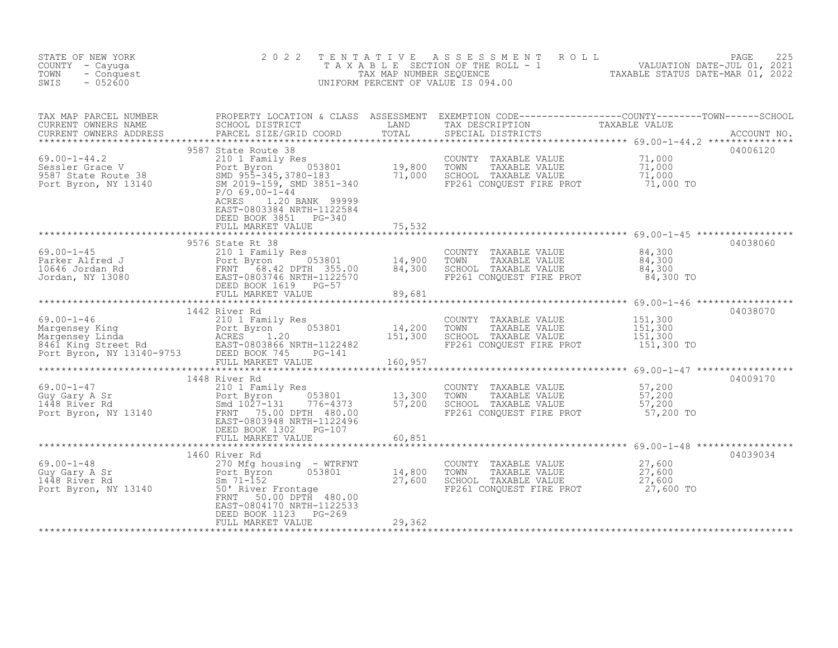| STATE OF NEW YORK<br>COUNTY - Cayuga<br>TOWN<br>- Conquest<br>$-052600$<br>SWIS                                                                                                                                                                                                                                                                                                                                   | 2 0 2 2                                            |        | TENTATIVE ASSESSMENT ROLL PAGE 225<br>TAXABLE SECTION OF THE ROLL - 1 VALUATION DATE-JUL 01, 2021<br>TAX MAP NUMBER SEQUENCE TAXABLE STATUS DATE-MAR 01, 2022<br>UNIFORM PERCENT OF VALUE IS 094.00 |          |
|-------------------------------------------------------------------------------------------------------------------------------------------------------------------------------------------------------------------------------------------------------------------------------------------------------------------------------------------------------------------------------------------------------------------|----------------------------------------------------|--------|-----------------------------------------------------------------------------------------------------------------------------------------------------------------------------------------------------|----------|
|                                                                                                                                                                                                                                                                                                                                                                                                                   |                                                    |        |                                                                                                                                                                                                     |          |
|                                                                                                                                                                                                                                                                                                                                                                                                                   | EAST-0803384 NRTH-1122584<br>DEED BOOK 3851 PG-340 |        |                                                                                                                                                                                                     | 04006120 |
|                                                                                                                                                                                                                                                                                                                                                                                                                   |                                                    |        |                                                                                                                                                                                                     | 04038060 |
|                                                                                                                                                                                                                                                                                                                                                                                                                   |                                                    |        |                                                                                                                                                                                                     |          |
|                                                                                                                                                                                                                                                                                                                                                                                                                   | 1442 River Rd                                      |        |                                                                                                                                                                                                     | 04038070 |
| $\begin{array}{lllllllllllll} 69.00-1-46 & 1442 \text{ River Rd} & 2101 & 1442 & \text{River Rd} & 200 \text{NTY} & \text{TAXABLE VALUE} & 151,300 \\ \text{Margensey King} & 2101 & \text{Ferm} & 053801 & 14,200 & \text{TOMN} & \text{TAXABLE VALUE} & 151,300 \\ \text{Margensey Linda} & \text{ACRES} & 1.20 & 151,300 & \text{SCHOOL TAXABLE VALUE} & 151,300 \\ \text{B461 King Street Rd} & \text{EAST-0$ |                                                    |        |                                                                                                                                                                                                     |          |
|                                                                                                                                                                                                                                                                                                                                                                                                                   |                                                    |        |                                                                                                                                                                                                     |          |
|                                                                                                                                                                                                                                                                                                                                                                                                                   |                                                    |        |                                                                                                                                                                                                     | 04009170 |
|                                                                                                                                                                                                                                                                                                                                                                                                                   |                                                    |        |                                                                                                                                                                                                     |          |
|                                                                                                                                                                                                                                                                                                                                                                                                                   | 1460 River Rd                                      |        |                                                                                                                                                                                                     | 04039034 |
| $\begin{array}{lllllllllllllllllllll} \text{69.00-1-48} & & & & 1460 \text{ River Rd} & & & & & & 1460 \text{River Rd} & & & & & & & 27,600 \text{Gory} & \text{TAXABLE VALUE} & & & & 27,600 \text{Gory A Sr} & & & & & 27 & \text{G00} \text{Gory A Sr} & & & & & 27 & \text{G00} & \text{Gory ByroN} & & & 27 & \text{G00} & \text{Gory ByroN} & & & 27 & \text{G00} & \text{Gory ByroN} & & & 27 & \text{$    | EAST-0804170 NRTH-1122533                          |        |                                                                                                                                                                                                     |          |
|                                                                                                                                                                                                                                                                                                                                                                                                                   | DEED BOOK 1123 PG-269<br>FULL MARKET VALUE         | 29,362 |                                                                                                                                                                                                     |          |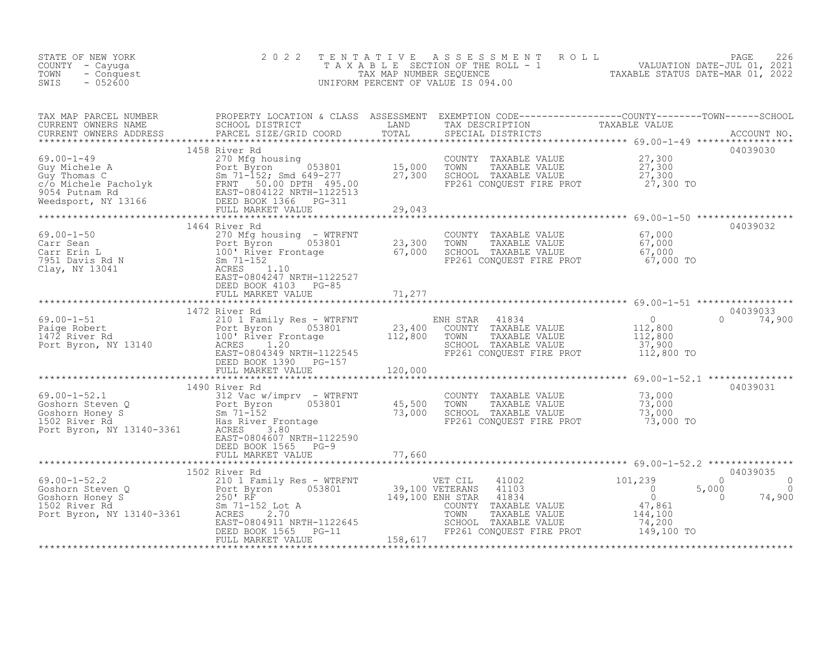| STATE OF NEW YORK<br>COUNTY - Cayuga<br>TOWN<br>- Conquest<br>$-052600$<br>SWIS                                                                                                                                                                                                                                                                                                                                    | 2 0 2 2                                                           |        |                                                                                                                                                                                                         | TENTATIVE ASSESSMENT ROLL PAGE 226<br>TAXABLE SECTION OF THE ROLL - 1 VALUATION DATE-JUL 01, 2021<br>TAX MAP NUMBER SEQUENCE TAXABLE STATUS DATE-MAR 01, 2022<br>UNIFORM PERCENT OF VALUE IS 094.00                                                                                                                                                                                                                              |         |
|--------------------------------------------------------------------------------------------------------------------------------------------------------------------------------------------------------------------------------------------------------------------------------------------------------------------------------------------------------------------------------------------------------------------|-------------------------------------------------------------------|--------|---------------------------------------------------------------------------------------------------------------------------------------------------------------------------------------------------------|----------------------------------------------------------------------------------------------------------------------------------------------------------------------------------------------------------------------------------------------------------------------------------------------------------------------------------------------------------------------------------------------------------------------------------|---------|
|                                                                                                                                                                                                                                                                                                                                                                                                                    |                                                                   |        |                                                                                                                                                                                                         |                                                                                                                                                                                                                                                                                                                                                                                                                                  |         |
|                                                                                                                                                                                                                                                                                                                                                                                                                    | 1458 River Rd                                                     |        | COUNTY TAXABLE VALUE $27,300$<br>TOWN TAXABLE VALUE $27,300$<br>SCHOOL TAXABLE VALUE $27,300$<br>FP261 CONQUEST FIRE PROT $27,300$ TO                                                                   | 04039030                                                                                                                                                                                                                                                                                                                                                                                                                         |         |
|                                                                                                                                                                                                                                                                                                                                                                                                                    | 1464 River Rd                                                     |        |                                                                                                                                                                                                         | 04039032                                                                                                                                                                                                                                                                                                                                                                                                                         |         |
| 69.00-1-50<br>Carr Sean $270$ Mg housing - WTRFNT<br>Carr Sean $270$ Mg housing - WTRFNT<br>Carr Erin L<br>7951 Davis Rd N 503801<br>Clay, NY 13041<br>Clay, NY 13041<br>PACRES<br>Clay, NY 13041<br>PACRES<br>Clay, NY 13041<br>PACRES<br>PACRES<br>DE                                                                                                                                                            | DEED BOOK 4103 PG-85                                              |        | COUNTY TAXABLE VALUE $67,000$<br>TOWN TAXABLE VALUE $67,000$<br>SCHOOL TAXABLE VALUE $67,000$<br>FP261 CONQUEST FIRE PROT $67,000$ TO                                                                   |                                                                                                                                                                                                                                                                                                                                                                                                                                  |         |
|                                                                                                                                                                                                                                                                                                                                                                                                                    | FULL MARKET VALUE                                                 | 71,277 |                                                                                                                                                                                                         |                                                                                                                                                                                                                                                                                                                                                                                                                                  |         |
|                                                                                                                                                                                                                                                                                                                                                                                                                    | 1472 River Rd                                                     |        |                                                                                                                                                                                                         | 04039033                                                                                                                                                                                                                                                                                                                                                                                                                         |         |
|                                                                                                                                                                                                                                                                                                                                                                                                                    |                                                                   |        |                                                                                                                                                                                                         | $\begin{array}{lllllllllllllllll} \text{69.00--1-51} & & & & 1472 \text{ River Rd} & & & & & 1472 \text{ River Rd} & & & & & & 1472 \text{ River Rd} & & & & & & 1472 \text{ River Rd} & & & & & 1472 \text{ River Red} & & & & & 1472 \text{River Rd} & & & & & & 1472 \text{River Rd} & & & & & 1472 \text{River Rd} & & & & & 1472 \text{River Rd} & & & & & 1472 \text{River Rd} & & & & & 1472 \text{River Rd} & & & & & 1$ |         |
|                                                                                                                                                                                                                                                                                                                                                                                                                    |                                                                   |        |                                                                                                                                                                                                         |                                                                                                                                                                                                                                                                                                                                                                                                                                  |         |
| 69.00-1-52.1<br>Goshorn Steven Q<br>Goshorn Honey S<br>1502 River Rd<br>Port Byron, NY 13140-3361<br>Port Byron, NY 13140-3361<br>Research Mass River Frontage<br>EAST-0804607 NRTH-1122590                                                                                                                                                                                                                        | 1490 River Rd<br>EAST-0804607 NRTH-1122590<br>DEED BOOK 1565 PG-9 |        | COUNTY TAXABLE VALUE $\begin{array}{ccc} 73,000 \ \text{TOWN} & \text{TAXABLE VALUE} & 73,000 \ \text{SCHOOL} & \text{TAXABLE VALUE} & 73,000 \ \text{FP261 CONQUEST FIRE PROT} & 73,000 \ \end{array}$ | 04039031                                                                                                                                                                                                                                                                                                                                                                                                                         |         |
|                                                                                                                                                                                                                                                                                                                                                                                                                    | FULL MARKET VALUE                                                 |        | 77,660                                                                                                                                                                                                  |                                                                                                                                                                                                                                                                                                                                                                                                                                  |         |
| $\begin{array}{lllllllllllllllllll} \text{69.00--1-52.2} & & & & 1502 \text{ River Rd} & & & & & \text{VET CIL} & 41002 & & & & 101,239 \\ \text{Goshorn Steven Q} & & & & & & 210 & \text{Farnily Res -- WTRFNT} & & & & & 39,100 \text{ VETERANS} & 41103 & & & 0 \\ \text{Goshorn Theory S} & & & & & 250^\circ \text{RF} & & & & 39,100 \text{ VETERANS} & 41103 & & & 0 \\ \text{Goshorn Hopey S} & & & & 25$ | 1502 River Rd                                                     |        |                                                                                                                                                                                                         | 04039035<br>$\Omega$<br>74,900<br>5,000<br>$\overline{0}$                                                                                                                                                                                                                                                                                                                                                                        | $\circ$ |
|                                                                                                                                                                                                                                                                                                                                                                                                                    |                                                                   |        |                                                                                                                                                                                                         |                                                                                                                                                                                                                                                                                                                                                                                                                                  |         |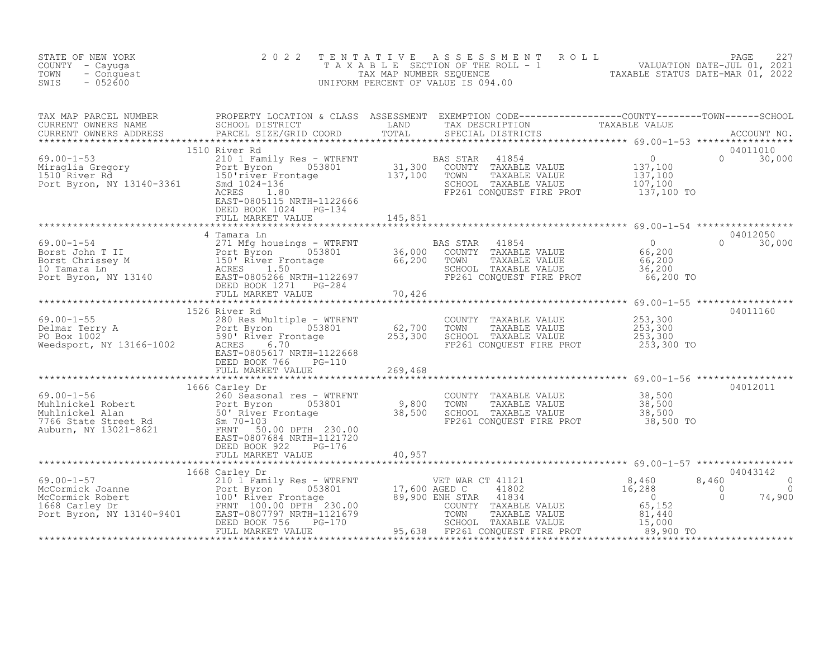| STATE OF NEW YORK<br>COUNTY - Cayuga<br>- Conquest<br>TOWN<br>$-052600$<br>SWIS                                                                                                                                                        | 2 0 2 2 | TENTATIVE ASSESSMENT ROLL PAGE 227<br>TAXABLE SECTION OF THE ROLL - 1 VALUATION DATE-JUL 01, 2021<br>TAX MAP NUMBER SEQUENCE TAXABLE STATUS DATE-MAR 01, 2022<br>UNIFORM PERCENT OF VALUE IS 094.00 |  |
|----------------------------------------------------------------------------------------------------------------------------------------------------------------------------------------------------------------------------------------|---------|-----------------------------------------------------------------------------------------------------------------------------------------------------------------------------------------------------|--|
|                                                                                                                                                                                                                                        |         |                                                                                                                                                                                                     |  |
|                                                                                                                                                                                                                                        |         |                                                                                                                                                                                                     |  |
|                                                                                                                                                                                                                                        |         |                                                                                                                                                                                                     |  |
|                                                                                                                                                                                                                                        |         |                                                                                                                                                                                                     |  |
|                                                                                                                                                                                                                                        |         |                                                                                                                                                                                                     |  |
|                                                                                                                                                                                                                                        |         |                                                                                                                                                                                                     |  |
| 1926 Niver Rd COUNTY TAXABLE VALUE<br>Mechanic Terry A 280 Res Multiple - WTRFNT<br>Delmar Terry A 200 Res Multiple - WTRFNT<br>PO Box 1002 590' River Frontage 253,300 SCHOOL TAXABLE VALUE<br>Weedsport, NY 13166-1002 ACRES 6.700 T |         |                                                                                                                                                                                                     |  |
|                                                                                                                                                                                                                                        |         |                                                                                                                                                                                                     |  |
|                                                                                                                                                                                                                                        |         |                                                                                                                                                                                                     |  |
|                                                                                                                                                                                                                                        |         |                                                                                                                                                                                                     |  |
|                                                                                                                                                                                                                                        |         |                                                                                                                                                                                                     |  |
|                                                                                                                                                                                                                                        |         |                                                                                                                                                                                                     |  |
|                                                                                                                                                                                                                                        |         |                                                                                                                                                                                                     |  |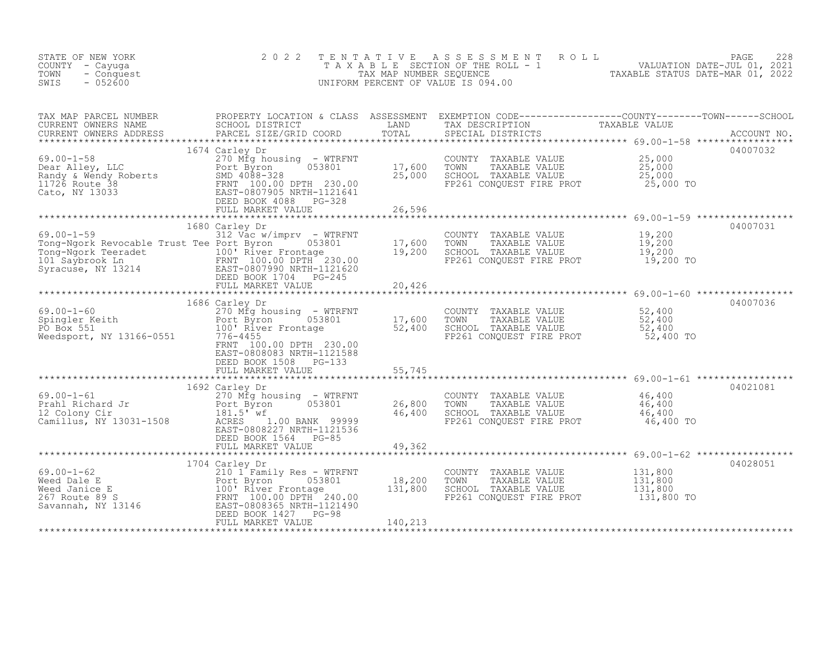| STATE OF NEW YORK<br>COUNTY - Cayuga<br>TOWN<br>- Conquest<br>SWIS<br>$-052600$                                                                                                                                                    | 2 0 2 2                                                                                                                                                                      | TENTATIVE                    | ASSESSMENT ROLL<br>T A X A B L E SECTION OF THE ROLL - 1 VALUATION DATE-JUL 01, 2021<br>TAX MAP NUMBER SEQUENCE - 2021<br>NULLON DERCENT OF VALUATION DESCRIPTION OF VALUATION OF VALUATION<br>UNIFORM PERCENT OF VALUE IS 094.00 |                                             | PAGE<br>228 |
|------------------------------------------------------------------------------------------------------------------------------------------------------------------------------------------------------------------------------------|------------------------------------------------------------------------------------------------------------------------------------------------------------------------------|------------------------------|-----------------------------------------------------------------------------------------------------------------------------------------------------------------------------------------------------------------------------------|---------------------------------------------|-------------|
| TAX MAP PARCEL NUMBER<br>CURRENT OWNERS NAME<br>----- CUNTERS ADDRESS<br>CURRENT OWNERS ADDRESS                                                                                                                                    | PROPERTY LOCATION & CLASS ASSESSMENT<br>SCHOOL DISTRICT LAND<br>PARCEL SIZE/GRID COORD TOTAL                                                                                 |                              | EXEMPTION CODE------------------COUNTY--------TOWN------SCHOOL<br>TAX DESCRIPTION TAXABLE VALUE<br>SPECIAL DISTRICTS                                                                                                              |                                             |             |
| $69.00 - 1 - 58$                                                                                                                                                                                                                   | 1674 Carley Dr<br>270 Mfg housing - WTRFNT<br>Port Byron 053801<br>053801<br>FULL MARKET VALUE                                                                               | 17,600<br>25,000<br>26,596   | TOWN TAXABLE VALUE 25,000<br>TOWN TAXABLE VALUE 25,000<br>SCHOOL TAXABLE VALUE 25,000<br>FP261 CONQUEST FIRE PROT 25,000                                                                                                          | 25,000 TO                                   | 04007032    |
|                                                                                                                                                                                                                                    |                                                                                                                                                                              |                              |                                                                                                                                                                                                                                   |                                             |             |
| 69.00-1-59<br>Tong-Ngork Revocable Trust Tee Port Byron 1053801<br>For Ngork Reeradet<br>Tong-Ngork Teeradet<br>100 Express FRNT 100.00 DPTH 230.00<br>Syracuse, NY 13214<br>EAST-0807990 NRTH-1121620<br>DEED BOOK 1704<br>PG-245 | 1680 Carley Dr<br>$312$ Vac w/imprv - WTRFNT                                                                                                                                 | 17,600<br>19,200             | COUNTY TAXABLE VALUE 19,200<br>TOWN TAXABLE VALUE 19,200<br>SCHOOL TAXABLE VALUE 19,200<br>FP261 CONQUEST FIRE PROT 19,200 TO                                                                                                     |                                             | 04007031    |
|                                                                                                                                                                                                                                    | FULL MARKET VALUE                                                                                                                                                            | 20,426                       |                                                                                                                                                                                                                                   |                                             |             |
|                                                                                                                                                                                                                                    | 1686 Carley Dr                                                                                                                                                               |                              |                                                                                                                                                                                                                                   |                                             | 04007036    |
| $69.00 - 1 - 60$<br>69.00-1-60<br>Spingler Keith<br>PO Box 551<br>PO Box 551<br>Weedsport, NY 13166-0551                                                                                                                           | 270 Mfg housing - WTRFNT<br>$J - WTRFNT$<br>053801 17,600<br>52,400<br>Port Byron<br>100' River Frontage<br>776-4455<br>FRNT 100.00 DPTH 230.00<br>EAST-0808083 NRTH-1121588 | 17,600                       | COUNTY TAXABLE VALUE<br>TOWN<br>TAXABLE VALUE<br>SCHOOL TAXABLE VALUE<br>FP261 CONQUEST FIRE PROT 52,400 TO                                                                                                                       | 52,400<br>52,400<br>52,400                  |             |
|                                                                                                                                                                                                                                    | DEED BOOK 1508 PG-133<br>FULL MARKET VALUE                                                                                                                                   | 55,745                       |                                                                                                                                                                                                                                   |                                             |             |
| $69.00 - 1 - 61$<br>69.00-1-61<br>Prahl Richard Jr<br>12 Colony Cir<br>Camillus, NY 13031-1508                                                                                                                                     | 1692 Carley Dr<br>270 Mfg housing - WTRFNT<br>053801<br>Port Byron<br>$181.5'$ wf<br>ACRES<br>1.00 BANK 99999<br>EAST-0808227 NRTH-1121536<br>DEED BOOK 1564 PG-85           | 26,800<br>46,400             | *************************************69.00-1-61 ******************<br>COUNTY TAXABLE VALUE<br>SCHOOL TAXABLE VALUE<br>FP261 CONQUEST FIRE PROT 46,400 TO                                                                          | 46,400<br>46,400<br>46,400                  | 04021081    |
|                                                                                                                                                                                                                                    | FULL MARKET VALUE                                                                                                                                                            | 49,362                       |                                                                                                                                                                                                                                   | $******************69.00-1-62*************$ |             |
| $69.00 - 1 - 62$<br>69.00-1-62<br>Weed Dale E<br>Weed Janice E<br>267 Route 89 S<br>Savannah, NY 13146<br>Savannah, NY 13146<br>CREED-8808365 NRTH-121490<br>CREED-8808365 NRTH-121490<br>CREED-8008365 NRTH-121490                | 1704 Carley Dr<br>210 1 Family Res - WTRFNT<br>DEED BOOK 1427 PG-98<br>FULL MARKET VALUE                                                                                     | 18,200<br>131,800<br>140,213 | COUNTY TAXABLE VALUE<br>TOWN<br>TAXABLE VALUE<br>SCHOOL TAXABLE VALUE<br>FP261 CONQUEST FIRE PROT                                                                                                                                 | 131,800<br>131,800<br>131,800<br>131,800 TO | 04028051    |
|                                                                                                                                                                                                                                    |                                                                                                                                                                              |                              |                                                                                                                                                                                                                                   |                                             |             |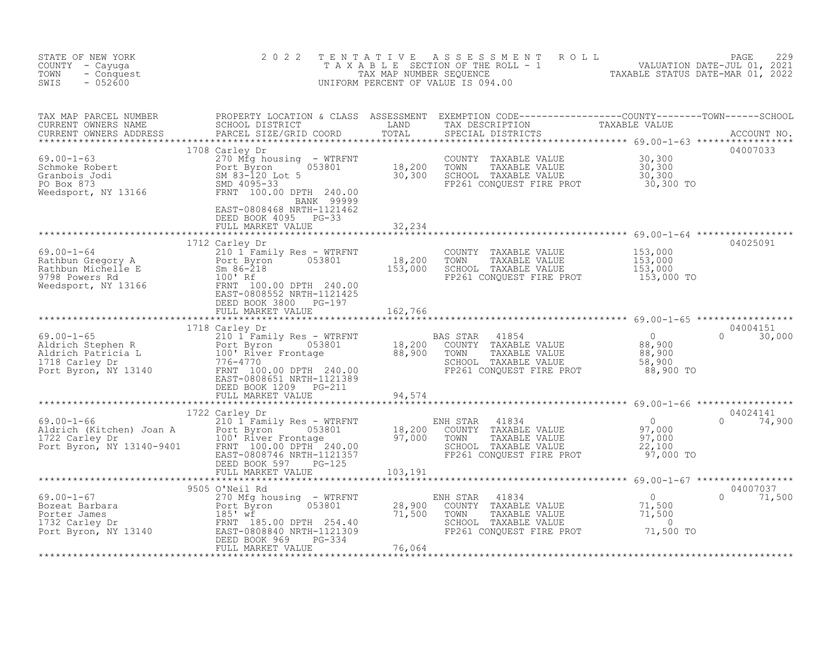| STATE OF NEW YORK<br>COUNTY - Cayuga<br>TOWN<br>- Conquest<br>$-052600$<br>SWIS                                                                                                                                                          | 2 0 2 2 | TENTATIVE ASSESSMENT ROLL PACE 229<br>TAXABLE SECTION OF THE ROLL - 1 VALUATION DATE-JUL 01, 2021<br>TAX MAP NUMBER SEQUENCE TAXABLE STATUS DATE-MAR 01, 2022<br>UNIFORM PERCENT OF VALUE IS 094.00 |  |
|------------------------------------------------------------------------------------------------------------------------------------------------------------------------------------------------------------------------------------------|---------|-----------------------------------------------------------------------------------------------------------------------------------------------------------------------------------------------------|--|
|                                                                                                                                                                                                                                          |         |                                                                                                                                                                                                     |  |
|                                                                                                                                                                                                                                          |         |                                                                                                                                                                                                     |  |
| 1978 112 Carley Dr. (1978) 2008 169.00-1-64<br>1979 Bowers Rd (1988) 2008 100-2008 153,000<br>Rathbun Michelle E Sm 86-218<br>Needsport, NY 13166 Text Byrn 100.00 DPTH 240.00<br>Needsport, NY 13166 Text Byrn 100.00 DPTH 240.00<br>EX |         |                                                                                                                                                                                                     |  |
|                                                                                                                                                                                                                                          |         |                                                                                                                                                                                                     |  |
|                                                                                                                                                                                                                                          |         |                                                                                                                                                                                                     |  |
|                                                                                                                                                                                                                                          |         |                                                                                                                                                                                                     |  |
|                                                                                                                                                                                                                                          |         |                                                                                                                                                                                                     |  |
|                                                                                                                                                                                                                                          |         |                                                                                                                                                                                                     |  |
|                                                                                                                                                                                                                                          |         |                                                                                                                                                                                                     |  |
|                                                                                                                                                                                                                                          |         |                                                                                                                                                                                                     |  |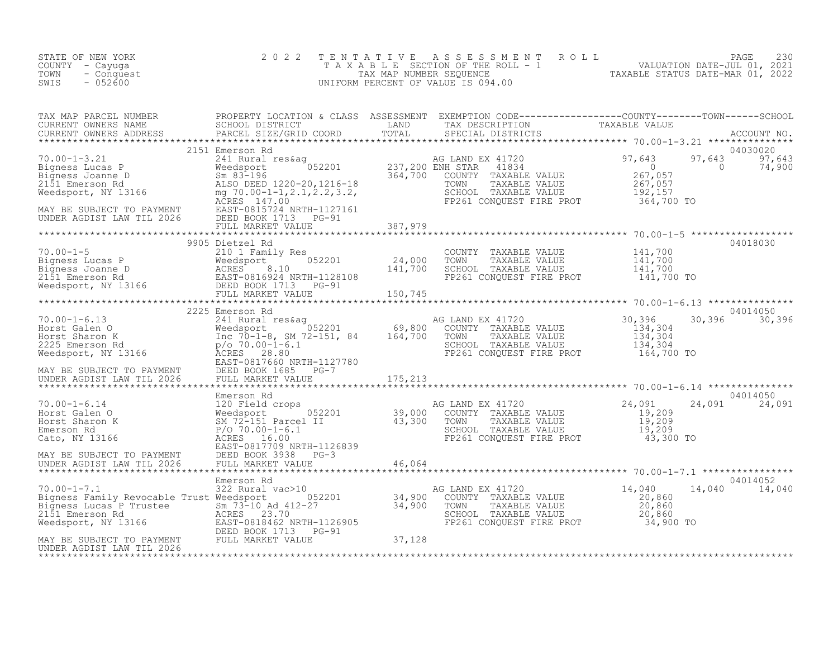| STATE OF NEW YORK<br>COUNTY - Cayuga<br>TOWN<br>- Conquest<br>$-052600$<br>SWIS                                                                                                                                                                                                                                                                                                                                                  | 2 0 2 2           | TENTATIVE ASSESSMENT ROLL PAGE 230<br>TAXABLE SECTION OF THE ROLL - 1 VALUATION DATE-JUL 01, 2021<br>TAX MAP NUMBER SEQUENCE TAXABLE STATUS DATE-MAR 01, 2022<br>UNIFORM PERCENT OF VALUE IS 094.00 |                     |                                       |
|----------------------------------------------------------------------------------------------------------------------------------------------------------------------------------------------------------------------------------------------------------------------------------------------------------------------------------------------------------------------------------------------------------------------------------|-------------------|-----------------------------------------------------------------------------------------------------------------------------------------------------------------------------------------------------|---------------------|---------------------------------------|
|                                                                                                                                                                                                                                                                                                                                                                                                                                  |                   |                                                                                                                                                                                                     |                     |                                       |
|                                                                                                                                                                                                                                                                                                                                                                                                                                  |                   |                                                                                                                                                                                                     |                     | 04030020<br>97,643 97,643<br>0 74,900 |
|                                                                                                                                                                                                                                                                                                                                                                                                                                  |                   |                                                                                                                                                                                                     |                     |                                       |
| $\begin{array}{cccccccc} 70.00-1-5 & & & & 9905\text{ Dietzel Rd} & & & & & \text{COUNTY} & \text{TAXABLE VALUE} & 141,700 \text{Bigness Lucas P} & & & & & & \text{COUNTY} & \text{TAXABLE VALUE} & 141,700 \text{Bigness Lucas P} & & & & & & \text{NCEAS T-0816921} & & & & & & 24,000 & \text{TOWN} & \text{TAXABLE VALUE} & 141,700 \text{Bigness Joanne D} & & & & & & \text{ACRES} & 8.10 & & & & 141,700 & \text{SCHOOL$ | 9905 Dietzel Rd   |                                                                                                                                                                                                     |                     | 04018030                              |
|                                                                                                                                                                                                                                                                                                                                                                                                                                  |                   |                                                                                                                                                                                                     |                     |                                       |
| 70.00-1-6.13<br>Horst Galen O<br>Horst Galen O<br>Horst Sharon K<br>2225 Emerson Rd<br>2225 Emerson Rd<br>2225 Emerson Rd<br>2225 Emerson Rd<br>2225 Emerson Rd<br>2225 Emerson Rd<br>2225 Emerson Rd<br>2225 Emerson Rd<br>2225 Emerson Rd<br>2225 Eme                                                                                                                                                                          | 2225 Emerson Rd   | $AG$ LAND EX 41720<br>TOWN TAXABLE VALUE 134,304<br>SCHOOL TAXABLE VALUE 134,304<br>FP261 CONQUEST FIRE PROT 164,700 TO                                                                             | 30, 396<br>134, 304 | 04014050<br>30,396 30,396             |
|                                                                                                                                                                                                                                                                                                                                                                                                                                  |                   |                                                                                                                                                                                                     |                     |                                       |
|                                                                                                                                                                                                                                                                                                                                                                                                                                  | Emerson Rd        |                                                                                                                                                                                                     |                     | 04014050<br>24,091<br>24,091          |
|                                                                                                                                                                                                                                                                                                                                                                                                                                  |                   |                                                                                                                                                                                                     |                     |                                       |
|                                                                                                                                                                                                                                                                                                                                                                                                                                  |                   |                                                                                                                                                                                                     |                     | 04014052<br>14,040<br>14,040          |
| UNDER AGDIST LAW TIL 2026                                                                                                                                                                                                                                                                                                                                                                                                        | FULL MARKET VALUE |                                                                                                                                                                                                     |                     |                                       |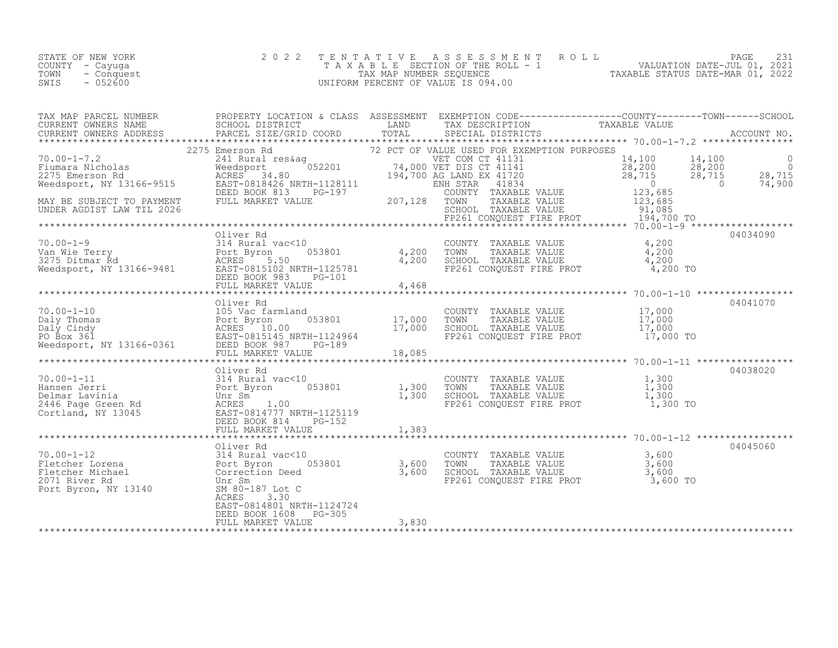|      | STATE OF NEW YORK | 2022 TENTATIVE ASSESSMENT ROLL        |                                  | PAGE |  |
|------|-------------------|---------------------------------------|----------------------------------|------|--|
|      | COUNTY – Cayuga   | T A X A B L E SECTION OF THE ROLL - 1 | VALUATION DATE-JUL 01, 2021      |      |  |
| TOWN | - Conquest        | TAX MAP NUMBER SEOUENCE               | TAXABLE STATUS DATE-MAR 01, 2022 |      |  |
| SWIS | $-052600$         | UNIFORM PERCENT OF VALUE IS 094.00    |                                  |      |  |

| 10.00-1-7.2<br>10.00-1-7.2<br>2275 Emerson Rd<br>2275 Emerson Rd<br>2275 Emerson Rd<br>2275 Emerson Rd<br>2275 Emerson Rd<br>2275 Emerson Rd<br>2275 Emerson Rd<br>2275 Emerson Rd<br>2275 Emerson Rd<br>2275 Emerson Rd<br>2275 Emerson Rd<br>2275 Emer                                                                                     |                                                                     |  |          |
|----------------------------------------------------------------------------------------------------------------------------------------------------------------------------------------------------------------------------------------------------------------------------------------------------------------------------------------------|---------------------------------------------------------------------|--|----------|
|                                                                                                                                                                                                                                                                                                                                              |                                                                     |  |          |
|                                                                                                                                                                                                                                                                                                                                              |                                                                     |  |          |
| $\begin{tabular}{lllllllllll} \hline 70.00-1-9 & 01 \mbox{where Rd} & 04034090 \\ 70.00-1-9 & 314 Rural vac<10 & 053801 & 4,200 TOWTY TAXABLE VALUE & 4,200 \\ 70.00-1-9 & 314 Rural vac<10 & 053801 & 4,200 TOWN TAXABLE VALUE & 4,200 \\ 70.00-1-9 & 4,200 TOWN TAXABLE VALUE & 4,200 \\ 3275 Ditmar Rd & 200 KY 383 & 96-101 & 4,200 TOW$ |                                                                     |  |          |
|                                                                                                                                                                                                                                                                                                                                              |                                                                     |  |          |
|                                                                                                                                                                                                                                                                                                                                              |                                                                     |  |          |
|                                                                                                                                                                                                                                                                                                                                              |                                                                     |  |          |
|                                                                                                                                                                                                                                                                                                                                              |                                                                     |  | 04045060 |
| 10.00-1-12<br>10.00-1-12<br>2010-1-12<br>2011 River Rd<br>2011 River Rd<br>2011 River Rd<br>2011 River Rd<br>2011 River Rd<br>2011 River Rd<br>2011 River Rd<br>2011 River Rd<br>2011 River Rd<br>2011 River Rd<br>2011 River Rd<br>2011 River Rd<br>2011 Ri                                                                                 | ACRES<br>3.30<br>EAST-0814801 NRTH-1124724<br>DEED BOOK 1608 PG-305 |  |          |
|                                                                                                                                                                                                                                                                                                                                              |                                                                     |  |          |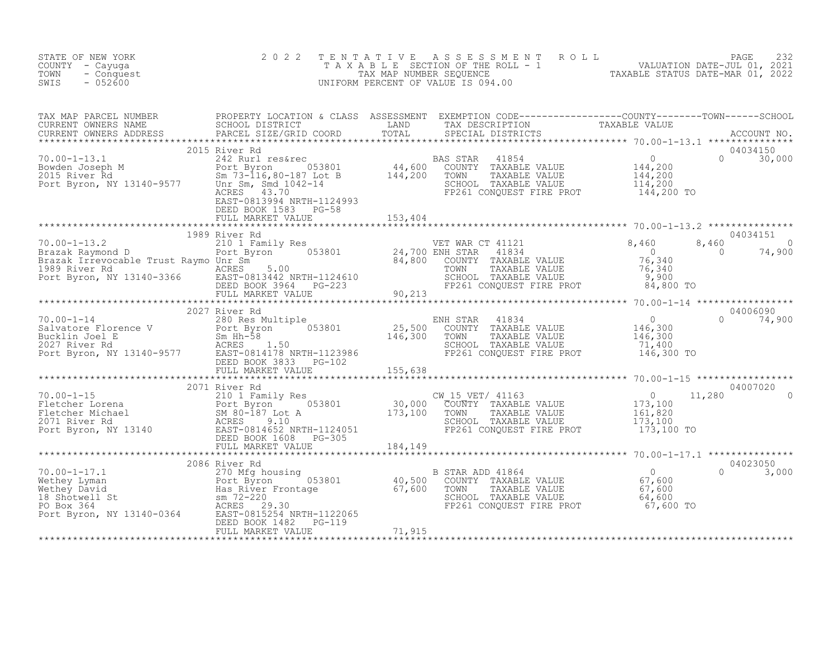| STATE OF NEW YORK<br>COUNTY - Cayuga<br>- Conquest<br>TOWN<br>$-052600$<br>SWIS                                                                                                                                                                                                                                                                                                                   | 2 0 2 2 | TENTATIVE ASSESSMENT ROLL PAGE 232<br>TAXABLE SECTION OF THE ROLL - 1 VALUATION DATE-JUL 01, 2021<br>TAX MAP NUMBER SEQUENCE TAXABLE STATUS DATE-MAR 01, 2022<br>UNIFORM PERCENT OF VALUE IS 094.00 |              |
|---------------------------------------------------------------------------------------------------------------------------------------------------------------------------------------------------------------------------------------------------------------------------------------------------------------------------------------------------------------------------------------------------|---------|-----------------------------------------------------------------------------------------------------------------------------------------------------------------------------------------------------|--------------|
| TAX MAP PARCEL NUMBER PROPERTY LOCATION & CLASS ASSESSMENT EXEMPTION CODE----------------COUNTY--------TOWN------SCHOOL SCHOOL DISTRICT LAND TAX DESCRIPTION TAXABLE VALUE<br>CURRENT OWNERS ADDRESS PARCEL SIZE/GRID COORD TOTAL                                                                                                                                                                 |         |                                                                                                                                                                                                     |              |
| 2015 River Rd                                                                                                                                                                                                                                                                                                                                                                                     |         |                                                                                                                                                                                                     | 04034150     |
|                                                                                                                                                                                                                                                                                                                                                                                                   |         |                                                                                                                                                                                                     |              |
| 1989 River Rd<br>1989 River Rd (1999 River And 1997 No.00-1-13.2<br>210 1 Family Res<br>Brazak Raymond D<br>210 1 Family Res<br>Brazak Irrevocable Trust Raymo Unr Sm. 24,700 ENH STAR 41834<br>24,700 ENH STAR 41834<br>24,700 ENH STAR 418                                                                                                                                                      |         |                                                                                                                                                                                                     |              |
|                                                                                                                                                                                                                                                                                                                                                                                                   |         |                                                                                                                                                                                                     |              |
| 10.00-1-14<br>2027 River Rd<br>2027 River Rd<br>2027 River Rd<br>2027 River Rd<br>2027 River Rd<br>2027 River Rd<br>2027 River Rd<br>2027 River Rd<br>2027 River Rd<br>2027 River Rd<br>2027 River Rd<br>2027 River Rd<br>2027 River Rd<br>2027 River Rd<br>                                                                                                                                      |         |                                                                                                                                                                                                     |              |
|                                                                                                                                                                                                                                                                                                                                                                                                   |         |                                                                                                                                                                                                     |              |
|                                                                                                                                                                                                                                                                                                                                                                                                   |         |                                                                                                                                                                                                     |              |
|                                                                                                                                                                                                                                                                                                                                                                                                   |         |                                                                                                                                                                                                     | 04023050     |
| $\begin{tabular}{lllllllllll} \multicolumn{3}{l}{{\footnotesize \begin{tabular}{l} $70.00-1-17.1$} \hline & $2086$ River Rd & $2086 River Rd & $8$TRADD 41864 \\ & $270 Mg housing & $8$ TRADD 41864 \\ & $70.00-1-17.1$ & $270 Mg housing & $8$ TRABD 41864 \\ & $80.0 & $200~VUV & TAXABLE VALUE & $67,600 \\ & $80.0 & $200~VUV & TAXABLE VALUE & $67,600 \\ & $80.0 & $20.0 & $200~VUV & TAX$ |         |                                                                                                                                                                                                     | $0 \t 3,000$ |
|                                                                                                                                                                                                                                                                                                                                                                                                   |         |                                                                                                                                                                                                     |              |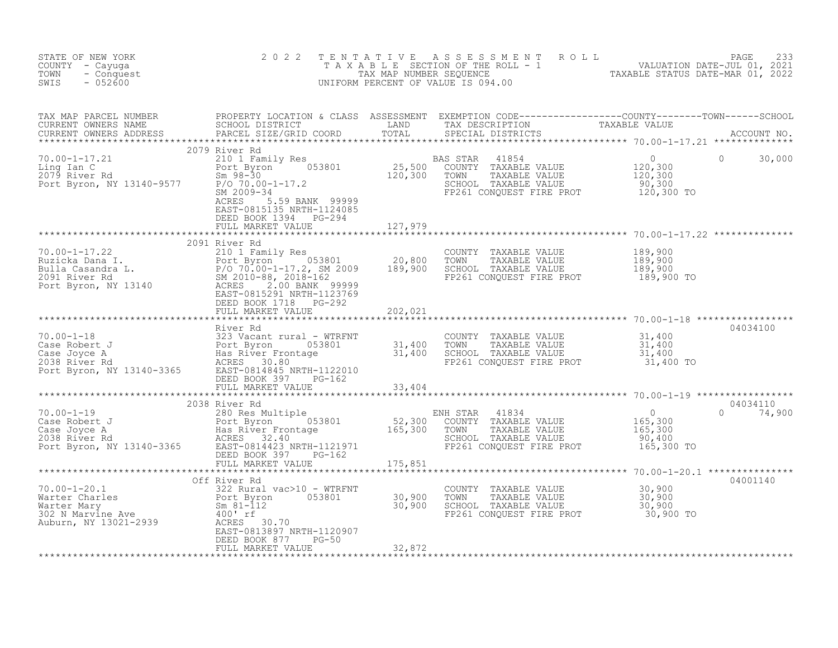| STATE OF NEW YORK<br>COUNTY - Cayuga<br>TOWN<br>- Conquest<br>$-052600$<br>SWIS                                                                                                                                                                                                                                   | 2 0 2 2                                                                                             |         | TENTATIVE ASSESSMENT ROLL PACE 233<br>TAXABLE SECTION OF THE ROLL - 1 VALUATION DATE-JUL 01, 2021<br>TAX MAP NUMBER SEQUENCE TAXABLE STATUS DATE-MAR 01, 2022<br>UNIFORM PERCENT OF VALUE IS 094.00      |                                     |                           |
|-------------------------------------------------------------------------------------------------------------------------------------------------------------------------------------------------------------------------------------------------------------------------------------------------------------------|-----------------------------------------------------------------------------------------------------|---------|----------------------------------------------------------------------------------------------------------------------------------------------------------------------------------------------------------|-------------------------------------|---------------------------|
|                                                                                                                                                                                                                                                                                                                   |                                                                                                     |         |                                                                                                                                                                                                          |                                     |                           |
| 2079 River Rd<br>$\begin{array}{cccccccc} 70.00-1-17.21 & 20/9 & \text{AUver Rd} & 20 & 21/9 & \text{K1} & 0 & 21/9 & 21/9 & \text{K1} & 0 & 21/9 & 21/9 & 21/9 & 21/9 & 21/9 & 21/9 & 21/9 & 21/9 & 21/9 & 21/9 & 21/9 & 21/9 & 21/9 & 21/9 & 21/9 & 21/9 & 21/9 & 21/9 & 21/9 & 21/9 & 21/9 & 21/9 & 21/9 & 21$ | 5.59 BANK 99999<br>ACRES<br>EAST-0815135 NRTH-1124085<br>DEED BOOK 1394 PG-294<br>FULL MARKET VALUE | 127,979 | FP261 CONQUEST FIRE PROT 120,300 TO                                                                                                                                                                      |                                     | $\Omega$<br>30,000        |
|                                                                                                                                                                                                                                                                                                                   |                                                                                                     |         |                                                                                                                                                                                                          |                                     |                           |
| 70.00-1-17.22<br>Ruzicka Dana I. 2091 Kirch (1980)<br>Bulla Casandra L. Port Byron (1980)<br>2091 River Rd (1990)<br>2091 River Rd (1990)<br>2091 River Rd (1990)<br>2010-88, 2018-162<br>2010-88, 2018-162<br>2000 BANK (199999)<br>2000 BANK (                                                                  | 2091 River Rd                                                                                       |         | COUNTY TAXABLE VALUE 189,900<br>TOWN TAXABLE VALUE 189,900<br>SCHOOL TAXABLE VALUE 189,900<br>FP261 CONQUEST FIRE PROT 189,900 TO                                                                        |                                     |                           |
|                                                                                                                                                                                                                                                                                                                   | DEED BOOK 1718 PG-292<br>FULL MARKET VALUE                                                          | 202,021 |                                                                                                                                                                                                          |                                     |                           |
|                                                                                                                                                                                                                                                                                                                   |                                                                                                     |         |                                                                                                                                                                                                          |                                     |                           |
|                                                                                                                                                                                                                                                                                                                   |                                                                                                     |         | COUNTY TAXABLE VALUE $\begin{array}{cccc} 31,400 \ \text{TOWN} & \text{TAXABLE VALUE} & 31,400 \ \text{SCHOOL} & \text{TAXABLE VALUE} & 31,400 \ \text{FP261 CONQUEST FIRE PROT} & 31,400 \ \end{array}$ |                                     | 04034100                  |
|                                                                                                                                                                                                                                                                                                                   | FULL MARKET VALUE 33,404                                                                            |         |                                                                                                                                                                                                          |                                     |                           |
|                                                                                                                                                                                                                                                                                                                   |                                                                                                     |         |                                                                                                                                                                                                          |                                     |                           |
| 70.00-1-19<br>Case Robert J<br>Case Robert J<br>Case Joyce A<br>Port Byron 053801<br>2038 River Frontage 165,300<br>2038 River Rd<br>2038 River Frontage 165,300<br>2038 River Rd<br>2038 River Frontage 165,300<br>2038 River Prontage 165,300<br>                                                               | 2038 River Rd                                                                                       |         | ENH STAR<br>41834<br>COUNTY TAXABLE VALUE<br>TOWN TAXABLE VALUE<br>SCHOOL TAXABLE VALUE<br>FP261 CONQUEST FIRE PROT 165,300 TO                                                                           | $0$<br>165,300<br>165,300<br>90,400 | 04034110<br>$0 \t 74,900$ |
|                                                                                                                                                                                                                                                                                                                   |                                                                                                     |         |                                                                                                                                                                                                          |                                     |                           |
| 70.00-1-20.1<br>Warter Charles<br>Warter Mary Bort Byron 053801 30,900<br>30,900<br>30,900<br>202 N Maryine Ave 400'rf<br>Auburn, NY 13021-2939<br>Auburn, NY 13021-2939<br>Auburn, NY 13021-2939<br>Auburn, NY 13021-2939<br>ACRES 30.70<br>RACRES                                                               | Off River Rd<br>EAST-0813897 NRTH-1120907                                                           |         | COUNTY TAXABLE VALUE $30,900$<br>TOWN TAXABLE VALUE $30,900$<br>SCHOOL TAXABLE VALUE $30,900$<br>FP261 CONQUEST FIRE PROT $30,900$ TO                                                                    |                                     | 04001140                  |
|                                                                                                                                                                                                                                                                                                                   | DEED BOOK 877 PG-50<br>FULL MARKET VALUE                                                            | 32,872  |                                                                                                                                                                                                          |                                     |                           |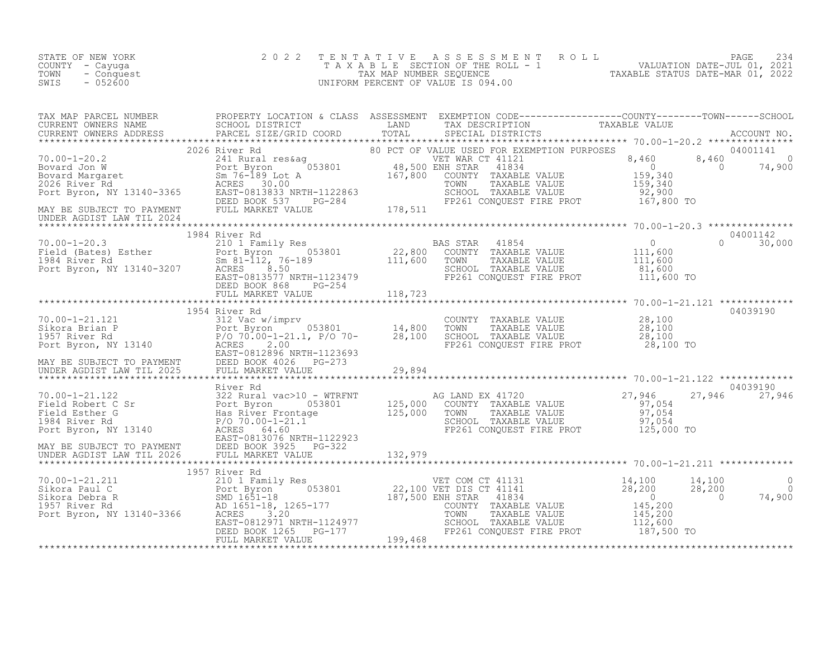| STATE OF NEW YORK  | 2022 TENTATIVE ASSESSMENT ROLL     |                                  | PAGE 234                    |  |
|--------------------|------------------------------------|----------------------------------|-----------------------------|--|
| COUNTY - Cayuqa    | TAXABLE SECTION OF THE ROLL - 1    |                                  | VALUATION DATE-JUL 01, 2021 |  |
| TOWN<br>- Conquest | TAX MAP NUMBER SEOUENCE            | TAXABLE STATUS DATE-MAR 01, 2022 |                             |  |
| - 052600<br>SWIS   | UNIFORM PERCENT OF VALUE IS 094.00 |                                  |                             |  |

|  | TAX MAP PARCEL NUMBER PROPERTY LOCATION & CLASS ASSESSMENT EXEMPTION CODE------------------COUNTY---------TOWN------SCHOOL CURRENT OWNERS NAME SCHOOL DISTRICT LAND TAX DESCRIPTION TAXABLE VALUE<br>CURRENT OWNERS ADDRESS PARCE                              |
|--|----------------------------------------------------------------------------------------------------------------------------------------------------------------------------------------------------------------------------------------------------------------|
|  |                                                                                                                                                                                                                                                                |
|  |                                                                                                                                                                                                                                                                |
|  |                                                                                                                                                                                                                                                                |
|  | 10.00-1-21.122<br>10.00-1-21.122<br>10.00-1-21.122<br>27.946<br>Field Robert C Sr Bort Byron (135,000 CONTY TAXABLE VALUE<br>Field Robert C Sr Bort Byron (135,000 CONTY TAXABLE VALUE<br>Field Robert C Sr Bort Byron, NY 13140<br>Field Ro                   |
|  | 1957 River Rd<br>1957 River Rd<br>201 Family Res<br>22,100 UFI COM CT 41131<br>Sikora Pebra R<br>Sikora Debra R<br>201 Family Res<br>22,100 UFI DISC TILE 14141<br>Sikora Debra R<br>28,200<br>28,200<br>28,200<br>28,200<br>29,200<br>28,200<br>29,200<br>29, |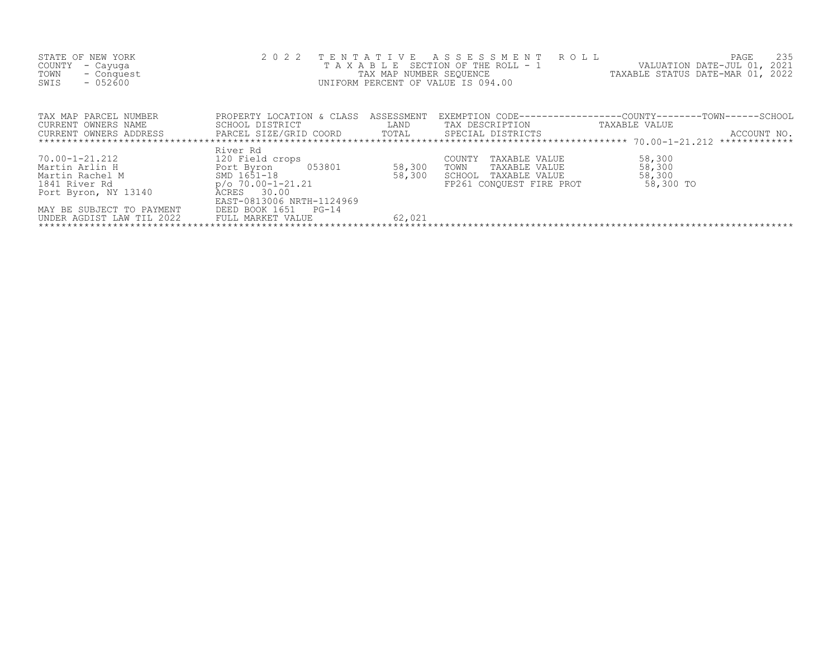| STATE OF NEW YORK<br>COUNTY<br>- Cayuga<br>TOWN<br>- Conquest<br>$-052600$<br>SWIS |                                                                                                                                                                                                                     | TAX MAP NUMBER SEQUENCE | 2022 TENTATIVE ASSESSMENT ROLL<br>TAXABLE SECTION OF THE ROLL - 1<br>UNIFORM PERCENT OF VALUE IS 094.00 | PAGE<br>235<br>VALUATION DATE-JUL 01, 2021<br>TAXABLE STATUS DATE-MAR 01, 2022 |
|------------------------------------------------------------------------------------|---------------------------------------------------------------------------------------------------------------------------------------------------------------------------------------------------------------------|-------------------------|---------------------------------------------------------------------------------------------------------|--------------------------------------------------------------------------------|
| TAX MAP PARCEL NUMBER                                                              | PROPERTY LOCATION & CLASS                                                                                                                                                                                           | ASSESSMENT              |                                                                                                         | EXEMPTION CODE-----------------COUNTY-------TOWN------SCHOOL                   |
| CURRENT OWNERS NAME                                                                | <b>EXAMPLE EXAMPLE EXAMPLE EXAMPLE EXAMPLE EXAMPLE EXAMPLE EXAMPLE EXAMPLE EXAMPLE EXAMPLE EXAMPLE EXAMPLE EXAMPLE EXAMPLE EXAMPLE EXAMPLE EXAMPLE EXAMPLE EXAMPLE EXAMPLE EXAMPLE EXAMPLE E</b><br>SCHOOL DISTRICT |                         | TAX DESCRIPTION                                                                                         | TAXABLE VALUE                                                                  |
| CURRENT OWNERS ADDRESS PARCEL SIZE/GRID COORD TOTAL SPECIAL DISTRICTS              |                                                                                                                                                                                                                     |                         |                                                                                                         | ACCOUNT NO.                                                                    |
|                                                                                    |                                                                                                                                                                                                                     |                         |                                                                                                         |                                                                                |
| 70.00-1-21.212                                                                     | River Rd<br>120 Field crops                                                                                                                                                                                         | 58,300                  | COUNTY<br>TAXABLE VALUE<br>TOWN<br>TAXABLE VALUE                                                        | 58,300<br>58,300                                                               |
|                                                                                    |                                                                                                                                                                                                                     | 58,300                  | SCHOOL TAXABLE VALUE                                                                                    | 58,300                                                                         |
|                                                                                    |                                                                                                                                                                                                                     |                         | FP261 CONOUEST FIRE PROT                                                                                | 58,300 TO                                                                      |
| Port Byron, NY 13140                                                               | ACRES 30.00                                                                                                                                                                                                         |                         |                                                                                                         |                                                                                |
| MAY BE SUBJECT TO PAYMENT<br>UNDER AGDIST LAW TIL 2022                             | EAST-0813006 NRTH-1124969<br>DEED BOOK 1651 PG-14<br>FULL MARKET VALUE                                                                                                                                              | 62,021                  |                                                                                                         |                                                                                |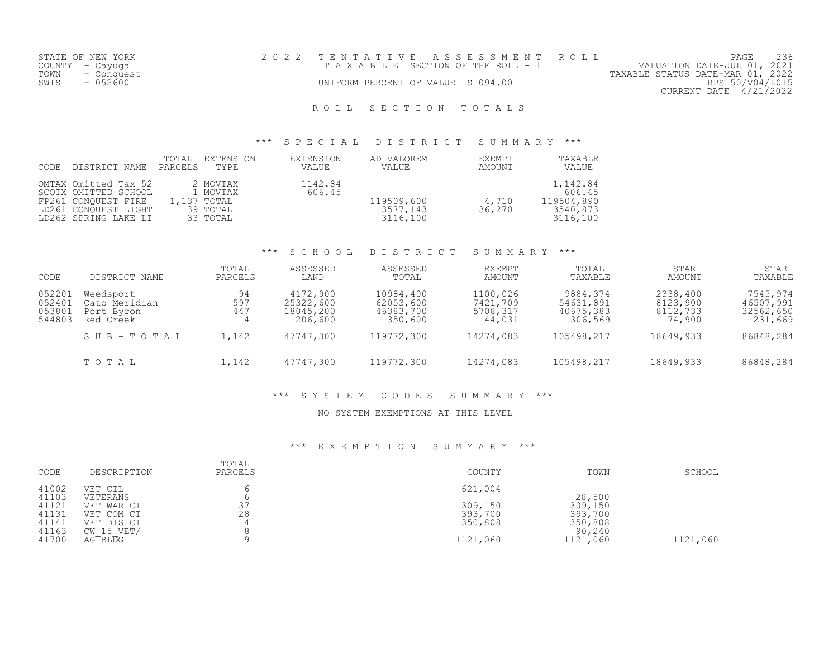|      | STATE OF NEW YORK | 2022 TENTATIVE ASSESSMENT ROLL        |  |                                  | PAGE                   |  |
|------|-------------------|---------------------------------------|--|----------------------------------|------------------------|--|
|      | COUNTY - Cayuga   | T A X A B L E SECTION OF THE ROLL - 1 |  | VALUATION DATE-JUL 01, 2021      |                        |  |
| TOWN | - Conquest        |                                       |  | TAXABLE STATUS DATE-MAR 01, 2022 |                        |  |
| SWIS | - 052600          | UNIFORM PERCENT OF VALUE IS 094.00    |  |                                  | RPS150/V04/L015        |  |
|      |                   |                                       |  |                                  | CURRENT DATE 4/21/2022 |  |
|      |                   |                                       |  |                                  |                        |  |

# ROLL SECTION TOTALS

## \*\*\* S P E C I A L D I S T R I C T S U M M A R Y \*\*\*

| CODE | DISTRICT NAME                                                                                                       | TOTAL<br>PARCELS | EXTENSION<br>TYPE.                                          | EXTENSION<br>VALUE | AD VALOREM<br><b>VALUE</b>         | EXEMPT<br>AMOUNT | TAXABLE<br>VALUE                                         |
|------|---------------------------------------------------------------------------------------------------------------------|------------------|-------------------------------------------------------------|--------------------|------------------------------------|------------------|----------------------------------------------------------|
|      | OMTAX Omitted Tax 52<br>SCOTX OMITTED SCHOOL<br>FP261 CONOUEST FIRE<br>LD261 CONOUEST LIGHT<br>LD262 SPRING LAKE LI |                  | 2 MOVTAX<br>1 MOVTAX<br>1,137 TOTAL<br>39 TOTAL<br>33 TOTAL | 1142.84<br>606.45  | 119509,600<br>3577,143<br>3116,100 | 4,710<br>36,270  | 1,142.84<br>606.45<br>119504,890<br>3540,873<br>3116,100 |

## \*\*\* S C H O O L D I S T R I C T S U M M A R Y \*\*\*

| CODE                                 | DISTRICT NAME                                         | TOTAL<br>PARCELS | ASSESSED<br>LAND                              | ASSESSED<br>TOTAL                              | EXEMPT<br>AMOUNT                           | TOTAL<br>TAXABLE                              | <b>STAR</b><br>AMOUNT                      | STAR<br>TAXABLE                               |
|--------------------------------------|-------------------------------------------------------|------------------|-----------------------------------------------|------------------------------------------------|--------------------------------------------|-----------------------------------------------|--------------------------------------------|-----------------------------------------------|
| 052201<br>052401<br>053801<br>544803 | Weedsport<br>Cato Meridian<br>Port Byron<br>Red Creek | 94<br>597<br>447 | 4172,900<br>25322,600<br>18045,200<br>206,600 | 10984,400<br>62053,600<br>46383,700<br>350,600 | 1100,026<br>7421,709<br>5708,317<br>44,031 | 9884,374<br>54631,891<br>40675,383<br>306,569 | 2338,400<br>8123,900<br>8112,733<br>74,900 | 7545,974<br>46507,991<br>32562,650<br>231,669 |
|                                      | SUB-TOTAL                                             | 1,142            | 47747,300                                     | 119772,300                                     | 14274,083                                  | 105498,217                                    | 18649,933                                  | 86848,284                                     |
|                                      | TOTAL                                                 | 1,142            | 47747,300                                     | 119772,300                                     | 14274,083                                  | 105498,217                                    | 18649,933                                  | 86848,284                                     |

## \*\*\* S Y S T E M C O D E S S U M M A R Y \*\*\*

#### NO SYSTEM EXEMPTIONS AT THIS LEVEL

## \*\*\* E X E M P T I O N S U M M A R Y \*\*\*

| CODE           | DESCRIPTION                  | TOTAL<br>PARCELS | COUNTY   | TOWN              | SCHOOL   |
|----------------|------------------------------|------------------|----------|-------------------|----------|
| 41002<br>41103 | VET CIL<br>VETERANS          |                  | 621,004  | 28,500            |          |
| 41121          | VET WAR CT                   | スフ<br>، ب        | 309,150  | 309,150           |          |
| 41131          | VET COM CT                   | 28               | 393,700  | 393,700           |          |
| 41141<br>41163 | VET DIS CT<br>$CW$ 15 $VET/$ | 14               | 350,808  | 350,808<br>90,240 |          |
| 41700          | $AG$ $BLDG$                  |                  | 1121,060 | 1121,060          | 1121,060 |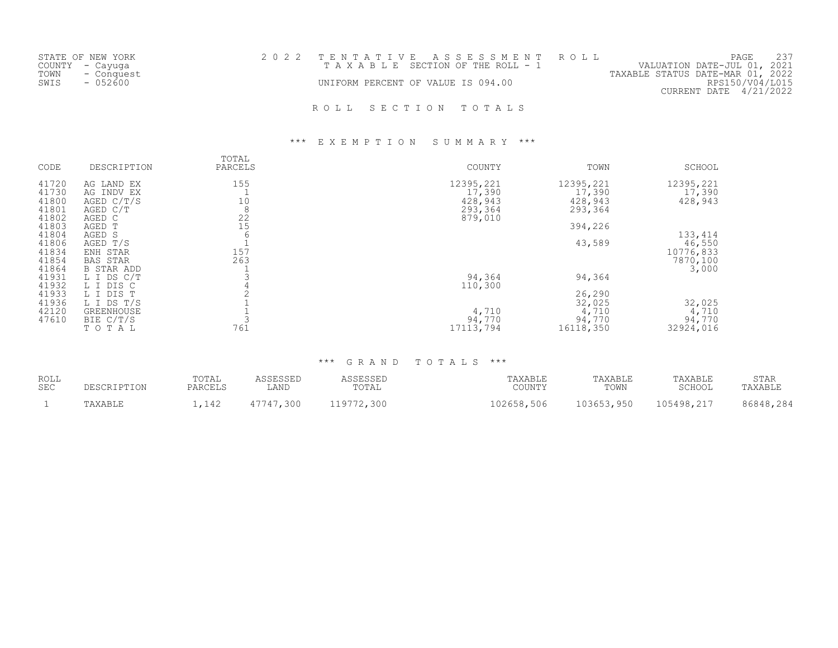| STATE OF NEW YORK<br>COUNTY - Cayuga<br>TOWN - Conquest<br>SWIS<br>- 052600 | 2022 TENTATIVE ASSESSMENT ROLL<br>T A X A B L E SECTION OF THE ROLL - 1<br>UNIFORM PERCENT OF VALUE IS 094.00 |  |  |                     | PAGE<br>VALUATION DATE-JUL 01, 2021<br>TAXABLE STATUS DATE-MAR 01, 2022<br>RPS150/V04/L015<br>$CURRENT$ DATE $4/21/2022$ |  |  |  |  |
|-----------------------------------------------------------------------------|---------------------------------------------------------------------------------------------------------------|--|--|---------------------|--------------------------------------------------------------------------------------------------------------------------|--|--|--|--|
|                                                                             |                                                                                                               |  |  | ROLL SECTION TOTALS |                                                                                                                          |  |  |  |  |

## \*\*\* E X E M P T I O N S U M M A R Y \*\*\*

| CODE  | DESCRIPTION       | TOTAL<br>PARCELS | COUNTY    | TOWN      | SCHOOL    |
|-------|-------------------|------------------|-----------|-----------|-----------|
| 41720 | AG LAND EX        | 155              | 12395,221 | 12395,221 | 12395,221 |
| 41730 | AG INDV EX        |                  | 17,390    | 17,390    | 17,390    |
| 41800 | AGED C/T/S        | 10               | 428,943   | 428,943   | 428,943   |
| 41801 | AGED C/T          | 8                | 293,364   | 293,364   |           |
| 41802 | AGED C            | 22               | 879,010   |           |           |
| 41803 | AGED T            | 15               |           | 394,226   |           |
| 41804 | AGED S            | 6                |           |           | 133, 414  |
| 41806 | AGED T/S          |                  |           | 43,589    | 46,550    |
| 41834 | ENH STAR          | 157              |           |           | 10776,833 |
| 41854 | <b>BAS STAR</b>   | 263              |           |           | 7870,100  |
| 41864 | <b>B STAR ADD</b> |                  |           |           | 3,000     |
| 41931 | L I DS C/T        |                  | 94,364    | 94,364    |           |
| 41932 | L I DIS C         |                  | 110,300   |           |           |
| 41933 | L I DIS T         |                  |           | 26,290    |           |
| 41936 | L I DS T/S        |                  |           | 32,025    | 32,025    |
| 42120 | <b>GREENHOUSE</b> |                  | 4,710     | 4,710     | 4,710     |
| 47610 | BIE C/T/S         |                  | 94,770    | 94,770    | 94,770    |
|       | TOTAL             | 761              | 17113,794 | 16118,350 | 32924,016 |

## \*\*\* G R A N D T O T A L S \*\*\*

| ROLL<br><b>SEC</b> | TOTAL<br>PARCEL     | LAND          | $m \wedge m \wedge$<br>UIAL | AYART <sup>T</sup><br>$C$ $\cap$ TIMI $\Box$<br>,uunti | TAXABLE<br>TOWN | TAXABLE<br>$CCTI\cap\cap T$ | <b>STAR</b><br>AYART. |
|--------------------|---------------------|---------------|-----------------------------|--------------------------------------------------------|-----------------|-----------------------------|-----------------------|
|                    | $\wedge$<br>11 17 4 | 300<br>・フフ オフ | ,300<br>، د ه               | 102658,506                                             | 03653<br>Q5C    | 105498.217                  | 284                   |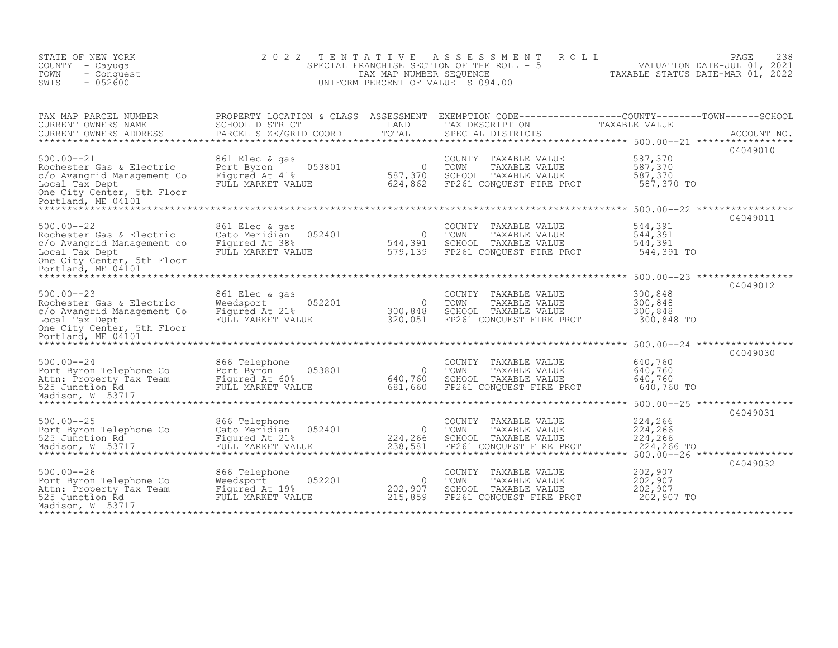| STATE OF NEW YORK<br>COUNTY - Cayuga<br>TOWN<br>- Conquest<br>$-052600$<br>SWIS                                                                                               | 2 0 2 2                                                                          | TENTATIVE<br>TAX MAP NUMBER SEQUENCE | A S S E S S M E N T<br>ROLL<br>SPECIAL FRANCHISE SECTION OF THE ROLL - 5<br>UNIFORM PERCENT OF VALUE IS 094.00                          | PAGE<br>VALUATION DATE-JUL 01, 2021<br>TAXABLE STATUS DATE-MAR 01, 2022                            | 238         |
|-------------------------------------------------------------------------------------------------------------------------------------------------------------------------------|----------------------------------------------------------------------------------|--------------------------------------|-----------------------------------------------------------------------------------------------------------------------------------------|----------------------------------------------------------------------------------------------------|-------------|
| TAX MAP PARCEL NUMBER<br>CURRENT OWNERS NAME<br>CURRENT OWNERS ADDRESS                                                                                                        | SCHOOL DISTRICT<br>PARCEL SIZE/GRID COORD                                        | LAND<br>TOTAL                        | PROPERTY LOCATION & CLASS ASSESSMENT EXEMPTION CODE----------------COUNTY-------TOWN-----SCHOOL<br>TAX DESCRIPTION<br>SPECIAL DISTRICTS | TAXABLE VALUE<br>04049010                                                                          | ACCOUNT NO. |
| $500.00 - -21$<br>Rochester Gas & Electric<br>c/o Avangrid Management Co<br>Local Tax Dept<br>One City Center, 5th Floor<br>Portland, ME 04101                                | 861 Elec & gas<br>053801<br>Port Byron<br>Figured At 41%<br>FULL MARKET VALUE    | $\overline{0}$<br>587,370<br>624,862 | COUNTY TAXABLE VALUE<br>TOWN<br>TAXABLE VALUE<br>SCHOOL TAXABLE VALUE<br>FP261 CONQUEST FIRE PROT                                       | 587,370<br>587,370<br>587,370<br>587,370 TO                                                        |             |
| ****************************<br>$500.00 - 22$<br>Rochester Gas & Electric<br>c/o Avangrid Management co<br>Local Tax Dept<br>One City Center, 5th Floor<br>Portland, ME 04101 | 861 Elec & gas<br>052401<br>Cato Meridian<br>Figured At 38%<br>FULL MARKET VALUE | $\bigcirc$<br>544,391<br>579,139     | COUNTY TAXABLE VALUE<br>TOWN<br>TAXABLE VALUE<br>SCHOOL TAXABLE VALUE<br>FP261 CONQUEST FIRE PROT                                       | 04049011<br>544,391<br>544,391<br>544,391<br>544,391 TO                                            |             |
| ******************<br>$500.00 - -23$<br>Rochester Gas & Electric<br>c/o Avangrid Management Co<br>Local Tax Dept<br>One City Center, 5th Floor<br>Portland, ME 04101          | 861 Elec & gas<br>052201<br>Weedsport<br>Figured At 21%<br>FULL MARKET VALUE     | $\circ$<br>300,848<br>320,051        | COUNTY TAXABLE VALUE<br>TOWN<br>TAXABLE VALUE<br>SCHOOL TAXABLE VALUE<br>FP261 CONQUEST FIRE PROT                                       | 04049012<br>300,848<br>300,848<br>300,848<br>300,848 TO                                            |             |
| $500.00 - -24$<br>Port Byron Telephone Co<br>Attn: Property Tax Team<br>525 Junction Rd<br>Madison, WI 53717                                                                  | 866 Telephone<br>053801<br>Port Byron<br>Figured At 60%<br>FULL MARKET VALUE     | $\circ$<br>640,760<br>681,660        | COUNTY TAXABLE VALUE<br>TOWN<br>TAXABLE VALUE<br>SCHOOL TAXABLE VALUE<br>FP261 CONOUEST FIRE PROT                                       | 04049030<br>640,760<br>640,760<br>640,760<br>640,760 TO                                            |             |
| $500.00 - -25$<br>Port Byron Telephone Co<br>525 Junction Rd<br>Madison, WI 53717                                                                                             | 866 Telephone<br>052401<br>Cato Meridian<br>Figured At 21%<br>FULL MARKET VALUE  | $\Omega$<br>224,266<br>238,581       | COUNTY<br>TAXABLE VALUE<br>TOWN<br>TAXABLE VALUE<br>SCHOOL TAXABLE VALUE<br>FP261 CONQUEST FIRE PROT                                    | ********* 500.00--25 ******************<br>04049031<br>224,266<br>224,266<br>224,266<br>224,266 TO |             |
| $500.00 - -26$<br>Port Byron Telephone Co<br>Attn: Property Tax Team<br>525 Junction Rd<br>Madison, WI 53717                                                                  | 866 Telephone<br>052201<br>Weedsport<br>Figured At 19%<br>FULL MARKET VALUE      | - 0<br>202,907<br>215,859            | COUNTY TAXABLE VALUE<br>TOWN<br>TAXABLE VALUE<br>SCHOOL TAXABLE VALUE<br>FP261 CONQUEST FIRE PROT                                       | 04049032<br>202,907<br>202,907<br>202,907<br>202,907 TO                                            |             |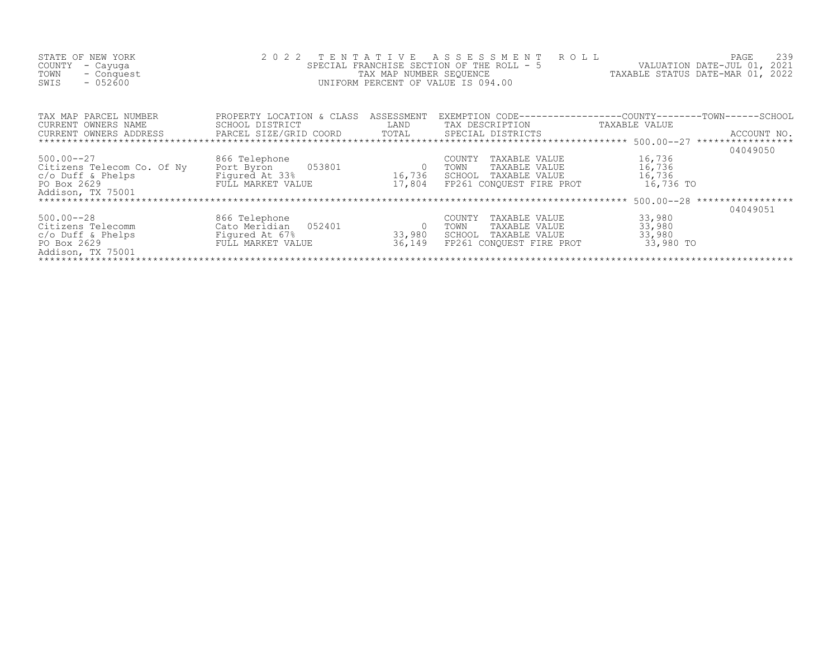| STATE OF NEW YORK<br>COUNTY<br>- Cayuga<br>TOWN<br>- Conquest<br>$-052600$<br>SWIS                                        | 2022 TENTATIVE                                                                                 | TAX MAP NUMBER SEQUENCE | A S S E S S M E N T<br>R O L L<br>SPECIAL FRANCHISE SECTION OF THE ROLL - 5<br>UNIFORM PERCENT OF VALUE IS 094.00 | PAGE<br>VALUATION DATE-JUL 01, 2021<br>TAXABLE STATUS DATE-MAR 01, 2022                                                       | 239 |
|---------------------------------------------------------------------------------------------------------------------------|------------------------------------------------------------------------------------------------|-------------------------|-------------------------------------------------------------------------------------------------------------------|-------------------------------------------------------------------------------------------------------------------------------|-----|
| TAX MAP PARCEL NUMBER<br>CURRENT OWNERS NAME<br>CURRENT OWNERS ADDRESS                                                    | PROPERTY LOCATION & CLASS<br>SCHOOL DISTRICT<br>PARCEL SIZE/GRID COORD TOTAL SPECIAL DISTRICTS | ASSESSMENT<br>LAND      | TAX DESCRIPTION<br>*************************** 500.00--27                                                         | EXEMPTION CODE-----------------COUNTY-------TOWN------SCHOOL<br>TAXABLE VALUE<br>ACCOUNT NO.<br>*****************<br>04049050 |     |
| $500.00 - -27$<br>Citizens Telecom Co. Of Ny<br>c/o Duff & Phelps<br>PO Box 2629<br>Addison, TX 75001                     | 866 Telephone<br>053801<br>Port Byron<br>Fiqured At 33%<br>FULL MARKET VALUE                   | 16,736<br>17,804        | COUNTY<br>TAXABLE VALUE<br>TOWN<br>TAXABLE VALUE<br>SCHOOL TAXABLE VALUE<br>FP261 CONOUEST FIRE PROT              | 16,736<br>16,736<br>16,736<br>16,736 TO                                                                                       |     |
| *************************<br>$500.00 - -28$<br>Citizens Telecomm<br>c/o Duff & Phelps<br>PO Box 2629<br>Addison, TX 75001 | 866 Telephone<br>Cato Meridian 052401<br>Figured At 67%<br>FULL MARKET VALUE                   | 33,980<br>36,149        | TAXABLE VALUE<br>COUNTY<br>TOWN<br>TAXABLE VALUE<br>SCHOOL<br>TAXABLE VALUE<br>FP261 CONQUEST FIRE PROT           | *****************<br>$500.00 - -28$<br>04049051<br>33,980<br>33,980<br>33,980<br>33,980 TO                                    |     |
|                                                                                                                           |                                                                                                |                         |                                                                                                                   |                                                                                                                               |     |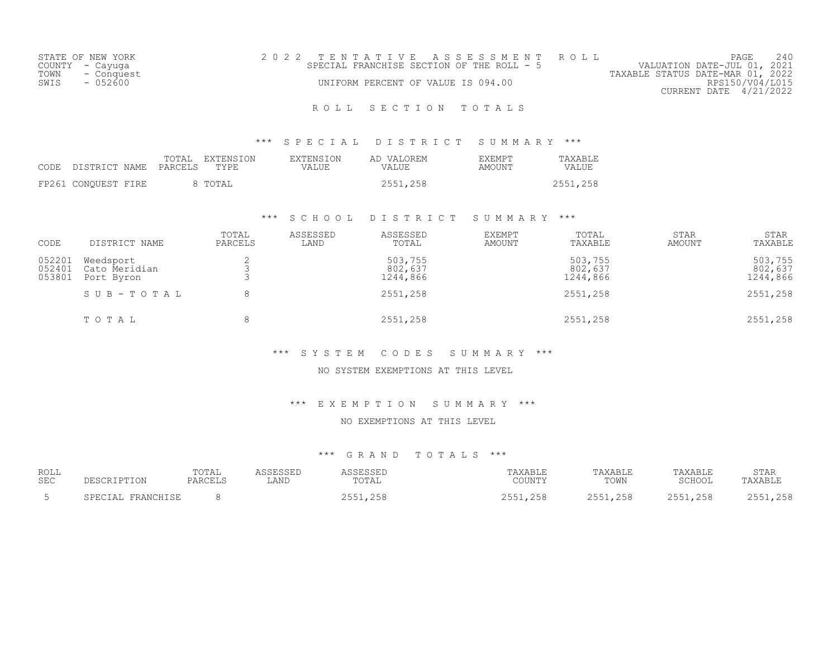| STATE OF NEW YORK | 2022 TENTATIVE ASSESSMENT ROLL            | 240<br>PAGE                      |
|-------------------|-------------------------------------------|----------------------------------|
| COUNTY - Cayuga   | SPECIAL FRANCHISE SECTION OF THE ROLL - 5 | VALUATION DATE-JUL 01, 2021      |
| TOWN - Conquest   |                                           | TAXABLE STATUS DATE-MAR 01, 2022 |
| SWIS<br>- 052600  | UNIFORM PERCENT OF VALUE IS 094.00        | RPS150/V04/L015                  |
|                   |                                           | CURRENT DATE 4/21/2022           |

# ROLL SECTION TOTALS

## \*\*\* S P E C I A L D I S T R I C T S U M M A R Y \*\*\*

| CODE DISTRICT NAME PARCELS TYPE |  | TOTAL EXTENSION | EXTENSION<br>VALUE | AD VALOREM<br><b>VALUE</b> | <b>EXEMPT</b><br>AMOUNT | TAXABLE<br>VALUE |
|---------------------------------|--|-----------------|--------------------|----------------------------|-------------------------|------------------|
| FP261 CONQUEST FIRE             |  | 8 TOTAL         |                    | 2551,258                   |                         | 2551,258         |

## \*\*\* S C H O O L D I S T R I C T S U M M A R Y \*\*\*

| CODE                       | DISTRICT NAME                            | TOTAL<br>PARCELS | ASSESSED<br>LAND | ASSESSED<br>TOTAL              | <b>EXEMPT</b><br>AMOUNT | TOTAL<br>TAXABLE               | <b>STAR</b><br>AMOUNT | <b>STAR</b><br>TAXABLE         |
|----------------------------|------------------------------------------|------------------|------------------|--------------------------------|-------------------------|--------------------------------|-----------------------|--------------------------------|
| 052201<br>052401<br>053801 | Weedsport<br>Cato Meridian<br>Port Byron |                  |                  | 503,755<br>802,637<br>1244,866 |                         | 503,755<br>802,637<br>1244,866 |                       | 503,755<br>802,637<br>1244,866 |
|                            | SUB-TOTAL                                |                  |                  | 2551,258                       |                         | 2551,258                       |                       | 2551,258                       |
|                            | TOTAL                                    |                  |                  | 2551,258                       |                         | 2551,258                       |                       | 2551,258                       |

## \*\*\* S Y S T E M C O D E S S U M M A R Y \*\*\*

#### NO SYSTEM EXEMPTIONS AT THIS LEVEL

## \*\*\* E X E M P T I O N S U M M A R Y \*\*\*

#### NO EXEMPTIONS AT THIS LEVEL

# \*\*\* G R A N D T O T A L S \*\*\*

| ROLL<br><b>SEC</b> |            | TOTAL<br>$\sqrt{2}$<br>่ ≏ ⊶<br>AI\VIII | LAND | $m \wedge m$<br>'UTAL | AXABLE<br>COUNTY | AXABLE<br>TOWN | 'AXABLE<br>COUOOT<br>ロマンエ | STAR |
|--------------------|------------|-----------------------------------------|------|-----------------------|------------------|----------------|---------------------------|------|
| $\sim$ $\lambda$   | $\sqrt{2}$ |                                         |      | ---                   | .<br>-------     | つにに<br>, 2 J C | 255<br>, 200<br>~ ~ ~     |      |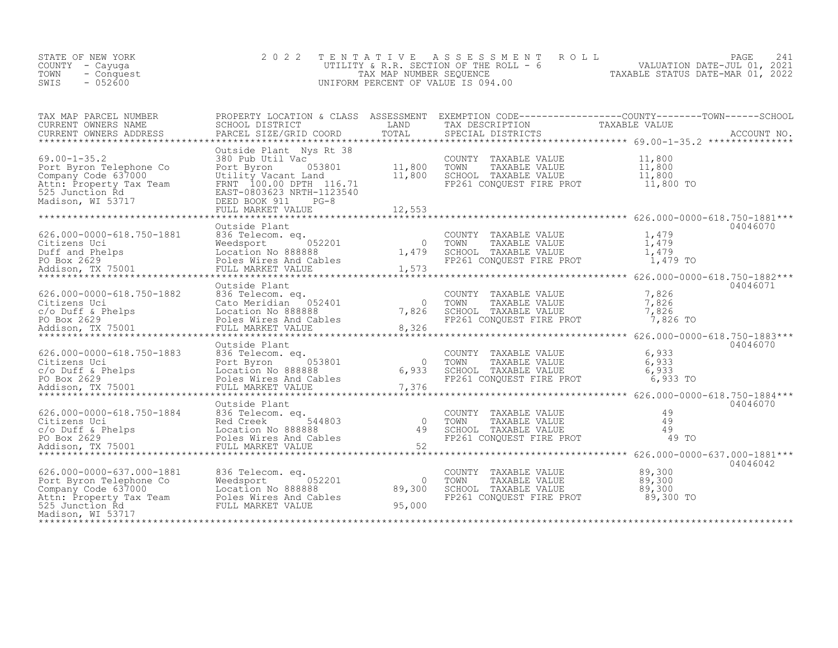| STATE OF NEW YORK<br>COUNTY - Cayuga<br>- Conquest<br>TOWN<br>$-052600$<br>SWIS                                                                                                                                                            | 2 0 2 2                                                                                                                                                                                  | TENTATIVE                          | A S S E S S M E N T R O L L<br>UTILITY & R.R. SECTION OF THE ROLL $-6$<br>TAX MAP NUMBER SEQUENCE<br>TAXABLE STATUS DATE-MAR 01, 2022<br>INIEOPM PERCENT OF VALUE IS 094 00<br>UNIFORM PERCENT OF VALUE IS 094.00 |                                                                          | 241<br>PAGE |
|--------------------------------------------------------------------------------------------------------------------------------------------------------------------------------------------------------------------------------------------|------------------------------------------------------------------------------------------------------------------------------------------------------------------------------------------|------------------------------------|-------------------------------------------------------------------------------------------------------------------------------------------------------------------------------------------------------------------|--------------------------------------------------------------------------|-------------|
|                                                                                                                                                                                                                                            |                                                                                                                                                                                          |                                    |                                                                                                                                                                                                                   |                                                                          |             |
| $69.00 - 1 - 35.2$<br>Port Byron Telephone Co<br>Company Code 637000<br>Attn: Property Tax Team<br>525 Junction Rd<br>Madison, WI 53717                                                                                                    | Outside Plant Nys Rt 38<br>380 Pub Util Vac<br>Port Byron 053801 11,800<br>Utility Vacant Land 11,800<br>FRNT 100.00 DPTH 116.71<br>EAST-0803623 NRTH-1123540<br>DEED BOOK 911<br>$PG-8$ |                                    | COUNTY TAXABLE VALUE $11,800$<br>TOWN TAXABLE VALUE $11,800$<br>SCHOOL TAXABLE VALUE $11,800$<br>FP261 CONQUEST FIRE PROT $11,800$ TO                                                                             |                                                                          |             |
| 626.000-0000-618.750-1881 836 Telecom. eq.<br>Citizens Uci 8.750-1881 836 Telecom. eq.<br>Duff and Phelps Box 2629 Boles Wires And Cables<br>Addison, TX 75001 FULL MARKET VALUE 1,573                                                     | Outside Plant                                                                                                                                                                            |                                    | COUNTY TAXABLE VALUE<br>COWN TAXABLE VALUE $\begin{bmatrix} 1 & 479 \\ 1 & 479 \\ 1 & 479 \end{bmatrix}$<br>SCHOOL TAXABLE VALUE $\begin{bmatrix} 1 & 479 \\ 1 & 479 \\ 1 & 479 \end{bmatrix}$                    | 1,479<br>1,479 TO<br>**************** 626.000-0000-618.750-1882***       | 04046070    |
| 626.000-0000-618.750-1882 836 Telecom.eq. COUNTY<br>Citizens Uci 2836 Telecom.eq. 0 TOWN<br>C/o Duff & Phelps Location No 888888 7,826 SCHOOL<br>PO Box 2629 Poles Wires And Cables FP261 CONdison, TX 75001 FULL MARKET VALUE 8,326<br>** | Outside Plant                                                                                                                                                                            |                                    | COUNTY TAXABLE VALUE<br>TOWN TAXABLE VALUE 7,826<br>SCHOOL TAXABLE VALUE 7,826<br>FP261 CONQUEST FIRE PROT                                                                                                        | 7,826<br>7,826 TO                                                        | 04046071    |
| 6.000-0000-618.750-1883<br>Citizens Uci and Book Book Book Barnet (1993)<br>Colomic Citizens Uci Book Book Book Book Book Book Barnet (1993)<br>Po Box 2629 Poles Wires And Cables (19376 FP261 CONQUEST FIRE PROT 6,933 TO<br>Addison     | Outside Plant                                                                                                                                                                            |                                    |                                                                                                                                                                                                                   | ****************** 626.000-0000-618.750-1883***                          | 04046070    |
|                                                                                                                                                                                                                                            | Outside Plant                                                                                                                                                                            | ************                       | COUNTY TAXABLE VALUE<br>TOWN TAXABLE VALUE<br>SCHOOL TAXABLE VALUE<br>FP261 CONQUEST FIRE PROT                                                                                                                    | 49<br>49<br>49<br>49 TO<br>**************** 626.000-0000-637.000-1881*** | 04046070    |
| 626.000-0000-637.000-1881 836 Telecom. eq.<br>Port Byron Telephone Co Weedsport 052201<br>Company Code 637000 Location No 888888<br>Attn: Property Tax Team Poles Wires And Cables<br>525 Junction Rd FULL MARKET VALUE<br>Madison, WI 5   |                                                                                                                                                                                          | $\overline{0}$<br>89,300<br>95,000 | COUNTY TAXABLE VALUE<br>TOWN<br>TAXABLE VALUE<br>SCHOOL TAXABLE VALUE<br>FP261 CONQUEST FIRE PROT 89,300 TO                                                                                                       | 89,300<br>89,300<br>89,300                                               | 04046042    |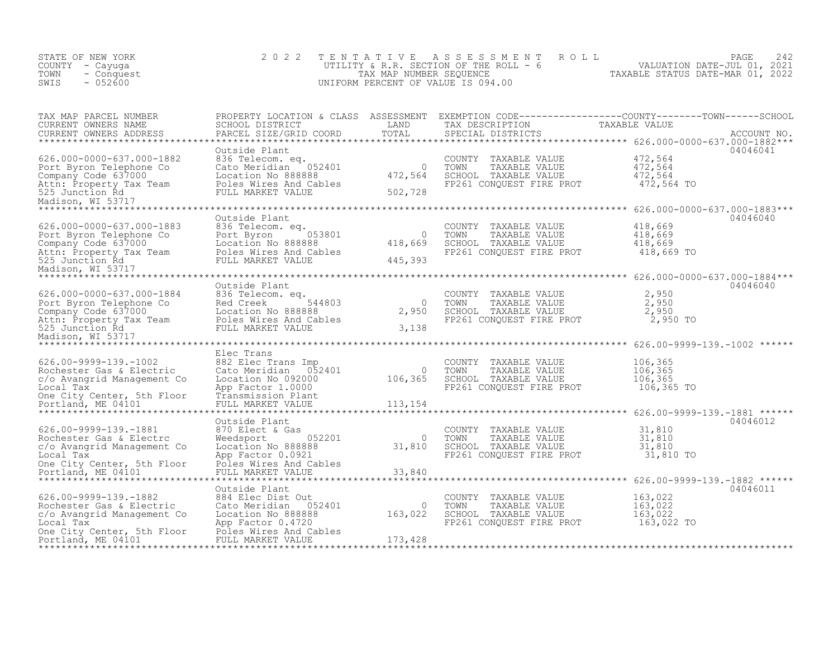| STATE OF NEW YORK<br>COUNTY - Cayuga<br>- Conquest<br>TOWN<br>$-052600$<br>SWIS                                                                                                | 2 0 2 2                                                                                                                                                                                                          | TENTATIVE                                                     | A S S E S S M E N T<br>ROLL<br>TENTATION PRESENT ROLL - AND MALUATION DATE-JUL 01, 2421<br>UTILITY & R.R. SECTION OF THE ROLL - 6 WALUATION DATE-JUL 01, 2021<br>TAXABLE STATUS DATE-MAR 01, 2022<br>UNIFORM PERCENT OF VALUE IS 094.00 |                                                                                                | PAGE<br>242 |
|--------------------------------------------------------------------------------------------------------------------------------------------------------------------------------|------------------------------------------------------------------------------------------------------------------------------------------------------------------------------------------------------------------|---------------------------------------------------------------|-----------------------------------------------------------------------------------------------------------------------------------------------------------------------------------------------------------------------------------------|------------------------------------------------------------------------------------------------|-------------|
| TAX MAP PARCEL NUMBER<br>CURRENT OWNERS NAME<br>CURRENT OWNERS ADDRESS                                                                                                         | PARCEL SIZE/GRID COORD                                                                                                                                                                                           | TOTAL                                                         | SPECIAL DISTRICTS                                                                                                                                                                                                                       |                                                                                                | ACCOUNT NO. |
| 626.000-0000-637.000-1882<br>Port Byron Telephone Co<br>Company Code 637000<br>Attn: Property Tax Team<br>525 Junction Rd<br>Madison, WI 53717                                 | Outside Plant<br>836 Telecom. eq.<br>Cato Meridian 052401<br>Location No 888888<br>Poles Wires And Cables<br>FULL MARKET VALUE                                                                                   | $\overline{0}$<br>472,564<br>502,728                          | COUNTY TAXABLE VALUE<br>TOWN<br>TAXABLE VALUE<br>SCHOOL TAXABLE VALUE<br>FP261 CONQUEST FIRE PROT 472,564 TO                                                                                                                            | 472,564<br>472,564<br>472,564                                                                  | 04046041    |
| 626.000-0000-637.000-1883<br>Port Byron Telephone Co<br>525 Junction Rd<br>Madison, WI 53717                                                                                   | Outside Plant<br>836 Telecom. eq.<br>053801<br>Port Byron<br>Location No 888888<br>FULL MARKET VALUE                                                                                                             | $\overline{a}$<br>418,669<br>445,393                          | COUNTY TAXABLE VALUE<br>TOWN<br>TAXABLE VALUE<br>SCHOOL TAXABLE VALUE<br>FP261 CONQUEST FIRE PROT 418,669 TO                                                                                                                            | 418,669<br>418,669<br>418,669                                                                  | 04046040    |
| 626.000-0000-637.000-1884                                                                                                                                                      | Outside Plant<br>836 Telecom. eq.                                                                                                                                                                                | 2.9F <sup>0</sup><br>3,138                                    | COUNTY TAXABLE VALUE<br>TAXABLE VALUE<br>TOWN<br>SCHOOL TAXABLE VALUE<br>FP261 CONQUEST FIRE PROT                                                                                                                                       | 2,950<br>2,950<br>2,950<br>2,950 TO                                                            | 04046040    |
| $626.00 - 9999 - 139. - 1002$<br>Rochester Gas & Electric<br>c/o Avangrid Management Co<br>Local Tax<br>One City Center, 5th Floor<br>Portland, ME 04101                       | Elec Trans<br>882 Elec Trans Imp<br>Cato Meridian 052401<br>Location No 092000<br>App Factor 1.0000<br>Transmission Plant<br>FULL MARKET VALUE                                                                   | $\begin{smallmatrix}&&&0\106,365\end{smallmatrix}$<br>113,154 | COUNTY TAXABLE VALUE<br>TOWN<br>TAXABLE VALUE<br>SCHOOL TAXABLE VALUE<br>FP261 CONOUEST FIRE PROT<br>***************************** 626.00-9999-139.-1881 ******                                                                         | 106,365<br>106,365<br>106,365<br>106,365 TO                                                    |             |
| 626.00-9999-139.-1881<br>Rochester Gas & Electrc<br>c/o Avangrid Management Co<br>Local Tax<br>One City Center, 5th Floor<br>Portland, ME 04101<br>*************************** | Outside Plant<br>870 Elect & Gas<br>870 Elect & Gas<br>Weedsport 0888888<br>Location No 888888<br>Ann Eactor 0.0921<br>App Factor 0.0921<br>Poles Wires And Cables<br>FULL MARKET VALUE<br>********************* | $\bigcirc$<br>31,810<br>33,840                                | COUNTY TAXABLE VALUE<br>TOWN<br>TAXABLE VALUE<br>SCHOOL TAXABLE VALUE<br>FP261 CONQUEST FIRE PROT                                                                                                                                       | $31,810$<br>$31,810$<br>31,810<br>31,810 TO<br>****************** 626.00-9999-139.-1882 ****** | 04046012    |
| 626.00-9999-139.-1882<br>Rochester Gas & Electric<br>c/o Avangrid Management Co<br>Local Tax<br>One City Center, 5th Floor Poles Wires And Cables<br>Portland, ME 04101        | Outside Plant<br>884 Elec Dist Out<br>Cato Meridian 052401<br>Location No 888888<br>App Factor 0.4720<br>FULL MARKET VALUE                                                                                       | $\overline{0}$<br>163,022<br>173,428                          | COUNTY TAXABLE VALUE<br>TOWN<br>TAXABLE VALUE<br>SCHOOL TAXABLE VALUE<br>FP261 CONQUEST FIRE PROT                                                                                                                                       | 163,022<br>163,022<br>163,022<br>163,022 TO                                                    | 04046011    |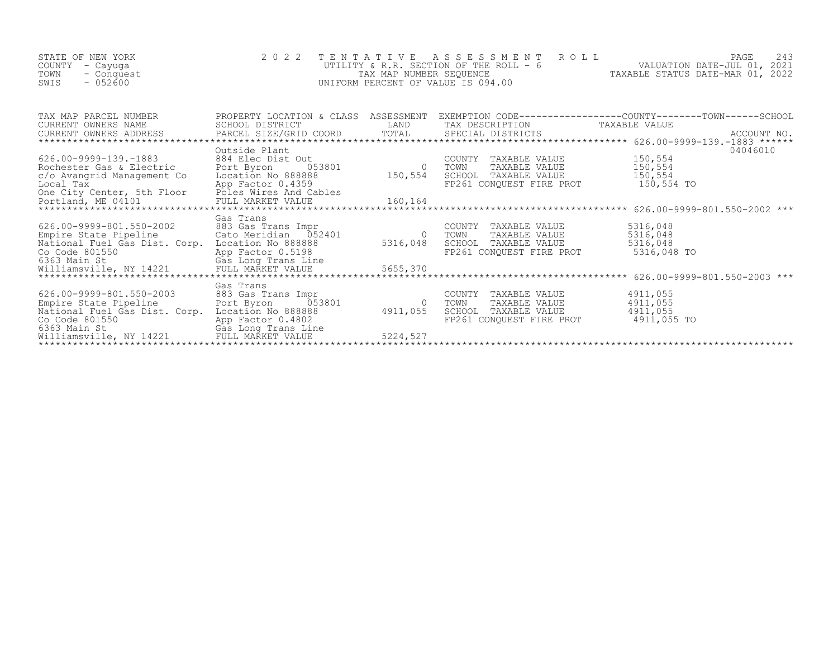| STATE OF NEW YORK<br>COUNTY – Cayuga<br>TOWN<br>- Conquest<br>SWIS<br>$-052600$ | 2022 TENTATIVE ASSESSMENT ROLL<br>UTILITY & R.R. SECTION OF THE ROLL $-6$<br>TAX MAP NUMBER SEOUENCE<br>UNIFORM PERCENT OF VALUE IS 094.00 | TAXABLE STATUS DATE-MAR 01, 2022 | PAGE<br>VALUATION DATE-JUL 01, 2021 |  |
|---------------------------------------------------------------------------------|--------------------------------------------------------------------------------------------------------------------------------------------|----------------------------------|-------------------------------------|--|
|                                                                                 |                                                                                                                                            |                                  |                                     |  |

| TAX MAP PARCEL NUMBER<br>CURRENT OWNERS NAME                                                                                                                                                                                         | PROPERTY LOCATION & CLASS<br>SCHOOL DISTRICT                               | ASSESSMENT     | EXEMPTION CODE-----------------COUNTY-------TOWN------SCHOOL<br>LAND TAX DESCRIPTION TAXABLE VALUE |             |          |
|--------------------------------------------------------------------------------------------------------------------------------------------------------------------------------------------------------------------------------------|----------------------------------------------------------------------------|----------------|----------------------------------------------------------------------------------------------------|-------------|----------|
|                                                                                                                                                                                                                                      |                                                                            |                |                                                                                                    |             |          |
|                                                                                                                                                                                                                                      | Outside Plant                                                              |                |                                                                                                    |             | 04046010 |
| 626.00-9999-139.-1883                                                                                                                                                                                                                | st Out<br>053801 0<br>884 Elec Dist Out                                    |                | COUNTY TAXABLE VALUE                                                                               | 150,554     |          |
| Rochester Gas & Electric                                                                                                                                                                                                             | Port Byron                                                                 | 150,554        | TOWN<br>TAXABLE VALUE                                                                              | 150,554     |          |
| c/o Avangrid Management Co                                                                                                                                                                                                           | Location No 888888                                                         |                | SCHOOL TAXABLE VALUE                                                                               | 150,554     |          |
| Local Tax                                                                                                                                                                                                                            | App Factor 0.4359                                                          |                | FP261 CONQUEST FIRE PROT                                                                           | 150,554 TO  |          |
|                                                                                                                                                                                                                                      |                                                                            |                |                                                                                                    |             |          |
|                                                                                                                                                                                                                                      |                                                                            |                |                                                                                                    |             |          |
|                                                                                                                                                                                                                                      | Gas Trans                                                                  |                |                                                                                                    |             |          |
| 626.00-9999-801.550-2002                                                                                                                                                                                                             | vu∠ 883 Gas Trans Impr<br>Cato Meridian 052401<br>Corp. Iocation No 200000 |                | COUNTY TAXABLE VALUE                                                                               | 5316,048    |          |
| Empire State Pipeline                                                                                                                                                                                                                |                                                                            | $\overline{0}$ | TOWN<br>TAXABLE VALUE                                                                              | 5316,048    |          |
| National Fuel Gas Dist. Corp. Location No 888888                                                                                                                                                                                     |                                                                            | 5316,048       | SCHOOL TAXABLE VALUE                                                                               | 5316,048    |          |
|                                                                                                                                                                                                                                      |                                                                            |                |                                                                                                    |             |          |
|                                                                                                                                                                                                                                      |                                                                            |                |                                                                                                    |             |          |
| Notify that the set of the set of the set of the set of the set of the set of the set of the set of the set of<br>Co Code 801550 (363 Main St (385 Long Trans Line)<br>Williamsville, NY 14221 FULL MARKET VALUE 5655,370<br>******* |                                                                            |                |                                                                                                    |             |          |
|                                                                                                                                                                                                                                      |                                                                            |                |                                                                                                    |             |          |
| 626.00-9999-801.550-2003                                                                                                                                                                                                             | Gas Trans<br>883 Gas Trans Impr                                            |                | COUNTY TAXABLE VALUE                                                                               | 4911,055    |          |
| Empire State Pipeline                                                                                                                                                                                                                | Port Byron 053801                                                          |                | TAXABLE VALUE<br>TOWN                                                                              | 4911,055    |          |
| National Fuel Gas Dist. Corp. Location No 888888                                                                                                                                                                                     |                                                                            | 4911,055       | SCHOOL TAXABLE VALUE                                                                               | 4911,055    |          |
| Co Code 801550                                                                                                                                                                                                                       | App Factor 0.4802                                                          |                | FP261 CONQUEST FIRE PROT                                                                           | 4911,055 TO |          |
| 6363 Main St                                                                                                                                                                                                                         | Gas Long Trans Line                                                        |                |                                                                                                    |             |          |
| Williamsville, NY 14221                                                                                                                                                                                                              | FULL MARKET VALUE                                                          | 5224,527       |                                                                                                    |             |          |
|                                                                                                                                                                                                                                      |                                                                            |                |                                                                                                    |             |          |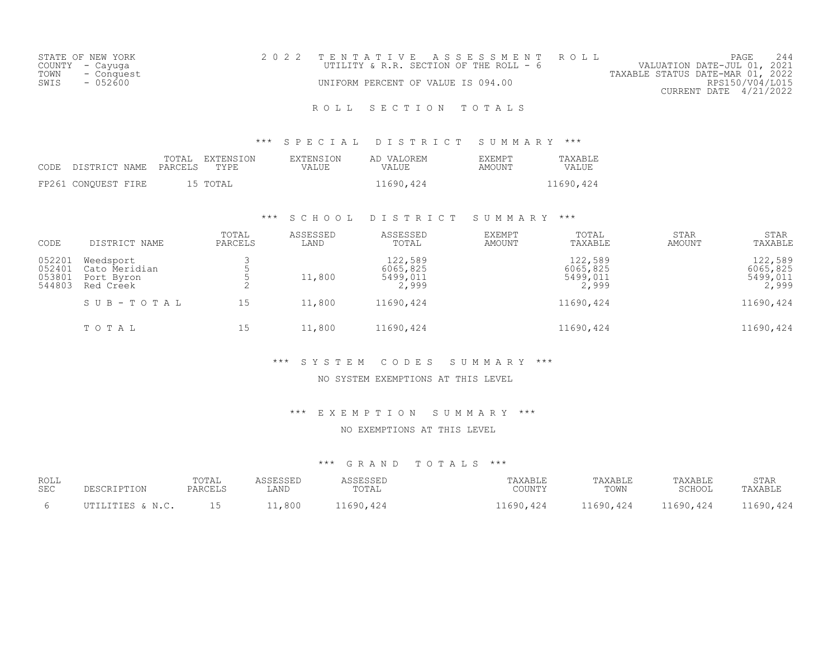| STATE OF NEW YORK  | 2022 TENTATIVE ASSESSMENT ROLL         |                                  | PAGE            |  |
|--------------------|----------------------------------------|----------------------------------|-----------------|--|
| COUNTY - Cayuga    | UTILITY & R.R. SECTION OF THE ROLL - 6 | VALUATION DATE-JUL 01, 2021      |                 |  |
| TOWN<br>- Conquest |                                        | TAXABLE STATUS DATE-MAR 01, 2022 |                 |  |
| $-0.52600$<br>SWIS | UNIFORM PERCENT OF VALUE IS 094.00     |                                  | RPS150/V04/L015 |  |
|                    |                                        | CURRENT DATE 4/21/2022           |                 |  |
|                    |                                        |                                  |                 |  |

# ROLL SECTION TOTALS

## \*\*\* S P E C I A L D I S T R I C T S U M M A R Y \*\*\*

| CODE DISTRICT NAME PARCELS |  | TOTAL EXTENSION<br>TYPE. | EXTENSION<br>VALUE | AD VALOREM<br>VALUE | <b>EXEMPT</b><br>AMOUNT | TAXABLE<br>VALUE |
|----------------------------|--|--------------------------|--------------------|---------------------|-------------------------|------------------|
| FP261 CONOUEST FIRE        |  | 15 TOTAL                 |                    | 11690,424           |                         | 11690,424        |

## \*\*\* S C H O O L D I S T R I C T S U M M A R Y \*\*\*

| CODE                                 | DISTRICT NAME                                         | TOTAL<br>PARCELS | ASSESSED<br>LAND | ASSESSED<br>TOTAL                        | <b>EXEMPT</b><br>AMOUNT | TOTAL<br>TAXABLE                         | <b>STAR</b><br>AMOUNT | <b>STAR</b><br>TAXABLE                   |
|--------------------------------------|-------------------------------------------------------|------------------|------------------|------------------------------------------|-------------------------|------------------------------------------|-----------------------|------------------------------------------|
| 052201<br>052401<br>053801<br>544803 | Weedsport<br>Cato Meridian<br>Port Byron<br>Red Creek | ∠                | 11,800           | 122,589<br>6065,825<br>5499,011<br>2,999 |                         | 122,589<br>6065,825<br>5499,011<br>2,999 |                       | 122,589<br>6065,825<br>5499,011<br>2,999 |
|                                      | SUB-TOTAL                                             | 15               | 11,800           | 11690,424                                |                         | 11690,424                                |                       | 11690,424                                |
|                                      | TOTAL                                                 | 15               | 11,800           | 11690,424                                |                         | 11690,424                                |                       | 11690,424                                |

## \*\*\* S Y S T E M C O D E S S U M M A R Y \*\*\*

# NO SYSTEM EXEMPTIONS AT THIS LEVEL

## \*\*\* E X E M P T I O N S U M M A R Y \*\*\*

#### NO EXEMPTIONS AT THIS LEVEL

## \*\*\* G R A N D T O T A L S \*\*\*

| ROLL | DESCRIPTION      | "OTAL   | ASSESSED | ASSESSED  | TAXABLE   | TAXABLE   | TAXABLE   | STAR      |
|------|------------------|---------|----------|-----------|-----------|-----------|-----------|-----------|
| SEC  |                  | PARCELS | LAND     | TOTAL     | COUNTY    | TOWN      | SCHOOL    | TAXABLE   |
|      | UTILITIES & N.C. |         | 11,800   | 11690,424 | 11690,424 | 11690,424 | 11690,424 | 11690,424 |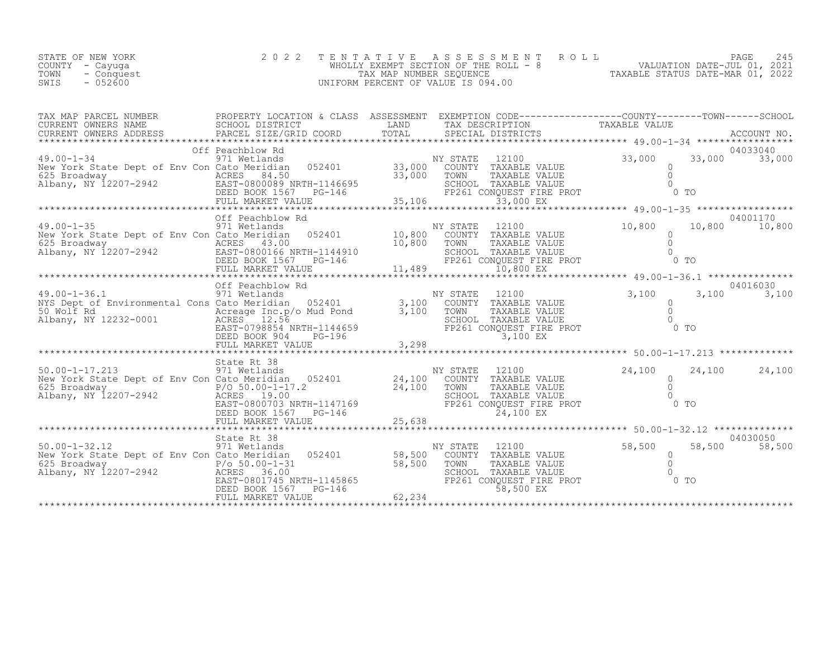| STATE OF NEW YORK  | 2022 TENTATIVE ASSESSMENT ROLL        |                                  | PAGE 245                    |  |
|--------------------|---------------------------------------|----------------------------------|-----------------------------|--|
| COUNTY – Cayuga    | WHOLLY EXEMPT SECTION OF THE ROLL - 8 |                                  | VALUATION DATE-JUL 01, 2021 |  |
| TOWN<br>- Conquest | TAX MAP NUMBER SEOUENCE               | TAXABLE STATUS DATE-MAR 01, 2022 |                             |  |
| $-052600$<br>SWIS  | UNIFORM PERCENT OF VALUE IS 094.00    |                                  |                             |  |

| TAX MAP PARCEL NUMBER                                                                                                                                                                                                                                                                                                                                                                                                                                                                              |                                            |        | PROPERTY LOCATION & CLASS ASSESSMENT EXEMPTION CODE-----------------COUNTY-------TOWN-----SCHOOL |                             |
|----------------------------------------------------------------------------------------------------------------------------------------------------------------------------------------------------------------------------------------------------------------------------------------------------------------------------------------------------------------------------------------------------------------------------------------------------------------------------------------------------|--------------------------------------------|--------|--------------------------------------------------------------------------------------------------|-----------------------------|
|                                                                                                                                                                                                                                                                                                                                                                                                                                                                                                    |                                            |        |                                                                                                  |                             |
| 19.00-1-34<br>19.00-1-34<br>19.00-1-34<br>NY STATE 12100<br>NY STATE 12100<br>NY STATE 12100<br>NY STATE 12100<br>NY STATE 12100<br>NY STATE 12100<br>NY STATE 12100<br>23,000 33,000 33,000 33,000 33,000<br>23,000 33,000 33,000 33,000<br>23,000 TO                                                                                                                                                                                                                                             |                                            |        |                                                                                                  |                             |
|                                                                                                                                                                                                                                                                                                                                                                                                                                                                                                    |                                            |        |                                                                                                  |                             |
|                                                                                                                                                                                                                                                                                                                                                                                                                                                                                                    |                                            |        |                                                                                                  |                             |
|                                                                                                                                                                                                                                                                                                                                                                                                                                                                                                    |                                            |        |                                                                                                  |                             |
| Off Peachblow Rd<br>971 Wetlands<br>NYS Dept of Environmental Cons Cato Meridian 052401<br>971 Wetlands<br>19.00-1-36.1<br>971 Wetlands<br>971 Wetlands<br>971 Wetlands<br>971 Wetlands<br>971 Wetlands<br>971 Wetlands<br>971 Wetlands<br>971 Wetland<br>NYS Dept of Environmental Cons Cato Merician $0.50$ Wolf Rd<br>Acreage Inc. 50 Mud Pond<br>Albany, NY 12232-0001 ACRES 12.56<br>EAST-0798854 NRTH-1144659 EP261 CONQUEST FIRE PROT 0 TO<br>DEED BOOK 904 PG-196 3,298<br>FULL MARKET VAL | Off Peachblow Rd                           |        |                                                                                                  | 04016030<br>$3,100$ $3,100$ |
|                                                                                                                                                                                                                                                                                                                                                                                                                                                                                                    |                                            |        |                                                                                                  |                             |
|                                                                                                                                                                                                                                                                                                                                                                                                                                                                                                    |                                            |        |                                                                                                  |                             |
|                                                                                                                                                                                                                                                                                                                                                                                                                                                                                                    |                                            |        |                                                                                                  |                             |
| 50.00-1-32.12<br>371 Wetlands<br>New York State Dept of Env Con Cato Meridian<br>625 Broadway 2207-2942<br>Albany, NY 12207-2942<br>EAST-0801745 NRTH-1145865<br>EAST-0801745 NRTH-1145865<br>DEED BOOK 1567 PG-146<br>PLEER DOOK 1567 PG-146<br>                                                                                                                                                                                                                                                  | DEED BOOK 1567 PG-146<br>FULL MARKET VALUE | 62,234 | 58,500 EX                                                                                        | 04030050<br>58,500 58,500   |
|                                                                                                                                                                                                                                                                                                                                                                                                                                                                                                    |                                            |        |                                                                                                  |                             |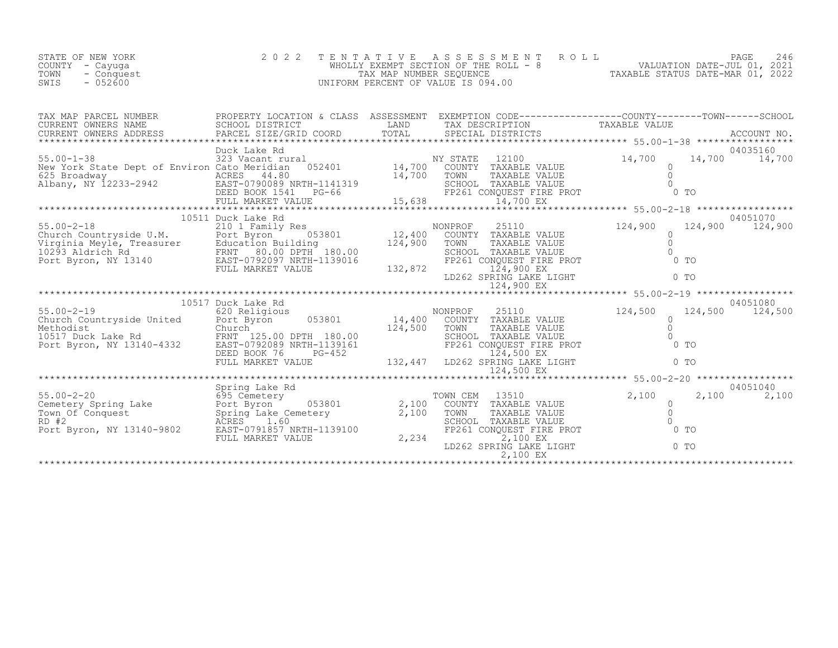| STATE OF NEW YORK  | 2022 TENTATIVE ASSESSMENT ROLL        |                                  | PAGE                        |  |
|--------------------|---------------------------------------|----------------------------------|-----------------------------|--|
| COUNTY – Cayuga    | WHOLLY EXEMPT SECTION OF THE ROLL - 8 |                                  | VALUATION DATE-JUL 01, 2021 |  |
| TOWN<br>- Conquest | TAX MAP NUMBER SEOUENCE               | TAXABLE STATUS DATE-MAR 01, 2022 |                             |  |
| SWIS<br>$-052600$  | UNIFORM PERCENT OF VALUE IS 094.00    |                                  |                             |  |

| TAX MAP PARCEL NUMBER                                                                                                                                                                                                                                          |                    |  | PROPERTY LOCATION & CLASS ASSESSMENT EXEMPTION CODE----------------COUNTY-------TOWN-----SCHOOL                                                                                                                                                                                                                                              |                    |                            |  |  |  |  |
|----------------------------------------------------------------------------------------------------------------------------------------------------------------------------------------------------------------------------------------------------------------|--------------------|--|----------------------------------------------------------------------------------------------------------------------------------------------------------------------------------------------------------------------------------------------------------------------------------------------------------------------------------------------|--------------------|----------------------------|--|--|--|--|
|                                                                                                                                                                                                                                                                |                    |  |                                                                                                                                                                                                                                                                                                                                              |                    | 04035160                   |  |  |  |  |
|                                                                                                                                                                                                                                                                |                    |  |                                                                                                                                                                                                                                                                                                                                              |                    | 14,700 14,700              |  |  |  |  |
| NEW YORK SCALE DEPL OF ENVIRONMENT ACRES 44.80<br>ALRES 44.80 TOWN TAXABLE VALUE O DEED BOOK 1541 PG-66 FP261 CONQUEST FIRE PROT 0 TO<br>EED BOOK 1541 PG-66 FP261 CONQUEST FIRE PROT 0 TO<br>FULL MARKET VALUE 15,638 14,700 EX<br>**                         |                    |  |                                                                                                                                                                                                                                                                                                                                              |                    |                            |  |  |  |  |
|                                                                                                                                                                                                                                                                |                    |  |                                                                                                                                                                                                                                                                                                                                              |                    |                            |  |  |  |  |
| 10311 DUCK LAKE KONG MONDEROF 25110<br>210 2011 Pamily Res<br>Church Countryside U.M. Port Byron 053801 12,400 COUNTY TAXABLE VALUE<br>Virginia Meyle, Treasurer Education Building 124,900 TOWN TAXABLE VALUE<br>210293 Aldrich Rd FR                         | 10511 Duck Lake Rd |  |                                                                                                                                                                                                                                                                                                                                              | 124,900<br>124,900 | 04051070<br>124,900        |  |  |  |  |
|                                                                                                                                                                                                                                                                |                    |  | $\begin{tabular}{l c c c c c} \hline $\mathcal{L}$-18 & $\mathcal{L}$-10$ & $12,400$ & $12,400$ & $1200$ & $1000$ & $1000$\\ \hline \hline $\mathcal{L}$: 1000$ & $12,400$ & $12,400$ & $1000$ & $1000$ & $1000$ & $1000$\\ \hline \hline $\mathcal{L}$: 1100$ & $12,400$ & $124,900$ & $1000$ & $1000$ & $1000$\\ \hline $\mathcal{L}$: 12$ |                    |                            |  |  |  |  |
|                                                                                                                                                                                                                                                                |                    |  |                                                                                                                                                                                                                                                                                                                                              |                    |                            |  |  |  |  |
|                                                                                                                                                                                                                                                                | 10517 Duck Lake Rd |  |                                                                                                                                                                                                                                                                                                                                              |                    | 04051080                   |  |  |  |  |
| 124,500<br>S5.00-2-19<br>Church Countryside United<br>Methodist<br>Methodist<br>124,500<br>Methodist<br>Church<br>Church<br>Church<br>Port Byron, NY 13140-4332<br>ERD BOOK 76<br>DEED BOOK 76<br>PORT PULL MARKET VALUE<br>PORT 124,500<br>PORT 124,500<br>TO |                    |  | TOWN TAXABLE VALUE<br>SCHOOL TAXABLE VALUE 0<br>FP261 CONQUEST FIRE PROT 0 TO<br>LD262 SPRING LAKE LIGHT                                                                                                                                                                                                                                     |                    | 124,500 124,500            |  |  |  |  |
|                                                                                                                                                                                                                                                                |                    |  |                                                                                                                                                                                                                                                                                                                                              |                    |                            |  |  |  |  |
|                                                                                                                                                                                                                                                                |                    |  |                                                                                                                                                                                                                                                                                                                                              |                    |                            |  |  |  |  |
|                                                                                                                                                                                                                                                                |                    |  | TOWN CEM 13510                                                                                                                                                                                                                                                                                                                               | 2,100              | 04051040<br>2,100<br>2,100 |  |  |  |  |
|                                                                                                                                                                                                                                                                |                    |  | COUNTY TAXABLE VALUE<br>TOWN TAXABLE VALUE 0<br>SCHOOL TAXABLE VALUE 0<br>FP261 CONQUEST FIRE PROT 0<br>2,100 EX                                                                                                                                                                                                                             | $0$ TO             |                            |  |  |  |  |
|                                                                                                                                                                                                                                                                | FULL MARKET VALUE  |  | 2,234<br>2,100 EX<br>LD262 SPRING LAKE LIGHT                                                                                                                                                                                                                                                                                                 | $0$ TO             |                            |  |  |  |  |
|                                                                                                                                                                                                                                                                |                    |  |                                                                                                                                                                                                                                                                                                                                              |                    |                            |  |  |  |  |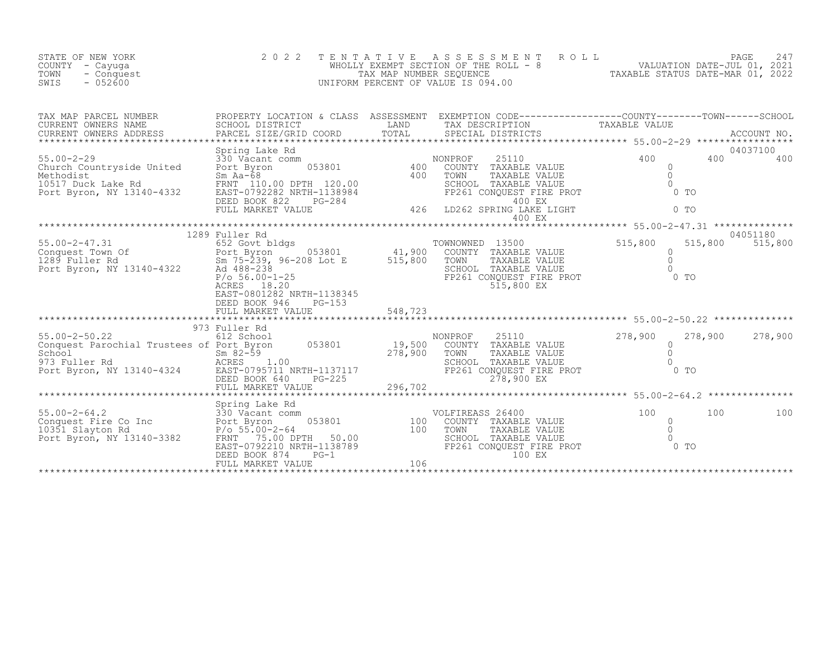| STATE OF NEW YORK<br>COUNTY<br>- Cayuqa<br>- Conquest<br>TOWN<br>$-052600$<br>SWIS                                                                                                                                                                                                                                                                                                                                                     | 2 0 2 2                                                                                                                                                                                                           | TENTATIVE | ENTATIVE ASSESSMENT ROLL PAGE 247<br>WHOLLY EXEMPT SECTION OF THE ROLL - 8 VALUATION DATE-JUL 01, 2021<br>TAX MAP NUMBER SEQUENCE TAXABLE STATUS DATE-MAR 01, 2022<br>NIFORM PERCENT OF VALUE IS 094.00<br>UNIFORM PERCENT OF VALUE IS 094.00 |                                                                          |                     |
|----------------------------------------------------------------------------------------------------------------------------------------------------------------------------------------------------------------------------------------------------------------------------------------------------------------------------------------------------------------------------------------------------------------------------------------|-------------------------------------------------------------------------------------------------------------------------------------------------------------------------------------------------------------------|-----------|-----------------------------------------------------------------------------------------------------------------------------------------------------------------------------------------------------------------------------------------------|--------------------------------------------------------------------------|---------------------|
|                                                                                                                                                                                                                                                                                                                                                                                                                                        |                                                                                                                                                                                                                   |           |                                                                                                                                                                                                                                               |                                                                          |                     |
| $\begin{tabular}{lllllllllllllllllll} \begin{tabular}{l} 55.00-2-29 & \text{Spring Lake Rd} \\ \text{Church Countryside United} & 330 \text{ Vacant comm} \\ \text{Methodist} & \text{Port Byron} & 053801 & 400 \\ \text{Methodist} & \text{SmN} & \text{A=68} \\ 10517 \text{ Duck Lake Rd} & \text{SRNT 110.00 DPTH 120.00} \\ \text{Port Byron, NY 13140-4332} & \text{EAST-0792282 NRTH-1138984} \\ \text{DEED BOOK 822} & \text$ | Spring Lake Rd                                                                                                                                                                                                    |           | ONPROF 25110 400<br>COUNTY TAXABLE VALUE<br>TOWN TAXABLE VALUE 0<br>SCHOOL TAXABLE VALUE 0<br>FP261 CONQUEST FIRE PROT 0 TO<br>ID262 2DD TM 400 EX<br>NONPROF<br>LD262 SPRING LAKE LIGHT<br>400 EX                                            | $\sim$ 0 TO                                                              | 04037100<br>400 400 |
| 1289 Fuller Rd<br>655.00-2-47.31 652 Goot bldgs<br>Conquest Town Of Port Byron 053801 41,900 COUNTY TAXABLE VALUE<br>289 Fuller Rd<br>289 Fuller Rd<br>289 Fuller Rd<br>289 Fuller Rd<br>289 Fuller Rd<br>289 Fuller Rd<br>289 SCHOOL TAXABLE VA                                                                                                                                                                                       | 1289 Fuller Rd<br>ACRES 18.20<br>EAST-0801282 NRTH-1138345<br>DEED BOOK 946<br>$PG-153$                                                                                                                           |           | TOWNOWNED 13500<br>COUNTY TAXABLE VALUE<br>TOWN TAXABLE VALUE<br>SCHOOL TAXABLE VALUE<br>FP261 CONQUEST FIRE PROT<br>515,800 EX                                                                                                               | 515,800<br>515,800<br>$\Omega$<br>$\overline{0}$<br>$\bigcirc$<br>$0$ TO | 04051180<br>515,800 |
| $\begin{tabular}{lllllllllllllllll} \text{55.00-2-50.22} & 973 \text{ Fuller Rd} & \text{NONPROPT} & 25110 & 278,900 & 278,900 & 278,900 & 278,900 & 278,900 & 278,900 & 278,900 & 278,900 & 278,900 & 278,900 & 278,900 & 278,900 & 278,900 & 278,900 & 278,900 & 278,900 & 278,900 & 278,90$                                                                                                                                         |                                                                                                                                                                                                                   |           |                                                                                                                                                                                                                                               |                                                                          |                     |
| Spring Lake Rd<br>Conquest Fire Co Inc<br>10351 Slayton Rd<br>Port Byron, NY 13140-3382<br>Port Byron, NY 13140-3382<br>PRNT 75.00-2-64<br>Port Byron, NY 13140-3382<br>PRNT 75.00-279.00 DPT                                                                                                                                                                                                                                          | Spring Lake Rd<br>Spring Lake Rd<br>330 Vacant comm<br>Port Byron 053801 100<br>$P(\text{o } 55.00 - 2 - 64$ 100<br>FRNT 75.00 DPTH 50.00<br>EAST-0792210 NRTH-1138789<br>DEED BOOK 874 PG-1<br>FULL MARKET VALUE |           | VLFIREASS 26400<br>COUNTY TAXABLE VALUE 100<br>TOWN TAXABLE VALUE 0<br>SCHOOL TAXABLE VALUE 0<br>FP261 CONQUEST FIRE PROT 0 TO<br>VOLFIREASS 26400<br>100 EX                                                                                  | 100                                                                      | 100                 |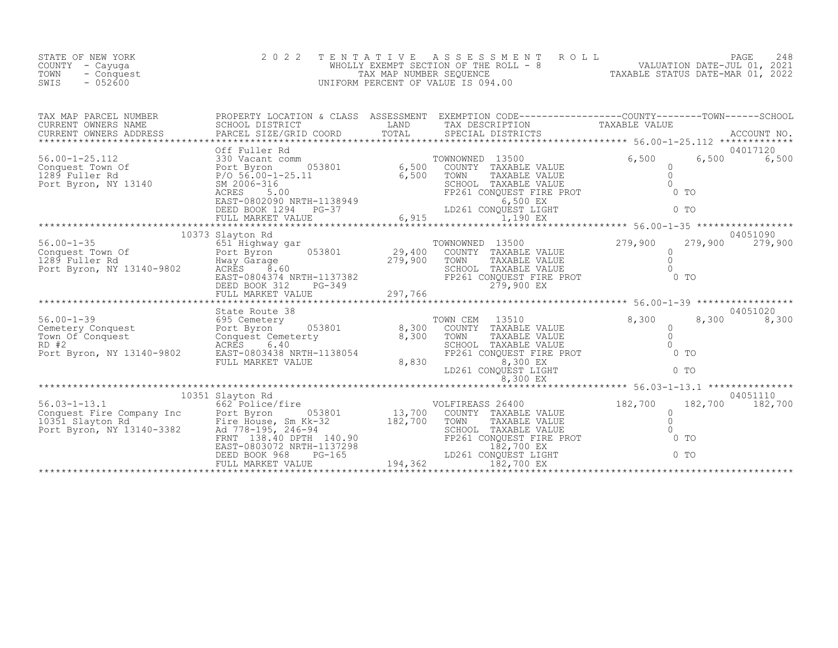| STATE OF NEW YORK<br>COUNTY - Cayuga<br>TOWN<br>- Conquest<br>SWIS<br>$-052600$                                                                                                                                                  | 2 0 2 2          | TENTATIVE ASSESSMENT<br>UNIFORM PERCENT OF VALUE IS 094.00                                                                                                                                  | WHOLLY EXEMPT SECTION OF THE ROLL - 8<br>WHOLLY EXEMPT SECTION OF THE ROLL - 8<br>TAX MAP NUMBER SEQUENCE<br>IFORM PERCENT OF VALUE IS 094.00<br>TAXABLE STATUS DATE-MAR 01, 2022                                                                                                                                                                                                                                    |
|----------------------------------------------------------------------------------------------------------------------------------------------------------------------------------------------------------------------------------|------------------|---------------------------------------------------------------------------------------------------------------------------------------------------------------------------------------------|----------------------------------------------------------------------------------------------------------------------------------------------------------------------------------------------------------------------------------------------------------------------------------------------------------------------------------------------------------------------------------------------------------------------|
|                                                                                                                                                                                                                                  |                  |                                                                                                                                                                                             |                                                                                                                                                                                                                                                                                                                                                                                                                      |
|                                                                                                                                                                                                                                  |                  | UUEST LIGHT<br>1,190 EX<br>********                                                                                                                                                         | $\begin{tabular}{l c c c c c} \texttt{TAY} \texttt{MAP} \texttt{PAREED} \texttt{ NUMBER} & \texttt{FROPERTY LOCATION & \texttt{CLASS} & \texttt{ASSESSMENT} & \texttt{EXEMENT CON COD-B-----------------------0-100INTY-----00INTY-----000NT------000NT------000NT------000NT------000NT------000NT------000NT------000NT------000NT------000NT------000NT------000NT------000NT------000NT------000NT------000NT--$ |
|                                                                                                                                                                                                                                  | 10373 Slayton Rd |                                                                                                                                                                                             | 04051090                                                                                                                                                                                                                                                                                                                                                                                                             |
|                                                                                                                                                                                                                                  |                  |                                                                                                                                                                                             | 10373 Slayton Rd<br>Conquest Town Of Fort Byron 053801 Port Byron 053801 279,900 COUNTY TAXABLE VALUE<br>29,400 COUNTY TAXABLE VALUE 279,900 279,900 279,900 279,900<br>Port Byron, NY 13140-9802 ACRES BOOK 312<br>EAST-0804374 NRTH-                                                                                                                                                                               |
|                                                                                                                                                                                                                                  |                  |                                                                                                                                                                                             | 04051020                                                                                                                                                                                                                                                                                                                                                                                                             |
|                                                                                                                                                                                                                                  |                  | COUNTY TAXABLE VALUE<br>TOWN TAXABLE VALUE<br>TOWN TAXABLE VALUE<br>SCHOOL TAXABLE VALUE<br>SCHOOL TAXABLE VALUE<br>FP261 CONQUEST LIGHT<br>LD261 CONQUEST LIGHT<br>TOWN CEM 13510<br>8,830 | 8,300<br>8,300                                                                                                                                                                                                                                                                                                                                                                                                       |
|                                                                                                                                                                                                                                  |                  |                                                                                                                                                                                             |                                                                                                                                                                                                                                                                                                                                                                                                                      |
|                                                                                                                                                                                                                                  |                  |                                                                                                                                                                                             |                                                                                                                                                                                                                                                                                                                                                                                                                      |
| 10351 Search Conquest Fire Company Inc and the Same Conquest Pire (2,700 islay<br>26.03-1-13.1 10351 Slayton Record (Fire throuse and the Same Conquest Pire House Pire House Pire House of the Same Conquest Pire House of Pire |                  |                                                                                                                                                                                             | 04051110<br>182,700 182,700                                                                                                                                                                                                                                                                                                                                                                                          |
|                                                                                                                                                                                                                                  |                  |                                                                                                                                                                                             |                                                                                                                                                                                                                                                                                                                                                                                                                      |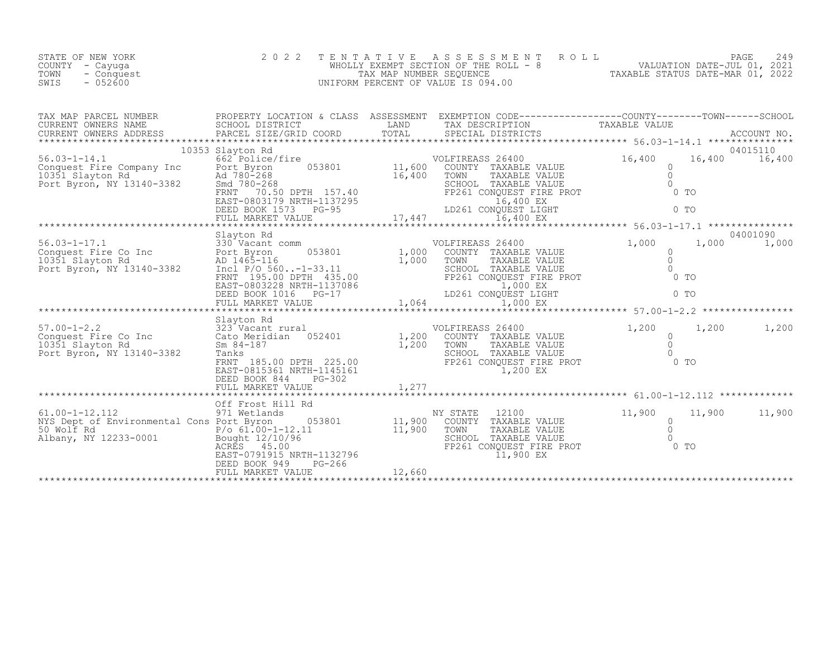| TAX MAP PARCEL NUMBER                                                                                                                                                                                                                                                                                                                                                                         |                  | PROPERTY LOCATION & CLASS ASSESSMENT EXEMPTION CODE----------------COUNTY-------TOWN------SCHOOL |                         |               |          |
|-----------------------------------------------------------------------------------------------------------------------------------------------------------------------------------------------------------------------------------------------------------------------------------------------------------------------------------------------------------------------------------------------|------------------|--------------------------------------------------------------------------------------------------|-------------------------|---------------|----------|
|                                                                                                                                                                                                                                                                                                                                                                                               | 10353 Slayton Rd |                                                                                                  |                         |               | 04015110 |
|                                                                                                                                                                                                                                                                                                                                                                                               |                  |                                                                                                  |                         |               |          |
|                                                                                                                                                                                                                                                                                                                                                                                               | Slayton Rd       |                                                                                                  |                         |               | 04001090 |
| $\begin{tabular}{lllllllllllll} \texttt{56.03-1-17.1} & \texttt{Slayton Rd} & \texttt{VOLIFIREASS 26400} & \texttt{1,000} & \texttt{1,000} & \texttt{04001090} \\ \texttt{Conquest Fire Co Inc} & \texttt{330 Vacant comm} & \texttt{053801} & \texttt{1,000} & \texttt{1,000} & \texttt{1,000} & \texttt{1,000} & \texttt{1,000} & \texttt{1,000} & \texttt{1,000} \\ \texttt{10351 Slayton$ |                  |                                                                                                  |                         |               |          |
|                                                                                                                                                                                                                                                                                                                                                                                               |                  |                                                                                                  |                         |               |          |
|                                                                                                                                                                                                                                                                                                                                                                                               |                  |                                                                                                  |                         |               |          |
| $\begin{array}{lllllllllllllllllll} \text{57.00-1-2.2} & \text{Slayton Rd} & \text{VOLFIREASS 26400} & \text{S1.200} & \text{1.200} & \text{1.200} & \text{1.201} & \text{1.201} & \text{1.202} & \text{1.203} & \text{1.204} & \text{1.205} & \text{1.206} & \text{1.207} & \text{1.208} & \text{1.209} & \text{1.200} & \text{1.200} & \text{1.200} & \text$                                | Slayton Rd       |                                                                                                  | $1,200$ $1,200$ $1,200$ |               |          |
|                                                                                                                                                                                                                                                                                                                                                                                               |                  |                                                                                                  |                         |               |          |
|                                                                                                                                                                                                                                                                                                                                                                                               |                  |                                                                                                  |                         | 11,900 11,900 |          |
|                                                                                                                                                                                                                                                                                                                                                                                               |                  |                                                                                                  |                         |               |          |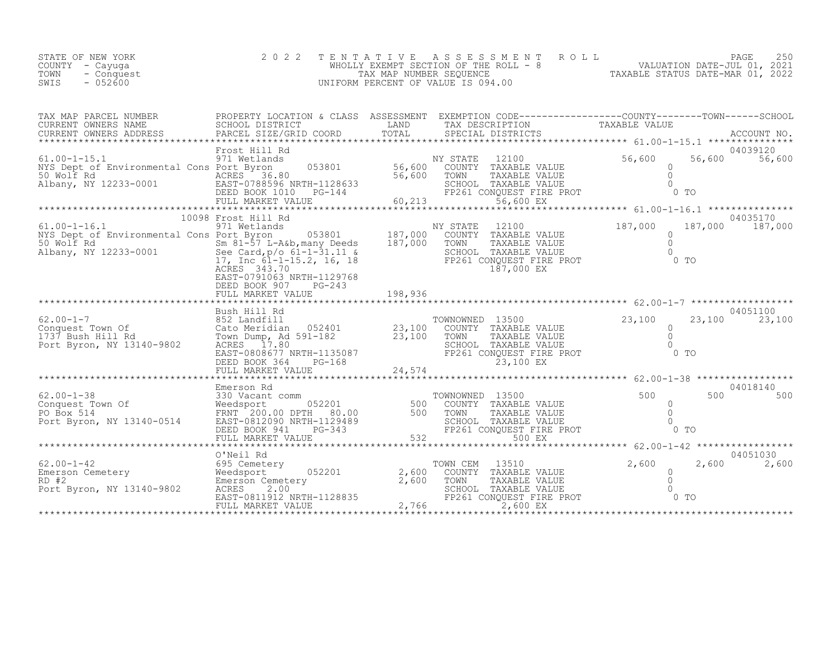| STATE OF NEW YORK  | 2022 TENTATIVE ASSESSMENT ROLL        |                                  | PAGE                        |  |
|--------------------|---------------------------------------|----------------------------------|-----------------------------|--|
| COUNTY – Cayuga    | WHOLLY EXEMPT SECTION OF THE ROLL - 8 |                                  | VALUATION DATE-JUL 01, 2021 |  |
| TOWN<br>- Conquest | TAX MAP NUMBER SEOUENCE               | TAXABLE STATUS DATE-MAR 01, 2022 |                             |  |
| SWIS<br>$-052600$  | UNIFORM PERCENT OF VALUE IS 094.00    |                                  |                             |  |

| TAX MAP PARCEL NUMBER<br>CURRENT OWNERS NAME<br>CURRENT OWNERS NAME SCHOOL DISTRICT - - ----- LAND TAX DESCRIPTION TAXABLE VALUE<br>CURRENT OWNERS ADDRESS PARCEL SIZE/GRID COORD TOTAL SPECIAL DISTRICTS ACCOUNT NO.                                                                                                                                    | PROPERTY LOCATION & CLASS ASSESSMENT EXEMPTION CODE----------------COUNTY-------TOWN-----SCHOOL |                                                        |                                                                                                                                                                                                                                                                                                                                                                                    |         |                           |
|----------------------------------------------------------------------------------------------------------------------------------------------------------------------------------------------------------------------------------------------------------------------------------------------------------------------------------------------------------|-------------------------------------------------------------------------------------------------|--------------------------------------------------------|------------------------------------------------------------------------------------------------------------------------------------------------------------------------------------------------------------------------------------------------------------------------------------------------------------------------------------------------------------------------------------|---------|---------------------------|
|                                                                                                                                                                                                                                                                                                                                                          |                                                                                                 |                                                        |                                                                                                                                                                                                                                                                                                                                                                                    |         |                           |
|                                                                                                                                                                                                                                                                                                                                                          | Frost Hill Rd                                                                                   |                                                        |                                                                                                                                                                                                                                                                                                                                                                                    |         | 04039120                  |
| $61.00 - 1 - 15.1$<br>NYS Dept of Environmental Cons Port Byron<br>50 Wolf Rd<br>Albany, NY 12233-0001 EAST-0788596 NRTH-1128633                                                                                                                                                                                                                         | FULL MARKET VALUE                                                                               | $128633$<br>$-144$<br>$-60,213$<br>$+144$<br>$+60,213$ | Frost Hill Rd<br>971 Wetlands 053801 56,600 COUNTY TAXABLE VALUE 56,600 56<br>Port Byron 053801 56,600 COUNTY TAXABLE VALUE 0<br>ACRES 36.80 56,600 TOWN TAXABLE VALUE 0<br>EAST-0788596 NRTH-1128633 SCHOOL TAXABLE VALUE 0<br>DEED BOO<br>56,600 EX                                                                                                                              |         | 56,600 56,600             |
|                                                                                                                                                                                                                                                                                                                                                          | 10098 Frost Hill Rd                                                                             |                                                        |                                                                                                                                                                                                                                                                                                                                                                                    |         | 04035170                  |
| 10098 Frost Hill Rd<br>971 Wetlands<br>NYS Dept of Environmental Cons Port Byron (183801) 187,000 COUNTY TAXABLE VALUE<br>NIS Dept of Environmental Conservation of Survey Conservation of Survey Conservation of Survey Conservation of Survey Conservation of Survey Conservation of Survey Conservation of Survey Conservation of Conservation of 17, | ACRES 343.70<br>EAST-0791063 NRTH-1129768<br>DEED BOOK 907<br>PG-243<br>FULL MARKET VALUE       |                                                        | COUNTY TAXABLE VALUE<br>TOWN TAXABLE VALUE 0<br>SCHOOL TAXABLE VALUE 0<br>FP261 CONQUEST FIRE PROT 0 TO<br>187,000 EX                                                                                                                                                                                                                                                              | 187,000 | 187,000 187,000           |
|                                                                                                                                                                                                                                                                                                                                                          |                                                                                                 |                                                        |                                                                                                                                                                                                                                                                                                                                                                                    |         |                           |
|                                                                                                                                                                                                                                                                                                                                                          | Bush Hill Rd                                                                                    |                                                        | COWNOWNED 13500 23,100 23<br>COUNTY TAXABLE VALUE 23,100 0<br>TOWN TAXABLE VALUE 0<br>SCHOOL TAXABLE VALUE 0<br>FP261 CONQUEST FIRE PROT 0 TO<br>xthe cato metricial control of the country and the country of the country of the country and the country of the<br>xthe Hill Rd acres 17.80 acres 17.80 school TAXABLE VALUE<br>xthe country of the country of the country of the |         | 04051100<br>23,100 23,100 |
|                                                                                                                                                                                                                                                                                                                                                          |                                                                                                 |                                                        |                                                                                                                                                                                                                                                                                                                                                                                    |         | 04018140                  |
|                                                                                                                                                                                                                                                                                                                                                          |                                                                                                 |                                                        |                                                                                                                                                                                                                                                                                                                                                                                    |         | 500<br>500                |
|                                                                                                                                                                                                                                                                                                                                                          | O'Neil Rd                                                                                       |                                                        |                                                                                                                                                                                                                                                                                                                                                                                    |         | 04051030                  |
| 62.00-1-42<br>Emerson Cemetery<br>RD #2 (2,600 Medsport Byron, NY 13140-9802 ACRES 2.00 EAST-0811912 NRTH-1128835 1997)                                                                                                                                                                                                                                  | FULL MARKET VALUE                                                                               |                                                        | TOWN CEM<br>13510<br>COUNTY TAXABLE VALUE<br>TOWN TAXABLE VALUE<br>TOWN TAXABLE VALUE 0<br>SCHOOL TAXABLE VALUE 0<br>FP261 CONQUEST FIRE PROT 0 TO<br>2,600 EX<br>TOWN<br>2,766<br>2,600 EX                                                                                                                                                                                        | 2,600   | 2,600<br>2,600            |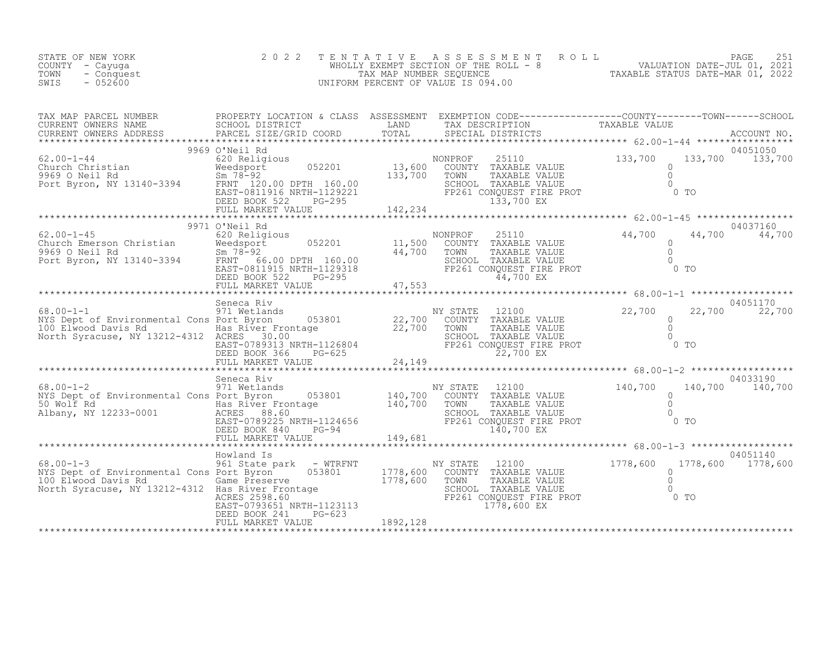| STATE OF NEW YORK<br>COUNTY - Cayuga<br>TOWN<br>- Conquest<br>SWIS<br>$-052600$ | 2 0 2 2    |  | TENTATIVE ASSESSMENT ROLL PAGE 251<br>WHOLLY EXEMPT SECTION OF THE ROLL - 8 VALUATION DATE-JUL 01, 2021<br>TAX MAP NUMBER SEQUENCE TAXABLE STATUS DATE-MAR 01, 2022<br>UNIFORM PERCENT OF VALUE IS 094.00                                                                                                                                                                                                                                                                                                                                                                                                            |
|---------------------------------------------------------------------------------|------------|--|----------------------------------------------------------------------------------------------------------------------------------------------------------------------------------------------------------------------------------------------------------------------------------------------------------------------------------------------------------------------------------------------------------------------------------------------------------------------------------------------------------------------------------------------------------------------------------------------------------------------|
|                                                                                 |            |  | TAX MAP PARCEL NUMBER PROPERTY LOCATION & CLASS ASSESSMENT EXEMPTION CODE---------------------COUNTY---------TOWN-------SCHOOL<br>CURRENT OWNERS NAME SCHOOL DISTRICT LAND TAX DESCRIPTION<br>CURRENT OWNERS ADDRESS PROPERTY ACCOUN<br>$\begin{tabular}{l cccccccc} \hline \texttt{CURER} & \texttt{COMPERS} & \texttt{COMPERS} & \texttt{COMPERS} & \texttt{XOLE} & \texttt{33,700} & \texttt{133,700} & \texttt{133,700} & \texttt{133,700} & \texttt{133,700} & \texttt{133,700} & \texttt{133,700} & \texttt{133,700} & \texttt{133,700} & \texttt{133,700} & \texttt{133,700} & \texttt{133,700} & \texttt{13$ |
|                                                                                 |            |  |                                                                                                                                                                                                                                                                                                                                                                                                                                                                                                                                                                                                                      |
|                                                                                 |            |  |                                                                                                                                                                                                                                                                                                                                                                                                                                                                                                                                                                                                                      |
|                                                                                 |            |  |                                                                                                                                                                                                                                                                                                                                                                                                                                                                                                                                                                                                                      |
|                                                                                 | Howland Is |  | 04051140                                                                                                                                                                                                                                                                                                                                                                                                                                                                                                                                                                                                             |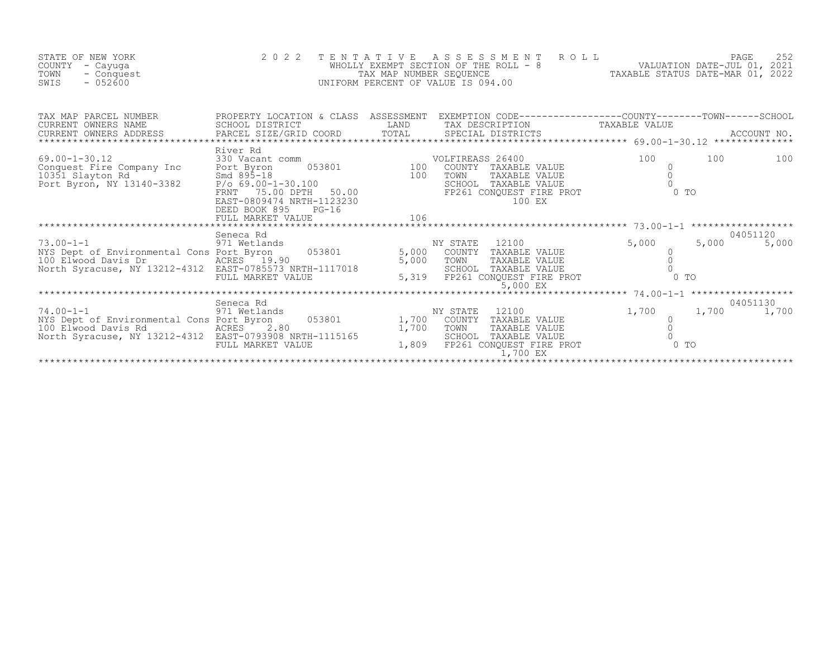| STATE OF NEW YORK<br>COUNTY<br>- Cayuqa<br>TOWN<br>- Conquest<br>$-052600$<br>SWIS                                                             | 2 0 2 2<br>$\overline{a}$                                                                                                                                                 | TENTATIVE      | ROLL<br>ASSESSMENT<br>WHOLLY EXEMPT SECTION OF THE ROLL - 8<br>TAX MAP NUMBER SEQUENCE<br>UNIFORM PERCENT OF VALUE IS 094.00                                            |                                  | PAGE<br>252       |  |
|------------------------------------------------------------------------------------------------------------------------------------------------|---------------------------------------------------------------------------------------------------------------------------------------------------------------------------|----------------|-------------------------------------------------------------------------------------------------------------------------------------------------------------------------|----------------------------------|-------------------|--|
| TAX MAP PARCEL NUMBER<br>CURRENT OWNERS NAME<br>CURRENT OWNERS ADDRESS                                                                         | PARCEL SIZE/GRID COORD                                                                                                                                                    |                |                                                                                                                                                                         |                                  |                   |  |
| $69.00 - 1 - 30.12$<br>conquest Fire Company Inc<br>10351 Slayton Rd<br>Port Byron, NY 13140-3382                                              | River Rd<br>330 Vacant comm<br>Port Byron<br>Smd $89\bar{5} - 18$<br>P/o 69.00-1-30.100<br>FRNT 75.00 DPTH 50.00<br>EAST-0809474 NRTH-1123230<br>$PG-16$<br>DEED BOOK 895 |                | COMM 053801 020 100 COUNTY TAVALLED<br>COUNTY TAXABLE VALUE<br>COUNII TAXABLE VALUE<br>TOWN TAXABLE VALUE<br>SCHOOL TAXABLE VALUE<br>FP261 CONQUEST FIRE PROT<br>100 EX | 100<br>100<br>$\Omega$<br>$0$ To | 100               |  |
| $73.00 - 1 - 1$<br>NYS Dept of Environmental Cons Port Byron<br>100 Elwood Davis Dr<br>North Syracuse, NY 13212-4312 EAST-0785573 NRTH-1117018 | Seneca Rd<br>971 Wetlands<br>$053801$ 5,000<br>FULL MARKET VALUE                                                                                                          | 5,000<br>5,319 | NY STATE<br>12100<br>COUNTY TAXABLE VALUE<br>TAXABLE VALUE<br>TOWN<br>SCHOOL TAXABLE VALUE<br>FP261 CONQUEST FIRE PROT<br>5,000 EX                                      | 5,000<br>5,000<br>0 <sub>T</sub> | 04051120<br>5,000 |  |
| $74.00 - 1 - 1$<br>NYS Dept of Environmental Cons Port Byron<br>100 Elwood Davis Rd<br>North Syracuse, NY 13212-4312 EAST-0793908 NRTH-1115165 | Seneca Rd<br>971 Wetlands<br>053801 1,700<br>ACRES <sup>T</sup><br>2.80<br>FULL MARKET VALUE                                                                              | 1,700<br>1,809 | NY STATE<br>12100<br>COUNTY TAXABLE VALUE<br>TOWN<br>TAXABLE VALUE<br>SCHOOL TAXABLE VALUE<br>FP261 CONQUEST FIRE PROT<br>1,700 EX                                      | 1,700<br>1,700<br>$0$ TO         | 04051130<br>1,700 |  |
|                                                                                                                                                |                                                                                                                                                                           |                |                                                                                                                                                                         |                                  |                   |  |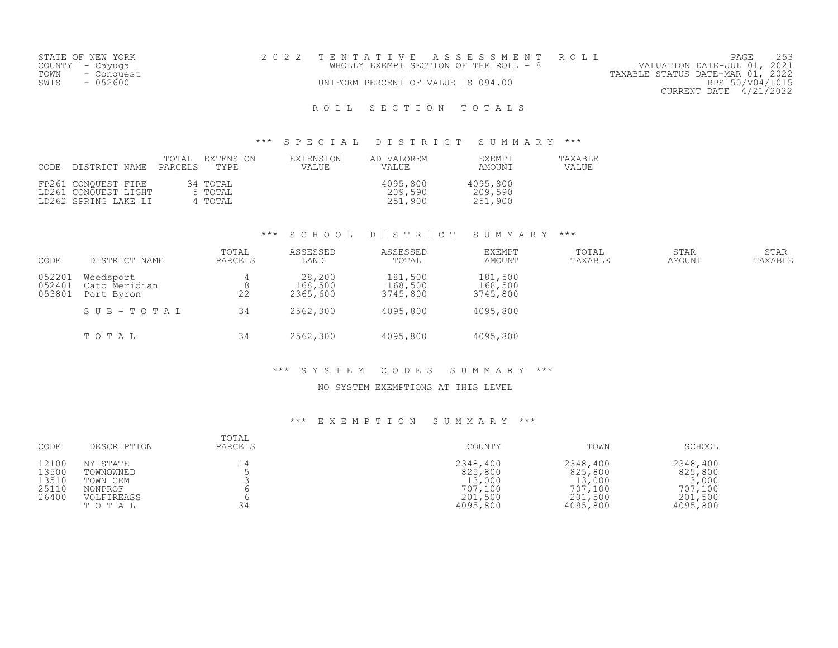|      | STATE OF NEW YORK | 2022 TENTATIVE ASSESSMENT ROLL                                       | PAGE            |  |
|------|-------------------|----------------------------------------------------------------------|-----------------|--|
|      | COUNTY - Cayuga   | VALUATION DATE-JUL 01, 2021<br>WHOLLY EXEMPT SECTION OF THE ROLL - 8 |                 |  |
| TOWN | - Conquest        | TAXABLE STATUS DATE-MAR 01, 2022                                     |                 |  |
| SWIS | $-052600$         | UNIFORM PERCENT OF VALUE IS 094.00                                   | RPS150/V04/L015 |  |
|      |                   | CURRENT DATE 4/21/2022                                               |                 |  |
|      |                   |                                                                      |                 |  |

## ROLL SECTION TOTALS

### \*\*\* S P E C I A L D I S T R I C T S U M M A R Y \*\*\*

| CODE | DISTRICT NAME                                                       | TOTAL.<br>PARCELS | EXTENSION<br>TYPE.             | EXTENSION<br>VALUE | AD VALOREM<br><b>VALUE</b>     | EXEMPT<br>AMOUNT               | TAXABLE<br>VALUE |
|------|---------------------------------------------------------------------|-------------------|--------------------------------|--------------------|--------------------------------|--------------------------------|------------------|
|      | FP261 CONOUEST FIRE<br>LD261 CONOUEST LIGHT<br>LD262 SPRING LAKE LI |                   | 34 TOTAL<br>5 TOTAL<br>4 TOTAL |                    | 4095,800<br>209,590<br>251,900 | 4095,800<br>209,590<br>251,900 |                  |

### \*\*\* S C H O O L D I S T R I C T S U M M A R Y \*\*\*

| CODE                       | DISTRICT NAME                            | TOTAL<br>PARCELS | ASSESSED<br>LAND              | ASSESSED<br>TOTAL              | <b>EXEMPT</b><br>AMOUNT        | TOTAL<br>TAXABLE | <b>STAR</b><br>AMOUNT | <b>STAR</b><br>TAXABLE |
|----------------------------|------------------------------------------|------------------|-------------------------------|--------------------------------|--------------------------------|------------------|-----------------------|------------------------|
| 052201<br>052401<br>053801 | Weedsport<br>Cato Meridian<br>Port Byron | 8<br>22          | 28,200<br>168,500<br>2365,600 | 181,500<br>168,500<br>3745,800 | 181,500<br>168,500<br>3745,800 |                  |                       |                        |
|                            | SUB-TOTAL                                | 34               | 2562,300                      | 4095,800                       | 4095,800                       |                  |                       |                        |
|                            | TOTAL                                    | 34               | 2562,300                      | 4095,800                       | 4095,800                       |                  |                       |                        |

#### \*\*\* S Y S T E M C O D E S S U M M A R Y \*\*\*

### NO SYSTEM EXEMPTIONS AT THIS LEVEL

### \*\*\* E X E M P T I O N S U M M A R Y \*\*\*

| CODE                                      | DESCRIPTION                                                         | TOTAL<br>PARCELS | COUNTY                                                          | TOWN                                                            | SCHOOL                                                          |
|-------------------------------------------|---------------------------------------------------------------------|------------------|-----------------------------------------------------------------|-----------------------------------------------------------------|-----------------------------------------------------------------|
| 12100<br>13500<br>13510<br>25110<br>26400 | NY STATE<br>TOWNOWNED<br>TOWN CEM<br>NONPROF<br>VOLFIREASS<br>TOTAL | 14<br>34         | 2348,400<br>825,800<br>13,000<br>707,100<br>201,500<br>4095,800 | 2348,400<br>825,800<br>13,000<br>707,100<br>201,500<br>4095,800 | 2348,400<br>825,800<br>13,000<br>707,100<br>201,500<br>4095,800 |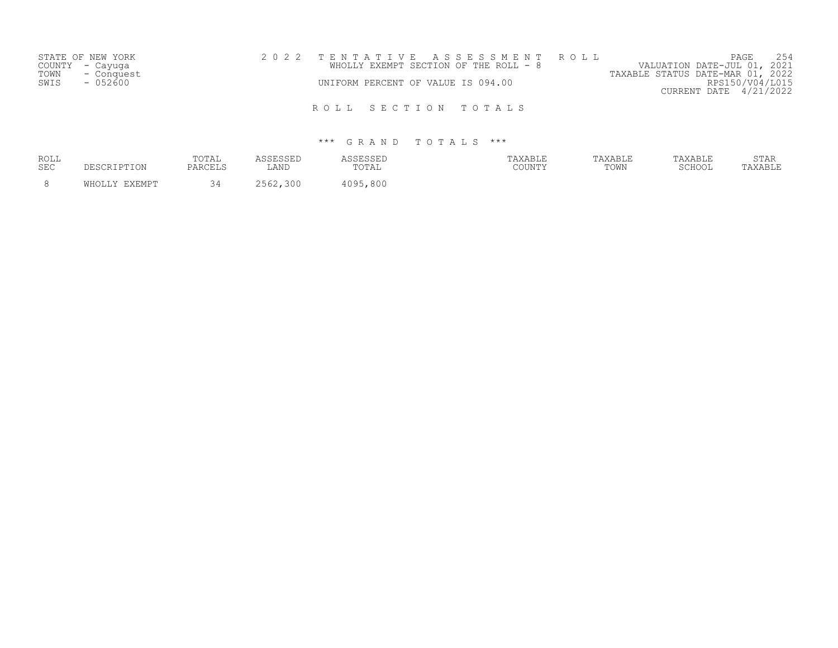|      | STATE OF NEW YORK |  |                                    | 2022 TENTATIVE ASSESSMENT ROLL        |                                  | PAGE                   | 254 |
|------|-------------------|--|------------------------------------|---------------------------------------|----------------------------------|------------------------|-----|
|      | COUNTY - Cayuqa   |  |                                    | WHOLLY EXEMPT SECTION OF THE ROLL - 8 | VALUATION DATE-JUL 01, 2021      |                        |     |
| TOWN | - Conquest        |  |                                    |                                       | TAXABLE STATUS DATE-MAR 01, 2022 |                        |     |
| SWIS | $-052600$         |  | UNIFORM PERCENT OF VALUE IS 094.00 |                                       |                                  | RPS150/V04/L015        |     |
|      |                   |  |                                    |                                       |                                  | CURRENT DATE 4/21/2022 |     |
|      |                   |  |                                    |                                       |                                  |                        |     |
|      |                   |  |                                    | ROLL SECTION TOTALS                   |                                  |                        |     |

| ROLL<br><b>SEC</b> | DESCRIPTION   | TOTAL<br>PARCELS | ASSESSED<br>LAND | ASSESSED<br>TOTAL | TAXABLE<br>COUNTY | TAXABLE<br>TOWN | TAXABLE<br>SCHOOL | STAR<br>TAXABLE |
|--------------------|---------------|------------------|------------------|-------------------|-------------------|-----------------|-------------------|-----------------|
|                    | WHOLLY EXEMPT | 3 A              | 2562,300         | 4095,800          |                   |                 |                   |                 |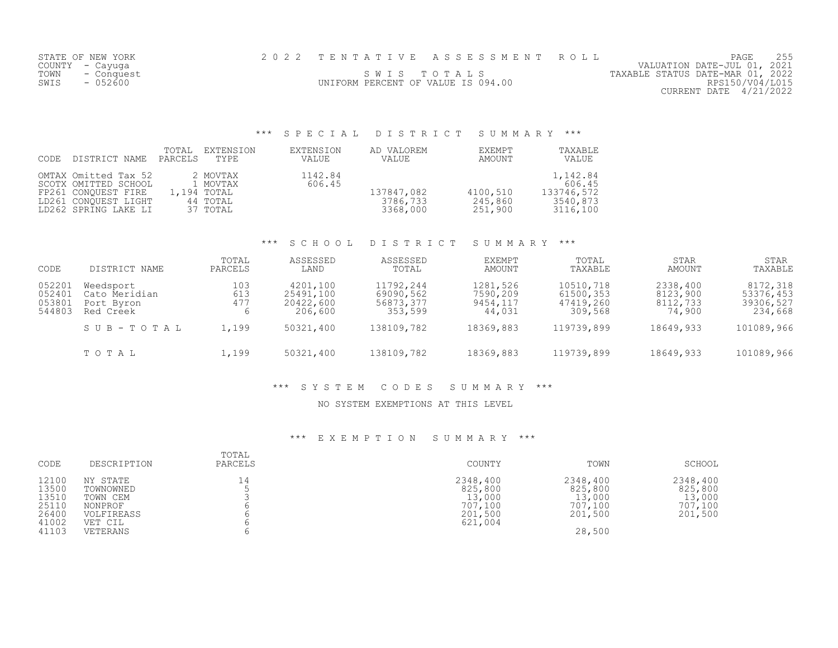|      | STATE OF NEW YORK |                                    | 2022 TENTATIVE ASSESSMENT ROLL |                                  | PAGE                   |  |
|------|-------------------|------------------------------------|--------------------------------|----------------------------------|------------------------|--|
|      | COUNTY – Cayuga   |                                    |                                | VALUATION DATE-JUL 01, 2021      |                        |  |
| TOWN | - Conquest        |                                    | SWIS TOTALS                    | TAXABLE STATUS DATE-MAR 01, 2022 |                        |  |
| SWIS | $-052600$         | UNIFORM PERCENT OF VALUE IS 094.00 |                                |                                  | RPS150/V04/L015        |  |
|      |                   |                                    |                                |                                  | CURRENT DATE 4/21/2022 |  |

## \*\*\* S P E C I A L D I S T R I C T S U M M A R Y \*\*\*

| CODE | DISTRICT NAME                                                                                                       | TOTAL<br>PARCELS | EXTENSION<br>TYPE                                           | EXTENSION<br>VALUE | AD VALOREM<br>VALUE                | EXEMPT<br>AMOUNT               | TAXABLE<br>VALUE                                         |
|------|---------------------------------------------------------------------------------------------------------------------|------------------|-------------------------------------------------------------|--------------------|------------------------------------|--------------------------------|----------------------------------------------------------|
|      | OMTAX Omitted Tax 52<br>SCOTX OMITTED SCHOOL<br>FP261 CONOUEST FIRE<br>LD261 CONOUEST LIGHT<br>LD262 SPRING LAKE LI |                  | 2 MOVTAX<br>1 MOVTAX<br>1,194 TOTAL<br>44 TOTAL<br>37 TOTAL | 1142.84<br>606.45  | 137847,082<br>3786,733<br>3368,000 | 4100,510<br>245,860<br>251,900 | 1,142.84<br>606.45<br>133746,572<br>3540,873<br>3116,100 |

### \*\*\* S C H O O L D I S T R I C T S U M M A R Y \*\*\*

| CODE                                 | DISTRICT NAME                                         | TOTAL<br>PARCELS  | ASSESSED<br>LAND                              | ASSESSED<br>TOTAL                              | EXEMPT<br>AMOUNT                           | TOTAL<br>TAXABLE                               | <b>STAR</b><br>AMOUNT                      | <b>STAR</b><br>TAXABLE                        |
|--------------------------------------|-------------------------------------------------------|-------------------|-----------------------------------------------|------------------------------------------------|--------------------------------------------|------------------------------------------------|--------------------------------------------|-----------------------------------------------|
| 052201<br>052401<br>053801<br>544803 | Weedsport<br>Cato Meridian<br>Port Byron<br>Red Creek | 103<br>613<br>477 | 4201,100<br>25491,100<br>20422,600<br>206,600 | 11792,244<br>69090,562<br>56873,377<br>353,599 | 1281,526<br>7590,209<br>9454,117<br>44,031 | 10510,718<br>61500,353<br>47419,260<br>309,568 | 2338,400<br>8123,900<br>8112,733<br>74,900 | 8172,318<br>53376,453<br>39306,527<br>234,668 |
|                                      | SUB-TOTAL                                             | 1,199             | 50321,400                                     | 138109,782                                     | 18369,883                                  | 119739,899                                     | 18649,933                                  | 101089,966                                    |
|                                      | TOTAL                                                 | 1,199             | 50321,400                                     | 138109,782                                     | 18369,883                                  | 119739,899                                     | 18649,933                                  | 101089,966                                    |

### \*\*\* S Y S T E M C O D E S S U M M A R Y \*\*\*

### NO SYSTEM EXEMPTIONS AT THIS LEVEL

### \*\*\* E X E M P T I O N S U M M A R Y \*\*\*

| CODE                                                        | DESCRIPTION                                                                       | TOTAL<br>PARCELS | COUNTY                                                         | TOWN                                                          | SCHOOL                                              |
|-------------------------------------------------------------|-----------------------------------------------------------------------------------|------------------|----------------------------------------------------------------|---------------------------------------------------------------|-----------------------------------------------------|
| 12100<br>13500<br>13510<br>25110<br>26400<br>41002<br>41103 | NY STATE<br>TOWNOWNED<br>TOWN CEM<br>NONPROF<br>VOLFIREASS<br>VET CIL<br>VETERANS | 14               | 2348,400<br>825,800<br>13,000<br>707,100<br>201,500<br>621,004 | 2348,400<br>825,800<br>13,000<br>707,100<br>201,500<br>28,500 | 2348,400<br>825,800<br>13,000<br>707,100<br>201,500 |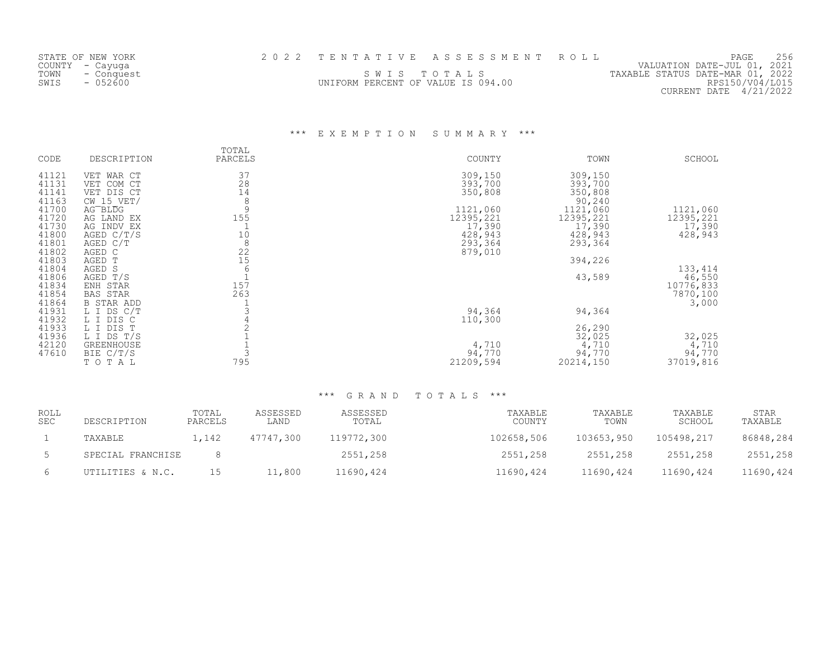|      | STATE OF NEW YORK |                                    | 2022 TENTATIVE ASSESSMENT ROLL | 256<br>PAGE                      |
|------|-------------------|------------------------------------|--------------------------------|----------------------------------|
|      | COUNTY - Cayuqa   |                                    |                                | VALUATION DATE-JUL 01, 2021      |
| TOWN | - Conquest        |                                    | SWIS TOTALS                    | TAXABLE STATUS DATE-MAR 01, 2022 |
| SWIS | $-052600$         | UNIFORM PERCENT OF VALUE IS 094.00 |                                | RPS150/V04/L015                  |
|      |                   |                                    |                                | CURRENT DATE 4/21/2022           |

## \*\*\* E X E M P T I O N S U M M A R Y \*\*\*

| CODE                             | DESCRIPTION                                              | TOTAL<br>PARCELS          | COUNTY                          | TOWN                                    | SCHOOL                          |
|----------------------------------|----------------------------------------------------------|---------------------------|---------------------------------|-----------------------------------------|---------------------------------|
| 41121<br>41131<br>41141<br>41163 | VET WAR CT<br>VET COM CT<br>VET DIS CT<br>$CW$ 15 $VET/$ | 37<br>28<br>14<br>8       | 309,150<br>393,700<br>350,808   | 309,150<br>393,700<br>350,808<br>90,240 |                                 |
| 41700<br>41720<br>41730          | AG <sup>-BLDG</sup><br>AG LAND EX<br>AG INDV EX          | 9<br>155                  | 1121,060<br>12395,221<br>17,390 | 1121,060<br>12395,221<br>17,390         | 1121,060<br>12395,221<br>17,390 |
| 41800<br>41801<br>41802          | AGED $C/T/S$<br>AGED C/T<br>AGED C                       | 10<br>$\,8\,$<br>22<br>15 | 428,943<br>293,364<br>879,010   | 428,943<br>293,364                      | 428,943                         |
| 41803<br>41804<br>41806<br>41834 | AGED T<br>AGED S<br>AGED T/S<br>ENH STAR                 | 6<br>157                  |                                 | 394,226<br>43,589                       | 133,414<br>46,550<br>10776,833  |
| 41854<br>41864<br>41931          | <b>BAS STAR</b><br>B STAR ADD<br>L I DS C/T              | 263                       | 94,364                          | 94,364                                  | 7870,100<br>3,000               |
| 41932<br>41933<br>41936          | L I DIS C<br>L I DIS T<br>L I DS T/S                     |                           | 110,300                         | 26,290<br>32,025                        | 32,025                          |
| 42120<br>47610                   | <b>GREENHOUSE</b><br>BIE C/T/S<br>TOTAL                  | 795                       | 4,710<br>94,770<br>21209,594    | 4,710<br>94,770<br>20214,150            | 4,710<br>94,770<br>37019,816    |

| ROLL<br><b>SEC</b> | DESCRIPTION       | TOTAL<br>PARCELS | ASSESSED<br>LAND | ASSESSED<br>TOTAL | TAXABLE<br>COUNTY | TAXABLE<br>TOWN | TAXABLE<br>SCHOOL | STAR<br>TAXABLE |
|--------------------|-------------------|------------------|------------------|-------------------|-------------------|-----------------|-------------------|-----------------|
|                    | TAXABLE           | 1,142            | 47747,300        | 119772,300        | 102658,506        | 103653,950      | 105498,217        | 86848,284       |
|                    | SPECIAL FRANCHISE |                  |                  | 2551,258          | 2551,258          | 2551,258        | 2551,258          | 2551,258        |
|                    | UTILITIES & N.C.  | 15               | ⊥1,800           | 11690,424         | 11690,424         | 11690,424       | 11690,424         | 11690,424       |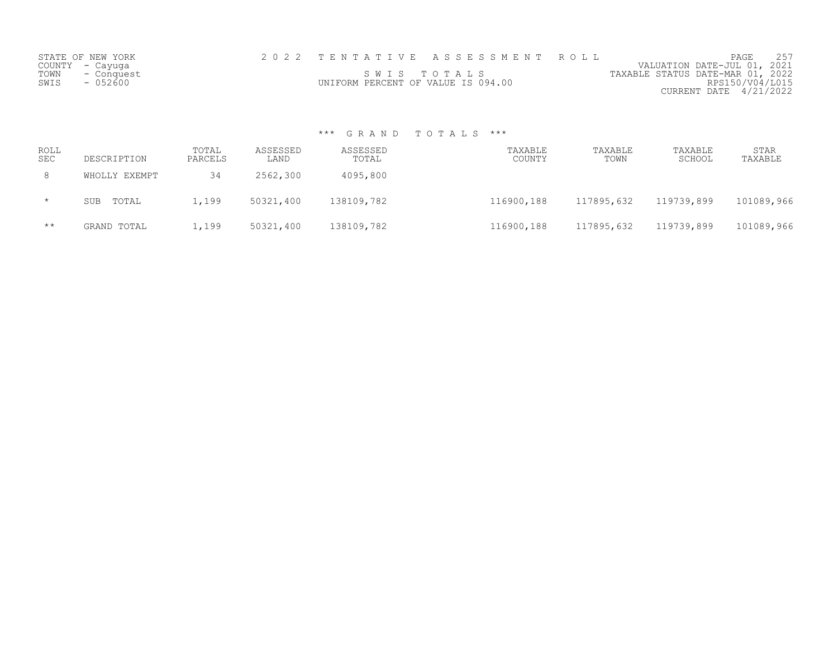| STATE OF NEW YORK  | 2022 TENTATIVE ASSESSMENT ROLL     |  |                                  | PAGE                        |  |
|--------------------|------------------------------------|--|----------------------------------|-----------------------------|--|
| COUNTY - Cayuqa    |                                    |  |                                  | VALUATION DATE-JUL 01, 2021 |  |
| TOWN<br>- Conquest | SWIS TOTALS                        |  | TAXABLE STATUS DATE-MAR 01, 2022 |                             |  |
| $-052600$<br>SWIS  | UNIFORM PERCENT OF VALUE IS 094.00 |  |                                  | RPS150/V04/L015             |  |
|                    |                                    |  |                                  | CURRENT DATE 4/21/2022      |  |

| ROLL<br>SEC  | DESCRIPTION   | TOTAL<br>PARCELS | ASSESSED<br>LAND | ASSESSED<br>TOTAL | TAXABLE<br>COUNTY | TAXABLE<br>TOWN | TAXABLE<br>SCHOOL | <b>STAR</b><br>TAXABLE |
|--------------|---------------|------------------|------------------|-------------------|-------------------|-----------------|-------------------|------------------------|
| 8            | WHOLLY EXEMPT | 34               | 2562,300         | 4095,800          |                   |                 |                   |                        |
| $\star$      | SUB TOTAL     | 1,199            | 50321,400        | 138109,782        | 116900,188        | 117895,632      | 119739,899        | 101089,966             |
| $\star\star$ | GRAND TOTAL   | 1,199            | 50321,400        | 138109,782        | 116900,188        | 117895,632      | 119739,899        | 101089,966             |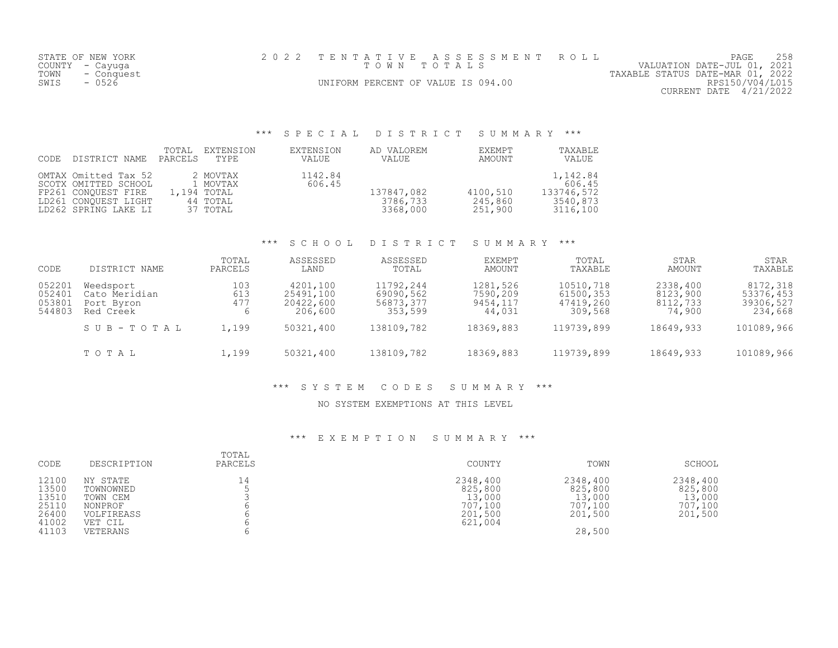| STATE OF NEW YORK  | 2022 TENTATIVE ASSESSMENT ROLL     | PAGE                             |
|--------------------|------------------------------------|----------------------------------|
| COUNTY – Cayuga    | TOWN TOTALS                        | VALUATION DATE-JUL 01, 2021      |
| TOWN<br>- Conquest |                                    | TAXABLE STATUS DATE-MAR 01, 2022 |
| $-0526$<br>SWIS    | UNIFORM PERCENT OF VALUE IS 094.00 | RPS150/V04/L015                  |
|                    |                                    | CURRENT DATE 4/21/2022           |
|                    |                                    |                                  |

## \*\*\* S P E C I A L D I S T R I C T S U M M A R Y \*\*\*

| CODE | DISTRICT NAME                                                                                                       | TOTAL<br>PARCELS | EXTENSION<br>TYPE                                           | EXTENSION<br>VALUE | AD VALOREM<br><b>VALUE</b>         | EXEMPT<br>AMOUNT               | TAXABLE<br>VALUE                                         |
|------|---------------------------------------------------------------------------------------------------------------------|------------------|-------------------------------------------------------------|--------------------|------------------------------------|--------------------------------|----------------------------------------------------------|
|      | OMTAX Omitted Tax 52<br>SCOTX OMITTED SCHOOL<br>FP261 CONOUEST FIRE<br>LD261 CONOUEST LIGHT<br>LD262 SPRING LAKE LI |                  | 2 MOVTAX<br>1 MOVTAX<br>1,194 TOTAL<br>44 TOTAL<br>37 TOTAL | 1142.84<br>606.45  | 137847,082<br>3786,733<br>3368,000 | 4100,510<br>245,860<br>251,900 | 1,142.84<br>606.45<br>133746,572<br>3540,873<br>3116,100 |

### \*\*\* S C H O O L D I S T R I C T S U M M A R Y \*\*\*

| CODE                                 | DISTRICT NAME                                         | TOTAL<br>PARCELS  | ASSESSED<br>LAND                              | ASSESSED<br>TOTAL                              | EXEMPT<br>AMOUNT                           | TOTAL<br>TAXABLE                               | <b>STAR</b><br>AMOUNT                      | <b>STAR</b><br>TAXABLE                        |
|--------------------------------------|-------------------------------------------------------|-------------------|-----------------------------------------------|------------------------------------------------|--------------------------------------------|------------------------------------------------|--------------------------------------------|-----------------------------------------------|
| 052201<br>052401<br>053801<br>544803 | Weedsport<br>Cato Meridian<br>Port Byron<br>Red Creek | 103<br>613<br>477 | 4201,100<br>25491,100<br>20422,600<br>206,600 | 11792,244<br>69090,562<br>56873,377<br>353,599 | 1281,526<br>7590,209<br>9454,117<br>44,031 | 10510,718<br>61500,353<br>47419,260<br>309,568 | 2338,400<br>8123,900<br>8112,733<br>74,900 | 8172,318<br>53376,453<br>39306,527<br>234,668 |
|                                      | SUB-TOTAL                                             | 1,199             | 50321,400                                     | 138109,782                                     | 18369,883                                  | 119739,899                                     | 18649,933                                  | 101089,966                                    |
|                                      | TOTAL                                                 | 1,199             | 50321,400                                     | 138109,782                                     | 18369,883                                  | 119739,899                                     | 18649,933                                  | 101089,966                                    |

### \*\*\* S Y S T E M C O D E S S U M M A R Y \*\*\*

### NO SYSTEM EXEMPTIONS AT THIS LEVEL

### \*\*\* E X E M P T I O N S U M M A R Y \*\*\*

| CODE                                                        | DESCRIPTION                                                                       | TOTAL<br>PARCELS | COUNTY                                                         | TOWN                                                          | SCHOOL                                              |
|-------------------------------------------------------------|-----------------------------------------------------------------------------------|------------------|----------------------------------------------------------------|---------------------------------------------------------------|-----------------------------------------------------|
| 12100<br>13500<br>13510<br>25110<br>26400<br>41002<br>41103 | NY STATE<br>TOWNOWNED<br>TOWN CEM<br>NONPROF<br>VOLFIREASS<br>VET CIL<br>VETERANS | 14               | 2348,400<br>825,800<br>13,000<br>707,100<br>201,500<br>621,004 | 2348,400<br>825,800<br>13,000<br>707,100<br>201,500<br>28,500 | 2348,400<br>825,800<br>13,000<br>707,100<br>201,500 |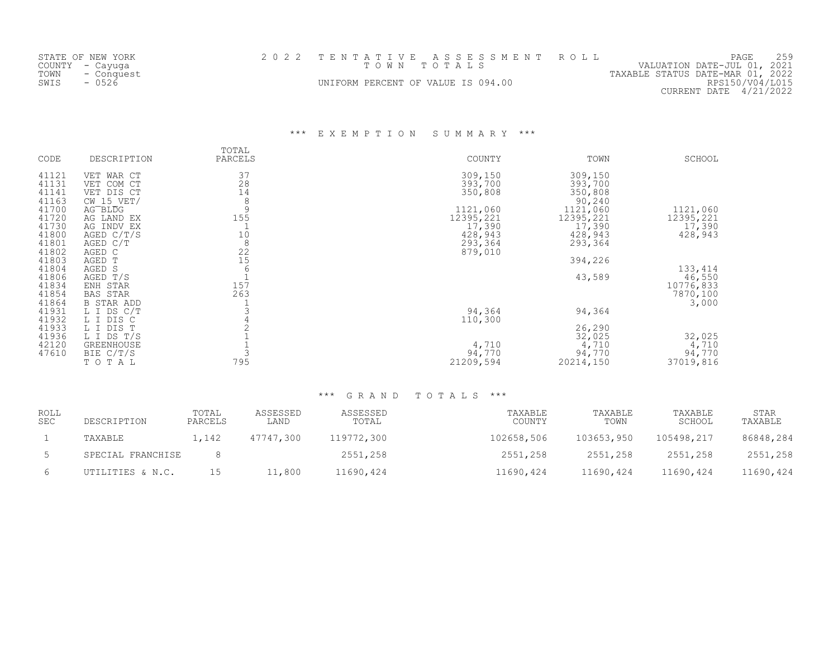| STATE OF NEW YORK  | 2022 TENTATIVE ASSESSMENT ROLL     | PAGE                             |
|--------------------|------------------------------------|----------------------------------|
| COUNTY – Cayuga    | TOWN TOTALS                        | VALUATION DATE-JUL 01, 2021      |
| TOWN<br>- Conquest |                                    | TAXABLE STATUS DATE-MAR 01, 2022 |
| $-0526$<br>SWIS    | UNIFORM PERCENT OF VALUE IS 094.00 | RPS150/V04/L015                  |
|                    |                                    | CURRENT DATE 4/21/2022           |

\*\*\* E X E M P T I O N S U M M A R Y \*\*\*

| CODE                             | DESCRIPTION                                                      | TOTAL<br>PARCELS                                       | COUNTY                          | TOWN                                      | SCHOOL                          |
|----------------------------------|------------------------------------------------------------------|--------------------------------------------------------|---------------------------------|-------------------------------------------|---------------------------------|
| 41121<br>41131<br>41141          | VET WAR CT<br>VET COM CT<br>VET DIS CT                           | 37<br>28                                               | 309,150<br>393,700<br>350,808   | 309,150<br>393,700<br>350,808             |                                 |
| 41163<br>41700<br>41720<br>41730 | $CW$ 15 VET/<br>AG <sup>T</sup> BLDG<br>AG LAND EX<br>AG INDV EX | $\begin{array}{c}\n 14 \\ 8 \\ 9\n \end{array}$<br>155 | 1121,060<br>12395,221<br>17,390 | 90,240<br>1121,060<br>12395,221<br>17,390 | 1121,060<br>12395,221<br>17,390 |
| 41800<br>41801<br>41802          | AGED C/T/S<br>AGED C/T<br>AGED C                                 | $\begin{array}{c} 10 \\ 8 \\ 22 \end{array}$           | 428,943<br>293,364<br>879,010   | 428,943<br>293,364                        | 428,943                         |
| 41803<br>41804<br>41806<br>41834 | AGED T<br>AGED S<br>AGED T/S<br>ENH STAR                         | 15<br>6<br>157                                         |                                 | 394,226<br>43,589                         | 133,414<br>46,550<br>10776,833  |
| 41854<br>41864<br>41931          | <b>BAS STAR</b><br>B STAR ADD<br>L I DS C/T                      | 263                                                    | 94,364                          | 94,364                                    | 7870,100<br>3,000               |
| 41932<br>41933<br>41936<br>42120 | L I DIS C<br>L I DIS T<br>L I DS T/S<br><b>GREENHOUSE</b>        |                                                        | 110,300<br>4,710                | 26,290<br>32,025<br>4,710                 | 32,025<br>4,710                 |
| 47610                            | BIE C/T/S<br>TOTAL                                               | 795                                                    | 94,770<br>21209,594             | 94,770<br>20214,150                       | 94,770<br>37019,816             |

| ROLL<br><b>SEC</b> | DESCRIPTION       | TOTAL<br>PARCELS | ASSESSED<br>LAND | ASSESSED<br>TOTAL | TAXABLE<br>COUNTY | TAXABLE<br>TOWN | TAXABLE<br>SCHOOL | STAR<br>TAXABLE |
|--------------------|-------------------|------------------|------------------|-------------------|-------------------|-----------------|-------------------|-----------------|
|                    | TAXABLE           | 1,142            | 47747,300        | 119772,300        | 102658,506        | 103653,950      | 105498,217        | 86848,284       |
|                    | SPECIAL FRANCHISE |                  |                  | 2551,258          | 2551,258          | 2551,258        | 2551,258          | 2551,258        |
|                    | UTILITIES & N.C.  | 15               | 1.800            | 11690,424         | 11690,424         | 11690,424       | 11690,424         | 11690,424       |